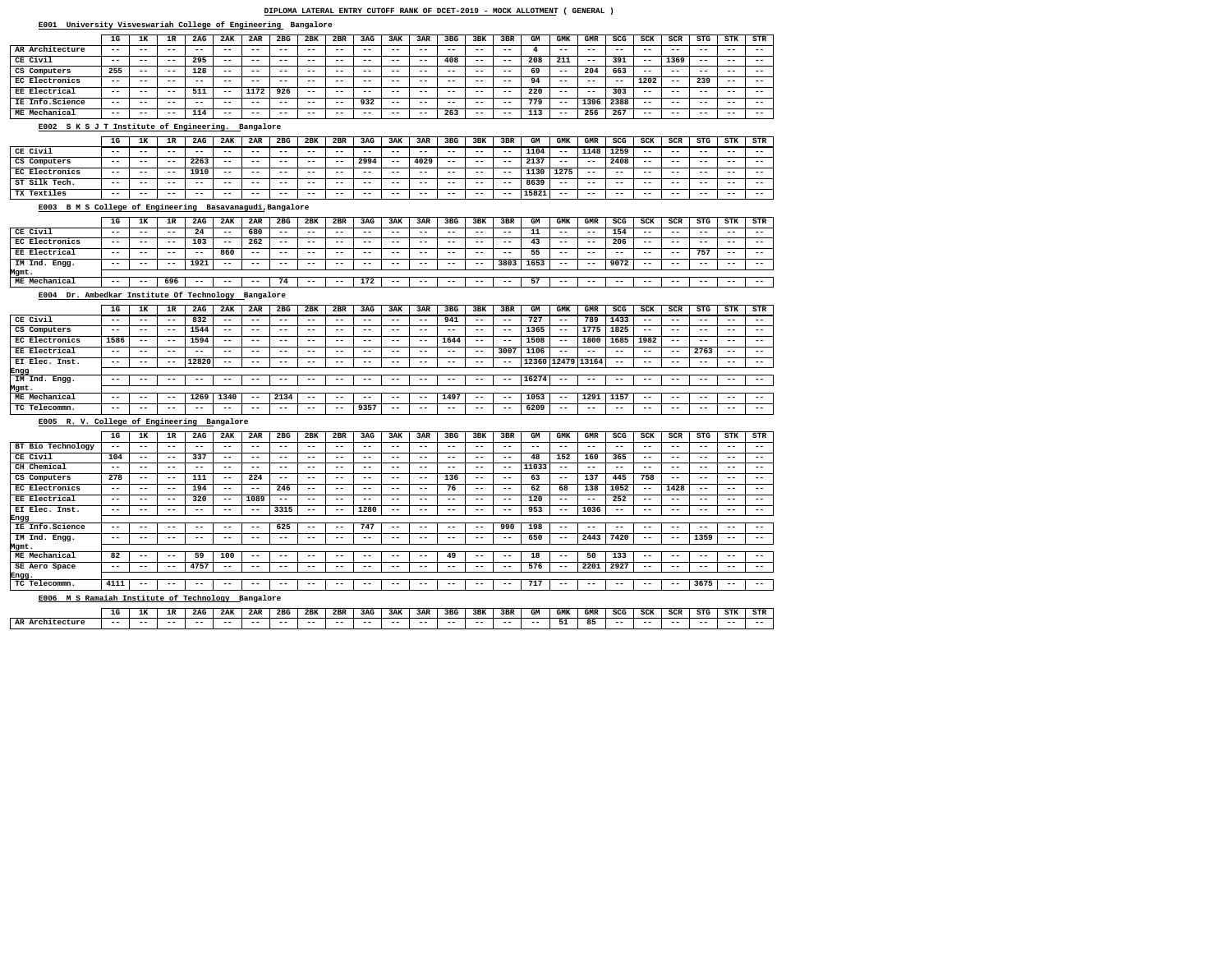#### **E001 University Visveswariah College of Engineering Bangalore**

|                                                    | 1G                       | 1K                | 1R    | 2AG               | 2AK                        | 2AR                     | 2 <sub>BG</sub> | 2BK               | 2BR               | 3AG   | 3AK                        | 3AR                        | 3 <sub>BG</sub>            | 3BK                        | 3BR               | GМ      | GMK               | <b>GMR</b> | SCG                        | SCK                        | SCR                        | <b>STG</b>        | <b>STK</b>        | STR                      |
|----------------------------------------------------|--------------------------|-------------------|-------|-------------------|----------------------------|-------------------------|-----------------|-------------------|-------------------|-------|----------------------------|----------------------------|----------------------------|----------------------------|-------------------|---------|-------------------|------------|----------------------------|----------------------------|----------------------------|-------------------|-------------------|--------------------------|
| AR Architecture                                    |                          | $- -$             |       | $- -$             | $- -$                      | $- -$                   | $- -$           | $ -$              | $- -$             | $- -$ | $ -$                       |                            | $- -$                      | $- -$                      |                   | 4       |                   |            |                            |                            |                            |                   | $- -$             | $\qquad \qquad -$        |
| CE Civil                                           | $\qquad \qquad -$        |                   | $- -$ |                   |                            |                         |                 |                   |                   |       |                            | $\qquad \qquad -$          |                            |                            | $- -$             |         | $- -$             | $- -$      | $- -$                      | $\overline{\phantom{m}}$ . | $- -$                      | $- -$             |                   |                          |
|                                                    | $ -$                     | $ -$              | $- -$ | 295               | $ -$                       | $- -$                   | $- -$           | $ -$              | $ -$              | $- -$ | $- -$                      | $- -$                      | 408                        | $\overline{\phantom{m}}$   | $- -$             | 208     | 211               | $- -$      | 391                        | $ -$                       | 1369                       | $- -$             | $- -$             | $ -$                     |
| CS Computers                                       | 255                      | $- -$             | $- -$ | 128               | $- -$                      | $- -$                   | $- -$           | $ -$              | $ -$              | $ -$  | $ -$                       | $- -$                      | $- -$                      | $ -$                       | $- -$             | 69      | $\qquad \qquad -$ | 204        | 663                        | $\qquad \qquad -$          | $- -$                      | $- -$             | $- -$             | $- -$                    |
| EC Electronics                                     | $ -$                     | $- -$             | $- -$ | $\qquad \qquad -$ | $ -$                       | $- -$                   | $- -$           | $- -$             | $ -$              | $- -$ | $- -$                      | $\overline{\phantom{m}}$ . | $\overline{\phantom{m}}$ . | $- -$                      | $- -$             | 94      | $ -$              | $- -$      | $- -$                      | 1202                       | $\qquad \qquad -$          | 239               | $- -$             | $\qquad \qquad -$        |
| EE Electrical                                      | $ -$                     | $- -$             | $- -$ | 511               | $- -$                      | 1172                    | 926             | $ -$              | $\qquad \qquad -$ | $- -$ | $ -$                       | $- -$                      | $- -$                      | $- -$                      | $- -$             | 220     | $- -$             | $- -$      | 303                        | $\qquad \qquad -$          | $- -$                      | $- -$             | $- -$             | $\qquad \qquad -$        |
| IE Info. Science                                   | $ -$                     | $- -$             | $- -$ | $\qquad \qquad -$ | $\overline{\phantom{m}}$ . | $- -$                   | $- -$           | $\qquad \qquad -$ | $ -$              | 932   | $- -$                      | $\overline{\phantom{m}}$ . | $\overline{\phantom{m}}$ . | $- -$                      | $- -$             | 779     | $\qquad \qquad -$ | 1396       | 2388                       | $\qquad \qquad -$          | $- -$                      | $- -$             | $- -$             | $ -$                     |
| ME Mechanical                                      | $\qquad \qquad -$        |                   | $- -$ | 114               | $- -$                      | $- -$                   | $- -$           | $ -$              | $ -$              | $ -$  | $- -$                      | $\qquad \qquad -$          | 263                        | $- -$                      | $- -$             | 113     | $\qquad \qquad -$ | 256        | 267                        | $- -$                      | $- -$                      | $- -$             | $\qquad \qquad -$ | $- -$                    |
| E002 S K S J T Institute of Engineering.           |                          |                   |       |                   |                            | Bangalore               |                 |                   |                   |       |                            |                            |                            |                            |                   |         |                   |            |                            |                            |                            |                   |                   |                          |
|                                                    | 1G                       | 1K                | 1R    | 2AG               | 2AK                        | 2AR                     | 2 <sub>BG</sub> | 2BK               | 2BR               | 3AG   | 3AK                        | 3AR                        | 3 <sub>BG</sub>            | 3BK                        | 3BR               | GM      | GMK               | <b>GMR</b> | SCG                        | SCK                        | SCR                        | <b>STG</b>        | <b>STK</b>        | <b>STR</b>               |
| CE Civil                                           | $- -$                    | $- -$             | $- -$ | $- -$             | $- -$                      | $- -$                   | $- -$           | $ -$              | $ -$              | $- -$ | $ -$                       | $- -$                      | $- -$                      | $\overline{\phantom{m}}$ . | $ -$              | 1104    | $- -$             | 1148       | 1259                       | $- -$                      | $- -$                      | $- -$             | $- -$             | $\qquad \qquad -$        |
| CS Computers                                       | $\qquad \qquad -$        | $\qquad \qquad -$ | $- -$ | 2263              | $\qquad \qquad -$          | $- -$                   | $ -$            | $ -$              | $ -$              | 2994  | $\overline{\phantom{m}}$ . | 4029                       | $\qquad \qquad -$          | $- -$                      | $- -$             | 2137    | $\qquad \qquad -$ | $- -$      | 2408                       | $ -$                       | $- -$                      | $- -$             | $- -$             | $ -$                     |
| EC Electronics                                     | $ -$                     | $- -$             | $- -$ | 1910              | $\qquad \qquad -$          | $- -$                   | $- -$           | $- -$             | $ -$              | $ -$  | $ -$                       | $\qquad \qquad -$          | $- -$                      | $\overline{\phantom{m}}$ . | $ -$              | 1130    | 1275              | $- -$      | $- -$                      | $- -$                      | $- -$                      | $- -$             | $- -$             | $\qquad \qquad -$        |
| ST Silk Tech.                                      | $\qquad \qquad -$        | $- -$             | $- -$ | $- -$             | $- -$                      | $- -$                   | $- -$           | $- -$             | $ -$              | $- -$ | $ -$                       | $- -$                      | $\overline{\phantom{m}}$ . | $- -$                      | $- -$             | 8639    | $\qquad \qquad -$ | $- -$      | $- -$                      | $- -$                      | $- -$                      | $- -$             | $ -$              | $- -$                    |
| TX Textiles                                        | $- -$                    |                   | $- -$ | $- -$             | $- -$                      |                         | $ -$            | $ -$              | $ -$              | $- -$ | $ -$                       | $\qquad \qquad -$          | $- -$                      | $- -$                      | $- -$             | 15821   | $\qquad \qquad -$ | $- -$      | $- -$                      | $\overline{\phantom{m}}$ . | $- -$                      | $- -$             | $- -$             | $- -$                    |
|                                                    |                          |                   |       |                   |                            |                         |                 |                   |                   |       |                            |                            |                            |                            |                   |         |                   |            |                            |                            |                            |                   |                   |                          |
| B M S College of Engineering<br>E003               |                          |                   |       |                   |                            | Basavanagudi, Bangalore |                 |                   |                   |       |                            |                            |                            |                            |                   |         |                   |            |                            |                            |                            |                   |                   |                          |
|                                                    | 1G                       | 1ĸ                | 1R    | 2AG               | 2AK                        | 2AR                     | 2BG             | 2BK               | 2BR               | 3AG   | 3AK                        | 3AR                        | 3 <sub>BG</sub>            | 3BK                        | 3BR               | GM      | GMK               | <b>GMR</b> | <b>SCG</b>                 | SCK                        | SCR                        | <b>STG</b>        | STK               | <b>STR</b>               |
| CE Civil                                           | $ -$                     | $- -$             | $- -$ | 24                | $\qquad \qquad -$          | 680                     | $- -$           | $ -$              | $\qquad \qquad -$ | $- -$ | $ -$                       | $\qquad \qquad -$          | $\qquad \qquad -$          | $- -$                      | $- -$             | 11      | $- -$             | $- -$      | 154                        | $\overline{\phantom{m}}$ . | $- -$                      | $\qquad \qquad -$ | $- -$             | $\qquad \qquad -$        |
| EC Electronics                                     | $ -$                     | $ -$              | $- -$ | 103               | $ -$                       | 262                     | $- -$           | $ -$              | $ -$              | $- -$ | $- -$                      | $\qquad \qquad -$          | $\overline{\phantom{m}}$ . | $- -$                      | $- -$             | 43      | $ -$              | $- -$      | 206                        | $- -$                      | $\qquad \qquad -$          | $- -$             | $- -$             | $ -$                     |
| EE Electrical                                      | $\qquad \qquad -$        | $- -$             | $- -$ | $\qquad \qquad -$ | 860                        | $- -$                   | $ -$            | $- -$             | $ -$              | $ -$  | $ -$                       | $- -$                      | $- -$                      | $ -$                       | $ -$              | 55      | $- -$             | $- -$      | $- -$                      | $\qquad \qquad -$          | $- -$                      | 757               | $- -$             | $\qquad \qquad -$        |
| IM Ind. Engg.                                      | $ -$                     | $- -$             | $- -$ | 1921              | $ -$                       | $- -$                   | $- -$           | $- -$             | $ -$              | $- -$ | $\overline{\phantom{m}}$ . | $- -$                      | $\overline{\phantom{m}}$ . | $- -$                      | 3803              | 1653    | $ -$              | $- -$      | 9072                       | $ -$                       | $\qquad \qquad -$          | $- -$             | $ -$              | $- -$                    |
| Mgmt.<br>ME Mechanical                             | $- -$                    |                   | 696   | $- -$             | $- -$                      | $- -$                   | 74              | $- -$             | $ -$              | 172   | $ -$                       | $- -$                      | $- -$                      | $ -$                       | $- -$             | 57      | $- -$             | $- -$      | $ -$                       | $\overline{\phantom{m}}$ . | $- -$                      | $- -$             | $\qquad \qquad -$ | $ -$                     |
|                                                    |                          |                   |       |                   |                            |                         |                 |                   |                   |       |                            |                            |                            |                            |                   |         |                   |            |                            |                            |                            |                   |                   |                          |
| E004 Dr. Ambedkar Institute Of Technology          |                          |                   |       |                   |                            | Bangalore               |                 |                   |                   |       |                            |                            |                            |                            |                   |         |                   |            |                            |                            |                            |                   |                   |                          |
|                                                    | $1\text{G}$              | 1K                | 1R    | 2AG               | 2AK                        | 2AR                     | 2BG             | 2BK               | 2BR               | 3AG   | 3AK                        | 3AR                        | 3 <sub>BG</sub>            | 3BK                        | 3BR               | GМ      | GMK               | <b>GMR</b> | SCG                        | <b>SCK</b>                 | SCR                        | <b>STG</b>        | <b>STK</b>        | <b>STR</b>               |
| CE Civil                                           | $ -$                     | $ -$              | $- -$ | 832               | $ -$                       | $- -$                   | $- -$           | $- -$             | $- -$             | $- -$ | $- -$                      | $\qquad \qquad -$          | 941                        | $\overline{\phantom{m}}$   | $\qquad \qquad -$ | 727     | $ -$              | 789        | 1433                       | $\qquad \qquad -$          | $\qquad \qquad -$          | $- -$             | $- -$             | $ -$                     |
| CS Computers                                       | $ -$                     | $- -$             | $- -$ | 1544              | $ -$                       | $- -$                   | $- -$           | $ -$              | $ -$              | $ -$  | $- -$                      | $- -$                      | $- -$                      | $- -$                      | $- -$             | 1365    | $- -$             | 1775       | 1825                       | $\overline{\phantom{m}}$   | $- -$                      | $- -$             | $- -$             | $- -$                    |
| EC Electronics                                     | 1586                     | $ -$              | $- -$ | 1594              | $- -$                      | $- -$                   | $- -$           | $- -$             | $ -$              | $- -$ | $- -$                      | $- -$                      | 1644                       | $\overline{\phantom{m}}$   | $- -$             | 1508    | $\qquad \qquad -$ | 1800       | 1685                       | 1982                       | $\overline{\phantom{m}}$ . | $- -$             | $- -$             | $\qquad \qquad -$        |
| EE Electrical                                      | $ -$                     | $- -$             | $ -$  | $- -$             | $- -$                      | $- -$                   | $ -$            | $- -$             | $- -$             | $- -$ | $ -$                       | $- -$                      | $- -$                      | $ -$                       | 3007              | 1106    | $- -$             | $ -$       | $ -$                       | $- -$                      | $- -$                      | 2763              | $ -$              | $- -$                    |
| EI Elec. Inst.                                     | $ -$                     | $- -$             | $- -$ | 12820             | $- -$                      | $- -$                   | $ -$            | $- -$             | $- -$             | $- -$ | $ -$                       | $- -$                      | $- -$                      | $- -$                      | $ -$              |         | 12360 12479 13164 |            | $ -$                       | $- -$                      | $- -$                      | $- -$             | $\qquad \qquad -$ | $ -$                     |
| Engg                                               |                          |                   |       |                   |                            |                         |                 |                   |                   |       |                            |                            |                            |                            |                   |         |                   |            |                            |                            |                            |                   |                   |                          |
| IM Ind. Engg.                                      | $- -$                    |                   | $ -$  |                   | $- -$                      |                         | $- -$           |                   | $- -$             |       | $ -$                       |                            |                            |                            | $- -$             | $16274$ | $- -$             | $ -$       | $- -$                      | $- -$                      | --                         | $- -$             | $- -$             | $- -$                    |
| Mgmt.<br>ME Mechanical                             | $ -$                     | $- -$             | $- -$ | 1269              | 1340                       | $- -$                   | 2134            | $- -$             | $- -$             | $- -$ | $\qquad \qquad -$          | $- -$                      | 1497                       | $- -$                      | $ -$              | 1053    | $\qquad \qquad -$ | 1291       | 1157                       | $\qquad \qquad -$          | $- -$                      | $- -$             | $- -$             | $ -$                     |
| TC Telecommn.                                      | $\qquad \qquad -$        | $\qquad \qquad -$ | $- -$ | $\qquad \qquad -$ | $ -$                       | $- -$                   | $- -$           | $- -$             | $- -$             | 9357  | $\overline{\phantom{m}}$ . | $\qquad \qquad -$          | $\qquad \qquad -$          | $- -$                      | $- -$             | 6209    | $- -$             | $- -$      | $\qquad \qquad -$          | $\qquad \qquad -$          | $- -$                      | $\qquad \qquad -$ | $\qquad \qquad -$ | $- -$                    |
|                                                    |                          |                   |       |                   |                            |                         |                 |                   |                   |       |                            |                            |                            |                            |                   |         |                   |            |                            |                            |                            |                   |                   |                          |
| E005 R. V. College of Engineering Bangalore        |                          |                   |       |                   |                            |                         |                 |                   |                   |       |                            |                            |                            |                            |                   |         |                   |            |                            |                            |                            |                   |                   |                          |
|                                                    | 1G                       | 1ĸ                | 1R    | 2AG               | 2AK                        | 2AR                     | 2 <sub>BG</sub> | 2BK               | 2BR               | 3AG   | 3AK                        | 3AR                        | 3 <sub>BG</sub>            | 3BK                        | 3BR               | GM      | GMK               | GMR        | SCG                        | SCK                        | SCR                        | STG               | STK               | STR                      |
| BT Bio Technology                                  | $\qquad \qquad -$        | $- -$             | $- -$ | $\qquad \qquad -$ | $- -$                      | $- -$                   | $- -$           | $- -$             | $- -$             | $- -$ | $\overline{\phantom{m}}$ . | $- -$                      | $\qquad \qquad -$          | $- -$                      | $\qquad \qquad -$ | $ -$    | $- -$             | $- -$      | $\overline{\phantom{m}}$ . | $\qquad \qquad -$          | $\qquad \qquad -$          | $\qquad \qquad -$ | $- -$             | $- -$                    |
| CE Civil                                           | 104                      | $ -$              | $- -$ | 337               | $- -$                      | $- -$                   | $ -$            | $- -$             | $- -$             | $- -$ | $\qquad \qquad -$          | $- -$                      | $- -$                      | $- -$                      | $ -$              | 48      | 152               | 160        | 365                        | $\qquad \qquad -$          | $- -$                      | $ -$              | $ -$              | $ -$                     |
| CH Chemical                                        | $\qquad \qquad -$        | $ -$              | $- -$ | $\qquad \qquad -$ | $- -$                      | $- -$                   | $- -$           | $- -$             | $ -$              | $ -$  | $- -$                      | $\qquad \qquad -$          | $- -$                      | $- -$                      | $- -$             | 11033   | $- -$             | $- -$      | $\overline{\phantom{m}}$ . | $\qquad \qquad -$          | $- -$                      | $- -$             | $- -$             | $\qquad \qquad -$        |
| CS Computers                                       | 278                      | $ -$              | $- -$ | 111               | $\qquad \qquad -$          | 224                     | $ -$            | $- -$             | $- -$             | $- -$ | $\qquad \qquad -$          | $\qquad \qquad -$          | 136                        | $- -$                      | $ -$              | 63      | $- -$             | 137        | 445                        | 758                        | $\qquad \qquad -$          | $ -$              | $\qquad \qquad -$ | $\overline{\phantom{m}}$ |
| EC Electronics                                     | $ -$                     | $- -$             | $- -$ | 194               | $- -$                      | $- -$                   | 246             | $- -$             | $- -$             | $- -$ | $\qquad \qquad -$          | $- -$                      | 76                         | $- -$                      | $\qquad \qquad -$ | 62      | 68                | 138        | 1052                       | $- -$                      | 1428                       | $\qquad \qquad -$ | $- -$             | $\qquad \qquad -$        |
| EE Electrical                                      | $ -$                     | $ -$              | $- -$ | 320               | $\qquad \qquad -$          | 1089                    | $ -$            | $- -$             | $- -$             | $- -$ | $\overline{\phantom{m}}$ . | $\qquad \qquad -$          | $\qquad \qquad -$          | $- -$                      | $- -$             | 120     | $\qquad \qquad -$ | $- -$      | 252                        | $\qquad \qquad -$          | $ -$                       | $ -$              | $\qquad \qquad -$ | $ -$                     |
| EI Elec. Inst.                                     | $- -$                    | $ -$              | $- -$ | $\qquad \qquad -$ | $\qquad \qquad -$          | $- -$                   | 3315            | $- -$             | $- -$             | 1280  | $\qquad \qquad -$          | $- -$                      | $\qquad \qquad -$          | $- -$                      | $\qquad \qquad -$ | 953     | $- -$             | 1036       | $\qquad \qquad -$          | $\qquad \qquad -$          | $\qquad \qquad -$          | $\qquad \qquad -$ | $\qquad \qquad -$ | $- -$                    |
| Engg                                               |                          |                   |       |                   |                            |                         |                 |                   |                   |       |                            |                            |                            |                            |                   |         |                   |            |                            |                            |                            |                   |                   |                          |
| IE Info.Science                                    | $ -$                     | $ -$              | $- -$ | $- -$             | $\qquad \qquad -$          | $- -$                   | 625             | $- -$             | $- -$             | 747   | $- -$                      | $\qquad \qquad -$          | $- -$                      | $ -$                       | 990               | 198     | $- -$             | $- -$      | $ -$                       | $- -$                      | $- -$                      | $ -$              | $ -$              | $\overline{\phantom{m}}$ |
| IM Ind. Engg.                                      | $\overline{\phantom{m}}$ | $ -$              | $- -$ | $\qquad \qquad -$ | $ -$                       | $- -$                   | $ -$            | $- -$             | $- -$             | $ -$  | $\qquad \qquad -$          | $\qquad \qquad -$          | $\qquad \qquad -$          | $- -$                      | $ -$              | 650     | $- -$             | 2443       | 7420                       | $- -$                      | $- -$                      | 1359              | $\qquad \qquad -$ | $- -$                    |
| <b>Mgmt.</b><br>ME Mechanical                      | 82                       | $- -$             | $- -$ | 59                | 100                        | $- -$                   | $ -$            | $- -$             | $- -$             | $- -$ | $- -$                      | $- -$                      | 49                         | $- -$                      | $ -$              | 18      | $- -$             | 50         | 133                        | $\qquad \qquad -$          | $- -$                      | $- -$             | $- -$             | $ -$                     |
| SE Aero Space                                      | $ -$                     | $- -$             | $- -$ | 4757              | $- -$                      | $- -$                   | $- -$           | $- -$             | $- -$             | $- -$ | $\overline{\phantom{m}}$   | $- -$                      | $- -$                      | $- -$                      | $- -$             | 576     | $- -$             | 2201       | 2927                       | $- -$                      | $- -$                      | $\qquad \qquad -$ | $- -$             | $- -$                    |
| Engg.                                              |                          |                   |       |                   |                            |                         |                 |                   |                   |       |                            |                            |                            |                            |                   |         |                   |            |                            |                            |                            |                   |                   |                          |
| TC Telecommn.                                      | 4111                     | $\qquad \qquad -$ | $- -$ | $\qquad \qquad -$ | $\qquad \qquad -$          | $- -$                   | $ -$            | $- -$             | $- -$             | $- -$ | $\qquad \qquad -$          | $- -$                      | $\qquad \qquad -$          | $- -$                      | $\qquad \qquad -$ | 717     | $\qquad \qquad -$ | $- -$      | $\qquad \qquad -$          | $\qquad \qquad -$          | $\overline{\phantom{m}}$ . | 3675              | $ -$              | $- -$                    |
| E006 M S Ramaiah Institute of Technology Bangalore |                          |                   |       |                   |                            |                         |                 |                   |                   |       |                            |                            |                            |                            |                   |         |                   |            |                            |                            |                            |                   |                   |                          |
|                                                    |                          |                   |       |                   |                            |                         |                 |                   |                   |       |                            |                            |                            |                            |                   |         |                   |            |                            |                            |                            |                   |                   |                          |
|                                                    | 1G                       | 1ĸ                | 1R    | 2AG               | 2AK                        | 2AR                     | 2BG             | 2BK               | 2BR               | 3AG   | 3AK                        | 3AR                        | 3 <sub>BG</sub>            | 3BK                        | 3BR               | GM      | GMK               | GMR        | SCG                        | SCK                        | SCR                        | STG               | STK               | STR                      |
| AR Architecture                                    | $ -$                     | $ -$              | $- -$ | $- -$             | $\qquad \qquad -$          | $- -$                   | $ -$            | $- -$             | $- -$             | $- -$ | $\qquad \qquad -$          | $- -$                      | $\qquad \qquad -$          | $- -$                      | $ -$              | $ -$    | 51                | 85         | $ -$                       | $- -$                      | $- -$                      | $ -$              | $ -$              | $-  \,$                  |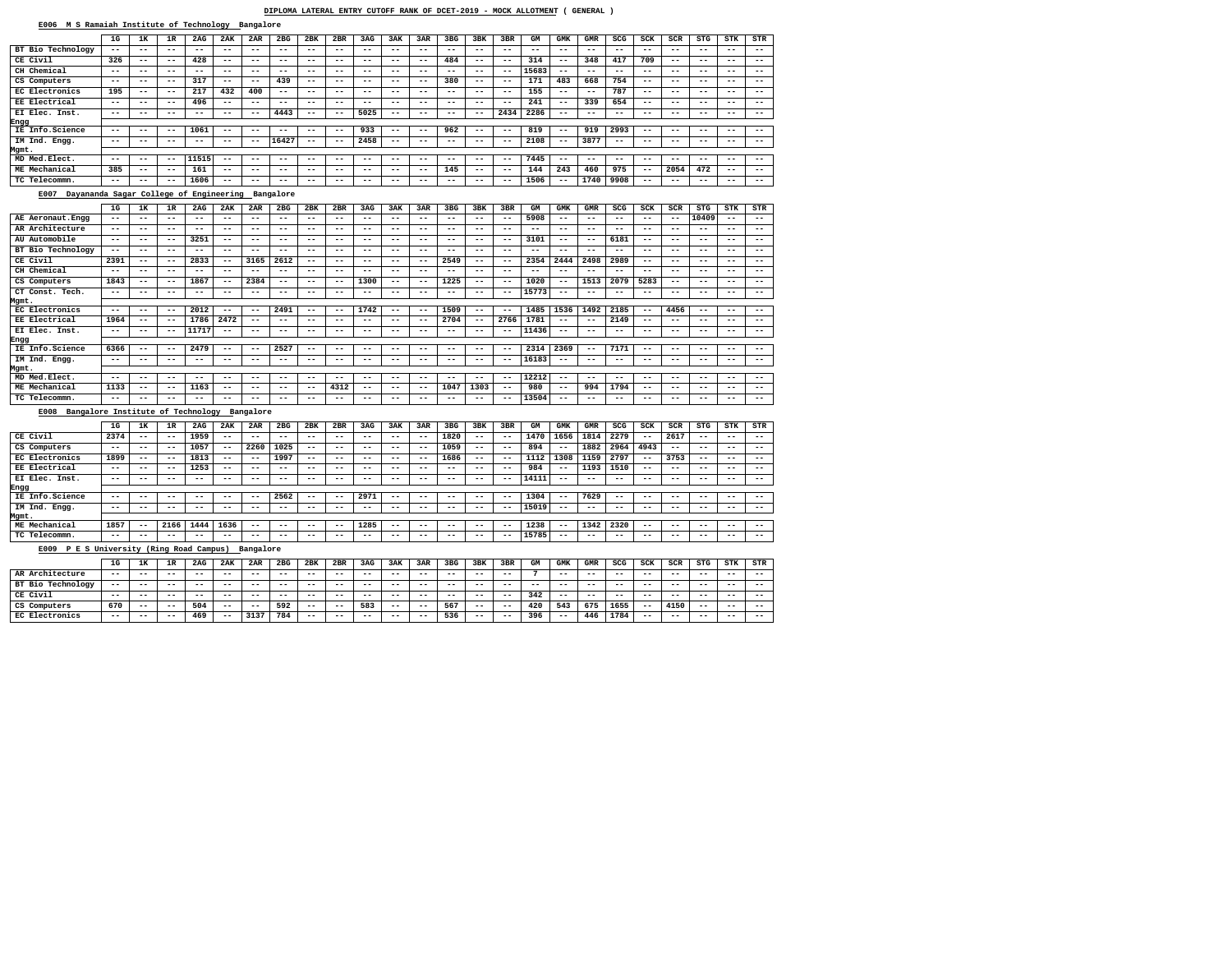### **E006 M S Ramaiah Institute of Technology Bangalore**

#### **E007 Dayananda Sagar College of Engineering Bangalore**

#### **E008 Bangalore Institute of Technology Bangalore**

#### **E009 P E S University (Ring Road Campus) Bangalore**

|                                                          | 1G    | 1ĸ    | 1R    | 2AG   | 2AK   | 2AR   | 2 <sub>BG</sub> | 2BK   | 2BR   | 3AG   | 3AK   | 3AR   | 3 <sub>BG</sub> | 3BK   | 3BR   | GМ    | GMK   | <b>GMR</b> | SCG   | SCK   | SCR   | STG   | STK   | STR   |
|----------------------------------------------------------|-------|-------|-------|-------|-------|-------|-----------------|-------|-------|-------|-------|-------|-----------------|-------|-------|-------|-------|------------|-------|-------|-------|-------|-------|-------|
| BT Bio Technology                                        | $- -$ | $- -$ | $- -$ | $- -$ | $- -$ | $- -$ | $- -$           | $- -$ | $- -$ | $- -$ | $- -$ | $- -$ | $- -$           | $- -$ | $- -$ | $- -$ | $- -$ | $- -$      | $- -$ | $- -$ | $- -$ | $- -$ | $- -$ | $- -$ |
| CE Civil                                                 | 326   | $- -$ | $- -$ | 428   | $- -$ | $- -$ | $- -$           | $- -$ | $- -$ | $- -$ | $- -$ | $- -$ | 484             | $- -$ | $- -$ | 314   | $- -$ | 348        | 417   | 709   | $- -$ | $- -$ | $- -$ | $- -$ |
| CH Chemical                                              | --    | $- -$ | $- -$ | $- -$ | $- -$ | $- -$ | $- -$           | $- -$ | $- -$ | $- -$ | $- -$ | $- -$ | $- -$           | $- -$ | $ -$  | 15683 | $- -$ | $- -$      | $- -$ | $- -$ | $- -$ | $- -$ | $- -$ | $- -$ |
| CS Computers                                             | $- -$ | --    | $- -$ | 317   | $- -$ | $- -$ | 439             | $- -$ | $- -$ | $- -$ | $- -$ | $- -$ | 380             | $- -$ | $- -$ | 171   | 483   | 668        | 754   | $- -$ | $- -$ | $- -$ | $- -$ | $- -$ |
| EC Electronics                                           | 195   | $- -$ | $- -$ | 217   | 432   | 400   | $- -$           | $- -$ | $- -$ | $- -$ | $- -$ | $- -$ | $- -$           | $- -$ | $- -$ | 155   | $- -$ | $- -$      | 787   | $- -$ | $- -$ | $- -$ | $- -$ | $- -$ |
| EE Electrical                                            | $- -$ | $- -$ | $- -$ | 496   | $- -$ | $- -$ | $- -$           | $- -$ | $- -$ | $- -$ | $- -$ | $- -$ | $- -$           | $- -$ | $- -$ | 241   | $- -$ | 339        | 654   | $- -$ | $- -$ | $- -$ | $- -$ | $- -$ |
| EI Elec. Inst.                                           | --    | --    | $- -$ | $- -$ | $- -$ | $- -$ | 4443            | $- -$ | $- -$ | 5025  | $- -$ | $- -$ | $- -$           | $- -$ | 2434  | 2286  | --    | $- -$      | $- -$ | $- -$ | $- -$ | $- -$ | $- -$ | $- -$ |
| Engg                                                     |       |       |       |       |       |       |                 |       |       |       |       |       |                 |       |       |       |       |            |       |       |       |       |       |       |
| IE Info.Science                                          | $- -$ | --    | $- -$ | 1061  | $- -$ | $- -$ | $- -$           | $- -$ | $- -$ | 933   | $- -$ | $- -$ | 962             | $- -$ | $- -$ | 819   | $- -$ | 919        | 2993  | $- -$ | $- -$ | $- -$ | $- -$ | $- -$ |
| IM Ind. Engg.                                            | --    | --    | $- -$ | $- -$ | $- -$ | $- -$ | 16427           | $- -$ | $- -$ | 2458  | $- -$ | $- -$ | $- -$           | $- -$ | $- -$ | 2108  | $- -$ | 3877       | $- -$ | $- -$ | $- -$ | $- -$ | $- -$ | $- -$ |
| <b>Mgmt.</b>                                             |       |       |       |       |       |       |                 |       |       |       |       |       |                 |       |       |       |       |            |       |       |       |       |       |       |
| MD Med. Elect.                                           | $- -$ | $- -$ | $- -$ | 11515 | $- -$ | $- -$ | $- -$           | $- -$ | $- -$ | $- -$ | $- -$ | $- -$ | $- -$           | $- -$ | $- -$ | 7445  | $- -$ | $- -$      | $- -$ | $- -$ | $- -$ | $- -$ | $- -$ | $- -$ |
| ME Mechanical                                            | 385   | --    | $- -$ | 161   | $- -$ | $- -$ | $- -$           | $- -$ | $- -$ | $- -$ | $- -$ | $- -$ | 145             | $- -$ | $- -$ | 144   | 243   | 460        | 975   | $- -$ | 2054  | 472   | $- -$ | $- -$ |
| TC Telecommn.                                            | --    | --    | $- -$ | 1606  | --    | $- -$ | $- -$           | $- -$ | $- -$ | $- -$ | $- -$ | $- -$ | $- -$           | $- -$ | $- -$ | 1506  | $- -$ | 1740       | 9908  | $- -$ | $- -$ | $- -$ | $- -$ | $- -$ |
| 군음음구<br>Davananda Sagar College of Fraineering Bangalore |       |       |       |       |       |       |                 |       |       |       |       |       |                 |       |       |       |       |            |       |       |       |       |       |       |

| 1G<br>2AR<br>2 <sub>BG</sub><br>2BK<br>2BR<br>3AG<br>3AK<br>3 <sub>BG</sub><br>3BK<br>3BR<br>1к<br>1R<br>2AG<br>2AK<br>3AR                             | GМ    |       |            |       |       |       |       |       |       |
|--------------------------------------------------------------------------------------------------------------------------------------------------------|-------|-------|------------|-------|-------|-------|-------|-------|-------|
|                                                                                                                                                        |       | GMK   | <b>GMR</b> | SCG   | SCK   | SCR   | STG   | STK   | STR   |
| AE Aeronaut. Engg<br>$- -$<br>$- -$<br>$- -$<br>$- -$<br>$- -$<br>$- -$<br>$- -$<br>$- -$<br>$- -$<br>$- -$<br>$- -$<br>$- -$<br>$- -$<br>--<br>$- -$  | 5908  | $- -$ | $- -$      | $- -$ | $- -$ | $- -$ | 10409 | $- -$ | $- -$ |
| AR Architecture<br>$- -$<br>$- -$<br>$- -$<br>$- -$<br>$- -$<br>$- -$<br>$- -$<br>$- -$<br>--<br>--<br>$- -$<br>$- -$<br>$- -$<br>$- -$<br>$- -$       | $- -$ | $- -$ | $- -$      | $- -$ | $- -$ | $- -$ | $- -$ | $- -$ | $- -$ |
| 3251<br>AU Automobile<br>$- -$<br>$- -$<br>--<br>$- -$<br>$- -$<br>--<br>--<br>$- -$<br>--<br>--<br>$- -$<br>--<br>$- -$<br>$- -$                      | 3101  | $- -$ | $- -$      | 6181  | $- -$ | $- -$ | $- -$ | $- -$ | $- -$ |
| BT Bio Technology<br>$- -$<br>$- -$<br>$- -$<br>$- -$<br>$- -$<br>$- -$<br>--<br>$- -$<br>--<br>--<br>$- -$<br>$- -$<br>$- -$<br>$- -$<br>$- -$        | $- -$ | $- -$ | $- -$      | $- -$ | $- -$ | $- -$ | $- -$ | $- -$ | $- -$ |
| CE Civil<br>2833<br>3165<br>2612<br>2549<br>2391<br>$- -$<br>--<br>$- -$<br>$- -$<br>$- -$<br>$- -$<br>$- -$<br>$- -$<br>$- -$<br>$- -$                | 2354  | 2444  | 2498       | 2989  | $- -$ | $- -$ | $- -$ | $- -$ | $- -$ |
| CH Chemical<br>$- -$<br>$- -$<br>$- -$<br>$- -$<br>$- -$<br>$- -$<br>$- -$<br>$- -$<br>$- -$<br>$- -$<br>$- -$<br>$- -$<br>$- -$<br>$- -$<br>$- -$     | $- -$ | $- -$ | $- -$      | $- -$ | $- -$ | $- -$ | $- -$ | $- -$ | $- -$ |
| 1843<br>1867<br>2384<br>1300<br>1225<br>CS Computers<br>$- -$<br>$- -$<br>$- -$<br>--<br>$- -$<br>$- -$<br>$- -$<br>$- -$<br>$- -$<br>--               | 1020  | $- -$ | 1513       | 2079  | 5283  | $- -$ | $- -$ | $- -$ | $- -$ |
| CT Const. Tech.<br>$- -$<br>$- -$<br>$- -$<br>$- -$<br>$- -$<br>$- -$<br>$- -$<br>$- -$<br>$- -$<br>$- -$<br>$- -$<br>$- -$<br>$- -$<br>$- -$<br>$- -$ | 15773 | $- -$ | $- -$      | $- -$ | $- -$ | $- -$ | $- -$ | $- -$ | $- -$ |
| <b>Mgmt.</b>                                                                                                                                           |       |       |            |       |       |       |       |       |       |
| EC Electronics<br>2012<br>2491<br>1742<br>1509<br>$- -$<br>$- -$<br>$- -$<br>$- -$<br>$- -$<br>$- -$<br>$- -$<br>$- -$<br>$- -$<br>$- -$<br>$- -$      | 1485  | 1536  | 1492       | 2185  | $- -$ | 4456  | $- -$ | $- -$ | $- -$ |
| 2472<br>2704<br>2766<br>EE Electrical<br>1964<br>1786<br>--<br>$- -$<br>$- -$<br>$- -$<br>--<br>--<br>--<br>$- -$<br>--<br>$- -$                       | 1781  | $- -$ | $- -$      | 2149  | $- -$ | $- -$ | $- -$ | $- -$ | $- -$ |
| 11717<br>EI Elec. Inst.<br>$- -$<br>$- -$<br>$- -$<br>$- -$<br>$- -$<br>$- -$<br>$- -$<br>$- -$<br>$- -$<br>$- -$<br>$- -$<br>--<br>--<br>$- -$        | 11436 | $- -$ | $- -$      | $- -$ | $- -$ | $- -$ | $- -$ | $- -$ | $- -$ |
| Engg                                                                                                                                                   |       |       |            |       |       |       |       |       |       |
| IE Info.Science<br>2479<br>2527<br>6366<br>$- -$<br>$- -$<br>$- -$<br>$- -$<br>$- -$<br>$- -$<br>$- -$<br>$- -$<br>$- -$<br>$- -$<br>--<br>--          | 2314  | 2369  | $- -$      | 7171  | $- -$ | $- -$ | $- -$ | $- -$ | $- -$ |
| IM Ind. Engg.<br>$- -$<br>$- -$<br>--<br>$- -$<br>$- -$<br>$- -$<br>--<br>--<br>--<br>$- -$<br>$- -$<br>$- -$<br>$- -$<br>--<br>$- -$                  | 16183 | $- -$ | $- -$      | $- -$ | $- -$ | $- -$ | $- -$ | $- -$ | $- -$ |
| <b>Mgmt.</b>                                                                                                                                           |       |       |            |       |       |       |       |       |       |
| MD Med. Elect.<br>$- -$<br>$- -$<br>$- -$<br>$- -$<br>$- -$<br>--<br>$- -$<br>$- -$<br>$- -$<br>$- -$<br>$- -$<br>$- -$<br>$- -$<br>--<br>$- -$        | 12212 | $- -$ | $- -$      | $- -$ | $- -$ | $- -$ | $- -$ | $- -$ | $- -$ |
| 1133<br>4312<br>1047<br>1303<br>ME Mechanical<br>1163<br>--<br>$- -$<br>$- -$<br>$- -$<br>$- -$<br>$- -$<br>$- -$<br>$- -$<br>$- -$<br>$- -$           | 980   | $- -$ | 994        | 1794  | $- -$ | $- -$ | $- -$ | $- -$ | $- -$ |
| TC Telecommn.<br>$- -$<br>$- -$<br>$- -$<br>$- -$<br>--<br>--<br>--<br>--<br>--<br>--<br>--<br>--<br>--<br>$- -$<br>--                                 | 13504 | $- -$ | $- -$      | $- -$ | $- -$ | $- -$ | $- -$ | $- -$ | $- -$ |

|                                            | 1G    | 1ĸ    | 1R    | 2AG   | 2AK    | 2AR   | 2 <sub>BG</sub> | 2BK   | 2BR   | 3AG   | 3AK   | 3AR   | 3 <sub>BG</sub> | 3BK   | 3BR   | GМ    | GMK    | <b>GMR</b> | SCG   | SCK   | SCR   | <b>STG</b> | STK   | STR   |
|--------------------------------------------|-------|-------|-------|-------|--------|-------|-----------------|-------|-------|-------|-------|-------|-----------------|-------|-------|-------|--------|------------|-------|-------|-------|------------|-------|-------|
| CE Civil                                   | 2374  | $- -$ | $- -$ | 1959  | $- -$  | $- -$ | $- -$           | $ -$  | $- -$ | $- -$ | $- -$ | $- -$ | 1820            | $- -$ | $- -$ | 1470  | 1656   | 1814       | 2279  | $- -$ | 2617  | --         | $ -$  | $- -$ |
| CS Computers                               | $- -$ | --    | $- -$ | 1057  | $  \,$ | 2260  | 1025            | $- -$ | $- -$ | $- -$ | $ -$  | $- -$ | 1059            | $- -$ | $- -$ | 894   | $  \,$ | 1882       | 2964  | 4943  | $- -$ | $- -$      | --    | --    |
| EC Electronics                             | 1899  | $- -$ | $- -$ | 1813  | $- -$  | $- -$ | 1997            | $- -$ | $- -$ | $- -$ | $ -$  | $- -$ | 1686            | $- -$ | $- -$ | 1112  | 1308   | 1159       | 2797  | $- -$ | 3753  | --         | $ -$  | --    |
| EE Electrical                              | $- -$ | $- -$ | $- -$ | 1253  | $- -$  | $- -$ | $- -$           | $ -$  | $- -$ | $- -$ | $ -$  | $- -$ | $- -$           | $- -$ | $- -$ | 984   | $- -$  | 1193       | 1510  | $- -$ | $- -$ | $- -$      | $ -$  | $- -$ |
| EI Elec. Inst.                             | $- -$ | $- -$ | $- -$ | $- -$ | $- -$  | $- -$ | $ -$            | $ -$  | $- -$ | $ -$  | $ -$  | $- -$ | $- -$           | $- -$ | $- -$ | 14111 | $- -$  | $- -$      | $ -$  | $- -$ | $- -$ | $- -$      | $ -$  | $- -$ |
| Engg                                       |       |       |       |       |        |       |                 |       |       |       |       |       |                 |       |       |       |        |            |       |       |       |            |       |       |
| IE Info.Science                            | $- -$ | $- -$ | $- -$ | $- -$ | $- -$  | $- -$ | 2562            | $- -$ | $- -$ | 2971  | $- -$ | $- -$ | $- -$           | $- -$ | $- -$ | 1304  | $- -$  | 7629       | $- -$ | $- -$ | $- -$ | $- -$      | $- -$ | $- -$ |
| IM Ind. Engg.                              | $- -$ | $- -$ | $- -$ | $- -$ | $- -$  | $- -$ | $- -$           | $- -$ | $- -$ | $- -$ | $- -$ | $- -$ | $- -$           | $- -$ | $- -$ | 15019 | $- -$  | $- -$      | $- -$ | $- -$ | $- -$ | $- -$      | $- -$ | $- -$ |
| Mgmt.                                      |       |       |       |       |        |       |                 |       |       |       |       |       |                 |       |       |       |        |            |       |       |       |            |       |       |
| <b>ME Mechanical</b>                       | 1857  | $- -$ | 2166  | 1444  | 1636   | $- -$ | $ -$            | $- -$ | $- -$ | 1285  | $- -$ | $- -$ | $- -$           | $- -$ | $- -$ | 1238  | $- -$  | 1342       | 2320  | $- -$ | $- -$ | $- -$      | $- -$ | $- -$ |
| TC Telecommn.                              | $- -$ | $- -$ | $- -$ | $- -$ | $- -$  | $- -$ | $- -$           | $ -$  | $- -$ | $- -$ | $ -$  | $- -$ | $- -$           | $- -$ | $- -$ | 15785 | $- -$  | $- -$      | $- -$ | $- -$ | $- -$ | $- -$      | $ -$  | $- -$ |
| EOM<br>D F C University (Ding Bead Campus) |       |       |       |       |        | P     |                 |       |       |       |       |       |                 |       |       |       |        |            |       |       |       |            |       |       |

|                   | 1G    | 1ĸ    | 1R    | 2AG   | 2AK   | 2AR   | 2 <sub>BG</sub> | 2BK   | 2BR   | 3AG   | 3AK   | 3AR   | 3 <sub>BG</sub> | 3BK   | 3BR   | GМ    | GMK   | GMR   | SCG   | SCK   | SCR   | <b>STG</b> | STK   | STR   |
|-------------------|-------|-------|-------|-------|-------|-------|-----------------|-------|-------|-------|-------|-------|-----------------|-------|-------|-------|-------|-------|-------|-------|-------|------------|-------|-------|
| AR Architecture   | $- -$ | $- -$ | $- -$ | $- -$ | $- -$ | $- -$ | $- -$           | $- -$ | $- -$ | $- -$ | $- -$ | $- -$ | $- -$           | $- -$ | $- -$ |       | $- -$ | $- -$ | $- -$ | $- -$ | $- -$ | $- -$      | $- -$ | $- -$ |
| BT Bio Technology | $- -$ | $- -$ | $- -$ | $- -$ | $- -$ | $- -$ | $- -$           | $- -$ | $- -$ | $- -$ | $- -$ | $- -$ | $- -$           | $- -$ | $- -$ | $- -$ | $- -$ | $- -$ | $- -$ | $- -$ | $- -$ | $- -$      | $- -$ | $- -$ |
| CE Civil          | $- -$ | $- -$ | $- -$ | $- -$ | $- -$ | $- -$ | $- -$           | $- -$ | $- -$ | $- -$ | $- -$ | $- -$ | $- -$           | $- -$ | $- -$ | 342   | $- -$ | $- -$ | $- -$ | $- -$ | $- -$ | $- -$      | $- -$ | $- -$ |
| CS Computers      | 670   | $- -$ | $- -$ | 504   | $- -$ | $- -$ | 592             | $- -$ | $- -$ | 583   | $- -$ | $- -$ | 567             | $- -$ | $- -$ | 420   | 543   | 675   | 1655  | $ -$  | 4150  | $- -$      | $- -$ | $- -$ |
| EC Electronics    | $- -$ | $- -$ | $- -$ | 469   | $- -$ | 3137  | 784             | $- -$ | $- -$ | $- -$ | $- -$ | $- -$ | 536             | $- -$ | $- -$ | 396   | $- -$ | 446   | 1784  | $- -$ | $- -$ | $- -$      | $- -$ | $- -$ |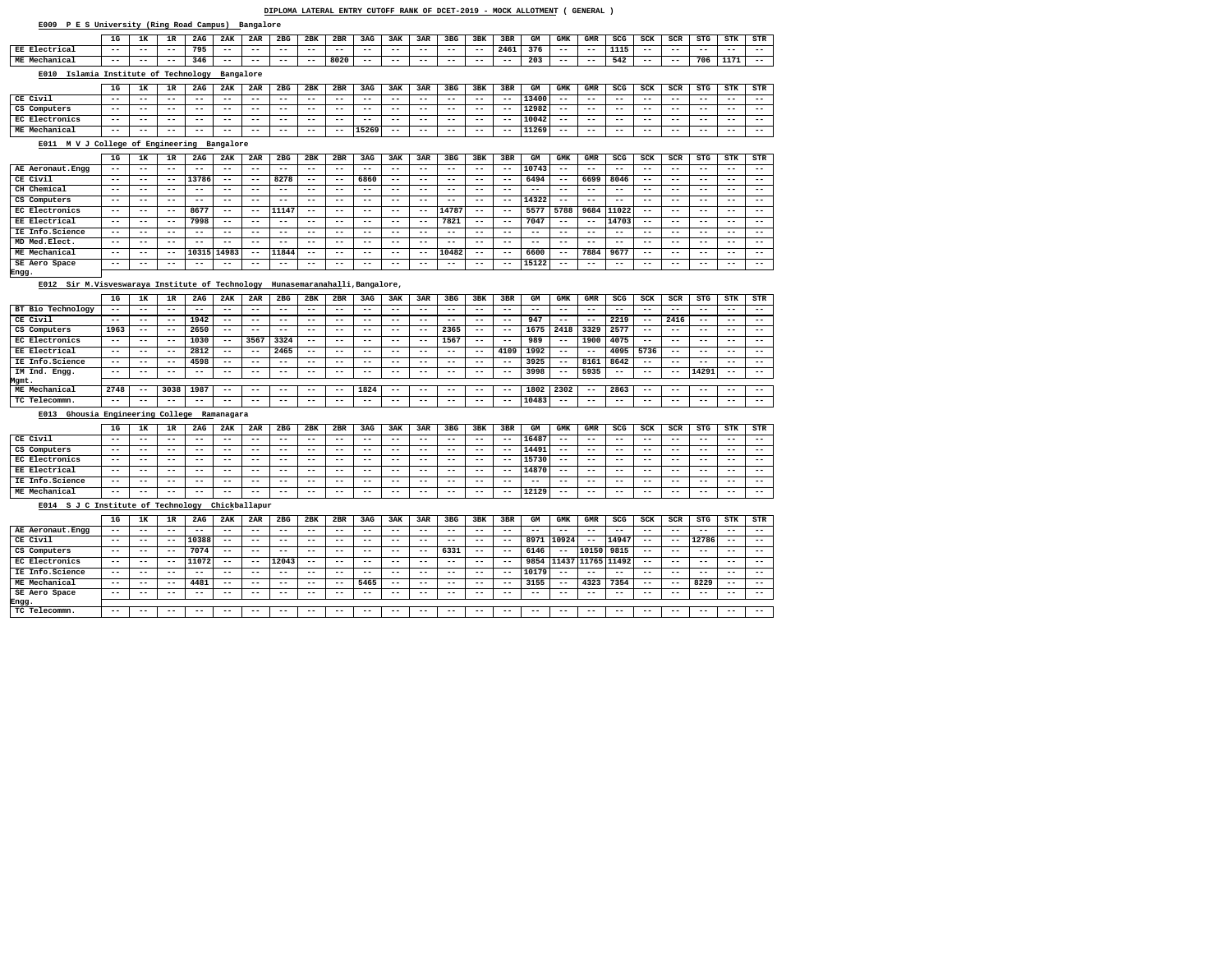#### **E009 P E S University (Ring Road Campus) Bangalore**

#### **E012 Sir M.Visveswaraya Institute of Technology Hunasemaranahalli,Bangalore,**

## **E013 Ghousia Engineering College Ramanagara**

#### **E014 S J C Institute of Technology Chickballapur**

|                                         | 1G    | 1K    | 1R          | 2AG   | 2AK                      | 2AR   | 2 <sub>BG</sub> | 2BK   | 2BR   | 3AG   | 3AK   | 3AR   | 3 <sub>BG</sub> | 3BK   | 3BR                      | GМ    | GMK               | GMR   | SCG        | SCK                      | SCR        | <b>STG</b> | STK   | STR               |
|-----------------------------------------|-------|-------|-------------|-------|--------------------------|-------|-----------------|-------|-------|-------|-------|-------|-----------------|-------|--------------------------|-------|-------------------|-------|------------|--------------------------|------------|------------|-------|-------------------|
|                                         |       |       |             |       |                          |       |                 |       |       |       |       |       |                 |       |                          |       |                   |       |            |                          |            |            |       |                   |
| EE Electrical                           | $- -$ | $- -$ | $- -$       | 795   | $- -$                    | $- -$ | $- -$           | $- -$ | $- -$ | $- -$ | $- -$ | $- -$ | $- -$           | --    | 2461                     | 376   | $\qquad \qquad -$ | $- -$ | 1115       | $- -$                    | $- -$      | $- -$      | $- -$ | $- -$             |
| ME Mechanical                           | $- -$ | $- -$ | $- -$       | 346   | $- -$                    | --    | $- -$           | $ -$  | 8020  | $- -$ | $- -$ | $- -$ | $- -$           | $- -$ | $- -$                    | 203   | $- -$             | $- -$ | 542        | $- -$                    | $- -$      | 706        | 1171  | $- -$             |
| Islamia Institute of Technology<br>E010 |       |       |             |       | Bangalore                |       |                 |       |       |       |       |       |                 |       |                          |       |                   |       |            |                          |            |            |       |                   |
|                                         | 1G    | 1K    | 1R          | 2AG   | 2AK                      | 2AR   | 2 <sub>BG</sub> | 2BK   | 2BR   | 3AG   | 3AK   | 3AR   | 3 <sub>BG</sub> | 3BK   | 3BR                      | GM    | <b>GMK</b>        | GMR   | SCG        | SCK                      | <b>SCR</b> | <b>STG</b> | STK   | STR               |
| CE Civil                                | $- -$ | $- -$ | $- -$       | $- -$ | $\overline{\phantom{m}}$ | $- -$ | $- -$           | $- -$ | $- -$ | $- -$ | $ -$  | $- -$ | $- -$           | $- -$ | $- -$                    | 13400 | $- -$             | $- -$ | $- -$      | $- -$                    | $- -$      | $- -$      | $- -$ | $ -$              |
| CS Computers                            | $- -$ | $- -$ | $- -$       | $- -$ | $- -$                    | $- -$ | $- -$           | $- -$ | $- -$ | $- -$ | $- -$ | $- -$ | $- -$           | $- -$ | $- -$                    | 12982 | $- -$             | $- -$ | $\sim$ $-$ | $\overline{\phantom{m}}$ | $- -$      | $- -$      | $- -$ | $- -$             |
| EC Electronics                          | $- -$ | $- -$ | $- -$       | $- -$ | $- -$                    | --    | $- -$           | $- -$ | $- -$ | $- -$ | $- -$ | $- -$ | $- -$           | $- -$ | $- -$                    | 10042 | $- -$             | $- -$ | $- -$      | $- -$                    | $- -$      | $- -$      | $- -$ | $\qquad \qquad -$ |
| ME Mechanical                           | $- -$ | $- -$ | $- -$       | $- -$ | $- -$                    | $- -$ | $- -$           | $- -$ | $- -$ | 15269 | $- -$ | $- -$ | $- -$           | $- -$ | $- -$                    | 11269 | $- -$             | $- -$ | $- -$      | $- -$                    | $- -$      | $- -$      | $- -$ | $\qquad \qquad -$ |
| M V J College of<br>E011                |       |       | Engineering |       | Bangalore                |       |                 |       |       |       |       |       |                 |       |                          |       |                   |       |            |                          |            |            |       |                   |
|                                         | 1G    | 1ĸ    | 1R          | 2AG   | 2AK                      | 2AR   | 2 <sub>BG</sub> | 2BK   | 2BR   | 3AG   | 3AK   | 3AR   | 3 <sub>BG</sub> | 3BK   | 3BR                      | GМ    | GMK               | GMR   | SCG        | SCK                      | SCR        | <b>STG</b> | STK   | STR               |
| AE Aeronaut. Engg                       | $- -$ | $- -$ | $- -$       | $- -$ | $- -$                    | $- -$ | $- -$           | $- -$ | $- -$ | $- -$ | $- -$ | $- -$ | $- -$           | $- -$ | $- -$                    | 10743 | $- -$             | $- -$ | $- -$      | $- -$                    | $- -$      | $- -$      | $- -$ | $- -$             |
| CE Civil                                | $- -$ | $- -$ | $- -$       | 13786 | $- -$                    | $- -$ | 8278            | $- -$ | $- -$ | 6860  | $- -$ | $- -$ | $- -$           | $- -$ | $\overline{\phantom{m}}$ | 6494  | $- -$             | 6699  | 8046       | $- -$                    | $- -$      | $- -$      | $- -$ | $- -$             |
| CH Chemical                             | $- -$ | $- -$ | $- -$       | $- -$ | $- -$                    | $- -$ | $- -$           | $- -$ | $- -$ | $- -$ | $- -$ | $- -$ | $- -$           | $- -$ | --                       | $- -$ | $- -$             | $- -$ | $- -$      | $- -$                    | $- -$      | $- -$      | $- -$ | $- -$             |
| CS Computers                            | $- -$ | $- -$ | $- -$       | $- -$ | $- -$                    | $- -$ | $- -$           | $ -$  | $- -$ | $- -$ | $- -$ | $- -$ | $- -$           | $- -$ | $ -$                     | 14322 | $- -$             | $- -$ | $- -$      | $- -$                    | $- -$      | $- -$      | $- -$ | $- -$             |
| EC Electronics                          | $- -$ | $- -$ | $- -$       | 8677  | $\overline{\phantom{m}}$ | $- -$ | 11147           | $- -$ | $- -$ | $- -$ | $- -$ | $- -$ | 14787           | --    | $- -$                    | 5577  | 5788              | 9684  | 11022      | $- -$                    | $- -$      | $- -$      | $- -$ | $- -$             |
| EE Electrical                           | $- -$ | $- -$ | $- -$       | 7998  | $- -$                    | $- -$ | $- -$           | $- -$ | $- -$ | $- -$ | $- -$ | $- -$ | 7821            | $- -$ | $ -$                     | 7047  | $- -$             | $- -$ | 14703      | $- -$                    | $- -$      | $- -$      | $- -$ | $- -$             |
| IE Info.Science                         | $- -$ | $- -$ | $- -$       | $- -$ | $- -$                    | --    | $- -$           | $- -$ | $- -$ | $- -$ | $- -$ | $- -$ | $- -$           | $- -$ | $- -$                    | $- -$ | $- -$             | $- -$ | $- -$      | $- -$                    | $- -$      | $- -$      | $- -$ | $- -$             |
| MD Med. Elect                           | $- -$ | $- -$ | $- -$       | $- -$ | $- -$                    | --    | $- -$           | $- -$ | $- -$ | $- -$ | $- -$ | $- -$ | $- -$           | $- -$ | $- -$                    | $- -$ | $- -$             | $- -$ | $- -$      | $- -$                    | $- -$      | $- -$      | $- -$ | $- -$             |
| ME Mechanical                           | $- -$ | $- -$ | $- -$       | 10315 | 14983                    | $- -$ | 11844           | $- -$ | $- -$ | $- -$ | $- -$ | $- -$ | 10482           | $- -$ | $- -$                    | 6600  | $- -$             | 7884  | 9677       | $- -$                    | $- -$      | $- -$      | $- -$ | $- -$             |
| SE Aero Space                           | $- -$ | $- -$ | $- -$       | $- -$ | --                       | $- -$ | $- -$           | $- -$ | $- -$ | $- -$ | $- -$ | $- -$ | $- -$           | $- -$ | $\overline{\phantom{m}}$ | 15122 | $- -$             | $- -$ | $- -$      | $- -$                    | $- -$      | $- -$      | $- -$ | $ -$              |
| Engg.                                   |       |       |             |       |                          |       |                 |       |       |       |       |       |                 |       |                          |       |                   |       |            |                          |            |            |       |                   |

|                      | 1G    | 1ĸ    | 1R    | 2AG   | 2AK   | 2AR   | 2 <sub>BG</sub> | 2BK   | 2BR   | 3AG   | 3AK   | 3AR   | 3 <sub>BG</sub> | 3BK   | 3BR   | GМ    | GMK   | GMR   | SCG   | SCK   | <b>SCR</b> | STG   | STK   | STR   |
|----------------------|-------|-------|-------|-------|-------|-------|-----------------|-------|-------|-------|-------|-------|-----------------|-------|-------|-------|-------|-------|-------|-------|------------|-------|-------|-------|
| BT Bio Technology    | $- -$ | $- -$ | $- -$ | $- -$ | $- -$ | $- -$ | $ -$            | $- -$ | $- -$ | $- -$ | $ -$  | $- -$ | $- -$           | $- -$ | $- -$ | $- -$ | --    | $- -$ | $- -$ | $- -$ | $- -$      | $- -$ | $- -$ | $- -$ |
| CE Civil             | $- -$ | $- -$ | $ -$  | 1942  | $- -$ | $- -$ | $- -$           | $- -$ | $- -$ | $- -$ | --    | --    | --              | $- -$ | $- -$ | 947   | $- -$ | $- -$ | 2219  | $ -$  | 2416       | $- -$ | $- -$ | $- -$ |
| CS Computers         | 1963  | $- -$ | $ -$  | 2650  | $- -$ | $- -$ | $- -$           | $- -$ | $- -$ | $- -$ | $- -$ | $- -$ | 2365            | $- -$ | $- -$ | 1675  | 2418  | 3329  | 2577  | $- -$ | $- -$      | $- -$ | $- -$ | $- -$ |
| EC Electronics       | $- -$ | $- -$ | $ -$  | 1030  | $- -$ | 3567  | 3324            | $- -$ | $- -$ | --    | $- -$ | $- -$ | 1567            | $- -$ | $- -$ | 989   | $- -$ | 1900  | 4075  | $- -$ | $- -$      | $- -$ | $- -$ | $- -$ |
| <b>EE Electrical</b> | $- -$ | $- -$ | $ -$  | 2812  | $- -$ | $- -$ | 2465            | $- -$ | $- -$ | $- -$ | $- -$ | $- -$ | $- -$           | $- -$ | 4109  | 1992  | $- -$ | $- -$ | 4095  | 5736  | $- -$      | $- -$ | $- -$ | $- -$ |
| IE Info.Science      | $- -$ | $- -$ | $ -$  | 4598  | $- -$ | $- -$ | $ -$            | $- -$ | $- -$ | $- -$ | $ -$  | $- -$ | $- -$           | $- -$ | $- -$ | 3925  | $- -$ | 8161  | 8642  | $- -$ | $- -$      | $- -$ | $- -$ | $- -$ |
| IM Ind. Engg.        | $- -$ | $- -$ | $- -$ | $- -$ | $- -$ | $- -$ | $ -$            | $- -$ | $- -$ | $- -$ | $ -$  | $- -$ | --              | $- -$ | $- -$ | 3998  | $- -$ | 5935  | $- -$ | $- -$ | $- -$      | 14291 | $- -$ | $- -$ |
| Mgmt.                |       |       |       |       |       |       |                 |       |       |       |       |       |                 |       |       |       |       |       |       |       |            |       |       |       |
| ME Mechanical        | 2748  | $- -$ | 3038  | 1987  | --    | $- -$ | $ -$            | $- -$ | $- -$ | 1824  | $- -$ | $- -$ | $- -$           | $- -$ | $- -$ | 1802  | 2302  | $- -$ | 2863  | --    | $- -$      | $- -$ | $- -$ | $- -$ |
| TC Telecommn.        | $- -$ | $- -$ | $- -$ | $- -$ | $ -$  | --    | $ -$            | $- -$ | $- -$ |       | $ -$  | $- -$ | --              | $- -$ | $- -$ | 10483 | --    | $- -$ | $- -$ | $- -$ | --         | $- -$ | $- -$ | --    |

|                      | 1G    | <b>1 TZ</b><br>ᅩ | 1R    | 2AG   | 2AK   | 2AR   | 2 <sub>BG</sub> | 2BK   | 2BR   | 3AG   | 3AK   | 3AR   | 3 <sub>BG</sub> | 3BK   | 3BR   | GМ    | <b>GMK</b> | GMR   | SCG   | SCK   | SCR   | STG   | STK   | STR   |
|----------------------|-------|------------------|-------|-------|-------|-------|-----------------|-------|-------|-------|-------|-------|-----------------|-------|-------|-------|------------|-------|-------|-------|-------|-------|-------|-------|
| CE Civil             | $- -$ | --               | $- -$ | $- -$ | --    | $- -$ | $- -$           | $- -$ | $- -$ | $- -$ | $- -$ | $- -$ | $- -$           | $- -$ | $- -$ | L6487 | $- -$      | $- -$ | $- -$ | $- -$ | $- -$ | $- -$ | $- -$ | $- -$ |
| CS Computers         | $- -$ | $- -$            | $- -$ | $- -$ | $- -$ | $- -$ | $- -$           | $- -$ | $- -$ | $- -$ | $- -$ | $- -$ | $- -$           | $- -$ | $- -$ | 14491 | $- -$      | $- -$ | $- -$ | $- -$ | $- -$ | $- -$ | $- -$ | $- -$ |
| EC Electronics       | --    | $- -$            | $- -$ | $- -$ | $- -$ | $- -$ | $- -$           | $- -$ | $- -$ | $- -$ | $- -$ | $- -$ | $- -$           | $- -$ | $- -$ | 5730  | $- -$      | $- -$ | $- -$ | $- -$ | $- -$ | $- -$ | $- -$ | $- -$ |
| <b>EE Electrical</b> | $- -$ | $- -$            | $- -$ | $- -$ | $- -$ | $- -$ | $- -$           | $- -$ | $- -$ | $- -$ | $- -$ | $- -$ | $- -$           | $- -$ | $- -$ | 14870 | $- -$      | $- -$ | $- -$ | $- -$ | $- -$ | $- -$ | $- -$ | $- -$ |
| IE Info.Science      | --    | $- -$            | $- -$ | $- -$ | $- -$ | $- -$ | $- -$           | $- -$ | $- -$ | $- -$ | $- -$ | $- -$ | $- -$           | $- -$ | $- -$ | $- -$ | $- -$      | $- -$ | $- -$ | $- -$ | $- -$ | $- -$ | $- -$ | $- -$ |
| ME Mechanical        | $- -$ | $- -$            | $- -$ | $- -$ | $- -$ | $- -$ | $- -$           | $- -$ | $- -$ | $- -$ | $- -$ | $- -$ | $- -$           | $- -$ | $- -$ | 12129 | $- -$      | $- -$ | $- -$ | $- -$ | $- -$ | $- -$ | $- -$ | $- -$ |

|                   | 1G    | 1к    | 1R    | 2AG   | 2AK   | 2AR   | 2 <sub>BG</sub> | 2BK   | 2BR   | 3AG   | 3AK   | 3AR   | 3 <sub>BG</sub> | 3BK   | 3BR   | GM    | GMK   | GMR   | SCG   | SCK   | SCR   | STG   | STK   | STR   |
|-------------------|-------|-------|-------|-------|-------|-------|-----------------|-------|-------|-------|-------|-------|-----------------|-------|-------|-------|-------|-------|-------|-------|-------|-------|-------|-------|
| AE Aeronaut. Engg | $- -$ | $- -$ | $- -$ | $- -$ | $- -$ | $- -$ | $- -$           | $- -$ | $- -$ | $- -$ | $- -$ | $- -$ | $- -$           | $- -$ | $- -$ | $- -$ | $- -$ | $- -$ | $- -$ | $- -$ | $- -$ | $- -$ | $- -$ | $- -$ |
| CE Civil          | $- -$ | $- -$ | $ -$  | 10388 | $- -$ | $- -$ | $- -$           | $ -$  | $- -$ | $- -$ | $ -$  | $- -$ | $- -$           | $- -$ | $- -$ | 8971  | 10924 | $- -$ | 14947 | $- -$ | $- -$ | 12786 | $- -$ | $- -$ |
| CS Computers      | $- -$ | $- -$ | $- -$ | 7074  | --    | $- -$ | $- -$           | $- -$ | $- -$ | $- -$ | $- -$ | $- -$ | 6331            | $- -$ | $- -$ | 6146  | $- -$ | 10150 | 9815  | $- -$ | $- -$ | $ -$  | $- -$ | $- -$ |
| EC Electronics    | $- -$ | $- -$ | $- -$ | 11072 | $- -$ | $- -$ | 12043           | $ -$  | $- -$ | $- -$ | $ -$  | $- -$ | $- -$           | $- -$ | $- -$ | 9854  | 11437 | 11765 | 11492 | $- -$ | $- -$ | $ -$  | $- -$ | $- -$ |
| IE Info.Science   | $- -$ | --    | $- -$ | $ -$  | $- -$ | $- -$ | $ -$            | $ -$  | $- -$ | $- -$ | $ -$  | --    | --              | $- -$ | $- -$ | 10179 | $- -$ | $- -$ | $- -$ | $- -$ | $- -$ | $ -$  | $- -$ | $- -$ |
| ME Mechanical     | $- -$ | $- -$ | $- -$ | 4481  | --    | $- -$ | $- -$           | $- -$ | $- -$ | 5465  | $- -$ | $- -$ | $- -$           | $- -$ | $- -$ | 3155  | $- -$ | 4323  | 7354  | $- -$ | $- -$ | 8229  | $ -$  | $- -$ |
| SE Aero Space     | $- -$ | $- -$ | $- -$ | $- -$ | $- -$ | $- -$ | $- -$           | $ -$  | $- -$ | $- -$ | $ -$  | $- -$ | $- -$           | $- -$ | $- -$ | $- -$ | $- -$ | $- -$ | $- -$ | $- -$ | $- -$ | $ -$  | $- -$ | $- -$ |
| Engg.             |       |       |       |       |       |       |                 |       |       |       |       |       |                 |       |       |       |       |       |       |       |       |       |       |       |
| TC Telecommn.     | $- -$ | --    | $- -$ | $ -$  | --    | $- -$ | $ -$            | $ -$  | $- -$ | --    | --    | $- -$ | --              | $- -$ | $- -$ | --    | $- -$ | $- -$ | $ -$  | $- -$ | $- -$ | $ -$  | $- -$ | $- -$ |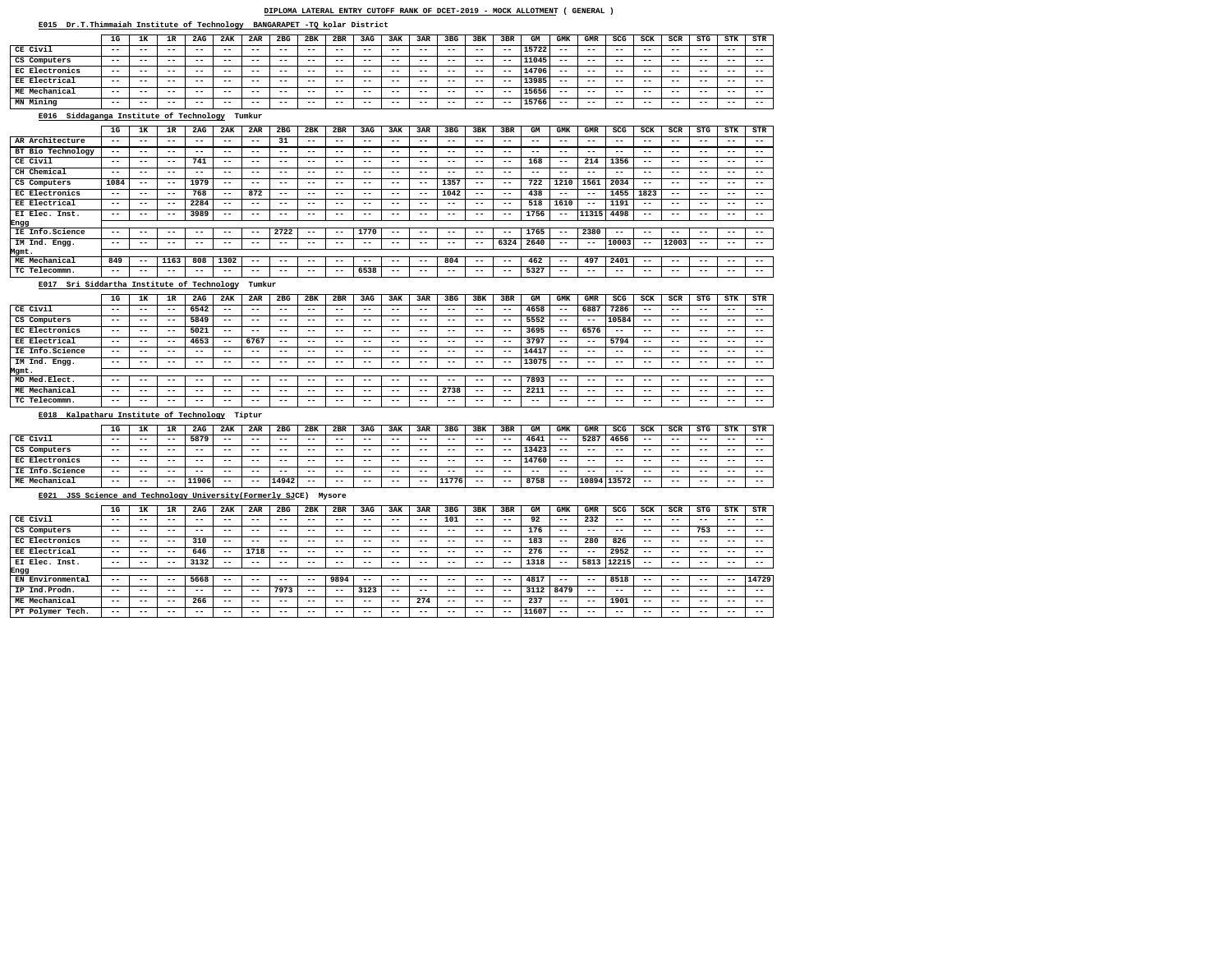#### **E015 Dr.T.Thimmaiah Institute of Technology BANGARAPET -TQ kolar District**

#### **E017 Sri Siddartha Institute of Technology Tumkur**

## **E018 Kalpatharu Institute of Technology Tiptur**

#### **E021 JSS Science and Technology University(Formerly SJCE) Mysore**

|                                            | 1G    | 1к    | 1R    | 2AG   | 2AK           | 2AR    | 2 <sub>BG</sub> | 2BK   | 2BR   | 3AG   | 3AK   | 3AR               | 3 <sub>BG</sub>   | 3BK   | 3BR   | GМ    | GMK        | <b>GMR</b> | SCG        | SCK           | SCR   | <b>STG</b> | STK                      | STR           |
|--------------------------------------------|-------|-------|-------|-------|---------------|--------|-----------------|-------|-------|-------|-------|-------------------|-------------------|-------|-------|-------|------------|------------|------------|---------------|-------|------------|--------------------------|---------------|
| CE Civil                                   | $- -$ | $- -$ | $- -$ | $- -$ | $- -$         | $- -$  | $- -$           | $- -$ | $- -$ | $- -$ | $- -$ | $- -$             | $- -$             | $- -$ | $- -$ | 15722 | $- -$      | $- -$      | $- -$      | $- -$         | $- -$ | $- -$      | $- -$                    | $\frac{1}{2}$ |
| CS Computers                               | $- -$ | $- -$ | $- -$ | --    | $- -$         | $- -$  | $- -$           | $- -$ | $- -$ | $- -$ | $- -$ | $- -$             | $- -$             | $- -$ | $- -$ | 11045 | $- -$      | $- -$      | $- -$      | $- -$         | $- -$ | $- -$      | $- -$                    | $\frac{1}{2}$ |
|                                            |       |       |       |       |               |        |                 |       |       |       |       |                   |                   |       |       |       |            |            |            |               |       |            |                          |               |
| EC Electronics                             | $- -$ | $- -$ | $- -$ | $- -$ | $- -$         | $- -$  | $- -$           | $- -$ | $- -$ | $- -$ | $- -$ | $- -$             | $- -$             | $- -$ | $ -$  | 14706 | $- -$      | $- -$      | $- -$      | $- -$         | $- -$ | $- -$      | $- -$                    | $- -$         |
| EE Electrical                              | $- -$ | $- -$ | $- -$ | $- -$ | $- -$         | $- -$  | $- -$           | $- -$ | $- -$ | --    | $- -$ | $- -$             | $- -$             | --    | $ -$  | 13985 | $- -$      | $- -$      | $- -$      | $- -$         | $- -$ | $- -$      | $- -$                    | $- -$         |
| ME Mechanical                              | $- -$ | $- -$ | $- -$ | $- -$ | $- -$         | $- -$  | $- -$           | $- -$ | $- -$ | $- -$ | $- -$ | $- -$             | $- -$             | $- -$ | $ -$  | 15656 | $- -$      | $- -$      | $- -$      | $- -$         | $- -$ | $- -$      | $\overline{\phantom{m}}$ | $- -$         |
| MN Mining                                  | $- -$ | $- -$ | $- -$ | $- -$ | $- -$         | $- -$  | $- -$           | $- -$ | $- -$ | $- -$ | $- -$ | $- -$             | $- -$             | $- -$ | $- -$ | 15766 | $- -$      | $- -$      | $- -$      | $- -$         | $- -$ | $- -$      | $- -$                    | $- -$         |
| Siddaganga Institute of Technology<br>E016 |       |       |       |       |               | Tumkur |                 |       |       |       |       |                   |                   |       |       |       |            |            |            |               |       |            |                          |               |
|                                            |       |       |       |       |               |        |                 |       |       |       |       |                   |                   |       |       |       |            |            |            |               |       |            |                          |               |
|                                            | 1G    | 1K    | 1R    | 2AG   | 2AK           | 2AR    | 2 <sub>BG</sub> | 2BK   | 2BR   | 3AG   | 3AK   | 3AR               | 3 <sub>BG</sub>   | 3BK   | 3BR   | GM    | <b>GMK</b> | <b>GMR</b> | <b>SCG</b> | SCK           | SCR   | <b>STG</b> | STK                      | <b>STR</b>    |
| AR Architecture                            | $- -$ | $- -$ | $- -$ | $ -$  | $- -$         | $- -$  | 31              | $- -$ | $- -$ | --    | $- -$ | $- -$             | $- -$             | $- -$ | $ -$  | $- -$ | $- -$      | $- -$      | $- -$      | $- -$         | $- -$ | $ -$       | $- -$                    | $- -$         |
| BT Bio Technology                          | $- -$ | $- -$ | $- -$ | $- -$ | $- -$         | $- -$  | $- -$           | $- -$ | $- -$ | $- -$ | $- -$ | $- -$             | $- -$             | $- -$ | $- -$ | $- -$ | $- -$      | $- -$      | $- -$      | $- -$         | $- -$ | $- -$      | $- -$                    | $- -$         |
| CE Civil                                   | $- -$ | $- -$ | $- -$ | 741   | $- -$         | $- -$  | $- -$           | $- -$ | $- -$ | $- -$ | $- -$ | $- -$             | $- -$             | $- -$ | $- -$ | 168   | $- -$      | 214        | 1356       | $- -$         | $- -$ | $- -$      | $- -$                    | $- -$         |
| CH Chemical                                | $- -$ | $- -$ | $- -$ | $- -$ | $- -$         | $- -$  | $- -$           | $- -$ | $- -$ | $- -$ | $- -$ | $- -$             | $- -$             | $- -$ | $ -$  | $- -$ | $- -$      | $- -$      | $- -$      | $- -$         | $- -$ | $- -$      | $- -$                    | $- -$         |
| CS Computers                               | 1084  | $- -$ | $- -$ | 1979  | $- -$         | $- -$  | $- -$           | $- -$ | $- -$ | $- -$ | $ -$  | $ -$              | 1357              | $- -$ | $- -$ | 722   | 1210       | 1561       | 2034       | $\frac{1}{2}$ | $- -$ | $- -$      | $ -$                     | $\frac{1}{2}$ |
| EC Electronics                             | $- -$ | $- -$ | $- -$ | 768   | $\frac{1}{2}$ | 872    | $- -$           | $- -$ | $- -$ | --    | $- -$ | $\qquad \qquad -$ | 1042              | $- -$ | $- -$ | 438   | $- -$      | $- -$      | 1455       | 1823          | $- -$ | $- -$      | $- -$                    | $\frac{1}{2}$ |
| EE Electrical                              | $- -$ | $- -$ | $- -$ | 2284  | $- -$         | $- -$  | $- -$           | $- -$ | $- -$ | $- -$ | $- -$ | $- -$             | $- -$             | $- -$ | $ -$  | 518   | 1610       | $- -$      | 1191       | $- -$         | $- -$ | $- -$      | $- -$                    | $- -$         |
|                                            |       |       |       |       |               |        |                 |       |       |       |       |                   |                   |       |       |       |            |            |            |               |       |            |                          |               |
| EI Elec. Inst.                             | $- -$ | $- -$ | $- -$ | 3989  | $- -$         | $- -$  | $- -$           | $- -$ | $- -$ | $- -$ | $- -$ | $- -$             | $- -$             | $- -$ | $- -$ | 1756  | $- -$      | 11315      | 4498       | $- -$         | $- -$ | $- -$      | $\overline{\phantom{m}}$ | $- -$         |
| Engg                                       |       |       |       |       |               |        |                 |       |       |       |       |                   |                   |       |       |       |            |            |            |               |       |            |                          |               |
| IE Info.Science                            | $- -$ | $- -$ | $- -$ | $- -$ | $- -$         | $- -$  | 2722            | $- -$ | $- -$ | 1770  | $- -$ | $- -$             | $- -$             | $- -$ | $- -$ | 1765  | $- -$      | 2380       | $- -$      | $- -$         | $- -$ | $- -$      | $- -$                    | $- -$         |
| IM Ind.<br>Engg.                           | $- -$ | $- -$ | $- -$ | $- -$ | $- -$         | $- -$  | $- -$           | $- -$ | $- -$ | $- -$ | $- -$ | $- -$             | $\qquad \qquad -$ | $- -$ | 6324  | 2640  | $- -$      | $- -$      | 10003      | $- -$         | 12003 | $- -$      | $\overline{\phantom{m}}$ | $ -$          |
| <b>Mgmt.</b>                               |       |       |       |       |               |        |                 |       |       |       |       |                   |                   |       |       |       |            |            |            |               |       |            |                          |               |
| ME Mechanical                              | 849   | $- -$ | 1163  | 808   | 1302          | $- -$  | $- -$           | $- -$ | $- -$ | $- -$ | $- -$ | $- -$             | 804               | $- -$ | $- -$ | 462   | $- -$      | 497        | 2401       | $- -$         | $- -$ | $- -$      | $- -$                    | $- -$         |
| TC Telecommn.                              | $- -$ | $- -$ | $- -$ | $- -$ | $- -$         | $- -$  | $- -$           | $- -$ | $- -$ | 6538  | $- -$ | $- -$             | $- -$             | $- -$ | $ -$  | 5327  | $- -$      | $ -$       | $ -$       | $- -$         | $- -$ | $- -$      | $- -$                    | $- -$         |

| -- ----- <b>---------</b> |       |       |       |       |       |       | ---- |       |       | - - - - |       |       |       |       |       |      |       | ----  |       |       |       |  |
|---------------------------|-------|-------|-------|-------|-------|-------|------|-------|-------|---------|-------|-------|-------|-------|-------|------|-------|-------|-------|-------|-------|--|
| IM Ind.<br>Engg.          | $- -$ | $- -$ | $- -$ | $- -$ | $- -$ | $- -$ | --   | $- -$ | $- -$ | $- -$   | $- -$ | $- -$ | $- -$ | $- -$ | 6324  | 2640 | $- -$ | $- -$ | 10003 | $- -$ | 12003 |  |
| gmt.                      |       |       |       |       |       |       |      |       |       |         |       |       |       |       |       |      |       |       |       |       |       |  |
| ME Mechanical             | 849   | $- -$ | 1163  | 808   | 1302  | $- -$ | --   | $- -$ | $- -$ | $- -$   | $- -$ | $ -$  | 804   | $- -$ | $- -$ | 462  | $- -$ | 497   | 2401  | $- -$ | $- -$ |  |
| TC Telecommn.             | $- -$ | $- -$ | $- -$ | $- -$ | $- -$ | $- -$ | --   | $- -$ | $- -$ | 6538    | $- -$ | $- -$ | $- -$ | $- -$ | $- -$ | 5327 | $- -$ | $- -$ | $- -$ | $- -$ | $- -$ |  |
|                           |       |       |       |       |       |       |      |       |       |         |       |       |       |       |       |      |       |       |       |       |       |  |

|                      | 1G    | 1ĸ    | 1R    | 2AG   | 2AK   | 2AR   | 2 <sub>BG</sub> | 2BK   | 2BR   | 3AG   | 3AK   | 3AR   | 3 <sub>BG</sub> | 3BK   | 3BR   | GМ    | GMK   | GMR   | SCG   | SCK   | <b>SCR</b> | STG   | STK   | STR   |
|----------------------|-------|-------|-------|-------|-------|-------|-----------------|-------|-------|-------|-------|-------|-----------------|-------|-------|-------|-------|-------|-------|-------|------------|-------|-------|-------|
| CE Civil             | $- -$ | $- -$ | $- -$ | 6542  | $- -$ | $- -$ | $- -$           | $- -$ | $- -$ | $- -$ | $ -$  | $- -$ | $- -$           | $- -$ | $- -$ | 4658  | $- -$ | 6887  | 7286  | $- -$ | $- -$      | $ -$  | $- -$ | $- -$ |
| CS Computers         | $- -$ | $- -$ | $- -$ | 5849  | $- -$ | $- -$ | $- -$           | $ -$  | $- -$ | $- -$ | $ -$  | $- -$ | $- -$           | $- -$ | $- -$ | 5552  | $- -$ | $ -$  | 10584 | $- -$ | $- -$      | $ -$  | $- -$ | $- -$ |
| EC Electronics       | $- -$ | $- -$ | $- -$ | 5021  | --    | $- -$ | $- -$           | $- -$ | $- -$ | $- -$ | $- -$ | $- -$ | $- -$           | $- -$ | $- -$ | 3695  | $- -$ | 6576  | $- -$ | $- -$ | $- -$      | $ -$  | $- -$ | $- -$ |
| <b>EE Electrical</b> | $- -$ | $- -$ | $- -$ | 4653  | $- -$ | 6767  | $- -$           | $- -$ | $- -$ | $- -$ | $- -$ | $- -$ | $- -$           | $- -$ | $- -$ | 3797  | $- -$ | $- -$ | 5794  | $- -$ | $- -$      | $- -$ | $- -$ | $- -$ |
| IE Info.Science      | $- -$ | $- -$ | $- -$ | $- -$ | $- -$ | $- -$ | $- -$           | $ -$  | $- -$ | $- -$ | $ -$  | $- -$ | $- -$           | $- -$ | $- -$ | 14417 | $- -$ | $- -$ | $- -$ | $- -$ | $- -$      | $ -$  | $- -$ | $- -$ |
| IM Ind.<br>Engg.     | $- -$ | $- -$ | $- -$ | $- -$ | $- -$ | $- -$ | $- -$           | $ -$  | $- -$ | $- -$ | $ -$  | $- -$ | $- -$           | $- -$ | $- -$ | 13075 | $- -$ | $- -$ | $- -$ | $- -$ | $- -$      | $ -$  | $- -$ | $- -$ |
| Mgmt.                |       |       |       |       |       |       |                 |       |       |       |       |       |                 |       |       |       |       |       |       |       |            |       |       |       |
| MD Med. Elect.       | $- -$ | $- -$ | $- -$ | $- -$ | $- -$ | $- -$ | $- -$           | $- -$ | $- -$ | $- -$ | $ -$  | $- -$ | $- -$           | $- -$ | $- -$ | 7893  | $- -$ | $- -$ | $- -$ | $- -$ | $- -$      | $- -$ | $- -$ | $- -$ |
| ME Mechanical        | $- -$ | --    | $- -$ | $- -$ | $- -$ | $- -$ | $ -$            | $ -$  | $- -$ | $- -$ | $- -$ | $- -$ | 2738            | $- -$ | $- -$ | 2211  | $- -$ | $- -$ | $ -$  | $- -$ | $- -$      | $ -$  | $- -$ | $- -$ |
| TC Telecommn.        | $- -$ | --    | $- -$ | $- -$ | $- -$ | $- -$ | $- -$           | $ -$  | $- -$ | $- -$ | --    | $- -$ | $- -$           | $- -$ | $- -$ | $- -$ | $- -$ | $- -$ | $ -$  | $- -$ | $- -$      | $ -$  | $- -$ | $- -$ |

|                 | 1G    | <b>1 TF</b><br>ᅩ | ם 1<br>∸ | 2AG   | 2AK   | 2AR   | 2 <sub>BG</sub> | 2BK   | 2BR   | 3AG   | 3AK   | 3AR   | 3 <sub>BG</sub> | 3BK   | 3BR   | GМ    | GMK   | GMR   | SCG   | SCK   | SCR   | <b>STG</b> | STK   | STR   |
|-----------------|-------|------------------|----------|-------|-------|-------|-----------------|-------|-------|-------|-------|-------|-----------------|-------|-------|-------|-------|-------|-------|-------|-------|------------|-------|-------|
| CE Civil        | $- -$ | $- -$            | $- -$    | 5879  | $- -$ | $- -$ | $- -$           | $- -$ | $- -$ | $- -$ | $- -$ | $- -$ | $- -$           | $- -$ | $- -$ | 4641  | $- -$ | 5287  | 4656  | $- -$ | $- -$ | $- -$      | $- -$ | $- -$ |
| CS Computers    | $- -$ | $- -$            | $- -$    | $- -$ | $- -$ | $- -$ | $- -$           | $- -$ | $- -$ | $- -$ | $- -$ | $- -$ | $- -$           | $- -$ | $- -$ | .3423 | $- -$ | $- -$ | $- -$ | $- -$ | $- -$ | $- -$      | $- -$ | $- -$ |
| EC Electronics  | $- -$ | $- -$            | $- -$    | $- -$ | $- -$ | $- -$ | $- -$           | $- -$ | $- -$ | $- -$ | $- -$ | $- -$ | $- -$           | $- -$ | $- -$ | 14760 | $- -$ | $- -$ | $- -$ | $- -$ | $- -$ | $- -$      | $- -$ | $- -$ |
| IE Info.Science | $- -$ | $- -$            | $- -$    | $- -$ | $- -$ | $- -$ | $- -$           | $- -$ | $- -$ | $- -$ | $- -$ | $- -$ | $- -$           | $- -$ | $- -$ | $- -$ | $- -$ | $- -$ | $- -$ | $- -$ | $- -$ | $- -$      | $- -$ | $- -$ |
| ME Mechanical   | $- -$ | $- -$            | $- -$    | 11906 | $- -$ | $- -$ | 14942           | $- -$ | $- -$ | $- -$ | $- -$ | $- -$ | 1776            | $- -$ | $- -$ | 8758  | $- -$ | 10894 | 13572 | $- -$ | $- -$ | $- -$      | $- -$ | $- -$ |

|                      | 1G    | 1K    | 1R    | 2AG   | 2AK   | 2AR   | 2 <sub>BG</sub> | 2BK   | 2BR   | 3AG   | 3AK   | 3AR   | 3 <sub>BG</sub> | 3BK   | 3BR   | GМ    | GMK   | GMR   | SCG   | SCK   | SCR   | STG   | STK   | STR   |
|----------------------|-------|-------|-------|-------|-------|-------|-----------------|-------|-------|-------|-------|-------|-----------------|-------|-------|-------|-------|-------|-------|-------|-------|-------|-------|-------|
| CE Civil             | $- -$ | $- -$ | $- -$ | $- -$ | $- -$ | $- -$ | $- -$           | $- -$ | $- -$ | $- -$ | $- -$ | $- -$ | 101             | $- -$ | $- -$ | 92    | $- -$ | 232   | $- -$ | $- -$ | $- -$ | $- -$ | $- -$ | $- -$ |
| CS Computers         | $- -$ | $- -$ | $- -$ | $- -$ | $- -$ | $- -$ | $- -$           | $- -$ | $- -$ | $- -$ | $- -$ | $- -$ | --              | $- -$ | $- -$ | 176   | $- -$ | $- -$ | $- -$ | $- -$ | $- -$ | 753   | $- -$ | $- -$ |
| EC Electronics       | $- -$ | $- -$ | $ -$  | 310   | $- -$ | $- -$ | $- -$           | $- -$ | $- -$ | $- -$ | $- -$ | $- -$ | --              | $- -$ | $- -$ | 183   | $- -$ | 280   | 826   | $- -$ | $- -$ | $- -$ | $- -$ | $- -$ |
| <b>EE Electrical</b> | $- -$ | $- -$ | $- -$ | 646   | $- -$ | 1718  | $- -$           | $- -$ | $- -$ | $- -$ | $- -$ | $- -$ | --              | $- -$ | $- -$ | 276   | $- -$ | $- -$ | 2952  | --    | $- -$ | $- -$ | $- -$ | $- -$ |
| EI Elec. Inst.       | $- -$ | --    | $ -$  | 3132  | $- -$ | $- -$ | $- -$           | $- -$ | $- -$ | $- -$ | $- -$ | --    | --              | $- -$ | $- -$ | 1318  | $- -$ | 5813  | 12215 | --    | $- -$ | $- -$ | $- -$ | $- -$ |
| Engg                 |       |       |       |       |       |       |                 |       |       |       |       |       |                 |       |       |       |       |       |       |       |       |       |       |       |
| EN Environmental     | $- -$ | --    | $ -$  | 5668  | $- -$ | $- -$ | $- -$           | $- -$ | 9894  | $- -$ | $- -$ | --    | --              | $- -$ | $- -$ | 4817  | $- -$ | $- -$ | 8518  | --    | $- -$ | $- -$ | $- -$ | 14729 |
| IP Ind.Prodn.        | $- -$ | $- -$ | $- -$ | $- -$ | $- -$ | $- -$ | 7973            | $- -$ | $- -$ | 3123  | $- -$ | $- -$ | --              | $- -$ | $- -$ | 3112  | 8479  | $- -$ | $- -$ | $- -$ | $- -$ | $- -$ | $- -$ | $- -$ |
| ME Mechanical        | $- -$ | --    | $- -$ | 266   | $- -$ | $- -$ | $- -$           | $- -$ | $- -$ | $- -$ | $- -$ | 274   | --              | $- -$ | $- -$ | 237   | $- -$ | $- -$ | 1901  | $- -$ | $- -$ | $- -$ | $- -$ | $- -$ |
| PT Polymer Tech.     | $- -$ | $- -$ | $- -$ | $- -$ | $- -$ | $- -$ | $- -$           | $- -$ | $- -$ | $- -$ | $- -$ | $- -$ | --              | $- -$ | $- -$ | 11607 | $- -$ | $- -$ | $- -$ | $- -$ | $- -$ | $- -$ | $- -$ | $- -$ |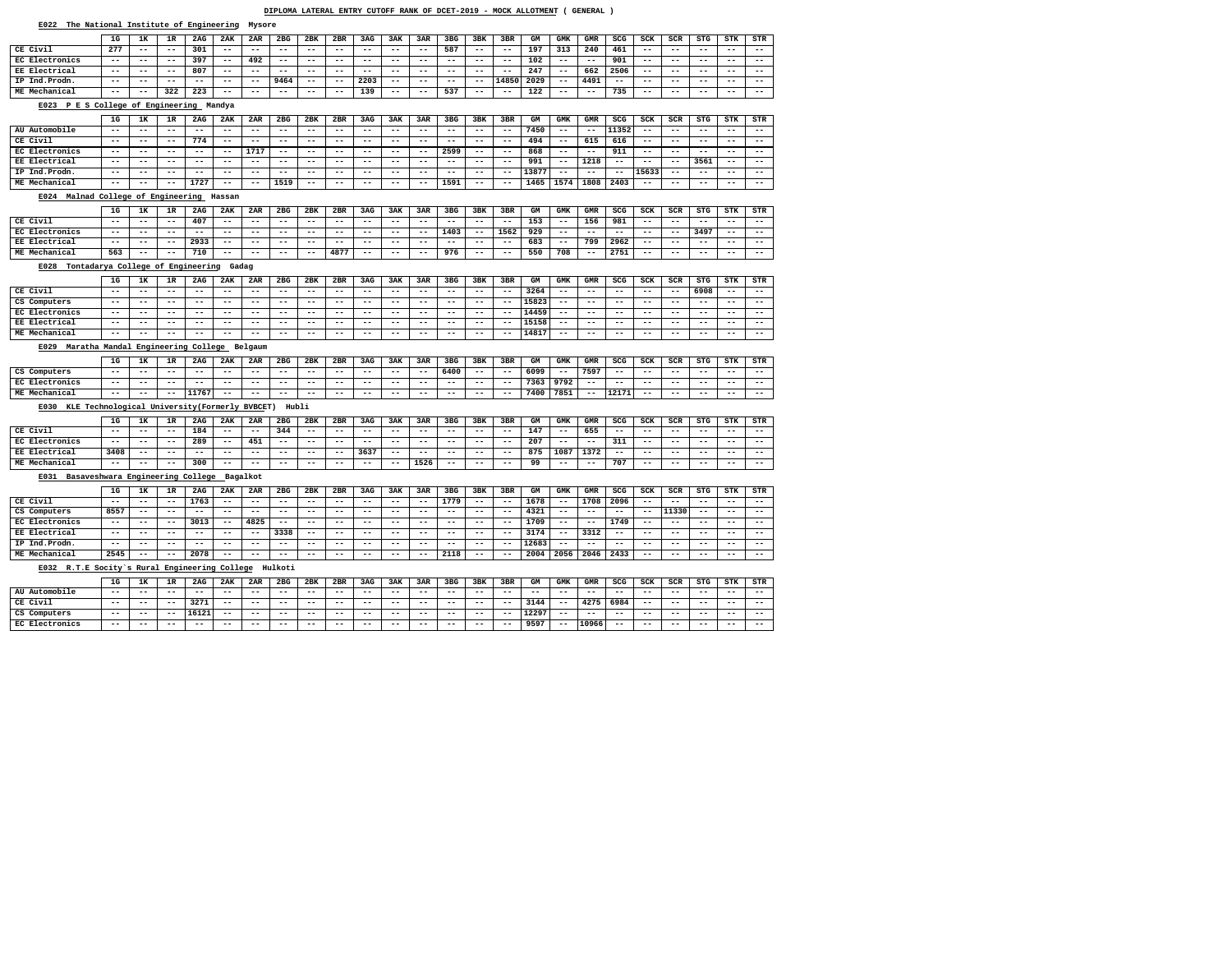#### **E022 The National Institute of Engineering Mysore**

## **E023 P E S College of Engineering Mandya**

#### **E024 Malnad College of Engineering Hassan**

#### **E028 Tontadarya College of Engineering Gadag**

## **E029 Maratha Mandal Engineering College Belgaum**

## **E030 KLE Technological University(Formerly BVBCET) Hubli**

## **E031 Basaveshwara Engineering College Bagalkot**

#### **E032 R.T.E Socity`s Rural Engineering College Hulkoti**

|                | 1G    | <b>172</b><br>ᅩ | 1R    | 2AG   | 2AK   | 2AR   | 2 <sub>BG</sub> | 2BK   | 2BR   | 3AG   | 3AK   | 3AR   | 3 <sub>BG</sub> | 3BK   | 3BR   | GМ   | GMK   | GMR   | SCG   | SCK   | SCR   | <b>STG</b> | STK   | STR   |
|----------------|-------|-----------------|-------|-------|-------|-------|-----------------|-------|-------|-------|-------|-------|-----------------|-------|-------|------|-------|-------|-------|-------|-------|------------|-------|-------|
| CE Civil       | 277   | $- -$           | $- -$ | 301   | $- -$ | $- -$ | $- -$           | $- -$ | $- -$ | $- -$ | $- -$ | $- -$ | 587             | $- -$ | $- -$ | 197  | 313   | 240   | 461   | $- -$ | $- -$ | $- -$      | $- -$ | $- -$ |
| EC Electronics | $- -$ | $- -$           | $- -$ | 397   | $- -$ | 492   | $- -$           | $- -$ | $- -$ | $- -$ | $- -$ | $- -$ | $- -$           | $- -$ | $ -$  | 102  | $- -$ | $- -$ | 901   | $- -$ | $- -$ | $- -$      | $- -$ | $- -$ |
| EE Electrical  | $- -$ | $- -$           | $- -$ | 807   | $- -$ | $- -$ | $- -$           | $- -$ | $- -$ | $- -$ | $- -$ | $- -$ | $- -$           | $- -$ | $- -$ | 247  | $- -$ | 662   | 2506  | $- -$ | $- -$ | $- -$      | $- -$ | $- -$ |
| IP Ind.Prodn.  | $- -$ | $- -$           | $- -$ | $- -$ | $- -$ | $- -$ | 9464            | $- -$ | $- -$ | 2203  | $- -$ | $- -$ | $- -$           | $- -$ | 14850 | 2029 | $- -$ | 4491  | $- -$ | $- -$ | $- -$ | $- -$      | $- -$ | $- -$ |
| ME Mechanical  | $- -$ | $- -$           | 322   | 223   | $- -$ | $- -$ | $- -$           | $- -$ | $- -$ | 139   | $- -$ | $- -$ | 537             | $- -$ | $- -$ | 122  | $- -$ | $- -$ | 735   | $- -$ | $- -$ | $- -$      | $- -$ | $- -$ |

|                      | 1G    | <b>175</b> | 1R    | 2AG   | 2AK   | 2AR   | 2 <sub>BG</sub> | 2BK   | 2BR   | 3AG   | 3AK   | 3AR   | 3 <sub>BG</sub> | 3BK   | 3BR   | GМ    | GMK   | GMR   | SCG   | SCK   | SCR   | STG   | STK   | STR   |
|----------------------|-------|------------|-------|-------|-------|-------|-----------------|-------|-------|-------|-------|-------|-----------------|-------|-------|-------|-------|-------|-------|-------|-------|-------|-------|-------|
| AU Automobile        | $- -$ | $- -$      | $- -$ | $- -$ | $- -$ | $- -$ | $- -$           | $- -$ | $- -$ | $- -$ | $- -$ | $- -$ | $- -$           | $- -$ | $- -$ | 7450  | $- -$ | $- -$ | 11352 | $- -$ | $- -$ | $- -$ | $- -$ | $- -$ |
| CE Civil             | $- -$ | $- -$      | $- -$ | 774   | $- -$ | $- -$ | $- -$           | $- -$ | $- -$ | $- -$ | $- -$ | $- -$ | $- -$           | $- -$ | $- -$ | 494   | $- -$ | 615   | 616   | $- -$ | $- -$ | $- -$ | $- -$ | $- -$ |
| EC Electronics       | $- -$ | $- -$      | $- -$ | $- -$ | $- -$ | 1717  | $- -$           | $- -$ | $- -$ | $- -$ | $- -$ | $- -$ | 2599            | $- -$ | $- -$ | 868   | $- -$ | $- -$ | 911   | $- -$ | $- -$ | $- -$ | $- -$ | $- -$ |
| <b>EE Electrical</b> | $- -$ | $- -$      | $- -$ | $- -$ | $- -$ | $- -$ | $- -$           | $- -$ | $- -$ | $- -$ | $- -$ | $- -$ | $- -$           | $- -$ | $- -$ | 991   | $- -$ | 1218  | $- -$ | $- -$ | $- -$ | 3561  | $- -$ | $- -$ |
| IP Ind.Prodn.        | $- -$ | $- -$      | $- -$ | $- -$ | $- -$ | $- -$ | $- -$           | $- -$ | $- -$ | $- -$ | $- -$ | $- -$ | $- -$           | $- -$ | $- -$ | 13877 | $- -$ | $- -$ | $- -$ | 15633 | $- -$ | $- -$ | $- -$ | $- -$ |
| ME Mechanical        | $- -$ | $- -$      | $- -$ | 1727  | $- -$ | $- -$ | 1519            | $- -$ | $- -$ | $- -$ | $- -$ | $- -$ | 1591            | $- -$ | $- -$ | 1465  | 1574  | 1808  | 2403  | $- -$ | $- -$ | $- -$ | $- -$ | $- -$ |

|                      | 1G    | 1ĸ    | 1R    | 2AG   | 2AK   | 2AR   | 2 <sub>BG</sub> | 2BK   | 2BR   | 3AG   | 3AK   | 3AR   | 3 <sub>BG</sub> | 3BK   | 3BR   | GМ  | GMK   | GMR   | SCG   | SCK   | SCR   | STG   | STK   | STR   |
|----------------------|-------|-------|-------|-------|-------|-------|-----------------|-------|-------|-------|-------|-------|-----------------|-------|-------|-----|-------|-------|-------|-------|-------|-------|-------|-------|
| CE Civil             | $- -$ | $- -$ | $- -$ | 407   | $- -$ | $- -$ | $- -$           | $- -$ | $- -$ | $- -$ | $- -$ | $- -$ | $- -$           | $- -$ | $- -$ | 153 | $- -$ | 156   | 981   | $- -$ | $- -$ | $- -$ | $- -$ | $- -$ |
| EC Electronics       | $- -$ | $- -$ | $- -$ | $- -$ | $- -$ | $- -$ | $- -$           | $- -$ | $- -$ | $- -$ | $- -$ | $- -$ | 1403            | $- -$ | 1562  | 929 | $- -$ | $- -$ | $- -$ | $- -$ | $- -$ | 3497  | $- -$ | $- -$ |
| <b>EE Electrical</b> | $- -$ | $- -$ | $- -$ | 2933  | $- -$ | $- -$ | $- -$           | $- -$ | $- -$ | $- -$ | $- -$ | $- -$ | $- -$           | $- -$ | $- -$ | 683 | $- -$ | 799   | 2962  | $- -$ | $- -$ | $- -$ | $- -$ | $- -$ |
| ME Mechanical        | 563   | $- -$ | $- -$ | 710   | $- -$ | $- -$ | $- -$           | $- -$ | 4877  | $- -$ | $- -$ | $- -$ | 976             | $- -$ | $- -$ | 550 | 708   | $- -$ | 2751  | $- -$ | $- -$ | $- -$ | $- -$ | $- -$ |

|                      | 1G    | 1к    | 1 D   | 2AG   | 2AK   | 2AR   | 2 <sub>BG</sub> | 2BK   | 2BR   | 3AG   | 3AK   | 3AR   | 3 <sub>BG</sub> | 3BK   | 3BR   | GМ    | GMK   | GMR   | SCG   | SCK   | SCR   | STG   | STK   | STR   |
|----------------------|-------|-------|-------|-------|-------|-------|-----------------|-------|-------|-------|-------|-------|-----------------|-------|-------|-------|-------|-------|-------|-------|-------|-------|-------|-------|
| CE Civil             | $- -$ | $- -$ | $- -$ | $- -$ | $- -$ | $- -$ | $- -$           | $- -$ | $- -$ | $- -$ | $- -$ | $- -$ | --              | $- -$ | $- -$ | 3264  | $- -$ | $- -$ | $- -$ | $- -$ | $- -$ | 6908  | $- -$ | $- -$ |
| CS Computers         | $- -$ | $- -$ | $- -$ | $- -$ | $- -$ | $- -$ | $- -$           | $- -$ | $- -$ | $- -$ | $- -$ | $- -$ | --              | $- -$ | $- -$ | 15823 | $- -$ | $- -$ | $- -$ | $- -$ | $- -$ | $- -$ | $- -$ | $- -$ |
| EC Electronics       | $- -$ | $- -$ | $- -$ | $- -$ | $- -$ | $- -$ | $- -$           | $- -$ | --    | $- -$ | $- -$ | $- -$ | --              | $- -$ | $- -$ | 14459 | $- -$ | $- -$ | $- -$ | $- -$ | $- -$ | $- -$ | $- -$ | $- -$ |
| <b>EE Electrical</b> | $- -$ | $- -$ | $- -$ | $- -$ | $- -$ | $- -$ | $- -$           | $- -$ | $- -$ | $- -$ | $- -$ | $- -$ | --              | $- -$ | $- -$ | 15158 | $- -$ | $- -$ | $- -$ | $- -$ | $- -$ | $- -$ | $- -$ | $- -$ |
| ME Mechanical        | $- -$ | $- -$ | $- -$ | $- -$ | $- -$ | $- -$ | $- -$           | $- -$ | $- -$ | $- -$ | $- -$ | $- -$ | --              | $- -$ | $- -$ | 14817 | $- -$ | $- -$ | $- -$ | $- -$ | $- -$ | $- -$ | $- -$ | $- -$ |

|                | 1G    | <b>1 TE</b><br><b>IN</b> | 1R    | 2AG   | 2AK   | 2AR   | 2 <sub>BG</sub> | 2BK   | 2BR   | 3AG   | 3AK   | 3AR   | 3 <sub>BG</sub> | 3BK   | 3BR   | GМ   | GMK   | GMR  | SCG              | SCK   | SCR   | STG   | STK   | STR   |
|----------------|-------|--------------------------|-------|-------|-------|-------|-----------------|-------|-------|-------|-------|-------|-----------------|-------|-------|------|-------|------|------------------|-------|-------|-------|-------|-------|
| CS Computers   | $- -$ | $- -$                    | $- -$ | $- -$ | $- -$ | $- -$ | ---             | $- -$ | $- -$ | $- -$ | $- -$ | $- -$ | 6400            | $- -$ | $- -$ | 6099 | $- -$ | 7507 | $ -$             | $- -$ | $- -$ | $- -$ | $- -$ | $- -$ |
| EC Electronics | $- -$ | $- -$                    | $- -$ | $- -$ | $- -$ | $- -$ | ---             | $- -$ | $- -$ | $- -$ | $- -$ | $- -$ | $- -$           | $- -$ | ---   | 7363 | 9792  | ---  | $ -$             | $- -$ | $- -$ | $- -$ | $- -$ | $- -$ |
| ME Mechanical  | $- -$ | $- -$                    | $- -$ | 176.  | $- -$ | $- -$ | ---             | $- -$ | $- -$ | $- -$ | $- -$ | $- -$ | $- -$           | $- -$ | $- -$ | 7400 | 7851  | ---  | 0.1 <sub>1</sub> | $- -$ | $- -$ | $- -$ | $- -$ | $- -$ |

|                      | 1G    | 1x<br>∸ | 1 D   | 2AG   | 2AK   | 2AR   | 2 <sub>BG</sub> | 2BK   | 2BR   | 3AG   | 3AK   | 3AR   | 3 <sub>BG</sub> | 3BK   | 3BR   | GM  | GMK   | GMR   | SCG   | SCK   | SCR   | STG   | STK   | STR   |
|----------------------|-------|---------|-------|-------|-------|-------|-----------------|-------|-------|-------|-------|-------|-----------------|-------|-------|-----|-------|-------|-------|-------|-------|-------|-------|-------|
| CE Civil             | $- -$ | $- -$   | $- -$ | 184   | $- -$ | $- -$ | 344             | $- -$ | $- -$ | $- -$ | $- -$ | $- -$ | $- -$           | $- -$ | $- -$ | 147 | $ -$  | 655   | $- -$ | $- -$ | $- -$ | $- -$ | $- -$ | $- -$ |
| EC Electronics       | $- -$ | $- -$   | $- -$ | 289   | $- -$ | 451   | $- -$           | $- -$ | $- -$ | $- -$ | $- -$ | $- -$ | $- -$           | $- -$ | $- -$ | 207 | $- -$ | $- -$ | 311   | $- -$ | $- -$ | $- -$ | $- -$ | $- -$ |
| <b>EE Electrical</b> | 3408  | $- -$   | $- -$ | $- -$ | $- -$ | $- -$ | $- -$           | $- -$ | $- -$ | 3637  | $- -$ | $- -$ | $- -$           | $- -$ | ---   | 875 | 1087  | 1372  | $- -$ | $- -$ | $- -$ | $- -$ | $- -$ | $- -$ |
| ME Mechanical        | $- -$ | $- -$   | $- -$ | 300   | $- -$ | $- -$ | $- -$           | $- -$ | $- -$ | $- -$ | $- -$ | 1526  | $- -$           | $- -$ | $- -$ | 99  | $- -$ | $- -$ | 707   | $- -$ | $- -$ | $- -$ | $- -$ | $- -$ |

|                      | 1G    | 178   | ∸     | 2AG   | 2AK   | 2AR   | 2 <sub>BG</sub> | 2BK   | 2BR   | 3AG   | 3AK   | 3AR   | 3 <sub>BG</sub> | 3BK   | 3BR   | GM    | GMK   | GMR   | SCG   | SCK   | SCR   | <b>STG</b> | STK   | STR   |
|----------------------|-------|-------|-------|-------|-------|-------|-----------------|-------|-------|-------|-------|-------|-----------------|-------|-------|-------|-------|-------|-------|-------|-------|------------|-------|-------|
| CE Civil             | $- -$ | $- -$ | $- -$ | 1763  | $- -$ | $- -$ | $- -$           | $- -$ | $- -$ | $- -$ | $- -$ | $- -$ | 1779            | $- -$ | $ -$  | 1678  | $- -$ | 1708  | 2096  | $- -$ | $- -$ | $- -$      | $- -$ | $- -$ |
| CS Computers         | 8557  | $- -$ | $- -$ | $- -$ | $- -$ | $- -$ | $- -$           | $- -$ | $- -$ | $- -$ | $- -$ | $- -$ | $- -$           | $- -$ | $- -$ | 4321  | $- -$ | $- -$ | $- -$ | $- -$ | 11330 | $- -$      | $- -$ | $- -$ |
| EC Electronics       | --    | $- -$ | $- -$ | 3013  | $- -$ | 4825  | $- -$           | $- -$ | $- -$ | $- -$ | $- -$ | $- -$ | $- -$           | $- -$ | $ -$  | 1709  | $- -$ | $- -$ | 1749  | $- -$ | $- -$ | $- -$      | $- -$ | $- -$ |
| <b>EE Electrical</b> | $- -$ | $- -$ | $- -$ | $- -$ | $- -$ | $- -$ | 3338            | $- -$ | $- -$ | $- -$ | $- -$ | $- -$ | $- -$           | $- -$ | $- -$ | 3174  | $- -$ | 3312  | $- -$ | $- -$ | $- -$ | $- -$      | $- -$ | $- -$ |
| IP Ind.Prodn.        | --    | --    | $- -$ | $- -$ | $- -$ | $- -$ | $- -$           | $- -$ | $- -$ | $- -$ | $- -$ | $- -$ | $- -$           | $- -$ | $- -$ | 12683 | --    | $- -$ | $- -$ | $- -$ | $- -$ | $- -$      | $- -$ | $- -$ |
| ME Mechanical        | 2545  | $- -$ | $- -$ | 2078  | --    | $- -$ | $- -$           | $- -$ | $- -$ | $- -$ | $- -$ | $- -$ | 2118            | $- -$ | $ -$  | 2004  | 2056  | 2046  | 2433  | --    | $- -$ | $- -$      | $- -$ | $- -$ |

|                | 1G    | 1ĸ    | 1R    | 2AG   | 2AK   | 2AR   | 2 <sub>BG</sub> | 2BK   | 2BR   | 3AG   | 3AK   | 3AR   | 3 <sub>BG</sub> | 3BK   | 3BR   | GМ    | GMK   | GMR   | SCG   | SCK   | SCR   | STG   | STK   | STR   |
|----------------|-------|-------|-------|-------|-------|-------|-----------------|-------|-------|-------|-------|-------|-----------------|-------|-------|-------|-------|-------|-------|-------|-------|-------|-------|-------|
| AU Automobile  | $- -$ | $- -$ | $- -$ | $- -$ | $- -$ | $- -$ | $- -$           | $- -$ | $- -$ | $- -$ | $- -$ | $- -$ | $- -$           | $- -$ | $- -$ | $- -$ | $- -$ | $- -$ | $- -$ | ---   | $- -$ | $- -$ | $- -$ | $- -$ |
| CE Civil       | $- -$ | $- -$ | $- -$ | 3271  | $- -$ | $- -$ | $- -$           | $- -$ | $- -$ | $- -$ | $- -$ | $- -$ | $- -$           | $- -$ | $- -$ | 3144  | $- -$ | 4275  | 6984  | $- -$ | $- -$ | $- -$ | $- -$ | $- -$ |
| CS Computers   | $- -$ | $- -$ | $- -$ | 16121 | $- -$ | $- -$ | $- -$           | $- -$ | $- -$ | $- -$ | $- -$ | $- -$ | $- -$           | $- -$ | $ -$  | 12297 | $- -$ | $- -$ | $- -$ | $- -$ | $- -$ | $- -$ | $- -$ | $- -$ |
| EC Electronics | $- -$ | $- -$ | $- -$ | $- -$ | $- -$ | $- -$ | $- -$           | $- -$ | $- -$ | $- -$ | $- -$ | $- -$ | $- -$           | $- -$ | $- -$ | 9597  | $- -$ | 10966 | $- -$ | $- -$ | $- -$ | $- -$ | $- -$ | $- -$ |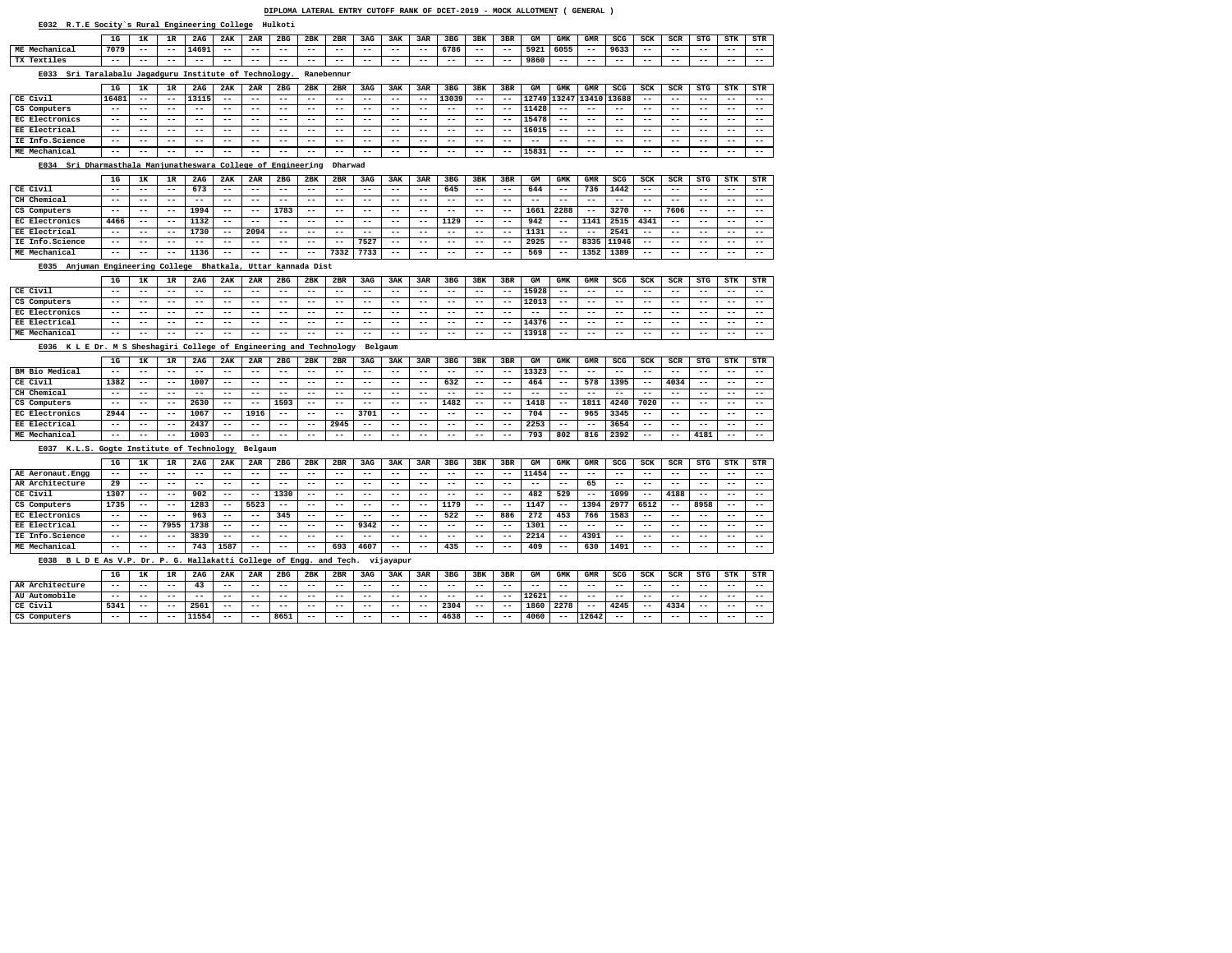## **E032 R.T.E Socity`s Rural Engineering College Hulkoti**

#### **E038 B L D E As V.P. Dr. P. G. Hallakatti College of Engg. and Tech. vijayapur**

|                                                                     | 1 <sub>G</sub>             | 1ĸ                | 1R            | 2AG           | 2AK               | 2AR          | 2BG                          | 2BK               | 2BR                                | 3AG                        | 3AK               | 3AR                                    | 3 <sub>BG</sub>          | 3BK               | 3BR                        | GМ                  | <b>GMK</b>                 | <b>GMR</b>                 | SCG               | <b>SCK</b>                 | <b>SCR</b>          | <b>STG</b>          | <b>STK</b>               | <b>STR</b>               |
|---------------------------------------------------------------------|----------------------------|-------------------|---------------|---------------|-------------------|--------------|------------------------------|-------------------|------------------------------------|----------------------------|-------------------|----------------------------------------|--------------------------|-------------------|----------------------------|---------------------|----------------------------|----------------------------|-------------------|----------------------------|---------------------|---------------------|--------------------------|--------------------------|
| ME Mechanical                                                       | 7079                       | $\qquad \qquad -$ | $- -$         | 14691         | $ -$              | $- -$        | $- -$                        | $\qquad \qquad -$ | $\overline{\phantom{m}}$ .         | $- -$                      | $- -$             | $ -$                                   | 6786                     | $- -$             | $ -$                       | 5921                | 6055                       | $ -$                       | 9633              | $ -$                       | $ -$                | $\sim$ $\sim$       | $- -$                    | $\sim$ $\sim$            |
| TX Textiles                                                         | $- -$                      | $- -$             | $ -$          | $- -$         | $- -$             | $- -$        | $- -$                        | $- -$             | $- -$                              | $ -$                       | $ -$              | $- -$                                  | $ -$                     | $- -$             | $- -$                      | 9860                | $- -$                      | $- -$                      | $- -$             | $- -$                      | $- -$               | $ -$                | $- -$                    | $\sim$ $\sim$            |
| Sri Taralabalu Jagadguru Institute of Technology.<br>E033           |                            |                   |               |               |                   |              |                              |                   | Ranebennur                         |                            |                   |                                        |                          |                   |                            |                     |                            |                            |                   |                            |                     |                     |                          |                          |
|                                                                     |                            |                   |               |               |                   |              |                              |                   |                                    |                            |                   |                                        |                          |                   |                            |                     |                            |                            |                   |                            |                     |                     |                          |                          |
| CE Civil                                                            | 1 <sub>G</sub><br>16481    | 1K<br>$- -$       | 1R<br>$- -$   | 2AG<br>13115  | 2AK<br>$- -$      | 2AR<br>$- -$ | 2 <sub>BG</sub><br>$ -$      | 2BK<br>$- -$      | 2BR                                | 3AG<br>$- -$               | 3AK<br>$- -$      | 3AR                                    | 3 <sub>BG</sub><br>13039 | 3BK<br>$- -$      | 3BR<br>$- -$               | GM<br>12749         | <b>GMK</b><br>13247        | <b>GMR</b><br>13410        | SCG<br>13688      | SCK<br>$ -$                | <b>SCR</b><br>$- -$ | <b>STG</b><br>$- -$ | <b>STK</b><br>$- -$      | <b>STR</b><br>$- -$      |
| CS Computers                                                        | $ -$                       | $- -$             | $- -$         | $\sim$ $\sim$ | $\sim$ $\sim$     | $ -$         | $- -$                        | $- -$             | $\qquad \qquad -$<br>$\frac{1}{2}$ | $- -$                      | $- -$             | $\qquad \qquad -$<br>$\qquad \qquad -$ | $- -$                    | $\qquad \qquad -$ | $ -$                       | 11428               | $- -$                      | $- -$                      | $- -$             | $ -$                       | $- -$               | $- -$               | $- -$                    | $- -$                    |
| EC Electronics                                                      | $ -$                       | $- -$             | $- -$         | $- -$         | $\sim$ $\sim$     | $ -$         | $- -$                        | $- -$             | $ -$                               | $ -$                       | $- -$             | $- -$                                  | $- -$                    | $- -$             | $- -$                      | 15478               | $- -$                      | $\overline{\phantom{m}}$ . | $- -$             | $- -$                      | $- -$               | $- -$               | $- -$                    | $\sim$ $\sim$            |
| EE Electrical                                                       | $ -$                       | $ -$              | $- -$         | $ -$          | $ -$              | $- -$        | $- -$                        | $- -$             | $- -$                              | $ -$                       | $- -$             | $- -$                                  | $- -$                    | $- -$             | $ -$                       | 16015               | $- -$                      | $- -$                      | $- -$             | $ -$                       | $- -$               | $- -$               | $ -$                     | $ -$                     |
| IE Info.Science                                                     | $- -$                      | $- -$             | $- -$         | $- -$         | $- -$             | $- -$        | $ -$                         | $- -$             | $- -$                              | $- -$                      | $ -$              | $- -$                                  | $- -$                    | $ -$              | $- -$                      | $- -$               | $- -$                      | $- -$                      | $- -$             | $ -$                       | $- -$               | $- -$               | $ -$                     | $- -$                    |
| ME Mechanical                                                       | $- -$                      | $- -$             | $ -$          | $- -$         | $- -$             | $- -$        | $ -$                         | $- -$             | $- -$                              | $- -$                      | $- -$             | $\qquad \qquad -$                      | $\qquad \qquad -$        | $- -$             | $- -$                      | 15831               | $- -$                      | $- -$                      | $- -$             | $ -$                       | $\qquad \qquad -$   | $\qquad \qquad -$   | $\qquad \qquad -$        | $ -$                     |
|                                                                     |                            |                   |               |               |                   |              |                              |                   |                                    |                            |                   |                                        |                          |                   |                            |                     |                            |                            |                   |                            |                     |                     |                          |                          |
| Sri Dharmasthala Manjunatheswara College of Engineering<br>E034     |                            |                   |               |               |                   |              |                              |                   | Dharwad                            |                            |                   |                                        |                          |                   |                            |                     |                            |                            |                   |                            |                     |                     |                          |                          |
|                                                                     | 1G                         | 1ĸ                | 1R            | 2AG           | 2AK               | 2AR          | 2BG                          | 2BK               | 2BR                                | 3AG                        | 3AK               | 3AR                                    | 3 <sub>BG</sub>          | 3BK               | 3BR                        | ${\bf GM}$          | <b>GMK</b>                 | <b>GMR</b>                 | SCG               | <b>SCK</b>                 | <b>SCR</b>          | <b>STG</b>          | <b>STK</b>               | <b>STR</b>               |
| CE Civil                                                            | $\overline{\phantom{m}}$ . | $- -$             | $- -$         | 673           | $ -$              | $ -$         | $- -$                        | $\frac{1}{2}$     | $\frac{1}{2}$                      | $\overline{\phantom{m}}$ . | $ -$              | $\qquad \qquad -$                      | 645                      | $\qquad \qquad -$ | $\overline{\phantom{m}}$   | 644                 | $\overline{\phantom{m}}$ . | 736                        | 1442              | $ -$                       | $\frac{1}{2}$       | $- -$               | $- -$                    | $- -$                    |
| CH Chemical                                                         | $ -$                       | $- -$             | $- -$         | $- -$         | $ -$              | $- -$        | $ -$                         | $- -$             | $- -$                              | $ -$                       | $ -$              | $- -$                                  | $ -$                     | $ -$              | $- -$                      | $ -$                | $- -$                      | $- -$                      | $- -$             | $- -$                      | $- -$               | $ -$                | $- -$                    | $- -$                    |
| CS Computers                                                        | $ -$                       | $\frac{1}{2}$     | $ -$          | 1994          | $- -$             | $ -$         | 1783                         | $- -$             | $- -$                              | $\qquad \qquad -$          | $- -$             | $\qquad \qquad -$                      | $- -$                    | $- -$             | $- -$                      | 1661                | 2288                       | $ -$                       | 3270              | $\sim$ $-$                 | 7606                | $- -$               | $- -$                    | $\sim$ $\sim$            |
| EC Electronics                                                      | 4466                       | $- -$             | $\sim$ $\sim$ | 1132          | $- -$             | $ -$         | $ -$                         | $- -$             | $\frac{1}{2}$                      | $ -$                       | $- -$             | $ -$                                   | 1129                     | $- -$             | $ -$                       | 942                 | $- -$                      | 1141                       | 2515              | 4341                       | $- -$               | $- -$               | $- -$                    | $- -$                    |
| EE Electrical                                                       | $ -$                       | $- -$             | $- -$         | 1730          | $ -$              | 2094         | $- -$                        | $\qquad \qquad -$ | $- -$                              | $\overline{\phantom{m}}$ . | $- -$             | $- -$                                  | $- -$                    | $- -$             | $- -$                      | 1131                | $- -$                      | $ -$                       | 2541              | $ -$                       | $ -$                | $\qquad \qquad -$   | $\overline{\phantom{m}}$ | $\sim$ $-$               |
| IE Info.Science                                                     | $ -$                       | $ -$              | $ -$          | $- -$         | $ -$              | $- -$        | $ -$                         | $- -$             | $- -$                              | 7527                       | $ -$              | $ -$                                   | $ -$                     | $- -$             | $ -$                       | 2925                | $- -$                      | 8335                       | 11946             | $- -$                      | $- -$               | $- -$               | $ -$                     | $ -$                     |
| ME Mechanical                                                       | $- -$                      | $- -$             | $- -$         | 1136          | $\qquad \qquad -$ | $- -$        | $- -$                        | $\qquad \qquad -$ | 7332                               | 7733                       | $\qquad \qquad -$ | $\qquad \qquad -$                      | $\qquad \qquad -$        | $- -$             | $\overline{\phantom{m}}$ . | 569                 | $ -$                       | 1352                       | 1389              | $ -$                       | $\qquad \qquad -$   | $- -$               | $\qquad \qquad -$        | $- -$                    |
| Anjuman Engineering<br>E035                                         |                            |                   | College       |               |                   |              | Bhatkala, Uttar kannada Dist |                   |                                    |                            |                   |                                        |                          |                   |                            |                     |                            |                            |                   |                            |                     |                     |                          |                          |
|                                                                     | 1G                         | 1ĸ                | 1R            | 2AG           | 2AK               | 2AR          | 2 <sub>BG</sub>              | 2BK               | 2BR                                | 3AG                        | 3AK               | 3AR                                    | 3 <sub>BG</sub>          | 3BK               | 3BR                        | ${\bf GM}$          | <b>GMK</b>                 | <b>GMR</b>                 | SCG               | <b>SCK</b>                 | <b>SCR</b>          | <b>STG</b>          | <b>STK</b>               | <b>STR</b>               |
| CE Civil                                                            | $ -$                       | $- -$             | $- -$         | $\sim$ $\sim$ | $\sim$ $\sim$     | $ -$         | $ -$                         | $- -$             | $- -$                              | $- -$                      | $- -$             | $ -$                                   | $\frac{1}{2}$            | $\qquad \qquad -$ | $- -$                      | 15928               | $- -$                      | $- -$                      | $- -$             | $ -$                       | $\frac{1}{2}$       | $- -$               | $- -$                    | $- -$                    |
| CS Computers                                                        | $- -$                      | $- -$             | $- -$         | $- -$         | $\frac{1}{2}$     | $ -$         | $- -$                        | $- -$             | $\frac{1}{2}$                      | $- -$                      | $- -$             | $- -$                                  | $\frac{1}{2}$            | $- -$             | $\overline{\phantom{m}}$ . | 12013               | $- -$                      | $- -$                      | $- -$             | $ -$                       | $- -$               | $- -$               | $- -$                    | $\sim$ $\sim$            |
| EC Electronics                                                      | $ -$                       | $- -$             | $- -$         | $- -$         | $ -$              | $- -$        | $ -$                         | $- -$             | $- -$                              | $ -$                       | $ -$              | $- -$                                  | $- -$                    | $- -$             | $- -$                      | $- -$               | $\overline{\phantom{m}}$   | $- -$                      | $- -$             | $- -$                      | $- -$               | $- -$               | $ -$                     | $ -$                     |
| EE Electrical                                                       | $- -$                      | $- -$             | $- -$         | $- -$         | $- -$             | $- -$        | $ -$                         | $\qquad \qquad -$ | $- -$                              | $- -$                      | $ -$              | $\qquad \qquad -$                      | $- -$                    | $- -$             | $- -$                      | 14376               | $- -$                      | $- -$                      | $- -$             | $- -$                      | $- -$               | $- -$               | $ -$                     | $-1$                     |
| ME Mechanical                                                       | $- -$                      | $- -$             | $- -$         | $- -$         | $- -$             | $- -$        | $ -$                         | $- -$             | $- -$                              | $- -$                      | $ -$              | $- -$                                  | $\qquad \qquad -$        | $- -$             | $- -$                      | 13918               | $\overline{\phantom{m}}$   | $- -$                      | $- -$             | $ -$                       | $\qquad \qquad -$   | $- -$               | $- -$                    | $- -$                    |
| E036 K L E Dr. M S Sheshagiri College of Engineering and Technology |                            |                   |               |               |                   |              |                              |                   |                                    | Belgaum                    |                   |                                        |                          |                   |                            |                     |                            |                            |                   |                            |                     |                     |                          |                          |
|                                                                     |                            |                   |               |               |                   |              |                              |                   |                                    |                            |                   |                                        |                          |                   |                            |                     |                            |                            |                   |                            |                     |                     |                          |                          |
| <b>BM Bio Medical</b>                                               | 1G<br>$- -$                | 1ĸ<br>$- -$       | 1R            | 2AG           | 2AK<br>$- -$      | 2AR          | 2 <sub>BG</sub><br>$ -$      | 2BK<br>$- -$      | 2BR                                | 3AG                        | 3AK<br>$- -$      | 3AR                                    | 3 <sub>BG</sub>          | 3BK               | 3BR                        | ${\bf GM}$<br>13323 | <b>GMK</b><br>$- -$        | <b>GMR</b>                 | SCG               | <b>SCK</b>                 | SCR<br>$- -$        | <b>STG</b>          | <b>STK</b><br>$- -$      | <b>STR</b><br>$- -$      |
| CE Civil                                                            | 1382                       |                   | $ -$          | $- -$<br>1007 |                   | $- -$        |                              |                   | $\qquad \qquad -$                  | $\qquad \qquad -$          |                   | $\qquad \qquad -$                      | $- -$<br>632             | $- -$             | $\overline{\phantom{m}}$   | 464                 |                            | $- -$<br>578               | $- -$<br>1395     | $- -$                      | 4034                | $- -$               |                          |                          |
| CH Chemical                                                         | $- -$                      | $- -$             | $ -$          | $- -$         | $- -$             | $- -$        | $- -$                        | $- -$             | $- -$                              | $\qquad \qquad -$          | $\qquad \qquad -$ | $\qquad \qquad -$                      | $\qquad \qquad -$        | $\qquad \qquad -$ | $\overline{\phantom{m}}$ . | $- -$               | $- -$                      | $ -$                       | $ -$              | $\overline{\phantom{m}}$ . | $- -$               | $ -$                | $- -$                    | $- -$                    |
| CS Computers                                                        | $ -$                       | $- -$             | $- -$         | 2630          | $- -$             | $- -$        | 1593                         | $- -$             | $  \,$                             | $\qquad \qquad -$          | $\qquad \qquad -$ | $- -$                                  | 1482                     | $ -$              | $\sim$ $-$                 | 1418                | $- -$                      | 1811                       | 4240              | 7020                       | $- -$               | $- -$               | $- -$                    | $\frac{1}{2}$            |
| EC Electronics                                                      | 2944                       | $- -$             | $- -$         | 1067          | $- -$             | 1916         | $ -$                         | $- -$             | $- -$                              | 3701                       | $\qquad \qquad -$ | $\qquad \qquad -$                      | $\qquad \qquad -$        | $\qquad \qquad -$ | $ -$                       | 704                 | $- -$                      | 965                        | 3345              | $\sim$ $-$                 | $ -$                | $\qquad \qquad -$   | $\overline{\phantom{m}}$ | $\qquad \qquad -$        |
| EE Electrical                                                       | $- -$                      | $\qquad \qquad -$ | $- -$         | 2437          | $- -$             | $- -$        | $ -$                         | $- -$             | 2945                               | $\qquad \qquad -$          | $- -$             | $- -$                                  | $- -$                    | $- -$             | $\overline{\phantom{m}}$ . | 2253                | $- -$                      | $ -$                       | 3654              | $- -$                      | $- -$               | $- -$               | $- -$                    | $- -$                    |
| ME Mechanical                                                       | $\qquad \qquad -$          | $- -$             | $- -$         | 1003          | $- -$             | $- -$        | $- -$                        | $- -$             | $- -$                              | $- -$                      | $ -$              | $- -$                                  | $- -$                    | $- -$             | $- -$                      | 793                 | 802                        | 816                        | 2392              | $- -$                      | $\qquad \qquad -$   | 4181                | $\qquad \qquad -$        | $- -$                    |
|                                                                     |                            |                   |               |               |                   |              |                              |                   |                                    |                            |                   |                                        |                          |                   |                            |                     |                            |                            |                   |                            |                     |                     |                          |                          |
| E037 K.L.S. Gogte Institute of Technology                           |                            |                   |               |               |                   | Belgaum      |                              |                   |                                    |                            |                   |                                        |                          |                   |                            |                     |                            |                            |                   |                            |                     |                     |                          |                          |
|                                                                     | 1G                         | 1K                | 1R            | 2AG           | 2AK               | 2AR          | 2 <sub>BG</sub>              | 2BK               | 2BR                                | 3AG                        | 3AK               | 3AR                                    | 3 <sub>BG</sub>          | 3BK               | 3BR                        | ${\bf GM}$          | GMK                        | GMR                        | SCG               | SCK                        | SCR                 | STG                 | <b>STK</b>               | STR                      |
| AE Aeronaut. Engg                                                   | $- -$                      | $\qquad \qquad -$ | $ -$          | $- -$         | $- -$             | $- -$        | $- -$                        | $- -$             | $\qquad \qquad -$                  | $- -$                      | $\qquad \qquad -$ | $- -$                                  | $- -$                    | $\qquad \qquad -$ | $\sim$ $-$                 | 11454               | $- -$                      | $\sim$ $-$                 | $\qquad \qquad -$ | $ -$                       | $ -$                | $\sim$ $\sim$       | $- -$                    | $- -$                    |
| AR Architecture                                                     | 29                         | $- -$             | $ -$          | $- -$         | $- -$             | $- -$        | $- -$                        | $  \,$            | $\frac{1}{2}$                      | $- -$                      | $\qquad \qquad -$ | $- -$                                  | $- -$                    | $- -$             | $\qquad \qquad -$          | $- -$               | $- -$                      | 65                         | $\qquad \qquad -$ | $ -$                       | $\frac{1}{2}$       | $- -$               | $- -$                    | $- -$                    |
| CE Civil                                                            | 1307                       | $\qquad \qquad -$ | $ -$          | 902           | $- -$             | $- -$        | 1330                         | $\qquad \qquad -$ | $\qquad \qquad -$                  | $- -$                      | $\qquad \qquad -$ | $\qquad \qquad -$                      | $\qquad \qquad -$        | $- -$             | $ -$                       | 482                 | 529                        | $ -$                       | 1099              | $\overline{\phantom{m}}$   | 4188                | $- -$               | $- -$                    | $\overline{\phantom{m}}$ |
| CS Computers                                                        | 1735                       | $- -$             | $ -$          | 1283          | $- -$             | 5523         | $- -$                        | $- -$             | $- -$                              | $- -$                      | $- -$             | $\qquad \qquad -$                      | 1179                     | $\qquad \qquad -$ | $ -$                       | 1147                | $- -$                      | 1394                       | 2977              | 6512                       | $- -$               | 8958                | $- -$                    | $- -$                    |
| EC Electronics                                                      | $- -$                      | $- -$             | $- -$         | 963           | $- -$             | $ -$         | 345                          | $- -$             | $\qquad \qquad -$                  | $\qquad \qquad -$          | $\qquad \qquad -$ | $\qquad \qquad -$                      | 522                      | $\sim$ $-$        | 886                        | 272                 | 453                        | 766                        | 1583              | $ -$                       | $ -$                | $ -$                | $- -$                    | $- -$                    |
| EE Electrical                                                       | $\qquad \qquad -$          | $- -$             | 7955          | 1738          | $- -$             | $- -$        | $- -$                        | $- -$             | $- -$                              | 9342                       | $\qquad \qquad -$ | $- -$                                  | $- -$                    | $- -$             | $ -$                       | 1301                | $- -$                      | $ -$                       | $ -$              | $ -$                       | $- -$               | $- -$               | $- -$                    | $- -$                    |
| IE Info.Science                                                     | $- -$                      | $- -$             | $- -$         | 3839          | $- -$             | $- -$        | $- -$                        | $\qquad \qquad -$ | $- -$                              |                            | $- -$             | $\qquad \qquad -$                      | $- -$                    | $- -$             | $ -$                       | 2214                | $- -$                      | 4391                       | $\qquad \qquad -$ | $\qquad \qquad -$          | $- -$               | $- -$               | $- -$                    | $- -$                    |
| ME Mechanical                                                       | $- -$                      | $\qquad \qquad -$ | $ -$          | 743           | 1587              | $- -$        | $- -$                        | $- -$             | 693                                | 4607                       | $- -$             | $\qquad \qquad -$                      | 435                      | $ -$              | $ -$                       | 409                 | $- -$                      | 630                        | 1491              | $\overline{\phantom{m}}$ . | $- -$               | $\qquad \qquad -$   | $- -$                    | $- -$                    |

|                 | 1G    | 1к    | 1R    | 2AG   | 2AK   | 2AR   | 2 <sub>BG</sub> | 2BK   | 2BR   | 3AG   | 3AK   | 3AR   | 3 <sub>BG</sub> | 3BK   | 3BR   | GM    | GMK   | GMR   | SCG   | SCK   | SCR   | STG   | STK   | STR   |
|-----------------|-------|-------|-------|-------|-------|-------|-----------------|-------|-------|-------|-------|-------|-----------------|-------|-------|-------|-------|-------|-------|-------|-------|-------|-------|-------|
| AR Architecture | $- -$ | $- -$ | $- -$ | د 4   | $- -$ | $- -$ | $- -$           | $- -$ | $- -$ | $- -$ | $- -$ | $- -$ | $- -$           | $- -$ | $- -$ | $- -$ | $- -$ | $- -$ | $- -$ | $- -$ | $- -$ | $- -$ | $- -$ | $- -$ |
| AU Automobile   | $- -$ | $- -$ | $- -$ | $- -$ | $- -$ | $- -$ | $- -$           | $- -$ | $- -$ | $- -$ | $- -$ | $- -$ | $- -$           | $- -$ | ---   | .2621 | $- -$ | $- -$ | ---   | $- -$ | $- -$ | $- -$ | $- -$ | $- -$ |
| CE Civil        | 5341  | $- -$ | $- -$ | 2561  | $- -$ | $- -$ | $- -$           | $- -$ | $- -$ | $- -$ | $- -$ | $ -$  | 2304            | $- -$ | — —   | 1860  | 2278  | $- -$ | 4245  | $- -$ | 4334  | $- -$ | $- -$ | $- -$ |
| CS Computers    | $- -$ | $- -$ | $- -$ | 11554 | $- -$ | $- -$ | 8651            | $- -$ | $- -$ | $- -$ | $- -$ | $- -$ | 4638            | $- -$ | ---   | 4060  | $- -$ | 12642 | $- -$ | $- -$ | $- -$ | $- -$ | $- -$ | $- -$ |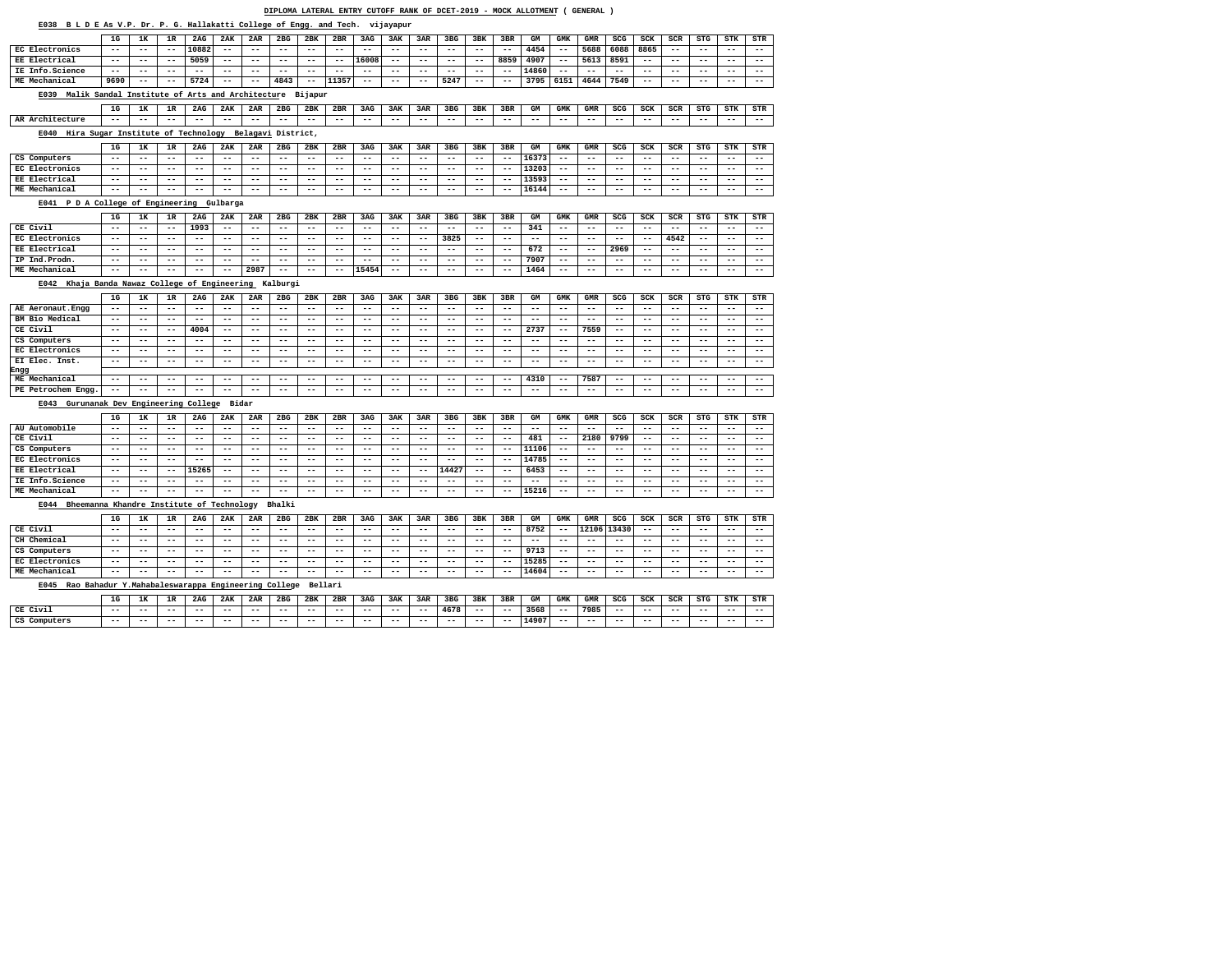## **E038 B L D E As V.P. Dr. P. G. Hallakatti College of Engg. and Tech. vijayapur**

|                                                            | 1G                         | 1ĸ    | 1R                       | 2AG                      | 2AK                      | 2AR               | 2 <sub>BG</sub>            | 2BK               | 2BR                        | 3AG               | 3AK               | 3AR                        | 3 <sub>BG</sub> | 3BK                        | 3BR                        | GМ    | <b>GMK</b>                 | <b>GMR</b>                 | SCG                      | <b>SCK</b>        | <b>SCR</b>        | <b>STG</b>                 | STK               | STR               |
|------------------------------------------------------------|----------------------------|-------|--------------------------|--------------------------|--------------------------|-------------------|----------------------------|-------------------|----------------------------|-------------------|-------------------|----------------------------|-----------------|----------------------------|----------------------------|-------|----------------------------|----------------------------|--------------------------|-------------------|-------------------|----------------------------|-------------------|-------------------|
| EC Electronics                                             | $- -$                      | $- -$ | $ -$                     | 10882                    | $- -$                    | $- -$             | $- -$                      | $- -$             | $- -$                      | $- -$             | $- -$             | $- -$                      | $- -$           | $- -$                      | $- -$                      | 4454  | $\qquad \qquad -$          | 5688                       | 6088                     | 8865              | $- -$             | $- -$                      | $\qquad \qquad -$ | $\qquad \qquad -$ |
| EE Electrical                                              | $- -$                      | $- -$ | $ -$                     | 5059                     | $- -$                    | $- -$             | $- -$                      | $- -$             | $- -$                      | 16008             | $- -$             | $ -$                       | $- -$           | $- -$                      | 8859                       | 4907  | $- -$                      | 5613                       | 8591                     | $- -$             | $- -$             | $- -$                      | $- -$             | $- -$             |
| IE Info.Science                                            | $\qquad \qquad -$          | $- -$ | $- -$                    | $- -$                    | $- -$                    | $- -$             | $- -$                      | $- -$             | $- -$                      | $- -$             | $- -$             | $- -$                      | $- -$           | $- -$                      | $- -$                      | 14860 | $- -$                      | $- -$                      | $- -$                    | $- -$             | $- -$             | $- -$                      | $- -$             | $ -$              |
| ME Mechanical                                              | 9690                       | $- -$ | $ -$                     | 5724                     | $- -$                    | $- -$             | 4843                       | $\qquad \qquad -$ | 11357                      | $- -$             | $- -$             | $- -$                      | 5247            | $- -$                      | $- -$                      | 3795  | 6151                       | 4644                       | 7549                     | $- -$             | --                | $- -$                      | $- -$             | $- -$             |
| Malik Sandal Institute of Arts and Architecture<br>E039    |                            |       |                          |                          |                          |                   |                            | Bijapur           |                            |                   |                   |                            |                 |                            |                            |       |                            |                            |                          |                   |                   |                            |                   |                   |
|                                                            | 1G                         | 1ĸ    | 1R                       | 2AG                      | 2AK                      | 2AR               | 2 <sub>BG</sub>            | 2BK               | 2BR                        | 3AG               | 3AK               | 3AR                        | 3 <sub>BG</sub> | 3BK                        | 3BR                        | GM    | <b>GMK</b>                 | <b>GMR</b>                 | SCG                      | SCK               | <b>SCR</b>        | <b>STG</b>                 | STK               | <b>STR</b>        |
| AR Architecture                                            | $\qquad \qquad -$          |       |                          |                          | $- -$                    |                   |                            |                   | $- -$                      |                   | $- -$             |                            | $- -$           |                            | $\overline{\phantom{m}}$ . |       |                            |                            | $\qquad \qquad -$        |                   | $- -$             |                            |                   |                   |
|                                                            |                            | $- -$ | $ -$                     | $- -$                    |                          | $- -$             | $- -$                      | $- -$             |                            | $- -$             |                   | $- -$                      |                 | $\overline{\phantom{m}}$   |                            | $ -$  | $\qquad \qquad -$          | $- -$                      |                          | $\qquad \qquad -$ |                   | $ -$                       | $ -$              | $- -$             |
| E040 Hira Sugar Institute of Technology                    |                            |       |                          |                          |                          |                   | Belagavi District,         |                   |                            |                   |                   |                            |                 |                            |                            |       |                            |                            |                          |                   |                   |                            |                   |                   |
|                                                            | 1G                         | 1ĸ    | 1R                       | 2AG                      | 2AK                      | 2AR               | 2 <sub>BG</sub>            | 2BK               | 2BR                        | 3AG               | 3AK               | 3AR                        | 3 <sub>BG</sub> | 3BK                        | 3BR                        | GM    | <b>GMK</b>                 | <b>GMR</b>                 | SCG                      | <b>SCK</b>        | <b>SCR</b>        | <b>STG</b>                 | STK               | STR               |
| CS Computers                                               | $- -$                      | $- -$ | $- -$                    | $- -$                    | $ -$                     | $\qquad \qquad -$ | $\overline{\phantom{m}}$   | $\qquad \qquad -$ | $- -$                      | $\qquad \qquad -$ | $- -$             | $\qquad \qquad -$          | $- -$           | $ -$                       | $ -$                       | 16373 | $\qquad \qquad -$          | $ -$                       | $\qquad \qquad -$        | $\qquad \qquad -$ | $\qquad \qquad -$ | $ -$                       | $ -$              | $- -$             |
| EC Electronics                                             | $- -$                      | $- -$ | $ -$                     | $- -$                    | $- -$                    | $- -$             | $- -$                      | $- -$             | $- -$                      | $- -$             | $- -$             | $- -$                      | $- -$           | $- -$                      | $- -$                      | 13203 | $- -$                      | $- -$                      | $ -$                     | $- -$             | $- -$             | $- -$                      | $- -$             | $- -$             |
| EE Electrical                                              | $- -$                      | --    | $- -$                    | $- -$                    | $- -$                    | $- -$             | $- -$                      | $- -$             | $- -$                      | $ -$              | $- -$             | $- -$                      | $- -$           | $- -$                      | $- -$                      | 13593 | $- -$                      | $- -$                      | $- -$                    | $- -$             | --                | $- -$                      | $- -$             | $ -$              |
| ME Mechanical                                              | $- -$                      | $- -$ | $- -$                    | $- -$                    | $- -$                    | $- -$             | $- -$                      | $- -$             | $- -$                      | $- -$             | $- -$             | $- -$                      | $- -$           | $- -$                      | $\overline{\phantom{m}}$ . | 16144 | $- -$                      | $- -$                      | $- -$                    | $- -$             | $- -$             | $- -$                      | $- -$             | $- -$             |
|                                                            |                            |       |                          |                          |                          |                   |                            |                   |                            |                   |                   |                            |                 |                            |                            |       |                            |                            |                          |                   |                   |                            |                   |                   |
| E041 P D A College of Engineering                          |                            |       |                          |                          | Gulbarga                 |                   |                            |                   |                            |                   |                   |                            |                 |                            |                            |       |                            |                            |                          |                   |                   |                            |                   |                   |
|                                                            | 1G                         | 1ĸ    | 1R                       | 2AG                      | 2AK                      | 2AR               | 2 <sub>BG</sub>            | 2BK               | 2BR                        | 3AG               | 3AK               | 3AR                        | 3 <sub>BG</sub> | 3BK                        | 3BR                        | GМ    | GMK                        | <b>GMR</b>                 | SCG                      | SCK               | <b>SCR</b>        | <b>STG</b>                 | STK               | STR               |
| CE Civil                                                   | $\qquad \qquad -$          | $- -$ | $- -$                    | 1993                     | $- -$                    | $- -$             | $- -$                      | $\qquad \qquad -$ | $- -$                      | $\qquad \qquad -$ | $- -$             | $ -$                       | $- -$           | $- -$                      | $ -$                       | 341   | $\qquad \qquad -$          | $- -$                      | $\qquad \qquad -$        | $- -$             | $- -$             | $\qquad \qquad -$          | $\qquad \qquad -$ | $- -$             |
| EC Electronics                                             | $- -$                      | $- -$ | $- -$                    | $- -$                    | $- -$                    | $- -$             | $- -$                      | $- -$             | $- -$                      | $- -$             | $- -$             | $- -$                      | 3825            | $- -$                      | $- -$                      | $- -$ | $- -$                      | $- -$                      | $- -$                    | $\qquad \qquad -$ | 4542              | $- -$                      | $- -$             | $\qquad \qquad -$ |
| EE Electrical                                              | $- -$                      | $- -$ | $ -$                     | $- -$                    | $- -$                    | $- -$             | $- -$                      | $- -$             | $- -$                      | $- -$             | $ -$              | $- -$                      | $ -$            | $\overline{\phantom{m}}$ . | $- -$                      | 672   | $- -$                      | $- -$                      | 2969                     | $- -$             | --                | $- -$                      | $- -$             | $ -$              |
| IP Ind. Prodn.                                             | $\qquad \qquad -$          | $- -$ | $- -$                    | $- -$                    | $- -$                    | $- -$             | $- -$                      | $- -$             | $- -$                      | $ -$              | $- -$             | $- -$                      | $- -$           | $\overline{\phantom{m}}$   | $- -$                      | 7907  | $- -$                      | $- -$                      | $- -$                    | $- -$             | --                | $- -$                      | $- -$             | $\qquad \qquad -$ |
| ME Mechanical                                              | $- -$                      | $- -$ | $ -$                     | $- -$                    | $ -$                     | 2987              | $- -$                      | $\qquad \qquad -$ | $- -$                      | 15454             | $- -$             | $\qquad \qquad -$          | $- -$           | $- -$                      | $- -$                      | 1464  | $- -$                      | $- -$                      | $- -$                    | $- -$             | $- -$             | $- -$                      | $\qquad \qquad -$ | $- -$             |
|                                                            |                            |       |                          |                          |                          |                   |                            |                   |                            |                   |                   |                            |                 |                            |                            |       |                            |                            |                          |                   |                   |                            |                   |                   |
| Khaja Banda Nawaz College of Engineering Kalburgi<br>E042  |                            |       |                          |                          |                          |                   |                            |                   |                            |                   |                   |                            |                 |                            |                            |       |                            |                            |                          |                   |                   |                            |                   |                   |
|                                                            | 1G                         | 1ĸ    | 1R                       | 2AG                      | 2AK                      | 2AR               | 2 <sub>BG</sub>            | 2BK               | 2BR                        | 3AG               | 3AK               | 3AR                        | 3 <sub>BG</sub> | 3BK                        | 3BR                        | GM    | <b>GMK</b>                 | <b>GMR</b>                 | SCG                      | <b>SCK</b>        | <b>SCR</b>        | <b>STG</b>                 | STK               | <b>STR</b>        |
| AE Aeronaut. Engg                                          | $- -$                      | $- -$ | $ -$                     | $- -$                    | $- -$                    | $- -$             | $- -$                      | $- -$             | $- -$                      | $- -$             | $- -$             | $- -$                      | $- -$           | $- -$                      | $- -$                      | $- -$ | $- -$                      | $- -$                      | $- -$                    | $- -$             | $- -$             | $\overline{\phantom{m}}$ . | $- -$             | $- -$             |
| BM Bio Medical                                             | $- -$                      | $- -$ | $- -$                    | $- -$                    | $ -$                     | $- -$             | $- -$                      | $- -$             | $- -$                      | $- -$             | $- -$             | $- -$                      | $- -$           | $- -$                      | $- -$                      | $ -$  | $- -$                      | $- -$                      | $- -$                    | $\qquad \qquad -$ | --                | $- -$                      | $- -$             | $ -$              |
| CE Civil                                                   | $- -$                      | $- -$ | $- -$                    | 4004                     | $- -$                    | $- -$             | $- -$                      | $- -$             | $- -$                      | $- -$             | $- -$             | $- -$                      | $- -$           | $- -$                      | $- -$                      | 2737  | $\qquad \qquad -$          | 7559                       | $\qquad \qquad -$        | $- -$             | $- -$             | $- -$                      | $- -$             | $- -$             |
| CS Computers                                               | $- -$                      | $- -$ | $- -$                    | $- -$                    | $- -$                    | $- -$             | $- -$                      | $- -$             | $- -$                      | $\qquad \qquad -$ | $- -$             | $- -$                      | $- -$           | $\overline{\phantom{m}}$   | --                         | $- -$ | $- -$                      | $- -$                      | $- -$                    | $\qquad \qquad -$ | $- -$             | $\overline{\phantom{m}}$   | $- -$             | $\qquad \qquad -$ |
| EC Electronics                                             | $- -$                      | $- -$ | $- -$                    | $- -$                    | $- -$                    | $- -$             | $- -$                      | $- -$             | $- -$                      | $- -$             | $- -$             | $- -$                      | $- -$           | $- -$                      | $- -$                      | $- -$ | $- -$                      | $- -$                      | --                       | $- -$             | --                | $- -$                      | $- -$             | $- -$             |
| EI Elec. Inst.                                             | $- -$                      |       | $- -$                    | $- -$                    | $- -$                    |                   | $- -$                      | $- -$             | $- -$                      | $ -$              | $- -$             | $- -$                      | $- -$           | $- -$                      | $- -$                      | $- -$ | $- -$                      | $- -$                      | $- -$                    | $- -$             | --                | $- -$                      | $- -$             | $- -$             |
| Engg                                                       |                            |       |                          |                          |                          |                   |                            |                   |                            |                   |                   |                            |                 |                            |                            |       |                            |                            |                          |                   |                   |                            |                   |                   |
| ME Mechanical                                              |                            |       |                          |                          |                          |                   |                            |                   |                            |                   |                   |                            |                 |                            |                            | 4310  |                            | 7587                       |                          |                   |                   |                            |                   |                   |
| PE Petrochem Engg.                                         | $\qquad \qquad -$          | $- -$ | $\overline{\phantom{m}}$ | $- -$                    | $ -$                     | $ -$              | $\overline{\phantom{m}}$ . | $\qquad \qquad -$ | $- -$                      | $\qquad \qquad -$ | $- -$             | $ -$                       | $- -$           | $\overline{\phantom{m}}$ . | $\overline{\phantom{m}}$ . | $ -$  | $- -$                      | $- -$                      | $- -$                    | $- -$             | $- -$             | $\overline{\phantom{m}}$ . | $\qquad \qquad -$ | $- -$             |
| E043 Gurunanak Dev Engineering College                     |                            |       |                          |                          | Bidar                    |                   |                            |                   |                            |                   |                   |                            |                 |                            |                            |       |                            |                            |                          |                   |                   |                            |                   |                   |
|                                                            |                            |       |                          |                          |                          |                   |                            |                   |                            |                   |                   |                            |                 |                            |                            |       |                            |                            |                          |                   |                   |                            |                   |                   |
|                                                            | 1G                         | 1ĸ    | 1R                       | 2AG                      | 2AK                      | 2AR               | 2 <sub>BG</sub>            | 2BK               | 2BR                        | 3AG               | 3AK               | 3AR                        | 3 <sub>BG</sub> | 3BK                        | 3BR                        | GМ    | GMK                        | <b>GMR</b>                 | SCG                      | SCK               | <b>SCR</b>        | <b>STG</b>                 | STK               | <b>STR</b>        |
| AU Automobile                                              | $\qquad \qquad -$          | $- -$ | $- -$                    | $- -$                    | $- -$                    | $- -$             | $\overline{\phantom{m}}$ . | $\qquad \qquad -$ | $- -$                      | $- -$             | $- -$             | $ -$                       | $- -$           | $\overline{\phantom{m}}$ . | $\overline{\phantom{m}}$ . | $ -$  | $- -$                      | $- -$                      | $- -$                    | $- -$             | $- -$             | $\overline{\phantom{m}}$ . | $\qquad \qquad -$ | $- -$             |
| CE Civil                                                   | $- -$                      | $- -$ | $ -$                     | $ -$                     | $ -$                     | $- -$             | $ -$                       | $- -$             | $- -$                      | $\qquad \qquad -$ | $\qquad \qquad -$ | $ -$                       | $- -$           | $\overline{\phantom{m}}$ – | $\overline{\phantom{m}}$ . | 481   | $- -$                      | 2180                       | 9799                     | $\qquad \qquad -$ | $- -$             | $\qquad \qquad -$          | $- -$             | $ -$              |
| CS Computers                                               | $\qquad \qquad -$          | $- -$ | $- -$                    | $ -$                     | $ -$                     | $- -$             | $- -$                      | $\qquad \qquad -$ | $\overline{\phantom{m}}$ . | $\qquad \qquad -$ | $- -$             | $ -$                       | $- -$           | $\overline{\phantom{m}}$ . | $- -$                      | 11106 | $- -$                      | $- -$                      | $- -$                    | $- -$             | $- -$             | $- -$                      | $- -$             | $- -$             |
| EC Electronics                                             | $\qquad \qquad -$          | $- -$ | $ -$                     | $\overline{\phantom{m}}$ | $\overline{\phantom{m}}$ | $- -$             | $\overline{\phantom{m}}$ . | $\qquad \qquad -$ | $- -$                      | $\qquad \qquad -$ | $- -$             | $ -$                       | $- -$           | $\qquad \qquad -$          | $ -$                       | 14785 | $- -$                      | $- -$                      | $- -$                    | $\qquad \qquad -$ | $- -$             | $\overline{\phantom{m}}$ . | $- -$             | $\qquad \qquad -$ |
| EE Electrical                                              | $\qquad \qquad -$          | $- -$ | $- -$                    | 15265                    | $- -$                    | $- -$             | $\overline{\phantom{m}}$ . | $\qquad \qquad -$ | $- -$                      | $\qquad \qquad -$ | $- -$             | $\overline{\phantom{m}}$   | 14427           | $\overline{\phantom{m}}$ . | $- -$                      | 6453  | $- -$                      | $- -$                      | $- -$                    | $- -$             | $- -$             | $\qquad \qquad -$          | $\qquad \qquad -$ | $\qquad \qquad -$ |
| IE Info.Science                                            | $- -$                      | $- -$ | $- -$                    | $- -$                    | $\overline{\phantom{m}}$ | $- -$             | $- -$                      | $\qquad \qquad -$ | $- -$                      | $\qquad \qquad -$ | $- -$             | $\qquad \qquad -$          | $- -$           | $ -$                       | --                         | $ -$  | $- -$                      | $ -$                       | $- -$                    | $- -$             | $- -$             | $- -$                      | $- -$             | $\qquad \qquad -$ |
| ME Mechanical                                              | $- -$                      | $- -$ | $- -$                    | $ -$                     | $\qquad \qquad -$        | $- -$             | $- -$                      | $\qquad \qquad -$ | $- -$                      | $- -$             | $\qquad \qquad -$ | $ -$                       | $- -$           | $\overline{\phantom{m}}$ . | $\overline{\phantom{m}}$ . | 15216 | $- -$                      | $- -$                      | $- -$                    | $- -$             | $\qquad \qquad -$ | $- -$                      | $\qquad \qquad -$ | $\qquad \qquad -$ |
| E044 Bheemanna Khandre Institute of Technology             |                            |       |                          |                          |                          |                   | Bhalki                     |                   |                            |                   |                   |                            |                 |                            |                            |       |                            |                            |                          |                   |                   |                            |                   |                   |
|                                                            |                            |       |                          |                          |                          |                   |                            |                   |                            |                   |                   |                            |                 |                            |                            |       |                            |                            |                          |                   |                   |                            |                   |                   |
|                                                            | 1G                         | 1K    | 1R                       | 2AG                      | 2AK                      | 2AR               | 2 <sub>BG</sub>            | 2BK               | 2BR                        | 3AG               | 3AK               | 3AR                        | 3 <sub>BG</sub> | 3BK                        | 3BR                        | GM    | GMK                        | GMR                        | SCG                      | <b>SCK</b>        | SCR               | <b>STG</b>                 | <b>STK</b>        | <b>STR</b>        |
| CE Civil                                                   | $\overline{\phantom{m}}$ . | $- -$ | $ -$                     | $ -$                     | $ -$                     | $- -$             | $\overline{\phantom{m}}$ . | $\qquad \qquad -$ | $- -$                      | $\qquad \qquad -$ | $- -$             | $ -$                       | $- -$           | $\overline{\phantom{m}}$ . | $- -$                      | 8752  | $- -$                      | 12106 13430                |                          | $- -$             | $- -$             | $\overline{\phantom{m}}$ . | $- -$             | $\qquad \qquad -$ |
| CH Chemical                                                | $\qquad \qquad -$          | $- -$ | $- -$                    | $- -$                    | $- -$                    | $- -$             | $\qquad \qquad -$          | $\qquad \qquad -$ | $- -$                      | $- -$             | $- -$             | $ -$                       | $- -$           | $\overline{\phantom{m}}$ . | $\overline{\phantom{m}}$ . | $ -$  | $\qquad \qquad -$          | $- -$                      | $- -$                    | $- -$             | $- -$             | $- -$                      | $- -$             | $- -$             |
| CS Computers                                               | $ -$                       | $- -$ | $- -$                    | $\overline{\phantom{m}}$ | $\overline{\phantom{m}}$ | $- -$             | $\overline{\phantom{m}}$ . | $\qquad \qquad -$ | $- -$                      | $- -$             | $- -$             | $\overline{\phantom{m}}$   | $- -$           | $ -$                       | $ -$                       | 9713  | $- -$                      | $- -$                      | $- -$                    | $- -$             | $- -$             | $- -$                      | $- -$             | $\qquad \qquad -$ |
| EC Electronics                                             | $\qquad \qquad -$          | $- -$ | $- -$                    | $ -$                     | $ -$                     | $- -$             | $- -$                      | $\qquad \qquad -$ | $\overline{\phantom{m}}$ . | $- -$             | $- -$             | $- -$                      | $- -$           | $\overline{\phantom{m}}$ . | $- -$                      | 15285 | $- -$                      | $- -$                      | $- -$                    | $\qquad \qquad -$ | $- -$             | $- -$                      | $- -$             | $- -$             |
| ME Mechanical                                              | $- -$                      |       | $- -$                    | $ -$                     | $ -$                     |                   | $- -$                      | $\qquad \qquad -$ | $- -$                      | $\qquad \qquad -$ | $- -$             | $ -$                       | $- -$           | $ -$                       | $ -$                       | 14604 | $\qquad \qquad -$          | $ -$                       | $\qquad \qquad -$        | $\qquad \qquad -$ | $- -$             | $\overline{\phantom{m}}$ . | $ -$              | $- -$             |
| Rao Bahadur Y.Mahabaleswarappa Engineering College<br>E045 |                            |       |                          |                          |                          |                   |                            | Bellari           |                            |                   |                   |                            |                 |                            |                            |       |                            |                            |                          |                   |                   |                            |                   |                   |
|                                                            |                            |       |                          |                          |                          |                   |                            |                   |                            |                   |                   |                            |                 |                            |                            |       |                            |                            |                          |                   |                   |                            |                   |                   |
|                                                            | 1G                         | 1ĸ    | 1R                       | 2AG                      | 2AK                      | 2AR               | 2 <sub>BG</sub>            | 2BK               | 2BR                        | 3AG               | 3AK               | 3AR                        | 3 <sub>BG</sub> | 3BK                        | 3BR                        | GM    | <b>GMK</b>                 | <b>GMR</b>                 | SCG                      | <b>SCK</b>        | <b>SCR</b>        | <b>STG</b>                 | <b>STK</b>        | <b>STR</b>        |
| CE Civil                                                   | $\qquad \qquad -$          | $- -$ | $- -$                    | $ -$                     | $ -$                     | $- -$             | $\overline{\phantom{m}}$ . | $\qquad \qquad -$ | $- -$                      | $\qquad \qquad -$ | $- -$             | $ -$                       | 4678            | $- -$                      | $- -$                      | 3568  | $- -$                      | 7985                       | $\qquad \qquad -$        | $\qquad \qquad -$ | $- -$             | $\qquad \qquad -$          | $\qquad \qquad -$ | $- -$             |
| CS Computers                                               | $ -$                       | $- -$ | $ -$                     | $- -$                    | $- -$                    | $- -$             | $\overline{\phantom{m}}$ – | $- -$             | $\overline{\phantom{m}}$ . | $ -$              | $- -$             | $\overline{\phantom{m}}$ . | $- -$           | $- -$                      | $\overline{\phantom{m}}$ . | 14907 | $\overline{\phantom{m}}$ . | $\overline{\phantom{m}}$ . | $\overline{\phantom{m}}$ | $ -$              | $ -$              | $- -$                      | $- -$             | $- -$             |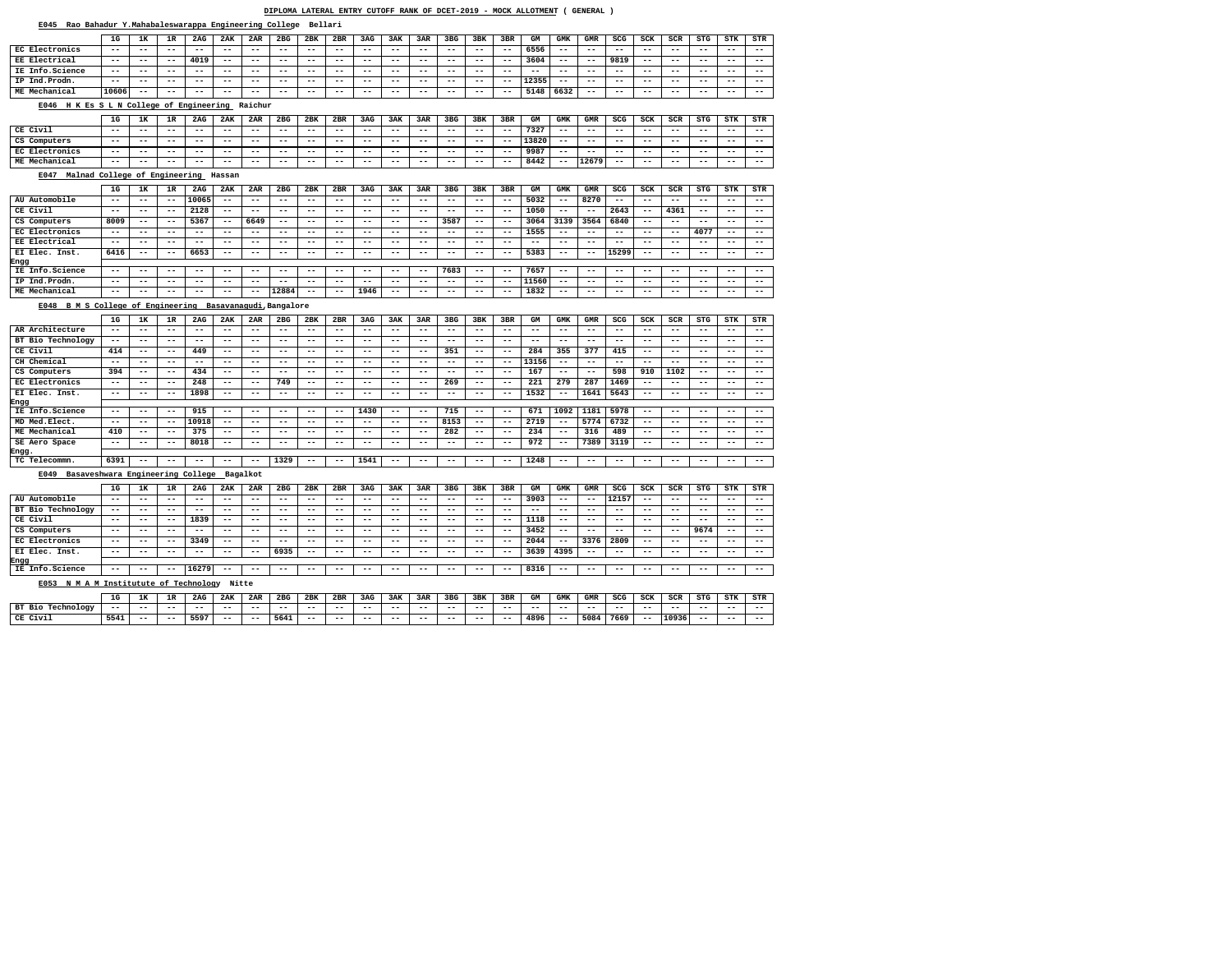## **E045 Rao Bahadur Y.Mahabaleswarappa Engineering College Bellari**

# **E046 H K Es S L N College of Engineering Raichur**

#### **E047 Malnad College of Engineering Hassan**

#### **E048 B M S College of Engineering Basavanagudi,Bangalore**

#### **E053 N M A M Institutute of Technology Nitte**

|                 | 1G    | 1 TZ<br>∸ | 1R    | 2AG   | 2AK   | 2AR   | 2 <sub>BG</sub> | 2BK   | 2BR   | 3AG   | 3AK   | 3AR   | 3 <sub>BG</sub> | 3BK   | 3BR   | GМ    | GMK   | GMR   | SCG   | SCK   | SCR   | STG   | STK   | STR   |
|-----------------|-------|-----------|-------|-------|-------|-------|-----------------|-------|-------|-------|-------|-------|-----------------|-------|-------|-------|-------|-------|-------|-------|-------|-------|-------|-------|
| EC Electronics  | $- -$ | $- -$     | $- -$ | $- -$ | $- -$ | $- -$ | $- -$           | $- -$ | $- -$ | $- -$ | $- -$ | $- -$ | $- -$           | $- -$ | $- -$ | 6556  | $- -$ | $- -$ | $- -$ | $- -$ | $- -$ | $- -$ | $- -$ | $- -$ |
| EE Electrical   | $- -$ | $- -$     | $- -$ | 4019  | $- -$ | $- -$ | $- -$           | $- -$ | $- -$ | $- -$ | $- -$ | $- -$ | $- -$           | $- -$ | $- -$ | 3604  | $- -$ | $- -$ | 9819  | --    | $- -$ | $- -$ | $- -$ | $- -$ |
| IE Info.Science | $- -$ | $- -$     | $- -$ | $- -$ | $- -$ | $- -$ | $- -$           | $- -$ | $- -$ | $- -$ | $- -$ | $- -$ | $- -$           | $- -$ | $- -$ | $- -$ | $- -$ | $- -$ | $- -$ | $- -$ | $- -$ | $- -$ | $- -$ | $- -$ |
| IP Ind.Prodn.   | $- -$ | $- -$     | $- -$ | $- -$ | $- -$ | $- -$ | $- -$           | $- -$ | $- -$ | $- -$ | $- -$ | $- -$ | $- -$           | $- -$ | $- -$ | 12355 | $- -$ | $- -$ | $- -$ | --    | $- -$ | $- -$ | $- -$ | $- -$ |
| ME Mechanical   | 10606 | $- -$     | $- -$ | $- -$ | $- -$ | $- -$ | $- -$           | $- -$ | $- -$ | $- -$ | $- -$ | $- -$ | $- -$           | $- -$ | $- -$ | 5148  | 6632  | $- -$ | $- -$ | $- -$ | $- -$ | $- -$ | $- -$ | $- -$ |

|                | 1G    | <b>1 TZ</b><br>ᅩ | ∸     | 2AG   | 2AK   | 2AR   | 2 <sub>BG</sub> | 2BK   | 2BR   | 3AG   | 3AK   | 3AR   | 3 <sub>BG</sub> | 3BK   | 3BR   | GМ    | GMK   | GMR   | SCG   | SCK   | SCR   | <b>STG</b> | STK   | STR   |
|----------------|-------|------------------|-------|-------|-------|-------|-----------------|-------|-------|-------|-------|-------|-----------------|-------|-------|-------|-------|-------|-------|-------|-------|------------|-------|-------|
| CE Civil       | $- -$ | $- -$            | $- -$ | $- -$ | $- -$ | $- -$ | $- -$           | $- -$ | $- -$ | $- -$ | $- -$ | $- -$ | $- -$           | $- -$ | ---   | 7327  | $- -$ | $- -$ | $- -$ | $- -$ | $- -$ | $- -$      | $- -$ | $- -$ |
| CS Computers   | $- -$ | --               | $- -$ | $- -$ | --    | $- -$ | $- -$           | $- -$ | $- -$ | $- -$ | $- -$ | $- -$ | $- -$           | $- -$ | $- -$ | .3820 | $- -$ | $- -$ | $- -$ | $- -$ | $- -$ | $- -$      | $- -$ | $- -$ |
| EC Electronics | $- -$ | $- -$            | $- -$ | $- -$ | $- -$ | $- -$ | $- -$           | $- -$ | $- -$ | $- -$ | $- -$ | $- -$ | $- -$           | $- -$ | ---   | 9987  | $- -$ | $- -$ | $- -$ | $- -$ | $- -$ | $- -$      | $- -$ | $- -$ |
| ME Mechanical  | --    | $- -$            | $- -$ | $- -$ | --    | $- -$ | $- -$           | $- -$ | $- -$ | $- -$ | $- -$ | $- -$ | $- -$           | $- -$ | ---   | 8442  | $- -$ | 12679 | $- -$ | $- -$ | $- -$ | $- -$      | $- -$ | $- -$ |
|                |       |                  |       |       |       |       |                 |       |       |       |       |       |                 |       |       |       |       |       |       |       |       |            |       |       |

|                 | 1G    | 1к    | 1R    | 2AG   | 2AK        | 2AR   | 2 <sub>BG</sub> | 2BK   | 2BR   | 3AG   | 3AK   | 3AR   | 3 <sub>BG</sub> | 3BK   | 3BR   | GМ    | GMK   | GMR   | SCG   | SCK   | <b>SCR</b> | STG   | STK   | STR   |
|-----------------|-------|-------|-------|-------|------------|-------|-----------------|-------|-------|-------|-------|-------|-----------------|-------|-------|-------|-------|-------|-------|-------|------------|-------|-------|-------|
| AU Automobile   | $- -$ | $- -$ | $- -$ | 10065 | --         | $- -$ | $- -$           | $- -$ | $- -$ | $- -$ | $- -$ | $- -$ | $- -$           | $- -$ | $ -$  | 5032  | $- -$ | 8270  | $- -$ | $- -$ | $- -$      | $ -$  | $- -$ | $- -$ |
| CE Civil        | $- -$ | $- -$ | $- -$ | 2128  | --         | $- -$ | $- -$           | $- -$ | $- -$ | $- -$ | $- -$ | $- -$ | $- -$           | $- -$ | $ -$  | 1050  | $- -$ | $- -$ | 2643  | $- -$ | 4361       | $- -$ | $- -$ | $- -$ |
| CS Computers    | 8009  | --    | $ -$  | 5367  | $\sim$ $-$ | 6649  | $- -$           | $- -$ | $- -$ | $- -$ | $- -$ | $- -$ | 3587            | $- -$ | $- -$ | 3064  | 3139  | 3564  | 6840  | $- -$ | $- -$      | $ -$  | $- -$ | $- -$ |
| EC Electronics  | $- -$ | $- -$ | --    | $- -$ | --         | $- -$ | $- -$           | $- -$ | $- -$ | $- -$ | $- -$ | $- -$ | $- -$           | $- -$ | $- -$ | 1555  | $- -$ | $- -$ | $- -$ | $- -$ | $- -$      | 4077  | $- -$ | $- -$ |
| EE Electrical   | $- -$ | $- -$ | $ -$  | $- -$ | --         | $- -$ | $- -$           | $- -$ | $- -$ | $- -$ | $- -$ | $- -$ | $- -$           | $- -$ | $ -$  | $- -$ | $- -$ | $- -$ | $- -$ | $- -$ | $- -$      | $- -$ | $- -$ | $- -$ |
| EI Elec. Inst.  | 6416  | --    | $- -$ | 6653  | --         | $- -$ | $- -$           | $- -$ | $- -$ | $- -$ | $- -$ | $- -$ | $- -$           | $- -$ | $- -$ | 5383  | $- -$ | $- -$ | 15299 | $- -$ | $- -$      | $ -$  | $- -$ | $- -$ |
| Engg            |       |       |       |       |            |       |                 |       |       |       |       |       |                 |       |       |       |       |       |       |       |            |       |       |       |
| IE Info.Science | $- -$ | --    | --    | $- -$ | - -        | $- -$ | $ -$            | $- -$ | --    | $- -$ | $- -$ | $- -$ | 7683            | $- -$ | $- -$ | 7657  | $- -$ | $ -$  | $- -$ | $- -$ | $ -$       | $ -$  | $- -$ | $- -$ |
| IP Ind.Prodn.   | $- -$ | $- -$ | $- -$ | $- -$ | --         | $- -$ | $- -$           | $- -$ | $- -$ | $- -$ | $- -$ | $- -$ | $- -$           | $- -$ | $- -$ | 11560 | $- -$ | $- -$ | $- -$ | $- -$ | $- -$      | $ -$  | $- -$ | $- -$ |
| ME Mechanical   | $- -$ |       | --    | $- -$ | --         | $- -$ | 12884           | --    | $- -$ | 1946  | $- -$ | $- -$ | --              | $- -$ | $ -$  | 1832  | $- -$ | $- -$ | $ -$  | $- -$ |            | --    | $- -$ | $- -$ |

|                                          | 1G    | 1ĸ    | 1R    | 2AG   | 2AK   | 2AR      | 2 <sub>BG</sub> | 2BK   | 2BR   | 3AG   | 3AK   | 3AR   | 3BG   | 3BK   | 3BR   | GМ    | GMK   | <b>GMR</b> | SCG   | SCK   | SCR   | STG   | STK   | STR   |
|------------------------------------------|-------|-------|-------|-------|-------|----------|-----------------|-------|-------|-------|-------|-------|-------|-------|-------|-------|-------|------------|-------|-------|-------|-------|-------|-------|
| AR Architecture                          | $- -$ | $- -$ | $- -$ | $- -$ | $- -$ | $- -$    | $- -$           | $- -$ | $- -$ | $- -$ | $ -$  | $- -$ | $- -$ | --    | $- -$ | $- -$ | $- -$ | $- -$      | $- -$ | $- -$ | $- -$ | $- -$ | $- -$ | $- -$ |
| BT Bio Technology                        | $- -$ | $- -$ | $- -$ | $- -$ | $- -$ | $- -$    | $- -$           | $- -$ | $- -$ | --    | $ -$  | $- -$ | $- -$ | --    | $- -$ | $- -$ | $- -$ | $- -$      | $- -$ | $- -$ | $- -$ | $- -$ | $- -$ | $- -$ |
| CE Civil                                 | 414   | $- -$ | $ -$  | 449   | $- -$ | $- -$    | $- -$           | $- -$ | $- -$ | --    | $- -$ | $- -$ | 351   | --    | $- -$ | 284   | 355   | 377        | 415   | $- -$ | $- -$ | $- -$ | $- -$ | $- -$ |
| CH Chemical                              | $- -$ | $- -$ | $- -$ | $- -$ | $- -$ | $- -$    | $- -$           | $- -$ | $- -$ | --    | $- -$ | $- -$ | $- -$ | --    | $- -$ | 13156 | $- -$ | $- -$      | $- -$ | $- -$ | $- -$ | $- -$ | $- -$ | $- -$ |
| CS Computers                             | 394   | $- -$ | $- -$ | 434   | $- -$ | $- -$    | $- -$           | $- -$ | $- -$ | $- -$ | $- -$ | $- -$ | $- -$ | --    | $- -$ | 167   | $- -$ | $- -$      | 598   | 910   | 1102  | $- -$ | $- -$ | $- -$ |
| EC Electronics                           | $- -$ | $- -$ | $- -$ | 248   | $- -$ | $- -$    | 749             | $- -$ | $- -$ | --    | $- -$ | $- -$ | 269   | --    | $- -$ | 221   | 279   | 287        | 1469  | $- -$ | $- -$ | $- -$ | $- -$ | $- -$ |
| EI Elec. Inst.                           | $- -$ | $- -$ | $ -$  | 1898  | $- -$ | $- -$    | $- -$           | $- -$ | $- -$ | --    | $ -$  | $- -$ | $- -$ | --    | $- -$ | 1532  | $- -$ | 1641       | 5643  | $- -$ | $- -$ | $- -$ | $- -$ | $- -$ |
| Engg                                     |       |       |       |       |       |          |                 |       |       |       |       |       |       |       |       |       |       |            |       |       |       |       |       |       |
| IE Info.Science                          | $- -$ | $- -$ | $- -$ | 915   | $- -$ | $- -$    | $- -$           | $- -$ | $- -$ | 1430  | $- -$ | $- -$ | 715   | --    | $- -$ | 671   | 1092  | 1181       | 5978  | $- -$ | $- -$ | $- -$ | $- -$ | $- -$ |
| MD Med.Elect.                            | $- -$ | $- -$ | $-$ - | 10918 | $- -$ | $- -$    | $- -$           | $- -$ | $- -$ | $- -$ | $- -$ | $- -$ | 8153  | --    | $- -$ | 2719  | $- -$ | 5774       | 6732  | $- -$ | $- -$ | $- -$ | $- -$ | $- -$ |
| ME Mechanical                            | 410   | $- -$ | $- -$ | 375   | $- -$ | $- -$    | $- -$           | $- -$ | $- -$ | --    | $- -$ | $- -$ | 282   | --    | $- -$ | 234   | $- -$ | 316        | 489   | $- -$ | $- -$ | $- -$ | $- -$ | $- -$ |
| SE Aero Space                            | $- -$ | $- -$ | $- -$ | 8018  | $- -$ | $- -$    | $- -$           | $- -$ | $- -$ | $- -$ | $- -$ | --    | --    | $- -$ | $- -$ | 972   | $- -$ | 7389       | 3119  | $- -$ | $- -$ | $- -$ | $- -$ | $- -$ |
| Engg.                                    |       |       |       |       |       |          |                 |       |       |       |       |       |       |       |       |       |       |            |       |       |       |       |       |       |
| TC Telecommn.                            | 6391  | $- -$ | $- -$ | $- -$ | $- -$ | $- -$    | 1329            | $- -$ | $- -$ | 1541  | $- -$ | $- -$ | $- -$ | --    | $- -$ | 1248  | $- -$ | $- -$      | $- -$ | $- -$ | $- -$ | $- -$ | $- -$ | $- -$ |
| E049<br>Basaveshwara Engineering College |       |       |       |       |       | Bagalkot |                 |       |       |       |       |       |       |       |       |       |       |            |       |       |       |       |       |       |

|                   | 1G    | 1ĸ    | 1R    | 2AG   | 2AK   | 2AR   | 2 <sub>BG</sub> | 2BK   | 2BR   | 3AG   | 3AK   | 3AR   | 3 <sub>BG</sub> | 3BK   | 3BR   | GМ    | GMK   | <b>GMR</b> | <b>SCG</b> | SCK   | <b>SCR</b> | STG   | STK   | STR   |
|-------------------|-------|-------|-------|-------|-------|-------|-----------------|-------|-------|-------|-------|-------|-----------------|-------|-------|-------|-------|------------|------------|-------|------------|-------|-------|-------|
| AU Automobile     | $- -$ | --    | $- -$ | $- -$ | $- -$ | $- -$ | $- -$           | $- -$ | $- -$ | $- -$ | $- -$ | $- -$ | $- -$           | $- -$ | $- -$ | 3903  | $- -$ | $- -$      | 12157      | $- -$ | $- -$      | $- -$ | $- -$ | $- -$ |
| BT Bio Technology | $- -$ | $- -$ | $- -$ | $- -$ | $- -$ | $- -$ | $- -$           | $- -$ | $- -$ | $- -$ | $- -$ | $- -$ | $- -$           | $- -$ | $- -$ | $- -$ | $- -$ | $- -$      | $- -$      | $- -$ | $- -$      | $- -$ | $- -$ | $- -$ |
| CE Civil          | $- -$ | --    | $- -$ | 1839  | $- -$ | $- -$ | $- -$           | $- -$ | $- -$ | $- -$ | $ -$  | $- -$ | $- -$           | $- -$ | $- -$ | 1118  | $- -$ | $- -$      | $- -$      | $- -$ | $- -$      | $- -$ | $- -$ | $- -$ |
| CS Computers      | $- -$ | $- -$ | $- -$ | $- -$ | $- -$ | $- -$ | $- -$           | $- -$ | $- -$ | $- -$ | $ -$  | $- -$ | $- -$           | $- -$ | $- -$ | 3452  | $- -$ | $- -$      | $- -$      | $- -$ | $- -$      | 9674  | $- -$ | $- -$ |
| EC Electronics    | $- -$ | $- -$ | $- -$ | 3349  | $- -$ | $- -$ | $- -$           | $- -$ | $- -$ | $- -$ | $- -$ | $- -$ | $- -$           | $- -$ | $- -$ | 2044  | $- -$ | 3376       | 2809       | $- -$ | $- -$      | $- -$ | $- -$ | $- -$ |
| EI Elec. Inst.    | $- -$ | --    | $- -$ | $- -$ | $- -$ | $- -$ | 6935            | $- -$ | $- -$ | $- -$ | $ -$  | $- -$ | $- -$           | $- -$ | $- -$ | 3639  | 4395  | $- -$      | $- -$      | $- -$ | $- -$      | $- -$ | $- -$ | $- -$ |
| Engg              |       |       |       |       |       |       |                 |       |       |       |       |       |                 |       |       |       |       |            |            |       |            |       |       |       |
| IE Info.Science   | $- -$ | --    | $- -$ | 16279 | --    | $- -$ | $ -$            | $- -$ | $- -$ | $ -$  | $ -$  | $- -$ | $- -$           | $- -$ | $- -$ | 8316  | $- -$ | $- -$      | $ -$       | $- -$ | $- -$      | $- -$ | $- -$ | $- -$ |

|                      | 1G              | --    | - 11 ב | 2AG   | 2AK   | 2AR   | 2 <sub>RC</sub>        | 2BK   | 2BR   | 3AG   | 3AK   | 3AR   | 3 <sub>BG</sub> | 3BK   | 3BR   | GM    | GMK   | <b>GMR</b> | SCG   | SCK   | SCR   | STG   | STK   | STR   |
|----------------------|-----------------|-------|--------|-------|-------|-------|------------------------|-------|-------|-------|-------|-------|-----------------|-------|-------|-------|-------|------------|-------|-------|-------|-------|-------|-------|
| BT Bio<br>Technology | $- -$           | $- -$ | $- -$  | $- -$ | $- -$ | $- -$ | ---                    | $- -$ | $- -$ | $- -$ | ---   | $- -$ | $- -$           | $- -$ | $- -$ | $- -$ | $- -$ | $- -$      | $- -$ | $- -$ | --    | $- -$ | $- -$ | $- -$ |
| CE Civil             | -- - -<br>⊥ביככ | $- -$ | $- -$  | 5597  | $- -$ | $- -$ | . <i>. .</i> .<br>564T | $- -$ | $- -$ | $- -$ | $- -$ | $- -$ | $- -$           | $- -$ | ---   | 4896  | $- -$ | 5084       | 7669  | $- -$ | 10936 | $- -$ | $- -$ | $- -$ |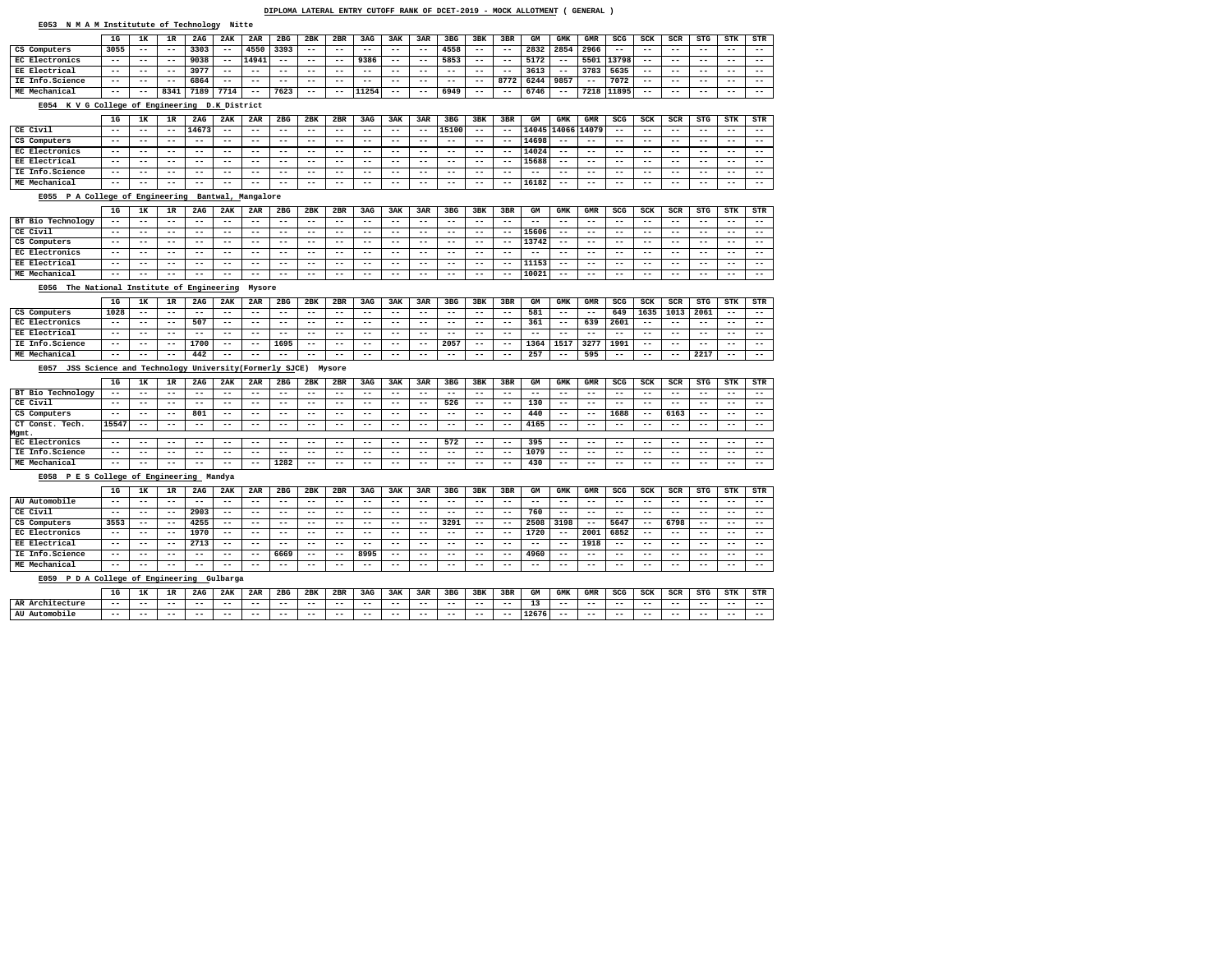#### **E053 N M A M Institutute of Technology Nitte**

#### **E054 K V G College of Engineering D.K District**

#### **E055 P A College of Engineering Bantwal, Mangalore**

#### **E056 The National Institute of Engineering Mysore**

## **E057 JSS Science and Technology University(Formerly SJCE) Mysore**

#### **E058 P E S College of Engineering Mandya**

## **E059 P D A College of Engineering Gulbarga**

|                 | 1G    | <b>172</b> | 1R    | 2AG  | 2AK   | 2AR   | 2 <sub>BG</sub> | 2BK   | 2BR   | 3AG   | 3AK   | 3AR   | 3 <sub>BG</sub> | 3BK   | 3BR   | GM   | GMK   | GMR   | SCG   | SCK   | SCR   | <b>STG</b> | <b>STK</b> | STR   |
|-----------------|-------|------------|-------|------|-------|-------|-----------------|-------|-------|-------|-------|-------|-----------------|-------|-------|------|-------|-------|-------|-------|-------|------------|------------|-------|
| CS Computers    | 3055  | $- -$      | $ -$  | 3303 | $- -$ | 4550  | 3393            | --    | $- -$ | $- -$ | $- -$ | $- -$ | 4558            | $- -$ | $- -$ | 2832 | 2854  | 2966  | $- -$ | $- -$ | $- -$ | $- -$      | $- -$      | $- -$ |
| EC Electronics  | $- -$ | $- -$      | $ -$  | 9038 | $- -$ | 14941 | $- -$           | $- -$ | $- -$ | 9386  | $- -$ | $- -$ | 5853            | $- -$ | $- -$ | 5172 | $- -$ | 5501  | 13798 | $- -$ | $- -$ | $- -$      | $- -$      | $- -$ |
| EE Electrical   | $- -$ | $- -$      | $ -$  | 3977 | $- -$ | $- -$ | $- -$           | $- -$ | $- -$ | $- -$ | $- -$ | $- -$ | $- -$           | $- -$ | $ -$  | 3613 | $- -$ | 3783  | 5635  | $- -$ | $- -$ | $- -$      | $- -$      | $- -$ |
| IE Info.Science | $- -$ | $- -$      | $- -$ | 6864 | $- -$ | $- -$ | $- -$           | $- -$ | $- -$ | $- -$ | $- -$ | $- -$ | $- -$           | $- -$ | 8772  | 6244 | 9857  | $- -$ | 7072  | $- -$ | $- -$ | $- -$      | $- -$      | $- -$ |
| ME Mechanical   | $- -$ | $ -$       | 8341  | 7189 | 7714  | $- -$ | 7623            | --    | $- -$ | 11254 | $- -$ | $- -$ | 6949            | $- -$ | $- -$ | 6746 | $- -$ | 7218  | 11895 | $- -$ | $- -$ | $- -$      | $- -$      | $- -$ |

|                      | 1G    | 1к    | 1 P<br>∸ | 2AG   | 2AK   | 2AR   | 2 <sub>BG</sub> | 2BK   | 2BR   | 3AG   | 3AK   | 3AR   | 3 <sub>BG</sub> | 3BK   | 3BR   | GМ    | GMK   | <b>GMR</b> | SCG   | SCK   | SCR   | <b>STG</b> | STK   | STR   |
|----------------------|-------|-------|----------|-------|-------|-------|-----------------|-------|-------|-------|-------|-------|-----------------|-------|-------|-------|-------|------------|-------|-------|-------|------------|-------|-------|
| CE Civil             | $- -$ | $- -$ | $- -$    | 14673 | $- -$ | --    | $- -$           | $- -$ | $- -$ | $- -$ | $- -$ | $- -$ | 15100.          | $- -$ | $- -$ | 14045 | 14066 | 14079      | $- -$ | $- -$ | $- -$ | $- -$      | $- -$ | $- -$ |
| CS Computers         | $- -$ | $- -$ | $- -$    | $- -$ | $- -$ | $- -$ | $- -$           | $- -$ | $- -$ | $- -$ | $- -$ | $- -$ | $- -$           | $- -$ | $- -$ | 14698 | $- -$ | $- -$      | $- -$ | $- -$ | $- -$ | $- -$      | $- -$ | $- -$ |
| EC Electronics       | $- -$ | $- -$ | $- -$    | $- -$ | $- -$ | $- -$ | $- -$           | $- -$ | $- -$ | $- -$ | $- -$ | $- -$ | $- -$           | $- -$ | $ -$  | 14024 | $- -$ | $- -$      | $- -$ | $- -$ | $- -$ | $- -$      | $- -$ | $- -$ |
| <b>EE Electrical</b> | $- -$ | --    | $- -$    | $- -$ | $- -$ | $- -$ | $- -$           | $- -$ | $- -$ | $- -$ | $- -$ | $- -$ | $- -$           | $- -$ | $- -$ | 15688 | $- -$ | $- -$      | $- -$ | $- -$ | $- -$ | $- -$      | $- -$ | $- -$ |
| IE Info.Science      | $- -$ | $- -$ | $- -$    | $- -$ | $- -$ | $- -$ | $- -$           | $- -$ | $- -$ | $- -$ | $- -$ | $- -$ | $- -$           | $- -$ | $- -$ | $- -$ | $- -$ | $- -$      | $- -$ | $- -$ | $- -$ | $- -$      | $- -$ | $- -$ |
| ME Mechanical        | $- -$ | --    | $- -$    | $- -$ | --    | $- -$ | $- -$           | $- -$ | $- -$ | $- -$ | $- -$ | $- -$ | $- -$           | $- -$ | $- -$ | 16182 | $- -$ | $- -$      | $- -$ | $- -$ | $- -$ | $- -$      | $- -$ | $- -$ |

|                      | 1G    | - 72  | 1R    | 2AG   | 2AK   | 2AR   | 2 <sub>BG</sub> | 2BK   | 2BR   | 3AG   | 3AK   | 3AR   | 3 <sub>BG</sub> | 3BK   | 3BR   | GМ    | GMK   | GMR   | SCG   | SCK   | SCR   | STG   | STK   | STR   |
|----------------------|-------|-------|-------|-------|-------|-------|-----------------|-------|-------|-------|-------|-------|-----------------|-------|-------|-------|-------|-------|-------|-------|-------|-------|-------|-------|
| BT Bio Technology    | $- -$ | $- -$ | $- -$ | $- -$ | $- -$ | $- -$ | $- -$           | $- -$ | $- -$ | $- -$ | $- -$ | $- -$ | $- -$           | $- -$ | $- -$ | $- -$ | $- -$ | $- -$ | $- -$ | $- -$ | $- -$ | $- -$ | $- -$ | $- -$ |
| CE Civil             | $- -$ | $- -$ | $- -$ | $- -$ | $- -$ | $- -$ | $- -$           | $- -$ | $- -$ | $- -$ | $- -$ | $- -$ | $- -$           | $- -$ | $- -$ | 15606 | $- -$ | $- -$ | $- -$ | $- -$ | $- -$ | $- -$ | $- -$ | $- -$ |
| CS Computers         | $- -$ | $- -$ | $- -$ | $- -$ | $- -$ | $- -$ | $- -$           | $- -$ | $- -$ | $- -$ | $- -$ | $- -$ | $- -$           | $- -$ | $- -$ | 13742 | $- -$ | $- -$ | $- -$ | $- -$ | $- -$ | $- -$ | $- -$ | $- -$ |
| EC Electronics       | $- -$ | $- -$ | $- -$ | $- -$ | $- -$ | $- -$ | $- -$           | $- -$ | $- -$ | $- -$ | $- -$ | $- -$ | $- -$           | $- -$ | $- -$ | $- -$ | $- -$ | $- -$ | $- -$ | $- -$ | $- -$ | $- -$ | $- -$ | $- -$ |
| <b>EE Electrical</b> | $- -$ | $- -$ | $- -$ | $- -$ | $- -$ | $- -$ | $- -$           | $- -$ | $- -$ | $- -$ | $- -$ | $- -$ | $- -$           | $- -$ | $- -$ | 11153 | $- -$ | $- -$ | $ -$  | $- -$ | $- -$ | $- -$ | $- -$ | $- -$ |
| ME Mechanical        | $- -$ | $- -$ | $- -$ | $- -$ | $- -$ | $- -$ | $- -$           | $- -$ | $- -$ | $- -$ | $- -$ | $- -$ | $- -$           | $- -$ | $- -$ | 10021 | $- -$ | $- -$ | $- -$ | $- -$ | $- -$ | $- -$ | $- -$ | $- -$ |

|                      | 1G    | 1 v   | 1 D.  | 2AG   | 2AK   | 2AR   | 2 <sub>BG</sub> | 2BK   | 2BR   | 3AG   | 3AK   | 3AR   | 3 <sub>BG</sub>                      | 3BK   | 3BR   | GМ    | GMK    | <b>GMR</b> | SCG   | <b>SCK</b> | SCR   | <b>STG</b> | STK   | STR   |
|----------------------|-------|-------|-------|-------|-------|-------|-----------------|-------|-------|-------|-------|-------|--------------------------------------|-------|-------|-------|--------|------------|-------|------------|-------|------------|-------|-------|
| CS Computers         | 1028  | $- -$ | $- -$ | $- -$ | $- -$ | $- -$ | $- -$           | $- -$ | $- -$ | $- -$ | $- -$ | $- -$ | $- -$                                | $- -$ | $- -$ | 581   | $  \,$ | $- -$      | 649   | 1635       | 1013  | 2061       | $- -$ | $- -$ |
| EC Electronics       | $- -$ | $- -$ | $- -$ | 507   | $- -$ | $- -$ | $- -$           | $- -$ | $- -$ | $- -$ | $- -$ | $- -$ | $- -$                                | $- -$ | $- -$ | 361   | $- -$  | 639        | 2601  | $- -$      | --    | $- -$      | $- -$ | $- -$ |
| <b>EE Electrical</b> | $- -$ | $- -$ | $- -$ | $- -$ | $- -$ | $- -$ | $- -$           | $- -$ | $- -$ | $- -$ | $- -$ | $- -$ | $- -$                                | $- -$ | $- -$ | $- -$ | $- -$  | $- -$      | $- -$ | $- -$      | $- -$ | $- -$      | $- -$ | $- -$ |
| IE Info.Science      | $- -$ | $- -$ | $- -$ | 1700  | $- -$ | $- -$ | 1695            | $- -$ | $- -$ | $- -$ | $- -$ | $- -$ | $\bigcap_{n \in \mathbb{N}}$<br>2057 | $- -$ | $- -$ | 1364  | 1517   | 3277       | 1991  | $- -$      | --    | $- -$      | $- -$ | $- -$ |
| ME Mechanical        | $- -$ | $- -$ | $- -$ | 442   | $- -$ | $- -$ | $ -$            | $- -$ | $- -$ | $- -$ | $- -$ | $- -$ | $- -$                                | $- -$ | $- -$ | 257   | $- -$  | 595        | $- -$ | $- -$      | $- -$ | 2217       | $- -$ | $- -$ |

|                       | 1G    | l Tz<br>ᅩᄾ | ᅩᅑ    | 2AG   | 2AK   | 2AR   | 2 <sub>BG</sub> | 2BK   | 2BR   | 3AG   | 3AK   | 3AR   | 3 <sub>BG</sub> | 3BK   | 3BR   | GМ    | GMK   | <b>GMR</b> | SCG   | <b>SCK</b> | SCR   | STG   | STK   | STR   |
|-----------------------|-------|------------|-------|-------|-------|-------|-----------------|-------|-------|-------|-------|-------|-----------------|-------|-------|-------|-------|------------|-------|------------|-------|-------|-------|-------|
| BT Bio Technology     | $- -$ | $- -$      | $- -$ | $- -$ | $- -$ | $- -$ | $- -$           | $- -$ | $- -$ | $- -$ | $- -$ | $- -$ | $- -$           | $- -$ | $- -$ | $- -$ | $- -$ | $- -$      | $- -$ | $- -$      | $- -$ | $- -$ | $- -$ | $- -$ |
| CE Civil              | $- -$ | $- -$      | $- -$ | $- -$ | --    | $- -$ | $- -$           | $- -$ | --    | $- -$ | $- -$ | $- -$ | 526             | $- -$ | $- -$ | 130   | --    | $- -$      | $- -$ | $- -$      | --    | $- -$ | $- -$ | $- -$ |
| CS Computers          | $- -$ | $- -$      | $- -$ | 801   | $- -$ | $- -$ | $- -$           | $- -$ | $- -$ | $- -$ | $- -$ | $- -$ | $- -$           | $- -$ | $- -$ | 440   | $- -$ | $- -$      | 1688  | $ -$       | 6163  | $- -$ | $- -$ | $- -$ |
| CT Const. Tech.       | 15547 | $- -$      | $- -$ | $- -$ | --    | $- -$ | $- -$           | --    | $- -$ | $- -$ | $- -$ | $- -$ | --              | $- -$ | $- -$ | 4165  | --    | $- -$      | $- -$ | $- -$      | --    | $- -$ | $- -$ | $- -$ |
| Mgmt.                 |       |            |       |       |       |       |                 |       |       |       |       |       |                 |       |       |       |       |            |       |            |       |       |       |       |
| <b>EC Electronics</b> | $- -$ | $- -$      | $- -$ | $- -$ | $- -$ | $- -$ | $- -$           | $- -$ | $- -$ | $- -$ | $- -$ | $- -$ | 572             | $- -$ | $- -$ | 395   | $- -$ | $- -$      | $- -$ | $- -$      | $- -$ | $- -$ | $- -$ | $- -$ |
| IE Info.Science       | $- -$ | $- -$      | $- -$ | $- -$ | $- -$ | $- -$ | $- -$           | $- -$ | $- -$ | $- -$ | $- -$ | $- -$ | --              | $- -$ | $- -$ | 1079  | --    | $- -$      | $- -$ | $- -$      | --    | $- -$ | $- -$ | $- -$ |
| ME Mechanical         | $- -$ | $- -$      | $- -$ | $- -$ | --    | $- -$ | 1282            | --    | --    | $- -$ | $- -$ | $- -$ | --              | $- -$ | $- -$ | 430   | --    | $- -$      | $- -$ | $- -$      | --    | $- -$ | $- -$ | $- -$ |

|                 | 1G    | <b>175</b> | 1R    | 2AG   | 2AK   | 2AR   | 2 <sub>BG</sub> | 2BK   | 2BR   | 3AG   | 3AK   | 3AR   | 3 <sub>BG</sub> | 3BK   | 3BR   | GМ    | GMK   | <b>GMR</b> | SCG   | SCK   | SCR   | <b>STG</b> | STK   | STR   |
|-----------------|-------|------------|-------|-------|-------|-------|-----------------|-------|-------|-------|-------|-------|-----------------|-------|-------|-------|-------|------------|-------|-------|-------|------------|-------|-------|
| AU Automobile   | $- -$ | $- -$      | $- -$ | $- -$ | $- -$ | $- -$ | $- -$           | $- -$ | $- -$ | $- -$ | $- -$ | $- -$ | $- -$           | $- -$ | $- -$ | $- -$ | $- -$ | $- -$      | $- -$ | $- -$ | $- -$ | $- -$      | $- -$ | $- -$ |
| CE Civil        | $- -$ | $- -$      | $- -$ | 2903  | --    | $- -$ | $- -$           | $- -$ | $- -$ | $- -$ | $- -$ | $- -$ | $- -$           | $- -$ | $- -$ | 760   | $- -$ | $- -$      | $- -$ | $- -$ | $- -$ | $- -$      | $- -$ | $- -$ |
| CS Computers    | 3553  | $- -$      | $- -$ | 4255  | $- -$ | $- -$ | $- -$           | $- -$ | $- -$ | $- -$ | $- -$ | $- -$ | 3291            | $- -$ | $ -$  | 2508  | 3198  | $- -$      | 5647  | $ -$  | 6798  | $- -$      | $- -$ | $- -$ |
| EC Electronics  | $- -$ | $- -$      | $- -$ | 1970  | --    | $- -$ | $- -$           | $- -$ | $- -$ | $- -$ | $- -$ | $- -$ | $- -$           | $- -$ | $- -$ | 1720  | $- -$ | 2001       | 6852  | $- -$ | $- -$ | $- -$      | $- -$ | $- -$ |
| EE Electrical   | $- -$ | $- -$      | $- -$ | 2713  | $- -$ | $- -$ | $- -$           | $- -$ | $- -$ | $- -$ | $- -$ | $- -$ | $- -$           | $- -$ | $- -$ | $- -$ | $ -$  | 1918       | $- -$ | $- -$ | $- -$ | $- -$      | $- -$ | $- -$ |
| IE Info.Science | $- -$ | $- -$      | $- -$ | $- -$ | $- -$ | $- -$ | 6669            | $- -$ | $- -$ | 8995  | $- -$ | $- -$ | $- -$           | $- -$ | $- -$ | 4960  | $- -$ | $- -$      | $- -$ | $- -$ | $- -$ | $- -$      | $- -$ | $- -$ |
| ME Mechanical   | $- -$ | $- -$      | $- -$ | $- -$ | $- -$ | $- -$ | $- -$           | $- -$ | $- -$ | $- -$ | $- -$ | $- -$ | $- -$           | $- -$ | $- -$ | $- -$ | $- -$ | $- -$      | $- -$ | $- -$ | $- -$ | $- -$      | $- -$ | $- -$ |

|                           | 1 <sub>G</sub> | -- | 1 P<br>-- | 2AG   | 2AK   | 2AR   | 2BG | 2BK  | 2BF   | 3AG     | <b>RAX</b> | 3AR   | 3 <sub>BG</sub> | 3BK   | סם? | GМ                                  | GMK   | <b>GMR</b> | SCG   | SCK   | SCR   | <b>STG</b> | STK   | STR   |
|---------------------------|----------------|----|-----------|-------|-------|-------|-----|------|-------|---------|------------|-------|-----------------|-------|-----|-------------------------------------|-------|------------|-------|-------|-------|------------|-------|-------|
| AR Arc<br>itecture<br>בתי | $- -$          | -- | $- -$     | --    | $- -$ | $- -$ | --- | $ -$ | $- -$ | $- -$   | $- -$      | $- -$ | $- -$           | $- -$ | --- | --                                  | ---   | $- -$      | $- -$ | $- -$ | $- -$ | $- -$      | $- -$ | $- -$ |
| <b>AU Automobile</b>      | $- -$          |    | $- -$     | $- -$ | $- -$ | $- -$ | --  | $ -$ | $- -$ | $- - -$ | ---        | $- -$ | $- -$           | $- -$ | --- | $\sim$ $\sim$ $\sim$<br>$\pm$ 26.15 | $- -$ | $- -$      | $- -$ | $- -$ | $- -$ | $- -$      | $- -$ | $- -$ |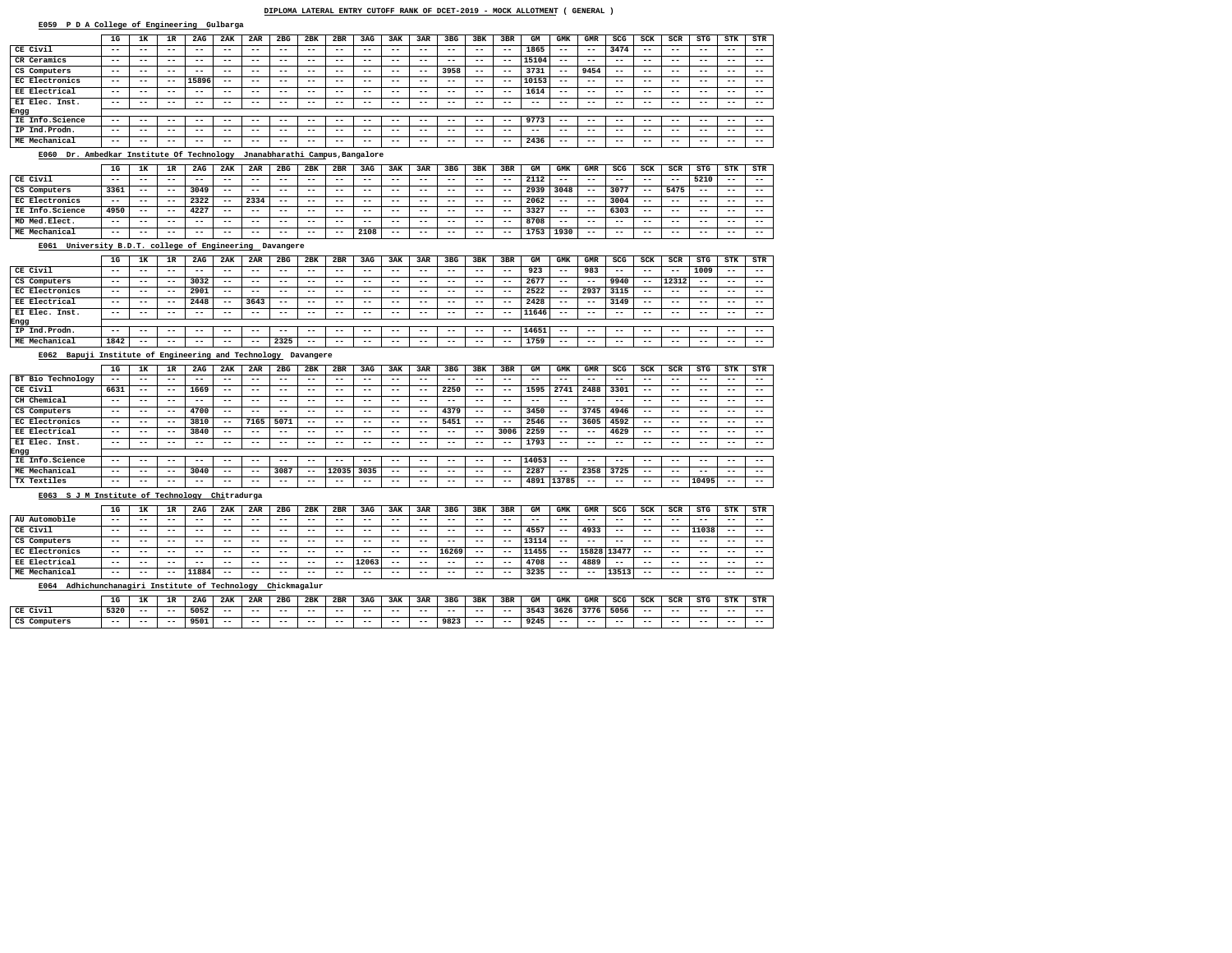## **E059 P D A College of Engineering Gulbarga**

#### **E064 Adhichunchanagiri Institute of Technology Chickmagalur**

|                                                        | 1G                       | 1к                | 1R                         | 2AG               | 2AK               | 2AR               | 2 <sub>BG</sub> | 2BK               | 2BR                             | 3AG   | 3AK               | 3AR               | 3 <sub>BG</sub>   | 3BK               | 3BR                        | GM                | <b>GMK</b>                 | <b>GMR</b>               | SCG                        | SCK               | SCR               | <b>STG</b> | STK                        | STR                      |
|--------------------------------------------------------|--------------------------|-------------------|----------------------------|-------------------|-------------------|-------------------|-----------------|-------------------|---------------------------------|-------|-------------------|-------------------|-------------------|-------------------|----------------------------|-------------------|----------------------------|--------------------------|----------------------------|-------------------|-------------------|------------|----------------------------|--------------------------|
| CE Civil                                               | $- -$                    | --                | $- -$                      | $- -$             | $- -$             | $- -$             | $- -$           | $\qquad \qquad -$ | $- -$                           | $- -$ | $- -$             | $- -$             | $\qquad \qquad -$ | $ -$              | $- -$                      | 1865              | $- -$                      | $- -$                    | 3474                       | $\qquad \qquad -$ | $- -$             | $ -$       | $\qquad \qquad -$          | $- -$                    |
| CR Ceramics                                            | $- -$                    | $- -$             | $\qquad \qquad -$          | $- -$             | $\qquad \qquad -$ | $- -$             | $- -$           | $- -$             | $ -$                            | $- -$ | $- -$             | $\qquad \qquad -$ | $\qquad \qquad -$ | $- -$             | $- -$                      | 15104             | $\qquad \qquad -$          | $\qquad \qquad -$        | $- -$                      | $- -$             | $- -$             | $- -$      | $\qquad \qquad -$          | $- -$                    |
| CS Computers                                           | $- -$                    | $\qquad \qquad -$ | $\qquad \qquad -$          | $- -$             | $- -$             | $\qquad \qquad -$ | $- -$           | $- -$             | $ -$                            | $- -$ | $- -$             | $- -$             | 3958              | $ -$              | $- -$                      | 3731              | $- -$                      | 9454                     | $\qquad \qquad -$          | $- -$             | $- -$             | $ -$       | $\overline{\phantom{m}}$ . | $- -$                    |
| EC Electronics                                         | $- -$                    | --                | $- -$                      | 15896             | $\qquad \qquad -$ | $- -$             | $- -$           | $- -$             | $ -$                            | $ -$  | $ -$              | $- -$             | $- -$             | $- -$             | $- -$                      | 10153             | $- -$                      | $- -$                    | $- -$                      | $- -$             | $- -$             | $- -$      | $- -$                      | $- -$                    |
| EE Electrical                                          | $- -$                    | --                | $- -$                      | $- -$             | $- -$             | $- -$             | $ -$            | $ -$              | $ -$                            | $ -$  | $ -$              | $- -$             | $- -$             | $- -$             | $- -$                      | 1614              | $- -$                      | $- -$                    | $- -$                      | $- -$             | $- -$             | $- -$      | $- -$                      | $\overline{\phantom{m}}$ |
| EI Elec. Inst.                                         | $- -$                    | $ -$              | $\qquad \qquad -$          | $- -$             | $\qquad \qquad -$ | $- -$             | $- -$           | $- -$             | $ -$                            | $- -$ | $- -$             | $\qquad \qquad -$ | $\qquad \qquad -$ | $- -$             | $- -$                      | $- -$             | $\qquad \qquad -$          | $\qquad \qquad -$        | $\qquad \qquad -$          | $- -$             | $- -$             | $- -$      | $\qquad \qquad -$          | $- -$                    |
| Engg                                                   |                          |                   |                            |                   |                   |                   |                 |                   |                                 |       |                   |                   |                   |                   |                            |                   |                            |                          |                            |                   |                   |            |                            |                          |
| IE Info.Science                                        | $- -$                    | $- -$             | $- -$                      | $\frac{1}{2}$     | $ -$              | $- -$             | $- -$           | $ -$              | $ -$                            | $ -$  | $- -$             | $- -$             | $- -$             | $- -$             | $- -$                      | 9773              | $ -$                       | $- -$                    | $- -$                      | $- -$             | $- -$             | $- -$      | $- -$                      | $\overline{\phantom{m}}$ |
| IP Ind. Prodn.                                         | $- -$                    | $ -$              | $- -$                      | $- -$             | $- -$             | $- -$             | $ -$            | $- -$             | $ -$                            | $ -$  | $ -$              | $- -$             | $- -$             | $- -$             | $- -$                      | $- -$             | $\qquad \qquad -$          | $- -$                    | $- -$                      | $- -$             | $- -$             | $- -$      | $- -$                      | $- -$                    |
| ME Mechanical                                          | $- -$                    | $- -$             | $- -$                      | $- -$             | $ -$              | $- -$             | $- -$           | $- -$             | $ -$                            | $ -$  | $- -$             | $\qquad \qquad -$ | $- -$             | $- -$             | $- -$                      | 2436              | $\qquad \qquad -$          | $- -$                    | $- -$                      | $- -$             | $- -$             | $- -$      | $\qquad \qquad -$          | $- -$                    |
| Dr. Ambedkar Institute Of Technology<br>E060           |                          |                   |                            |                   |                   |                   |                 |                   | Jnanabharathi Campus, Bangalore |       |                   |                   |                   |                   |                            |                   |                            |                          |                            |                   |                   |            |                            |                          |
|                                                        | 1G                       | 1к                | 1R                         | 2AG               | 2AK               | 2AR               | 2 <sub>BG</sub> | 2BK               | 2BR                             | 3AG   | 3AK               | 3AR               | 3 <sub>BG</sub>   | 3BK               | 3BR                        | GM                | <b>GMK</b>                 | GMR                      | SCG                        | <b>SCK</b>        | SCR               | <b>STG</b> | <b>STK</b>                 | STR                      |
| CE Civil                                               | $- -$                    | --                | $- -$                      | $\frac{1}{2}$     | $ -$              | $- -$             | $- -$           | $ -$              | $- -$                           | $ -$  | $- -$             | $- -$             | $- -$             | $- -$             | $- -$                      | 2112              | $- -$                      | $- -$                    | $- -$                      | $- -$             | $- -$             | 5210       | $- -$                      | $ -$                     |
| CS Computers                                           | 3361                     | $- -$             | $ -$                       | 3049              | $ -$              | $\qquad \qquad -$ | $ -$            | $ -$              | $ -$                            | $- -$ | $- -$             | $\qquad \qquad -$ | $\qquad \qquad -$ | $\qquad \qquad -$ | $- -$                      | 2939              | 3048                       | $ -$                     | 3077                       | $ -$              | 5475              | $ -$       | $\qquad \qquad -$          | $- -$                    |
| EC Electronics                                         | $ -$                     | $- -$             | $- -$                      | 2322              | $ -$              | 2334              | $ -$            | $ -$              | $ -$                            | $- -$ | $- -$             | $- -$             | $- -$             | $ -$              | $- -$                      | 2062              | $- -$                      | $- -$                    | 3004                       | $- -$             | $- -$             | $ -$       | $\qquad \qquad -$          | $- -$                    |
| IE Info.Science                                        | 4950                     | $- -$             | $- -$                      | 4227              | $ -$              | $\qquad \qquad -$ | $- -$           | $- -$             | $ -$                            | $- -$ | $ -$              | $- -$             | $- -$             | $\qquad \qquad -$ | $ -$                       | 3327              | $\overline{\phantom{m}}$ . | $ -$                     | 6303                       | $\qquad \qquad -$ | $- -$             | $ -$       | $- -$                      | $ -$                     |
| MD Med.Elect.                                          | $- -$                    | $- -$             | $- -$                      | $- -$             | $- -$             | $- -$             | $- -$           | $- -$             | $ -$                            | $ -$  | $ -$              | $ -$              | $ -$              | $ -$              | $- -$                      | 8708              | $\qquad \qquad -$          | $- -$                    | $- -$                      | $- -$             | $- -$             | $ -$       | $- -$                      | $- -$                    |
| ME Mechanical                                          | $- -$                    | $- -$             | $- -$                      | $\frac{1}{2}$     | $- -$             | $- -$             | $- -$           | $ -$              | $ -$                            | 2108  | $- -$             | $\qquad \qquad -$ | $- -$             | $ -$              | $- -$                      | 1753              | 1930                       | $- -$                    | $\overline{\phantom{m}}$   | $\qquad \qquad -$ | $- -$             | $- -$      | $\qquad \qquad -$          | $- -$                    |
| University B.D.T. college of Engineering<br>E061       |                          |                   |                            |                   |                   |                   | Davangere       |                   |                                 |       |                   |                   |                   |                   |                            |                   |                            |                          |                            |                   |                   |            |                            |                          |
|                                                        | 1G                       | 1K                | 1R                         | 2AG               | 2AK               | 2AR               | 2 <sub>BG</sub> | 2BK               | 2BR                             | 3AG   | 3AK               | 3AR               | 3 <sub>BG</sub>   | 3BK               | 3BR                        | GМ                | <b>GMK</b>                 | GMR                      | SCG                        | SCK               | SCR               | <b>STG</b> | <b>STK</b>                 | STR                      |
| CE Civil                                               | $- -$                    | $- -$             | $- -$                      | $\frac{1}{2}$     | $ -$              | $\qquad \qquad -$ | $ -$            | $ -$              | $ -$                            | $ -$  | $- -$             | $- -$             | $- -$             | $ -$              | $- -$                      | 923               | $\qquad \qquad -$          | 983                      | $\overline{\phantom{m}}$ . | $ -$              | $ -$              | 1009       | $ -$                       | $- -$                    |
| CS Computers                                           | $- -$                    | $- -$             | $\overline{\phantom{m}}$ . | 3032              | $ -$              | $\qquad \qquad -$ | $- -$           | $- -$             | $ -$                            | $- -$ | $ -$              | $\qquad \qquad -$ | $- -$             | $\qquad \qquad -$ | $- -$                      | 2677              | $ -$                       | $ -$                     | 9940                       | $\qquad \qquad -$ | 12312             | $ -$       | $\qquad \qquad -$          | $- -$                    |
| EC Electronics                                         | $ -$                     | $- -$             | $- -$                      | 2901              | $ -$              | $- -$             | $- -$           | $ -$              | $- -$                           | $ -$  | $ -$              | $- -$             | $- -$             | $- -$             | $- -$                      | 2522              | $\qquad \qquad -$          | 2937                     | 3115                       | $- -$             | $- -$             | $- -$      | $\qquad \qquad -$          | $ -$                     |
| EE Electrical                                          | $\qquad \qquad -$        | $- -$             | $- -$                      | 2448              | $ -$              | 3643              | $- -$           | $ -$              | $ -$                            | $- -$ | $ -$              | $- -$             | $- -$             | $\qquad \qquad -$ | $ -$                       | 2428              | $\qquad \qquad -$          | $ -$                     | 3149                       | $ -$              | $\qquad \qquad -$ | $- -$      | $- -$                      | $- -$                    |
| EI Elec. Inst.                                         | $- -$                    | $- -$             | $- -$                      | $- -$             | $ -$              | $\qquad \qquad -$ | $ -$            | $ -$              | $ -$                            | $- -$ | $- -$             | $- -$             | $- -$             | $ -$              | $- -$                      | 11646             | $\qquad \qquad -$          | $- -$                    | $- -$                      | $- -$             | $- -$             | $- -$      | $\qquad \qquad -$          | $- -$                    |
| Engg                                                   |                          |                   |                            |                   |                   |                   |                 |                   |                                 |       |                   |                   |                   |                   |                            |                   |                            |                          |                            |                   |                   |            |                            |                          |
| IP Ind. Prodn.                                         | $- -$                    | --                | $- -$                      | $- -$             | $- -$             | $- -$             | $ -$            | $- -$             | $- -$                           | $- -$ | $ -$              | $- -$             | $- -$             | $ -$              | $- -$                      | 14651             | $- -$                      | $- -$                    | $- -$                      | $- -$             | --                | $ -$       | $- -$                      | $- -$                    |
| ME Mechanical                                          | 1842                     | $- -$             | $\qquad \qquad -$          | $- -$             | $ -$              | $- -$             | 2325            | $ -$              | $ -$                            | $- -$ | $- -$             | $- -$             | $\frac{1}{2}$     | $ -$              | $\overline{\phantom{m}}$ . | 1759              | $\qquad \qquad -$          | $\overline{\phantom{m}}$ | $- -$                      | $\qquad \qquad -$ | $- -$             | $- -$      | $\qquad \qquad -$          | $- -$                    |
| Bapuji Institute of Engineering and Technology<br>E062 |                          |                   |                            |                   |                   |                   |                 | Davangere         |                                 |       |                   |                   |                   |                   |                            |                   |                            |                          |                            |                   |                   |            |                            |                          |
|                                                        | 1G                       | 1ĸ                | 1R                         | 2AG               | 2AK               | 2AR               | 2 <sub>BG</sub> | 2BK               | 2BR                             | 3AG   | 3AK               | 3AR               | 3 <sub>BG</sub>   | 3BK               | 3BR                        | GМ                | GMK                        | GMR                      | SCG                        | SCK               | SCR               | <b>STG</b> | STK                        | STR                      |
| BT Bio Technology                                      |                          |                   |                            |                   | $- -$             |                   | $- -$           |                   |                                 |       |                   |                   |                   |                   |                            |                   |                            |                          |                            |                   |                   |            |                            |                          |
| CE Civil                                               | 6631                     | $- -$             | $\overline{\phantom{m}}$ . | 1669              | $- -$             | $- -$             | $- -$           | $ -$              | $- -$                           | $- -$ | $- -$             | $- -$             | 2250              | $ -$              | $\overline{\phantom{m}}$   | 1595              | 2741                       | 2488                     | 3301                       | $\qquad \qquad -$ | $- -$             | $- -$      | $- -$                      | $- -$                    |
| CH Chemical                                            | $\qquad \qquad -$        | $- -$             | $\overline{\phantom{m}}$ . | $\qquad \qquad -$ | $- -$             | $- -$             | $- -$           | $- -$             | $- -$                           | $- -$ | $- -$             | $\qquad \qquad -$ | $- -$             | $- -$             | $- -$                      | $\qquad \qquad -$ | $\qquad \qquad -$          | $- -$                    | $- -$                      | $\qquad \qquad -$ | $- -$             | $- -$      | $- -$                      | $- -$                    |
| CS Computers                                           | $ -$                     | $\qquad \qquad -$ | $ -$                       | 4700              | $- -$             | $- -$             | $- -$           | $- -$             | $- -$                           | $- -$ | $- -$             | $- -$             | 4379              | $- -$             | $\overline{\phantom{m}}$ – | 3450              | $- -$                      | 3745                     | 4946                       | $\qquad \qquad -$ | $- -$             | $- -$      | $- -$                      | $- -$                    |
| <b>EC Electronics</b>                                  | $ -$                     | $- -$             | $\overline{\phantom{m}}$ . | 3810              | $- -$             | 7165              | 5071            | $- -$             | $- -$                           | $- -$ | $- -$             | $- -$             | 5451              | $- -$             | $ -$                       | 2546              | $- -$                      | $3605$                   | 4592                       | $- -$             | $- -$             | $- -$      | $- -$                      | $- -$                    |
| <b>EE Electrical</b>                                   | $ -$                     | $- -$             | $- -$                      | 3840              | $- -$             | $- -$             | $- -$           | $- -$             | $- -$                           | $- -$ | $- -$             | $- -$             | $- -$             | $\qquad \qquad -$ | 3006                       | 2259              | $- -$                      | $- -$                    | 4629                       | $- -$             | $- -$             | $- -$      | $- -$                      | $- -$                    |
| EI Elec. Inst.                                         | $\qquad \qquad -$        | $- -$             | $\overline{\phantom{m}}$   | $- -$             | $- -$             | $- -$             | $- -$           | $- -$             | $- -$                           | $- -$ | $- -$             | $- -$             | $- -$             | $- -$             | $ -$                       | 1793              | $- -$                      | $\qquad \qquad -$        | $\qquad \qquad -$          | $- -$             | $- -$             | $- -$      | $- -$                      | $- -$                    |
| Engg                                                   |                          |                   |                            |                   |                   |                   |                 |                   |                                 |       |                   |                   |                   |                   |                            |                   |                            |                          |                            |                   |                   |            |                            |                          |
| IE Info.Science                                        | $\overline{\phantom{m}}$ | $- -$             | $- -$                      | $\qquad \qquad -$ | $ -$              | $- -$             | $ -$            | $- -$             | $- -$                           |       | $\qquad \qquad -$ | $- -$             | $- -$             | $- -$             | $ -$                       | 14053             | $- -$                      | $ -$                     | $\qquad \qquad -$          | $- -$             | $- -$             | $- -$      | $\qquad \qquad -$          | $- -$                    |
| ME Mechanical                                          | $ -$                     | $- -$             | $\qquad \qquad -$          | 3040              | $ -$              | $\qquad \qquad -$ | 3087            | $- -$             | 12035                           | 3035  | $- -$             | $\qquad \qquad -$ | $- -$             | $\qquad \qquad -$ | $ -$                       | 2287              | $- -$                      | 2358                     | 3725                       | $\qquad \qquad -$ | $\qquad \qquad -$ | $- -$      | $\qquad \qquad -$          | $\qquad \qquad -$        |
| TX Textiles                                            | $\qquad \qquad -$        | $- -$             | $\qquad \qquad -$          | $\qquad \qquad -$ | $ -$              | $\qquad \qquad -$ | $ -$            | $- -$             | $- -$                           | $- -$ | $\qquad \qquad -$ | $- -$             | $- -$             | $- -$             | $\overline{\phantom{m}}$ . |                   | 4891 13785                 | $- -$                    | $- -$                      | $- -$             | $- -$             | 10495      | $- -$                      | $- -$                    |
| E063 S J M Institute of Technology Chitradurga         |                          |                   |                            |                   |                   |                   |                 |                   |                                 |       |                   |                   |                   |                   |                            |                   |                            |                          |                            |                   |                   |            |                            |                          |
|                                                        | 1G                       | 1K                | 1R                         | 2AG               | 2AK               | 2AR               | 2BG             | 2BK               | 2BR                             | 3AG   | 3AK               | 3AR               | 3 <sub>BG</sub>   | 3BK               | 3BR                        | GМ                | GMK                        | GMR                      | SCG                        | SCK               | SCR               | STG        | STK                        | STR                      |
| AU Automobile                                          | $ -$                     | $- -$             | $ -$                       | $- -$             | $- -$             | $\qquad \qquad -$ | $- -$           | $- -$             | $- -$                           | $- -$ | $- -$             | $- -$             | $\qquad \qquad -$ | $- -$             | $- -$                      | $\qquad \qquad -$ | $ -$                       | $ -$                     | $- -$                      | $\qquad \qquad -$ | $\qquad \qquad -$ | $- -$      | $- -$                      | $- -$                    |

|                      | 1G    | 1к    | 1R    | 2AG   | 2AK   | 2AR   | 2 <sub>BG</sub> | 2BK   | 2BR   | 3AG   | 3AK   | 3AR   | 3 <sub>BG</sub> | 3BK   | 3BR   | GМ    | GMK   | GMR   | SCG         | SCK   | SCR   | <b>STG</b> | STK   | STR   |
|----------------------|-------|-------|-------|-------|-------|-------|-----------------|-------|-------|-------|-------|-------|-----------------|-------|-------|-------|-------|-------|-------------|-------|-------|------------|-------|-------|
| AU Automobile        | $- -$ | $- -$ | $- -$ | $- -$ | $- -$ | $- -$ | $- -$           | $- -$ | $- -$ | $- -$ | $- -$ | $- -$ | $- -$           | $- -$ | $- -$ | $- -$ | $- -$ | $- -$ | $- -$       | $- -$ | $- -$ | $- -$      | $- -$ | $- -$ |
| CE Civil             | $- -$ | $- -$ | $- -$ | $- -$ | $- -$ | --    | $- -$           | $- -$ | $- -$ | $- -$ | $- -$ | $- -$ | $- -$           | $- -$ | $- -$ | 4557  | --    | 4933  | $- -$       | --    | --    | 11038      | $- -$ | $- -$ |
| CS Computers         | $- -$ | $- -$ | $- -$ | $- -$ | $- -$ | $- -$ | $- -$           | $- -$ | $- -$ | $- -$ | $- -$ | $- -$ | $- -$           | $- -$ | $- -$ | 13114 | $- -$ | $- -$ | $- -$       | $- -$ | $- -$ | $- -$      | $- -$ | $- -$ |
| EC Electronics       | $- -$ | $- -$ | $- -$ | $- -$ | $- -$ | $- -$ | $- -$           | $- -$ | $- -$ | $- -$ | $- -$ | $- -$ | 16269           | $- -$ | $- -$ | 11455 | $- -$ |       | 15828 13477 | $- -$ | $- -$ | $- -$      | $- -$ | $- -$ |
| <b>EE Electrical</b> | $- -$ | $- -$ | $- -$ | $- -$ | $- -$ | $- -$ | $- -$           | $- -$ | $- -$ | 12063 | $- -$ | $- -$ | $- -$           | $- -$ | $- -$ | 4708  | $- -$ | 4889  | $- -$       | $- -$ | $- -$ | $- -$      | $- -$ | $- -$ |
| ME Mechanical        | $- -$ | $- -$ | $- -$ | 11884 | $- -$ | $- -$ | $- -$           | $- -$ | $- -$ | $- -$ | $- -$ | $- -$ | $- -$           | $- -$ | $- -$ | 3235  | $- -$ | $- -$ | 13513       | $- -$ | $- -$ | $- -$      | $- -$ | $- -$ |

|                         | 1G    | --    | 1 D<br><b>TK</b> | 2AG  | 2AK   | 2AR   | 2 <sub>BG</sub> | 2BK | 2BR   | 3AG | 3AK   | 3AR   | 3BC   | 3BK   | 3BR        | $\sim$             | GMK  | GMR   | $\sigma$ $\sigma$ | CCV   | <b>COD</b><br>יים | <b>STG</b> | <b>CTTV</b><br>5 I N | <b>STR</b> |
|-------------------------|-------|-------|------------------|------|-------|-------|-----------------|-----|-------|-----|-------|-------|-------|-------|------------|--------------------|------|-------|-------------------|-------|-------------------|------------|----------------------|------------|
| Civil<br>$\sim$<br>تدما | 5320  | $- -$ | $- -$            | 5052 | $- -$ | $- -$ | ---             | --- | $- -$ | __  | $- -$ | --    | $- -$ | $- -$ | — <b>—</b> | <b>PLAP</b><br>354 | 3626 | 3776  | 5056              | $- -$ | $- -$             | ---        | $- -$                | $- -$      |
| CS Computers            | $- -$ | --    | $- -$            | 9501 | $- -$ | $- -$ | ---             | --- | $- -$ | __  | $- -$ | $- -$ | 9823  | $- -$ | ---        | 9245               | --   | $- -$ | $- -$             | $- -$ | $- -$             | $- -$      | $- -$                | $- -$      |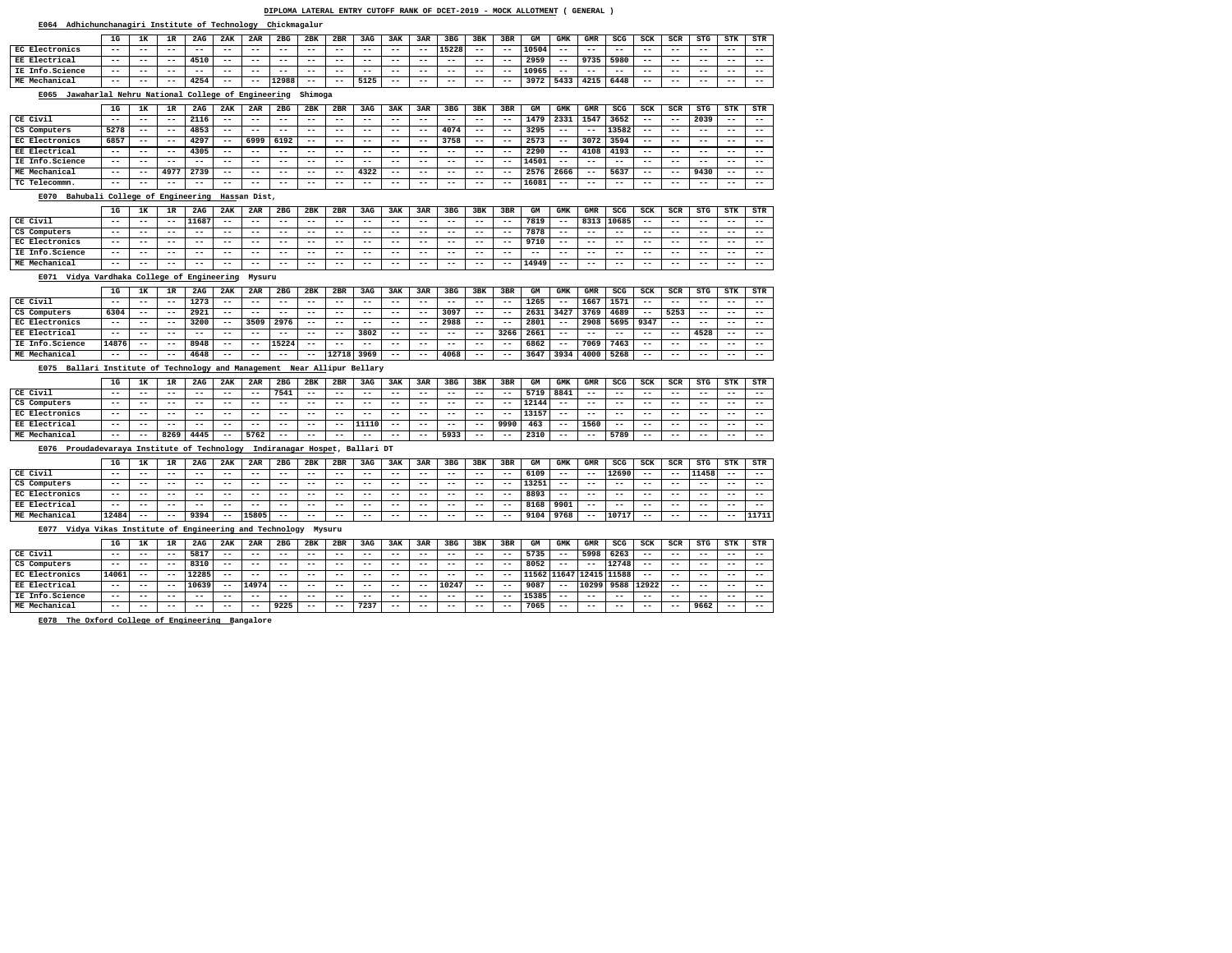## **E064 Adhichunchanagiri Institute of Technology Chickmagalur**

**E078 The Oxford College of Engineering Bangalore**

 **EC Electronics EE Electrical IE Info.Science ME Mechanical**

|                                                                             | 1G                | 1ĸ                | 1R                         | 2AG               | 2AK                      | 2AR          | 2 <sub>BG</sub>          | 2BK               | 2BR               | 3AG                            | 3AK                        | 3AR                        | 3 <sub>BG</sub>   | 3BK               | 3BR               | GM         | <b>GMK</b>        | <b>GMR</b>                 | <b>SCG</b>                 | SCK                      | SCR         | <b>STG</b>               | <b>STK</b>        | STR                        |
|-----------------------------------------------------------------------------|-------------------|-------------------|----------------------------|-------------------|--------------------------|--------------|--------------------------|-------------------|-------------------|--------------------------------|----------------------------|----------------------------|-------------------|-------------------|-------------------|------------|-------------------|----------------------------|----------------------------|--------------------------|-------------|--------------------------|-------------------|----------------------------|
| EC Electronics                                                              | $- -$             | $- -$             | $- -$                      | $- -$             | $- -$                    | $- -$        | $- -$                    | $ -$              | $- -$             | $- -$                          | $- -$                      | $\overline{\phantom{m}}$ . | 15228             | $- -$             | $- -$             | 10504      | $- -$             | $\overline{\phantom{m}}$ . | $- -$                      | $- -$                    | $- -$       | $- -$                    | $- -$             | $\qquad \qquad -$          |
| EE Electrical                                                               | $- -$             | $ -$              | $ -$                       | 4510              | $- -$                    | $- -$        | $ -$                     | $- -$             | $ -$              | $ -$                           | $ -$                       | $ -$                       | $ -$              | $ -$              | $- -$             | 2959       | $- -$             | 9735                       | 5980                       | $- -$                    | --          | $- -$                    | $ -$              | $- -$                      |
| IE Info.Science                                                             | $\qquad \qquad -$ | $- -$             | $ -$                       | $- -$             | $- -$                    | $- -$        | $ -$                     | $- -$             | $- -$             | $- -$                          | $ -$                       | $- -$                      | $- -$             | $- -$             | $- -$             | 10965      | $- -$             | $ -$                       | $- -$                      | $\qquad \qquad -$        | $- -$       | $- -$                    | $ -$              | $\qquad \qquad -$          |
| ME Mechanical                                                               | $- -$             | $- -$             | $ -$                       | 4254              | $- -$                    | $- -$        | 12988                    | $ -$              | $- -$             | 5125                           | $ -$                       | $- -$                      | $- -$             | $- -$             | $ -$              | 3972       | 5433              | 4215                       | 6448                       | $\overline{\phantom{m}}$ | --          | $- -$                    | $- -$             | $ -$                       |
| Jawaharlal Nehru National College of Engineering<br>E065                    |                   |                   |                            |                   |                          |              |                          | Shimoga           |                   |                                |                            |                            |                   |                   |                   |            |                   |                            |                            |                          |             |                          |                   |                            |
|                                                                             | 1G                | 1ĸ                | 1R                         | 2AG               | 2AK                      | 2AR          | 2 <sub>BG</sub>          | 2BK               | 2BR               | 3AG                            | 3AK                        | 3AR                        | 3 <sub>BG</sub>   | 3BK               | 3BR               | GM         | <b>GMK</b>        | <b>GMR</b>                 | SCG                        | <b>SCK</b>               | <b>SCR</b>  | <b>STG</b>               | STK               | <b>STR</b>                 |
| CE Civil                                                                    | $- -$             | $- -$             | $- -$                      | 2116              | $ -$                     | $ -$         | $- -$                    | $ -$              | $- -$             | $\overline{\phantom{m}}$ .     | $- -$                      | $ -$                       | $\frac{1}{2}$     | $- -$             | $- -$             | 1479       | 2331              | 1547                       | 3652                       | $\overline{\phantom{m}}$ | $- -$       | 2039                     | $ -$              | $\overline{\phantom{m}}$ . |
| CS Computers                                                                | 5278              | $- -$             | $ -$                       | 4853              | $ -$                     | $- -$        | $- -$                    | $- -$             | $ -$              | $ -$                           | $ -$                       | $- -$                      | 4074              | $ -$              | $- -$             | 3295       | $- -$             | $- -$                      | 13582                      | $- -$                    | --          | $ -$                     | $ -$              | $- -$                      |
| EC Electronics                                                              | 6857              | $\qquad \qquad -$ | $ -$                       | 4297              | $- -$                    | 6999         | 6192                     | $- -$             | $- -$             | $- -$                          | $ -$                       | $- -$                      | 3758              | $- -$             | $- -$             | 2573       | $- -$             | 3072                       | 3594                       | $\overline{\phantom{m}}$ | $- -$       | $- -$                    | $- -$             | $\qquad \qquad -$          |
| EE Electrical                                                               | $ -$              | $- -$             | $ -$                       | 4305              | $- -$                    | $- -$        | $- -$                    | $- -$             | $- -$             | $ -$                           | $ -$                       | $- -$                      | $\frac{1}{2}$     | $ -$              | $- -$             | 2290       | $- -$             | 4108                       | 4193                       | $- -$                    | $- -$       | $- -$                    | $- -$             | $- -$                      |
| IE Info.Science                                                             | $- -$             | $- -$             | $- -$                      | $- -$             | $ -$                     | $- -$        | $- -$                    | $- -$             | $- -$             | $- -$                          | $- -$                      | $\overline{\phantom{m}}$ . | $\qquad \qquad -$ | $- -$             | $\qquad \qquad -$ | 14501      | $- -$             | $- -$                      | $\qquad \qquad -$          | $\qquad \qquad -$        | $- -$       | $- -$                    | $- -$             | $\qquad \qquad -$          |
| ME Mechanical                                                               | $- -$             | $ -$              | 4977                       | 2739              | $- -$                    | $- -$        | $ -$                     | $- -$             | $ -$              | 4322                           | $ -$                       | $ -$                       | $- -$             | $ -$              | $- -$             | 2576       | 2666              | $ -$                       | 5637                       | $- -$                    | $ -$        | 9430                     | $- -$             | $- -$                      |
| TC Telecommn.                                                               | $\qquad \qquad -$ | $- -$             | $ -$                       | $- -$             | $\qquad \qquad -$        | $- -$        | $- -$                    | $- -$             | $\qquad \qquad -$ | $- -$                          | $- -$                      | $- -$                      | $- -$             | $- -$             | $\qquad \qquad -$ | 16081      | $\qquad \qquad -$ | $\overline{\phantom{m}}$   | $\overline{\phantom{m}}$   | $\overline{\phantom{m}}$ | $- -$       | $- -$                    | $ -$              | $- -$                      |
| Bahubali College of Engineering<br>E070                                     |                   |                   |                            |                   |                          | Hassan Dist, |                          |                   |                   |                                |                            |                            |                   |                   |                   |            |                   |                            |                            |                          |             |                          |                   |                            |
|                                                                             |                   |                   |                            |                   |                          |              |                          |                   |                   |                                |                            |                            |                   |                   |                   |            |                   |                            |                            |                          |             |                          |                   |                            |
|                                                                             | 1G                | 1ĸ                | 1R                         | 2AG               | 2AK                      | 2AR          | 2 <sub>BG</sub>          | 2BK               | 2BR               | 3AG                            | 3AK                        | 3AR                        | 3 <sub>BG</sub>   | 3BK               | 3BR               | GM         | <b>GMK</b>        | <b>GMR</b>                 | <b>SCG</b>                 | <b>SCK</b>               | SCR         | <b>STG</b>               | STK               | <b>STR</b>                 |
| CE Civil                                                                    | $\sim$ $-$        | $- -$             | $ -$                       | 11687             | $- -$                    | $- -$        | $ -$                     | $ -$              | $- -$             | $- -$                          | $- -$                      | $- -$                      | $- -$             | $- -$             | $- -$             | 7819       | $- -$             | 8313                       | LO685                      | $ -$                     | $- -$       | $- -$                    | $- -$             | $\qquad \qquad -$          |
| CS Computers                                                                | $- -$             | $- -$             | $ -$                       | $- -$             | $- -$                    | $- -$        | $ -$                     | $- -$             | $- -$             | $- -$                          | $ -$                       | $- -$                      | $\qquad \qquad -$ | $- -$             | $- -$             | 7878       | $- -$             | --                         | $- -$                      | $- -$                    | $- -$       | $- -$                    | $- -$             | $ -$                       |
| EC Electronics                                                              | $- -$             | $ -$              | $ -$                       | $- -$             | $- -$                    | $ -$         | $ -$                     | $- -$             | $ -$              | $ -$                           | $ -$                       | $ -$                       | $ -$              | $ -$              | $- -$             | 9710       | $ -$              | $ -$                       | $ -$                       | $- -$                    | $ -$        | $ -$                     | $ -$              | $- -$                      |
| IE Info.Science<br>ME Mechanical                                            | $- -$             | $- -$             | $ -$                       | $- -$             | $- -$                    | $- -$        | $ -$                     | $- -$<br>$- -$    | $ -$              | $- -$                          | $ -$                       | $- -$                      | $- -$             | $ -$              | $ -$              | $ -$       | $- -$<br>$- -$    | $ -$                       | $ -$                       | $- -$                    | --<br>$- -$ | --                       | --                | $ -$                       |
|                                                                             | $- -$             | $- -$             | $ -$                       | $- -$             | $- -$                    | $- -$        | $- -$                    |                   | $- -$             | $- -$                          | $ -$                       | $- -$                      | $- -$             | $ -$              | $- -$             | 14949      |                   | $- -$                      | $ -$                       | $- -$                    |             | $- -$                    | $- -$             | $- -$                      |
| Vidya Vardhaka College of Engineering<br>E071                               |                   |                   |                            |                   |                          | Mysuru       |                          |                   |                   |                                |                            |                            |                   |                   |                   |            |                   |                            |                            |                          |             |                          |                   |                            |
|                                                                             | 1G                | 1ĸ                | 1R                         | 2AG               | 2AK                      | 2AR          | 2 <sub>BG</sub>          | 2BK               | 2BR               | 3AG                            | 3AK                        | 3AR                        | 3 <sub>BG</sub>   | 3BK               | 3BR               | ${\bf GM}$ | <b>GMK</b>        | <b>GMR</b>                 | SCG                        | <b>SCK</b>               | SCR         | <b>STG</b>               | <b>STK</b>        | <b>STR</b>                 |
| CE Civil                                                                    | $- -$             | $- -$             | $ -$                       | 1273              | $- -$                    | $- -$        | $ -$                     | $ -$              | $- -$             | $- -$                          | $- -$                      | $- -$                      | $- -$             | $- -$             | $ -$              | 1265       | $- -$             | 1667                       | 1571                       | $\overline{\phantom{m}}$ | $- -$       | $- -$                    | $- -$             | $ -$                       |
| CS Computers                                                                | 6304              | $ -$              | $ -$                       | 2921              | $ -$                     | $- -$        | $ -$                     | $- -$             | $ -$              | $ -$                           | $ -$                       | $\overline{\phantom{m}}$ . | 3097              | $ -$              | $- -$             | 2631       | 3427              | 3769                       | 4689                       | $ -$                     | 5253        | $- -$                    | $ -$              | $- -$                      |
| EC Electronics                                                              | $ -$              | $- -$             | $- -$                      | 3200              | $- -$                    | 3509         | 2976                     | $- -$             | $- -$             | $- -$                          | $ -$                       | $- -$                      | 2988              | $- -$             | $- -$             | 2801       | $- -$             | 2908                       | 5695                       | 9347                     | $- -$       | $- -$                    | $- -$             | $\qquad \qquad -$          |
| EE Electrical                                                               | $- -$             | $- -$             | $ -$                       | $- -$             | $\overline{\phantom{m}}$ | $- -$        | $- -$                    | $ -$              | $\qquad \qquad -$ | 3802                           | $- -$                      | $\overline{\phantom{m}}$ . | $\qquad \qquad -$ | $- -$             | 3266              | 2661       | $- -$             | $- -$                      | $- -$                      | $\overline{\phantom{m}}$ | $- -$       | 4528                     | $- -$             | $\qquad \qquad -$          |
| IE Info.Science                                                             | 14876             | $- -$             | $ -$                       | 8948              | $- -$                    | $- -$        | 15224                    | $- -$             | $ -$              |                                | $ -$                       | $- -$                      | $- -$             | $ -$              | $- -$             | 6862       | $- -$             | 7069                       | 7463                       | $\overline{\phantom{m}}$ | $- -$       | $- -$                    | $- -$             | $\qquad \qquad -$          |
| ME Mechanical                                                               | $- -$             |                   | $- -$                      | 4648              | $- -$                    |              | $ -$                     | $ -$              | 12718             | 3969                           | $ -$                       | $- -$                      | 4068              | $- -$             | $- -$             | 3647       | 3934              | 4000                       | 5268                       | $\overline{\phantom{m}}$ | --          | $- -$                    | $- -$             | $\overline{\phantom{m}}$ . |
| Ballari Institute of Technology and Management Near Allipur Bellary<br>E075 |                   |                   |                            |                   |                          |              |                          |                   |                   |                                |                            |                            |                   |                   |                   |            |                   |                            |                            |                          |             |                          |                   |                            |
|                                                                             | 1 <sub>G</sub>    |                   | 1R                         | 2AG               | 2AK                      | 2AR          | 2 <sub>BG</sub>          | 2BK               | 2BR               | 3AG                            | 3AK                        | 3AR                        | 3 <sub>BG</sub>   | 3BK               | 3BR               | GM         | <b>GMK</b>        | <b>GMR</b>                 | SCG                        | <b>SCK</b>               | SCR         | <b>STG</b>               | <b>STK</b>        | STR                        |
| CE Civil                                                                    | $ -$              | 1ĸ<br>$- -$       | $\overline{\phantom{m}}$ . | $- -$             | $- -$                    | $- -$        | 7541                     | $- -$             | $- -$             | $- -$                          | $\overline{\phantom{m}}$ . | $- -$                      | $- -$             | $- -$             | $- -$             | 5719       | 8841              | $- -$                      | $\overline{\phantom{m}}$ . | $- -$                    | $- -$       | $\qquad \qquad -$        | $- -$             | $\overline{\phantom{a}}$ . |
| CS Computers                                                                | $- -$             | $- -$             | $ -$                       | $\qquad \qquad -$ | $- -$                    | $- -$        | $ -$                     | $- -$             | $- -$             | $- -$                          | $\overline{\phantom{m}}$   | $- -$                      | $- -$             | $\qquad \qquad -$ | $\sim$ $-$        | 12144      | $- -$             | $- -$                      | $\overline{\phantom{m}}$   | $ -$                     | $- -$       | $- -$                    | $ -$              | $\qquad \qquad -$          |
| EC Electronics                                                              | $ -$              | $- -$             | $ -$                       | $- -$             | $- -$                    | $- -$        | $\overline{\phantom{m}}$ | $- -$             | $\frac{1}{2}$     | $- -$                          | $\overline{\phantom{m}}$ . | $- -$                      | $- -$             | $- -$             | $ -$              | 13157      | $- -$             | $- -$                      | $\overline{\phantom{m}}$   | $- -$                    | $- -$       | $\qquad \qquad -$        | $\qquad \qquad -$ | $ -$                       |
| EE Electrical                                                               | $- -$             | $- -$             | $- -$                      | $- -$             | $- -$                    | $- -$        | $- -$                    | $- -$             | $- -$             | 11110                          | $- -$                      | $\overline{\phantom{m}}$   | $\qquad \qquad -$ | $- -$             | 9990              | 463        | $- -$             | 1560                       | $\overline{\phantom{m}}$ . | $ -$                     | --          | $- -$                    | $- -$             | $ -$                       |
| ME Mechanical                                                               | $- -$             | $- -$             | 8269                       | 4445              | $- -$                    | 5762         | $ -$                     | $- -$             | $- -$             | $- -$                          | $- -$                      | $- -$                      | 5933              | $- -$             | $ -$              | 2310       | $- -$             | $- -$                      | 5789                       | $- -$                    | $- -$       | $\qquad \qquad -$        | $\qquad \qquad -$ | $- -$                      |
|                                                                             |                   |                   |                            |                   |                          |              |                          |                   |                   |                                |                            |                            |                   |                   |                   |            |                   |                            |                            |                          |             |                          |                   |                            |
| E076 Proudadevaraya Institute of Technology                                 |                   |                   |                            |                   |                          |              |                          |                   |                   | Indiranagar Hospet, Ballari DT |                            |                            |                   |                   |                   |            |                   |                            |                            |                          |             |                          |                   |                            |
|                                                                             | 1G                | 1K                | 1R                         | 2AG               | 2AK                      | 2AR          | 2 <sub>BG</sub>          | 2BK               | 2BR               | 3AG                            | 3AK                        | 3AR                        | 3 <sub>BG</sub>   | 3BK               | 3BR               | GM         | GMK               | GMR                        | SCG                        | SCK                      | SCR         | <b>STG</b>               | STK               | STR                        |
| CE Civil                                                                    | $ -$              | $\frac{1}{2}$     | $ -$                       | $  \,$            | $- -$                    | $- -$        | $ -$                     | $  \,$            | $\frac{1}{2}$     | $\qquad \qquad -$              | $\overline{\phantom{m}}$ . | $- -$                      | $- -$             | $\qquad \qquad -$ | $\sim$ $\sim$     | 6109       | $- -$             | $\sim$ $-$                 | 12690                      | $\qquad \qquad -$        | $- -$       | 11458                    | $ -$              | $ -$                       |
| CS Computers                                                                | $ -$              | $\qquad \qquad -$ | $ -$                       | $\qquad \qquad -$ | $- -$                    | $- -$        | $ -$                     | $- -$             | $- -$             | $- -$                          | $\overline{\phantom{m}}$ . | $ -$                       | $- -$             | $\qquad \qquad -$ | $\qquad \qquad -$ | 13251      | $- -$             | $- -$                      | $ -$                       | $- -$                    | $ -$        | $ -$                     | $\qquad \qquad -$ | $\overline{\phantom{m}}$ . |
| EC Electronics                                                              | $ -$              | $- -$             | $- -$                      | $- -$             | $- -$                    | $- -$        | $ -$                     | $- -$             | $- -$             | $- -$                          | $- -$                      | $- -$                      | $- -$             | $- -$             | $\qquad \qquad -$ | 8893       | $- -$             | $- -$                      | $- -$                      | $- -$                    | $- -$       | $\overline{\phantom{m}}$ | $\qquad \qquad -$ | $ -$                       |
| EE Electrical                                                               | $- -$             | $- -$             | $ -$                       | $\qquad \qquad -$ | $- -$                    | $- -$        | $ -$                     | $- -$             | $- -$             | $- -$                          | $\overline{\phantom{m}}$ . | $- -$                      | $\qquad \qquad -$ | $- -$             | $\qquad \qquad -$ | 8168       | 9901              | $- -$                      | $\overline{\phantom{m}}$ . | $ -$                     | $- -$       | $ -$                     | $ -$              | $ -$                       |
| ME Mechanical                                                               | 12484             | $- -$             | $ -$                       | 9394              | $- -$                    | 15805        | $ -$                     | $- -$             | $  \,$            | $- -$                          | $- -$                      | $- -$                      | $- -$             | $- -$             | $- -$             | 9104       | 9768              | $- -$                      | 10717                      | $\frac{1}{2}$            | $- -$       | $\qquad \qquad -$        | $ -$              | 11711                      |
| Vidya Vikas Institute of Engineering and Technology<br>E077                 |                   |                   |                            |                   |                          |              |                          |                   | Mysuru            |                                |                            |                            |                   |                   |                   |            |                   |                            |                            |                          |             |                          |                   |                            |
|                                                                             | 1G                | 1ĸ                | 1R                         | 2AG               | 2AK                      | 2AR          | 2 <sub>BG</sub>          | 2BK               | 2BR               | 3AG                            | 3AK                        | 3AR                        | 3 <sub>BG</sub>   | 3BK               | 3BR               | GM         | ${\tt GMK}$       | GMR                        | SCG                        | <b>SCK</b>               | SCR         | <b>STG</b>               | <b>STK</b>        | STR                        |
| CE Civil                                                                    | $\qquad \qquad -$ | $\qquad \qquad -$ | $ -$                       | 5817              | $- -$                    | $- -$        | $\qquad \qquad -$        | $\qquad \qquad -$ | $\qquad \qquad -$ | $\qquad \qquad -$              | $ -$                       | $- -$                      | $ -$              | $\qquad \qquad -$ | $- -$             | 5735       | $- -$             | 5998                       | 6263                       | $- -$                    | $- -$       | $- -$                    | $\qquad \qquad -$ | $\overline{\phantom{m}}$   |
| CS Computers                                                                | $- -$             | $\qquad \qquad -$ | $ -$                       | 8310              | $- -$                    | $- -$        | $ -$                     | $- -$             | $- -$             | $\qquad \qquad -$              | $\overline{\phantom{m}}$ . | $ -$                       | $- -$             | $ -$              | $ -$              | 8052       | $- -$             | $- -$                      | 12748                      | $- -$                    | $- -$       | $ -$                     | $\qquad \qquad -$ | $- -$                      |

| 1G   | 1к    | 1R    | 2AG   | 2AK   | 2AR   | 2 <sub>BG</sub> | 2BK   | 2BR   | 3AG   | 3AK   | 3AR | 3 <sub>BG</sub> | 3BK   | 3BR   | GМ    | GMK   | <b>GMR</b>              | SCG   | SCK   | SCR   | STG   | STK   | STR   |
|------|-------|-------|-------|-------|-------|-----------------|-------|-------|-------|-------|-----|-----------------|-------|-------|-------|-------|-------------------------|-------|-------|-------|-------|-------|-------|
| --   | $- -$ | $- -$ | 5817  | $- -$ | $- -$ | $- -$           | $- -$ | $- -$ | $- -$ | $- -$ | --  | $- -$           | $- -$ | $- -$ | 5735  | $- -$ | 5998                    | 6263  | $- -$ | $- -$ | $- -$ | $- -$ | $- -$ |
| --   | $- -$ | $- -$ | 8310  | $- -$ | --    | $- -$           | $- -$ | $ -$  | $- -$ | $- -$ | --  | $- -$           | $- -$ | $- -$ | 8052  | $- -$ | $- -$                   | 12748 | --    | $- -$ | $- -$ | $- -$ | $- -$ |
| 1061 | $- -$ | $- -$ | 12285 | $- -$ | --    | $- -$           | $- -$ | --    | $- -$ | $- -$ | --  | $- -$           | $- -$ | $- -$ |       |       | 11562 11647 12415 11588 |       | $- -$ | $- -$ | $- -$ | $- -$ | $- -$ |
| --   | $- -$ | $- -$ | 10639 | $- -$ | 14974 | $- -$           | $- -$ | $- -$ | $- -$ | $- -$ | --  | 10247           | $- -$ | $- -$ | 9087  | $- -$ | 10299                   | 9588  | 12922 | $- -$ | $- -$ | $- -$ | $- -$ |
| --   | $- -$ | $- -$ | $- -$ | $- -$ | $- -$ | $- -$           | $- -$ | $- -$ | $- -$ | $- -$ | --  | $- -$           | $- -$ | $- -$ | 15385 | $- -$ | $- -$                   | $- -$ | $- -$ | $- -$ | $- -$ | $- -$ | $- -$ |
| --   | $- -$ | $- -$ | $- -$ | $- -$ | $- -$ | 9225            | $- -$ | $- -$ | 7237  | $- -$ | --  | $- -$           | $- -$ | $- -$ | 7065  | $- -$ | $- -$                   | $- -$ | $- -$ | $- -$ | 9662  | $- -$ | $- -$ |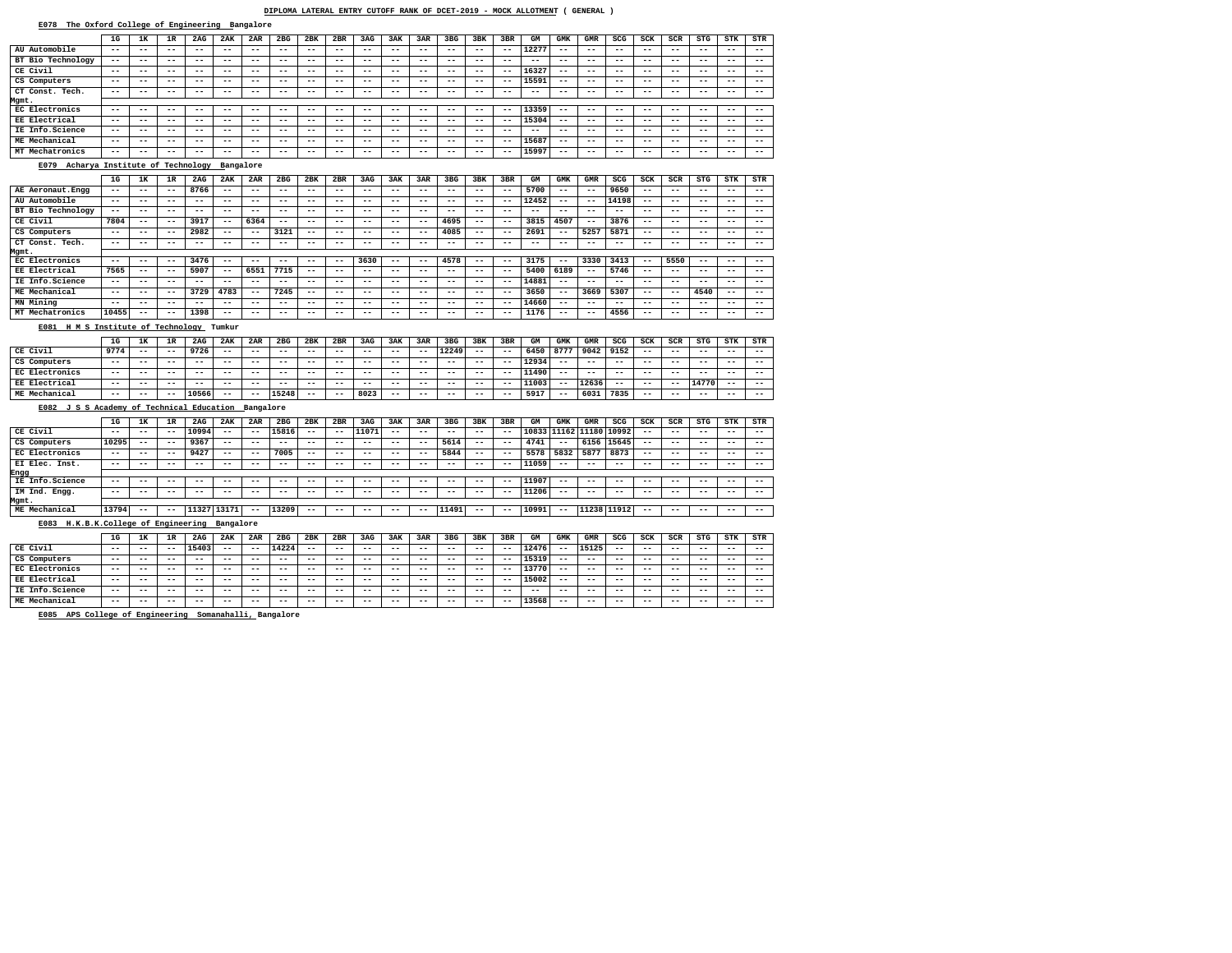#### **E078 The Oxford College of Engineering Bangalore**

## **E081 H M S Institute of Technology Tumkur**

## **E082 J S S Academy of Technical Education Bangalore**

## **E083 H.K.B.K.College of Engineering Bangalore**

**E085 APS College of Engineering Somanahalli, Bangalore**

|                                         | 1 <sub>G</sub>    | 1K    | 1R    | 2AG   | 2AK       | 2AR   | 2 <sub>BG</sub> | 2BK               | 2BR   | 3AG   | 3AK   | 3AR   | 3 <sub>BG</sub> | 3BK   | 3BR   | GM    | <b>GMK</b> | GMR        | SCG        | <b>SCK</b> | SCR   | <b>STG</b> | <b>STK</b> | STR                      |
|-----------------------------------------|-------------------|-------|-------|-------|-----------|-------|-----------------|-------------------|-------|-------|-------|-------|-----------------|-------|-------|-------|------------|------------|------------|------------|-------|------------|------------|--------------------------|
| AU Automobile                           | $- -$             | $- -$ | $- -$ | $- -$ | $ -$      | $- -$ | $- -$           | $\qquad \qquad -$ | $- -$ | $- -$ | $- -$ | $- -$ | $- -$           | $- -$ | $- -$ | 12277 | $- -$      | $- -$      | $- -$      | $- -$      | $- -$ | $- -$      | $- -$      | $\overline{\phantom{m}}$ |
| BT Bio Technology                       | $- -$             | $- -$ | $- -$ | $- -$ | $- -$     | $- -$ | $- -$           | $- -$             | $- -$ | $- -$ | $- -$ | $- -$ | $- -$           | $- -$ | $- -$ | $- -$ | $- -$      | $- -$      | $- -$      | $- -$      | $- -$ | $- -$      | $- -$      | $- -$                    |
| CE Civil                                | $- -$             | --    | $- -$ | $- -$ | $- -$     | --    | $- -$           | $- -$             | $- -$ | $- -$ | $ -$  | $- -$ | $- -$           | $- -$ | $ -$  | 16327 | $- -$      |            | $- -$      | $- -$      | $- -$ | $- -$      | $- -$      | $- -$                    |
| CS Computers                            | $- -$             | --    | $- -$ | $- -$ | $- -$     | $- -$ | $- -$           | $- -$             | $- -$ | $ -$  | $ -$  | $- -$ | $- -$           | $- -$ | $ -$  | 15591 | $- -$      | $- -$      | $ -$       | $- -$      | $- -$ | $ -$       | $- -$      | $- -$                    |
| CT Const. Tech.                         | $- -$             | $- -$ | $ -$  | $- -$ | $ -$      | $- -$ | $- -$           | $- -$             | $- -$ | $- -$ | $ -$  | $- -$ | $- -$           | $- -$ | $ -$  | $- -$ | $- -$      | $- -$      | $- -$      | $- -$      | $- -$ | $- -$      | $- -$      | $- -$                    |
| Mgmt.                                   |                   |       |       |       |           |       |                 |                   |       |       |       |       |                 |       |       |       |            |            |            |            |       |            |            |                          |
| EC Electronics                          | $\qquad \qquad -$ | $- -$ | $- -$ | $- -$ | $ -$      | $- -$ | $- -$           | $- -$             | $- -$ | $- -$ | $- -$ | $- -$ | $- -$           | $- -$ | $- -$ | 13359 | $- -$      | $- -$      | $- -$      | $- -$      | $- -$ | $- -$      | $- -$      | $- -$                    |
| EE Electrical                           | $- -$             | $- -$ | $- -$ | $- -$ | $- -$     | $- -$ | $- -$           | $- -$             | $- -$ | $- -$ | $- -$ | $- -$ | $- -$           | $- -$ | $- -$ | 15304 | $- -$      | $- -$      | $- -$      | $- -$      | $- -$ | $- -$      | $- -$      | $- -$                    |
| IE Info.Science                         | $- -$             | --    | --    | --    | $- -$     | --    | $- -$           | $- -$             | $- -$ | --    | $- -$ | $- -$ | $- -$           | $- -$ | $- -$ | $- -$ | $- -$      | $ -$       | $- -$      | $- -$      | $- -$ | $- -$      | $- -$      | $- -$                    |
| ME Mechanical                           | $- -$             | $- -$ | $- -$ | $- -$ | $- -$     | $- -$ | $- -$           | $- -$             | $- -$ | $- -$ | $ -$  | $- -$ | $- -$           | $- -$ | $ -$  | 15687 | $- -$      | $- -$      | $- -$      | $- -$      | $- -$ | $- -$      | $ -$       | $- -$                    |
| MT Mechatronics                         | $- -$             | $- -$ | $- -$ | --    | $- -$     | $- -$ | $- -$           | $- -$             | $- -$ | $- -$ | $- -$ | $- -$ | $- -$           | $- -$ | $- -$ | 15997 | $- -$      | $- -$      | $- -$      | $- -$      | $- -$ | $- -$      | $- -$      | $- -$                    |
| Acharya Institute of Technology<br>E079 |                   |       |       |       | Bangalore |       |                 |                   |       |       |       |       |                 |       |       |       |            |            |            |            |       |            |            |                          |
|                                         | 1G                | 1ĸ    | 1R    | 2AG   | 2AK       | 2AR   | 2 <sub>BG</sub> | 2BK               | 2BR   | 3AG   | 3AK   | 3AR   | 3 <sub>BG</sub> | 3BK   | 3BR   | GМ    | <b>GMK</b> | <b>GMR</b> | <b>SCG</b> | SCK        | SCR   | <b>STG</b> | <b>STK</b> | STR                      |
| AE Aeronaut. Engg                       | $- -$             | $- -$ | $- -$ | 8766  | $- -$     | $- -$ | $- -$           | $- -$             | $- -$ | $- -$ | $- -$ | $- -$ | $- -$           | $- -$ | $ -$  | 5700  | $- -$      | $- -$      | 9650       | $- -$      | $- -$ | $- -$      | $- -$      | $ -$                     |
| AU Automobile                           | $- -$             | $- -$ | $- -$ | $- -$ | $ -$      | $- -$ | $- -$           | $- -$             | $- -$ | $- -$ | $- -$ | $- -$ | $ -$            | $- -$ | $- -$ | 12452 | $- -$      | $- -$      | 14198      | $- -$      | $- -$ | $- -$      | $- -$      | $ -$                     |
| BT Bio Technology                       | $ -$              | $- -$ | $ -$  | $ -$  | $- -$     | $- -$ | $- -$           | $- -$             | $- -$ | $- -$ | $- -$ | $- -$ | $ -$            | $- -$ | $ -$  | $- -$ | $- -$      | $- -$      | $- -$      | $- -$      | $- -$ | $- -$      | $- -$      | $ -$                     |
| CE Civil                                | 7804              | $- -$ | $ -$  | 3917  | $- -$     | 6364  | $- -$           | $- -$             | $- -$ | $- -$ | $- -$ | $- -$ | 4695            | $- -$ | $- -$ | 3815  | 4507       | $- -$      | 3876       | $- -$      | $- -$ | $- -$      | $- -$      | $- -$                    |
| CS Computers                            | $- -$             | --    | $ -$  | 2982  | $- -$     | --    | 3121            | $- -$             | $- -$ |       | $- -$ | $- -$ | 4085            | $- -$ | $ -$  | 2691  | $- -$      | 5257       | 5871       | $- -$      | $- -$ | $- -$      | $- -$      | $- -$                    |
| CT Const. Tech.                         | $- -$             | $- -$ | $- -$ | $- -$ | $ -$      | $- -$ | $- -$           | $- -$             | $- -$ | $- -$ | $- -$ | $- -$ | $ -$            | $- -$ | $ -$  | $- -$ | $- -$      | $- -$      | $- -$      | $- -$      | $- -$ | $- -$      | $- -$      | $- -$                    |
| Mgmt.                                   |                   |       |       |       |           |       |                 |                   |       |       |       |       |                 |       |       |       |            |            |            |            |       |            |            |                          |
| EC Electronics                          | $- -$             | --    | $- -$ | 3476  | $ -$      | $- -$ | $- -$           | $- -$             | $- -$ | 3630  | $ -$  | $- -$ | 4578            | $- -$ | $- -$ | 3175  | $- -$      | 3330       | 3413       | $- -$      | 5550  | $- -$      | $- -$      | $- -$                    |
| EE Electrical                           | 7565              | $- -$ | $- -$ | 5907  | $- -$     | 6551  | 7715            | $- -$             | $- -$ | $- -$ | $- -$ | $- -$ | $- -$           | $- -$ | $ -$  | 5400  | 6189       | $- -$      | 5746       | $- -$      | $- -$ | $- -$      | $- -$      | $- -$                    |
| IE Info.Science                         | $- -$             | $- -$ | $- -$ | $- -$ | $- -$     | $- -$ | $- -$           | $- -$             | $- -$ | $- -$ | $- -$ | $- -$ | $- -$           | $- -$ | $ -$  | 14881 | $- -$      | $- -$      | $- -$      | $- -$      | $- -$ | $- -$      | $- -$      | $- -$                    |
| ME Mechanical                           | $- -$             | --    | $- -$ | 3729  | 4783      | $- -$ | 7245            | $- -$             | $- -$ | $- -$ | $- -$ | $- -$ | $- -$           | $- -$ | $ -$  | 3650  | $- -$      | 3669       | 5307       | $- -$      | $- -$ | 4540       | $- -$      | $- -$                    |
| MN Mining                               | $- -$             | --    | $- -$ | $- -$ | $- -$     | $- -$ | $- -$           | $- -$             | $- -$ | $- -$ | $- -$ | $- -$ | $- -$           | $- -$ | $ -$  | 14660 | $- -$      | $- -$      | $- -$      | $- -$      | $- -$ | $- -$      | $- -$      | $- -$                    |
| MT Machatronics                         | 10455             |       |       | 1398  |           |       |                 |                   |       |       |       |       |                 |       | $- -$ | 1176  | --         |            | 4556       |            | --    |            |            |                          |

 **MT Mechatronics 10455 -- -- 1398 -- -- -- -- -- -- -- -- -- -- -- 1176 -- -- 4556 -- -- -- -- --**

|                | 1G    | 1к    | 1 D<br>-- | 2AG   | 2AK   | 2AR   | 2 <sub>BG</sub> | 2BK   | 2BR   | 3AG   | 3AK   | 3AR   | 3 <sub>BG</sub> | 3BK   | 3BR   | GМ     | GMK   | <b>GMR</b> | SCG   | SCK   | SCR   | STG          | STK   | STR   |
|----------------|-------|-------|-----------|-------|-------|-------|-----------------|-------|-------|-------|-------|-------|-----------------|-------|-------|--------|-------|------------|-------|-------|-------|--------------|-------|-------|
| CE Civil       | 9774  | $- -$ | $- -$     | 9726  | --    | $- -$ | $- -$           | $- -$ | $- -$ | $- -$ | $- -$ | $- -$ | 12249           | $- -$ | $ -$  | 6450   | 8777  | 9042       | 9152  | $- -$ | $- -$ | $- -$        | $- -$ | $- -$ |
| CS Computers   | $- -$ | $- -$ | $- -$     | $- -$ | $- -$ | $- -$ | $- -$           | $- -$ | $- -$ | $- -$ | $- -$ | $- -$ | $- -$           | $- -$ | $- -$ | 12934  | $- -$ | $- -$      | $- -$ | $- -$ | $- -$ | $- -$        | $- -$ | $- -$ |
| EC Electronics | $- -$ | $- -$ | $- -$     | $- -$ | --    | $- -$ | $- -$           | $- -$ | $- -$ | $- -$ | $- -$ | $- -$ | $- -$           | $- -$ | $- -$ | 11490  | $- -$ | $- -$      | $- -$ | $- -$ | $- -$ | $- -$        | $- -$ | $- -$ |
| EE Electrical  | $- -$ | $- -$ | $- -$     | $- -$ | --    | $- -$ | $- -$           | $- -$ | $- -$ | $- -$ | $- -$ | $- -$ | $- -$           | $- -$ | $- -$ | 11003' | $- -$ | 12636      | $- -$ | $- -$ | $- -$ | <b>L4770</b> | $- -$ | $- -$ |
| ME Mechanical  | $- -$ | $- -$ | $- -$     | 10566 | $- -$ | $- -$ | 15248           | $- -$ | $- -$ | 8023  | $- -$ | $- -$ | $- -$           | $- -$ | $- -$ | 5917   | $- -$ | 6031       | 7835  | $- -$ | $- -$ | $- -$        | $- -$ | $- -$ |

|                 | 1G    | 1ĸ    | 1R    | 2AG   | 2AK   | 2AR   | 2 <sub>BG</sub> | 2BK   | 2BR   | 3AG   | 3AK   | 3AR   | 3 <sub>BG</sub> | 3BK   | 3BR   | GМ    | GMK   | GMR               | SCG         | SCK   | SCR   | STG   | STK   | STR   |
|-----------------|-------|-------|-------|-------|-------|-------|-----------------|-------|-------|-------|-------|-------|-----------------|-------|-------|-------|-------|-------------------|-------------|-------|-------|-------|-------|-------|
| CE Civil        | $- -$ | $- -$ | $ -$  | 10994 | $- -$ | $- -$ | 15816           | $- -$ | $- -$ | 11071 | $- -$ | $- -$ | $- -$           | $- -$ | $ -$  | 10833 |       | 11162 11180 10992 |             | $- -$ | $- -$ | $- -$ | $- -$ | $- -$ |
| CS Computers    | 10295 | $- -$ | $ -$  | 9367  | $- -$ | $- -$ | $- -$           | $- -$ | $- -$ | $- -$ | $- -$ | $- -$ | 5614            | $- -$ | $- -$ | 4741  | $- -$ | 6156              | 15645       | $- -$ | $- -$ | $- -$ | $- -$ | $- -$ |
| EC Electronics  | $- -$ | $- -$ | $ -$  | 9427  | $- -$ | $- -$ | 7005            | $- -$ | $- -$ | $- -$ | $- -$ | $- -$ | 5844            | $- -$ | $ -$  | 5578  | 5832  | 5877              | 8873        | --    | $- -$ | $- -$ | $- -$ | $- -$ |
| EI Elec. Inst.  | $- -$ | --    | $- -$ | $- -$ | $- -$ | --    | --              | $- -$ | $- -$ | $- -$ | $- -$ | $- -$ | $- -$           | $- -$ | $ -$  | 11059 | $- -$ | $- -$             | $- -$       | $- -$ | $- -$ | $- -$ | $- -$ | $- -$ |
| Engg            |       |       |       |       |       |       |                 |       |       |       |       |       |                 |       |       |       |       |                   |             |       |       |       |       |       |
| IE Info.Science | $- -$ |       | $ -$  | $- -$ | $- -$ | --    | $- -$           | --    | $- -$ | $- -$ | $- -$ | $- -$ | $- -$           | $- -$ | $- -$ | 11907 | $- -$ | $- -$             | $ -$        | $- -$ | $- -$ | $- -$ | $- -$ | $- -$ |
| IM Ind. Engg.   | $- -$ | --    | $- -$ | --    | $- -$ | --    | $- -$           | $- -$ | $- -$ | $- -$ | $- -$ | $- -$ | $- -$           | $- -$ | $- -$ | 11206 | $- -$ | $- -$             | $- -$       | $- -$ | $- -$ | $- -$ | $- -$ | $- -$ |
| Mgmt.           |       |       |       |       |       |       |                 |       |       |       |       |       |                 |       |       |       |       |                   |             |       |       |       |       |       |
| ME Mechanical   | 13794 | $- -$ | $ -$  | 11327 | 13171 | --    | 13209           | $- -$ | $- -$ | $- -$ | $- -$ | $- -$ | 11491           | $- -$ | $- -$ | 10991 | $- -$ |                   | 11238 11912 | $- -$ | $- -$ | $- -$ | $- -$ | $- -$ |

|                 | 1G    | 1 T.  | ם 1<br>∸ | 2AG   | 2AK   | 2AR   | 2 <sub>BG</sub> | 2BK   | 2BR   | 3AG   | 3AK   | 3AR   | 3 <sub>BG</sub> | 3BK   | 3BR   | GМ    | GMK   | GMR   | SCG   | SCK   | SCR   | STG   | STK   | STR 1 |
|-----------------|-------|-------|----------|-------|-------|-------|-----------------|-------|-------|-------|-------|-------|-----------------|-------|-------|-------|-------|-------|-------|-------|-------|-------|-------|-------|
| CE Civil        | $- -$ | $- -$ | $- -$    | 15403 | $- -$ | $- -$ | 14224           | $- -$ | $- -$ | $- -$ | $- -$ | $- -$ | --              | $- -$ | $- -$ | 12476 | $- -$ | 15125 | $- -$ | $- -$ | $- -$ | $- -$ | $- -$ | $- -$ |
| CS Computers    | $- -$ | $- -$ | $- -$    | $- -$ | --    | $- -$ | $- -$           | $- -$ | $- -$ | $- -$ | $- -$ | $- -$ | --              | $- -$ | $- -$ | 15319 | $- -$ | $- -$ | $- -$ | $- -$ | $- -$ | $- -$ | $- -$ | $- -$ |
| EC Electronics  | --    | --    | $- -$    | $- -$ | --    | $- -$ | $- -$           | $- -$ | $- -$ | $- -$ | $- -$ | $- -$ | --              | $- -$ | $- -$ | 13770 | $- -$ | $- -$ | $- -$ | $- -$ | $- -$ | $- -$ | $- -$ | $- -$ |
| EE Electrical   | $- -$ | $- -$ | $- -$    | $- -$ | $- -$ | $- -$ | $- -$           | $- -$ | $- -$ | $- -$ | $- -$ | $- -$ | --              | $- -$ | $- -$ | 15002 | --    | $- -$ | $- -$ | $- -$ | $- -$ | $- -$ | $- -$ | $- -$ |
| IE Info.Science | --    | --    | $- -$    | $- -$ | --    | $- -$ | $- -$           | $- -$ | $- -$ | --    | $- -$ | $- -$ | --              | $- -$ | $- -$ | $- -$ | $- -$ | $- -$ | $- -$ | $- -$ | $- -$ | $- -$ | $- -$ | $- -$ |
| ME Mechanical   | $- -$ | $- -$ | $- -$    | $- -$ | $- -$ | $- -$ | $- -$           | $- -$ | $- -$ | $- -$ | $- -$ | $- -$ | --              | $- -$ | $- -$ | 13568 | $- -$ | $- -$ | $- -$ | $- -$ | $- -$ | $- -$ | $- -$ | $- -$ |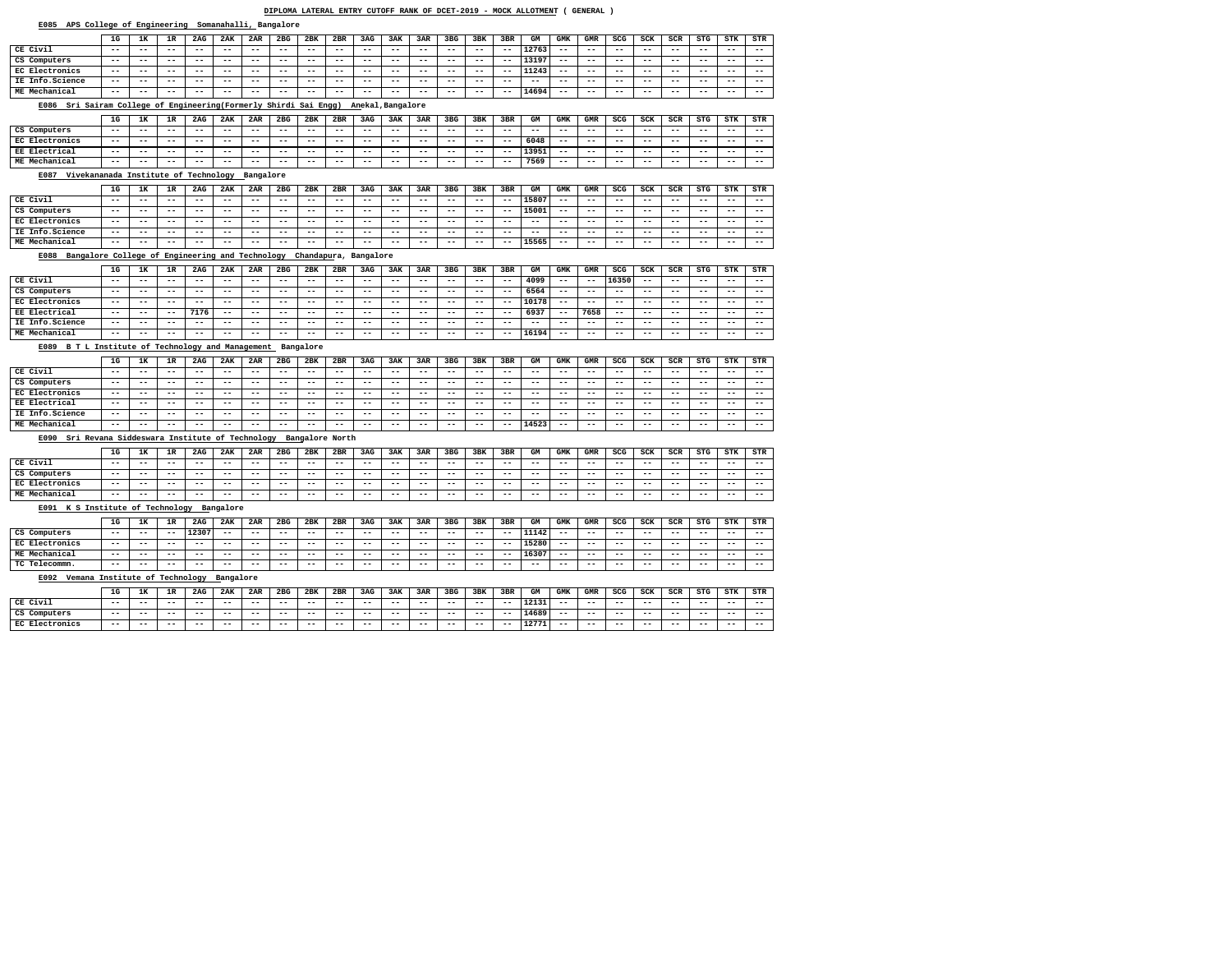## **E092 Vemana Institute of Technology Bangalore**

| APS College of Engineering<br>E085                                 |                          |                   |                   |                   | Somanahalli, Bangalore |                   |                 |                |                   |                   |                          |                   |                   |                   |                            |                            |                   |                   |                   |                          |            |                   |                   |                   |
|--------------------------------------------------------------------|--------------------------|-------------------|-------------------|-------------------|------------------------|-------------------|-----------------|----------------|-------------------|-------------------|--------------------------|-------------------|-------------------|-------------------|----------------------------|----------------------------|-------------------|-------------------|-------------------|--------------------------|------------|-------------------|-------------------|-------------------|
|                                                                    | 1 <sub>G</sub>           | 1ĸ                | 1R                | 2AG               | 2AK                    | 2AR               | 2 <sub>BG</sub> | 2BK            | 2BR               | 3AG               | 3AK                      | 3AR               | 3 <sub>BG</sub>   | 3BK               | 3BR                        | GМ                         | <b>GMK</b>        | <b>GMR</b>        | SCG               | <b>SCK</b>               | SCR        | <b>STG</b>        | STK               | STR               |
| CE Civil                                                           | $\overline{\phantom{m}}$ | --                | $- -$             | $- -$             | $- -$                  | $- -$             | $- -$           | $- -$          | $\qquad \qquad -$ | $- -$             | $- -$                    | $- -$             | $- -$             | $- -$             | $ -$                       | 12763                      | $- -$             | $- -$             | --                | $- -$                    | --         | $- -$             | $- -$             | $\qquad \qquad -$ |
| CS Computers                                                       | $- -$                    | --                | $- -$             | $- -$             | $- -$                  | $- -$             | $- -$           | $- -$          | $- -$             | $- -$             | $- -$                    | $- -$             | $- -$             | $- -$             | $- -$                      | 13197                      | $- -$             | $- -$             | $- -$             | $- -$                    | --         | $- -$             | $- -$             | $- -$             |
| EC Electronics                                                     | $- -$                    | --                | $- -$             | $- -$             | $- -$                  | --                | $- -$           | $- -$          | $- -$             | $- -$             | $- -$                    | $- -$             | $- -$             | $- -$             | $- -$                      | 11243                      | $- -$             | $- -$             | --                | $- -$                    | --         | $- -$             | $- -$             | $- -$             |
| IE Info.Science                                                    | $\overline{\phantom{m}}$ | --                | --                | $- -$             | $- -$                  | $- -$             | $- -$           | $- -$          | $\qquad \qquad -$ | $- -$             | $ -$                     | $- -$             | $- -$             | $- -$             | $- -$                      | $- -$                      | $- -$             | $- -$             | --                | $- -$                    | --         | $- -$             | $- -$             | $\qquad \qquad -$ |
| ME Mechanical                                                      | $\qquad \qquad -$        | --                | $- -$             | $- -$             | $- -$                  | --                | $- -$           | $- -$          | $- -$             |                   | $- -$                    | $- -$             | $- -$             | $- -$             | $- -$                      | 14694                      | $- -$             | $- -$             | $- -$             | $- -$                    | --         | $- -$             | $- -$             | $\qquad \qquad -$ |
| E086 Sri Sairam College of Engineering (Formerly Shirdi Sai Engg)  |                          |                   |                   |                   |                        |                   |                 |                |                   | Anekal, Bangalore |                          |                   |                   |                   |                            |                            |                   |                   |                   |                          |            |                   |                   |                   |
|                                                                    | 1G                       | 1ĸ                | 1R                | 2AG               | 2AK                    | 2AR               | 2 <sub>BG</sub> | 2BK            | 2BR               | 3AG               | 3AK                      | 3AR               | 3 <sub>BG</sub>   | 3BK               | 3BR                        | GM                         | <b>GMK</b>        | <b>GMR</b>        | SCG               | SCK                      | SCR        | <b>STG</b>        | STK               | STR               |
| CS Computers                                                       | $- -$                    | --                | $- -$             | $- -$             | $- -$                  | $- -$             | $- -$           | $- -$          | $- -$             | $- -$             | $- -$                    | $- -$             | $- -$             | $- -$             | $\overline{\phantom{m}}$ . | $- -$                      | $- -$             | $- -$             | $- -$             | $- -$                    | $- -$      | $- -$             | $- -$             | $- -$             |
| EC Electronics                                                     | $- -$                    | --                | --                | --                | $- -$                  | $- -$             | $- -$           | $- -$          | $- -$             | $- -$             | $ -$                     | $\qquad \qquad -$ | $\qquad \qquad -$ | $- -$             | $- -$                      | 6048                       | $- -$             | $- -$             | --                | $- -$                    | --         | --                | $\qquad \qquad -$ | $\qquad \qquad -$ |
| EE Electrical                                                      | $- -$                    | --                | $- -$             | $- -$             | $- -$                  | $- -$             | $- -$           | $- -$          | $- -$             | $- -$             | $- -$                    | $- -$             | $- -$             | $- -$             | $- -$                      | 13951                      | $- -$             | $- -$             | --                | $- -$                    | --         | $- -$             | $- -$             | $- -$             |
| ME Mechanical                                                      | $\overline{\phantom{m}}$ | --                | $- -$             | $- -$             | $\qquad \qquad -$      | $- -$             | $- -$           | $- -$          | $- -$             |                   | $- -$                    | $\qquad \qquad -$ | $\qquad \qquad -$ | $- -$             | $- -$                      | 7569                       | $- -$             | $- -$             | $- -$             | $\overline{\phantom{m}}$ | --         | $- -$             | $\qquad \qquad -$ | $- -$             |
| Vivekananada Institute of Technology<br>E087                       |                          |                   |                   |                   |                        | Bangalore         |                 |                |                   |                   |                          |                   |                   |                   |                            |                            |                   |                   |                   |                          |            |                   |                   |                   |
|                                                                    | 1G                       | 1ĸ                | 1R                | 2AG               | 2AK                    | 2AR               | 2 <sub>BG</sub> | 2BK            | 2BR               | 3AG               | 3AK                      | 3AR               | 3 <sub>BG</sub>   | 3BK               | 3BR                        | GM                         | GMK               | <b>GMR</b>        | SCG               | SCK                      | SCR        | <b>STG</b>        | STK               | STR               |
| CE Civil                                                           | $\overline{\phantom{m}}$ | $- -$             | $- -$             | $- -$             | $- -$                  | $- -$             | $- -$           | $- -$          | $\qquad \qquad -$ | $- -$             | $- -$                    | $\qquad \qquad -$ | $- -$             | $- -$             | $- -$                      | 15807                      | --                | $- -$             | $- -$             | $\overline{\phantom{m}}$ | --         | $\qquad \qquad -$ | $- -$             | $\qquad \qquad -$ |
| CS Computers                                                       | $\qquad \qquad -$        | --                | $- -$             | $- -$             | $- -$                  | $- -$             | $- -$           | $- -$          | $- -$             | $- -$             | $- -$                    | $- -$             | $- -$             | $- -$             | $- -$                      | 15001                      | $- -$             | $- -$             | $- -$             | $- -$                    | $- -$      | $- -$             | $- -$             | $- -$             |
| EC Electronics                                                     | $\overline{\phantom{m}}$ | --                | --                | $- -$             | $- -$                  | $- -$             | $- -$           | $- -$          | $- -$             | $- -$             | $ -$                     | $- -$             | $- -$             | $ -$              | $- -$                      | $ -$                       | $- -$             | $- -$             | --                | $- -$                    | --         | $- -$             | $- -$             | $- -$             |
| IE Info.Science                                                    | $\overline{\phantom{m}}$ | --                | $- -$             | $- -$             | $- -$                  | $- -$             | $- -$           | $- -$          | $- -$             | $- -$             | $- -$                    | $- -$             | $- -$             | $- -$             | $- -$                      | $- -$                      | $- -$             | $- -$             | --                | $- -$                    | --         | $- -$             | $- -$             | $- -$             |
| ME Mechanical                                                      | $- -$                    | --                | $- -$             | $- -$             | $- -$                  | $- -$             | $- -$           | $- -$          | $- -$             | $- -$             | $- -$                    | $- -$             | $- -$             | $- -$             | $\overline{\phantom{m}}$ . | 15565                      | $- -$             | $- -$             | $- -$             | $- -$                    | $- -$      | $- -$             | $- -$             | $\qquad \qquad -$ |
| Bangalore College of Engineering and Technology<br>E088            |                          |                   |                   |                   |                        |                   |                 | Chandapura,    |                   | Bangalore         |                          |                   |                   |                   |                            |                            |                   |                   |                   |                          |            |                   |                   |                   |
|                                                                    |                          |                   |                   |                   |                        |                   |                 |                |                   |                   |                          |                   |                   |                   |                            |                            |                   |                   |                   |                          |            |                   |                   |                   |
|                                                                    | 1G                       | 1ĸ                | 1R                | 2AG               | 2AK                    | 2AR               | 2 <sub>BG</sub> | 2BK            | 2BR               | 3AG               | 3AK                      | 3AR               | 3 <sub>BG</sub>   | 3BK               | 3BR                        | GМ                         | GMK               | GMR               | SCG               | <b>SCK</b>               | SCR        | <b>STG</b>        | <b>STK</b>        | STR               |
| CE Civil                                                           | $\overline{\phantom{m}}$ | --                | $- -$             | $- -$             | $- -$                  | $- -$             | $- -$           | $- -$          | $- -$             | $- -$             | $- -$                    | $\qquad \qquad -$ | $\qquad \qquad -$ | $- -$             | $- -$                      | 4099<br>6564               | $\qquad \qquad -$ | $\qquad \qquad -$ | 16350             | $\qquad \qquad -$        | $- -$      | $\qquad \qquad -$ | $\qquad \qquad -$ | $\qquad \qquad -$ |
| CS Computers<br>EC Electronics                                     | $- -$<br>$- -$           | --<br>--          | $- -$<br>$- -$    | $- -$<br>$- -$    | $- -$<br>$- -$         | $- -$<br>$- -$    | $- -$<br>$- -$  | $- -$<br>$- -$ | $- -$<br>$- -$    | $- -$<br>$- -$    | $- -$<br>$- -$           | $- -$<br>$- -$    | $- -$<br>$- -$    | $- -$<br>$- -$    | $- -$<br>$- -$             | 10178                      | $- -$<br>$- -$    | $- -$<br>$- -$    | $- -$<br>$- -$    | $- -$<br>$- -$           | --<br>--   | $- -$<br>$- -$    | $- -$<br>$- -$    | $- -$<br>$- -$    |
| EE Electrical                                                      | $\overline{\phantom{m}}$ | --                | $- -$             | 7176              | $- -$                  | $- -$             | $- -$           | $- -$          | $- -$             | $- -$             | $- -$                    | $\qquad \qquad -$ | $- -$             | $- -$             | $- -$                      | 6937                       | $\qquad \qquad -$ | 7658              | $- -$             | $- -$                    | $- -$      | $- -$             | $- -$             | $- -$             |
| IE Info.Science                                                    | $\qquad \qquad -$        | --                | $- -$             | $- -$             | $- -$                  | $- -$             | $- -$           | $- -$          | $- -$             | $- -$             | $- -$                    | $- -$             | $- -$             | $- -$             | $- -$                      | $- -$                      | $- -$             | $- -$             | --                | $- -$                    | --         | $- -$             | $- -$             | $- -$             |
| ME Mechanical                                                      | $\overline{\phantom{m}}$ | --                | $- -$             | $- -$             | $- -$                  | $- -$             | $- -$           | $- -$          | $- -$             | $- -$             | $ -$                     | $\qquad \qquad -$ | $\qquad \qquad -$ | $- -$             | $- -$                      | 16194                      | $- -$             | $- -$             | --                | $\overline{\phantom{m}}$ | --         | $\qquad \qquad -$ | $- -$             | $\qquad \qquad -$ |
|                                                                    |                          |                   |                   |                   |                        |                   |                 |                |                   |                   |                          |                   |                   |                   |                            |                            |                   |                   |                   |                          |            |                   |                   |                   |
| E089 B T L Institute of Technology and Management                  |                          |                   |                   |                   |                        |                   |                 | Bangalore      |                   |                   |                          |                   |                   |                   |                            |                            |                   |                   |                   |                          |            |                   |                   |                   |
|                                                                    | 1G                       | 1ĸ                | 1R                | 2AG               | 2AK                    | 2AR               | 2 <sub>BG</sub> | 2BK            | 2BR               | 3AG               | 3AK                      | 3AR               | 3 <sub>BG</sub>   | 3BK               | 3BR                        | GМ                         | GMK               | <b>GMR</b>        | SCG               | SCK                      | SCR        | <b>STG</b>        | STK               | STR               |
| CE Civil                                                           | --                       |                   |                   |                   |                        |                   |                 |                |                   |                   | --                       |                   |                   |                   | $ -$                       |                            | --                |                   | --                |                          |            |                   |                   | $- -$             |
| CS Computers                                                       | $- -$                    | $\qquad \qquad -$ | $- -$             | $- -$             | $ -$                   | $- -$             | $- -$           | $- -$          | $- -$             | $- -$             | $\qquad \qquad -$        | $- -$             | $- -$             | $- -$             | $\qquad \qquad -$          | $\qquad \qquad -$          | $- -$             | $\qquad \qquad -$ | $\qquad \qquad -$ | $- -$                    | $- -$      | $- -$             | $- -$             | $\qquad \qquad -$ |
| EC Electronics                                                     | $- -$                    | $\qquad \qquad -$ | $- -$             | $\qquad \qquad -$ | $\qquad \qquad -$      | $\qquad \qquad -$ | $ -$            | $- -$          | $- -$             | $- -$             | $\overline{\phantom{m}}$ | $- -$             | $\qquad \qquad -$ | $\qquad \qquad -$ | $\overline{\phantom{m}}$   | $\overline{\phantom{m}}$   | $- -$             | $ -$              | $- -$             | $\qquad \qquad -$        | $- -$      | $- -$             | $ -$              | $\qquad \qquad -$ |
| EE Electrical                                                      | $\qquad \qquad -$        | $- -$             | $- -$             | $- -$             | $- -$                  | $- -$             | $- -$           | $- -$          | $- -$             | $- -$             | $- -$                    | $- -$             | $- -$             | $- -$             | $- -$                      | $- -$                      | $\qquad \qquad -$ | $- -$             | $- -$             | $- -$                    | $- -$      | $- -$             | $- -$             | $- -$             |
| IE Info.Science                                                    | $- -$                    | $- -$             | $- -$             | $- -$             | $- -$                  | $- -$             | $- -$           | $- -$          | $\qquad \qquad -$ | $- -$             | $- -$                    | $- -$             | $- -$             | $- -$             | $ -$                       | $\overline{\phantom{m}}$ . | $- -$             | $- -$             | $- -$             | $- -$                    | $- -$      | $\qquad \qquad -$ | $- -$             | $- -$             |
| ME Mechanical                                                      | $- -$                    | $- -$             | $- -$             | $- -$             | $- -$                  | $- -$             | $- -$           | $- -$          | $- -$             | $- -$             | $- -$                    | $- -$             | $- -$             | $\qquad \qquad -$ | $- -$                      | 14523                      | $- -$             | $ -$              | $- -$             | $\qquad \qquad -$        | $- -$      | $\qquad \qquad -$ | $\qquad \qquad -$ | $- -$             |
| E090 Sri Revana Siddeswara Institute of Technology Bangalore North |                          |                   |                   |                   |                        |                   |                 |                |                   |                   |                          |                   |                   |                   |                            |                            |                   |                   |                   |                          |            |                   |                   |                   |
|                                                                    | 1G                       | 1ĸ                | 1R                | 2AG               | 2AK                    | 2AR               | 2 <sub>BG</sub> | 2BK            | 2BR               | 3AG               | 3AK                      | 3AR               | 3 <sub>BG</sub>   | 3BK               | 3BR                        | GM                         | GMK               | GMR               | SCG               | SCK                      | <b>SCR</b> | <b>STG</b>        | <b>STK</b>        | STR               |
| CE Civil                                                           | $\qquad \qquad -$        | $- -$             | $ -$              | $\qquad \qquad -$ | $- -$                  | $- -$             | $- -$           | $- -$          | $- -$             | $- -$             | $- -$                    | $\qquad \qquad -$ | $- -$             | $- -$             | $- -$                      | $- -$                      | $\qquad \qquad -$ | $ -$              | $\qquad \qquad -$ | $\qquad \qquad -$        | $- -$      | $ -$              | $ -$              | $- -$             |
| CS Computers                                                       | $\qquad \qquad -$        | $- -$             | $- -$             | $- -$             | $- -$                  | $- -$             | $- -$           | $- -$          | $- -$             | $- -$             | $- -$                    | $- -$             | $- -$             | $- -$             | $\qquad \qquad -$          | $- -$                      | $\qquad \qquad -$ | $\qquad \qquad -$ | $- -$             | $- -$                    | $- -$      | $- -$             | $- -$             | $- -$             |
| EC Electronics                                                     | $- -$                    | $- -$             | $\qquad \qquad -$ | $\qquad \qquad -$ | $- -$                  | $- -$             | $- -$           | $- -$          | $\qquad \qquad -$ | $- -$             | $- -$                    | $- -$             | $- -$             | $- -$             | $\overline{\phantom{m}}$   | $\overline{\phantom{m}}$   | $- -$             | $\qquad \qquad -$ | $- -$             | $\overline{\phantom{m}}$ | --         | $- -$             | $\qquad \qquad -$ | $\qquad \qquad -$ |
| ME Mechanical                                                      | $- -$                    | $- -$             | $- -$             | $\qquad \qquad -$ | $- -$                  | $- -$             | $- -$           | $- -$          | $- -$             | $- -$             | $\qquad \qquad -$        | $- -$             | $- -$             | $- -$             | $\qquad \qquad -$          | $\qquad \qquad -$          | $- -$             | $\qquad \qquad -$ | $- -$             | $- -$                    | $- -$      | $- -$             | $\qquad \qquad -$ | $- -$             |
| E091 K S Institute of Technology Bangalore                         |                          |                   |                   |                   |                        |                   |                 |                |                   |                   |                          |                   |                   |                   |                            |                            |                   |                   |                   |                          |            |                   |                   |                   |

|                | 1G    | 1ĸ    | 1R    | 2AG   | 2AK   | 2AR   | 2BC   | 2BK   | 2BR   | 3AG   | 3AK   | 3AR   | 3 <sub>BG</sub> | 3BK   | 3BR   | GМ    | GMK   | GMR   | <b>SCG</b> | SCK   | <b>SCR</b> | STG   | STK   | STR   |
|----------------|-------|-------|-------|-------|-------|-------|-------|-------|-------|-------|-------|-------|-----------------|-------|-------|-------|-------|-------|------------|-------|------------|-------|-------|-------|
| CS Computers   | $- -$ | $- -$ | $- -$ | 12307 | $- -$ | $- -$ | $- -$ | $- -$ | $- -$ | $- -$ | $- -$ | $- -$ | $- -$           | $- -$ | $- -$ | 11142 | $- -$ | $- -$ | $- -$      | $- -$ | $- -$      | $- -$ | $- -$ | $- -$ |
| EC Electronics | $- -$ | $- -$ | $- -$ | $- -$ | $- -$ | $- -$ | $- -$ | $- -$ | $- -$ | $- -$ | $- -$ | $- -$ | $- -$           | $- -$ | $- -$ | 15280 | --    | $- -$ | $- -$      | $- -$ | $- -$      | $- -$ | $- -$ | $- -$ |
| ME Mechanical  | $- -$ | $- -$ | $- -$ | $- -$ | $- -$ | $- -$ | $- -$ | $- -$ | $- -$ | $- -$ | $- -$ | $- -$ | $- -$           | $- -$ | $- -$ | 16307 | $- -$ | $- -$ | $- -$      | $- -$ | $- -$      | $- -$ | $- -$ | $- -$ |
| TC Telecommn.  | $- -$ | $- -$ | $- -$ | $- -$ | $- -$ | $- -$ | $- -$ | $- -$ | $- -$ | $- -$ | $- -$ | $- -$ | $- -$           | $- -$ | $- -$ | $- -$ | $- -$ | $- -$ | $- -$      | $- -$ | $- -$      | $- -$ | $- -$ | $- -$ |

|                | 1 <sub>G</sub> | --<br>--- | 1 D<br>ᅩ | 2AG   | 2AK   | 2AR   | 2 <sub>BG</sub> | 2BK   | 2BR   | 3AG   | 3AK   | 3AR   | 3 <sub>BG</sub> | 3BK   | 3BR   | GМ                   | GMF   | GMR   | SCG   | <b>COV</b> | SCR   | STG   | STK   | STR   |
|----------------|----------------|-----------|----------|-------|-------|-------|-----------------|-------|-------|-------|-------|-------|-----------------|-------|-------|----------------------|-------|-------|-------|------------|-------|-------|-------|-------|
| CE Civil       | $- -$          | $- -$     | $- -$    | $- -$ | $- -$ | $- -$ | $- -$           | $- -$ | $- -$ | $- -$ | $- -$ | $- -$ | $- -$           | $- -$ | ---   | 1010 <sup>.</sup>    | $- -$ | $- -$ | $- -$ | $- -$      | $- -$ | $- -$ | ---   | $- -$ |
| CS Computers   | $- -$          | $- -$     | $- -$    | $- -$ | $- -$ | $- -$ | $- -$           | $- -$ | $- -$ | $- -$ | $- -$ | $- -$ | $- -$           | $- -$ | $- -$ | 14689                | $- -$ | $- -$ | $- -$ | $- -$      | $- -$ | ---   | $- -$ | $- -$ |
| EC Electronics | $- -$          | $- -$     | $- -$    | $- -$ | $- -$ | $- -$ | $- -$           | $- -$ | $- -$ | $- -$ | $- -$ | $- -$ | $- -$           | $- -$ | ---   | <b>1000</b><br>12771 | $- -$ | $- -$ | $- -$ | $- -$      | $- -$ | $- -$ | ---   | $- -$ |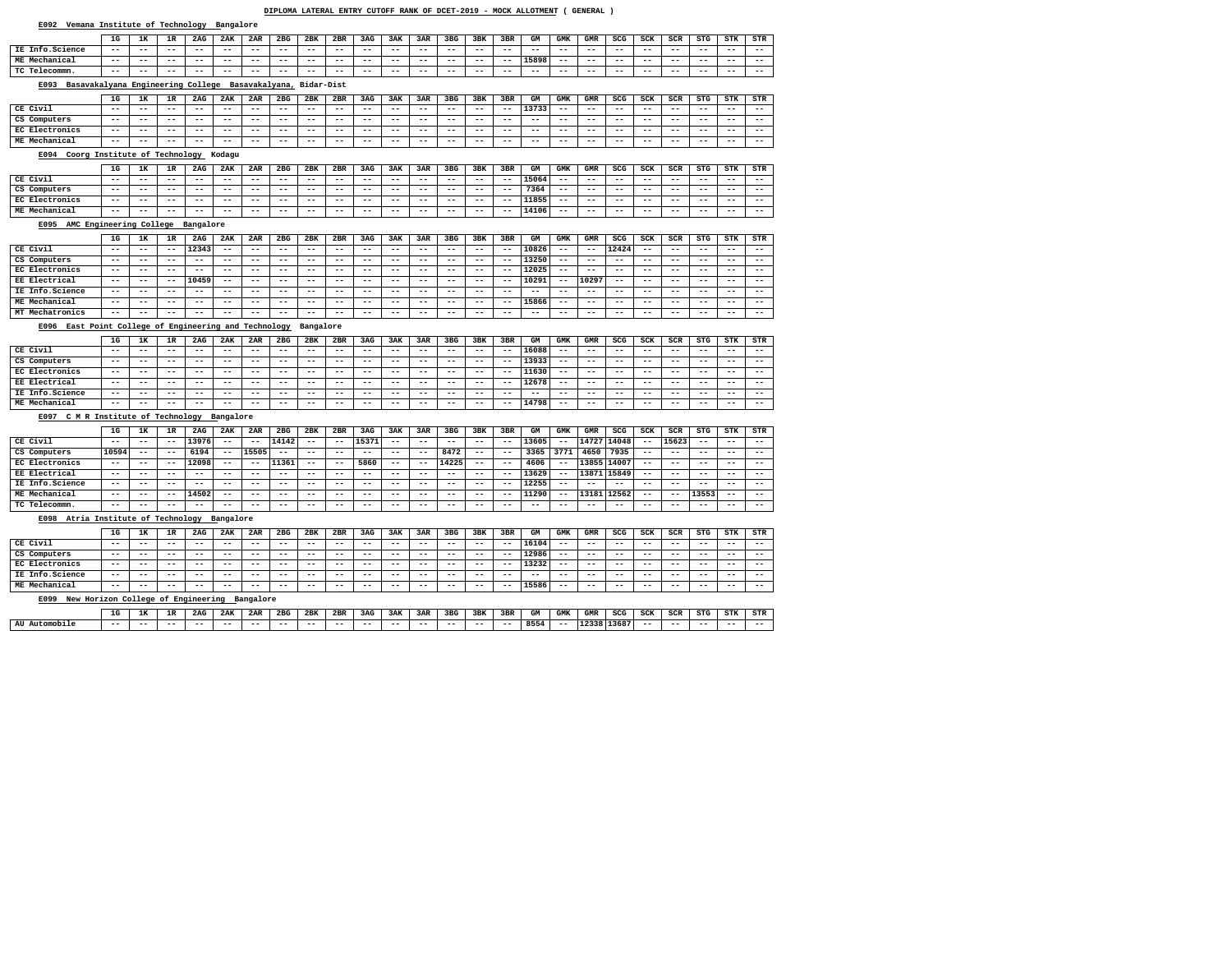#### **E092 Vemana Institute of Technology Bangalore**

#### **E093 Basavakalyana Engineering College Basavakalyana, Bidar-Dist**

### **E094 Coorg Institute of Technology Kodagu**

#### **E095 AMC Engineering College Bangalore**

# **E096 East Point College of Engineering and Technology Bangalore**

## **E097 C M R Institute of Technology Bangalore**

#### **E098 Atria Institute of Technology Bangalore**

## **E099 New Horizon College of Engineering Bangalore**

|                                                                                              | 1G    | 1ĸ    | 1R    | 2AG   | 2AK   | 2AR   | 2 <sub>BG</sub> | 2BK   | 2BR   | 3AG   | 3AK   | 3AR   | 3 <sub>BG</sub> | 3BK   | 3BR   | GМ    | GMK   | GMR   | SCG   | SCK   | SCR   | STG   | STK   | STR   |
|----------------------------------------------------------------------------------------------|-------|-------|-------|-------|-------|-------|-----------------|-------|-------|-------|-------|-------|-----------------|-------|-------|-------|-------|-------|-------|-------|-------|-------|-------|-------|
| IE Info.Science                                                                              | $- -$ | $- -$ | $- -$ | $- -$ | $- -$ | $- -$ | $- -$           | $- -$ | $- -$ | $- -$ | $- -$ | $- -$ | $- -$           | $- -$ | $- -$ | $- -$ | $- -$ | $- -$ | $- -$ | $- -$ | $- -$ | $- -$ | $- -$ | $- -$ |
| ME Mechanical                                                                                | $- -$ | $- -$ | $- -$ | $- -$ | $- -$ | $- -$ | $- -$           | $- -$ | $- -$ | $- -$ | $- -$ | $- -$ | $- -$           | $- -$ | $- -$ | 15898 | $- -$ | $- -$ | $- -$ | $- -$ | $- -$ | $- -$ | $- -$ | $- -$ |
| TC Telecommn.                                                                                | $- -$ | $- -$ | $- -$ | $- -$ | $- -$ | $- -$ | $- -$           | $- -$ | $- -$ | $- -$ | $- -$ | $- -$ | $- -$           | $- -$ | $- -$ | $- -$ | $- -$ | $- -$ | $- -$ | $- -$ | $- -$ | $- -$ | $- -$ | $- -$ |
| Deseuchelusse Braineauine Gellese, Deseuchelusse, Biden Bist<br>$\mathbf{E} \cap \mathbf{E}$ |       |       |       |       |       |       |                 |       |       |       |       |       |                 |       |       |       |       |       |       |       |       |       |       |       |

|                | 1G    | 1к    | 1 D   | 2AG   | 2AK   | 2AR   | 2 <sub>BG</sub> | 2BK   | 2BR   | 3AG   | 3AK   | 3AR   | 3 <sub>BG</sub> | 3BK   | 3BR   | GМ    | GMK   | GMR   | SCG   | SCK   | SCR   | STG   | STK   | STR   |
|----------------|-------|-------|-------|-------|-------|-------|-----------------|-------|-------|-------|-------|-------|-----------------|-------|-------|-------|-------|-------|-------|-------|-------|-------|-------|-------|
| CE Civil       | $- -$ | $- -$ | $- -$ | $- -$ | $- -$ | $- -$ | $- -$           | $- -$ | $- -$ | $- -$ | $- -$ | $- -$ | $- -$           | $- -$ | ---   | .3733 | $- -$ | $- -$ | $- -$ | $- -$ | $- -$ | $- -$ | $- -$ | $- -$ |
| CS Computers   | $- -$ | $- -$ | $- -$ | $- -$ | $- -$ | $- -$ | $- -$           | $- -$ | $- -$ | $- -$ | $- -$ | $- -$ | $- -$           | $- -$ | $- -$ | $- -$ | $- -$ | $- -$ | $- -$ | $- -$ | $- -$ | $- -$ | $- -$ | $- -$ |
| EC Electronics | $- -$ | $- -$ | $- -$ | $- -$ | $- -$ | $- -$ | $- -$           | $- -$ | $- -$ | $- -$ | $- -$ | $- -$ | $- -$           | $- -$ | $- -$ | $- -$ | $- -$ | $- -$ | $- -$ | $- -$ | $- -$ | $- -$ | $- -$ | $- -$ |
| ME Mechanical  | $- -$ | $- -$ | $- -$ | $- -$ | $- -$ | $- -$ | $- -$           | $- -$ | $- -$ | $- -$ | $- -$ | $- -$ | $- -$           | $- -$ | ---   | $- -$ | $- -$ | $- -$ | ---   | $- -$ | $- -$ | ---   | ---   | $- -$ |

|                | 1G    | <b>172</b><br>∸ | 1R    | 2AG   | 2AK   | 2AR   | 2BG   | 2BK   | 2BR   | 3AG   | 3AK   | 3AR   | 3 <sub>BG</sub> | 3BK   | 3BR   | GМ    | <b>GMK</b> | GMR   | SCG   | SCK   | SCR   | STG   | STK   | STR   |
|----------------|-------|-----------------|-------|-------|-------|-------|-------|-------|-------|-------|-------|-------|-----------------|-------|-------|-------|------------|-------|-------|-------|-------|-------|-------|-------|
| CE Civil       | $- -$ | $- -$           | $- -$ | $- -$ | $- -$ | $- -$ | $- -$ | $- -$ | $- -$ | $- -$ | $- -$ | $- -$ | $- -$           | $- -$ | $- -$ | .5064 | $- -$      | $- -$ | $- -$ | $- -$ | $- -$ | $- -$ | $- -$ | $- -$ |
| CS Computers   | $- -$ | $- -$           | $- -$ | $- -$ | $- -$ | $- -$ | $- -$ | $- -$ | $- -$ | $- -$ | $- -$ | $- -$ | $- -$           | $- -$ | $- -$ | 7364  | $- -$      | $- -$ | $- -$ | $- -$ | $- -$ | $- -$ | $- -$ | $- -$ |
| EC Electronics | $- -$ | $- -$           | $- -$ | $- -$ | $- -$ | $- -$ | $- -$ | $- -$ | $- -$ | $- -$ | $- -$ | $- -$ | $- -$           | $- -$ | $- -$ | 11855 | $- -$      | $- -$ | $- -$ | $- -$ | $- -$ | $- -$ | $- -$ | $- -$ |
| ME Mechanical  | $- -$ | $- -$           | $- -$ | $- -$ | $- -$ | $- -$ | $- -$ | $- -$ | $- -$ | $- -$ | $- -$ | $- -$ | $- -$           | $- -$ | $- -$ | 14106 | $- -$      | $- -$ | $- -$ | $- -$ | $- -$ | $- -$ | $- -$ | $- -$ |

|                      | 1G    | 1 T.<br>ᅭ | 1R    | 2AG   | 2AK   | 2AR   | 2 <sub>BG</sub> | 2BK   | 2BR   | 3AG   | 3AK   | 3AR   | 3 <sub>BG</sub> | 3BK   | 3BR   | GМ    | GMK   | <b>GMR</b> | SCG   | SCK   | <b>SCR</b> | <b>STG</b> | STK   | STR   |
|----------------------|-------|-----------|-------|-------|-------|-------|-----------------|-------|-------|-------|-------|-------|-----------------|-------|-------|-------|-------|------------|-------|-------|------------|------------|-------|-------|
| CE Civil             | $- -$ | $- -$     | $- -$ | 12343 | --    | $- -$ | $- -$           | $- -$ | $- -$ | $- -$ | $- -$ | $- -$ | $- -$           | $- -$ | $- -$ | 10826 | $- -$ | $- -$      | 12424 | $- -$ | $- -$      | $- -$      | $- -$ | $- -$ |
| CS Computers         | $- -$ | --        | --    | $- -$ | --    | $- -$ | $- -$           | $- -$ | $- -$ | $- -$ | $- -$ | $- -$ | --              | $- -$ | $- -$ | 13250 | --    | $- -$      | $- -$ | $- -$ | --         | $- -$      | $- -$ | $- -$ |
| EC Electronics       | $- -$ | $- -$     | $- -$ | $- -$ | $- -$ | $- -$ | $- -$           | $- -$ | $- -$ | $- -$ | $- -$ | $- -$ | $- -$           | $- -$ | $- -$ | 12025 | $- -$ | $- -$      | $- -$ | $- -$ | $- -$      | $- -$      | $- -$ | $- -$ |
| <b>EE Electrical</b> | $- -$ | $- -$     | $- -$ | 10459 | --    | $- -$ | $- -$           | $- -$ | $- -$ | $- -$ | $- -$ | $- -$ | $- -$           | $- -$ | $- -$ | 10291 | $- -$ | 10297      | $- -$ | $- -$ | $- -$      | $- -$      | $- -$ | $- -$ |
| IE Info.Science      | --    | $- -$     | --    | $- -$ | $- -$ | $- -$ | $- -$           | $- -$ | $- -$ | $- -$ | $- -$ | $- -$ | $- -$           | $- -$ | $- -$ | $- -$ | $- -$ | $- -$      | $- -$ | $- -$ | $- -$      | $- -$      | $- -$ | $- -$ |
| ME Mechanical        | $- -$ | $- -$     | $- -$ | $- -$ | $- -$ | $- -$ | $- -$           | $- -$ | $- -$ | $- -$ | $- -$ | $- -$ | $- -$           | $- -$ | $- -$ | 15866 | $- -$ | $- -$      | $- -$ | $- -$ | $- -$      | $- -$      | $- -$ | $- -$ |
| MT Mechatronics      | $- -$ | $- -$     | $- -$ | $- -$ | $- -$ | $- -$ | $- -$           | $- -$ | $- -$ | $- -$ | $- -$ | $- -$ | $- -$           | $- -$ | $- -$ | $- -$ | $- -$ | $- -$      | $- -$ | $- -$ | $- -$      | $- -$      | $- -$ | $- -$ |

|                      | 1G    | 1 T.A | ם 1<br>-- | 2AG   | 2AK | 2AR   | 2 <sub>BG</sub> | 2BK   | 2BR   | 3AG   | 3AK   | 3AR   | 3 <sub>BG</sub> | 3BK   | 3BR   | GM    | GMK   | GMR   | SCG   | SCK   | <b>SCR</b> | <b>STG</b> | STK   | STR   |
|----------------------|-------|-------|-----------|-------|-----|-------|-----------------|-------|-------|-------|-------|-------|-----------------|-------|-------|-------|-------|-------|-------|-------|------------|------------|-------|-------|
| CE Civil             | $- -$ | $- -$ | $- -$     | $- -$ | --  | $- -$ | $- -$           | $- -$ | $- -$ | $- -$ | $- -$ | $- -$ | $- -$           | $- -$ | $- -$ | 16088 | $- -$ | $- -$ | $- -$ | $- -$ | $- -$      | $- -$      | $- -$ | $- -$ |
| CS Computers         | $- -$ | $- -$ | $- -$     | $- -$ | --  | $- -$ | $- -$           | $- -$ | $- -$ | $- -$ | $- -$ | $- -$ | $- -$           | $- -$ | $- -$ | 13933 | $- -$ | $- -$ | $- -$ | $- -$ | $- -$      | $- -$      | $- -$ | $- -$ |
| EC Electronics       | $- -$ | $- -$ | $- -$     | $- -$ | --  | $- -$ | $- -$           | $- -$ | $- -$ | $- -$ | $- -$ | $- -$ | $- -$           | $- -$ | $- -$ | 11630 | $- -$ | $- -$ | $- -$ | $- -$ | $- -$      | $- -$      | $- -$ | $- -$ |
| <b>EE Electrical</b> | $- -$ | $- -$ | $- -$     | $- -$ | --  | $- -$ | $- -$           | $- -$ | $- -$ | $- -$ | $- -$ | $- -$ | $- -$           | $- -$ | $- -$ | 12678 | $- -$ | $- -$ | $- -$ | $- -$ | $- -$      | $- -$      | $- -$ | $- -$ |
| IE Info.Science      | $- -$ | $- -$ | $- -$     | $- -$ | --  | $- -$ | $- -$           | $- -$ | $- -$ | $- -$ | $- -$ | $- -$ | $- -$           | $- -$ | $- -$ | $- -$ | $- -$ | $- -$ | $- -$ | $- -$ | $- -$      | $- -$      | $- -$ | $- -$ |
| ME Mechanical        | $- -$ | --    | $- -$     | $- -$ | --  | $- -$ | $- -$           | $- -$ | $- -$ | $- -$ | $- -$ | $- -$ | --              | $- -$ | $- -$ | 14798 | $- -$ | $- -$ | $- -$ | $- -$ | --         | --         | $- -$ | $- -$ |

|                      | 1G    | 1 T.  |       | 2AG   | 2AK   | 2AR   | 2 <sub>BG</sub> | 2BK   | 2BR   | 3AG   | 3AK   | 3AR   | 3 <sub>BG</sub> | 3BK   | 3BR   | GМ    | <b>GMK</b> | <b>GMR</b> | SCG   | SCK   | <b>SCR</b> | <b>STG</b> | <b>STK</b> | STR   |
|----------------------|-------|-------|-------|-------|-------|-------|-----------------|-------|-------|-------|-------|-------|-----------------|-------|-------|-------|------------|------------|-------|-------|------------|------------|------------|-------|
|                      |       |       |       |       |       |       |                 |       |       |       |       |       |                 |       |       |       |            |            |       |       |            |            |            |       |
| CE Civil             | $- -$ | --    | $- -$ | 13976 | $- -$ | $- -$ | 14142           | $- -$ | $- -$ | 15371 | --    | --    | --              | $- -$ | $- -$ | 13605 | $- -$      | 14727      | 14048 | $- -$ | 15623      | $- -$      | $- -$      | $- -$ |
| CS Computers         | 10594 | $- -$ | $- -$ | 6194  | --    | 15505 | $- -$           | $- -$ | $- -$ | $- -$ | $- -$ | $- -$ | 8472            | --    | $- -$ | 3365  | 3771       | 4650       | 7935  | $- -$ | $- -$      | $- -$      | $- -$      | $- -$ |
| EC Electronics       | --    | --    | $- -$ | 12098 | $- -$ | $- -$ | 11361           | $- -$ | $- -$ | 5860  | $- -$ | $- -$ | 14225           | $- -$ | $- -$ | 4606  | $- -$      | 13855      | 14007 | $- -$ | $- -$      | $- -$      | $- -$      | $- -$ |
| <b>EE Electrical</b> | --    | $- -$ | --    | $- -$ | --    | $- -$ | $- -$           | $- -$ | $- -$ | $- -$ | $- -$ | $- -$ | $- -$           | $- -$ | $ -$  | 13629 | --         | 13871      | 15849 | $- -$ | $- -$      | $- -$      | $- -$      | $- -$ |
| IE Info.Science      | $- -$ | $- -$ | --    | $- -$ | --    | --    | $- -$           | $- -$ | $- -$ | $- -$ | $- -$ | $- -$ | $- -$           | $- -$ | $- -$ | 12255 | $- -$      | $- -$      | $- -$ | $- -$ | $- -$      | $- -$      | $- -$      | $- -$ |
| ME Mechanical        | $- -$ | $- -$ | $- -$ | 14502 | --    | $- -$ | $- -$           | $- -$ | $- -$ | $- -$ | $- -$ | $- -$ | $- -$           | $- -$ | $ -$  | 11290 | --         | 13181      | 12562 | $- -$ | $- -$      | 13553      | $- -$      | $- -$ |
| TC Telecommn.        | --    | --    | --    | $- -$ | --    | --    | $- -$           | $- -$ | $- -$ | $- -$ | $- -$ | $- -$ | --              | $- -$ | $- -$ | $- -$ | $- -$      | $- -$      | $- -$ | $- -$ | $- -$      | $- -$      | $- -$      | $- -$ |

|                 | 1G    | $\mathbf{r}$<br>ᅭ | 1R    | 2AG   | <b>2AK</b> | 2AR   | 2 <sub>BG</sub> | 2BK   | 2BR   | 3AG   | 3AK   | 3AR   | 3 <sub>BG</sub> | 3BK   | 3BR   | GМ    | GMK   | GMR   | SCG   | SCK   | SCR   | STG   | STK   | STR   |
|-----------------|-------|-------------------|-------|-------|------------|-------|-----------------|-------|-------|-------|-------|-------|-----------------|-------|-------|-------|-------|-------|-------|-------|-------|-------|-------|-------|
| CE Civil        | $- -$ | $- -$             | $- -$ | $- -$ | $- -$      | $- -$ | $- -$           | $- -$ | $- -$ | $- -$ | $- -$ | $- -$ | $- -$           | $- -$ | $ -$  | 16104 | $- -$ | $- -$ | $- -$ | $- -$ | $- -$ | $- -$ | $- -$ | $- -$ |
| CS Computers    | $- -$ | $- -$             | $- -$ | $- -$ | $- -$      | $- -$ | $- -$           | $- -$ | $- -$ | $- -$ | $- -$ | $- -$ | $- -$           | $- -$ | $- -$ | 12986 | $- -$ | $- -$ | $- -$ | $- -$ | $- -$ | $- -$ | $- -$ | $- -$ |
| EC Electronics  | $- -$ | $- -$             | $- -$ | $- -$ | $- -$      | $- -$ | $- -$           | $- -$ | $- -$ | $- -$ | $- -$ | $- -$ | $- -$           | $- -$ | $ -$  | 13232 | $- -$ | $- -$ | $- -$ | $- -$ | $- -$ | $- -$ | $- -$ | $- -$ |
| IE Info.Science | $- -$ | $- -$             | $- -$ | $- -$ | $- -$      | $- -$ | $- -$           | $- -$ | $- -$ | $- -$ | $- -$ | $- -$ | $- -$           | $- -$ | $- -$ | $- -$ | $- -$ | $- -$ | $- -$ | $- -$ | $- -$ | $- -$ | $- -$ | $- -$ |
| ME Mechanical   | $- -$ | $- -$             | $- -$ | $- -$ | $- -$      | $- -$ | $- -$           | $- -$ | $- -$ | $- -$ | $- -$ | $- -$ | $- -$           | $- -$ | $- -$ | 15586 | $- -$ | $- -$ | $- -$ | $- -$ | $- -$ | $- -$ | $- -$ | $- -$ |

|                        | 1G | - - -<br>ᆠ |   | 2AG | 2AK | 2AR | 2BG                      | 2BK   | 2BR   | 3AG | 3AK | 3AR | 3 <sub>B</sub> | 3BK | 3BR | GМ                                     | GMK | GMR   | SCG   | CCTZ | AA<br>5CK | STG | STK | . 21 K |
|------------------------|----|------------|---|-----|-----|-----|--------------------------|-------|-------|-----|-----|-----|----------------|-----|-----|----------------------------------------|-----|-------|-------|------|-----------|-----|-----|--------|
| --<br>AU<br>Automobile | -- | ---        | - | --- | - - | --- | $\overline{\phantom{a}}$ | $- -$ | $- -$ | --  |     | --- |                |     | --  | $\mathbf{a} = \mathbf{b}$<br><u>。。</u> |     | 12338 | 13687 |      |           |     |     |        |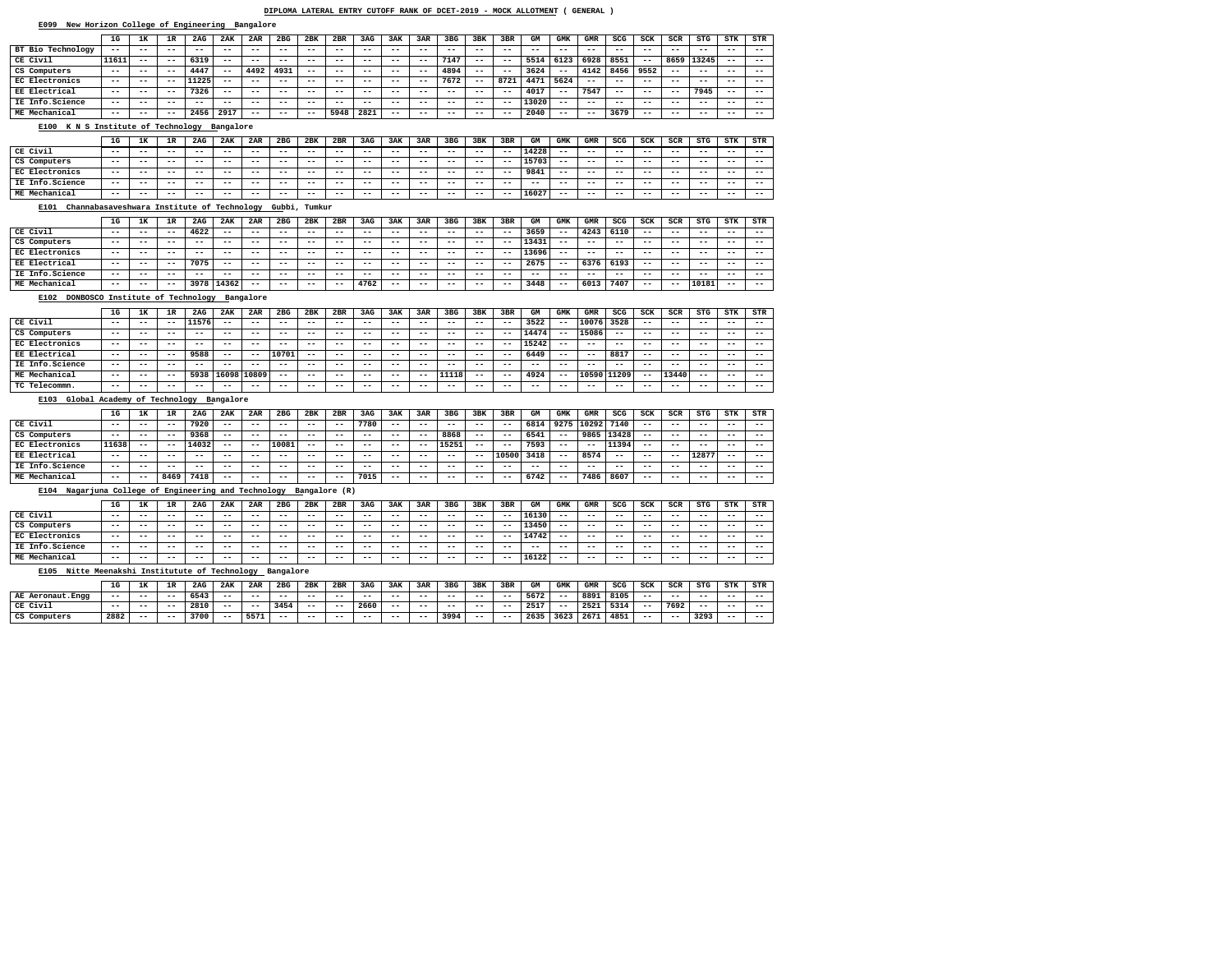#### **E099 New Horizon College of Engineering Bangalore**

#### **E100 K N S Institute of Technology Bangalore**

#### **E101 Channabasaveshwara Institute of Technology Gubbi, Tumkur**

#### **E102 DONBOSCO Institute of Technology Bangalore**

#### **E103 Global Academy of Technology Bangalore**

#### **E104 Nagarjuna College of Engineering and Technology Bangalore (R)**

#### **E105 Nitte Meenakshi Institutute of Technology Bangalore**

|                       | 1G    | 1к    | ם 1<br>ᅭᅑ | 2AG   | 2AK   | 2AR   | 2 <sub>BG</sub> | 2BK   | 2BR   | 3AG   | 3AK   | 3AR   | 3 <sub>BG</sub> | 3BK   | 3BR   | GМ    | <b>GMK</b> | <b>GMR</b> | SCG   | SCK   | SCR   | <b>STG</b> | <b>STK</b> | STR   |
|-----------------------|-------|-------|-----------|-------|-------|-------|-----------------|-------|-------|-------|-------|-------|-----------------|-------|-------|-------|------------|------------|-------|-------|-------|------------|------------|-------|
| BT Bio Technology     | $- -$ | $- -$ | $- -$     | $- -$ | --    | $- -$ | --              | $- -$ | --    | $- -$ | $- -$ | $- -$ | $- -$           | $- -$ | $- -$ | $- -$ | $- -$      | $ -$       | $- -$ | $- -$ | $- -$ | $- -$      | $- -$      | $- -$ |
| CE Civil              | 11611 | $- -$ | $ -$      | 6319  | $- -$ | $- -$ | $- -$           | $- -$ | $- -$ | $- -$ | $- -$ | $- -$ | 7147            | $- -$ | $ -$  | 5514  | 6123       | 6928       | 8551  | $- -$ | 8659  | 13245      | $- -$      | $- -$ |
| CS Computers          | $- -$ | $- -$ | $- -$     | 4447  | $- -$ | 4492  | 4931            | $- -$ | $- -$ | $- -$ | $- -$ | $- -$ | 4894            | $- -$ | $- -$ | 3624  | $- -$      | 4142       | 8456  | 9552  | $- -$ | $- -$      | $- -$      | $- -$ |
| <b>EC Electronics</b> | $- -$ | $- -$ | $ -$      | 11225 | --    | $- -$ | $- -$           | $- -$ | --    | $- -$ | $- -$ | $- -$ | 7672            | $- -$ | 8721  | 4471  | 5624       | $- -$      | $- -$ | $- -$ | $- -$ | $- -$      | $- -$      | $- -$ |
| EE Electrical         | $- -$ | $- -$ | $- -$     | 7326  | $- -$ | $- -$ | $- -$           | $- -$ | $- -$ | $- -$ | $- -$ | $- -$ | $- -$           | $- -$ | $- -$ | 4017  | $- -$      | 7547       | $- -$ | $- -$ | $- -$ | 7945       | $ -$       | $- -$ |
| IE Info.Science       | $- -$ | $- -$ | $- -$     | $- -$ | $- -$ | $- -$ | $- -$           | $- -$ | $- -$ | $- -$ | $- -$ | $- -$ | $- -$           | $- -$ | $ -$  | 13020 | $- -$      | $- -$      | $- -$ | $- -$ | $- -$ | $- -$      | $- -$      | $- -$ |
| ME Mechanical         | $- -$ | $- -$ | $ -$      | 2456  | 2917  | --    | $- -$           | $- -$ | 5948  | 2821  | $- -$ | $- -$ | $- -$           | $- -$ | $ -$  | 2040  | $- -$      | $- -$      | 3679  | $- -$ | $- -$ | $- -$      | $- -$      | $- -$ |

|                 | 1G    | 1к    | 1 D   | 2AG   | 2AK   | 2AR   | 2 <sub>BG</sub> | 2BK   | 2BR   | 3AG   | 3AK   | 3AR   | 3 <sub>BG</sub> | 3BK   | 3BR   | GМ    | GMK   | GMR   | <b>SCG</b> | SCK   | SCR   | STG   | STK   | STR . |
|-----------------|-------|-------|-------|-------|-------|-------|-----------------|-------|-------|-------|-------|-------|-----------------|-------|-------|-------|-------|-------|------------|-------|-------|-------|-------|-------|
| CE Civil        | $- -$ | $- -$ | $- -$ | $- -$ | $- -$ | $- -$ | $- -$           | $- -$ | $- -$ | $- -$ | $- -$ | $- -$ | --              | $- -$ | $- -$ | 14228 | $- -$ | $- -$ | $- -$      | $- -$ | $- -$ | $- -$ | $- -$ | $- -$ |
| CS Computers    | $- -$ | $- -$ | $- -$ | $- -$ | $- -$ | $- -$ | $- -$           | $- -$ | $- -$ | $- -$ | $- -$ | $- -$ | $- -$           | $- -$ | $ -$  | 15703 | $- -$ | $- -$ | $- -$      | $- -$ | $- -$ | $- -$ | $- -$ | $- -$ |
| EC Electronics  | $- -$ | $- -$ | $- -$ | $- -$ | $- -$ | $- -$ | $- -$           | $- -$ | $- -$ | $- -$ | $- -$ | $- -$ | $- -$           | $- -$ | $- -$ | 9841  | $- -$ | $- -$ | $- -$      | $- -$ | $- -$ | $- -$ | $- -$ | $- -$ |
| IE Info.Science | $- -$ | $- -$ | $- -$ | $- -$ | $- -$ | $- -$ | $- -$           | $- -$ | $- -$ | $- -$ | $- -$ | $- -$ | $- -$           | $- -$ | $- -$ | $- -$ | $- -$ | $- -$ | $- -$      | $- -$ | $- -$ | $- -$ | $- -$ | $- -$ |
| ME Mechanical   | $- -$ | $- -$ | $- -$ | $- -$ | $- -$ | $- -$ | $- -$           | $- -$ | $- -$ | $- -$ | $- -$ | $- -$ | $- -$           | $- -$ | $- -$ | 16027 | $- -$ | $- -$ | $- -$      | $- -$ | $- -$ | $- -$ | $- -$ | $- -$ |

|                      | 1G    | 1ĸ    | 1R    | 2AG   | 2AK   | 2AR   | 2 <sub>BG</sub> | 2BK   | 2BR   | 3AG   | 3AK   | 3AR   | 3 <sub>BG</sub> | 3BK   | 3BR   | GM    | GMK   | GMR   | SCG   | SCK   | SCR   | STG   | STK   | STR   |
|----------------------|-------|-------|-------|-------|-------|-------|-----------------|-------|-------|-------|-------|-------|-----------------|-------|-------|-------|-------|-------|-------|-------|-------|-------|-------|-------|
| CE Civil             | $- -$ | $- -$ | $ -$  | 4622  | $- -$ | $- -$ | $ -$            | $- -$ | $- -$ | $- -$ | $- -$ | $- -$ | $- -$           | $- -$ | $ -$  | 3659  | $- -$ | 4243  | 6110  | $- -$ | $- -$ | $- -$ | $- -$ | $- -$ |
| CS Computers         | $- -$ | $- -$ | $- -$ | $- -$ | $- -$ | $- -$ | $- -$           | $- -$ | $- -$ | $- -$ | $- -$ | $- -$ | $- -$           | $- -$ | $ -$  | 13431 | $- -$ | $- -$ | $- -$ | $- -$ | $- -$ | $- -$ | $- -$ | $- -$ |
| EC Electronics       | $- -$ | $- -$ | $- -$ | $- -$ | $- -$ | $- -$ | $- -$           | $- -$ | $- -$ | $- -$ | $- -$ | $- -$ | $- -$           | $- -$ | $ -$  | L3696 | $- -$ | $- -$ | $- -$ | $- -$ | $- -$ | $- -$ | $- -$ | $- -$ |
| <b>EE Electrical</b> | $- -$ | $- -$ | $- -$ | 7075  | --    | $- -$ | $- -$           | $- -$ | $- -$ | $- -$ | $- -$ | $- -$ | $- -$           | $- -$ | $ -$  | 2675  | $- -$ | 6376  | 6193  | $- -$ | $- -$ | $- -$ | $- -$ | $- -$ |
| IE Info.Science      | $- -$ | $- -$ | $- -$ | $- -$ | $- -$ | $- -$ | $- -$           | $- -$ | $- -$ | $- -$ | $- -$ | $- -$ | $- -$           | $- -$ | $- -$ | $- -$ | $- -$ | $- -$ | $- -$ | $- -$ | $- -$ | $- -$ | $- -$ | $- -$ |
| ME Mechanical        | $- -$ | $- -$ | $ -$  | 3978  | 14362 | $- -$ | $- -$           | $- -$ | $- -$ | 4762  | $- -$ | $- -$ | $- -$           | $- -$ | $ -$  | 3448  | $- -$ | 6013  | 7407  | $- -$ | $- -$ | 10181 | $- -$ | $- -$ |

|                      | 1G    | 1к    | ם 1   | 2AG   | 2AK   | 2AR         | 2BG   | 2BK   | 2BR   | 3AG   | 3AK   | 3AR   | 3 <sub>BG</sub> | 3BK   | 3BR   | GМ    | GMK   | GMR   | SCG         | SCK   | SCR   | STG   | STK   | STR   |
|----------------------|-------|-------|-------|-------|-------|-------------|-------|-------|-------|-------|-------|-------|-----------------|-------|-------|-------|-------|-------|-------------|-------|-------|-------|-------|-------|
| CE Civil             | $- -$ | --    | $- -$ | 11576 | $- -$ | $- -$       | $ -$  | $- -$ | $- -$ | $- -$ | $- -$ | $- -$ | $- -$           | $- -$ | $- -$ | 3522  | $- -$ | 10076 | 3528        | $- -$ | $- -$ | $- -$ | $- -$ | $- -$ |
| CS Computers         | $- -$ | $- -$ | $- -$ | $- -$ | $- -$ | $- -$       | $ -$  | $- -$ | $- -$ | $- -$ | $- -$ | $- -$ | $- -$           | $- -$ | $- -$ | 14474 | $- -$ | 15086 | $- -$       | $- -$ | $- -$ | $- -$ | $- -$ | $- -$ |
| EC Electronics       | $- -$ | --    | $- -$ | $- -$ | $- -$ | $- -$       | $- -$ | $- -$ | $- -$ | $- -$ | $- -$ | $- -$ | $- -$           | $- -$ | $- -$ | 15242 | $- -$ | $- -$ | $- -$       | $- -$ | $- -$ | $- -$ | $- -$ | $- -$ |
| <b>EE Electrical</b> | $- -$ | $- -$ | $- -$ | 9588  | $- -$ | $- -$       | 10701 | $- -$ | $- -$ | $- -$ | $- -$ | $- -$ | $- -$           | $- -$ | $- -$ | 6449  | $- -$ | $- -$ | 8817        | $- -$ | $- -$ | $- -$ | $- -$ | $- -$ |
| IE Info.Science      | $- -$ | $- -$ | $- -$ | $- -$ | $- -$ | $- -$       | $- -$ | $- -$ | $- -$ | $- -$ | $- -$ | $- -$ | $- -$           | $- -$ | $- -$ | $- -$ | --    | $- -$ | $- -$       | $- -$ | $- -$ | $- -$ | $- -$ | $- -$ |
| ME Mechanical        | $- -$ | $- -$ | $ -$  | 5938  |       | 16098 10809 | $- -$ | $- -$ | $- -$ | $- -$ | $- -$ | $- -$ | 11118           | $- -$ | $- -$ | 4924  | $- -$ |       | 10590 11209 | $- -$ | 13440 | $- -$ | $- -$ | $- -$ |
| TC Telecommn.        | $- -$ | $- -$ | $- -$ | $- -$ | $- -$ | $- -$       | $- -$ | $- -$ | $- -$ | $- -$ | $- -$ | $- -$ | $- -$           | $- -$ | $- -$ | $- -$ | --    | $- -$ | $- -$       | $- -$ | $- -$ | $- -$ | $- -$ | $- -$ |

| 1G                            | 1 T.P |       | 2AG   | 2AK   | 2AR   | 2 <sub>BG</sub> | 2BK   | 2BR   | 3AG   | 3AK   | 3AR   | 3 <sub>BG</sub> | 3BK   | 3BR   | GМ    | GMK   | <b>GMR</b> | SCG   | SCK   | SCR   | STG   | STK   | STR   |
|-------------------------------|-------|-------|-------|-------|-------|-----------------|-------|-------|-------|-------|-------|-----------------|-------|-------|-------|-------|------------|-------|-------|-------|-------|-------|-------|
| CE Civil<br>$- -$             | $- -$ | $- -$ | 7920  | --    | $- -$ | $- -$           | $- -$ | $- -$ | 7780  | $- -$ | $- -$ | $- -$           | $- -$ | $ -$  | 6814  | 9275  | 10292      | 7140  | $- -$ | $- -$ | $- -$ | $- -$ | $- -$ |
| CS Computers<br>--            | --    | $- -$ | 9368  | --    | --    | $- -$           | $- -$ | $- -$ | $- -$ | $- -$ | $- -$ | 8868            | $- -$ | $- -$ | 6541  | $- -$ | 9865       | 13428 | $- -$ | $- -$ | $- -$ | $ -$  | $- -$ |
| 11638<br>EC Electronics       | $- -$ | $- -$ | 14032 | $- -$ | $- -$ | 10081           | $- -$ | $- -$ | $- -$ | $- -$ | $- -$ | 15251           | $- -$ | $- -$ | 7593  | $- -$ | $- -$      | 11394 | $- -$ | $- -$ | $- -$ | $- -$ | $- -$ |
| <b>EE Electrical</b><br>$- -$ | $- -$ | $- -$ | $- -$ | --    | $- -$ | $- -$           | $- -$ | $- -$ | $- -$ | $- -$ | $- -$ | $- -$           | $- -$ | 10500 | 3418  | $- -$ | 8574       | $- -$ | $- -$ | $- -$ | 12877 | $ -$  | $- -$ |
| IE Info.Science<br>$- -$      | $- -$ | $- -$ | $- -$ | --    | $- -$ | $- -$           | $- -$ | $- -$ | $- -$ | $- -$ | $- -$ | $- -$           | $- -$ | $- -$ | $- -$ | $- -$ | $- -$      | $- -$ | $- -$ | $- -$ | $- -$ | $- -$ | $- -$ |
| ME Mechanical<br>$- -$        | $- -$ | 8469  | 7418  | --    | $- -$ | $- -$           | $- -$ | $- -$ | 7015  | $- -$ | $- -$ | --              | $- -$ | $- -$ | 6742  | $- -$ | 7486       | 8607  | $- -$ | $- -$ | $- -$ | $- -$ | $- -$ |

|                 | 1G    | <b>175</b><br>ᅭ | 1R    | 2AG   | 2AK   | 2AR   | 2 <sub>BG</sub> | 2BK   | 2BR   | 3AG   | 3AK   | 3AR   | 3 <sub>BG</sub> | 3BK   | 3BR   | GМ    | GMK   | GMR   | SCG   | SCK   | SCR   | STG   | STK   | STR   |
|-----------------|-------|-----------------|-------|-------|-------|-------|-----------------|-------|-------|-------|-------|-------|-----------------|-------|-------|-------|-------|-------|-------|-------|-------|-------|-------|-------|
| CE Civil        | $- -$ | $- -$           | $- -$ | $- -$ | $- -$ | $- -$ | $- -$           | $- -$ | $- -$ | $- -$ | $- -$ | $- -$ | $- -$           | $- -$ | $- -$ | 16130 | $- -$ | $- -$ | $- -$ | $- -$ | $- -$ | $- -$ | $- -$ | $- -$ |
| CS Computers    | $- -$ | $- -$           | $- -$ | $- -$ | $- -$ | $- -$ | $- -$           | $- -$ | $- -$ | $- -$ | $- -$ | $- -$ | $- -$           | $- -$ | $- -$ | 13450 | $- -$ | $- -$ | $- -$ | $- -$ | $- -$ | $- -$ | $- -$ | $- -$ |
| EC Electronics  | $- -$ | $- -$           | $- -$ | $- -$ | $- -$ | $- -$ | $- -$           | $- -$ | $- -$ | $- -$ | $- -$ | $- -$ | $- -$           | $- -$ | $- -$ | 14742 | $- -$ | $- -$ | $- -$ | $- -$ | $- -$ | $- -$ | $- -$ | $- -$ |
| IE Info.Science | $- -$ | $- -$           | $- -$ | $- -$ | $- -$ | $- -$ | $- -$           | $- -$ | $- -$ | $- -$ | $- -$ | $- -$ | $- -$           | $- -$ | $- -$ | $- -$ | $- -$ | $- -$ | $- -$ | $- -$ | $- -$ | $- -$ | $- -$ | $- -$ |
| ME Mechanical   | $- -$ | $- -$           | $- -$ | $- -$ | $- -$ | $- -$ | $- -$           | $- -$ | $- -$ | $- -$ | $- -$ | $- -$ | $- -$           | $- -$ | $- -$ | 16122 | $- -$ | $- -$ | $- -$ | $- -$ | $ -$  | $- -$ | $- -$ | $- -$ |

|                   | $1\text{G}$ | . .   | ם ד<br>ᅩ | 2AG  | 2AK   | 2AR   | 2 <sub>BG</sub> | 2BK   | 2BR   | 3AG   | ЗАК   | 3AR   | 3 <sub>BG</sub> | 3BK   | 3BR   | GМ   | GMK   | GMR  | SCG  | $C\cap V$ | SCR   | STG   | STK   | STR   |
|-------------------|-------------|-------|----------|------|-------|-------|-----------------|-------|-------|-------|-------|-------|-----------------|-------|-------|------|-------|------|------|-----------|-------|-------|-------|-------|
| AE Aeronaut. Engg | $- -$       | $- -$ | $- -$    | 6543 | $- -$ | $- -$ | $- -$           | $- -$ | $- -$ | $- -$ | $- -$ | $- -$ | $- -$           | $- -$ | $- -$ | 5672 | $- -$ | 8891 | 8105 | $ -$      | $- -$ | $- -$ | $- -$ | $- -$ |
| CE Civil          | $- -$       | $- -$ | $- -$    | 2810 | $- -$ | $- -$ | 3454<br>− ⊃     | $- -$ | $- -$ | 2660  | ---   | $- -$ | $- -$           | $- -$ | $- -$ | 2517 | $- -$ | 2521 | 5314 | $ -$      | 7692  | $- -$ | $- -$ | $- -$ |
| CS Computers      | 2882        | $- -$ | $- -$    | 3700 | $- -$ | 5571  | $- -$           | ---   | $- -$ | $- -$ | ---   | $- -$ | 3994            | $- -$ | $- -$ | 2635 | 3623  | 2671 | 4851 | $- -$     | $- -$ | 3293  | ---   | $- -$ |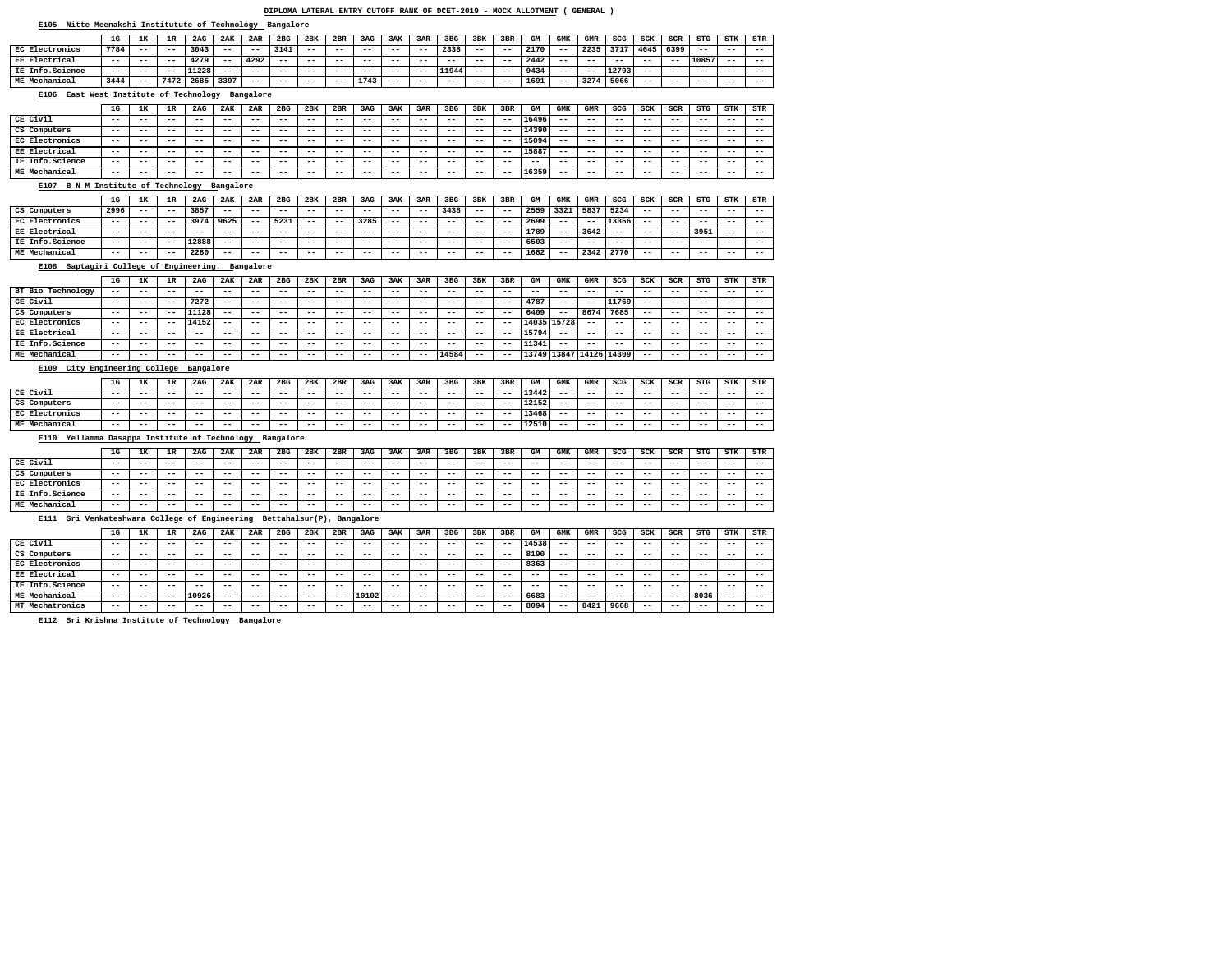#### **E105 Nitte Meenakshi Institutute of Technology Bangalore**

#### **E106 East West Institute of Technology Bangalore**

#### **E107 B N M Institute of Technology Bangalore**

#### **E108 Saptagiri College of Engineering. Bangalore**

## **E109 City Engineering College Bangalore**

# **E110 Yellamma Dasappa Institute of Technology Bangalore**

## **E111 Sri Venkateshwara College of Engineering Bettahalsur(P), Bangalore**

**E112 Sri Krishna Institute of Technology Bangalore**

|                                                             | 1G    | 1к    | 1R    | 2AG   | 2AK   | 2AR   | 2 <sub>BG</sub> | 2BK   | 2BR   | 3AG   | 3AK   | 3AR   | 3 <sub>BG</sub> | 3BK   | 3BR   | GМ   | GMK   | GMR   | SCG   | SCK   | SCR   | STG   | STK   | STR   |
|-------------------------------------------------------------|-------|-------|-------|-------|-------|-------|-----------------|-------|-------|-------|-------|-------|-----------------|-------|-------|------|-------|-------|-------|-------|-------|-------|-------|-------|
| EC Electronics                                              | 7784  | $- -$ | $- -$ | 3043  | $- -$ | $- -$ | 3141            | $- -$ | $- -$ | $- -$ | $- -$ | $- -$ | 2338            | $- -$ | $ -$  | 2170 | $- -$ | 2235  | 3717  | 4645  | 6399  | $- -$ | $ -$  | $- -$ |
| <b>EE Electrical</b>                                        | $- -$ | $- -$ | $- -$ | 4279  | $- -$ | 4292  | $ -$            | $- -$ | $- -$ | $- -$ | $- -$ | $- -$ | $- -$           | $- -$ | $ -$  | 2442 | $- -$ | $- -$ | $- -$ | $- -$ | $- -$ | 10857 | $- -$ | $- -$ |
| IE Info.Science                                             | $- -$ | $- -$ | $- -$ | 11228 | $- -$ | $- -$ | $- -$           | $- -$ | $- -$ | $- -$ | $- -$ | $- -$ | 11944           | $- -$ | $- -$ | 9434 | $- -$ | $- -$ | 12793 | $- -$ | $- -$ | $- -$ | $- -$ | $- -$ |
| <b>ME Mechanical</b>                                        | 3444  | $- -$ | 7472  | 2685  | 3397  | $- -$ | $- -$           | $- -$ | $- -$ | 1743  | $- -$ | $- -$ | $- -$           | $- -$ | $ -$  | 1691 | $- -$ | 3274  | 5066  | $- -$ | $- -$ | $- -$ | $- -$ | $- -$ |
| Fost Wort Institute of Technology, Pangaloge<br><b>E106</b> |       |       |       |       |       |       |                 |       |       |       |       |       |                 |       |       |      |       |       |       |       |       |       |       |       |

|                      | 1G    | 1ĸ    | 1R    | 2AG   | 2AK   | 2AR   | 2 <sub>BG</sub> | 2BK   | 2BR   | 3AG   | 3AK   | 3AR   | 3 <sub>BG</sub> | 3BK   | 3BR   | GМ    | <b>GMK</b> | <b>GMR</b> | SCG   | SCK   | <b>SCR</b> | <b>STG</b> | STK   | STR   |
|----------------------|-------|-------|-------|-------|-------|-------|-----------------|-------|-------|-------|-------|-------|-----------------|-------|-------|-------|------------|------------|-------|-------|------------|------------|-------|-------|
| CE Civil             | $- -$ | $- -$ | $- -$ | $- -$ | $- -$ | $- -$ | $- -$           | $- -$ | $- -$ | $- -$ | $- -$ | $- -$ | $- -$           | $- -$ | $- -$ | 16496 | $- -$      | $- -$      | $- -$ | $- -$ | $- -$      | $- -$      | $- -$ | $- -$ |
| CS Computers         | $- -$ | $- -$ | $- -$ | $- -$ | $- -$ | $- -$ | $- -$           | $- -$ | $- -$ | $- -$ | $- -$ | $- -$ | $- -$           | $- -$ | $- -$ | 14390 | $- -$      | $- -$      | $- -$ | $- -$ | $- -$      | $- -$      | $- -$ | $- -$ |
| EC Electronics       | $- -$ | $- -$ | $- -$ | $- -$ | $- -$ | $- -$ | $- -$           | $- -$ | $- -$ | $- -$ | $- -$ | $- -$ | $- -$           | $- -$ | $- -$ | L5094 | $- -$      | $- -$      | $- -$ | $- -$ | $- -$      | $- -$      | $- -$ | $- -$ |
| <b>EE Electrical</b> | $- -$ | $- -$ | $- -$ | $- -$ | $- -$ | $- -$ | $- -$           | $- -$ | $- -$ | $- -$ | $- -$ | $- -$ | $- -$           | $- -$ | $- -$ | L5887 | $- -$      | $- -$      | $- -$ | $- -$ | --         | $- -$      | $- -$ | $- -$ |
| IE Info.Science      | $- -$ | $- -$ | $- -$ | $- -$ | $- -$ | $- -$ | $- -$           | $- -$ | $- -$ | $- -$ | $- -$ | $- -$ | $- -$           | $- -$ | $- -$ | $- -$ | $- -$      | $- -$      | $- -$ | $- -$ | --         | $- -$      | $- -$ | $- -$ |
| ME Mechanical        | $- -$ | $- -$ | $- -$ | $- -$ | $- -$ | $- -$ | $- -$           | $- -$ | $- -$ | $- -$ | $- -$ | $- -$ | $- -$           | $- -$ | $- -$ | 16359 | $- -$      | $- -$      | $- -$ | $- -$ | $- -$      | $- -$      | $- -$ | $- -$ |

|                      | 1G    | <b>1 TZ</b> | 1R    | 2AG   | 2AK   | 2AR   | 2 <sub>BG</sub> | 2BK   | 2BR   | 3AG   | 3AK   | 3AR   | 3 <sub>BG</sub> | 3BK   | 3BR   | GМ   | GMK   | <b>GMR</b> | SCG   | SCK   | SCR   | <b>STG</b> | <b>STK</b> | STR   |
|----------------------|-------|-------------|-------|-------|-------|-------|-----------------|-------|-------|-------|-------|-------|-----------------|-------|-------|------|-------|------------|-------|-------|-------|------------|------------|-------|
| CS Computers         | 2996  | $- -$       | $- -$ | 3857  | $- -$ | $- -$ | $- -$           | $- -$ | $- -$ | $- -$ | $- -$ | $- -$ | 3438            | $- -$ | $- -$ | 2559 | 3321  | 5837       | 5234  | $- -$ | $- -$ | $- -$      | $- -$      | $- -$ |
| EC Electronics       | $- -$ | $- -$       | $ -$  | 3974  | 9625  | $- -$ | 5231            | $- -$ | $- -$ | 3285  | $- -$ | $- -$ | $- -$           | $- -$ | $- -$ | 2699 | $- -$ | $- -$      | 13366 | $- -$ | $- -$ | $- -$      | $- -$      | $- -$ |
| <b>EE Electrical</b> | $- -$ | $- -$       | $- -$ | $- -$ | $- -$ | $- -$ | $- -$           | $- -$ | $- -$ | $- -$ | $- -$ | $- -$ | $- -$           | $- -$ | $- -$ | 1789 | $- -$ | 3642       | $- -$ | $- -$ | $- -$ | 3951       | $- -$      | $- -$ |
| IE Info.Science      | $- -$ | $- -$       | ---   | 12888 | $- -$ | $- -$ | $- -$           | $- -$ | $- -$ | $- -$ | $- -$ | $- -$ | $- -$           | $- -$ | $- -$ | 6503 | $- -$ | $- -$      | $- -$ | $- -$ | $- -$ | $- -$      | $- -$      | $- -$ |
| ME Mechanical        | $- -$ | $- -$       | ---   | 2280  | $- -$ | $- -$ | $- -$           | $- -$ | $- -$ | $- -$ | $- -$ | $- -$ | $- -$           | $- -$ | $- -$ | 1682 | $- -$ | 2342       | 2770  | $- -$ | $- -$ | $- -$      | $- -$      | $- -$ |

|                       | 1G    | 1ĸ    | 1R    | 2AG   | 2AK   | 2AR   | 2 <sub>BG</sub> | 2BK   | 2BR   | 3AG   | 3AK   | 3AR   | 3 <sub>BG</sub> | 3BK   | 3BR   | GМ     | <b>GMK</b>  | <b>GMR</b> | SCG   | SCK   | <b>SCR</b> | <b>STG</b> | STK   | STR   |
|-----------------------|-------|-------|-------|-------|-------|-------|-----------------|-------|-------|-------|-------|-------|-----------------|-------|-------|--------|-------------|------------|-------|-------|------------|------------|-------|-------|
| BT Bio Technology     | $- -$ | $- -$ | $- -$ | $- -$ | $- -$ | $- -$ | $- -$           | $- -$ | $- -$ | $- -$ | $- -$ | $- -$ | $- -$           | $- -$ | $- -$ | $- -$  | $- -$       | $- -$      | $- -$ | $- -$ | $- -$      | $- -$      | $- -$ | $- -$ |
| CE Civil              | $- -$ | $- -$ | $- -$ | 7272  | $- -$ | $- -$ | $- -$           | $- -$ | $- -$ | $- -$ | $- -$ | $- -$ | $- -$           | $- -$ | $- -$ | 4787   | $- -$       | $- -$      | 11769 | $- -$ | $- -$      | $- -$      | $- -$ | $- -$ |
| CS Computers          | $- -$ | $- -$ | $- -$ | 11128 | $- -$ | $- -$ | $- -$           | $- -$ | $- -$ | $- -$ | $ -$  | $- -$ | $- -$           | $- -$ | $- -$ | 6409   | $- -$       | 8674       | 7685  | $- -$ | $- -$      | $- -$      | $- -$ | $- -$ |
| <b>EC Electronics</b> | $- -$ | --    | $- -$ | 14152 | --    | $- -$ | $- -$           | $- -$ | $- -$ | $- -$ | $- -$ | $- -$ | $- -$           | $- -$ | $- -$ |        | 14035 15728 | $- -$      | $- -$ | $- -$ | $- -$      | $- -$      | $- -$ | $- -$ |
| EE Electrical         | $- -$ | $- -$ | $- -$ | $- -$ | $- -$ | $- -$ | $- -$           | $- -$ | $- -$ | $- -$ | $- -$ | $- -$ | $- -$           | $- -$ | $- -$ | 15794' | $- -$       | $- -$      | $- -$ | $- -$ | $- -$      | $- -$      | $- -$ | $- -$ |
| IE Info.Science       | $- -$ | $- -$ | $- -$ | $- -$ | $- -$ | $- -$ | $- -$           | $- -$ | $- -$ | $- -$ | $- -$ | $- -$ | $- -$           | $- -$ | $- -$ | 11341  | $- -$       | $- -$      | $- -$ | $- -$ | $- -$      | $- -$      | $- -$ | $- -$ |
| ME Mechanical         | $- -$ | --    | $- -$ | $- -$ | --    | $- -$ | $- -$           | $- -$ | $- -$ | $- -$ | $- -$ | $- -$ | 14584           | $- -$ | $- -$ | 3749   | 13847       | 14126      | 14309 | $- -$ | --         | $- -$      | --    | $- -$ |

|                | 1G    | 1 T.<br>ᅭ | ם 1<br>ᅩᅑ | 2AG   | 2AK   | 2AR   | 2 <sub>BG</sub> | 2BK   | 2BR   | 3AG   | 3AK   | 3AR   | 3 <sub>BG</sub> | 3BK   | 3BR   | GМ    | GMK   | <b>GMR</b> | SCG   | SCK   | SCR   | STG   | STK   | STR   |
|----------------|-------|-----------|-----------|-------|-------|-------|-----------------|-------|-------|-------|-------|-------|-----------------|-------|-------|-------|-------|------------|-------|-------|-------|-------|-------|-------|
| CE Civil       | $- -$ | $- -$     | $- -$     | $- -$ | $- -$ | $- -$ | $- -$           | $- -$ | $- -$ | $- -$ | $- -$ | $- -$ | $- -$           | $- -$ | $- -$ | 13442 | $- -$ | $- -$      | $- -$ | $- -$ | $- -$ | $- -$ | $- -$ | $- -$ |
| CS Computers   | $- -$ | $- -$     | $- -$     | $- -$ | $- -$ | $- -$ | $- -$           | $- -$ | --    | $- -$ | $- -$ | $- -$ | $- -$           | $- -$ | $- -$ | 12152 | $- -$ | $- -$      | $- -$ | $- -$ | $- -$ | $- -$ | $- -$ | $- -$ |
| EC Electronics | $- -$ | $- -$     | $- -$     | $- -$ | $- -$ | $- -$ | $- -$           | $- -$ | $- -$ | $- -$ | $- -$ | $- -$ | $- -$           | $- -$ | $- -$ | 13468 | $- -$ | $- -$      | $- -$ | $- -$ | $- -$ | $- -$ | $- -$ | $- -$ |
| ME Mechanical  | $- -$ | $- -$     | $- -$     | $- -$ | $- -$ | $- -$ | $- -$           | $- -$ | $- -$ | $- -$ | $- -$ | $- -$ | $- -$           | $- -$ | $- -$ | 12510 | $- -$ | $- -$      | $- -$ | $- -$ | $- -$ | $- -$ | $- -$ | $- -$ |

|                 | 1G    | 1к    | 1 D<br>∸ | 2AG   | 2AK   | 2AR   | 2 <sub>BG</sub> | 2BK   | 2BR   | 3AG   | 3AK   | 3AR   | 3 <sub>BG</sub> | 3BK   | 3BR   | GМ    | GMK   | GMR   | SCG   | SCK   | SCR   | <b>STG</b> | STK   | STR   |
|-----------------|-------|-------|----------|-------|-------|-------|-----------------|-------|-------|-------|-------|-------|-----------------|-------|-------|-------|-------|-------|-------|-------|-------|------------|-------|-------|
| CE Civil        | $- -$ | $- -$ | $- -$    | $- -$ | $- -$ | $- -$ | $- -$           | $- -$ | $- -$ | $- -$ | $- -$ | $- -$ | $- -$           | $- -$ | $- -$ | $- -$ | $- -$ | $- -$ | $- -$ | $- -$ | $- -$ | $- -$      | $- -$ | $- -$ |
| CS Computers    | $- -$ | $- -$ | $- -$    | $- -$ | $- -$ | $- -$ | $- -$           | $- -$ | --    | $- -$ | $- -$ | $- -$ | $- -$           | $- -$ | $- -$ | $- -$ | $- -$ | $- -$ | $- -$ | $- -$ | $- -$ | $- -$      | $- -$ | $- -$ |
| EC Electronics  | $- -$ | $- -$ | $- -$    | $- -$ | $- -$ | $- -$ | $- -$           | $- -$ | --    | $- -$ | $- -$ | $- -$ | $- -$           | $- -$ | $- -$ | $- -$ | $- -$ | $- -$ | $- -$ | $- -$ | $- -$ | $- -$      | $- -$ | $- -$ |
| IE Info.Science | $- -$ | $- -$ | $- -$    | $- -$ | $- -$ | $- -$ | $- -$           | $- -$ | $- -$ | $- -$ | $- -$ | $- -$ | $- -$           | $- -$ | $- -$ | $- -$ | $- -$ | $- -$ | $- -$ | $- -$ | $- -$ | $- -$      | $- -$ | $- -$ |
| ME Mechanical   | $- -$ | $- -$ | $- -$    | $- -$ | $- -$ | $- -$ | $- -$           | $- -$ | $- -$ | $- -$ | $- -$ | $- -$ | $- -$           | $- -$ | $- -$ | $- -$ | $- -$ | $- -$ | $- -$ | $- -$ | $- -$ | $- -$      | $- -$ | $- -$ |

|                      | 1G    | 1ĸ    | 1R    | 2AG   | 2AK   | 2AR   | 2 <sub>BG</sub> | 2BK   | 2BR   | 3AG   | 3AK   | 3AR   | 3 <sub>BG</sub> | 3BK   | 3BR   | GМ    | <b>GMK</b> | <b>GMR</b> | SCG   | SCK   | SCR   | <b>STG</b> | STK   | STR   |
|----------------------|-------|-------|-------|-------|-------|-------|-----------------|-------|-------|-------|-------|-------|-----------------|-------|-------|-------|------------|------------|-------|-------|-------|------------|-------|-------|
| CE Civil             | $- -$ | $- -$ | $- -$ | $- -$ | $- -$ | $- -$ | $- -$           | $- -$ | $- -$ | $- -$ | $- -$ | $- -$ | --              | $- -$ | $- -$ | 14538 | $- -$      | $- -$      | $- -$ | $- -$ | $- -$ | $- -$      | $- -$ | $- -$ |
| CS Computers         | $- -$ | $- -$ | $- -$ | $- -$ | $- -$ | $- -$ | $- -$           | $- -$ | $- -$ | $- -$ | $- -$ | $- -$ | --              | $- -$ | $- -$ | 8190  | $- -$      | $- -$      | $- -$ | $- -$ | $- -$ | $- -$      | $- -$ | $- -$ |
| EC Electronics       | $- -$ | $- -$ | $- -$ | $- -$ | $- -$ | $- -$ | $- -$           | $- -$ | $- -$ | $- -$ | $- -$ | $- -$ | --              | $- -$ | $- -$ | 8363  | $- -$      | $- -$      | $- -$ | $- -$ | $- -$ | $- -$      | $- -$ | $- -$ |
| <b>EE Electrical</b> | $- -$ | $- -$ | $- -$ | $- -$ | $- -$ | $- -$ | $- -$           | $- -$ | $- -$ | $- -$ | $- -$ | $- -$ | --              | $- -$ | $- -$ | $- -$ | $- -$      | $- -$      | $- -$ | $- -$ | $- -$ | $- -$      | $- -$ | $- -$ |
| IE Info.Science      | $- -$ | $- -$ | $- -$ | $- -$ | $- -$ | $- -$ | $- -$           | $- -$ | $- -$ | $- -$ | $- -$ | $- -$ | --              | $- -$ | $- -$ | $- -$ | $- -$      | $- -$      | $ -$  | $- -$ | $- -$ | $- -$      | $- -$ | $- -$ |
| ME Mechanical        | $- -$ | $- -$ | $- -$ | 10926 | $- -$ | $- -$ | $- -$           | $- -$ | $- -$ | 10102 | $- -$ | $- -$ | --              | $- -$ | $- -$ | 6683  | $- -$      | $- -$      | $- -$ | $- -$ | $- -$ | 8036       | $- -$ | $- -$ |
| MT Mechatronics      | $- -$ | $- -$ | $- -$ | $- -$ | $- -$ | $- -$ | $- -$           | $- -$ | $- -$ | $- -$ | $- -$ | $- -$ | --              | $- -$ | $- -$ | 8094  | $- -$      | 8421       | 9668  | $- -$ | $- -$ | $- -$      | $- -$ | $- -$ |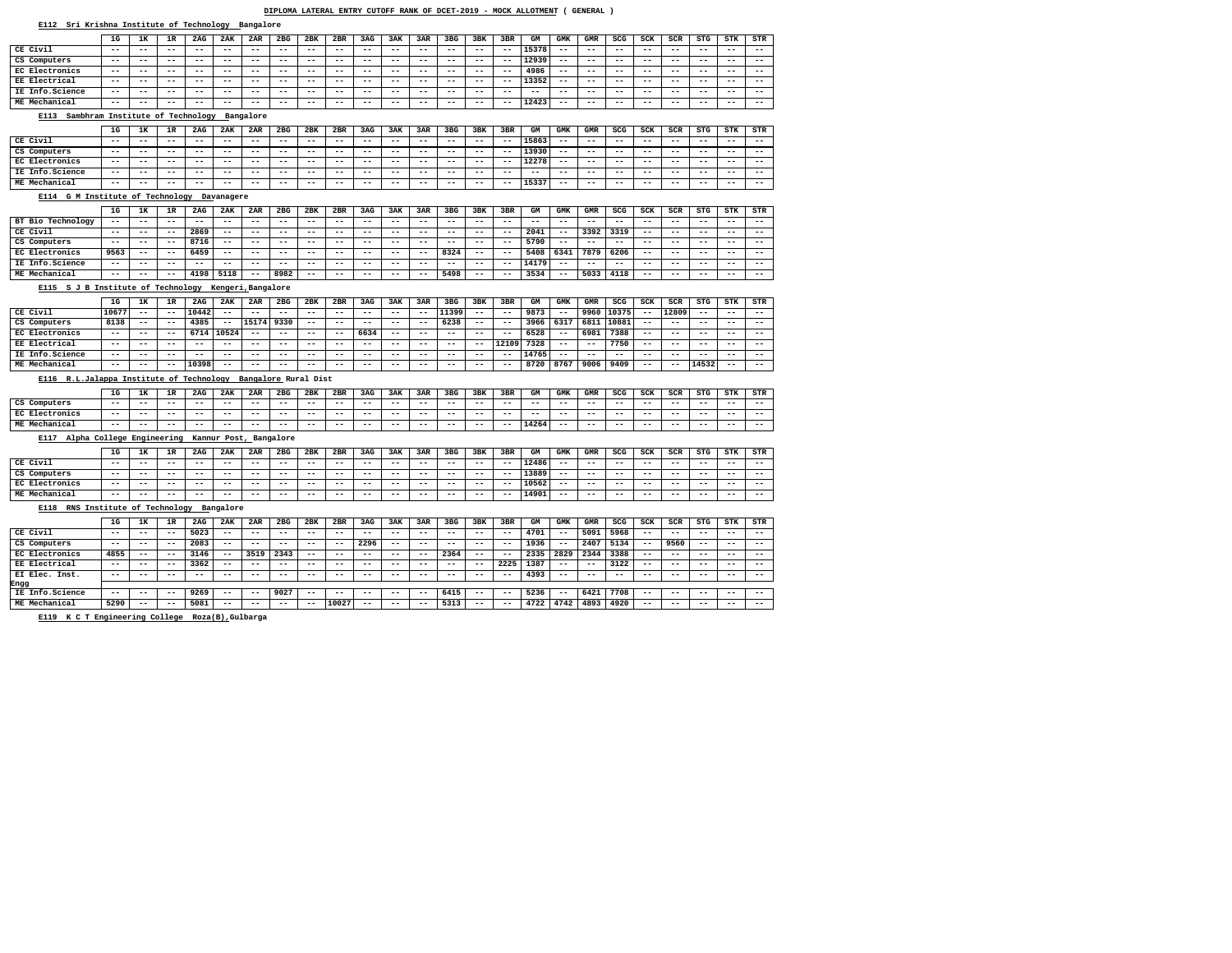## **E112 Sri Krishna Institute of Technology Bangalore**

# **E116 R.L.Jalappa Institute of Technology Bangalore Rural Dist**

# **E117 Alpha College Engineering Kannur Post, Bangalore**

# **E118 RNS Institute of Technology Bangalore**

**E119 K C T Engineering College Roza(B),Gulbarga**

|                                          | 1 <sub>G</sub> | 1 <sub>K</sub>                         | 1R                         | 2AG               | 2AK                       | 2AR                | 2 <sub>BG</sub>          | 2BK           | 2BR                       | 3AG   | 3AK               | 3AR           | 3 <sub>BG</sub> | 3BK               | 3BR            | GM                         | <b>GMK</b>                         | <b>GMR</b>   | <b>SCG</b>    | SCK                        | <b>SCR</b>                 | <b>STG</b>        | <b>STK</b>     | <b>STR</b>               |
|------------------------------------------|----------------|----------------------------------------|----------------------------|-------------------|---------------------------|--------------------|--------------------------|---------------|---------------------------|-------|-------------------|---------------|-----------------|-------------------|----------------|----------------------------|------------------------------------|--------------|---------------|----------------------------|----------------------------|-------------------|----------------|--------------------------|
| CE Civil                                 | $ -$           | --                                     | $ -$                       | $- -$             | $- -$                     | --                 | $ -$                     | $- -$         | $- -$                     | $ -$  | $ -$              | $- -$         | $ -$            | $ -$              | $ -$           | 15378                      | $- -$                              | $ -$         | $ -$          | $ -$                       | $- -$                      | $-$ -             | $ -$           | $ -$                     |
| CS Computers                             | $ -$           | $- -$                                  | $- -$                      | $- -$             | $- -$                     | $- -$              | $- -$                    | $ -$          | $- -$                     | $- -$ | $- -$             | $ -$          | $- -$           | $- -$             | $- -$          | 12939                      | $- -$                              | $- -$        | $- -$         | $- -$                      | $- -$                      | $- -$             | $- -$          | $- -$                    |
| EC Electronics                           | $- -$          | $\qquad \qquad -$                      | $- -$                      | $- -$             | $ -$                      | $- -$              | $- -$                    | $- -$         | $ -$                      | $- -$ | $\qquad \qquad -$ | $ -$          | $- -$           | $\qquad \qquad -$ | $- -$          | 4986                       | $- -$                              | $- -$        | $- -$         | $\qquad \qquad -$          | $\qquad \qquad -$          | $- -$             | $- -$          | $ -$                     |
| EE Electrical                            | $- -$          | $- -$                                  | $ -$                       | $- -$             | $ -$                      | $- -$              | $ -$                     | $ -$          | $- -$                     | $ -$  | $ -$              | $ -$          | $ -$            | $ -$              | $- -$          | 13352                      | $- -$                              | $ -$         | $ -$          | $ -$                       | $ -$                       | $ -$              | $ -$           | $- -$                    |
| IE Info.Science                          | $- -$          | $- -$                                  | $- -$                      | $- -$             | $- -$                     | $- -$              | $- -$                    | $- -$         | $- -$                     | $- -$ | $ -$              | $- -$         | $- -$           | $- -$             | $- -$          | $- -$                      | $\qquad \qquad -$                  | $- -$        | $- -$         | $- -$                      | $- -$                      | $- -$             | $- -$          | $- -$                    |
| ME Mechanical                            | $ -$           | $ -$                                   | $- -$                      | $- -$             | $- -$                     | $- -$              | $- -$                    | $- -$         | $- -$                     | $ -$  | $- -$             | $ -$          | $ -$            | $\qquad \qquad -$ | $- -$          | 12423                      | $- -$                              | $- -$        | $- -$         | $- -$                      | $- -$                      | $- -$             | $- -$          | $- -$                    |
| Sambhram Institute of Technology<br>E113 |                |                                        |                            |                   |                           | Bangalore          |                          |               |                           |       |                   |               |                 |                   |                |                            |                                    |              |               |                            |                            |                   |                |                          |
|                                          | 1G             | 1K                                     | 1R                         | 2AG               | 2AK                       | 2AR                | 2 <sub>BG</sub>          | 2BK           | 2BR                       | 3AG   | 3AK               | 3AR           | 3 <sub>BG</sub> | 3BK               | 3BR            | GM                         | <b>GMK</b>                         | GMR          | SCG           | <b>SCK</b>                 | SCR                        | <b>STG</b>        | <b>STK</b>     | STR                      |
| CE Civil                                 | $- -$          | $\qquad \qquad -$                      | $ -$                       | $- -$             | $- -$                     | $- -$              | $- -$                    | $- -$         | $- -$                     | $- -$ | $- -$             | $- -$         | $- -$           | $- -$             | $- -$          | 15863                      | $\qquad \qquad -$                  | $- -$        | $- -$         | $- -$                      | $- -$                      | $- -$             | $- -$          | $- -$                    |
| CS Computers                             | $- -$          | $- -$                                  | $ -$                       | $- -$             | $ -$                      | $- -$              | $- -$                    | $- -$         | $ -$                      | $- -$ | $- -$             | $ -$          | $- -$           | $\qquad \qquad -$ | $- -$          | 13930                      | $- -$                              | $- -$        | $- -$         | $- -$                      | $- -$                      | $ -$              | $- -$          | $ -$                     |
| EC Electronics                           | $- -$          | $ -$                                   | $- -$                      | $- -$             | $- -$                     | $- -$              | $- -$                    | $- -$         | $- -$                     | $- -$ | $ -$              | $- -$         | $- -$           | $- -$             | $- -$          | 12278                      | $- -$                              | $- -$        | $ -$          | $- -$                      | $- -$                      | $ -$              | $ -$           | $\qquad \qquad -$        |
| IE Info.Science                          | $- -$          | $- -$                                  | $ -$                       | $\qquad \qquad -$ | $- -$                     | $- -$              | $- -$                    | $ -$          | $ -$                      | $- -$ | $- -$             | $ -$          | $ -$            | $- -$             | $- -$          | $\overline{\phantom{m}}$ . | $- -$                              | $- -$        | $- -$         | $\qquad \qquad -$          | $\qquad \qquad -$          | $- -$             | $- -$          | $ -$                     |
| ME Mechanical                            | $- -$          | $- -$                                  | $ -$                       | $- -$             | $- -$                     | $- -$              | $- -$                    | $- -$         | $- -$                     | $- -$ | $- -$             | $- -$         | $ -$            | $- -$             | $ -$           | 15337                      | $- -$                              | $ -$         | $- -$         | $- -$                      | $- -$                      | $- -$             | $- -$          | $- -$                    |
| G M Institute of Technology<br>E114      |                |                                        |                            |                   | Davanagere                |                    |                          |               |                           |       |                   |               |                 |                   |                |                            |                                    |              |               |                            |                            |                   |                |                          |
|                                          | 1G             |                                        |                            |                   |                           |                    |                          | 2BK           | 2BR                       | 3AG   |                   | 3AR           | 3 <sub>BG</sub> | 3BK               |                | GM                         |                                    |              |               |                            | <b>SCR</b>                 |                   |                |                          |
| BT Bio Technology                        |                | 1K                                     | 1R                         | 2AG               | 2AK                       | 2AR<br>--          | 2 <sub>BG</sub>          |               |                           | $- -$ | 3AK               |               |                 |                   | 3BR            |                            | <b>GMK</b>                         | <b>GMR</b>   | SCG           | <b>SCK</b>                 |                            | <b>STG</b>        | <b>STK</b>     | STR                      |
| CE Civil                                 | $- -$          | $- -$                                  | $- -$                      | $- -$<br>2869     | $- -$                     | $- -$              | $ -$                     | $- -$<br>$ -$ | $- -$                     | $- -$ | $- -$<br>$- -$    | $- -$         | $- -$<br>$ -$   |                   | $- -$          | $ -$<br>2041               | $- -$                              | $ -$<br>3392 | $- -$<br>3319 | $- -$                      | $\qquad \qquad -$<br>$- -$ | $- -$             | $- -$<br>$- -$ | $\qquad \qquad -$        |
| CS Computers                             | $- -$<br>$ -$  | $\qquad \qquad -$<br>$\qquad \qquad -$ | $- -$                      | 8716              | $\qquad \qquad -$<br>$ -$ | $ -$               | $- -$                    | $- -$         | $\qquad \qquad -$<br>$ -$ | $- -$ |                   | $ -$<br>$- -$ | $ -$            | $- -$             | $- -$          | 5790                       | $\qquad \qquad -$<br>$\frac{1}{2}$ | $- -$        | $- -$         | $\qquad \qquad -$<br>$- -$ | $- -$                      | $- -$             |                | $ -$                     |
| EC Electronics                           | 9563           | $- -$                                  | $ -$<br>$ -$               | 6459              | $- -$                     | $- -$              | $- -$<br>$ -$            | $- -$         | $- -$                     | $ -$  | $- -$<br>$ -$     | $ -$          | 8324            | $- -$<br>$- -$    | $- -$<br>$- -$ | 5408                       | 6341                               | 7879         | 6206          | $- -$                      | $- -$                      | $- -$<br>$ -$     | $- -$<br>$ -$  | $ -$<br>$- -$            |
| IE Info.Science                          | $- -$          | $- -$                                  | $\overline{\phantom{m}}$ . | $- -$             | $- -$                     | $- -$              | $- -$                    | $ -$          | $\qquad \qquad -$         | $- -$ | $- -$             | $ -$          | $- -$           | $\qquad \qquad -$ | $- -$          | 14179                      | $\qquad \qquad -$                  | $- -$        | $- -$         | $\qquad \qquad -$          | $\qquad \qquad -$          | $- -$             | $- -$          | $ -$                     |
| ME Mechanical                            | $ -$           | $- -$                                  | $- -$                      | 4198              | 5118                      | $- -$              | 8982                     | $- -$         | $\overline{\phantom{m}}$  | $- -$ | $- -$             | $ -$          | 5498            | $- -$             | $- -$          | 3534                       | $- -$                              | 5033         | 4118          | $\qquad \qquad -$          | $\frac{1}{2}$              | $- -$             | $- -$          | $- -$                    |
|                                          |                |                                        |                            |                   |                           |                    |                          |               |                           |       |                   |               |                 |                   |                |                            |                                    |              |               |                            |                            |                   |                |                          |
| S J B Institute of Technology<br>E115    |                |                                        |                            |                   |                           | Kengeri, Bangalore |                          |               |                           |       |                   |               |                 |                   |                |                            |                                    |              |               |                            |                            |                   |                |                          |
|                                          | 1G             | 1K                                     | 1R                         | 2AG               | 2AK                       | 2AR                | 2BG                      | 2BK           | 2BR                       | 3AG   | 3AK               | 3AR           | 3 <sub>BG</sub> | 3BK               | 3BR            | GM                         | <b>GMK</b>                         | GMR          | SCG           | <b>SCK</b>                 | SCR                        | STG               | <b>STK</b>     | STR                      |
| CE Civil                                 | 10677          | $- -$                                  | $ -$                       | 10442             | $ -$                      | $- -$              | $\overline{\phantom{m}}$ | $- -$         | $- -$                     | $- -$ | $ -$              | $- -$         | 11399           | $- -$             | $ -$           | 9873                       | $- -$                              | 9960         | 10375         | $\qquad \qquad -$          | 12809                      | $\qquad \qquad -$ | $- -$          | $- -$                    |
| CS Computers                             | 8138           | $- -$                                  | $ -$                       | 4385              | $ -$                      | 15174              | 9330                     | $- -$         | $- -$                     | $- -$ | $- -$             | $- -$         | 6238            | $- -$             | $- -$          | 3966                       | 6317                               | 6811         | 10881         | $- -$                      | $- -$                      | $\qquad \qquad -$ | $- -$          | $\overline{\phantom{m}}$ |
| EC Electronics                           | $- -$          | $- -$                                  | $- -$                      | 6714              | 10524                     | $- -$              | $ -$                     | $- -$         | $ -$                      | 6634  | $- -$             | $ -$          | $- -$           | $- -$             | $- -$          | 6528                       | $\qquad \qquad -$                  | 6981         | 7388          | $\qquad \qquad -$          | $- -$                      | $- -$             | $- -$          | $- -$                    |
| EE Electrical                            | $- -$          | $- -$                                  | $- -$                      | $- -$             | $- -$                     | $- -$              | $ -$                     | $- -$         | $ -$                      | $- -$ | $- -$             | $- -$         | $- -$           | $- -$             | 12109          | 7328                       | $- -$                              | $- -$        | 7750          | $- -$                      | $- -$                      | $- -$             | $- -$          | $ -$                     |
| IE Info.Science                          | $- -$          | $- -$                                  | $ -$                       | $ -$              | $- -$                     | $- -$              | $ -$                     | $- -$         | $\qquad \qquad -$         | $- -$ | $ -$              | $- -$         | $ -$            | $ -$              | $- -$          | 14765                      | $- -$                              | $ -$         | $ -$          | $- -$                      | $- -$                      | $ -$              | $ -$           | $- -$                    |
| ME Mechanical                            | $- -$          | $ -$                                   | $- -$                      | 10398             | $- -$                     | $- -$              | $- -$                    | $- -$         | $- -$                     | $- -$ | $ -$              | $ -$          | $- -$           | $- -$             | $- -$          | 8720                       | 8767                               | 9006         | 9409          | $- -$                      | $- -$                      | 14532             | $- -$          | $- -$                    |

|                | 1G    | .<br>ᅩ | --    | 2AG   | 2AK   | 2AR   | 2 <sub>BG</sub> | 2BK   | 2BR   | 3AG   | 3AK   | 3AR   | 3 <sub>BG</sub> | 3BK   | 3BR   | GМ    | GMK   | GMR   | SCG   | SCK   | <b>SCR</b> | STG   | STK   | STR   |
|----------------|-------|--------|-------|-------|-------|-------|-----------------|-------|-------|-------|-------|-------|-----------------|-------|-------|-------|-------|-------|-------|-------|------------|-------|-------|-------|
| CS Computers   | $- -$ | $- -$  | $- -$ | $- -$ | $- -$ | $- -$ | $- -$           | $- -$ | $- -$ | $- -$ | $- -$ | $- -$ | $- -$           | $- -$ | $- -$ | $- -$ | $- -$ | $- -$ | $- -$ | $- -$ | $- -$      | $- -$ | $- -$ | $- -$ |
| EC Electronics | $- -$ | $- -$  | $- -$ | $- -$ | --    | $- -$ | $- -$           | $- -$ | $- -$ | $- -$ | $- -$ | $- -$ | $- -$           | $- -$ | $- -$ | $- -$ | $- -$ | $- -$ | $- -$ | $- -$ | $- -$      | $- -$ | $- -$ | $- -$ |
| ME Mechanical  | $- -$ | $- -$  | $- -$ | $- -$ | $- -$ | $- -$ | $- -$           | $- -$ | $- -$ | $- -$ | $- -$ | $- -$ | $- -$           | $- -$ | $- -$ | ⊥4264 | $- -$ | $- -$ | $- -$ | $- -$ | $- -$      | $- -$ | $- -$ | $- -$ |

|                | 1G    | 1 T.<br>ᅭ | 1R    | 2AG   | 2AK   | 2AR   | 2 <sub>BG</sub> | 2BK   | 2BR   | 3AG   | 3AK   | 3AR   | 3 <sub>BG</sub> | 3BK   | 3BR  | GМ    | GMK   | GMR   | <b>SCG</b> | <b>SCK</b> | SCR   | STG   | STK   | STR   |
|----------------|-------|-----------|-------|-------|-------|-------|-----------------|-------|-------|-------|-------|-------|-----------------|-------|------|-------|-------|-------|------------|------------|-------|-------|-------|-------|
| CE Civil       | $- -$ | $- -$     | $- -$ | $- -$ | $- -$ | $- -$ | $- -$           | $- -$ | $- -$ | $- -$ | $- -$ | $- -$ | $- -$           | $- -$ | $ -$ | 12486 | $- -$ | $- -$ | ---        | $- -$      | $- -$ | $- -$ | $- -$ | $- -$ |
| CS Computers   | $- -$ | $- -$     | $- -$ | $- -$ | $- -$ | $- -$ | $- -$           | $- -$ | $- -$ | $- -$ | $- -$ | $- -$ | $- -$           | $- -$ | $ -$ | 13889 | $- -$ | $- -$ | $- -$      | $- -$      | $- -$ | $- -$ | $- -$ | $- -$ |
| EC Electronics | $- -$ | $- -$     | $- -$ | $- -$ | $- -$ | $- -$ | $- -$           | $- -$ | $- -$ | $- -$ | $- -$ | $- -$ | $- -$           | $- -$ | $ -$ | 10562 | $- -$ | $- -$ | ---        | $- -$      | $- -$ | $- -$ | $- -$ | $- -$ |
| ME Mechanical  | $- -$ | $- -$     | $- -$ | $- -$ | $- -$ | $- -$ | $- -$           | $- -$ | $- -$ | $- -$ | $- -$ | $- -$ | $- -$           | $- -$ | $ -$ | 14901 | $- -$ | $- -$ | $- -$      | $- -$      | $- -$ | $- -$ | $- -$ | $- -$ |

|                 | 1G    | <b>1 TF</b> | ี่ 1 ก<br>ᅩᅑ | 2AG   | 2AK   | 2AR   | 2 <sub>BG</sub> | 2BK   | 2BR   | 3AG   | 3AK   | 3AR   | 3 <sub>BG</sub> | 3BK   | 3BR   | GМ   | GMK   | GMR   | SCG   | SCK   | <b>SCR</b> | <b>STG</b> | STK   | STR   |
|-----------------|-------|-------------|--------------|-------|-------|-------|-----------------|-------|-------|-------|-------|-------|-----------------|-------|-------|------|-------|-------|-------|-------|------------|------------|-------|-------|
| CE Civil        | $- -$ | $- -$       | $ -$         | 5023  | $- -$ | $- -$ | $- -$           | $- -$ | $- -$ | $- -$ | $- -$ | $- -$ | $- -$           | $- -$ | $- -$ | 4701 | $- -$ | 5091  | 5968  | $- -$ | $- -$      | $- -$      | $- -$ | $- -$ |
| CS Computers    | $- -$ | --          | $- -$        | 2083  | $- -$ | $- -$ | $- -$           | $- -$ | $- -$ | 2296  | --    | $- -$ | $- -$           | $- -$ | $- -$ | 1936 | $- -$ | 2407  | 5134  | $- -$ | 9560       | $- -$      | $- -$ | $- -$ |
| EC Electronics  | 4855  | $- -$       | $ -$         | 3146  | $- -$ | 3519  | 2343            | $- -$ | $- -$ | $- -$ | --    | $- -$ | 2364            | $- -$ | $ -$  | 2335 | 2829  | 2344  | 3388  | $- -$ | $- -$      | $- -$      | $- -$ | $- -$ |
| EE Electrical   | $- -$ | --          | $ -$         | 3362  | $- -$ | $- -$ | $ -$            | $- -$ | $- -$ | --    | --    | $- -$ | $- -$           | $- -$ | 2225  | 1387 | $- -$ | $- -$ | 3122  | $- -$ | $- -$      | $- -$      | $- -$ | $- -$ |
| EI Elec. Inst.  | $- -$ | $- -$       | $- -$        | $- -$ | $- -$ | $- -$ | $- -$           | $- -$ | $- -$ | $- -$ | $- -$ | $- -$ | $- -$           | $- -$ | $- -$ | 4393 | $- -$ | $- -$ | $- -$ | $- -$ | $- -$      | $- -$      | $- -$ | $- -$ |
| Engg            |       |             |              |       |       |       |                 |       |       |       |       |       |                 |       |       |      |       |       |       |       |            |            |       |       |
| IE Info.Science | $- -$ | $- -$       | $ -$         | 9269  | $- -$ | $- -$ | 9027            | $- -$ | $- -$ | $- -$ | $- -$ | $- -$ | 6415            | $- -$ | $- -$ | 5236 | $- -$ | 6421  | 7708  | $- -$ | $- -$      | $- -$      | $- -$ | $- -$ |
| ME Mechanical   | 5290  | $- -$       | $- -$        | 5081  | $- -$ | $- -$ | $- -$           | $- -$ | 10027 | $- -$ | --    | $- -$ | 5313            | $- -$ | $- -$ | 4722 | 4742  | 4893  | 4920  | $- -$ | $- -$      | $- -$      | $- -$ | $- -$ |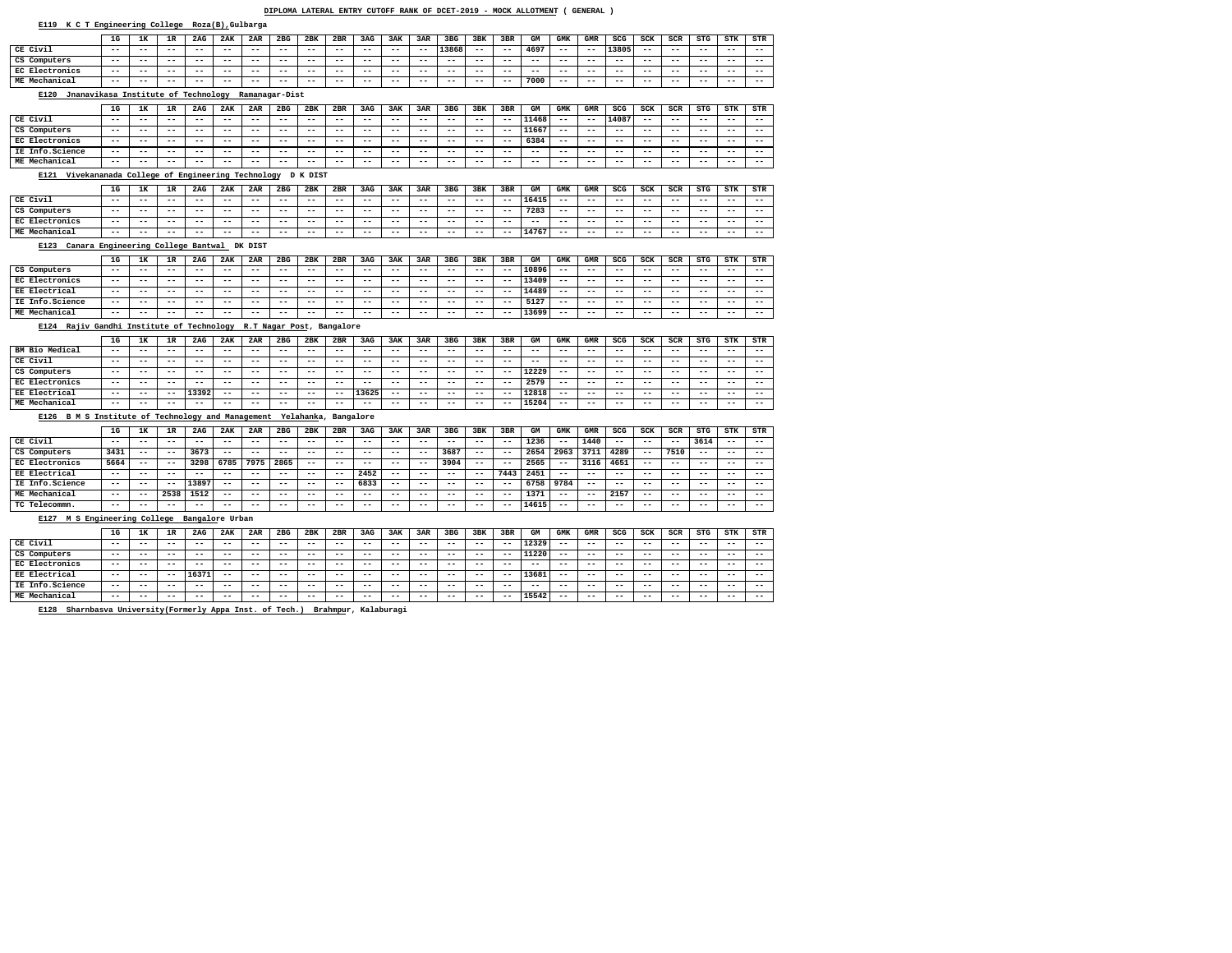## **E119 K C T Engineering College Roza(B),Gulbarga**

**E128 Sharnbasva University(Formerly Appa Inst. of Tech.) Brahmpur, Kalaburagi**

| E119<br>K C T Engineering College                                      |                            |                   |                           |                   | Roza(B),Gulbarga  |                            |                            |                            |                            |                |                   |                |                            |                            |                            |                   |                           |                   |                   |                                   |                            |                            |                           |                            |
|------------------------------------------------------------------------|----------------------------|-------------------|---------------------------|-------------------|-------------------|----------------------------|----------------------------|----------------------------|----------------------------|----------------|-------------------|----------------|----------------------------|----------------------------|----------------------------|-------------------|---------------------------|-------------------|-------------------|-----------------------------------|----------------------------|----------------------------|---------------------------|----------------------------|
|                                                                        | 1G                         | 1K                | 1R                        | 2AG               | 2AK               | 2AR                        | 2 <sub>BG</sub>            | 2BK                        | 2BR                        | 3AG            | 3AK               | 3AR            | 3 <sub>BG</sub>            | 3BK                        | 3BR                        | GM                | ${\tt GMK}$               | <b>GMR</b>        | <b>SCG</b>        | <b>SCK</b>                        | SCR                        | <b>STG</b>                 | <b>STK</b>                | STR                        |
| CE Civil                                                               | $\overline{\phantom{m}}$ . | $- -$             | $\qquad \qquad -$         | $\qquad \qquad -$ | $- -$             | $- -$                      | $\overline{\phantom{m}}$ . | $- -$                      | $\overline{\phantom{m}}$   | $- -$          | $- -$             | $- -$          | 13868                      | $\overline{\phantom{m}}$ . | $- -$                      | 4697              | $\qquad \qquad -$         | $ -$              | 13805             | $ -$                              | $- -$                      | $- -$                      | $- -$                     | $\overline{\phantom{m}}$ . |
| CS Computers                                                           | $\overline{\phantom{m}}$ . | $- -$             | $ -$                      | $\qquad \qquad -$ | $- -$             | $\qquad \qquad -$          | $- -$                      | $- -$                      | $- -$                      | $- -$          | $- -$             | $- -$          | $- -$                      | $- -$                      | $- -$                      | $\qquad \qquad -$ | $\qquad \qquad -$         | $- -$             | $- -$             | $\qquad \qquad -$                 | $- -$                      | $- -$                      | $- -$                     | $\overline{\phantom{m}}$ . |
| EC Electronics                                                         | $- -$                      | --                | $ -$                      | $- -$             | $ -$              | $- -$                      | $ -$                       | $ -$                       | $- -$                      | $- -$          | $ -$              | $- -$          | $ -$                       | $ -$                       | $ -$                       | $ -$              | $ -$                      | $ -$              | $ -$              | $- -$                             | $- -$                      | $ -$                       | $ -$                      | $- -$                      |
| ME Mechanical                                                          | $- -$                      | $- -$             | $\qquad \qquad -$         | $\qquad \qquad -$ | $- -$             | $\qquad \qquad -$          | $ -$                       | $- -$                      | $- -$                      | $- -$          | $- -$             | $- -$          | $\qquad \qquad -$          | $- -$                      | $- -$                      | 7000              | $\qquad \qquad -$         | $- -$             | $- -$             | $ -$                              | $- -$                      | $- -$                      | $ -$                      | $\overline{\phantom{m}}$   |
| Jnanavikasa Institute of Technology<br>E120                            |                            |                   |                           |                   |                   | Ramanagar-Dist             |                            |                            |                            |                |                   |                |                            |                            |                            |                   |                           |                   |                   |                                   |                            |                            |                           |                            |
|                                                                        |                            |                   |                           |                   |                   |                            |                            |                            |                            |                |                   |                |                            |                            |                            |                   |                           |                   |                   |                                   |                            |                            |                           |                            |
|                                                                        | 1 <sub>G</sub>             | 1K                | 1R                        | 2AG               | 2AK               | 2AR                        | 2 <sub>BG</sub>            | 2BK                        | 2BR                        | 3AG            | 3AK               | 3AR            | 3 <sub>BG</sub>            | 3BK                        | 3BR                        | GM                | <b>GMK</b>                | <b>GMR</b>        | <b>SCG</b>        | <b>SCK</b>                        | <b>SCR</b>                 | STG                        | <b>STK</b>                | <b>STR</b>                 |
| CE Civil<br>CS Computers                                               | $- -$                      | $- -$<br>$- -$    | $- -$                     | $- -$             | $ -$              | $- -$                      | $- -$                      | $- -$                      | $ -$                       | $- -$          | $- -$             | $ -$           | $- -$<br>$- -$             | $- -$                      | $- -$                      | 11468<br>11667    | $- -$<br>$- -$            | $- -$             | 14087             | $- -$                             | $- -$<br>$- -$             | $- -$                      | $- -$                     | $ -$                       |
| EC Electronics                                                         | $ -$<br>$- -$              | $ -$              | $\qquad \qquad -$<br>$ -$ | $- -$<br>$- -$    | $- -$<br>$- -$    | $- -$<br>$- -$             | $- -$<br>$- -$             | $- -$<br>$ -$              | $- -$<br>$ -$              | $- -$<br>$- -$ | $- -$<br>$- -$    | $- -$<br>$- -$ | $ -$                       | $- -$<br>$- -$             | $- -$<br>$- -$             | 6384              | $- -$                     | $- -$<br>$ -$     | $- -$<br>$ -$     | $\overline{\phantom{m}}$<br>$- -$ | $ -$                       | $- -$<br>$- -$             | $- -$<br>$ -$             | $\qquad \qquad -$<br>$- -$ |
| IE Info.Science                                                        | $\overline{\phantom{m}}$ . | $- -$             | $- -$                     | $- -$             | $- -$             | $- -$                      | $- -$                      | $- -$                      | $- -$                      | $- -$          | $ -$              | $- -$          | $- -$                      | $- -$                      | $ -$                       | $- -$             | $\qquad \qquad -$         | $ -$              | $ -$              | $- -$                             | $\qquad \qquad -$          | --                         | --                        | $\qquad \qquad -$          |
| ME Mechanical                                                          | $- -$                      | $ -$              | $- -$                     | $- -$             | $ -$              | $- -$                      | $- -$                      | $- -$                      | $ -$                       | $- -$          | $- -$             | $ -$           | $- -$                      | $- -$                      | $- -$                      | $- -$             | $- -$                     | $- -$             | $ -$              | $- -$                             | $- -$                      | $- -$                      | $- -$                     | $ -$                       |
|                                                                        |                            |                   |                           |                   |                   |                            |                            |                            |                            |                |                   |                |                            |                            |                            |                   |                           |                   |                   |                                   |                            |                            |                           |                            |
| Vivekananada College of Engineering Technology<br>E121                 |                            |                   |                           |                   |                   |                            |                            | D K DIST                   |                            |                |                   |                |                            |                            |                            |                   |                           |                   |                   |                                   |                            |                            |                           |                            |
|                                                                        | 1G                         | 1ĸ                | 1R                        | 2AG               | 2AK               | 2AR                        | 2 <sub>BG</sub>            | 2BK                        | 2BR                        | 3AG            | 3AK               | 3AR            | 3 <sub>BG</sub>            | 3BK                        | 3BR                        | GM                | <b>GMK</b>                | <b>GMR</b>        | SCG               | <b>SCK</b>                        | SCR                        | <b>STG</b>                 | <b>STK</b>                | <b>STR</b>                 |
| CE Civil                                                               | $- -$                      | $- -$             | $\qquad \qquad -$         | $- -$             | $ -$              | $- -$                      | $\overline{\phantom{m}}$ . | $- -$                      | $ -$                       | $ -$           | $- -$             | $ -$           | $- -$                      | $\overline{\phantom{m}}$ . | $- -$                      | 16415             | $- -$                     | $- -$             | $- -$             | $- -$                             | $- -$                      | $- -$                      | $- -$                     | $\overline{\phantom{a}}$ . |
| CS Computers                                                           | $\overline{\phantom{m}}$ . | $- -$             | $ -$                      | $- -$             | $- -$             | $- -$                      | $ -$                       | $- -$                      | $ -$                       | $- -$          | $ -$              | $- -$          | $- -$                      | $ -$                       | $- -$                      | 7283              | $- -$                     | $ -$              | $ -$              | $- -$                             | $- -$                      | $- -$                      | $ -$                      | $ -$                       |
| EC Electronics                                                         | $\overline{\phantom{m}}$ . | $- -$             | $\qquad \qquad -$         | $- -$             | $ -$              | $- -$                      | $- -$                      | $- -$                      | $- -$                      | $- -$          | $ -$              | $- -$          | $- -$                      | $- -$                      | $- -$                      | $\qquad \qquad -$ | $- -$                     | $- -$             | $ -$              | $- -$                             | $\overline{\phantom{m}}$   | $- -$                      | $- -$                     | $\qquad \qquad -$          |
| ME Mechanical                                                          | $- -$                      | $- -$             | $- -$                     | $- -$             | $ -$              | $- -$                      | $- -$                      | $- -$                      | $- -$                      | $- -$          | $- -$             | $- -$          | $\qquad \qquad -$          | $- -$                      | $- -$                      | 14767             | $\qquad \qquad -$         | $- -$             | $ -$              | $- -$                             | $\qquad \qquad -$          | $- -$                      | $\qquad \qquad -$         | $\overline{\phantom{m}}$   |
| Canara Engineering College Bantwal<br>E123                             |                            |                   |                           |                   |                   | DK DIST                    |                            |                            |                            |                |                   |                |                            |                            |                            |                   |                           |                   |                   |                                   |                            |                            |                           |                            |
|                                                                        | 1G                         | 1ĸ                | 1R                        | 2AG               | 2AK               | 2AR                        | 2 <sub>BG</sub>            | 2BK                        | 2BR                        | 3AG            | 3AK               | 3AR            | 3 <sub>BG</sub>            | 3BK                        | 3BR                        | ${\bf GM}$        | <b>GMK</b>                | <b>GMR</b>        | SCG               | <b>SCK</b>                        | <b>SCR</b>                 | <b>STG</b>                 | <b>STK</b>                | <b>STR</b>                 |
| CS Computers                                                           | $ -$                       | $- -$             | $ -$                      | $\qquad \qquad -$ | $- -$             | $- -$                      | $ -$                       | $- -$                      | $ -$                       | $ -$           | $\qquad \qquad -$ | $- -$          | $- -$                      | $\overline{\phantom{m}}$   | $ -$                       | 10896             | $- -$                     | $\qquad \qquad -$ | $- -$             | $\overline{\phantom{m}}$          | $\qquad \qquad -$          | $- -$                      | $\qquad \qquad -$         | $\overline{\phantom{m}}$ . |
| EC Electronics                                                         | $- -$                      | $ -$              | $- -$                     | $- -$             | $- -$             | $- -$                      | $ -$                       | $ -$                       | $ -$                       | $- -$          | $- -$             | $- -$          | $- -$                      | $- -$                      | $- -$                      | 13409             | $- -$                     | $ -$              | $ -$              | $ -$                              | $- -$                      | $- -$                      | $- -$                     | $- -$                      |
| EE Electrical                                                          | $ -$                       | $- -$             | $\qquad \qquad -$         | $- -$             | $- -$             | $- -$                      | $- -$                      | $- -$                      | $- -$                      | $- -$          | $- -$             | $- -$          | $- -$                      | $- -$                      | $\sim$ $\sim$              | 14489             | $\qquad \qquad -$         | $- -$             | $- -$             | $- -$                             | $- -$                      | $- -$                      | $- -$                     | $\qquad \qquad -$          |
| IE Info.Science                                                        | $- -$                      | $- -$             | $- -$                     | $- -$             | $ -$              | $- -$                      | $- -$                      | $- -$                      | $ -$                       | $- -$          | $ -$              | $- -$          | $- -$                      | $ -$                       | $ -$                       | 5127              | $- -$                     | $ -$              | $ -$              | $- -$                             | $- -$                      | $- -$                      | $- -$                     | $ -$                       |
| ME Mechanical                                                          | $-1$                       | $- -$             | $- -$                     | $- -$             | $- -$             | $- -$                      | $ -$                       | $- -$                      | $\qquad \qquad -$          | $- -$          | $- -$             | $- -$          | $- -$                      | $- -$                      | $- -$                      | 13699             | $- -$                     | $ -$              | $ -$              | $- -$                             | $\overline{\phantom{m}}$   | $- -$                      | $\qquad \qquad -$         | $- -$                      |
| E124 Rajiv Gandhi Institute of Technology                              |                            |                   |                           |                   |                   | R.T Nagar Post, Bangalore  |                            |                            |                            |                |                   |                |                            |                            |                            |                   |                           |                   |                   |                                   |                            |                            |                           |                            |
|                                                                        |                            |                   |                           |                   |                   |                            |                            |                            |                            |                |                   |                |                            |                            |                            |                   |                           |                   |                   |                                   |                            |                            |                           |                            |
| <b>BM Bio Medical</b>                                                  | 1G<br>$- -$                | 1K<br>$- -$       | 1R<br>$ -$                | 2AG<br>$- -$      | 2AK<br>$ -$       | 2AR                        | 2 <sub>BG</sub><br>$ -$    | 2BK                        | 2BR                        | 3AG<br>$- -$   | 3AK<br>$ -$       | 3AR            | 3 <sub>BG</sub><br>$- -$   | 3BK                        | 3BR                        | GM                | <b>GMK</b>                | <b>GMR</b>        | SCG               | <b>SCK</b>                        | SCR                        | <b>STG</b>                 | <b>STK</b><br>$ -$        | <b>STR</b>                 |
| CE Civil                                                               | $- -$                      | --                | $- -$                     | $- -$             | $- -$             | $- -$<br>$- -$             | $ -$                       | $- -$<br>$- -$             | $- -$<br>$- -$             | $- -$          | $ -$              | $- -$<br>$- -$ | $- -$                      | $ -$<br>$- -$              | $ -$<br>$ -$               | $ -$<br>$ -$      | $ -$<br>$- -$             | $ -$<br>$ -$      | $ -$<br>$ -$      | $- -$<br>$- -$                    | $- -$<br>$- -$             | $- -$<br>--                | --                        | $\qquad \qquad -$<br>$ -$  |
| CS Computers                                                           | $\qquad \qquad -$          | --                | --                        | --                | --                |                            | $ -$                       | $ -$                       | --                         |                | $ -$              |                | $- -$                      |                            | $ -$                       | 12229             | $ -$                      |                   | $ -$              | $ -$                              | $- -$                      | --                         | --                        | $ -$                       |
| EC Electronics                                                         | $- -$                      | $- -$             | $\qquad \qquad -$         | $\qquad \qquad -$ | $- -$             | $\qquad \qquad -$          | $\qquad \qquad -$          | $- -$                      | $- -$                      | $- -$          | $ -$              | $- -$          | $- -$                      | $- -$                      | $- -$                      | 2579              | $- -$                     | $- -$             | $- -$             | $- -$                             | $- -$                      | $\overline{\phantom{m}}$ . | $- -$                     | $\qquad \qquad -$          |
| EE Electrical                                                          | $\qquad \qquad -$          | $- -$             | $ -$                      | 13392             | $\qquad \qquad -$ | $- -$                      | $- -$                      | $- -$                      | $- -$                      | 13625          | $\qquad \qquad -$ | $- -$          | $- -$                      | $- -$                      | $\overline{\phantom{m}}$ – | 12818             | $\qquad \qquad -$         | $- -$             | $- -$             | $- -$                             | $\overline{\phantom{m}}$   | $- -$                      | $- -$                     | $ -$                       |
| ME Mechanical                                                          | $\qquad \qquad -$          | $- -$             | $ -$                      | $\qquad \qquad -$ | $- -$             | $- -$                      | $\qquad \qquad -$          | $\qquad \qquad -$          | $- -$                      | $- -$          | $ -$              | $- -$          | $- -$                      | $- -$                      | $- -$                      | 15204             | $- -$                     | $- -$             | $- -$             | $\qquad \qquad -$                 | $- -$                      | $ -$                       | $\qquad \qquad -$         | $- -$                      |
| E126 B M S Institute of Technology and Management Yelahanka, Bangalore |                            |                   |                           |                   |                   |                            |                            |                            |                            |                |                   |                |                            |                            |                            |                   |                           |                   |                   |                                   |                            |                            |                           |                            |
|                                                                        |                            |                   |                           |                   |                   |                            |                            |                            |                            |                |                   |                |                            |                            |                            |                   |                           |                   |                   |                                   |                            |                            |                           |                            |
|                                                                        | $1\texttt{G}$              | 1K                | 1R                        | 2AG               | 2AK               | 2AR                        | 2BG                        | 2BK                        | 2BR                        | 3AG            | 3AK               | 3AR            | 3 <sub>BG</sub>            | 3BK                        | 3BR                        | GM                | GMK                       | GMR               | SCG               | SCK                               | SCR                        | STG                        | STK                       | STR                        |
| CE Civil                                                               | $- -$                      | $- -$             | $\qquad \qquad -$         | $ -$              | $- -$             | $- -$                      | $- -$                      | $ -$                       | $- -$                      | $- -$          | $ -$              | $- -$          | $- -$                      | $- -$                      | $\sim$ $-$                 | 1236              | $- -$                     | 1440              | $- -$             | $- -$                             | $--$                       | 3614                       | $ -$                      | $- -$                      |
| CS Computers                                                           | 3431                       | $- -$             | $ -$                      | 3673              | $- -$             | $- -$                      | $- -$                      | $\qquad \qquad -$          | $\qquad \qquad -$          | $- -$          | $\qquad \qquad -$ | $- -$          | 3687                       | $- -$                      | $ -$                       | 2654              | 2963                      | 3711              | 4289              | $- -$                             | 7510                       | $ -$                       | $ -$                      | $ -$                       |
| EC Electronics                                                         | 5664                       | $\qquad \qquad -$ | $ -$                      | 3298              | 6785              | 7975                       | 2865                       | $- -$                      | $- -$                      | $- -$          | $ -$              | $- -$          | 3904                       | $\qquad \qquad -$          | $ -$                       | 2565              | $- -$                     | 3116              | 4651              | $- -$                             | $- -$                      | $\overline{\phantom{m}}$ . | $- -$                     | $\qquad \qquad -$          |
| EE Electrical                                                          | $- -$                      | --                | $ -$                      | $ -$              | $- -$             | $- -$                      | $\qquad \qquad -$          | $\qquad \qquad -$          | $- -$                      | 2452           | $\qquad \qquad -$ | $- -$          | $\qquad \qquad -$          | $\qquad \qquad -$          | 7443                       | 2451              | $- -$                     | $- -$             | $\qquad \qquad -$ | $- -$                             | $- -$<br>$- -$             | $\overline{\phantom{m}}$   | $\qquad \qquad -$         | $ -$                       |
| IE Info.Science<br>ME Mechanical                                       | $- -$<br>$\qquad \qquad -$ | $- -$             | $ -$<br>2538              | 13897<br>1512     | $- -$<br>$- -$    | $- -$                      | $\qquad \qquad -$          | $- -$                      | $- -$                      | 6833           | $ -$              | $- -$          | $- -$<br>$\qquad \qquad -$ | $\qquad \qquad -$          | $ -$                       | 6758<br>1371      | 9784<br>$\qquad \qquad -$ | $- -$             | $- -$<br>2157     | $- -$                             |                            | $\overline{\phantom{m}}$ . | $\qquad \qquad -$         | $\qquad \qquad -$          |
| TC Telecommn.                                                          | $\qquad \qquad -$          | --<br>$- -$       | $ -$                      | $\qquad \qquad -$ | $- -$             | $\qquad \qquad -$<br>$- -$ | $\qquad \qquad -$<br>$- -$ | $\qquad \qquad -$<br>$- -$ | $\qquad \qquad -$<br>$- -$ | $- -$<br>$- -$ | $- -$<br>$ -$     | $- -$<br>$- -$ | $\qquad \qquad -$          | $- -$<br>$- -$             | $- -$<br>$ -$              | 14615             | $- -$                     | $ -$<br>$ -$      | $- -$             | $\qquad \qquad -$<br>$- -$        | $\qquad \qquad -$<br>$- -$ | --<br>$ -$                 | $\qquad \qquad -$<br>$ -$ | $ -$<br>$- -$              |
|                                                                        |                            |                   |                           |                   |                   |                            |                            |                            |                            |                |                   |                |                            |                            |                            |                   |                           |                   |                   |                                   |                            |                            |                           |                            |
| E127 M S Engineering College Bangalore Urban                           |                            |                   |                           |                   |                   |                            |                            |                            |                            |                |                   |                |                            |                            |                            |                   |                           |                   |                   |                                   |                            |                            |                           |                            |

|                      | 1G    | <b>1 TF</b> | 1R    | 2AG   | 2AK   | 2AR   | 2 <sub>BG</sub> | 2BK   | 2BR   | 3AG   | 3AK   | 3AR   | 3 <sub>BG</sub> | 3BK   | 3BR   | GМ    | GMK   | GMR   | SCG   | SCK   | SCR   | STG   | STK   | STR   |
|----------------------|-------|-------------|-------|-------|-------|-------|-----------------|-------|-------|-------|-------|-------|-----------------|-------|-------|-------|-------|-------|-------|-------|-------|-------|-------|-------|
| CE Civil             | $- -$ | $- -$       | $- -$ | $- -$ | $- -$ | $- -$ | $- -$           | $- -$ | $- -$ | $- -$ | $- -$ | $- -$ | $- -$           | $- -$ | $- -$ | 12329 | $- -$ | $- -$ | $- -$ | $- -$ | $- -$ | $- -$ | $- -$ | $- -$ |
| CS Computers         | $- -$ | $- -$       | $- -$ | $- -$ | $- -$ | $- -$ | $- -$           | $- -$ | $- -$ | $- -$ | $- -$ | $- -$ | $- -$           | $- -$ | $ -$  | 11220 | $- -$ | $- -$ | $- -$ | $- -$ | $- -$ | $- -$ | $- -$ | $- -$ |
| EC Electronics       | $- -$ | $- -$       | $- -$ | $- -$ | $- -$ | $- -$ | $- -$           | $- -$ | $- -$ | $- -$ | $- -$ | $- -$ | $- -$           | $- -$ | $- -$ | $- -$ | $- -$ | $- -$ | $- -$ | $- -$ | $- -$ | $- -$ | $- -$ | $- -$ |
| <b>EE Electrical</b> | $- -$ | $- -$       | $ -$  | 16371 | $- -$ | $- -$ | $- -$           | $- -$ | $- -$ | $- -$ | $- -$ | $- -$ | $- -$           | $- -$ | $- -$ | 13681 | $- -$ | $- -$ | $- -$ | $- -$ | $- -$ | $- -$ | $- -$ | $- -$ |
| IE Info.Science      | $- -$ | $- -$       | $- -$ | $- -$ | $- -$ | $- -$ | $- -$           | $- -$ | $- -$ | $- -$ | $- -$ | $- -$ | $- -$           | $- -$ | $- -$ | $- -$ | $- -$ | $- -$ | $- -$ | $- -$ | $- -$ | $- -$ | $- -$ | $- -$ |
| <b>ME Mechanical</b> | $- -$ | $- -$       | $- -$ | $- -$ | $- -$ | $- -$ | $- -$           | $- -$ | $- -$ | $- -$ | $- -$ | $- -$ | $- -$           | $- -$ | $- -$ | 15542 | $- -$ | $- -$ | $- -$ | $- -$ | $- -$ | $- -$ | $- -$ | $- -$ |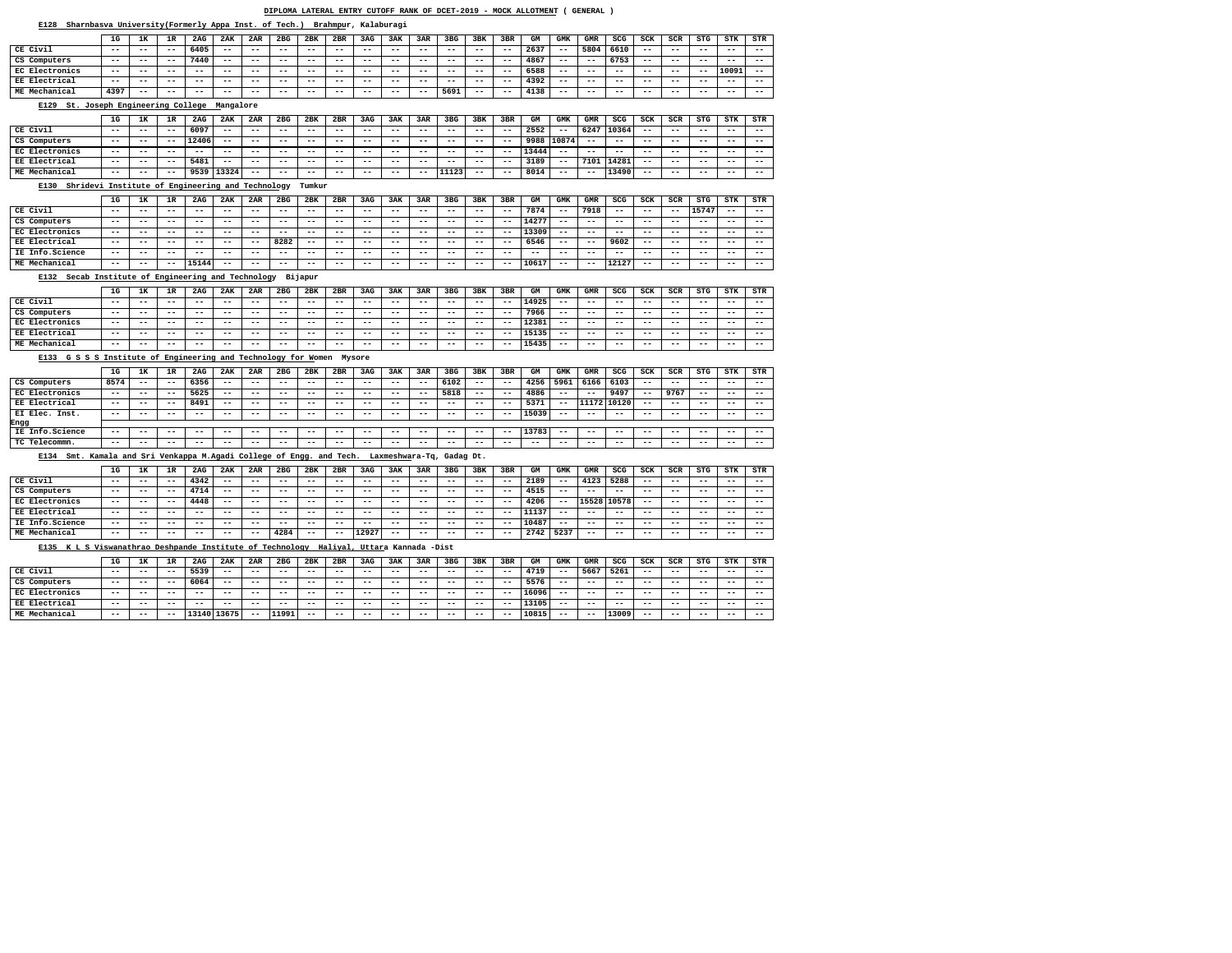#### **E128 Sharnbasva University(Formerly Appa Inst. of Tech.) Brahmpur, Kalaburagi**

#### **E129 St. Joseph Engineering College Mangalore**

## **E130 Shridevi Institute of Engineering and Technology Tumkur**

#### **E132 Secab Institute of Engineering and Technology Bijapur**

#### **E133 G S S S Institute of Engineering and Technology for Women Mysore**

#### **E134 Smt. Kamala and Sri Venkappa M.Agadi College of Engg. and Tech. Laxmeshwara-Tq, Gadag Dt.**

#### **E135 K L S Viswanathrao Deshpande Institute of Technology Haliyal, Uttara Kannada -Dist**

|                      | 1G    | 1 TZ<br>ᅩ | 1R    | 2AG   | 2AK   | 2AR   | 2 <sub>BG</sub> | 2BK   | 2BR   | 3AG   | 3AK   | 3AR   | 3 <sub>BG</sub> | 3BK   | 3BR   | GМ   | GMK   | GMR   | SCG   | SCK   | SCR   | <b>STG</b> | STK   | STR   |
|----------------------|-------|-----------|-------|-------|-------|-------|-----------------|-------|-------|-------|-------|-------|-----------------|-------|-------|------|-------|-------|-------|-------|-------|------------|-------|-------|
| CE Civil             | $- -$ | $- -$     | ---   | 6405  | $- -$ | $- -$ | $- -$           | $- -$ | $- -$ | $- -$ | $- -$ | $- -$ | $- -$           | $- -$ | $- -$ | 2637 | $- -$ | 5804  | 6610  | $- -$ | $- -$ | $- -$      | $- -$ | $- -$ |
| CS Computers         | $- -$ | $- -$     | $- -$ | 7440  | $- -$ | $- -$ | $- -$           | $- -$ | $- -$ | $- -$ | $- -$ | $- -$ | $- -$           | $- -$ | $- -$ | 4867 | $- -$ | $- -$ | 6753  | $- -$ | $- -$ | $- -$      | $- -$ | $- -$ |
| EC Electronics       | $- -$ | $- -$     | $- -$ | $- -$ | $- -$ | $- -$ | $- -$           | $- -$ | $- -$ | $- -$ | $- -$ | $- -$ | $- -$           | $- -$ | $- -$ | 6588 | $- -$ | $- -$ | $- -$ | $- -$ | $- -$ | $- -$      | 10091 | $- -$ |
| <b>EE Electrical</b> | $- -$ | $- -$     | $- -$ | $- -$ | $- -$ | $- -$ | $- -$           | $- -$ | $- -$ | $- -$ | $- -$ | $- -$ | $- -$           | $- -$ | $- -$ | 4392 | $- -$ | $- -$ | $- -$ | --    | $- -$ | $- -$      | $- -$ | $- -$ |
| ME Mechanical        | 4397  | $- -$     | $- -$ | $- -$ | $- -$ | $- -$ | $- -$           | $- -$ | $- -$ | $- -$ | $- -$ | $- -$ | 5691            | $- -$ | $- -$ | 4138 | $- -$ | $- -$ | $- -$ | $- -$ | $- -$ | $- -$      | $- -$ | $- -$ |

|                      | 1G    | 1 T.F<br>ᅭ | 1R    | 2AG   | 2AK   | 2AR   | 2 <sub>BG</sub> | 2BK   | 2BR   | 3AG   | 3AK   | 3AR   | 3 <sub>BG</sub> | 3BK   | 3BR   | GМ    | GMK   | GMR   | SCG   | SCK   | SCR   | <b>STG</b> | STK   | STR   |
|----------------------|-------|------------|-------|-------|-------|-------|-----------------|-------|-------|-------|-------|-------|-----------------|-------|-------|-------|-------|-------|-------|-------|-------|------------|-------|-------|
| CE Civil             | $- -$ | $- -$      | $- -$ | 6097  | $- -$ | $- -$ | $- -$           | $- -$ | $- -$ | $- -$ | $- -$ | $- -$ | $- -$           | $- -$ | $- -$ | 2552  | $- -$ | 6247  | 10364 | $- -$ | $- -$ | $- -$      | $- -$ | $- -$ |
| CS Computers         | $- -$ | $- -$      | $- -$ | 12406 | $- -$ | $- -$ | $- -$           | $- -$ | $- -$ | $- -$ | $- -$ | $- -$ | $- -$           | $- -$ | $- -$ | 9988  | 10874 | $- -$ | $- -$ | $- -$ | $- -$ | $- -$      | $- -$ | $- -$ |
| EC Electronics       | $- -$ | $- -$      | $- -$ | $- -$ | $- -$ | $- -$ | $- -$           | $- -$ | $- -$ | $- -$ | $- -$ | $- -$ | $- -$           | $- -$ | $- -$ | 13444 | $- -$ | $- -$ | $- -$ | $- -$ | $- -$ | $- -$      | $- -$ | $- -$ |
| <b>EE Electrical</b> | $- -$ | $- -$      | $- -$ | 5481  | $- -$ | $- -$ | $- -$           | $- -$ | $- -$ | $- -$ | $- -$ | $- -$ | $- -$           | $- -$ | $- -$ | 3189  | $- -$ | 7101  | 14281 | --    | $- -$ | $- -$      | $- -$ | $- -$ |
| ME Mechanical        | $- -$ | $- -$      | $- -$ | 9539  | 13324 | $- -$ | $- -$           | $- -$ | $- -$ | $- -$ | $- -$ | $- -$ | 11123           | $- -$ | $- -$ | 8014  | $- -$ | $- -$ | 13490 | $- -$ | $- -$ | $- -$      | $- -$ | $- -$ |

|                       | 1G    | <b>175</b><br>∸ | 1R    | 2AG   | 2AK   | 2AR   | 2 <sub>BG</sub> | 2BK   | 2BR   | 3AG   | 3AK   | 3AR   | 3 <sub>BG</sub> | 3BK   | 3BR   | GМ    | <b>GMK</b> | GMR   | SCG   | SCK   | SCR   | STG   | STK   | STR   |
|-----------------------|-------|-----------------|-------|-------|-------|-------|-----------------|-------|-------|-------|-------|-------|-----------------|-------|-------|-------|------------|-------|-------|-------|-------|-------|-------|-------|
| CE Civil              | $- -$ | $- -$           | $- -$ | $- -$ | $- -$ | $- -$ | $- -$           | $- -$ | $- -$ | $ -$  | $- -$ | $- -$ | $- -$           | $- -$ | $- -$ | 7874  | $- -$      | 7918  | $- -$ | $- -$ | $- -$ | 15747 | $- -$ | $- -$ |
| CS Computers          | $- -$ | $- -$           | $ -$  | $- -$ | $- -$ | $- -$ | $- -$           | $- -$ | $- -$ | $ -$  | $- -$ | $- -$ | $- -$           | $- -$ | $- -$ | 14277 | $- -$      | $- -$ | $- -$ | $- -$ | $- -$ | $- -$ | $- -$ | $- -$ |
| <b>EC Electronics</b> | $- -$ | $- -$           | $- -$ | $- -$ | $- -$ | $- -$ | $- -$           | $- -$ | $- -$ | $- -$ | $- -$ | $- -$ | $- -$           | $- -$ | $- -$ | 13309 | $- -$      | $- -$ | $- -$ | $- -$ | $- -$ | $- -$ | $- -$ | $- -$ |
| <b>EE Electrical</b>  | $- -$ | $- -$           | $- -$ | $- -$ | $- -$ | $- -$ | 8282            | $- -$ | $- -$ | $ -$  | $- -$ | $- -$ | $- -$           | $- -$ | $- -$ | 6546  | $- -$      | $- -$ | 9602  | $- -$ | $- -$ | $- -$ | $- -$ | $- -$ |
| IE Info.Science       | $- -$ | $- -$           | $- -$ | $- -$ | $- -$ | $- -$ | $- -$           | $- -$ | $- -$ | $- -$ | $- -$ | $- -$ | $- -$           | $- -$ | $- -$ | $- -$ | $- -$      | $- -$ | $- -$ | $- -$ | $- -$ | $- -$ | $- -$ | $- -$ |
| ME Mechanical         | $- -$ | $- -$           | $ -$  | 15144 | --    | $- -$ | $- -$           | $- -$ | $- -$ | $- -$ | $- -$ | $- -$ | $- -$           | $- -$ | $- -$ | 10617 | --         | $- -$ | 12127 | --    | $- -$ | $- -$ | $- -$ | $- -$ |

|                      | 1G    | 172   | ᅩ     | 2AG   | 2AK | 2AR   | 2 <sub>BG</sub> | 2BK   | 2BR   | 3AG   | 3AK   | 3AR   | 3 <sub>BG</sub> | 3BK   | 3BR   | GМ    | GMK   | GMR   | SCG   | SCK   | SCR   | STG   | STK   | STR 1 |
|----------------------|-------|-------|-------|-------|-----|-------|-----------------|-------|-------|-------|-------|-------|-----------------|-------|-------|-------|-------|-------|-------|-------|-------|-------|-------|-------|
| CE Civil             | $- -$ | $- -$ | $- -$ | $- -$ | --  | $- -$ | $- -$           | $- -$ | $- -$ | $- -$ | $- -$ | $- -$ | $- -$           | $- -$ | $- -$ | 14925 | $- -$ | $- -$ | $- -$ | $- -$ | $- -$ | $- -$ | $- -$ | $- -$ |
| CS Computers         | $- -$ | $- -$ | $- -$ | $- -$ | --  | $- -$ | $- -$           | $- -$ | $- -$ | $- -$ | $- -$ | $- -$ | $- -$           | $- -$ | $- -$ | 7966  | $- -$ | $- -$ | $- -$ | $- -$ | $- -$ | $- -$ | $- -$ | $- -$ |
| EC Electronics       | $- -$ | $- -$ | $- -$ | $- -$ | --  | $- -$ | $- -$           | $- -$ | $- -$ | $- -$ | $- -$ | $- -$ | $- -$           | $- -$ | $- -$ | 12381 | $- -$ | $- -$ | $- -$ | $- -$ | $- -$ | $- -$ | $- -$ | $- -$ |
| <b>EE Electrical</b> | $- -$ | $- -$ | $- -$ | $- -$ | --  | $- -$ | $- -$           | $- -$ | $- -$ | $- -$ | $- -$ | $- -$ | $- -$           | $- -$ | $- -$ | 15135 | $- -$ | $- -$ | $- -$ | $- -$ | $- -$ | $- -$ | $- -$ | $- -$ |
| ME Mechanical        | $- -$ | --    | $- -$ | $- -$ | --  | $- -$ | $- -$           | $- -$ | $- -$ | $- -$ | $- -$ | $- -$ | $- -$           | $- -$ | $- -$ | 15435 | $- -$ | $- -$ | $- -$ | $- -$ | $- -$ | $- -$ | $- -$ | $- -$ |

|                      | 1G    | <b>1 TZ</b> | 1R.   | 2AG   | 2AK   | 2AR   | 2 <sub>BG</sub> | 2BK   | 2BR   | 3AG   | 3AK   | 3AR   | 3 <sub>BG</sub> | 3BK   | 3BR   | GМ    | GMK   | GMR         | SCG   | SCK   | SCR   | STG   | STK   | STR   |
|----------------------|-------|-------------|-------|-------|-------|-------|-----------------|-------|-------|-------|-------|-------|-----------------|-------|-------|-------|-------|-------------|-------|-------|-------|-------|-------|-------|
| CS Computers         | 8574  | $- -$       | $- -$ | 6356  | $- -$ | $- -$ | $- -$           | $- -$ | $- -$ | $- -$ | $- -$ | $- -$ | 6102            | $- -$ | $- -$ | 4256  | 5961  | 6166        | 6103  | $- -$ | $- -$ | $- -$ | $- -$ | $- -$ |
| EC Electronics       | $- -$ | $- -$       | $- -$ | 5625  | $- -$ | $- -$ | $- -$           | $- -$ | $- -$ | $- -$ | $- -$ | $- -$ | 5818            | $- -$ | $- -$ | 4886  | $- -$ | $ -$        | 9497  | $- -$ | 9767  | $- -$ | $- -$ | $- -$ |
| <b>EE Electrical</b> | $- -$ | $- -$       | $- -$ | 8491  | $- -$ | $- -$ | $- -$           | $- -$ | $- -$ | $- -$ | $- -$ | $- -$ | $- -$           | $- -$ | $- -$ | 5371  | $- -$ | 11172110120 |       | $- -$ | $- -$ | $- -$ | $- -$ | $- -$ |
| EI Elec. Inst.       | $- -$ | $- -$       | $- -$ | $- -$ | $- -$ | $- -$ | $- -$           | $- -$ | $- -$ | $- -$ | $- -$ | $- -$ | $- -$           | $- -$ | $- -$ | 15039 | $- -$ | $- -$       | $- -$ | $- -$ | $- -$ | $- -$ | $- -$ | $- -$ |
| Engg                 |       |             |       |       |       |       |                 |       |       |       |       |       |                 |       |       |       |       |             |       |       |       |       |       |       |
| IE Info.Science      | $- -$ | $- -$       | $- -$ | $- -$ | $- -$ | $- -$ | $- -$           | $- -$ | $- -$ | $- -$ | $- -$ | $- -$ | $- -$           | $- -$ | $- -$ | 13783 | $- -$ | $- -$       | $- -$ | $- -$ | $- -$ | $- -$ | $- -$ | $- -$ |
| TC Telecommn.        | $- -$ | $- -$       | $- -$ | $- -$ | $- -$ | $- -$ | $- -$           | $- -$ | $- -$ | $- -$ | $- -$ | $- -$ | $- -$           | $- -$ | $- -$ | $- -$ | $- -$ | $- -$       | $- -$ | $- -$ | $- -$ | $- -$ | $- -$ | $- -$ |

|                      | 1G    | 1ĸ    | 1R    | 2AG   | 2AK   | 2AR   | 2 <sub>BG</sub> | 2BK   | 2BR   | 3AG   | 3AK   | 3AR   | 3 <sub>BG</sub> | 3BK   | 3BR   | GМ    | GMK   | GMR   | SCG         | SCK   | SCR   | <b>STG</b> | STK   | STR   |
|----------------------|-------|-------|-------|-------|-------|-------|-----------------|-------|-------|-------|-------|-------|-----------------|-------|-------|-------|-------|-------|-------------|-------|-------|------------|-------|-------|
| CE Civil             | $- -$ | $- -$ | $- -$ | 4342  | $- -$ | $- -$ | $- -$           | $- -$ | $- -$ | $- -$ | $- -$ | $- -$ | $- -$           | $- -$ | $ -$  | 2189  | $- -$ | 4123  | 5288        | $- -$ | $- -$ | $- -$      | $- -$ | $- -$ |
| CS Computers         | $- -$ | $- -$ | $- -$ | 4714  | $- -$ | $- -$ | $- -$           | $- -$ | $- -$ | $- -$ | $- -$ | $- -$ | $- -$           | $- -$ | $- -$ | 4515  | $- -$ | $- -$ | $- -$       | $- -$ | --    | $- -$      | $- -$ | $- -$ |
| EC Electronics       | $- -$ | $- -$ | $- -$ | 4448  | $- -$ | $- -$ | $- -$           | $- -$ | $- -$ | $- -$ | $- -$ | $- -$ | $- -$           | $- -$ | $- -$ | 4206  | $- -$ |       | 15528 10578 | $ -$  | $- -$ | $- -$      | $- -$ | $- -$ |
| <b>EE Electrical</b> | $- -$ | $- -$ | $- -$ | $- -$ | $- -$ | $- -$ | $- -$           | $- -$ | $- -$ | $- -$ | $- -$ | $- -$ | $- -$           | $- -$ | $- -$ | 11137 | $- -$ | $- -$ | $- -$       | $- -$ | $- -$ | $- -$      | $- -$ | $- -$ |
| IE Info.Science      | $- -$ | $- -$ | $- -$ | $- -$ | $- -$ | $- -$ | $- -$           | $- -$ | $- -$ | $- -$ | $- -$ | $- -$ | $- -$           | $- -$ | $- -$ | 10487 | $- -$ | $- -$ | $- -$       | $- -$ | $- -$ | $- -$      | $- -$ | $- -$ |
| ME Mechanical        | $- -$ | $- -$ | $- -$ | $- -$ | $- -$ | $- -$ | 4284            | $- -$ | $- -$ | 12927 | $- -$ | $- -$ | $- -$           | $- -$ | $ -$  | 2742  | 5237  | $- -$ | $- -$       | $- -$ | $- -$ | $- -$      | $- -$ | $- -$ |

|                      | 1G    | 1к    | 1R    | 2AG     | 2AK   | 2AR   | 2 <sub>BG</sub> | 2BK   | 2BR   | 3AG   | 3AK   | 3AR   | 3 <sub>BG</sub> | 3BK   | 3BR   | GМ    | <b>GMK</b> | GMR   | SCG   | <b>SCK</b> | SCR   | <b>STG</b> | STK   | STR   |
|----------------------|-------|-------|-------|---------|-------|-------|-----------------|-------|-------|-------|-------|-------|-----------------|-------|-------|-------|------------|-------|-------|------------|-------|------------|-------|-------|
| CE Civil             | $- -$ | $- -$ | $- -$ | 5539    | $- -$ | $- -$ | $- -$           | $- -$ | $- -$ | $- -$ | $- -$ | $- -$ | --              | $- -$ | $- -$ | 4719  | $- -$      | 5667  | 5261  | $- -$      | --    | $- -$      | $- -$ | $- -$ |
| CS Computers         | $- -$ | $- -$ | $- -$ | 6064    | $- -$ | $- -$ | $- -$           | $- -$ | $- -$ | $- -$ | $- -$ | $- -$ | $- -$           | $- -$ | $- -$ | 5576  | $- -$      | $- -$ | $- -$ | $- -$      | --    | $- -$      | $- -$ | $- -$ |
| EC Electronics       | $- -$ | $- -$ | $- -$ | $- -$   | $- -$ | $- -$ | $- -$           | $- -$ | $- -$ | $- -$ | $- -$ | $- -$ | $- -$           | $- -$ | $- -$ | 16096 | $- -$      | $- -$ | $- -$ | $- -$      | $- -$ | $- -$      | $- -$ | $- -$ |
| <b>EE Electrical</b> | $- -$ | $- -$ | $- -$ | $- -$   | $- -$ | $- -$ | $- -$           | $- -$ | $- -$ | $- -$ | $- -$ | $- -$ | --              | $- -$ | $- -$ | 13105 | $- -$      | $- -$ | $- -$ | $- -$      | --    | $- -$      | $- -$ | $- -$ |
| ME Mechanical        | $- -$ | $- -$ | $- -$ | ا 3140. | 13675 | $- -$ | 11991           | $- -$ | $- -$ | $- -$ | $- -$ | $- -$ | --              | $- -$ | $- -$ | 10815 | $- -$      | $- -$ | 13009 | $- -$      | --    | $- -$      | $- -$ | $- -$ |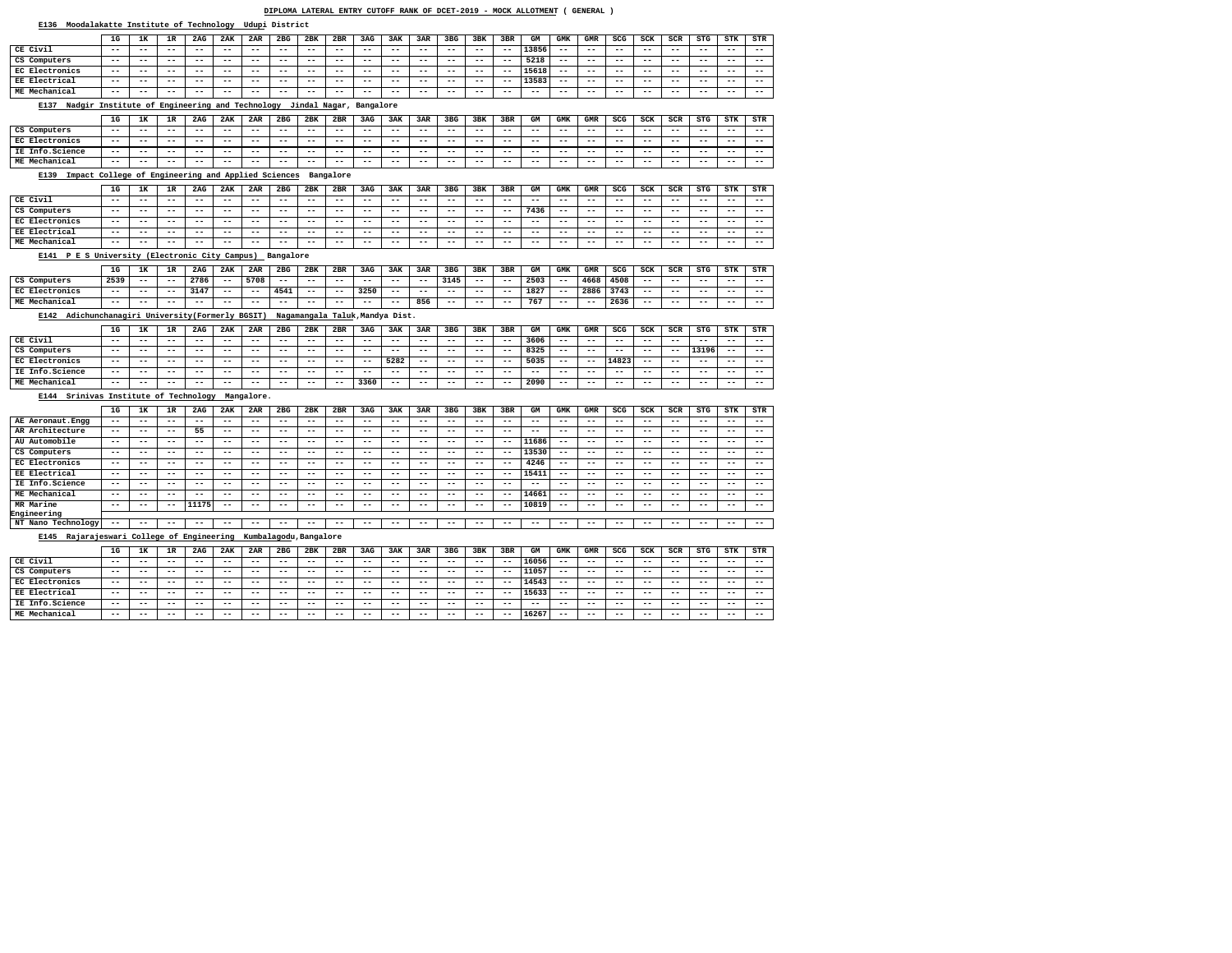#### **E136 Moodalakatte Institute of Technology Udupi District**

|                                                            | 1 <sub>G</sub>           | 1K    | 1R                       | 2AG               | 2AK   | 2AR                    | 2 <sub>BG</sub>            | 2BK                      | 2BR                     | 3AG   | 3AK                             | 3AR                        | 3 <sub>BG</sub>          | 3BK                        | 3BR               | GM                | <b>GMK</b>        | <b>GMR</b>                         | SCG                      | SCK   | SCR               | <b>STG</b>        | STK               | STR                        |
|------------------------------------------------------------|--------------------------|-------|--------------------------|-------------------|-------|------------------------|----------------------------|--------------------------|-------------------------|-------|---------------------------------|----------------------------|--------------------------|----------------------------|-------------------|-------------------|-------------------|------------------------------------|--------------------------|-------|-------------------|-------------------|-------------------|----------------------------|
| CE Civil                                                   | $- -$                    | $- -$ | $- -$                    | $- -$             | $- -$ | $- -$                  | $- -$                      | $- -$                    | $- -$                   | $- -$ | $- -$                           | $- -$                      | $\qquad \qquad -$        | $- -$                      | $- -$             | 13856             | $- -$             | $\qquad \qquad -$                  | $- -$                    | --    | $- -$             | $- -$             | $- -$             | $\qquad \qquad -$          |
| CS Computers                                               | $- -$                    | --    | $- -$                    | $- -$             | $- -$ | $- -$                  | $- -$                      | $- -$                    | $\qquad \qquad -$       | $- -$ | $ -$                            | $- -$                      | $\overline{\phantom{m}}$ | $- -$                      | $- -$             | 5218              | --                | $- -$                              | --                       | --    | $- -$             | $- -$             | $- -$             | $\qquad \qquad -$          |
| EC Electronics                                             | $- -$                    | $- -$ | $- -$                    | $- -$             | $- -$ | $- -$                  | $- -$                      | $- -$                    | $- -$                   | $- -$ | $- -$                           | $- -$                      | $- -$                    | $- -$                      | $- -$             | 15618             | $- -$             | $- -$                              | $- -$                    | --    | $- -$             | $- -$             | $- -$             | $\qquad \qquad -$          |
| EE Electrical                                              | $\qquad \qquad -$        | $- -$ | $- -$                    | $- -$             | $- -$ | $- -$                  | $ -$                       | $- -$                    | $- -$                   | $- -$ | $- -$                           | $- -$                      | $\overline{\phantom{m}}$ | --                         | $\qquad \qquad -$ | 13583             | --                | $\overline{\phantom{m}}$           | --                       | --    | $- -$             | $- -$             | $- -$             | $\qquad \qquad -$          |
| ME Mechanical                                              | $- -$                    | $- -$ | $- -$                    | $- -$             | $- -$ | $- -$                  | $- -$                      | $- -$                    | $- -$                   | $- -$ | $- -$                           | $- -$                      | $- -$                    | $- -$                      | $- -$             | $- -$             | --                | $- -$                              | --                       | --    | $- -$             | $- -$             | $- -$             | $\qquad \qquad -$          |
|                                                            |                          |       |                          |                   |       |                        |                            |                          |                         |       |                                 |                            |                          |                            |                   |                   |                   |                                    |                          |       |                   |                   |                   |                            |
| Nadgir Institute of Engineering and Technology<br>E137     |                          |       |                          |                   |       |                        |                            |                          | Jindal Nagar, Bangalore |       |                                 |                            |                          |                            |                   |                   |                   |                                    |                          |       |                   |                   |                   |                            |
|                                                            | 1G                       | 1K    | 1R                       | 2AG               | 2AK   | 2AR                    | 2 <sub>BG</sub>            | 2BK                      | 2BR                     | 3AG   | 3AK                             | 3AR                        | 3 <sub>BG</sub>          | 3BK                        | 3BR               | GM                | <b>GMK</b>        | <b>GMR</b>                         | SCG                      | SCK   | SCR               | <b>STG</b>        | STK               | STR                        |
| CS Computers                                               | $- -$                    | $- -$ | $- -$                    | $- -$             | $- -$ | $- -$                  | $- -$                      | $- -$                    | $- -$                   | $- -$ | $- -$                           | $- -$                      | $- -$                    | $- -$                      | $- -$             | $- -$             | --                | $- -$                              | $- -$                    | --    | $- -$             | $- -$             | $- -$             | $\qquad \qquad -$          |
| EC Electronics                                             | $\qquad \qquad -$        | $- -$ | $- -$                    | $- -$             | $- -$ | $- -$                  | $- -$                      | $\overline{\phantom{m}}$ | $- -$                   | $- -$ | $- -$                           | $\overline{\phantom{m}}$   | $- -$                    | $- -$                      | $- -$             | $- -$             | --                | $- -$                              | $- -$                    | --    | $- -$             | $- -$             | $- -$             | $\qquad \qquad -$          |
| IE Info.Science                                            | $- -$                    | $- -$ | $- -$                    | $- -$             | $- -$ | $- -$                  | $- -$                      | $- -$                    | $- -$                   | $- -$ | $- -$                           | $- -$                      | $\qquad \qquad -$        | --                         | $- -$             | $- -$             | $- -$             | $- -$                              | --                       | --    | $- -$             | $- -$             | $- -$             | $- -$                      |
| ME Mechanical                                              | $\qquad \qquad -$        | $- -$ | $- -$                    | $- -$             | $- -$ | $- -$                  | $- -$                      | $- -$                    | $- -$                   | $- -$ | $- -$                           | $- -$                      | $- -$                    | $- -$                      | $- -$             | $- -$             | --                | $- -$                              | $- -$                    | --    | $- -$             | $- -$             | $- -$             | $\qquad \qquad -$          |
| Impact College of Engineering and Applied Sciences<br>E139 |                          |       |                          |                   |       |                        |                            |                          | Bangalore               |       |                                 |                            |                          |                            |                   |                   |                   |                                    |                          |       |                   |                   |                   |                            |
|                                                            |                          |       |                          |                   |       |                        |                            |                          |                         |       |                                 |                            |                          |                            |                   |                   |                   |                                    |                          |       |                   |                   |                   |                            |
|                                                            | 1G                       | 1ĸ    | 1R                       | 2AG               | 2AK   | 2AR                    | 2 <sub>BG</sub>            | 2BK                      | 2BR                     | 3AG   | 3AK                             | 3AR                        | 3 <sub>BG</sub>          | 3BK                        | 3BR               | GM                | <b>GMK</b>        | <b>GMR</b>                         | SCG                      | SCK   | SCR               | <b>STG</b>        | <b>STK</b>        | STR                        |
| CE Civil                                                   | $- -$                    | $- -$ | $- -$                    | $- -$             | $- -$ | $- -$                  | $- -$                      | $- -$                    | $\qquad \qquad -$       | $- -$ | $- -$                           | $- -$                      | $\overline{\phantom{m}}$ | $- -$                      | $- -$             | $- -$             | --                | $- -$                              | $- -$                    | --    | $- -$             | $- -$             | $- -$             | $- -$                      |
| CS Computers                                               | $- -$                    | $- -$ | $- -$                    | $- -$             | $- -$ | $- -$                  | $- -$                      | $- -$                    | $- -$                   | $- -$ | $- -$                           | $- -$                      | $- -$                    | $- -$                      | $- -$             | 7436              | --                | $- -$                              | $- -$                    | --    | $- -$             | $- -$             | $- -$             | $\qquad \qquad -$          |
| EC Electronics                                             | $- -$                    | $- -$ | $- -$                    | $\qquad \qquad -$ | $- -$ | $- -$                  | $ -$                       | $- -$                    | $\qquad \qquad -$       | $- -$ | --                              | $\overline{\phantom{m}}$   | $\overline{\phantom{m}}$ | $- -$                      | --                | $- -$             | --                | $\overline{\phantom{m}}$           | $\overline{\phantom{m}}$ | --    | $- -$             | $- -$             | $\qquad \qquad -$ | $\qquad \qquad -$          |
| EE Electrical                                              | $- -$                    | $- -$ | $- -$                    | $- -$             | $- -$ | $- -$                  | $- -$                      | $- -$                    | $- -$                   | $- -$ | $- -$                           | $- -$                      | $- -$                    | --                         | $- -$             | $- -$             | --                | $- -$                              | --                       | --    | $- -$             | $- -$             | $- -$             | $- -$                      |
| ME Mechanical                                              | $\qquad \qquad -$        |       | $- -$                    | $- -$             | $- -$ |                        | $- -$                      | $- -$                    | $- -$                   | $- -$ | $- -$                           | $\overline{\phantom{m}}$   | $\overline{\phantom{m}}$ | $- -$                      | $- -$             | $- -$             | --                | $- -$                              | $\overline{\phantom{m}}$ | --    | $- -$             | $- -$             | $\qquad \qquad -$ | $- -$                      |
| P E S University (Electronic City Campus)<br>E141          |                          |       |                          |                   |       |                        | Bangalore                  |                          |                         |       |                                 |                            |                          |                            |                   |                   |                   |                                    |                          |       |                   |                   |                   |                            |
|                                                            | 1G                       | 1ĸ    | 1R                       | 2AG               | 2AK   | 2AR                    | 2 <sub>BG</sub>            | 2BK                      | 2BR                     | 3AG   | 3AK                             | 3AR                        | 3 <sub>BG</sub>          | 3BK                        | 3BR               | GМ                | <b>GMK</b>        | <b>GMR</b>                         | SCG                      | SCK   | SCR               | <b>STG</b>        | STK               | STR                        |
| CS Computers                                               | 2539                     | $- -$ | $- -$                    | 2786              | $- -$ | 5708                   | $- -$                      | $- -$                    | $- -$                   | $- -$ | $- -$                           | $\overline{\phantom{m}}$   | 3145                     | $\overline{\phantom{m}}$   | $- -$             | 2503              | $\qquad \qquad -$ | 4668                               | 4508                     | $- -$ | $- -$             | $- -$             | $- -$             | $\qquad \qquad -$          |
| EC Electronics                                             | $- -$                    |       |                          | 3147              | $- -$ |                        |                            |                          | $\qquad \qquad -$       |       |                                 |                            | $- -$                    |                            |                   | 1827              |                   |                                    | 3743                     |       |                   |                   |                   | $\qquad \qquad -$          |
| ME Mechanical                                              |                          | $- -$ | $- -$                    |                   |       | $- -$                  | 4541                       | $- -$                    |                         | 3250  | $- -$                           | $- -$<br>856               |                          | --                         | $\qquad \qquad -$ | 767               | $\qquad \qquad -$ | 2886<br>$\overline{\phantom{m}}$ . | 2636                     | $- -$ | $- -$             | $- -$             | $- -$             |                            |
|                                                            | $\qquad \qquad -$        | $- -$ | $- -$                    | $- -$             | $- -$ | $- -$                  | $- -$                      | $- -$                    | $\qquad \qquad -$       | $- -$ | $- -$                           |                            | $- -$                    | $- -$                      | $- -$             |                   | --                |                                    |                          | --    | $- -$             | $\qquad \qquad -$ | $- -$             | $\qquad \qquad -$          |
| Adichunchanagiri University(Formerly BGSIT)<br>E142        |                          |       |                          |                   |       |                        |                            |                          |                         |       | Nagamangala Taluk, Mandya Dist. |                            |                          |                            |                   |                   |                   |                                    |                          |       |                   |                   |                   |                            |
|                                                            | 1G                       | 1ĸ    | 1R                       | 2AG               | 2AK   | 2AR                    | 2 <sub>BG</sub>            | 2BK                      | 2BR                     | 3AG   | 3AK                             | 3AR                        | 3 <sub>BG</sub>          | 3BK                        | 3BR               | GM                | <b>GMK</b>        | <b>GMR</b>                         | SCG                      | SCK   | SCR               | <b>STG</b>        | STK               | STR                        |
| CE Civil                                                   | $- -$                    | $- -$ | $- -$                    | $- -$             | $- -$ | $- -$                  | $- -$                      | $- -$                    | $- -$                   | $- -$ | $- -$                           | $- -$                      | $- -$                    | $- -$                      | $- -$             | 3606              | --                | $- -$                              | --                       | --    | $- -$             | $- -$             | $- -$             | $\qquad \qquad -$          |
| CS Computers                                               | $- -$                    | $- -$ | $- -$                    | $- -$             | $- -$ | $- -$                  | $- -$                      | $- -$                    | $- -$                   | $- -$ | $- -$                           | $- -$                      | $- -$                    | $- -$                      | $\qquad \qquad -$ | 8325              | --                | $- -$                              | $- -$                    | --    | $- -$             | 13196             | $- -$             | $- -$                      |
| EC Electronics                                             | $- -$                    | $- -$ | $- -$                    | $- -$             | $- -$ | $- -$                  | $ -$                       | $- -$                    | $- -$                   | $- -$ | 5282                            | $- -$                      | $- -$                    | --                         | $\qquad \qquad -$ | 5035              | --                | $- -$                              | 14823                    | --    | $- -$             | $- -$             | $- -$             | $\qquad \qquad -$          |
| IE Info.Science                                            | $- -$                    | $- -$ | $- -$                    | $- -$             | $- -$ | $- -$                  | $- -$                      | $- -$                    | $- -$                   | $ -$  | $ -$                            | $- -$                      | $- -$                    | --                         | --                | $- -$             | --                | $- -$                              | --                       | --    | $- -$             | $- -$             | --                | $- -$                      |
| ME Mechanical                                              |                          |       | $- -$                    | $- -$             | $- -$ |                        | $- -$                      |                          | $- -$                   | 3360  | $- -$                           | $- -$                      | $- -$                    | $- -$                      | $- -$             | 2090              | --                | $- -$                              | --                       |       |                   | $- -$             | $- -$             | $- -$                      |
| E144 Srinivas Institute of Technology                      |                          |       |                          |                   |       |                        |                            |                          |                         |       |                                 |                            |                          |                            |                   |                   |                   |                                    |                          | $- -$ | --                |                   |                   |                            |
|                                                            |                          |       |                          |                   |       |                        |                            |                          |                         |       |                                 |                            |                          |                            |                   |                   |                   |                                    |                          |       |                   |                   |                   |                            |
|                                                            |                          |       |                          |                   |       | Mangalore.             |                            |                          |                         |       |                                 |                            |                          |                            |                   |                   |                   |                                    |                          |       |                   |                   |                   |                            |
|                                                            | $1\text{G}$              | 1ĸ    | 1R                       | 2AG               | 2AK   | 2AR                    | 2 <sub>BG</sub>            | 2BK                      | 2BR                     | 3AG   | 3AK                             | 3AR                        | 3 <sub>BG</sub>          | 3BK                        | 3BR               | GМ                | GMK               | <b>GMR</b>                         | SCG                      | SCK   | SCR               | <b>STG</b>        | <b>STK</b>        | STR                        |
| AE Aeronaut. Engg                                          | $\qquad \qquad -$        | $- -$ | $- -$                    | $- -$             | $- -$ | $- -$                  | $\qquad \qquad -$          | $- -$                    | $- -$                   | $- -$ | $- -$                           | $- -$                      | $- -$                    | $- -$                      | $ -$              | $ -$              | $- -$             | $- -$                              | $- -$                    | $- -$ | $- -$             | $- -$             | $- -$             | $\qquad \qquad -$          |
| AR Architecture                                            | $\qquad \qquad -$        | $- -$ | $ -$                     | 55                | $- -$ | $- -$                  | $\overline{\phantom{m}}$   | $- -$                    | $\qquad \qquad -$       | $- -$ | $- -$                           | $- -$                      | $\qquad \qquad -$        | $\overline{\phantom{m}}$   | $ -$              | $\qquad \qquad -$ | $- -$             | $\qquad \qquad -$                  | $\overline{\phantom{m}}$ | --    | $- -$             | $\qquad \qquad -$ | $\qquad \qquad -$ | $\qquad \qquad -$          |
| AU Automobile                                              | $- -$                    | $- -$ | $- -$                    | $- -$             | $- -$ | $- -$                  | $- -$                      | $- -$                    | $- -$                   | $- -$ | $- -$                           | $- -$                      | $- -$                    | $\overline{\phantom{m}}$   | $\qquad \qquad -$ | 11686             | $- -$             | $- -$                              | $- -$                    | --    | $- -$             | $- -$             | $- -$             | $- -$                      |
| CS Computers                                               | $- -$                    | $- -$ | $- -$                    | $- -$             | $- -$ | $- -$                  | $- -$                      | $- -$                    | $- -$                   | $- -$ | $- -$                           | $\qquad \qquad -$          | $- -$                    | $\overline{\phantom{m}}$   | $\qquad \qquad -$ | 13530             | $- -$             | $\overline{\phantom{m}}$ .         | $\overline{\phantom{m}}$ | --    | $- -$             | $- -$             | $- -$             | $- -$                      |
| EC Electronics                                             | $- -$                    | $- -$ | $- -$                    | $- -$             | $- -$ | $- -$                  | $- -$                      | $- -$                    | $\qquad \qquad -$       | $- -$ | $- -$                           | $\qquad \qquad -$          | $\qquad \qquad -$        | $\overline{\phantom{m}}$   | $\qquad \qquad -$ | 4246              | $- -$             | $\qquad \qquad -$                  | $- -$                    | $- -$ | $- -$             | $- -$             | $- -$             | $\qquad \qquad -$          |
| EE Electrical                                              | $ -$                     | $- -$ | $\qquad \qquad -$        | $- -$             | $- -$ | $- -$                  | $\qquad \qquad -$          | $- -$                    | $- -$                   | $ -$  | $- -$                           | $- -$                      | $- -$                    | $ -$                       | $ -$              | 15411             | $- -$             | $- -$                              | $- -$                    | $- -$ | $- -$             | $\qquad \qquad -$ | $- -$             | $\qquad \qquad -$          |
| IE Info. Science                                           | $\qquad \qquad -$        | $- -$ | $- -$                    | $- -$             | $- -$ | $- -$                  | $- -$                      | $- -$                    | $- -$                   | $- -$ | $- -$                           | $\overline{\phantom{m}}$   | $- -$                    | $- -$                      | $\qquad \qquad -$ | $- -$             | $- -$             | $\overline{\phantom{m}}$           | $- -$                    | --    | $- -$             | $- -$             | $- -$             | $\qquad \qquad -$          |
| ME Mechanical                                              | $- -$                    | $- -$ | $ -$                     | $- -$             | $- -$ | $- -$                  | $- -$                      | $- -$                    | $- -$                   | $- -$ | $- -$                           | $\overline{\phantom{m}}$   | $- -$                    | $- -$                      | $\qquad \qquad -$ | 14661             | $- -$             | $- -$                              | $- -$                    | $- -$ | $- -$             | $- -$             | $- -$             | $\qquad \qquad -$          |
| MR Marine                                                  | $\qquad \qquad -$        | $- -$ | $ -$                     | 11175             | $- -$ | $- -$                  | $\qquad \qquad -$          | $- -$                    | $- -$                   | $- -$ | $\qquad \qquad -$               | $\qquad \qquad -$          | $- -$                    | $\overline{\phantom{m}}$   | $ -$              | 10819             | $- -$             | $- -$                              | $\qquad \qquad -$        | $- -$ | $- -$             | $- -$             | $\qquad \qquad -$ | $- -$                      |
| Engineering                                                |                          |       |                          |                   |       |                        |                            |                          |                         |       |                                 |                            |                          |                            |                   |                   |                   |                                    |                          |       |                   |                   |                   |                            |
| NT Nano Technology                                         | $\overline{\phantom{m}}$ | $- -$ | $\overline{\phantom{m}}$ | $- -$             | $- -$ | $- -$                  | $\overline{\phantom{m}}$ . | $- -$                    | $- -$                   | $- -$ | $- -$                           | $\qquad \qquad -$          | $- -$                    | $ -$                       | $ -$              | $ -$              | $- -$             | $- -$                              | $- -$                    | $ -$  | $- -$             | $ -$              | $- -$             | $- -$                      |
| E145 Rajarajeswari College of Engineering                  |                          |       |                          |                   |       | Kumbalagodu, Bangalore |                            |                          |                         |       |                                 |                            |                          |                            |                   |                   |                   |                                    |                          |       |                   |                   |                   |                            |
|                                                            | 1G                       | 1K    | 1R                       | 2AG               | 2AK   | 2AR                    | 2BG                        | 2BK                      | 2BR                     | 3AG   | 3AK                             | 3AR                        | 3 <sub>BG</sub>          | 3BK                        | 3BR               | GМ                | GMK               | GMR                                | SCG                      | SCK   | SCR               | STG               | STK               | STR                        |
| CE Civil                                                   | $- -$                    | $- -$ | $ -$                     | $- -$             | $- -$ | $- -$                  | $\qquad \qquad -$          | $- -$                    | $- -$                   | $ -$  | $- -$                           | $- -$                      | $\qquad \qquad -$        | $ -$                       | $\qquad \qquad -$ | 16056             | $- -$             | $- -$                              | $- -$                    | $- -$ | $- -$             | $\qquad \qquad -$ | $- -$             | $\qquad \qquad -$          |
|                                                            | $ -$                     | $- -$ | $ -$                     | $- -$             | $- -$ | $\qquad \qquad -$      | $\overline{\phantom{m}}$ . | $- -$                    | $- -$                   | $ -$  | $- -$                           | $\overline{\phantom{m}}$ . | $- -$                    | $ -$                       | $ -$              |                   | $- -$             | $- -$                              | $\qquad \qquad -$        | $- -$ | $- -$             | $\qquad \qquad -$ | $\qquad \qquad -$ | $\qquad \qquad -$          |
| CS Computers                                               | $\qquad \qquad -$        | $- -$ | $- -$                    | $- -$             | $- -$ | $- -$                  | $\overline{\phantom{m}}$ . | $- -$                    | $- -$                   | $- -$ | $- -$                           | $- -$                      | $- -$                    | $- -$                      | $\qquad \qquad -$ | 11057             | $- -$             | $\overline{\phantom{m}}$ .         | $\qquad \qquad -$        | $- -$ | $\qquad \qquad -$ | $ -$              | $- -$             | $- -$                      |
| EC Electronics                                             | $- -$                    | $- -$ | $- -$                    | $ -$              | $- -$ | $\qquad \qquad -$      | $\overline{\phantom{m}}$ . | $ -$                     | $- -$                   | $- -$ | $- -$                           | $\overline{\phantom{m}}$ . | $- -$                    | $\overline{\phantom{m}}$ . | $\qquad \qquad -$ | 14543             | $- -$             | $\qquad \qquad -$                  | $\qquad \qquad -$        | $- -$ | $- -$             | $- -$             | $- -$             | $\overline{\phantom{m}}$ . |
| EE Electrical                                              | $\qquad \qquad -$        | $- -$ | $- -$                    | $- -$             | $- -$ | $- -$                  | $\overline{\phantom{m}}$ . | $- -$                    | $- -$                   | $- -$ | $- -$                           | $- -$                      | $- -$                    | $- -$                      | $- -$             | 15633<br>$- -$    | $- -$             | $\qquad \qquad -$                  | $\qquad \qquad -$        | $- -$ | $- -$             | $- -$             | $- -$             | $- -$                      |
| IE Info.Science<br>ME Mechanical                           | $- -$                    | $- -$ | $\qquad \qquad -$        | $- -$             | $- -$ | $- -$                  | $\overline{\phantom{m}}$ . | $- -$                    | $\qquad \qquad -$       | $- -$ | $- -$                           | $\qquad \qquad -$          | $- -$                    | $ -$                       | $ -$              | 16267             | $- -$             | $\qquad \qquad -$                  | $\qquad \qquad -$        | $- -$ | $- -$             | $\qquad \qquad -$ | $\qquad \qquad -$ | $- -$                      |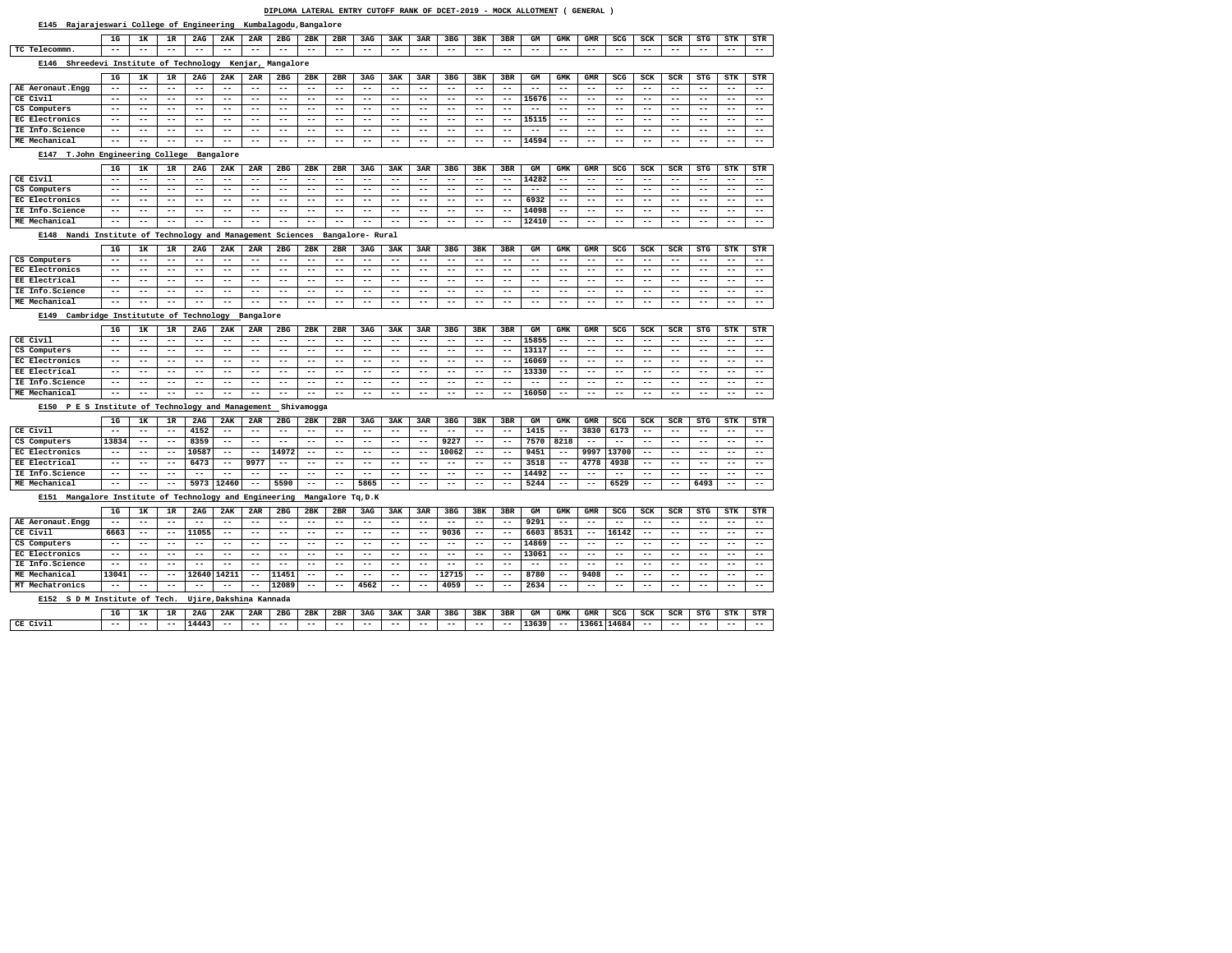#### **E145 Rajarajeswari College of Engineering Kumbalagodu,Bangalore**

| כדבם<br>Rajarajeswari                                      |                                     |                         |               | COILEGE OF Engineering |                         |                | rumbaiagouu, bangaiore   |                                        |                            |                          |                          |                                        |                          |                            |                            |                            |                                   |                            |                   |                            |                          |                            |                                        |                                   |
|------------------------------------------------------------|-------------------------------------|-------------------------|---------------|------------------------|-------------------------|----------------|--------------------------|----------------------------------------|----------------------------|--------------------------|--------------------------|----------------------------------------|--------------------------|----------------------------|----------------------------|----------------------------|-----------------------------------|----------------------------|-------------------|----------------------------|--------------------------|----------------------------|----------------------------------------|-----------------------------------|
|                                                            | 1G                                  | 1ĸ                      | 1R            | 2AG                    | 2AK                     | 2AR            | 2 <sub>BG</sub>          | 2BK                                    | 2BR                        | 3AG                      | 3AK                      | 3AR                                    | 3 <sub>BG</sub>          | 3BK                        | 3BR                        | GМ                         | <b>GMK</b>                        | <b>GMR</b>                 | SCG               | SCK                        | SCR                      | <b>STG</b>                 | <b>STK</b>                             | <b>STR</b>                        |
| TC Telecommn.                                              | $- -$                               |                         | $ -$          | $- -$                  | $ -$                    |                | $- -$                    | $- -$                                  | $\overline{\phantom{m}}$ . | $- -$                    | $- -$                    | $\qquad \qquad -$                      | $\qquad \qquad -$        | $- -$                      | $- -$                      | $\overline{\phantom{m}}$   | $\overline{\phantom{m}}$          | $- -$                      | $- -$             | $\qquad \qquad -$          | $ -$                     | $- -$                      | $\qquad \qquad -$                      | $- -$                             |
| Shreedevi Institute of Technology<br>E146                  |                                     |                         |               |                        |                         |                | Kenjar, Mangalore        |                                        |                            |                          |                          |                                        |                          |                            |                            |                            |                                   |                            |                   |                            |                          |                            |                                        |                                   |
|                                                            |                                     |                         |               |                        |                         |                |                          |                                        |                            |                          |                          |                                        |                          |                            |                            |                            |                                   |                            |                   |                            |                          |                            |                                        |                                   |
|                                                            | 1 <sub>G</sub>                      | 1ĸ                      | 1R            | 2AG                    | 2AK                     | 2AR            | 2 <sub>BG</sub>          | 2BK                                    | 2BR                        | 3AG                      | 3AK                      | 3AR                                    | 3 <sub>BG</sub>          | 3BK                        | 3BR                        | GM                         | <b>GMK</b>                        | <b>GMR</b>                 | SCG               | SCK                        | SCR                      | <b>STG</b>                 | <b>STK</b>                             | <b>STR</b>                        |
| AE Aeronaut. Engg                                          | $\overline{\phantom{m}}$ .          | $- -$                   | $ -$          | $ -$                   | $- -$                   | $- -$          | $- -$                    | $- -$                                  | $- -$                      | $- -$                    | $- -$                    | $- -$                                  | $\qquad \qquad -$        | $- -$                      | $- -$                      | $\qquad \qquad -$          | $- -$                             | $- -$                      | $- -$             | $- -$                      | $- -$                    | $- -$                      | $- -$                                  | $- -$                             |
| CE Civil                                                   | $ -$                                | $- -$                   | $- -$         | $\qquad \qquad -$      | $ -$                    | $- -$          | $- -$                    | $- -$                                  | $\overline{\phantom{m}}$ . | $- -$                    | $- -$                    | $- -$                                  | $- -$                    | $- -$                      | --                         | 15676                      | $- -$                             | $- -$                      | --                | $- -$                      | $\qquad \qquad -$        | $- -$                      | $\qquad \qquad -$                      | $\qquad \qquad -$                 |
| CS Computers                                               | $\qquad \qquad -$                   | $- -$                   | $- -$         | $ -$                   | $- -$                   | $ -$           | $- -$                    | $\qquad \qquad -$                      | $- -$                      | $ -$                     | $ -$                     | $- -$                                  | $- -$                    | $- -$                      | $- -$                      | $\overline{\phantom{m}}$ . | $- -$                             | $- -$                      | $- -$             | $- -$                      | $- -$                    | $- -$                      | $- -$                                  | $- -$                             |
| EC Electronics                                             | $ -$                                | $- -$                   | $ -$          | $- -$                  | $ -$                    | $- -$          | $ -$                     | $- -$                                  | $- -$                      |                          | $ -$                     | $- -$                                  | $- -$                    | $- -$                      | $- -$                      | 15115                      | $\qquad \qquad -$                 | $- -$                      | $- -$             | $- -$                      | $- -$                    | $- -$                      | $- -$                                  | $- -$                             |
| IE Info.Science                                            | $ -$                                | $- -$                   | $- -$         | $ -$                   | $ -$                    | $- -$          | $ -$                     | $- -$                                  | $\overline{\phantom{m}}$ . | $ -$                     | $ -$                     | $- -$                                  | $- -$                    | $- -$                      | $- -$                      | $- -$                      | $\qquad \qquad -$                 | $- -$                      | $ -$              | $- -$                      | $- -$                    | $- -$                      | $- -$                                  | $\qquad \qquad -$                 |
| ME Mechanical                                              | $- -$                               |                         | $ -$          | $- -$                  | $- -$                   | $- -$          | $ -$                     | $- -$                                  | $- -$                      | $ -$                     | $ -$                     | $- -$                                  | $- -$                    | $- -$                      | $- -$                      | 14594                      | $- -$                             | --                         | $- -$             | $- -$                      | $- -$                    | $- -$                      | --                                     | $- -$                             |
| T.John Engineering College<br>E147                         |                                     |                         |               |                        | Bangalore               |                |                          |                                        |                            |                          |                          |                                        |                          |                            |                            |                            |                                   |                            |                   |                            |                          |                            |                                        |                                   |
|                                                            | 1G                                  | 1ĸ                      | 1R            | 2AG                    | 2AK                     | 2AR            | 2 <sub>BG</sub>          | 2BK                                    | 2BR                        | 3AG                      | 3AK                      | 3AR                                    | 3 <sub>BG</sub>          | 3BK                        | 3BR                        | GM                         | <b>GMK</b>                        | GMR                        | SCG               | SCK                        | SCR                      | <b>STG</b>                 | <b>STK</b>                             | STR                               |
| CE Civil                                                   | $- -$                               | $- -$                   | $- -$         | $- -$                  | $- -$                   | $ -$           | $- -$                    | $- -$                                  | $- -$                      | $ -$                     | $- -$                    | $- -$                                  | $- -$                    | $- -$                      | $\overline{\phantom{m}}$ . | 14282                      | $- -$                             | $- -$                      | $ -$              | $- -$                      | --                       | $- -$                      | $- -$                                  | $\overline{\phantom{m}}$          |
| CS Computers                                               | $ -$                                | $- -$                   | $ -$          | $ -$                   | $ -$                    | $- -$          | $- -$                    | $- -$                                  | $- -$                      | $ -$                     | $ -$                     | $- -$                                  | $- -$                    | $- -$                      | $- -$                      | $\overline{\phantom{m}}$ . | $- -$                             | $- -$                      | $- -$             | $- -$                      | $- -$                    | $- -$                      | $- -$                                  | $\overline{\phantom{m}}$ .        |
| EC Electronics                                             | $\overline{\phantom{m}}$ .          | $- -$                   | $- -$         | $ -$                   | $- -$                   | $- -$          | $- -$                    | $- -$                                  | $- -$                      | $- -$                    | $ -$                     | $- -$                                  | $ -$                     | $- -$                      | $- -$                      | 6932                       | $- -$                             | $- -$                      | $ -$              | $- -$                      | $- -$                    | $- -$                      | $- -$                                  | $- -$                             |
| IE Info.Science                                            | $ -$                                | $- -$                   | $ -$          | $\qquad \qquad -$      | $ -$                    | $- -$          | $- -$                    | $- -$                                  | $\overline{\phantom{m}}$ . | $- -$                    | $- -$                    | $- -$                                  | $- -$                    | $- -$                      | $- -$                      | 14098                      | $- -$                             | $- -$                      | $- -$             | $- -$                      | $- -$                    | $- -$                      | $\qquad \qquad -$                      | $- -$                             |
| ME Mechanical                                              | $\qquad \qquad -$                   |                         | $ -$          | $- -$                  | $- -$                   | $- -$          | $ -$                     | $- -$                                  | $- -$                      |                          | $ -$                     | $- -$                                  | $- -$                    | $- -$                      | $- -$                      | 12410                      | $- -$                             | --                         | $- -$             | $- -$                      | $- -$                    | $- -$                      | $- -$                                  | $- -$                             |
| E148 Nandi Institute of Technology and Management Sciences |                                     |                         |               |                        |                         |                |                          |                                        |                            | Bangalore- Rural         |                          |                                        |                          |                            |                            |                            |                                   |                            |                   |                            |                          |                            |                                        |                                   |
|                                                            |                                     |                         |               |                        |                         |                |                          |                                        |                            |                          |                          |                                        |                          |                            |                            |                            |                                   |                            |                   |                            |                          |                            |                                        |                                   |
|                                                            | 1G                                  | 1ĸ                      | 1R<br>$- -$   | 2AG                    | 2AK<br>$ -$             | 2AR            | 2 <sub>BG</sub><br>$- -$ | 2BK                                    | 2BR                        | 3AG                      | 3AK                      | 3AR                                    | 3 <sub>BG</sub>          | 3BK                        | 3BR                        | GМ                         | <b>GMK</b>                        | <b>GMR</b>                 | SCG<br>$- -$      | SCK                        | SCR<br>$\qquad \qquad -$ | <b>STG</b><br>$- -$        | <b>STK</b><br>$\qquad \qquad -$        | <b>STR</b><br>$ -$                |
| CS Computers<br>EC Electronics                             | $- -$<br>$\overline{\phantom{m}}$ . | $- -$<br>$- -$          | $- -$         | $- -$<br>$ -$          | $- -$                   | $- -$<br>$- -$ | $- -$                    | $- -$<br>$\qquad \qquad -$             | $- -$<br>$- -$             | $- -$<br>$- -$           | $- -$<br>$- -$           | $- -$<br>$- -$                         | $- -$<br>$- -$           | $- -$                      | $- -$                      | $\overline{\phantom{m}}$   | $\overline{\phantom{m}}$<br>$- -$ | $- -$                      | $ -$              | $- -$<br>$- -$             | $- -$                    | $- -$                      | $- -$                                  | $- -$                             |
| EE Electrical                                              | $ -$                                | $- -$                   | $- -$         | $\qquad \qquad -$      | $ -$                    | $- -$          | $- -$                    | $- -$                                  | $\overline{\phantom{m}}$ . | $- -$                    | $- -$                    | $- -$                                  | $- -$                    | $- -$<br>$- -$             | $- -$<br>$- -$             | $- -$<br>$- -$             | $- -$                             | $- -$<br>$- -$             | $- -$             | $- -$                      | $- -$                    | $- -$                      | $- -$                                  | $- -$                             |
| IE Info.Science                                            | $\qquad \qquad -$                   | $- -$                   | $ -$          | $ -$                   | $- -$                   | $- -$          | $ -$                     | $\qquad \qquad -$                      | $- -$                      | $ -$                     | $ -$                     | $- -$                                  | $ -$                     | $- -$                      | $ -$                       | $- -$                      | $- -$                             | $- -$                      | $ -$              | $- -$                      | $- -$                    | $- -$                      | $- -$                                  | $\overline{\phantom{m}}$          |
| ME Mechanical                                              | $- -$                               |                         | $ -$          | $- -$                  | $ -$                    |                | $ -$                     | $- -$                                  | $- -$                      |                          | $ -$                     | $- -$                                  | $- -$                    | $- -$                      | $- -$                      | $- -$                      | $\qquad \qquad -$                 | --                         | $- -$             | $- -$                      | $- -$                    | $- -$                      | $\qquad \qquad -$                      | $- -$                             |
|                                                            |                                     |                         |               |                        |                         |                |                          |                                        |                            |                          |                          |                                        |                          |                            |                            |                            |                                   |                            |                   |                            |                          |                            |                                        |                                   |
| Cambridge Institutute of Technology<br>E149                |                                     |                         |               |                        |                         | Bangalore      |                          |                                        |                            |                          |                          |                                        |                          |                            |                            |                            |                                   |                            |                   |                            |                          |                            |                                        |                                   |
|                                                            | 1G                                  | 1ĸ                      | 1R            | 2AG                    | 2AK                     | 2AR            | 2 <sub>BG</sub>          | 2BK                                    | 2BR                        | 3AG                      | 3AK                      | 3AR                                    | 3 <sub>BG</sub>          | 3BK                        | 3BR                        | GM                         | <b>GMK</b>                        | <b>GMR</b>                 | SCG               | SCK                        | SCR                      | <b>STG</b>                 | STK                                    | STR                               |
| CE Civil                                                   | $- -$                               | $- -$                   | $- -$         | $ -$                   | $\qquad \qquad -$       | $- -$          | $- -$                    | $- -$                                  | $\qquad \qquad -$          | $- -$                    | $- -$                    | $- -$                                  | $\qquad \qquad -$        | $- -$                      | $- -$                      | 15855                      | $- -$                             | $- -$                      | $- -$             | $- -$                      | $\qquad \qquad -$        | $- -$                      | $\qquad \qquad -$                      | $- -$                             |
| CS Computers                                               | $- -$                               | $- -$                   | $- -$         | $\qquad \qquad -$      | $ -$                    | $- -$          | $- -$                    | $- -$                                  | $\overline{\phantom{m}}$ . | $- -$                    | $- -$                    | $- -$                                  | $\qquad \qquad -$        | $- -$                      | $- -$                      | 13117                      | $- -$                             | $- -$                      | $- -$             | $- -$                      | $- -$                    | $- -$                      | $- -$                                  | $- -$                             |
| EC Electronics                                             | $- -$                               | $- -$                   | $ -$          | $- -$                  | $ -$                    | $ -$           | $ -$                     | $- -$                                  | $- -$                      | $ -$                     | $ -$                     | $- -$                                  | $ -$                     | $- -$                      | $- -$                      | 16069                      | $- -$                             | --                         | --                | $- -$                      | --                       | $ -$                       | $ -$                                   | $- -$                             |
| EE Electrical                                              | $- -$                               | $- -$                   | $- -$         | $- -$                  | $- -$                   | $- -$          | $ -$                     | $- -$                                  | $- -$                      | $ -$                     | $ -$                     | $- -$                                  | $ -$                     | $ -$                       | $- -$                      | 13330                      | $- -$                             | $- -$                      | $- -$             | $- -$                      | $- -$                    | $- -$                      | $- -$                                  | $- -$                             |
| IE Info.Science                                            | $\qquad \qquad -$                   | $- -$                   | $- -$         | $\qquad \qquad -$      | $\qquad \qquad -$       | $- -$          | $- -$                    | $- -$                                  | $- -$                      | $- -$                    | $- -$                    | $\qquad \qquad -$                      | $- -$                    | $- -$                      | $ -$                       | $- -$                      | $- -$                             | $- -$                      | $- -$             | $- -$                      | $- -$                    | $- -$                      | $- -$                                  | $\overline{\phantom{m}}$          |
| ME Mechanical                                              | $- -$                               | $\qquad \qquad -$       | $ -$          | $- -$                  | $ -$                    | $- -$          | $- -$                    | $\qquad \qquad -$                      | $- -$                      | $- -$                    | $\qquad \qquad -$        | $\qquad \qquad -$                      | $- -$                    | $ -$                       | $ -$                       | 16050                      | $- -$                             | $ -$                       | $\qquad \qquad -$ | $\overline{\phantom{m}}$ . | $\qquad \qquad -$        | $- -$                      | $\overline{\phantom{m}}$               | $- -$                             |
| E150 P E S Institute of Technology and Management          |                                     |                         |               |                        |                         |                |                          | Shivamoqqa                             |                            |                          |                          |                                        |                          |                            |                            |                            |                                   |                            |                   |                            |                          |                            |                                        |                                   |
|                                                            | 1G                                  | 1K                      | 1R            | 2AG                    | 2AK                     | 2AR            | 2 <sub>BG</sub>          | 2BK                                    | 2BR                        | 3AG                      | 3AK                      | 3AR                                    | 3 <sub>BG</sub>          | 3BK                        | 3BR                        | GM                         | <b>GMK</b>                        | <b>GMR</b>                 | SCG               | <b>SCK</b>                 | SCR                      | <b>STG</b>                 | <b>STK</b>                             | <b>STR</b>                        |
| CE Civil                                                   | $\overline{\phantom{m}}$ .          | $\qquad \qquad -$       | $- -$         | 4152                   | $- -$                   | $ -$           | $- -$                    | $\qquad \qquad -$                      | $- -$                      | $- -$                    | $- -$                    | $\qquad \qquad -$                      | $- -$                    | $- -$                      | $- -$                      | 1415                       | $\overline{\phantom{m}}$ .        | 3830                       | 6173              | $- -$                      | $- -$                    | $- -$                      | $- -$                                  | $- -$                             |
| CS Computers                                               | 13834                               | $\qquad \qquad -$       | $- -$         | 8359                   | $- -$                   | $- -$          | $- -$                    | $\qquad \qquad -$                      | $\qquad \qquad -$          | $\qquad \qquad -$        | $- -$                    | $ -$                                   | 9227                     | $\qquad \qquad -$          | $- -$                      | 7570                       | 8218                              | $- -$                      | $\qquad \qquad -$ | $\qquad \qquad -$          | $ -$                     | $\qquad \qquad -$          | $- -$                                  | $ -$                              |
| <b>EC Electronics</b>                                      | $- -$                               | $- -$                   | $- -$         | 10587                  | $- -$                   | $- -$          | 14972                    | $- -$                                  | $- -$                      | $\qquad \qquad -$        | $\qquad \qquad -$        | $- -$                                  | 10062                    | $ -$                       | $ -$                       | 9451                       | $- -$                             | 9997                       | 13700             | $ -$                       | $- -$                    | $- -$                      | $- -$                                  | $\overline{\phantom{m}}$ .        |
| EE Electrical                                              | $ -$                                | $- -$                   | $- -$         | 6473                   | $- -$                   | 9977           | $- -$                    | $\qquad \qquad -$                      | $- -$                      | $\qquad \qquad -$        | $- -$                    | $\qquad \qquad -$                      | $\qquad \qquad -$        | $ -$                       | $- -$                      | 3518                       | $- -$                             | 4778                       | 4938              | $\overline{\phantom{a}}$ . | $ -$                     | $ -$                       | $\overline{\phantom{m}}$               | $- -$                             |
| IE Info.Science                                            | $ -$                                | $\qquad \qquad -$       | $ -$          | $ -$                   | $\qquad \qquad -$       | $ -$           | $- -$                    | $- -$                                  | $- -$                      | $- -$                    | $- -$                    | $\qquad \qquad -$                      | $\qquad \qquad -$        | $- -$                      | $ -$                       | 14492                      | $- -$                             | $- -$                      | $\qquad \qquad -$ | $\qquad \qquad -$          | $- -$                    | $- -$                      | $- -$                                  | $\overline{\phantom{m}}$ .        |
| ME Mechanical                                              | $- -$                               | $- -$                   | $- -$         | 5973                   | 12460                   | $- -$          | 5590                     | $\qquad \qquad -$                      | $- -$                      | 5865                     | $- -$                    | $ -$                                   | $\qquad \qquad -$        | $- -$                      | $ -$                       | 5244                       | $- -$                             | $ -$                       | 6529              | $ -$                       | $\qquad \qquad -$        | 6493                       | $\overline{\phantom{m}}$               | $- -$                             |
| Mangalore Institute of Technology and Engineering<br>E151  |                                     |                         |               |                        |                         |                |                          |                                        | Mangalore Tq, D.K          |                          |                          |                                        |                          |                            |                            |                            |                                   |                            |                   |                            |                          |                            |                                        |                                   |
|                                                            |                                     |                         |               |                        |                         |                |                          |                                        |                            |                          |                          |                                        |                          |                            |                            |                            |                                   |                            |                   |                            |                          |                            |                                        |                                   |
| AE Aeronaut. Engg                                          | 1 <sub>G</sub><br>$- -$             | 1ĸ<br>$\qquad \qquad -$ | 1R<br>$ -$    | 2AG<br>$ -$            | 2AK<br>$- -$            | 2AR<br>$- -$   | 2 <sub>BG</sub><br>$- -$ | 2BK<br>$\qquad \qquad -$               | 2BR<br>$\qquad \qquad -$   | 3AG<br>$\qquad \qquad -$ | 3AK<br>$\qquad \qquad -$ | 3AR<br>$ -$                            | 3 <sub>BG</sub><br>$- -$ | 3BK<br>$ -$                | 3BR<br>$- -$               | GМ<br>9291                 | GMK<br>$- -$                      | GMR<br>$ -$                | SCG<br>$- -$      | SCK<br>$- -$               | SCR<br>$\qquad \qquad -$ | STG<br>$- -$               | <b>STK</b><br>$\overline{\phantom{m}}$ | <b>STR</b><br>$\qquad \qquad -$   |
| CE Civil                                                   | 6663                                | $- -$                   |               | 11055                  | $- -$                   |                |                          |                                        | $- -$                      | $- -$                    |                          |                                        | 9036                     |                            |                            | 6603                       | 8531                              |                            | 16142             | $ -$                       | $ -$                     |                            | $\overline{\phantom{m}}$               |                                   |
| CS Computers                                               | $- -$                               | $\qquad \qquad -$       | $ -$<br>$- -$ | $- -$                  | $ -$                    | $- -$<br>$- -$ | $- -$<br>$- -$           | $\qquad \qquad -$<br>$\qquad \qquad -$ | $\qquad \qquad -$          | $- -$                    | $- -$<br>$- -$           | $\qquad \qquad -$<br>$\qquad \qquad -$ | $\qquad \qquad -$        | $\qquad \qquad -$<br>$- -$ | $ -$<br>$- -$              | 14869                      | $\qquad \qquad -$                 | $ -$<br>$- -$              | $- -$             | $- -$                      | $- -$                    | $\qquad \qquad -$<br>$- -$ | $- -$                                  | $- -$<br>$\overline{\phantom{m}}$ |
| EC Electronics                                             | $ -$                                | $\qquad \qquad -$       | $ -$          | $ -$                   | $- -$                   | $- -$          | $- -$                    | $\qquad \qquad -$                      | $- -$                      | $\qquad \qquad -$        | $- -$                    | $ -$                                   | $- -$                    | $- -$                      | $ -$                       | 13061                      | $- -$                             | $\overline{\phantom{m}}$ . | $- -$             | $\qquad \qquad -$          | $\qquad \qquad -$        | $- -$                      | $\overline{\phantom{m}}$               | $ -$                              |
| IE Info.Science                                            | $- -$                               | $\qquad \qquad -$       | $ -$          | $- -$                  | $- -$                   | $- -$          | $- -$                    | $- -$                                  | $- -$                      | $\qquad \qquad -$        | $\qquad \qquad -$        | $- -$                                  | $- -$                    | $ -$                       | $\overline{\phantom{m}}$ . | $\qquad \qquad -$          | $- -$                             | $\overline{\phantom{m}}$ . | $- -$             | $- -$                      | $- -$                    | $- -$                      | $- -$                                  | $\overline{\phantom{m}}$ .        |
| ME Mechanical                                              | 13041                               | $- -$                   | $- -$         | 12640 14211            |                         | $- -$          | 11451                    | $- -$                                  | $\qquad \qquad -$          | $- -$                    | $- -$                    | $- -$                                  | 12715                    | $ -$                       | $ -$                       | 8780                       | $- -$                             | 9408                       | $ -$              | $ -$                       | $\qquad \qquad -$        | $\qquad \qquad -$          | $- -$                                  | $ -$                              |
| MT Mechatronics                                            | $\overline{\phantom{m}}$ .          | $\qquad \qquad -$       | $- -$         | $- -$                  | $- -$                   | $- -$          | 12089                    | $- -$                                  | $\qquad \qquad -$          | 4562                     | $\qquad \qquad -$        | $- -$                                  | 4059                     | $ -$                       | $\overline{\phantom{m}}$ . | 2634                       | $- -$                             | $\overline{\phantom{m}}$ . | $\qquad \qquad -$ | $\qquad \qquad -$          | $- -$                    | $- -$                      | $- -$                                  | $- -$                             |
|                                                            |                                     |                         |               |                        |                         |                |                          |                                        |                            |                          |                          |                                        |                          |                            |                            |                            |                                   |                            |                   |                            |                          |                            |                                        |                                   |
| E152 S D M Institute of Tech.                              |                                     |                         |               |                        | Ujire, Dakshina Kannada |                |                          |                                        |                            |                          |                          |                                        |                          |                            |                            |                            |                                   |                            |                   |                            |                          |                            |                                        |                                   |
|                                                            | 1G                                  | 1ĸ                      | 1R            | 2AG                    | 2AK                     | 2AR            | 2 <sub>BG</sub>          | 2BK                                    | 2BR                        | 3AG                      | 3AK                      | 3AR                                    | 3 <sub>BG</sub>          | 3BK                        | 3BR                        | ${\bf GM}$                 | GMK                               | GMR                        | SCG               | <b>SCK</b>                 | <b>SCR</b>               | ${\tt STG}$                | <b>STK</b>                             | <b>STR</b>                        |
| CE Civil                                                   | $ -$                                | $- -$                   | $ -$          | 14443                  | $- -$                   | $- -$          | $ -$                     | $ -$                                   | $- -$                      | $- -$                    | $ -$                     | $- -$                                  | $- -$                    | $ -$                       | $- -$                      | 13639                      | $ -$                              |                            | $13661$ 14684     | $- -$                      | $ -$                     | $\sim$ $-$                 | $ -$                                   | $--$                              |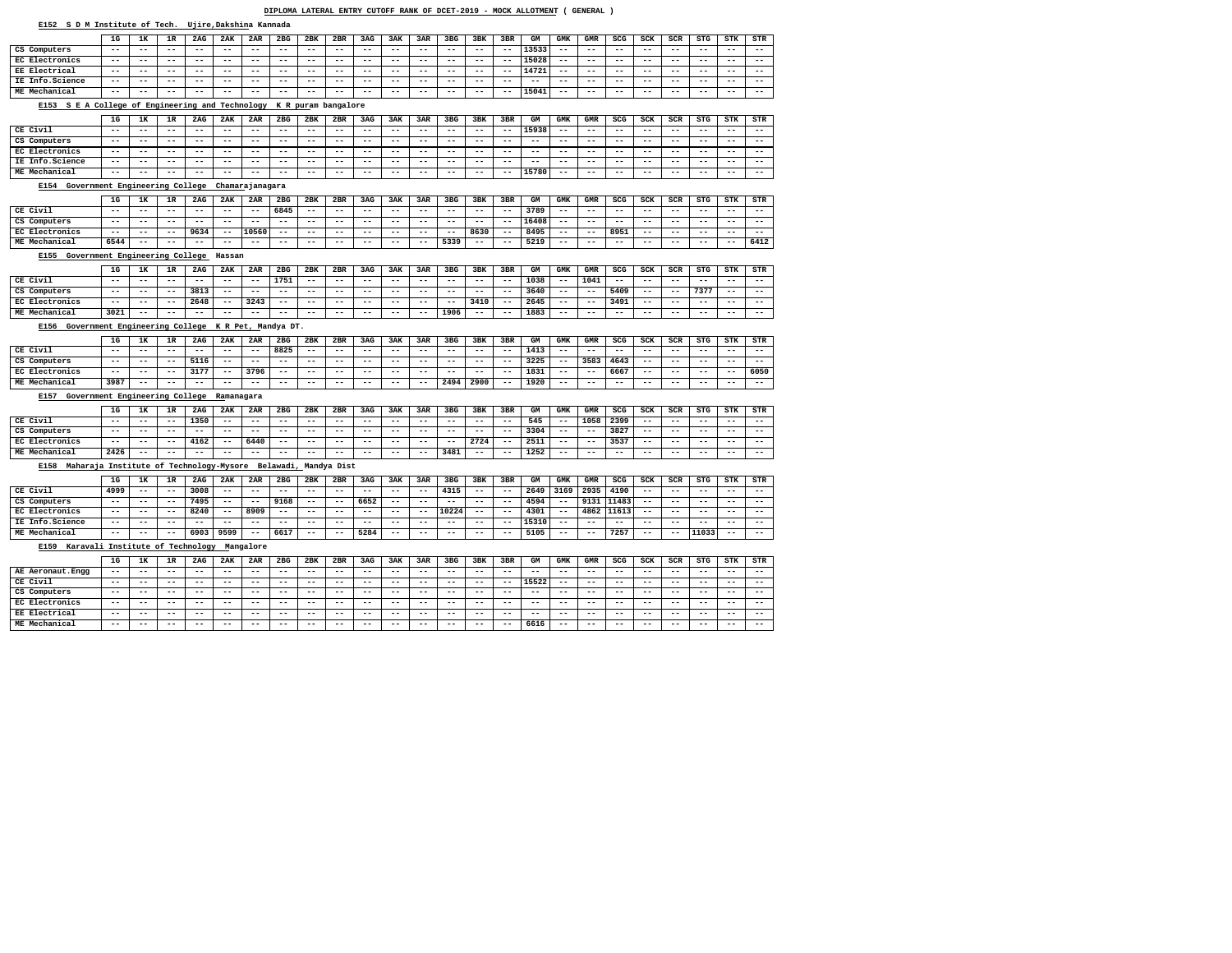#### **E152 S D M Institute of Tech. Ujire,Dakshina Kannada**

|                                                                    | 1 <sub>G</sub> | 1ĸ                                  | 1R                | 2AG                        | 2AK                        | 2AR                      | 2 <sub>BG</sub>            | 2BK            | 2BR                              | 3AG           | 3AK                        | 3AR                                    | 3 <sub>BG</sub>   | 3BK                                                      | 3BR                                | GМ                | GMK               | <b>GMR</b>                 | SCG                        | SCK                      | SCR                        | <b>STG</b>     | <b>STK</b>     | STR           |
|--------------------------------------------------------------------|----------------|-------------------------------------|-------------------|----------------------------|----------------------------|--------------------------|----------------------------|----------------|----------------------------------|---------------|----------------------------|----------------------------------------|-------------------|----------------------------------------------------------|------------------------------------|-------------------|-------------------|----------------------------|----------------------------|--------------------------|----------------------------|----------------|----------------|---------------|
| CS Computers                                                       | $- -$          | $- -$                               | $- -$             | $- -$                      | $- -$                      | $- -$                    | $- -$                      | $ -$           | $- -$                            | $ -$          | $- -$                      | $- -$                                  | $- -$             | $- -$                                                    | $- -$                              | 13533             | $- -$             | $- -$                      | $- -$                      | $- -$                    | $- -$                      | $- -$          | $ -$           | $ -$          |
| EC Electronics                                                     | $ -$           | $\qquad \qquad -$                   | $ -$              | $- -$                      | $- -$                      | $- -$                    | $- -$                      | $- -$          | $- -$                            | $- -$         | $ -$                       | $- -$                                  | $- -$             | $- -$                                                    | $ -$                               | 15028             | $- -$             | $- -$                      | $- -$                      | $- -$                    | $- -$                      | $ -$           | $- -$          | $- -$         |
| <b>EE Electrical</b>                                               | $- -$          | $- -$                               | $ -$              | $- -$                      | $\qquad \qquad -$          | $- -$                    | $- -$                      | $- -$          | $- -$                            | $- -$         | $ -$                       | $- -$                                  | $- -$             | $- -$                                                    | $- -$                              | 14721             | $\qquad \qquad -$ | $- -$                      | $- -$                      | $ -$                     | $- -$                      | $ -$           | $- -$          | $- -$         |
| IE Info.Science                                                    | $ -$           | $- -$                               | $- -$             | $- -$                      | $- -$                      | $- -$                    | $- -$                      | $- -$          | $ -$                             | $ -$          | $ -$                       | $- -$                                  | $- -$             | $- -$                                                    | $- -$                              | $- -$             | $- -$             | $- -$                      | $- -$                      | $- -$                    | $- -$                      | $ -$           | $ -$           | $ -$          |
| ME Mechanical                                                      | $- -$          | --                                  | $ -$              | --                         | $- -$                      |                          | $ -$                       | $ -$           | $- -$                            |               | $ -$                       | $ -$                                   | $ -$              | $ -$                                                     | $- -$                              | 15041             | --                | $ -$                       | --                         | $- -$                    | $- -$                      | $ -$           | $- -$          | $- -$         |
| E153 S E A College of Engineering and Technology                   |                |                                     |                   |                            |                            |                          |                            |                | K R puram bangalore              |               |                            |                                        |                   |                                                          |                                    |                   |                   |                            |                            |                          |                            |                |                |               |
|                                                                    |                |                                     |                   |                            |                            |                          |                            |                |                                  |               |                            |                                        |                   |                                                          |                                    |                   |                   |                            |                            |                          |                            |                |                |               |
|                                                                    | $1\text{G}$    | 1K                                  | 1R                | 2AG                        | 2AK                        | 2AR                      | 2 <sub>BG</sub>            | 2BK            | 2BR                              | 3AG           | 3AK                        | 3AR                                    | 3 <sub>BG</sub>   | 3BK                                                      | 3BR                                | GM                | <b>GMK</b>        | GMR                        | SCG                        | <b>SCK</b>               | SCR                        | <b>STG</b>     | <b>STK</b>     | STR           |
| CE Civil                                                           | $- -$          | $- -$                               | $\qquad \qquad -$ | $\qquad \qquad -$          | $\qquad \qquad -$          | $\qquad \qquad -$        | $ -$                       | $- -$          | $ -$                             | $- -$         | $- -$                      | $- -$                                  | $- -$             | $\overline{\phantom{m}}$                                 | $ -$                               | 15938             | $\qquad \qquad -$ | $\overline{\phantom{m}}$ . | $- -$                      | $- -$                    | $\qquad \qquad -$          | $ -$           | $- -$          | $- -$         |
| CS Computers<br><b>EC Electronics</b>                              | $ -$<br>$- -$  | $- -$<br>$- -$                      | $- -$<br>$- -$    | $- -$<br>$- -$             | $- -$<br>$- -$             | $- -$<br>$ -$            | $- -$<br>$ -$              | $- -$<br>$ -$  | $ -$<br>$\overline{\phantom{m}}$ | $- -$<br>$ -$ | $ -$<br>$ -$               | $- -$<br>$- -$                         | $- -$<br>$- -$    | $- -$                                                    | $- -$<br>$- -$                     | $- -$<br>$- -$    | $- -$<br>$- -$    | $- -$<br>$- -$             | $- -$<br>$- -$             | $ -$<br>$ -$             | $- -$<br>$\qquad \qquad -$ | $- -$<br>$- -$ | $ -$<br>$ -$   | $ -$<br>$- -$ |
| IE Info.Science                                                    | $- -$          | --                                  | $ -$              | $- -$                      | $- -$                      | $- -$                    | $- -$                      | $- -$          | $ -$                             | $ -$          | $ -$                       | $ -$                                   | $ -$              | $- -$<br>$ -$                                            | $ -$                               | $ -$              | $- -$             | $ -$                       | --                         | $- -$                    | $- -$                      | $ -$           | $- -$          | $- -$         |
| ME Mechanical                                                      | $ -$           | $- -$                               | $- -$             | $- -$                      | $- -$                      | $- -$                    | $- -$                      | $- -$          | $ -$                             | $- -$         | $ -$                       | $- -$                                  | $- -$             | $- -$                                                    | $- -$                              | 15780             | $- -$             | $- -$                      | $- -$                      | $ -$                     | $- -$                      | $ -$           | $- -$          | $- -$         |
|                                                                    |                |                                     |                   |                            |                            |                          |                            |                |                                  |               |                            |                                        |                   |                                                          |                                    |                   |                   |                            |                            |                          |                            |                |                |               |
| Government Engineering College<br>E154                             |                |                                     |                   |                            |                            | Chamarajanagara          |                            |                |                                  |               |                            |                                        |                   |                                                          |                                    |                   |                   |                            |                            |                          |                            |                |                |               |
|                                                                    | 1G             | 1ĸ                                  | 1R                | 2AG                        | 2AK                        | 2AR                      | 2 <sub>BG</sub>            | 2BK            | 2BR                              | 3AG           | 3AK                        | 3AR                                    | 3 <sub>BG</sub>   | 3BK                                                      | 3BR                                | GМ                | <b>GMK</b>        | <b>GMR</b>                 | SCG                        | SCK                      | SCR                        | <b>STG</b>     | <b>STK</b>     | STR           |
| CE Civil                                                           | $- -$          | $- -$                               | $- -$             | $- -$                      | $- -$                      | $ -$                     | 6845                       | $ -$           | $ -$                             | $ -$          | $- -$                      | $- -$                                  | $- -$             | $- -$                                                    | $- -$                              | 3789              | $- -$             | $- -$                      | $- -$                      | $ -$                     | $\qquad \qquad -$          | $ -$           | $ -$           | $ -$          |
| CS Computers                                                       | $- -$          | $\qquad \qquad -$                   | $ -$              | $\overline{\phantom{m}}$   | $\qquad \qquad -$          | $ -$                     | $ -$                       | $- -$          | $ -$                             | $- -$         | $- -$                      | $- -$                                  | $- -$             | $\overline{\phantom{m}}$                                 | $- -$                              | 16408             | $\qquad \qquad -$ | $ -$                       | $- -$                      | $\qquad \qquad -$        | $\qquad \qquad -$          | $- -$          | $- -$          | $- -$         |
| EC Electronics                                                     | $- -$          | $- -$                               | $- -$             | 9634                       | $\qquad \qquad -$          | 10560                    | $- -$                      | $- -$          | $- -$                            | $ -$          | $ -$                       | $ -$                                   | $ -$              | 8630                                                     | $- -$                              | 8495              | $- -$             | $- -$                      | 8951                       | $- -$                    | $- -$                      | $ -$           | $- -$          | $- -$         |
| ME Mechanical                                                      | 6544           | $- -$                               | $- -$             | $- -$                      | $- -$                      | $- -$                    | $ -$                       | $ -$           | $ -$                             | $- -$         | $- -$                      | $\qquad \qquad -$                      | 5339              | $- -$                                                    | $- -$                              | 5219              | $- -$             | $- -$                      | $- -$                      | $ -$                     | $- -$                      | $- -$          | $- -$          | 6412          |
| Government Engineering College<br>E155                             |                |                                     |                   |                            | Hassan                     |                          |                            |                |                                  |               |                            |                                        |                   |                                                          |                                    |                   |                   |                            |                            |                          |                            |                |                |               |
|                                                                    | 1G             | 1K                                  | 1R                | 2AG                        | 2AK                        | 2AR                      | 2 <sub>BG</sub>            | 2BK            | 2BR                              | 3AG           | 3AK                        | 3AR                                    | 3 <sub>BG</sub>   | 3BK                                                      | 3BR                                | GM                | <b>GMK</b>        | GMR                        | SCG                        | <b>SCK</b>               | SCR                        | STG            | <b>STK</b>     | STR           |
| CE Civil                                                           | $- -$          | $- -$                               | $- -$             | $- -$                      | $- -$                      | $ -$                     | 1751                       | $ -$           | $ -$                             | $ -$          | $- -$                      | $- -$                                  | $- -$             | $\overline{\phantom{m}}$ .                               | $- -$                              | 1038              | $- -$             | 1041                       | $- -$                      | $ -$                     | $\qquad \qquad -$          | $- -$          | $ -$           | $ -$          |
| CS Computers                                                       | $- -$          | $\qquad \qquad -$                   | $ -$              | 3813                       | $\qquad \qquad -$          | $- -$                    | $ -$                       | $- -$          | $ -$                             | $- -$         | $ -$                       | $\qquad \qquad -$                      | $- -$             | $\overline{\phantom{m}}$                                 | $- -$                              | 3640              | $\qquad \qquad -$ | $ -$                       | 5409                       | $ -$                     | $\qquad \qquad -$          | 7377           | $- -$          | $- -$         |
| <b>EC Electronics</b>                                              | $- -$          | $- -$                               | $- -$             | 2648                       | $- -$                      | 3243                     | $- -$                      | $- -$          | $ -$                             | $ -$          | $ -$                       | $ -$                                   | $ -$              | 3410                                                     | $- -$                              | 2645              | $- -$             | $- -$                      | 3491                       | $- -$                    | $- -$                      | $ -$           | $- -$          | $- -$         |
| ME Mechanical                                                      | 3021           | $- -$                               | $\qquad \qquad -$ | $\qquad \qquad -$          | $\qquad \qquad -$          | $- -$                    | $ -$                       | $ -$           | $- -$                            | $- -$         | $- -$                      | $\qquad \qquad -$                      | 1906              | $- -$                                                    | $ -$                               | 1883              | --                | $\qquad \qquad -$          | $- -$                      | $- -$                    | $- -$                      | $- -$          | $- -$          | $- -$         |
| Government Engineering College<br>E156                             |                |                                     |                   |                            | K R Pet, Mandya DT.        |                          |                            |                |                                  |               |                            |                                        |                   |                                                          |                                    |                   |                   |                            |                            |                          |                            |                |                |               |
|                                                                    |                |                                     |                   |                            |                            |                          |                            |                |                                  |               |                            |                                        |                   |                                                          |                                    |                   |                   |                            |                            |                          |                            |                |                |               |
|                                                                    | $1\text{G}$    | 1K                                  | 1R                | 2AG                        | 2AK                        | 2AR                      | 2 <sub>BG</sub>            | 2BK            | 2BR                              | 3AG           | 3AK                        | 3AR                                    | 3 <sub>BG</sub>   | 3BK                                                      | 3BR                                | GМ                | GMK               | <b>GMR</b>                 | SCG                        | SCK                      | SCR                        | <b>STG</b>     | <b>STK</b>     | STR           |
| CE Civil                                                           | $- -$          | $\qquad \qquad -$                   | $\qquad \qquad -$ | $\qquad \qquad -$          | $\qquad \qquad -$          | $- -$                    | 8825                       | $- -$          | $- -$                            | $- -$         | $ -$                       | $- -$                                  | $- -$             | $- -$                                                    | $- -$                              | 1413              | $- -$             | $\qquad \qquad -$          | $- -$                      | $- -$                    | $- -$                      | $- -$          | $- -$          | $- -$         |
| CS Computers                                                       | $- -$          | $- -$                               | $ -$              | 5116                       | $\qquad \qquad -$          | $- -$                    | $ -$                       | $- -$          | $- -$                            | $- -$         | $ -$                       | $- -$                                  | $ -$              | $- -$                                                    | $- -$                              | 3225              | $- -$             | 3583                       | 4643                       | $ -$                     | $- -$                      | $- -$          | $- -$          | $- -$         |
| EC Electronics                                                     | $- -$          | --                                  | $- -$             | 3177                       | $- -$                      | 3796                     | $- -$                      | $- -$          | $ -$                             | $ -$          | $ -$                       | $ -$                                   | $ -$              | $ -$                                                     | $- -$                              | 1831              | $- -$             | $- -$                      | 6667                       | $- -$                    | $- -$                      | $ -$           | $ -$           | 6050          |
| ME Mechanical                                                      | 3987           | $ -$                                | $ -$              | $ -$                       | $\overline{\phantom{m}}$   | $- -$                    | $ -$                       | $- -$          | $\overline{\phantom{m}}$         | $- -$         | $ -$                       | $- -$                                  | 2494              | 2900                                                     | $- -$                              | 1920              | $ -$              | $ -$                       | $- -$                      | $ -$                     | $- -$                      | $- -$          | $- -$          | $- -$         |
| Government Engineering College<br>E157                             |                |                                     |                   |                            | Ramanagara                 |                          |                            |                |                                  |               |                            |                                        |                   |                                                          |                                    |                   |                   |                            |                            |                          |                            |                |                |               |
|                                                                    | 1G             | 1K                                  | 1R                | 2AG                        | 2AK                        | 2AR                      | 2 <sub>BG</sub>            | 2BK            | 2BR                              | 3AG           | 3AK                        | 3AR                                    | 3 <sub>BG</sub>   | 3BK                                                      | 3BR                                | GM                | GMK               | GMR                        | SCG                        | SCK                      | SCR                        | STG            | <b>STK</b>     | STR           |
| CE Civil                                                           | $ -$           | $\qquad \qquad -$                   | $ -$              | 1350                       | $\overline{\phantom{m}}$   | $\overline{\phantom{m}}$ | $- -$                      | $- -$          | $- -$                            | $- -$         | $\overline{\phantom{m}}$ . | $\qquad \qquad -$                      | $- -$             | $ -$                                                     | $ -$                               | 545               | $- -$             | 1058                       | 2399                       | $\overline{\phantom{m}}$ | $- -$                      | $ -$           | $- -$          | $- -$         |
| CS Computers                                                       | $ -$           | $\qquad \qquad -$                   | $ -$              | $- -$                      | $\sim$ $\sim$              | $ -$                     | $- -$                      | $- -$          | $- -$                            | $- -$         | $\overline{\phantom{m}}$ . | $- -$                                  | $- -$             | $ -$                                                     | $ -$                               | 3304              | $- -$             | $ -$                       | 3827                       | $\overline{\phantom{m}}$ | $- -$                      | $ -$           | $- -$          | $- -$         |
| EC Electronics                                                     | $ -$           | $\qquad \qquad -$                   | $ -$              | 4162                       | $ -$                       | 6440                     | $ -$                       | $- -$          | $ -$                             | $- -$         | $\overline{\phantom{m}}$ . | $ -$                                   | $ -$              | 2724                                                     | $\sim$ $\sim$                      | 2511              | $\qquad \qquad -$ | $ -$                       | 3537                       | $ -$                     | $- -$                      | $- -$          | $- -$          | $- -$         |
| ME Mechanical                                                      | 2426           | $\qquad \qquad -$                   | $ -$              | $\overline{\phantom{m}}$ . | $\overline{\phantom{m}}$   | $ -$                     | $ -$                       | $- -$          | $- -$                            | $- -$         | $\overline{\phantom{m}}$ . | $- -$                                  | 3481              | $- -$                                                    | $ -$                               | 1252              | $- -$             | $ -$                       | $- -$                      | $ -$                     | $- -$                      | $ -$           | $- -$          | $- -$         |
| E158 Maharaja Institute of Technology-Mysore Belawadi, Mandya Dist |                |                                     |                   |                            |                            |                          |                            |                |                                  |               |                            |                                        |                   |                                                          |                                    |                   |                   |                            |                            |                          |                            |                |                |               |
|                                                                    | 1G             | 1K                                  | 1R                | 2AG                        | 2AK                        | 2AR                      | 2 <sub>BG</sub>            | 2BK            | 2BR                              | 3AG           | 3AK                        | 3AR                                    | 3 <sub>BG</sub>   | 3BK                                                      | 3BR                                | GM                | <b>GMK</b>        | GMR                        | SCG                        | <b>SCK</b>               | SCR                        | STG            | <b>STK</b>     | STR           |
| CE Civil                                                           | 4999           | $- -$                               | $ -$              | 3008                       | $- -$                      | $- -$                    | $- -$                      | $ -$           | $- -$                            | $- -$         | $\overline{\phantom{m}}$ . | $\overline{\phantom{m}}$               | 4315              | $- -$                                                    | $- -$                              | 2649              | 3169              | 2935                       | 4190                       | $ -$                     | $- -$                      | $ -$           | $- -$          | $- -$         |
| CS Computers                                                       | $ -$           | $ -$                                | $ -$              | 7495                       | $ -$                       | $ -$                     | 9168                       | $- -$          | $ -$                             | 6652          | $\overline{\phantom{m}}$ . | $ -$                                   | $ -$              | $ -$                                                     | $ -$                               | 4594              | $\sim$ $\sim$     | 9131                       | 11483                      | $ -$                     | $- -$                      | $ -$           | $- -$          | $- -$         |
| EC Electronics                                                     | $ -$           | $\qquad \qquad -$                   | $ -$              | 8240                       | $ -$                       | 8909                     | $ -$                       | $- -$          | $ -$                             | $- -$         | $\overline{\phantom{m}}$ . | $ -$                                   | 10224             | $\overline{\phantom{m}}$ .                               | $ -$                               | 4301              | $- -$             | 4862                       | 11613                      | $ -$                     | $\qquad \qquad -$          | $ -$           | $ -$           | $- -$         |
| IE Info. Science                                                   | $ -$           | $\qquad \qquad -$                   | $ -$              | $\qquad \qquad -$          | $\qquad \qquad -$          | $\qquad \qquad -$        | $ -$                       | $- -$          | $ -$                             | $ -$          | $\overline{\phantom{m}}$ . | $\qquad \qquad -$                      | $\qquad \qquad -$ | $ -$                                                     | $- -$                              | 15310             | $- -$             | $\overline{\phantom{m}}$ . | $\qquad \qquad -$          | $ -$                     | $- -$                      | $ -$           | $ -$           | $- -$         |
| ME Mechanical                                                      | $ -$           | $\qquad \qquad -$                   | $\qquad \qquad -$ | 6903                       | 9599                       | $- -$                    | 6617                       | $- -$          | $- -$                            | 5284          | $\overline{\phantom{m}}$ . | $\qquad \qquad -$                      | $\qquad \qquad -$ | $\overline{\phantom{m}}$                                 | $ -$                               | 5105              | $- -$             | $ -$                       | 7257                       | $\qquad \qquad -$        | $- -$                      | 11033          | $- -$          | $- -$         |
| E159 Karavali Institute of Technology                              |                |                                     |                   |                            |                            | Mangalore                |                            |                |                                  |               |                            |                                        |                   |                                                          |                                    |                   |                   |                            |                            |                          |                            |                |                |               |
|                                                                    |                |                                     |                   |                            |                            |                          |                            |                |                                  |               |                            |                                        |                   |                                                          |                                    |                   |                   |                            |                            |                          |                            |                |                |               |
|                                                                    | 1G             | 1K                                  | 1R                | 2AG                        | 2AK                        | 2AR                      | 2BG                        | 2BK            | 2BR                              | 3AG           | 3AK                        | 3AR                                    | 3 <sub>BG</sub>   | 3BK                                                      | 3BR                                | ${\tt GM}$        | <b>GMK</b>        | ${\tt GMR}$                | SCG                        | SCK                      | SCR                        | STG            | <b>STK</b>     | STR           |
| AE Aeronaut. Engg<br>CE Civil                                      | $ -$<br>$ -$   | $\overline{\phantom{m}}$ .<br>$- -$ | $ -$<br>$ -$      | $- -$<br>$- -$             | $\qquad \qquad -$<br>$- -$ | $ -$<br>$ -$             | $- -$                      | $- -$<br>$- -$ | $ -$                             | $- -$<br>$ -$ | $ -$<br>$- -$              | $\qquad \qquad -$                      | $ -$<br>$- -$     | $ -$                                                     | $ -$<br>$\overline{\phantom{m}}$ . | $- -$<br>15522    | $- -$<br>$- -$    | $\sim$ $-$<br>$- -$        | $\qquad \qquad -$<br>$- -$ | $ -$<br>$ -$             | $- -$<br>$- -$             | $ -$           | $- -$<br>$- -$ | $- -$<br>$ -$ |
| CS Computers                                                       | $ -$           | $\qquad \qquad -$                   | $ -$              | $\qquad \qquad -$          | $- -$                      | $\qquad \qquad -$        | $- -$<br>$ -$              | $ -$           | $- -$<br>$ -$                    | $ -$          | $- -$                      | $\qquad \qquad -$<br>$\qquad \qquad -$ | $- -$             | $\overline{\phantom{m}}$ .<br>$\overline{\phantom{m}}$ . | $\overline{\phantom{m}}$ .         | $ -$              | $- -$             | $\overline{\phantom{m}}$ . | $- -$                      | $ -$                     | $- -$                      | $ -$<br>$ -$   | $- -$          | $- -$         |
| EC Electronics                                                     | $ -$           | $\qquad \qquad -$                   | $\qquad \qquad -$ | $\qquad \qquad -$          | $ -$                       | $ -$                     | $- -$                      | $- -$          | $- -$                            | $- -$         | $\overline{\phantom{m}}$ . | $\qquad \qquad -$                      | $\qquad \qquad -$ | $\overline{\phantom{m}}$                                 | $\overline{\phantom{m}}$ .         | $ -$              | $- -$             | $\qquad \qquad -$          | $\qquad \qquad -$          | $ -$                     | $\qquad \qquad -$          | $ -$           | $- -$          | $- -$         |
| EE Electrical                                                      | $ -$           | $\qquad \qquad -$                   | $\qquad \qquad -$ | $\qquad \qquad -$          | $\qquad \qquad -$          | $ -$                     | $\overline{\phantom{m}}$ . | $- -$          | $- -$                            | $- -$         | $\overline{\phantom{m}}$ . | $\qquad \qquad -$                      | $\qquad \qquad -$ | $- -$                                                    | $- -$                              | $\qquad \qquad -$ | $- -$             | $\qquad \qquad -$          | $- -$                      | $\qquad \qquad -$        | $\qquad \qquad -$          | $ -$           | $- -$          | $- -$         |
| ME Mechanical                                                      | $ -$           | $- -$                               | $- -$             | $- -$                      | $\qquad \qquad -$          | $- -$                    | $ -$                       | $- -$          | $ -$                             | $- -$         | $\overline{\phantom{m}}$ . | $\qquad \qquad -$                      | $\qquad \qquad -$ | $- -$                                                    | $- -$                              | 6616              | $- -$             | $- -$                      | $\qquad \qquad -$          | $\qquad \qquad -$        | $- -$                      | $ -$           | $- -$          | $- -$         |
|                                                                    |                |                                     |                   |                            |                            |                          |                            |                |                                  |               |                            |                                        |                   |                                                          |                                    |                   |                   |                            |                            |                          |                            |                |                |               |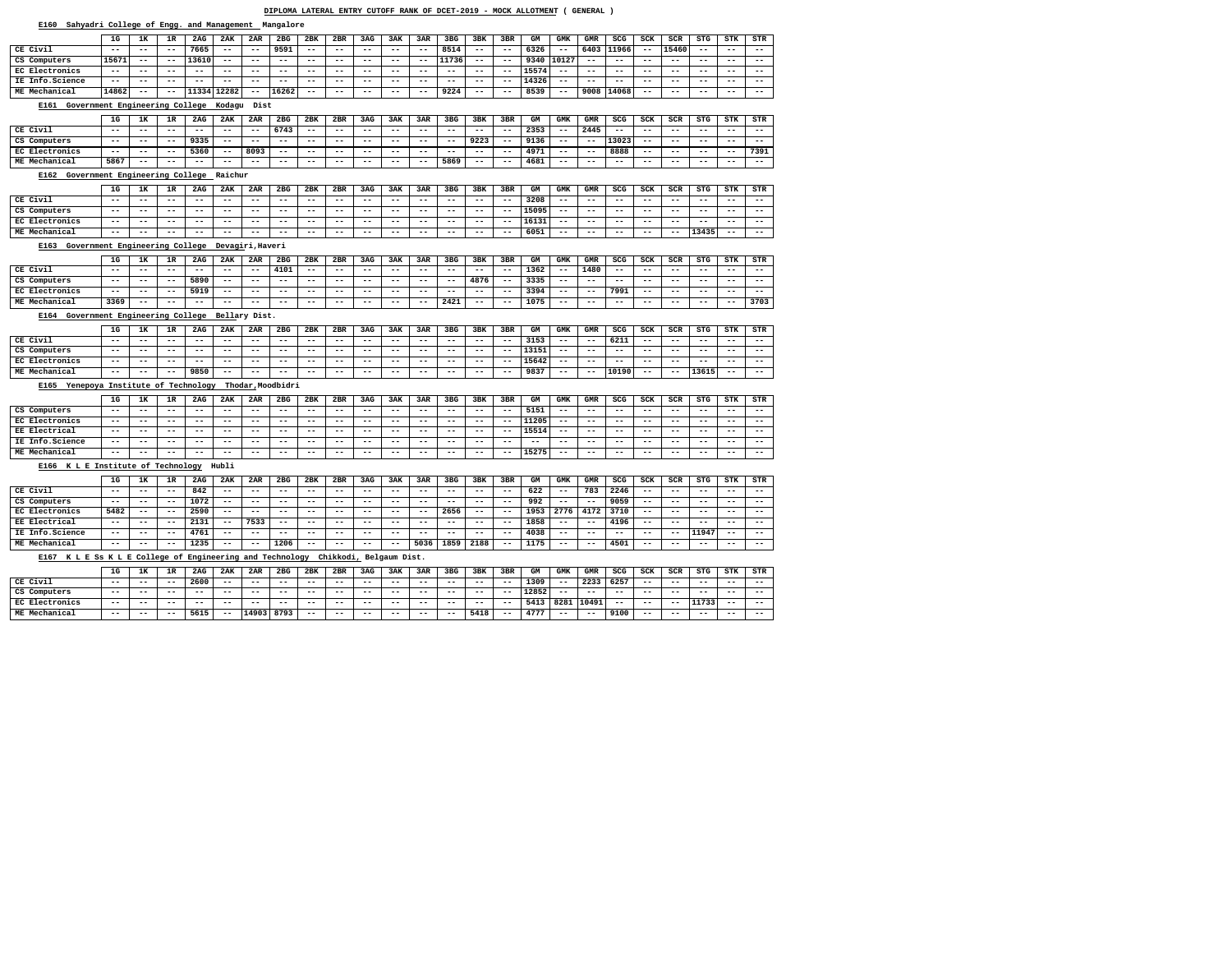#### **E160 Sahyadri College of Engg. and Management Mangalore**

## **E161 Government Engineering College Kodagu Dist**

## **E162 Government Engineering College Raichur**

## **E163 Government Engineering College Devagiri,Haveri**

## **E164 Government Engineering College Bellary Dist.**

# **E165 Yenepoya Institute of Technology Thodar,Moodbidri**

## **E166 K L E Institute of Technology Hubli**

# **E167 K L E Ss K L E College of Engineering and Technology Chikkodi, Belgaum Dist.**

|                 | 1G    | <b>172</b><br>∸ | 1R    | 2AG   | 2AK   | 2AR   | 2 <sub>BG</sub> | 2BK   | 2BR   | 3AG   | 3AK   | 3AR   | 3 <sub>BG</sub> | 3BK   | 3BR   | GМ         | GMK   | <b>GMR</b> | SCG   | SCK   | SCR   | STG   | STK   | STR   |
|-----------------|-------|-----------------|-------|-------|-------|-------|-----------------|-------|-------|-------|-------|-------|-----------------|-------|-------|------------|-------|------------|-------|-------|-------|-------|-------|-------|
| CE Civil        | $- -$ | $- -$           | $- -$ | 7665  | $- -$ | $- -$ | 9591            | $- -$ | $- -$ | $- -$ | $- -$ | $- -$ | 8514            | $- -$ | $- -$ | 6326       | $- -$ | 6403       | 11966 | $- -$ | 15460 | $- -$ | $- -$ | $- -$ |
| CS Computers    | 15671 | $- -$           | $ -$  | 13610 | --    | $- -$ | $- -$           | $- -$ | $- -$ | $- -$ | $- -$ | $- -$ | 11736           | $- -$ | $- -$ | 9340 10127 |       | $- -$      | $- -$ | $- -$ | $- -$ | $- -$ | $- -$ | $- -$ |
| EC Electronics  | $- -$ | $- -$           | $- -$ | $- -$ | $- -$ | $- -$ | $- -$           | $- -$ | $- -$ | $- -$ | $- -$ | $- -$ | $- -$           | $- -$ | $- -$ | 15574      | $- -$ | $- -$      | $- -$ | --    | $- -$ | $- -$ | $- -$ | $- -$ |
| IE Info.Science | $- -$ | $- -$           | $- -$ | $- -$ | $- -$ | $- -$ | $- -$           | $- -$ | $- -$ | $ -$  | $- -$ | $- -$ | $- -$           | $- -$ | $- -$ | 14326      | $- -$ | $- -$      | $- -$ | $- -$ | $- -$ | $- -$ | $- -$ | $- -$ |
| ME Mechanical   | 14862 | $- -$           | $- -$ | 11334 | 12282 | $- -$ | 16262           | $- -$ | $- -$ | $- -$ | $- -$ | $- -$ | 9224            | $- -$ | $- -$ | 8539       | $- -$ | 9008       | 14068 | --    | $- -$ | $- -$ | $- -$ | $- -$ |

|                | 1G    | $\mathbf{r}$ | 1R    | 2AG   | 2AK   | 2AR   | 2 <sub>BG</sub> | 2BK   | 2BR   | 3AG   | 3AK   | 3AR   | 3 <sub>BG</sub> | 3BK   | 3BR   | GМ   | GMK   | <b>GMR</b> | SCG   | SCK   | SCR   | STG   | STK   | STR 1 |
|----------------|-------|--------------|-------|-------|-------|-------|-----------------|-------|-------|-------|-------|-------|-----------------|-------|-------|------|-------|------------|-------|-------|-------|-------|-------|-------|
| CE Civil       | $- -$ | $- -$        | $- -$ | $- -$ | $- -$ | $- -$ | 6743            | $- -$ | $- -$ | $- -$ | $- -$ | $- -$ | $- -$           | $- -$ | $- -$ | 2353 | $- -$ | 2445       | $- -$ | $- -$ | $- -$ | $- -$ | $- -$ | $- -$ |
| CS Computers   | $- -$ | $- -$        | $- -$ | 9335  | $- -$ | $- -$ | $- -$           | $- -$ | $- -$ | $- -$ | $- -$ | $- -$ | $- -$           | 9223  | $- -$ | 9136 | $- -$ | $- -$      | 13023 | $- -$ | $- -$ | $- -$ | $- -$ | $- -$ |
| EC Electronics | $- -$ | $- -$        | $- -$ | 5360  | $- -$ | 8093  | $- -$           | $- -$ | $- -$ | $- -$ | $- -$ | $- -$ | $- -$           | $- -$ | $- -$ | 4971 | $- -$ | $- -$      | 8888  | $- -$ | $- -$ | $- -$ | $- -$ | 7391  |
| ME Mechanical  | 5867  | $- -$        | $- -$ | $- -$ | $- -$ | $- -$ | $- -$           | $- -$ | $- -$ | $- -$ | $- -$ | $- -$ | 5869            | $- -$ | $- -$ | 4681 | $- -$ | $- -$      | $- -$ | $- -$ | $- -$ | $- -$ | $- -$ | $- -$ |
|                |       |              |       |       |       |       |                 |       |       |       |       |       |                 |       |       |      |       |            |       |       |       |       |       |       |

|                | 1G    | <b>1 TZ</b><br>ᅩ | ים ד<br>ᅩᅑ | 2AG   | 2AK   | 2AR   | 2 <sub>BG</sub> | 2BK   | 2BR   | 3AG   | 3AK   | 3AR   | 3 <sub>BG</sub> | 3BK   | 3BR   | GM    | GMK   | GMR   | SCG   | SCK   | SCR   | STG   | STK   | STR   |
|----------------|-------|------------------|------------|-------|-------|-------|-----------------|-------|-------|-------|-------|-------|-----------------|-------|-------|-------|-------|-------|-------|-------|-------|-------|-------|-------|
| CE Civil       | $- -$ | $- -$            | $- -$      | $- -$ | $- -$ | $- -$ | $- -$           | $- -$ | $- -$ | $- -$ | $- -$ | $- -$ | $- -$           | $- -$ | $- -$ | 3208  | $- -$ | $- -$ | $- -$ | $- -$ | $- -$ | $- -$ | $- -$ | $- -$ |
| CS Computers   | $- -$ | $- -$            | $- -$      | $- -$ | $- -$ | $- -$ | $- -$           | $- -$ | $- -$ | $- -$ | $- -$ | $- -$ | $- -$           | $- -$ | $- -$ | 15095 | $- -$ | $- -$ | $- -$ | $- -$ | $- -$ | $- -$ | $- -$ | $- -$ |
| EC Electronics | $- -$ | $- -$            | $- -$      | $- -$ | $- -$ | $- -$ | $- -$           | $- -$ | $- -$ | $- -$ | $- -$ | $- -$ | $- -$           | $- -$ | $- -$ | 16131 | $- -$ | $- -$ | $- -$ | $- -$ | $- -$ | $- -$ | $- -$ | $- -$ |
| ME Mechanical  | $- -$ | $- -$            | $- -$      | $- -$ | $- -$ | $- -$ | $- -$           | $- -$ | $- -$ | $- -$ | ---   | $- -$ | $- -$           | $- -$ | $- -$ | 6051  | $- -$ | $- -$ | $- -$ | $- -$ | $- -$ | 13435 | $- -$ | $- -$ |

|                | 1G    | 1к    | 1R    | 2AG   | 2AK   | 2AR   | 2 <sub>BG</sub> | 2BK   | 2BR   | 3AG   | 3AK   | 3AR   | 3 <sub>BG</sub> | 3BK   | 3BR   | GM   | GMK   | GMR   | SCG   | SCK   | SCR   | STG   | STK   | STR   |
|----------------|-------|-------|-------|-------|-------|-------|-----------------|-------|-------|-------|-------|-------|-----------------|-------|-------|------|-------|-------|-------|-------|-------|-------|-------|-------|
| CE Civil       | $- -$ | $- -$ | $- -$ | $- -$ | $- -$ | $- -$ | 4101            | $- -$ | $- -$ | $- -$ | $- -$ | $- -$ | $- -$           | $- -$ | $- -$ | 1362 | $- -$ | 1480  | $- -$ | $- -$ | $- -$ | $- -$ | $- -$ | $- -$ |
| CS Computers   | $- -$ | $- -$ | $- -$ | 5890  | $- -$ | $- -$ | $- -$           | $- -$ | $- -$ | $- -$ | $- -$ | $- -$ | $- -$           | 4876  | $- -$ | 3335 | $- -$ | $- -$ | $- -$ | $- -$ | $- -$ | $- -$ | $- -$ | $- -$ |
| EC Electronics | $- -$ | $- -$ | $- -$ | 5919  | --    | $- -$ | $- -$           | $- -$ | $- -$ | $- -$ | $- -$ | $- -$ | $- -$           | $- -$ | $- -$ | 3394 | $- -$ | $- -$ | 7991  | $- -$ | $- -$ | $- -$ | $- -$ | $- -$ |
| ME Mechanical  | 3369  | $- -$ | $- -$ | $- -$ | $- -$ | $- -$ | $- -$           | $- -$ | $- -$ | $- -$ | $- -$ | $- -$ | 2421            | $- -$ | $- -$ | 1075 | $- -$ | $- -$ | $- -$ | $- -$ | $- -$ | $- -$ | $- -$ | 3703  |

|                | 1G    | <b>172</b><br>∸ | 1R    | 2AG   | 2AK   | 2AR   | 2 <sub>BG</sub> | 2BK   | 2BR   | 3AG   | 3AK   | 3AR   | 3 <sub>BG</sub> | 3BK   | 3BR   | GМ    | GMK   | GMR   | SCG   | SCK   | SCR   | STG   | STK   | STR   |
|----------------|-------|-----------------|-------|-------|-------|-------|-----------------|-------|-------|-------|-------|-------|-----------------|-------|-------|-------|-------|-------|-------|-------|-------|-------|-------|-------|
| CE Civil       | $- -$ | $- -$           | $- -$ | $- -$ | $- -$ | $- -$ | $- -$           | $- -$ | $- -$ | $- -$ | $- -$ | $- -$ | $- -$           | $- -$ | $- -$ | 3153  | $- -$ | $ -$  | 6211  | $- -$ | $- -$ | $- -$ | $- -$ | $- -$ |
| CS Computers   | $- -$ | $- -$           | $- -$ | $- -$ | $- -$ | $- -$ | $- -$           | $- -$ | $- -$ | $- -$ | $- -$ | $- -$ | $- -$           | $- -$ | $- -$ | 13151 | $- -$ | $- -$ | $- -$ | $- -$ | ---   | $- -$ | $- -$ | $- -$ |
| EC Electronics | $- -$ | $- -$           | $- -$ | $- -$ | $- -$ | $- -$ | $- -$           | $- -$ | $- -$ | $- -$ | $- -$ | $- -$ | $- -$           | $- -$ | $- -$ | 15642 | $- -$ | $- -$ | $- -$ | $- -$ | $- -$ | $- -$ | $- -$ | $- -$ |
| ME Mechanical  | $- -$ | $- -$           | $- -$ | 9850  | $- -$ | $- -$ | $- -$           | $- -$ | $- -$ | $- -$ | $- -$ | $- -$ | $- -$           | $- -$ | $- -$ | 9837  | $- -$ | $ -$  | 10190 | $- -$ | ---   | 13615 | $- -$ | $- -$ |

|                      | 1G    | 1 T.P | ∸     | 2AG   | 2AK   | 2AR   | 2 <sub>BG</sub> | 2BK   | 2BR   | 3AG   | 3AK   | 3AR   | 3 <sub>BG</sub> | 3BK   | 3BR   | GМ    | GMK   | <b>GMR</b> | SCG   | SCK   | SCR   | <b>STG</b> | STK   | STR   |
|----------------------|-------|-------|-------|-------|-------|-------|-----------------|-------|-------|-------|-------|-------|-----------------|-------|-------|-------|-------|------------|-------|-------|-------|------------|-------|-------|
| CS Computers         | $- -$ | $- -$ | $- -$ | $- -$ | $- -$ | $- -$ | $- -$           | $- -$ | $- -$ | $- -$ | $- -$ | $- -$ | $- -$           | $- -$ | $- -$ | 5151  | $- -$ | $- -$      | $- -$ | $- -$ | $- -$ | $- -$      | $- -$ | $- -$ |
| EC Electronics       | $- -$ | $- -$ | $- -$ | $- -$ | --    | $- -$ | $- -$           | $- -$ | $- -$ | $- -$ | $- -$ | $- -$ | --              | $- -$ | $- -$ | 11205 | $- -$ | $- -$      | $- -$ | $- -$ | $- -$ | $- -$      | $- -$ | $- -$ |
| <b>EE Electrical</b> | $- -$ | $- -$ | $- -$ | $- -$ | --    | $- -$ | $- -$           | $- -$ | $- -$ | $- -$ | $- -$ | $- -$ | $- -$           | $- -$ | $- -$ | 15514 | $- -$ | $- -$      | $- -$ | $- -$ | $- -$ | $- -$      | $- -$ | $- -$ |
| IE Info.Science      | $- -$ | $- -$ | $- -$ | $- -$ | --    | $- -$ | $- -$           | $- -$ | --    | $- -$ | $- -$ | $- -$ | --              | $- -$ | $- -$ | $- -$ | $- -$ | $- -$      | $- -$ | $- -$ | $- -$ | $- -$      | $- -$ | $- -$ |
| ME Mechanical        | $- -$ | $- -$ | $- -$ | $- -$ | --    | $- -$ | $- -$           | $- -$ | $- -$ | $- -$ | $- -$ | $- -$ | --              | $- -$ | $ -$  | 15275 | --    | $- -$      | $- -$ | $- -$ | $- -$ | $- -$      | $- -$ | $- -$ |

|                      | 1G    | 1к    | 1 D   | 2AG  | 2AK   | 2AR   | 2BG   | 2BK   | 2BR   | 3AG   | 3AK   | 3AR   | 3 <sub>BG</sub> | 3BK   | 3BR   | GМ   | GMK   | GMR   | SCG   | SCK   | <b>SCR</b> | STG   | STK   | STR   |
|----------------------|-------|-------|-------|------|-------|-------|-------|-------|-------|-------|-------|-------|-----------------|-------|-------|------|-------|-------|-------|-------|------------|-------|-------|-------|
| CE Civil             | $- -$ | $- -$ | $- -$ | 842  | $- -$ | $- -$ | $- -$ | $- -$ | $- -$ | $- -$ | $- -$ | $- -$ | $- -$           | $- -$ | $- -$ | 622  | $- -$ | 783   | 2246  | $- -$ | $- -$      | $- -$ | $- -$ | $- -$ |
| CS Computers         | $- -$ | $- -$ | $- -$ | 1072 | $- -$ | $- -$ | $- -$ | $- -$ | $- -$ | $- -$ | $- -$ | $- -$ | $- -$           | $- -$ | $- -$ | 992  | $- -$ | $- -$ | 9059  | $- -$ | $- -$      | $- -$ | $- -$ | $- -$ |
| EC Electronics       | 5482  | $- -$ | $- -$ | 2590 | $- -$ | $- -$ | $- -$ | $- -$ | $- -$ | $- -$ | $- -$ | $- -$ | 2656            | $- -$ | $- -$ | 1953 | 2776  | 4172  | 3710  | $- -$ | $- -$      | $- -$ | $- -$ | $- -$ |
| <b>EE Electrical</b> | $- -$ | $- -$ | $- -$ | 2131 | $- -$ | 7533  | $ -$  | $- -$ | $- -$ | $- -$ | $- -$ | $- -$ | $- -$           | $- -$ | $- -$ | 1858 | $- -$ | $- -$ | 4196  | $- -$ | $- -$      | $- -$ | $- -$ | $- -$ |
| IE Info.Science      | $- -$ | $- -$ | $- -$ | 4761 | $- -$ | $- -$ | $ -$  | $- -$ | $- -$ | $- -$ | $- -$ | $- -$ | $- -$           | $- -$ | $- -$ | 4038 | $- -$ | $- -$ | $- -$ | $- -$ | $- -$      | 11947 | $- -$ | $- -$ |
| ME Mechanical        | $- -$ | --    | $- -$ | 1235 | $- -$ | $- -$ | 1206  | $- -$ | $- -$ | $- -$ | ---   | 5036  | 1859            | 2188  | $- -$ | 1175 | --    | $- -$ | 4501  | $- -$ | $- -$      | $- -$ | $- -$ | $- -$ |

|                | 1G    | ΤK    | 1R    | 2AG   | 2AK   | 2AR   | 2 <sub>BG</sub> | 2BK   | 2BR   | 3AG   | 3AK   | 3AR   | 3 <sub>BG</sub> | 3BK   | 3BR  | GМ    | GMK   | GMR   | SCG   | SCK   | SCR   | <b>STG</b> | STK   | STR   |
|----------------|-------|-------|-------|-------|-------|-------|-----------------|-------|-------|-------|-------|-------|-----------------|-------|------|-------|-------|-------|-------|-------|-------|------------|-------|-------|
| CE Civil       | $- -$ | $- -$ | $- -$ | 2600  | $- -$ | $- -$ | $- -$           | $- -$ | $- -$ | $- -$ | $- -$ | $- -$ | $- -$           | $- -$ | ---  | 1309  | $- -$ | 2233  | 6257  | $- -$ | $- -$ | $- -$      | $- -$ | $- -$ |
| CS Computers   | $- -$ | $- -$ | $- -$ | $- -$ | $- -$ | $- -$ | $- -$           | $- -$ | $- -$ | $- -$ | $- -$ | $- -$ | $- -$           | $- -$ | ---  | 12852 | $- -$ | $- -$ | $- -$ | $- -$ | --    | $- -$      | $- -$ | $- -$ |
| EC Electronics | $- -$ | $- -$ | $- -$ | $- -$ | $- -$ | $- -$ | $- -$           | $- -$ | $- -$ | $- -$ | $- -$ | $- -$ | $- -$           | $- -$ | ---  | 5413  | 8281  | 10491 | $- -$ | $- -$ | $- -$ | 111733     | $- -$ | $- -$ |
| ME Mechanical  | $- -$ | $- -$ | $- -$ | 5615  | $- -$ | 14903 | 8793            | $- -$ | $- -$ | $- -$ | $- -$ | $- -$ | $- -$           | 5418  | $ -$ | 4777  | $- -$ | $- -$ | 9100  | $- -$ | $- -$ | $- -$      | $- -$ | $- -$ |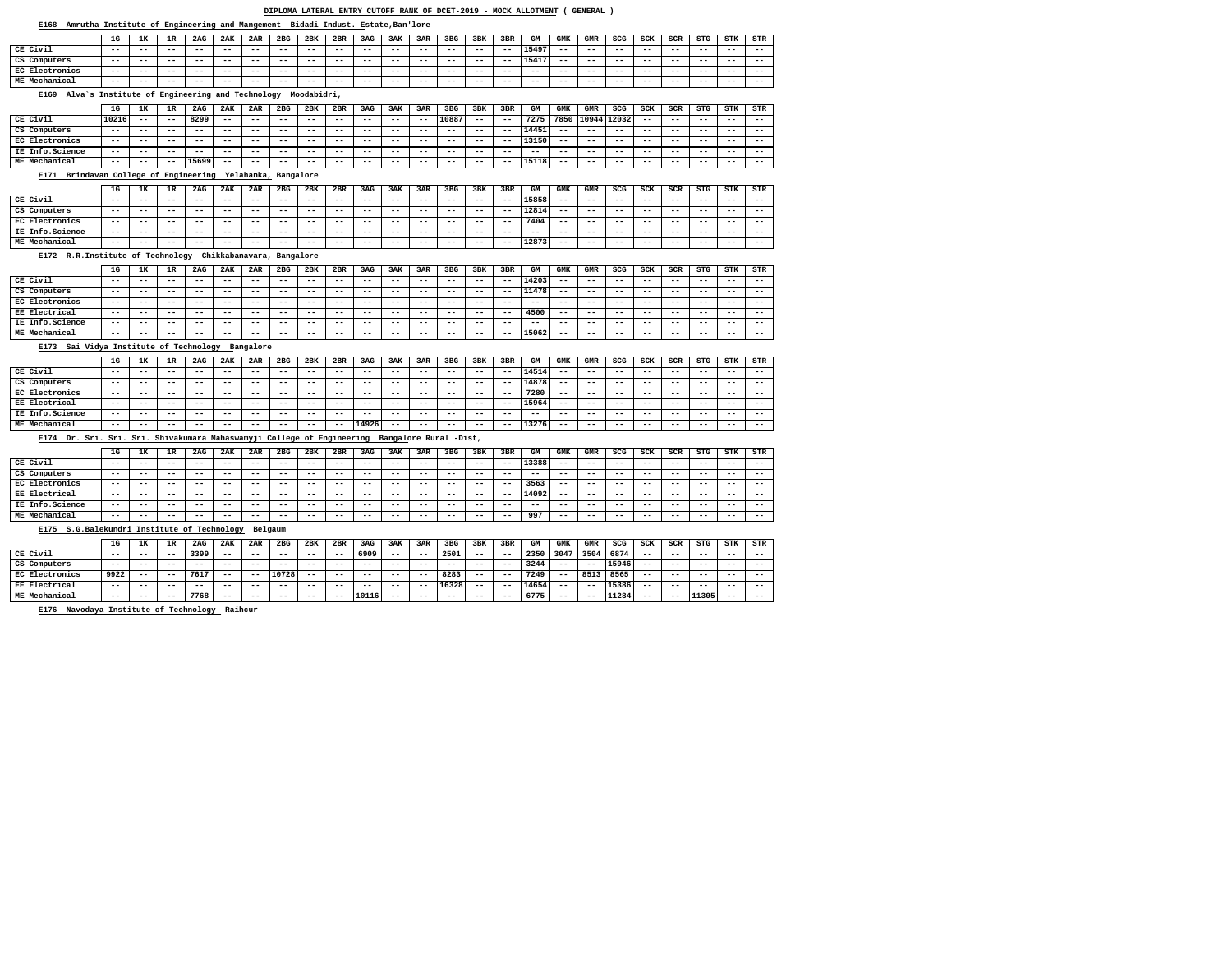## **E168 Amrutha Institute of Engineering and Mangement Bidadi Indust. Estate,Ban'lore**

## **E175 S.G.Balekundri Institute of Technology Belgaum**

**E176 Navodaya Institute of Technology Raihcur**

|                                                                                               | 1G                         | 1K                | 1R                | 2AG                      | 2AK             | 2AR               | 2 <sub>BG</sub>   | 2BK               | 2BR   | 3AG   | 3AK   | 3AR   | 3 <sub>BG</sub>            | 3BK                        | 3BR                        | GM                | GMK               | GMR                      | SCG   | <b>SCK</b>        | SCR                        | STG                        | <b>STK</b>        | STR               |
|-----------------------------------------------------------------------------------------------|----------------------------|-------------------|-------------------|--------------------------|-----------------|-------------------|-------------------|-------------------|-------|-------|-------|-------|----------------------------|----------------------------|----------------------------|-------------------|-------------------|--------------------------|-------|-------------------|----------------------------|----------------------------|-------------------|-------------------|
| CE Civil                                                                                      | $\overline{\phantom{m}}$ . | $- -$             | $\qquad \qquad -$ | $\qquad \qquad -$        | $- -$           | $\qquad \qquad -$ | $ -$              | $\qquad \qquad -$ | $ -$  | $ -$  | $- -$ | $- -$ | $\overline{\phantom{m}}$ . | $- -$                      | $ -$                       | 15497             | $\qquad \qquad -$ | $\qquad \qquad -$        | $- -$ | $\qquad \qquad -$ | $\overline{\phantom{m}}$ . | $- -$                      | $- -$             | $ -$              |
| CS Computers                                                                                  | $- -$                      | --                | $- -$             | $- -$                    | $- -$           | $- -$             | $ -$              | $- -$             | $ -$  | $- -$ | $ -$  | $ -$  | $\qquad \qquad -$          | $ -$                       | $- -$                      | 15417             | $- -$             | $ -$                     | $ -$  | $- -$             | $- -$                      | $ -$                       | $ -$              | $- -$             |
| EC Electronics                                                                                | $\overline{\phantom{m}}$ . | $- -$             | $- -$             | $- -$                    | $- -$           | $- -$             | $ -$              | $- -$             | $- -$ | $- -$ | $- -$ | $- -$ | $- -$                      | $- -$                      | $- -$                      | $- -$             | $\qquad \qquad -$ | $- -$                    | $ -$  | $- -$             | $\qquad \qquad -$          | $- -$                      | $- -$             | $\qquad \qquad -$ |
| ME Mechanical                                                                                 | $- -$                      | $- -$             | $- -$             | $- -$                    | $ -$            | $- -$             | $- -$             | $- -$             | $ -$  | $- -$ | $- -$ | $ -$  | $\qquad \qquad -$          | $- -$                      | $- -$                      | $- -$             | $\qquad \qquad -$ | $- -$                    | $ -$  | $- -$             | $- -$                      | $- -$                      | $- -$             | $ -$              |
| Alva's Institute of Engineering and Technology<br>E169                                        |                            |                   |                   |                          |                 |                   |                   | Moodabidri,       |       |       |       |       |                            |                            |                            |                   |                   |                          |       |                   |                            |                            |                   |                   |
|                                                                                               | 1G                         | 1ĸ                | 1R                | 2AG                      | 2AK             | 2AR               | 2 <sub>BG</sub>   | 2BK               | 2BR   | 3AG   | 3AK   | 3AR   | 3 <sub>BG</sub>            | 3BK                        | 3BR                        | GM                | <b>GMK</b>        | <b>GMR</b>               | SCG   | <b>SCK</b>        | SCR                        | <b>STG</b>                 | <b>STK</b>        | <b>STR</b>        |
| CE Civil                                                                                      | 10216                      | $- -$             | $- -$             | 8299                     | $ -$            | $- -$             | $- -$             | $- -$             | $ -$  | $ -$  | $ -$  | $- -$ | 10887                      | $\overline{\phantom{m}}$ . | $ -$                       | 7275              | 7850              | 10944                    | 12032 | $- -$             | $- -$                      | $- -$                      | $- -$             | $\sim$ $\sim$     |
| CS Computers                                                                                  | $\overline{\phantom{m}}$ . | --                | $- -$             | $- -$                    | $- -$           | $- -$             | $ -$              | $- -$             | $- -$ | $ -$  | $ -$  | $- -$ | $- -$                      | $ -$                       | $ -$                       | 14451             | $- -$             | $ -$                     | $ -$  | $- -$             | $- -$                      | $ -$                       | $ -$              | $- -$             |
| EC Electronics                                                                                | $- -$                      | $- -$             | $- -$             | $ -$                     | $- -$           | $- -$             | $- -$             | $- -$             | $ -$  | $- -$ | $- -$ | $ -$  | $- -$                      | $- -$                      | $- -$                      | 13150             | $\qquad \qquad -$ | $- -$                    | $- -$ | $- -$             | $- -$                      | $- -$                      | $- -$             | $ -$              |
| IE Info.Science                                                                               | $\overline{\phantom{m}}$ . | $- -$             | $- -$             | $- -$                    | $ -$            | $- -$             | $ -$              | $- -$             | $ -$  | $- -$ | $ -$  | $ -$  | $- -$                      | $ -$                       | $- -$                      | $- -$             | $\qquad \qquad -$ | $- -$                    | $ -$  | $- -$             | $- -$                      | $ -$                       | $ -$              | $- -$             |
| ME Mechanical                                                                                 | $\overline{\phantom{m}}$   | $- -$             | $- -$             | 15699                    | $ -$            | $- -$             | $ -$              | $- -$             | $- -$ | $- -$ | $ -$  | $- -$ | $\qquad \qquad -$          | $- -$                      | $- -$                      | 15118             | $\qquad \qquad -$ | $- -$                    | $ -$  | $- -$             | $- -$                      | $- -$                      | $\qquad \qquad -$ | $ -$              |
|                                                                                               |                            |                   |                   |                          |                 |                   |                   |                   |       |       |       |       |                            |                            |                            |                   |                   |                          |       |                   |                            |                            |                   |                   |
| Brindavan College of Engineering<br>E171                                                      |                            |                   |                   |                          |                 | Yelahanka,        | Bangalore         |                   |       |       |       |       |                            |                            |                            |                   |                   |                          |       |                   |                            |                            |                   |                   |
|                                                                                               | 1G                         | 1K                | 1R                | 2AG                      | 2AK             | 2AR               | 2 <sub>BG</sub>   | 2BK               | 2BR   | 3AG   | 3AK   | 3AR   | 3 <sub>BG</sub>            | 3BK                        | 3BR                        | GM                | <b>GMK</b>        | <b>GMR</b>               | SCG   | <b>SCK</b>        | SCR                        | STG                        | <b>STK</b>        | STR               |
| CE Civil                                                                                      | $- -$                      | $ -$              | $- -$             | $- -$                    | $ -$            | $- -$             | $- -$             | $- -$             | $ -$  | $ -$  | $- -$ | $ -$  | $ -$                       | $ -$                       | $ -$                       | 15858             | $- -$             | $- -$                    | $- -$ | $- -$             | $- -$                      | $- -$                      | $- -$             | $- -$             |
| CS Computers                                                                                  | $\overline{\phantom{m}}$ . | $- -$             | $ -$              | $ -$                     | $ -$            | $\qquad \qquad -$ | $ -$              | $- -$             | $ -$  | $- -$ | $- -$ | $- -$ | $\qquad \qquad -$          | $- -$                      | $\sim$ $\sim$              | 12814             | $ -$              | $- -$                    | $- -$ | $- -$             | $\qquad \qquad -$          | $- -$                      | $- -$             | $ -$              |
| EC Electronics                                                                                | $- -$                      | $- -$             | $- -$             | $ -$                     | $ -$            | $\qquad \qquad -$ | $- -$             | $ -$              | $ -$  | $- -$ | $- -$ | $ -$  | $\qquad \qquad -$          | $- -$                      | $ -$                       | 7404              | $- -$             | $ -$                     | $- -$ | $- -$             | $- -$                      | $- -$                      | $- -$             | $- -$             |
| IE Info.Science                                                                               | $ -$                       | $- -$             | $- -$             | $- -$                    | $- -$           | $\qquad \qquad -$ | $ -$              | $- -$             | $ -$  | $- -$ | $- -$ | $- -$ | $\overline{\phantom{m}}$ . | $ -$                       | $- -$                      | $- -$             | $- -$             | $- -$                    | $ -$  | $- -$             | $- -$                      | $- -$                      | $- -$             | $ -$              |
| ME Mechanical                                                                                 | $- -$                      | --                | $- -$             | $- -$                    | $ -$            | $ -$              | $- -$             | $- -$             | $ -$  | $ -$  | $- -$ | $ -$  | $\qquad \qquad -$          | $ -$                       | $- -$                      | 12873             | $- -$             | $ -$                     | $ -$  | $- -$             | $- -$                      | $ -$                       | $- -$             | $ -$              |
| E172 R.R. Institute of Technology                                                             |                            |                   |                   |                          | Chikkabanavara, |                   | Bangalore         |                   |       |       |       |       |                            |                            |                            |                   |                   |                          |       |                   |                            |                            |                   |                   |
|                                                                                               |                            |                   |                   |                          |                 |                   |                   |                   |       |       |       |       |                            |                            |                            |                   |                   |                          |       |                   |                            |                            |                   |                   |
|                                                                                               | 1G                         | 1ĸ                | 1R                | 2AG                      | 2AK             | 2AR               | 2 <sub>BG</sub>   | 2BK               | 2BR   | 3AG   | 3AK   | 3AR   | 3 <sub>BG</sub>            | 3BK                        | 3BR                        | GM                | <b>GMK</b>        | <b>GMR</b>               | SCG   | <b>SCK</b>        | SCR                        | STG                        | <b>STK</b>        | <b>STR</b>        |
| CE Civil                                                                                      | $- -$                      | $- -$             | $ -$              | $ -$                     | $ -$            | $- -$             | $- -$             | $- -$             | $ -$  | $- -$ | $- -$ | $ -$  | $- -$                      | $- -$                      | $- -$                      | 14203             | $- -$             | $- -$                    | $- -$ | $- -$             | $- -$                      | $- -$                      | $- -$             | $\qquad \qquad -$ |
| CS Computers                                                                                  | $\overline{\phantom{m}}$ . | $- -$             | $- -$             | $ -$                     | $ -$            | $- -$             | $- -$             | $- -$             | $ -$  | $- -$ | $ -$  | $ -$  | $\qquad \qquad -$          | $- -$                      | $- -$                      | 11478             | $\qquad \qquad -$ | $- -$                    | $ -$  | $- -$             | $\qquad \qquad -$          | $- -$                      | $- -$             | $ -$              |
| EC Electronics                                                                                | $- -$                      | $- -$             | $- -$             | $- -$                    | $- -$           | $\qquad \qquad -$ | $- -$             | $- -$             | $ -$  | $ -$  | $- -$ | $ -$  | $- -$                      | $ -$                       | $- -$                      | $- -$             | $- -$             | $- -$                    | $- -$ | $- -$             | $- -$                      | $- -$                      | $- -$             | $- -$             |
| EE Electrical                                                                                 | $- -$                      | --                | $ -$              | $- -$                    | $- -$           | $- -$             | $ -$              | $- -$             | $- -$ | $ -$  | $ -$  | $ -$  | $- -$                      | $ -$                       | $ -$                       | 4500              | $- -$             | $ -$                     | $ -$  | $- -$             | $- -$                      | $ -$                       | $ -$              | $- -$             |
| IE Info.Science                                                                               | $\overline{\phantom{m}}$ . | $- -$             | $- -$             | $- -$                    | $- -$           | $- -$             | $ -$              | $- -$             | $ -$  | $- -$ | $- -$ | $- -$ | $- -$                      | $- -$                      | $- -$                      | $- -$             | $- -$             | $ -$                     | $ -$  | $- -$             | $- -$                      | $ -$                       | $ -$              | $ -$              |
| ME Mechanical                                                                                 | $- -$                      | $- -$             | $- -$             | $- -$                    | $ -$            | $- -$             | $- -$             | $ -$              | $- -$ | $- -$ | $- -$ | $- -$ | $- -$                      | $- -$                      | $- -$                      | 15062             | $- -$             | $- -$                    | $- -$ | $- -$             | $\overline{\phantom{m}}$ . | $\overline{\phantom{m}}$ . | $\qquad \qquad -$ | $ -$              |
| Sai Vidya Institute of Technology<br>E173                                                     |                            |                   |                   |                          |                 | Bangalore         |                   |                   |       |       |       |       |                            |                            |                            |                   |                   |                          |       |                   |                            |                            |                   |                   |
|                                                                                               | 1G                         | 1ĸ                | 1R                | 2AG                      | 2AK             | 2AR               | 2 <sub>BG</sub>   | 2BK               | 2BR   | 3AG   | 3AK   | 3AR   | 3 <sub>BG</sub>            | 3BK                        | 3BR                        | GM                | <b>GMK</b>        | <b>GMR</b>               | SCG   | <b>SCK</b>        | SCR                        | STG                        | <b>STK</b>        | <b>STR</b>        |
| CE Civil                                                                                      | $- -$                      | --                | $- -$             | $- -$                    | $- -$           | $- -$             | $- -$             | $- -$             | $- -$ | $- -$ | $- -$ | $- -$ | $- -$                      | $- -$                      | $- -$                      | 14514             | $- -$             | $- -$                    | $ -$  | $- -$             | $- -$                      | $- -$                      | $- -$             | $- -$             |
| CS Computers                                                                                  | $- -$                      | $- -$             | $- -$             | $- -$                    | $ -$            | $- -$             | $- -$             | $- -$             | $- -$ | $- -$ | $ -$  | $ -$  | $- -$                      | $- -$                      | $\overline{\phantom{m}}$ . | 14878             | $- -$             | $- -$                    | $- -$ | $\qquad \qquad -$ | $- -$                      | $- -$                      | $- -$             | $- -$             |
| EC Electronics                                                                                | $- -$                      | $- -$             | $ -$              | $ -$                     | $- -$           | $\qquad \qquad -$ | $\qquad \qquad -$ | $\qquad \qquad -$ | $- -$ | $- -$ | $ -$  | $- -$ | $\qquad \qquad -$          | $- -$                      | $ -$                       | 7280              | $- -$             | $ -$                     | $- -$ | $- -$             | $- -$                      | $ -$                       | $ -$              | $ -$              |
| EE Electrical                                                                                 | $- -$                      | $- -$             | $- -$             | $ -$                     | $- -$           | $- -$             | $- -$             | $ -$              | $- -$ | $- -$ | $ -$  | $- -$ | $- -$                      | $\qquad \qquad -$          | $ -$                       | 15964             | $- -$             | $ -$                     | $- -$ | $\qquad \qquad -$ | $- -$                      | $\overline{\phantom{m}}$ . | $- -$             | $\qquad \qquad -$ |
| IE Info.Science                                                                               | $- -$                      | $\qquad \qquad -$ | $ -$              | $ -$                     | $- -$           | $\qquad \qquad -$ | $- -$             | $\qquad \qquad -$ | $- -$ | $- -$ | $ -$  | $- -$ | $- -$                      | $\qquad \qquad -$          | $ -$                       | $\qquad \qquad -$ | $- -$             | $ -$                     | $- -$ | $\qquad \qquad -$ | $- -$                      | $\overline{\phantom{m}}$   | $ -$              | $ -$              |
| ME Mechanical                                                                                 | $- -$                      | $- -$             | $ -$              | $ -$                     | $ -$            | $- -$             | $- -$             | $- -$             | $- -$ | 14926 | $ -$  | $- -$ | $\qquad \qquad -$          | $- -$                      | $- -$                      | 13276             | $- -$             | $- -$                    | $ -$  | $\qquad \qquad -$ | $\qquad \qquad -$          | $\overline{\phantom{m}}$ . | $ -$              | $- -$             |
| E174 Dr. Sri. Sri. Sri. Shivakumara Mahaswamyji College of Engineering Bangalore Rural -Dist, |                            |                   |                   |                          |                 |                   |                   |                   |       |       |       |       |                            |                            |                            |                   |                   |                          |       |                   |                            |                            |                   |                   |
|                                                                                               |                            |                   |                   |                          |                 |                   |                   |                   |       |       |       |       |                            |                            |                            |                   |                   |                          |       |                   |                            |                            |                   |                   |
|                                                                                               | 1G                         | 1K                | 1R                | 2AG                      | 2AK             | 2AR               | 2 <sub>BG</sub>   | 2BK               | 2BR   | 3AG   | 3AK   | 3AR   | 3 <sub>BG</sub>            | 3BK                        | 3BR                        | GМ                | GMK               | GMR                      | SCG   | SCK               | SCR                        | STG                        | <b>STK</b>        | STR               |
| CE Civil                                                                                      | $\overline{\phantom{m}}$ . | $- -$             | $ -$              | $ -$                     | $ -$            | $- -$             | $ -$              | $ -$              | $- -$ | $- -$ | $ -$  | $- -$ | $- -$                      | $- -$                      | $- -$                      | 13388             | $- -$             | $ -$                     | $- -$ | $- -$             | $- -$                      | $\overline{\phantom{m}}$ . | $ -$              | $- -$             |
| CS Computers                                                                                  | $\overline{\phantom{m}}$ . | $\qquad \qquad -$ | $ -$              | $ -$                     | $- -$           | $\qquad \qquad -$ | $\qquad \qquad -$ | $- -$             | $- -$ | $- -$ | $ -$  | $- -$ | $- -$                      | $- -$                      | $- -$                      | $- -$             | $- -$             | $\overline{\phantom{m}}$ | $- -$ | $- -$             | $\qquad \qquad -$          | $\overline{\phantom{m}}$   | $ -$              | $ -$              |
| EC Electronics                                                                                | $- -$                      | $- -$             | $ -$              | $\overline{\phantom{m}}$ | $ -$            | $- -$             | $- -$             | $- -$             | $- -$ | $- -$ | $ -$  | $- -$ | $- -$                      | $\qquad \qquad -$          | $ -$                       | 3563              | $- -$             | $ -$                     | $- -$ | $\qquad \qquad -$ | $- -$                      | $\overline{\phantom{m}}$ . | $\qquad \qquad -$ | $ -$              |
| EE Electrical                                                                                 | $- -$                      | $- -$             | $ -$              | $- -$                    | $- -$           | $- -$             | $- -$             | $- -$             | $- -$ | $- -$ | $- -$ | $- -$ | $- -$                      | $- -$                      | $ -$                       | 14092             | $- -$             | $- -$                    | $ -$  | $- -$             | $- -$                      | $- -$                      | $- -$             | $\qquad \qquad -$ |
| IE Info.Science                                                                               | $- -$                      | $- -$             | $ -$              | $ -$                     | $- -$           | $\qquad \qquad -$ | $- -$             | $- -$             | $- -$ | $- -$ | $ -$  | $- -$ | $- -$                      | $- -$                      | $ -$                       | $- -$             | $- -$             | $ -$                     | $- -$ | $\qquad \qquad -$ | $\qquad \qquad -$          | $\overline{\phantom{m}}$ . | $\qquad \qquad -$ | $- -$             |
| ME Mechanical                                                                                 | $- -$                      | $- -$             | $ -$              | $ -$                     | $- -$           | $- -$             | $- -$             | $- -$             | $- -$ | $- -$ | $ -$  | $- -$ | $- -$                      | $- -$                      | $\overline{\phantom{m}}$ . | 997               | $- -$             | $ -$                     | $- -$ | $- -$             | $- -$                      | $ -$                       | $\qquad \qquad -$ | $- -$             |

|                      | 1G    | 1к    | 1R    | 2AG   | 2AK   | 2AR   | 2 <sub>BG</sub> | 2BK   | 2BR   | 3AG   | 3AK   | 3AR   | 3 <sub>BG</sub> | 3BK   | 3BR   | GМ    | GMK   | <b>GMR</b> | SCG   | SCK   | SCR   | STG   | STK   | STR   |
|----------------------|-------|-------|-------|-------|-------|-------|-----------------|-------|-------|-------|-------|-------|-----------------|-------|-------|-------|-------|------------|-------|-------|-------|-------|-------|-------|
| CE Civil             | $- -$ | $- -$ | $- -$ | 3399  | $- -$ | $- -$ | $- -$           | $- -$ | $- -$ | 6909  | $- -$ | $- -$ | 2501            | $- -$ | $- -$ | 2350  | 3047  | 3504       | 6874  | $- -$ | $- -$ | $- -$ | $- -$ | $- -$ |
| CS Computers         | $- -$ | $- -$ | $- -$ | $- -$ | $- -$ | $- -$ | $- -$           | $- -$ | $- -$ | $- -$ | $- -$ | $- -$ | --              | $- -$ | $- -$ | 3244  | $- -$ | $- -$      | 15946 | $- -$ | $- -$ | $- -$ | $- -$ | $- -$ |
| EC Electronics       | 9922  | $- -$ | $- -$ | 7617  | $- -$ | $- -$ | 10728           | $- -$ | $- -$ | $- -$ | $- -$ | $- -$ | 8283            | $- -$ | $- -$ | 7249  | $- -$ | 8513       | 8565  | $- -$ | $- -$ | $- -$ | $- -$ | $- -$ |
| <b>EE Electrical</b> | $- -$ | $- -$ | $- -$ | $- -$ | $- -$ | $- -$ | $- -$           | $- -$ | $- -$ | $- -$ | $- -$ | $- -$ | 16328           | $- -$ | $- -$ | 14654 | $- -$ | $- -$      | 15386 | $- -$ | $- -$ | $- -$ | $- -$ | $- -$ |
| ME Mechanical        | $- -$ | $- -$ | $- -$ | 7768  | $- -$ | $- -$ | $- -$           | $- -$ | $- -$ | 10116 | $- -$ | $- -$ | --              | $- -$ | $- -$ | 6775  | $- -$ | $- -$      | 11284 | $- -$ | $- -$ | 11305 | $- -$ | $- -$ |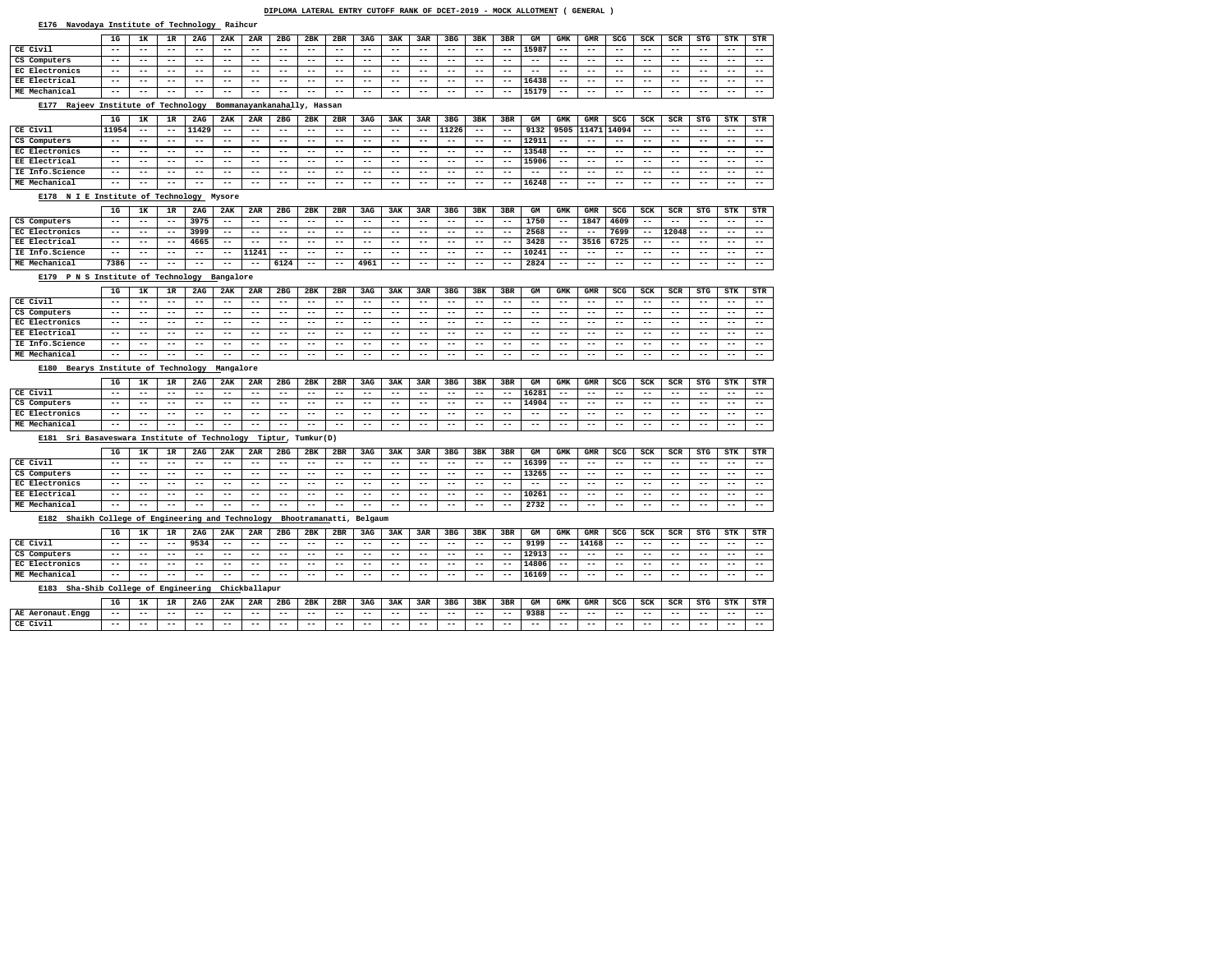#### **E176 Navodaya Institute of Technology Raihcur**

## **E182 Shaikh College of Engineering and Technology Bhootramanatti, Belgaum**

## **E183 Sha-Shib College of Engineering Chickballapur**

|                                                                | 1G                | 1ĸ             | 1R    | 2AG         | 2AK          | 2AR                         | 2 <sub>BG</sub>            | 2BK   | 2BR               | 3AG          | 3AK   | 3AR               | 3 <sub>BG</sub>          | 3BK                        | 3BR               | GМ                | GMK            | <b>GMR</b>               | SCG               | <b>SCK</b>                 | SCR            | <b>STG</b> | STK        | STR               |
|----------------------------------------------------------------|-------------------|----------------|-------|-------------|--------------|-----------------------------|----------------------------|-------|-------------------|--------------|-------|-------------------|--------------------------|----------------------------|-------------------|-------------------|----------------|--------------------------|-------------------|----------------------------|----------------|------------|------------|-------------------|
| CE Civil                                                       | $- -$             | --             | $ -$  | $- -$       | $ -$         | $ -$                        | $ -$                       | $ -$  | $ -$              | $- -$        | $ -$  | $ -$              | $- -$                    | $- -$                      | $- -$             | 15987             | --             | $- -$                    | $- -$             | --                         | --             | $ -$       | $- -$      | $\qquad \qquad -$ |
| CS Computers                                                   | $- -$             | $- -$          | $ -$  | $- -$       | $- -$        | $- -$                       | $- -$                      | $- -$ | $- -$             | $- -$        | $- -$ | $- -$             | $- -$                    | $- -$                      | $- -$             | $- -$             | --             | $\qquad \qquad -$        | $- -$             | --                         | $- -$          | $- -$      | $- -$      | $\qquad \qquad -$ |
| EC Electronics                                                 | $- -$             | $- -$          | $ -$  | $- -$       | $- -$        | $- -$                       | $ -$                       | $- -$ | $- -$             | $- -$        | $ -$  | $\qquad \qquad -$ | $- -$                    | $- -$                      | $- -$             | $- -$             | $- -$          | $- -$                    | $- -$             | $- -$                      | $- -$          | $- -$      | $- -$      | $\qquad \qquad -$ |
| EE Electrical                                                  | $- -$             | $- -$          | $ -$  | $- -$       | $- -$        | $- -$                       | $ -$                       | $- -$ | $- -$             | $ -$         | $ -$  | $- -$             | $- -$                    | $- -$                      | $\qquad \qquad -$ | 16438             | $- -$          | $\qquad \qquad -$        | $- -$             | $- -$                      | $- -$          | $- -$      | $- -$      | $- -$             |
| ME Mechanical                                                  | $- -$             |                | $ -$  | $- -$       | $ -$         |                             | $ -$                       | $ -$  | $- -$             | $ -$         | $ -$  | $- -$             | $- -$                    | $- -$                      | $- -$             | 15179             | --             | $- -$                    | $ -$              | $- -$                      | --             | $ -$       | $- -$      | $\qquad \qquad -$ |
|                                                                |                   |                |       |             |              |                             |                            |       |                   |              |       |                   |                          |                            |                   |                   |                |                          |                   |                            |                |            |            |                   |
| Rajeev Institute of Technology<br>E177                         |                   |                |       |             |              | Bommanayankanahally, Hassan |                            |       |                   |              |       |                   |                          |                            |                   |                   |                |                          |                   |                            |                |            |            |                   |
|                                                                | 1G                | 1ĸ             | 1R    | 2AG         | 2AK          | 2AR                         | 2 <sub>BG</sub>            | 2BK   | 2BR               | 3AG          | 3AK   | 3AR               | 3 <sub>BG</sub>          | 3BK                        | 3BR               | GМ                | <b>GMK</b>     | GMR                      | SCG               | SCK                        | SCR            | <b>STG</b> | STK        | <b>STR</b>        |
| CE Civil                                                       | 11954             | $- -$          | $- -$ | 11429       | $- -$        | $- -$                       | $- -$                      | $- -$ | $- -$             | $- -$        | $- -$ | $ -$              | 11226                    | $- -$                      | $\qquad \qquad -$ | 9132              | 9505           | 11471                    | 14094             | $\overline{\phantom{m}}$   | $- -$          | $- -$      | $- -$      | $\qquad \qquad -$ |
| CS Computers                                                   | $- -$             | $- -$          | $- -$ | $ -$        | $ -$         | $- -$                       | $ -$                       | $ -$  | $- -$             | $- -$        | $ -$  | $- -$             | $- -$                    | $\overline{\phantom{m}}$ . | $- -$             | 12911             | $- -$          | $- -$                    | $- -$             | $- -$                      | $- -$          | $- -$      | $- -$      | $\qquad \qquad -$ |
| EC Electronics                                                 | $- -$             | $- -$          | $- -$ | $- -$       | $- -$        | $- -$                       | $ -$                       | $- -$ | $- -$             | $ -$         | $ -$  | $- -$             | $\qquad \qquad -$        | $- -$                      | $ -$              | 13548             | $- -$          | $- -$                    | $- -$             | --                         | $- -$          | $ -$       | $- -$      | $- -$             |
| EE Electrical                                                  | $- -$             | $- -$          | $ -$  | $- -$       | $- -$        | $ -$                        | $ -$                       | $ -$  | $- -$             | $ -$         | $ -$  | $- -$             | $- -$                    | $- -$                      | $- -$             | 15906             | $- -$          | $- -$                    | $ -$              | $- -$                      | $- -$          | $ -$       | $- -$      | $- -$             |
| IE Info.Science                                                | $- -$             | --             | $ -$  | $- -$       | $- -$        | $- -$                       | $ -$                       | $ -$  | $- -$             | $ -$         | $ -$  | $- -$             | $- -$                    | --                         | $- -$             | $- -$             | $- -$          | $- -$                    | $- -$             | --                         | --             | $ -$       | $- -$      | $\qquad \qquad -$ |
| ME Mechanical                                                  | $- -$             | $- -$          | $ -$  | $- -$       | $- -$        | $- -$                       | $ -$                       | $ -$  | $\qquad \qquad -$ | $- -$        | $ -$  | $- -$             | $- -$                    | $- -$                      | $- -$             | 16248             | $- -$          | $\qquad \qquad -$        | $- -$             | $- -$                      | $- -$          | $- -$      | $- -$      | $- -$             |
| E178 N I E Institute of Technology                             |                   |                |       |             | Mysore       |                             |                            |       |                   |              |       |                   |                          |                            |                   |                   |                |                          |                   |                            |                |            |            |                   |
|                                                                |                   |                |       |             |              |                             |                            |       |                   |              |       |                   |                          |                            |                   |                   |                |                          |                   |                            |                |            |            |                   |
|                                                                | 1G                | 1ĸ             | 1R    | 2AG         | 2AK          | 2AR                         | 2 <sub>BG</sub>            | 2BK   | 2BR               | 3AG          | 3AK   | 3AR               | 3 <sub>BG</sub>          | 3BK                        | 3BR               | GМ                | <b>GMK</b>     | GMR                      | SCG               | SCK                        | SCR            | <b>STG</b> | STK        | STR               |
| CS Computers                                                   | $- -$             | $- -$          | $- -$ | 3975        | $ -$         | $- -$                       | $\overline{\phantom{m}}$ . | $- -$ | $- -$             | $- -$        | $- -$ | $- -$             | $\qquad \qquad -$        | $- -$                      | $\qquad \qquad -$ | 1750              | $- -$          | 1847                     | 4609              | $\overline{\phantom{m}}$ . | $- -$<br>12048 | $ -$       | $- -$      | $- -$             |
| EC Electronics<br>EE Electrical                                | $- -$             | $- -$          | $- -$ | 3999        | $- -$        | $- -$                       | $ -$                       | $ -$  | $- -$             | $ -$         | $ -$  | $- -$             | $- -$                    | $- -$                      | $- -$             | 2568<br>3428      | --             | $- -$<br>3516            | 7699<br>6725      | $ -$                       |                | $- -$      | $- -$      | $- -$             |
| IE Info.Science                                                | $- -$             | $- -$<br>$- -$ | $- -$ | 4665        | $- -$        | $- -$                       | $- -$                      | $- -$ | $- -$             | $ -$         | $- -$ | $- -$             | $- -$                    | $- -$                      | $- -$             |                   | $- -$<br>$- -$ | $- -$                    |                   | $- -$<br>$- -$             | $- -$          | $ -$       | $- -$      | $- -$             |
| ME Mechanical                                                  | $ -$<br>7386      | $- -$          | $ -$  | $- -$       | $ -$<br>$ -$ | 11241                       | $- -$<br>6124              | $- -$ | $\qquad \qquad -$ | $ -$<br>4961 | $ -$  | $- -$             | $- -$                    | --                         | $- -$<br>$- -$    | 10241<br>2824     | $- -$          |                          | $- -$             |                            | $- -$          | $ -$       | $- -$      | $- -$             |
|                                                                |                   |                | $- -$ | $- -$       |              | $- -$                       |                            | $- -$ | $\qquad \qquad -$ |              | $- -$ | $- -$             | $- -$                    | $\overline{\phantom{m}}$   |                   |                   |                | $- -$                    | $- -$             | $- -$                      | $- -$          | $- -$      | $- -$      | $- -$             |
| P N S Institute of Technology<br>E179                          |                   |                |       |             | Bangalore    |                             |                            |       |                   |              |       |                   |                          |                            |                   |                   |                |                          |                   |                            |                |            |            |                   |
|                                                                | 1G                | 1ĸ             | 1R    | 2AG         | 2AK          | 2AR                         | 2 <sub>BG</sub>            | 2BK   | 2BR               | 3AG          | 3AK   | 3AR               | 3 <sub>BG</sub>          | 3BK                        | 3BR               | GМ                | <b>GMK</b>     | <b>GMR</b>               | SCG               | <b>SCK</b>                 | SCR            | <b>STG</b> | <b>STK</b> | STR               |
| CE Civil                                                       | $- -$             | $- -$          | $ -$  | $- -$       | $- -$        | $ -$                        | $ -$                       | $ -$  | $- -$             | $ -$         | $ -$  | $- -$             | $- -$                    | $ -$                       | $ -$              | $- -$             | --             | $- -$                    | $ -$              | $- -$                      | $- -$          | $ -$       | $- -$      | $- -$             |
| CS Computers                                                   | $- -$             | $- -$          | $ -$  | $- -$       | $- -$        | $- -$                       | $ -$                       | $- -$ | $- -$             | $- -$        | $ -$  | $- -$             | $\overline{\phantom{m}}$ | --                         | $- -$             | $- -$             | --             | $\overline{\phantom{m}}$ | $- -$             | --                         | $- -$          | $- -$      | $- -$      | $\qquad \qquad -$ |
| EC Electronics                                                 | $- -$             | $- -$          | $ -$  | $ -$        | $ -$         | $- -$                       | $ -$                       | $- -$ | $- -$             | $- -$        | $ -$  | $- -$             | $- -$                    | $- -$                      | $- -$             | $- -$             | $- -$          | $- -$                    | $- -$             | $- -$                      | $- -$          | $ -$       | $- -$      | $- -$             |
| EE Electrical                                                  | $- -$             | $- -$          | $ -$  | $- -$       | $- -$        | $- -$                       | $ -$                       | $- -$ | $- -$             | $ -$         | $ -$  | $- -$             | $- -$                    | --                         | --                | $- -$             | $- -$          | $- -$                    | $- -$             | --                         | $- -$          | $ -$       | $- -$      | $- -$             |
| IE Info.Science                                                | $- -$             | $- -$          | $ -$  | $- -$       | $ -$         | $- -$                       | $ -$                       | $ -$  | $- -$             | $ -$         | $ -$  | $- -$             | $- -$                    | $ -$                       | $ -$              | $ -$              | --             | $ -$                     | $- -$             | $- -$                      | --             | $ -$       | $- -$      | $- -$             |
| ME Mechanical                                                  | $- -$             |                | $ -$  | $- -$       | $- -$        | $- -$                       | $ -$                       | $- -$ | $- -$             | $ -$         | $ -$  | $- -$             | $- -$                    | --                         | $ -$              | $\qquad \qquad -$ | $- -$          | $- -$                    | $- -$             | --                         | $- -$          | $- -$      | $- -$      | $- -$             |
| Bearys Institute of Technology<br>E180                         |                   |                |       |             | Mangalore    |                             |                            |       |                   |              |       |                   |                          |                            |                   |                   |                |                          |                   |                            |                |            |            |                   |
|                                                                |                   |                |       |             |              |                             |                            |       |                   |              |       |                   |                          |                            |                   |                   |                |                          |                   |                            |                |            |            |                   |
|                                                                | 1 <sub>G</sub>    | 1K             | 1R    | $\vert$ 2AG | 2AK          | 2AR                         | 2BG                        | 2BK   | 2BR               | 3AG          | 3AK   | 3AR.              | 3BG                      | звк                        | 3BR               | GМ                | GMK            | GMR                      | SCG               | SCK                        | SCR            | STG        | STK        | STR               |
| CE Civil                                                       | $ -$              | $- -$          | $ -$  | $- -$       | $\sim$ $-$   | $- -$                       | $- -$                      | $ -$  | $- -$             | $ -$         | $- -$ | $- -$             | $- -$                    | $ -$                       | $- -$             | 16281             | $- -$          | $- -$                    | $- -$             | $ -$                       | $- -$          | $ -$       | $- -$      | $- -$             |
| CS Computers                                                   | $ -$              | $- -$          | $ -$  | $- -$       | $- -$        | $- -$                       | $- -$                      | $- -$ | $- -$             | $- -$        | $- -$ | $- -$             | $- -$                    | $\overline{\phantom{m}}$ . | $- -$             | 14904             | $  \,$         | $- -$                    | $- -$             | $ -$                       | $- -$          | $ -$       | $- -$      | $- -$             |
| EC Electronics                                                 | $\qquad \qquad -$ | $- -$          | $ -$  | $- -$       | $- -$        | $- -$                       | $- -$                      | $- -$ | $- -$             | $- -$        | $- -$ | $- -$             | $- -$                    | $\overline{\phantom{m}}$ . | $\qquad \qquad -$ | $\qquad \qquad -$ | $- -$          | $ -$                     | $- -$             | $- -$                      | $- -$          | $ -$       | $- -$      | $- -$             |
| ME Mechanical                                                  | $- -$             | $- -$          | $- -$ | $- -$       | $- -$        | $- -$                       | $\qquad \qquad -$          | $- -$ | $- -$             | $- -$        | $- -$ | $\qquad \qquad -$ | $- -$                    | $- -$                      | $\qquad \qquad -$ | $- -$             | $- -$          | $- -$                    | $\qquad \qquad -$ | $- -$                      | $- -$          | $ -$       | $- -$      | $  \,$            |
| E181 Sri Basaveswara Institute of Technology Tiptur, Tumkur(D) |                   |                |       |             |              |                             |                            |       |                   |              |       |                   |                          |                            |                   |                   |                |                          |                   |                            |                |            |            |                   |
|                                                                |                   |                |       |             |              |                             |                            |       |                   |              |       |                   |                          |                            |                   |                   |                |                          |                   |                            |                |            |            |                   |

|                | 1G    | 1к    | 1R    | 2AG   | 2AK   | 2AR   | 2BC   | 2BK   | 2BR   | 3AG   | 3AK   | 3AR   | 3 <sub>BG</sub> | 3BK   | 3BR   | GМ    | GMK   | GMR   | SCG   | SCK   | SCR   | <b>STG</b> | STK   | STR   |
|----------------|-------|-------|-------|-------|-------|-------|-------|-------|-------|-------|-------|-------|-----------------|-------|-------|-------|-------|-------|-------|-------|-------|------------|-------|-------|
| CE Civil       | $- -$ | $- -$ | $- -$ | $- -$ | $- -$ | $- -$ | $- -$ | $- -$ | $- -$ | $- -$ | $- -$ | $- -$ | $- -$           | $- -$ | $- -$ | 16399 | $- -$ | $- -$ | $- -$ | $- -$ | $- -$ | $- -$      | $- -$ | $- -$ |
| CS Computers   | $- -$ | $- -$ | $- -$ | $- -$ | $- -$ | $- -$ | $- -$ | $- -$ | $- -$ | $- -$ | $- -$ | $- -$ | $- -$           | $- -$ | $- -$ | 13265 | $- -$ | $- -$ | $- -$ | $- -$ | $- -$ | $- -$      | $- -$ | $- -$ |
| EC Electronics | $- -$ | $- -$ | $- -$ | $- -$ | $- -$ | $- -$ | $- -$ | $- -$ | $- -$ | $- -$ | $- -$ | $- -$ | $- -$           | $- -$ | $- -$ | $- -$ | $- -$ | $- -$ | $- -$ | $- -$ | $- -$ | $- -$      | $- -$ | $- -$ |
| EE Electrical  | $- -$ | $- -$ | $- -$ | $- -$ | $- -$ | $- -$ | $- -$ | $- -$ | $- -$ | $- -$ | $- -$ | $- -$ | $- -$           | $- -$ | $- -$ | 10261 | $- -$ | $- -$ | $- -$ | $- -$ | $- -$ | $- -$      | $- -$ | $- -$ |
| ME Mechanical  | $- -$ | $- -$ | $- -$ | $- -$ | $- -$ | $- -$ | $- -$ | $- -$ | $- -$ | $- -$ | $- -$ | $- -$ | $- -$           | $- -$ | $- -$ | 2732  | $- -$ | $- -$ | $- -$ | $- -$ | $- -$ | $- -$      | $- -$ | $- -$ |

|                | 1G    | <b>172</b><br>-- | 1R           | 2AG   | 2AK   | 2AR   | 2 <sub>BG</sub> | 2BK   | 2BR   | 3AG   | 3AK   | 3AR   | 3 <sub>BG</sub> | 3BK   | 3BR   | GМ    | GMK   | GMR   | SCG   | SCK   | SCR   | <b>STG</b> | STK   | STR   |
|----------------|-------|------------------|--------------|-------|-------|-------|-----------------|-------|-------|-------|-------|-------|-----------------|-------|-------|-------|-------|-------|-------|-------|-------|------------|-------|-------|
| CE Civil       | $- -$ | $- -$            | . <b>. .</b> | 9534  | $- -$ | $- -$ | $- -$           | $- -$ | $- -$ | $- -$ | $- -$ | $- -$ | $- -$           | $- -$ | $- -$ | 9199  | $- -$ | 14168 | $- -$ | $- -$ | $- -$ | $- -$      | $- -$ | $- -$ |
| CS Computers   | $- -$ | $- -$            | $- -$        | $- -$ | $- -$ | $- -$ | $- -$           | $- -$ | $- -$ | $- -$ | $- -$ | $- -$ | $- -$           | $- -$ | $- -$ | 12913 | $- -$ | $- -$ | $- -$ | $- -$ | $- -$ | $- -$      | $- -$ | $- -$ |
| EC Electronics | $- -$ | $- -$            | $- -$        | $- -$ | $- -$ | $- -$ | $- -$           | $- -$ | $- -$ | $- -$ | $- -$ | $- -$ | $- -$           | $- -$ | $ -$  | 14806 | $- -$ | $- -$ | $- -$ | $- -$ | $- -$ | $- -$      | $- -$ | $- -$ |
| ME Mechanical  | $- -$ | $- -$            | $- -$        | $- -$ | $- -$ | $- -$ | $- -$           | $- -$ | $- -$ | $- -$ | $- -$ | $- -$ | $- -$           | $- -$ | $- -$ | 16169 | $- -$ | $- -$ | $- -$ | $- -$ | $- -$ | $- -$      | $- -$ | $- -$ |

|                   | 1G    | -1. - - |     | 2AG | 2AK   | 2AR   | 2BG | 2BK  | 2BF   | 3AG  | 3AK | 3AR   | 3 <sub>B</sub> | 3BK   | 3BR | GМ                    | GMK   | GMR   | $\epsilon$ | <b>COV</b> | CCT   | STG   | STK | CFD<br>. |
|-------------------|-------|---------|-----|-----|-------|-------|-----|------|-------|------|-----|-------|----------------|-------|-----|-----------------------|-------|-------|------------|------------|-------|-------|-----|----------|
| AE Aeronaut. Engg | $- -$ | --      | --- | --  | --    | $- -$ | --  | $ -$ | $- -$ | $ -$ | --- | $- -$ | $- -$          | $- -$ | --- | <b>Q3RR</b><br>- 2000 | --    | $- -$ | $- -$      | $- -$      | $- -$ | ---   | --- | ---      |
| CE Civil          | $- -$ |         |     | --  | $- -$ | $- -$ | --  | $ -$ | $- -$ | --   | --- | $- -$ | $- -$          | ---   | --- | $- -$                 | $- -$ | $- -$ | $- -$      | $- -$      | $- -$ | $- -$ | --- | $- -$    |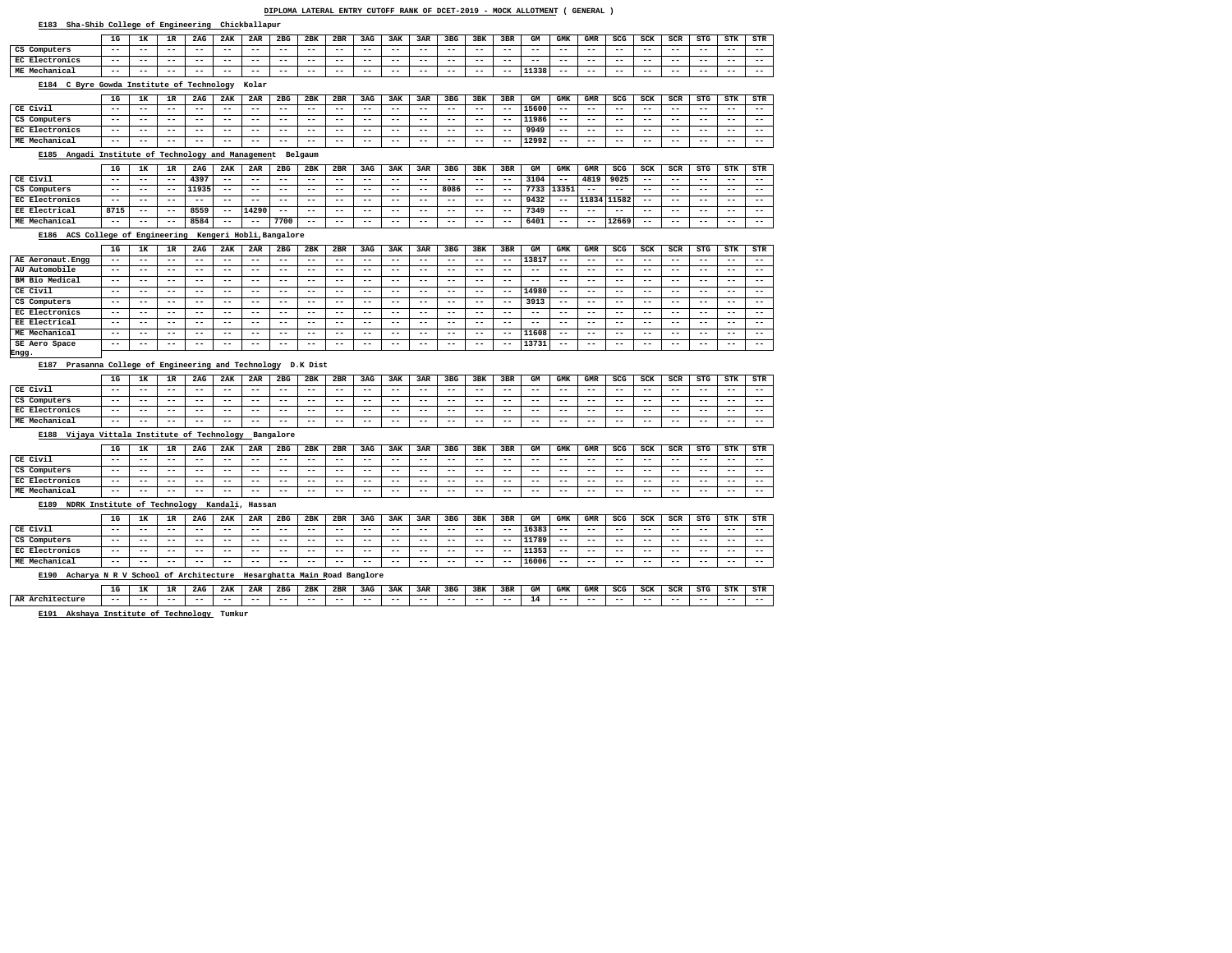#### **E183 Sha-Shib College of Engineering Chickballapur**

**E184 C Byre Gowda Institute of Technology Kolar**

# **E185 Angadi Institute of Technology and Management Belgaum**

#### **E186 ACS College of Engineering Kengeri Hobli,Bangalore**

#### **E187 Prasanna College of Engineering and Technology D.K Dist**

#### **E188 Vijaya Vittala Institute of Technology Bangalore**

#### **E189 NDRK Institute of Technology Kandali, Hassan**

**E191 Akshaya Institute of Technology Tumkur**

| JТG | STK | STR |
|-----|-----|-----|
| -   |     | ۰   |

#### **Engg.**

|                                                     | 1G    | 1ĸ    | 1R    | 2AG   | 2AK   | 2AR   | 2 <sub>BG</sub> | 2BK   | 2BR   | 3AG   | <b>3AK</b> | 3AR   | 3 <sub>BG</sub> | 3BK   | 3BR   | GМ    | <b>GMK</b> | GMR   | SCG   | SCK   | SCR   | STG   | STK   | STR   |
|-----------------------------------------------------|-------|-------|-------|-------|-------|-------|-----------------|-------|-------|-------|------------|-------|-----------------|-------|-------|-------|------------|-------|-------|-------|-------|-------|-------|-------|
| CS Computers                                        | $- -$ | $- -$ | $- -$ | $- -$ | $- -$ | $- -$ | $- -$           | $- -$ | $- -$ | $- -$ | $- -$      | $- -$ | $- -$           | $- -$ | $- -$ | --    | $- -$      | $- -$ | $- -$ | $- -$ | $- -$ | $- -$ | $- -$ | $- -$ |
| EC Electronics                                      | $- -$ | $- -$ | $- -$ | $- -$ | $- -$ | $- -$ | $- -$           | $- -$ | $- -$ | $- -$ | $- -$      | $- -$ | $- -$           | $- -$ | $- -$ | $- -$ | $- -$      | $- -$ | $- -$ | $- -$ | $- -$ | $- -$ | $- -$ | $- -$ |
| ME Mechanical                                       | $- -$ | $- -$ | $- -$ | $- -$ | $- -$ | $- -$ | $- -$           | $- -$ | $- -$ | $- -$ | $- -$      | $- -$ | $- -$           | $- -$ | $- -$ | 11338 | $- -$      | $- -$ | $- -$ | $- -$ | $- -$ | $- -$ | $- -$ | $- -$ |
| E10A<br>C Dime Could Toollinks of Machaeless, Valer |       |       |       |       |       |       |                 |       |       |       |            |       |                 |       |       |       |            |       |       |       |       |       |       |       |

| CE Civil<br>$- -$<br>$- -$<br>$- -$<br>$- -$<br>$- -$<br>$- -$             | $- -$ |                |       |       |       |       |       |       |       |       |       |       |       |       |       |       | STR   |
|----------------------------------------------------------------------------|-------|----------------|-------|-------|-------|-------|-------|-------|-------|-------|-------|-------|-------|-------|-------|-------|-------|
|                                                                            |       | $- -$<br>$- -$ | $- -$ | $- -$ | $- -$ | $- -$ | $- -$ | $ -$  | 15600 | $- -$ | $- -$ | $- -$ | $- -$ | $- -$ | $- -$ | $- -$ | $- -$ |
| CS Computers<br>$- -$<br>$- -$<br>$- -$<br>$- -$<br>$- -$<br>$- -$         | $- -$ | $- -$<br>$- -$ | $- -$ | $- -$ | $- -$ | $- -$ | $- -$ | $- -$ | 11986 | $- -$ | $- -$ | $- -$ | $- -$ | $- -$ | $- -$ | $- -$ | $- -$ |
| EC Electronics<br>$- -$<br>$- -$<br>$- -$<br>$- -$<br>$- -$<br>$- -$       | $- -$ | $- -$<br>$- -$ | $- -$ | $- -$ | $- -$ | $- -$ | $- -$ | $- -$ | 9949  | $- -$ | $- -$ | $- -$ | $- -$ | $- -$ | $- -$ | $- -$ | $- -$ |
| <b>ME Mechanical</b><br>$- -$<br>$- -$<br>$- -$<br>$- -$<br>$- -$<br>$- -$ | $- -$ | $- -$<br>$- -$ | $- -$ | $- -$ | $- -$ | $- -$ | $- -$ | $- -$ | 12992 | $- -$ | $- -$ | $- -$ | $- -$ | $- -$ | $- -$ | $- -$ | $- -$ |

|                      | 1G    | 178   |       | 2AG   | 2AK   | 2AR   | 2 <sub>BG</sub> | 2BK   | 2BR   | 3AG   | 3AK   | 3AR   | 3 <sub>BG</sub> | 3BK   | 3BR   | GМ   | GMK   | GMR   | SCG         | SCK   | SCR   | STG   | STK   | STR   |
|----------------------|-------|-------|-------|-------|-------|-------|-----------------|-------|-------|-------|-------|-------|-----------------|-------|-------|------|-------|-------|-------------|-------|-------|-------|-------|-------|
| CE Civil             | $- -$ | $- -$ | $- -$ | 4397  | $- -$ | $- -$ | $- -$           | $- -$ | $- -$ | $- -$ | $- -$ | $- -$ | $- -$           | $- -$ | $- -$ | 3104 | $- -$ | 4819  | 9025        | $- -$ | $- -$ | $- -$ | $- -$ | $- -$ |
| CS Computers         | $- -$ | $- -$ | $- -$ | 11935 | --    | $- -$ | $- -$           | $- -$ | $- -$ | $- -$ | $- -$ | $- -$ | 8086            | $- -$ | $- -$ | 7733 | 13351 | $- -$ | $- -$       | $- -$ | $- -$ | $- -$ | $- -$ | $- -$ |
| EC Electronics       | $- -$ | $- -$ | $- -$ | $- -$ | $- -$ | $- -$ | $- -$           | $- -$ | $- -$ | $- -$ | $- -$ | $- -$ | $- -$           | $- -$ | $- -$ | 9432 | $- -$ |       | 11834 11582 | $- -$ | $- -$ | $- -$ | $- -$ | $- -$ |
| <b>EE Electrical</b> | 8715  | $- -$ | $- -$ | 8559  | $- -$ | 14290 | $- -$           | $- -$ | $- -$ | $- -$ | $- -$ | $- -$ | $- -$           | $- -$ | $- -$ | 7349 | $- -$ | $- -$ | $- -$       | $- -$ | $- -$ | $- -$ | $- -$ | $- -$ |
| ME Mechanical        | $- -$ | $- -$ | $- -$ | 8584  | $- -$ | $- -$ | 7700            | $- -$ | $- -$ | $- -$ | $- -$ | $- -$ | $- -$           | $- -$ | $- -$ | 6401 | $- -$ | $- -$ | 12669       | $- -$ | $- -$ | $- -$ | $- -$ | $- -$ |

|                       | 1G    | 1 TZ<br>ᅩ | 1R    | 2AG   | 2AK   | 2AR   | 2 <sub>BG</sub> | 2BK   | 2BR   | 3AG   | 3AK   | 3AR   | 3 <sub>BG</sub> | 3BK   | 3BR   | GМ    | GMK   | GMR   | <b>SCG</b> | SCK   | SCR   | <b>STG</b> | STK   | STR   |
|-----------------------|-------|-----------|-------|-------|-------|-------|-----------------|-------|-------|-------|-------|-------|-----------------|-------|-------|-------|-------|-------|------------|-------|-------|------------|-------|-------|
| AE Aeronaut. Engg     | $- -$ | $- -$     | $- -$ | $- -$ | $- -$ | $- -$ | $- -$           | $- -$ | $- -$ | $- -$ | $- -$ | $- -$ | $- -$           | $- -$ | $- -$ | 13817 | $- -$ | $- -$ | $- -$      | $- -$ | $- -$ | $- -$      | $- -$ | $- -$ |
| AU Automobile         | $- -$ | $- -$     | $- -$ | $- -$ | $- -$ | $- -$ | $- -$           | $- -$ | $- -$ | $- -$ | $- -$ | $- -$ | $- -$           | $- -$ | $ -$  | $- -$ | $- -$ | $- -$ | $- -$      | $- -$ | $- -$ | $- -$      | $- -$ | $- -$ |
| BM Bio Medical        | $- -$ | $- -$     | $- -$ | $- -$ | $- -$ | $- -$ | $- -$           | $- -$ | $- -$ | $- -$ | $- -$ | $- -$ | $- -$           | $- -$ | $- -$ | $- -$ | $- -$ | $- -$ | $- -$      | $- -$ | $- -$ | $- -$      | $- -$ | $- -$ |
| CE Civil              | $- -$ | $- -$     | $- -$ | $- -$ | $- -$ | $- -$ | $- -$           | $- -$ | $- -$ | $- -$ | $- -$ | $- -$ | $- -$           | $- -$ | $ -$  | 14980 | $- -$ | $- -$ | $- -$      | $- -$ | $- -$ | $- -$      | $- -$ | $- -$ |
| CS Computers          | $- -$ | $- -$     | $- -$ | $- -$ | $- -$ | $- -$ | $- -$           | $- -$ | $- -$ | $- -$ | $- -$ | $- -$ | $- -$           | $- -$ | $- -$ | 3913  | $- -$ | $- -$ | $- -$      | $- -$ | $- -$ | $- -$      | $- -$ | $- -$ |
| <b>EC Electronics</b> | $- -$ | $- -$     | $- -$ | $- -$ | $- -$ | $- -$ | $- -$           | $- -$ | $- -$ | $- -$ | $- -$ | $- -$ | $- -$           | $- -$ | $- -$ | $- -$ | $- -$ | $- -$ | $- -$      | $- -$ | $- -$ | $- -$      | $- -$ | $- -$ |
| EE Electrical         | $- -$ | $- -$     | $- -$ | $- -$ | $- -$ | $- -$ | $- -$           | $- -$ | $- -$ | $- -$ | $- -$ | $- -$ | $- -$           | $- -$ | $- -$ | $- -$ | $- -$ | $- -$ | $- -$      | $- -$ | --    | $- -$      | $- -$ | $- -$ |
| ME Mechanical         | $- -$ | $- -$     | $- -$ | $- -$ | $- -$ | $- -$ | $- -$           | $- -$ | $- -$ | $- -$ | $- -$ | $- -$ | $- -$           | $- -$ | $ -$  | 11608 | $- -$ | $- -$ | $- -$      | $- -$ | $- -$ | $- -$      | $- -$ | $- -$ |
| SE Aero Space         | $- -$ | --        | $- -$ | $- -$ | $- -$ | $- -$ | $ -$            | $ -$  | $- -$ | $- -$ | $- -$ | $- -$ | $- -$           | $- -$ | $ -$  | 13731 | --    | --    | $- -$      | $- -$ | $- -$ | $- -$      | $- -$ | $- -$ |
| $E^{max}$             |       |           |       |       |       |       |                 |       |       |       |       |       |                 |       |       |       |       |       |            |       |       |            |       |       |

|                | 1G    | $\mathbf{r}$<br>ᅩᄾ | 1R    | 2AG   | 2AK   | 2AR   | 2 <sub>BG</sub> | 2BK   | 2BR   | 3AG   | 3AK   | 3AR   | 3 <sub>BG</sub> | 3BK   | 3BR   | GМ    | GMK   | GMR   | SCG   | SCK   | SCR   | STG   | STK   | STR   |
|----------------|-------|--------------------|-------|-------|-------|-------|-----------------|-------|-------|-------|-------|-------|-----------------|-------|-------|-------|-------|-------|-------|-------|-------|-------|-------|-------|
| CE Civil       | $- -$ | $- -$              | $- -$ | $- -$ | $- -$ | $- -$ | $- -$           | $- -$ | $- -$ | $- -$ | $- -$ | $- -$ | $- -$           | $- -$ | $- -$ | $- -$ | $- -$ | $- -$ | $- -$ | $- -$ | $- -$ | $- -$ | $- -$ | $- -$ |
| CS Computers   | $- -$ | $- -$              | $- -$ | $- -$ | $- -$ | $- -$ | $- -$           | $- -$ | $- -$ | $- -$ | $- -$ | $- -$ | ---             | $- -$ | $- -$ | $- -$ | $- -$ | $- -$ | $- -$ | $- -$ | $- -$ | $- -$ | $- -$ | $- -$ |
| EC Electronics | $- -$ | $- -$              | $- -$ | $- -$ | $- -$ | $- -$ | $- -$           | $- -$ | $- -$ | $- -$ | $- -$ | $- -$ | $- -$           | $- -$ | $- -$ | $- -$ | $- -$ | $- -$ | $- -$ | $- -$ | $- -$ | $- -$ | $- -$ | $- -$ |
| ME Mechanical  | $- -$ | $- -$              | $- -$ | $- -$ | $- -$ | $- -$ | $- -$           | $- -$ | $- -$ | $- -$ | $- -$ | $- -$ | $- -$           | $- -$ | $- -$ | $- -$ | $- -$ | $- -$ | $- -$ | $- -$ | $- -$ | $- -$ | $- -$ | $- -$ |

|                                              | 1G    | 172   |       | 2AG   | 2AK   | 2AR                            | 2 <sub>BG</sub> | 2BK   | 2BR   | 3AG   | 3AK   | 3AR   | 3 <sub>BG</sub> | 3BK   | 3BR   | GМ    | GMK   | <b>GMR</b> | SCG   | SCK   | SCR   | <b>STG</b> | STK   | STR   |
|----------------------------------------------|-------|-------|-------|-------|-------|--------------------------------|-----------------|-------|-------|-------|-------|-------|-----------------|-------|-------|-------|-------|------------|-------|-------|-------|------------|-------|-------|
| CE Civil                                     | $- -$ | $- -$ | $- -$ | $- -$ | $- -$ | $- -$                          | $- -$           | $- -$ | $- -$ | $- -$ | $- -$ | $- -$ | --              | $- -$ | $ -$  | 16383 | $- -$ | $- -$      | $- -$ | $- -$ | $- -$ | $- -$      | $- -$ | $- -$ |
| CS Computers                                 | $- -$ | --    | $- -$ | $- -$ | --    | $- -$                          | $- -$           | $- -$ | $- -$ | $- -$ | $- -$ | $- -$ | --              | $- -$ | $- -$ | 11789 | $- -$ | $- -$      | $- -$ | $- -$ | --    | $- -$      | $- -$ | $- -$ |
| EC Electronics                               | $- -$ | $- -$ | $- -$ | $- -$ | $- -$ | $- -$                          | $- -$           | $- -$ | $- -$ | $- -$ | $- -$ | $- -$ | $- -$           | $- -$ | $- -$ | 11353 | $- -$ | $- -$      | $- -$ | $- -$ | $- -$ | $- -$      | $- -$ | $- -$ |
| ME Mechanical                                | $- -$ | $- -$ | $- -$ | $- -$ | $- -$ | $- -$                          | $- -$           | $- -$ | $- -$ | $- -$ | $- -$ | $- -$ | $- -$           | $- -$ | $- -$ | 16006 | $- -$ | $- -$      | $- -$ | $- -$ | $- -$ | $- -$      | $- -$ | $- -$ |
| Acharya N R V School of Architecture<br>E190 |       |       |       |       |       | Hesarghatta Main Road Banglore |                 |       |       |       |       |       |                 |       |       |       |       |            |       |       |       |            |       |       |

|                | 1G    | .     |       | 2AG   | 2AK   | 2AR   | 2 <sub>BG</sub> | 2BK   | 2BR   | 3AG   | 3AK   | 3AR   | 3 <sub>BG</sub> | 3BK   | 3BR   | GМ    | GMK   | GMR   | SCG   | SCK   | <b>SCR</b> | STG   | STK   | STR   |
|----------------|-------|-------|-------|-------|-------|-------|-----------------|-------|-------|-------|-------|-------|-----------------|-------|-------|-------|-------|-------|-------|-------|------------|-------|-------|-------|
| CE Civil       | $- -$ | $- -$ | $- -$ | $- -$ | $- -$ | $- -$ | $- -$           | $- -$ | $- -$ | $- -$ | $- -$ | $- -$ | $- -$           | $- -$ | $- -$ | $- -$ | $- -$ | $- -$ | $- -$ | $- -$ | $- -$      | $- -$ | $- -$ | $- -$ |
| CS Computers   | $- -$ | $- -$ | $- -$ | $- -$ | $- -$ | $- -$ | $- -$           | $- -$ | $- -$ | $- -$ | $- -$ | $- -$ | $- -$           | $- -$ | $- -$ | $- -$ | $- -$ | $- -$ | $- -$ | $- -$ | $- -$      | $- -$ | ---   | $- -$ |
| EC Electronics | $- -$ | $- -$ | $- -$ | $- -$ | $- -$ | $- -$ | $- -$           | $- -$ | $- -$ | $- -$ | $- -$ | $- -$ | $- -$           | $- -$ | $- -$ | $- -$ | $- -$ | $- -$ | $- -$ | $- -$ | $- -$      | $- -$ | $- -$ | $- -$ |
| ME Mechanical  | $- -$ | $- -$ | $- -$ | $- -$ | $- -$ | $- -$ | $- -$           | $- -$ | $- -$ | $- -$ | $- -$ | $- -$ | $- -$           | $- -$ | $- -$ | $- -$ | $- -$ | $- -$ | $- -$ | $- -$ | $- -$      | $- -$ | ---   | $- -$ |

#### **AR Architecture 1G 1K 1R 2AG 2AK 2AR 2BG 2BK 2BR 3AG 3AK 3AR 3BG 3BK 3BR GM GMK GMR SCG SCK SCR STG STK STR -- -- -- -- -- -- -- -- -- -- -- -- -- -- -- 14 -- -- -- -- -- -- -- --**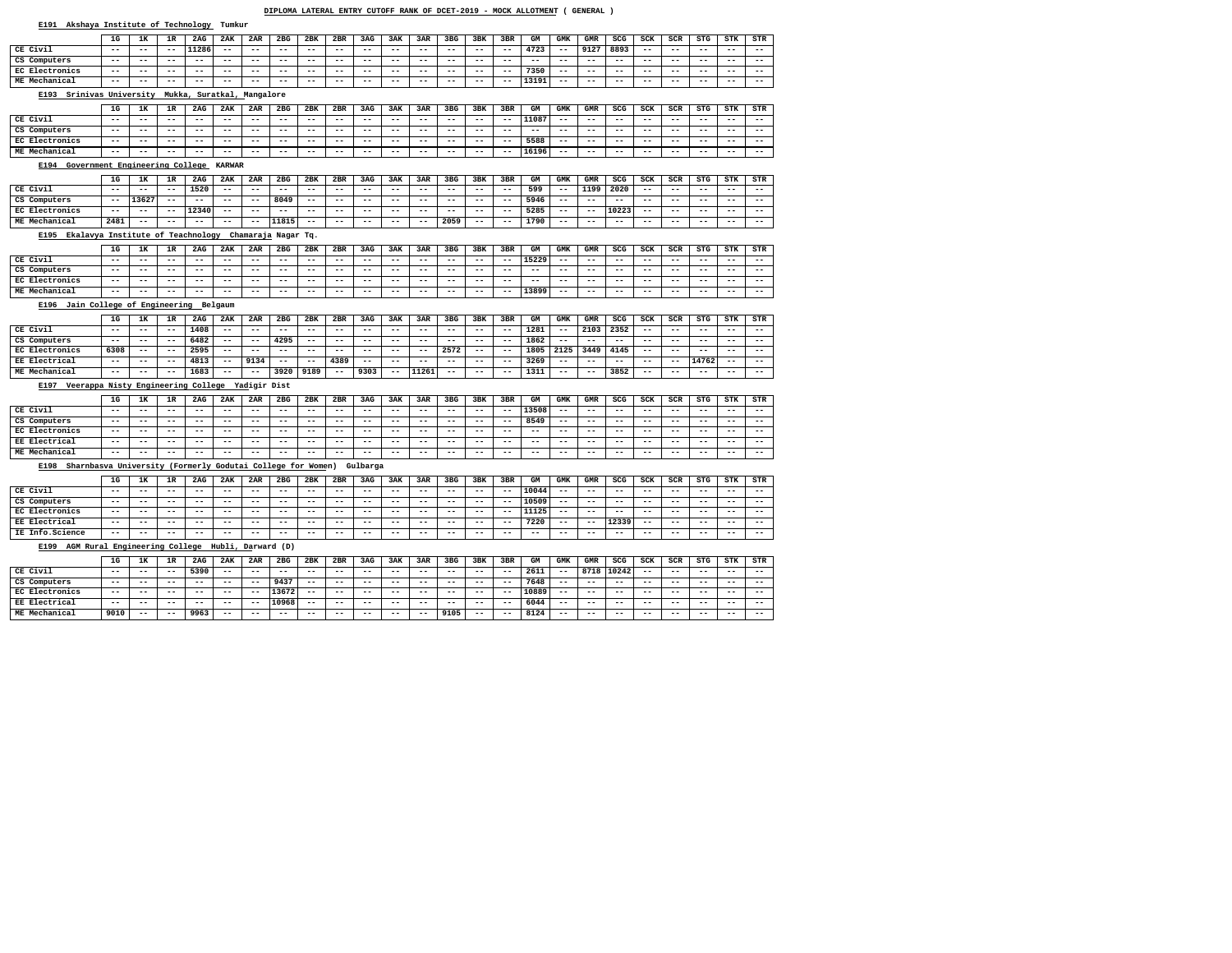## **E191 Akshaya Institute of Technology Tumkur**

#### **E199 AGM Rural Engineering College Hubli, Darward (D)**

|                                                                 | 1 <sub>G</sub>             | 1K                | 1R                         | 2AG               | 2AK                      | 2AR   | 2 <sub>BG</sub>     | 2BK                        | 2BR                        | 3AG                        | 3AK               | 3AR               | 3 <sub>BG</sub>   | 3BK               | 3BR                        | GM                         | <b>GMK</b>                 | <b>GMR</b>                 | SCG               | SCK                      | SCR               | <b>STG</b>        | <b>STK</b>        | STR                        |
|-----------------------------------------------------------------|----------------------------|-------------------|----------------------------|-------------------|--------------------------|-------|---------------------|----------------------------|----------------------------|----------------------------|-------------------|-------------------|-------------------|-------------------|----------------------------|----------------------------|----------------------------|----------------------------|-------------------|--------------------------|-------------------|-------------------|-------------------|----------------------------|
| CE Civil                                                        | $- -$                      | $- -$             | $ -$                       | 11286             | $\qquad \qquad -$        | $ -$  | $- -$               | $- -$                      | $- -$                      | $ -$                       | $ -$              | $- -$             | $- -$             | $- -$             | $- -$                      | 4723                       | $\qquad \qquad -$          | 9127                       | 8893              | $- -$                    | --                | $- -$             | $- -$             | $- -$                      |
| CS Computers                                                    | $- -$                      | $- -$             | $ -$                       | $- -$             | $ -$                     | $- -$ | $- -$               | $- -$                      | $- -$                      | $ -$                       | $ -$              | $- -$             | $- -$             | $- -$             | $- -$                      | $\overline{\phantom{m}}$ . | $\qquad \qquad -$          | $- -$                      | $- -$             | $- -$                    | $- -$             | $- -$             | $\qquad \qquad -$ | $\qquad \qquad -$          |
| EC Electronics                                                  | $- -$                      | $- -$             | $- -$                      | $- -$             | $- -$                    | $- -$ | $- -$               | $- -$                      | $- -$                      | $- -$                      | $- -$             | $- -$             | $- -$             | $ -$              | $- -$                      | 7350                       | $\qquad \qquad -$          | $- -$                      | $- -$             | $- -$                    | --                | $- -$             | $ -$              | $\qquad \qquad -$          |
| ME Mechanical                                                   | $\qquad \qquad -$          | $- -$             | $- -$                      | $- -$             | $ -$                     | $- -$ | $- -$               | $- -$                      | $\qquad \qquad -$          | $- -$                      | $- -$             | $- -$             | $- -$             | $- -$             | $- -$                      | 13191                      | $- -$                      | --                         | $- -$             | $- -$                    | $- -$             | $- -$             | $\qquad \qquad -$ | $- -$                      |
| Srinivas University<br>E193                                     |                            |                   | Mukka,                     |                   | Suratkal, Mangalore      |       |                     |                            |                            |                            |                   |                   |                   |                   |                            |                            |                            |                            |                   |                          |                   |                   |                   |                            |
|                                                                 |                            |                   |                            |                   |                          |       |                     |                            |                            |                            |                   |                   |                   |                   |                            |                            |                            |                            |                   |                          |                   |                   |                   |                            |
|                                                                 | 1G                         | 1ĸ                | 1R                         | 2AG               | 2AK                      | 2AR   | 2 <sub>BG</sub>     | 2BK                        | 2BR                        | 3AG                        | 3AK               | 3AR               | 3 <sub>BG</sub>   | 3BK               | 3BR                        | GM                         | <b>GMK</b>                 | <b>GMR</b>                 | SCG               | SCK                      | SCR               | <b>STG</b>        | <b>STK</b>        | <b>STR</b>                 |
| CE Civil                                                        | $- -$                      | $- -$             | $ -$                       | $- -$             | $- -$                    | $ -$  | $- -$               | $- -$                      | $- -$                      | $ -$                       | $ -$              | $- -$             | $ -$              | $- -$             | $\overline{\phantom{m}}$ . | 11087                      | $- -$                      | $- -$                      | $ -$              | $- -$                    | --                | $- -$             | $- -$             | $- -$                      |
| CS Computers                                                    | $ -$                       | $- -$             | $- -$                      | $- -$             | $ -$                     | $- -$ | $- -$               | $- -$                      | $\overline{\phantom{m}}$ . | $- -$                      | $- -$             | $\qquad \qquad -$ | $- -$             | $- -$             | $- -$                      | $\overline{\phantom{m}}$   | $\qquad \qquad -$          | $- -$                      | $- -$             | $\qquad \qquad -$        | $- -$             | $\qquad \qquad -$ | $- -$             | $ -$                       |
| EC Electronics                                                  | $\qquad \qquad -$          | $- -$             | $- -$                      | $ -$              | $- -$                    | $- -$ | $ -$                | $- -$                      | $- -$                      | $ -$                       | $ -$              | $- -$             | $ -$              | $- -$             | $- -$                      | 5588                       | $- -$                      | $- -$                      | --                | $- -$                    | $- -$             | $- -$             | $- -$             | $\qquad \qquad -$          |
| ME Mechanical                                                   | $\overline{\phantom{m}}$ . | $- -$             | $- -$                      | $\qquad \qquad -$ | $ -$                     | $- -$ | $- -$               | $- -$                      | $\overline{\phantom{m}}$ . | $- -$                      | $- -$             | $\qquad \qquad -$ | $\qquad \qquad -$ | $- -$             | $- -$                      | 16196                      | $\qquad \qquad -$          | $- -$                      | $- -$             | $\qquad \qquad -$        | $- -$             | $\qquad \qquad -$ | $\qquad \qquad -$ | $- -$                      |
| E194<br>Government Engineering College                          |                            |                   |                            |                   | <b>KARWAR</b>            |       |                     |                            |                            |                            |                   |                   |                   |                   |                            |                            |                            |                            |                   |                          |                   |                   |                   |                            |
|                                                                 | 1G                         | 1ĸ                | 1R                         | 2AG               | 2AK                      | 2AR   | 2 <sub>BG</sub>     | 2BK                        | 2BR                        | 3AG                        | 3AK               | 3AR               | 3 <sub>BG</sub>   | 3BK               | 3BR                        | GM                         | <b>GMK</b>                 | <b>GMR</b>                 | SCG               | SCK                      | SCR               | <b>STG</b>        | <b>STK</b>        | <b>STR</b>                 |
| CE Civil                                                        | $\overline{\phantom{m}}$ . | $- -$             | $- -$                      | 1520              | $ -$                     | $ -$  | $- -$               | $\qquad \qquad -$          | $- -$                      | $- -$                      | $- -$             | $- -$             | $- -$             | $- -$             | $- -$                      | 599                        | $\overline{\phantom{m}}$ . | 1199                       | 2020              | $- -$                    | --                | $- -$             | $- -$             | $- -$                      |
| CS Computers                                                    | $ -$                       | 13627             | $- -$                      | $ -$              | $ -$                     | $- -$ | 8049                | $\overline{\phantom{m}}$ . | $- -$                      | $ -$                       | $ -$              | $- -$             | $- -$             | $- -$             | $- -$                      | 5946                       | $- -$                      | $- -$                      | $- -$             | $- -$                    | $- -$             | $- -$             | $- -$             | $\overline{\phantom{m}}$   |
| EC Electronics                                                  | $ -$                       | $- -$             | $- -$                      | 12340             | $ -$                     | $- -$ | $- -$               | $- -$                      | $- -$                      | $- -$                      | $- -$             | $- -$             | $- -$             | $ -$              | $- -$                      | 5285                       | $\qquad \qquad -$          | $- -$                      | 10223             | $\qquad \qquad -$        | $- -$             | $- -$             | $- -$             | $\qquad \qquad -$          |
| ME Mechanical                                                   | 2481                       | $- -$             | $ -$                       | $- -$             | $\qquad \qquad -$        | $- -$ | 11815               | $\qquad \qquad -$          | $- -$                      | $- -$                      | $- -$             | $\qquad \qquad -$ | 2059              | $- -$             | $- -$                      | 1790                       | $- -$                      | --                         | $- -$             | $- -$                    | $- -$             | $- -$             | $\qquad \qquad -$ | $- -$                      |
| Ekalavya Institute of Teachnology<br>E195                       |                            |                   |                            |                   |                          |       | Chamaraja Nagar Tq. |                            |                            |                            |                   |                   |                   |                   |                            |                            |                            |                            |                   |                          |                   |                   |                   |                            |
|                                                                 |                            |                   |                            |                   |                          |       |                     |                            |                            |                            |                   |                   |                   |                   |                            |                            |                            |                            |                   |                          |                   |                   |                   |                            |
|                                                                 | 1G                         | 1ĸ                | 1R                         | 2AG               | 2AK                      | 2AR   | 2 <sub>BG</sub>     | 2BK                        | 2BR                        | 3AG                        | 3AK               | 3AR               | 3 <sub>BG</sub>   | 3BK               | 3BR                        | GM                         | <b>GMK</b>                 | <b>GMR</b>                 | SCG               | SCK                      | SCR               | <b>STG</b>        | <b>STK</b>        | <b>STR</b>                 |
| CE Civil                                                        | $- -$                      | $- -$             | $ -$                       | $- -$             | $- -$                    | $ -$  | $- -$               | $- -$                      | $- -$                      | $ -$                       | $ -$              | $- -$             | $ -$              | $- -$             | $\overline{\phantom{m}}$ . | 15229                      | $- -$                      | $- -$                      | $ -$              | $- -$                    | --                | $- -$             | $- -$             | $- -$                      |
| CS Computers                                                    | $ -$                       | $- -$             | $- -$                      | $ -$              | $ -$                     | $- -$ | $- -$               | $- -$                      | $\overline{\phantom{m}}$ . | $ -$                       | $- -$             | $\qquad \qquad -$ | $- -$             | $- -$             | $- -$                      | $- -$                      | $\qquad \qquad -$          | $- -$                      | $- -$             | $- -$                    | $- -$             | $- -$             | $\qquad \qquad -$ | $\overline{\phantom{m}}$ . |
| EC Electronics                                                  | $\overline{\phantom{m}}$ . | $- -$             | $- -$                      | $ -$              | $- -$                    | $- -$ | $ -$                | $- -$                      | $- -$                      | $ -$                       | $ -$              | $- -$             | $ -$              | $- -$             | $ -$                       | $- -$                      | $\qquad \qquad -$          | $- -$                      | --                | $- -$                    | --                | $- -$             | $- -$             | $- -$                      |
| ME Mechanical                                                   | $\overline{\phantom{m}}$ . | $- -$             | $- -$                      | $\qquad \qquad -$ | $ -$                     | $- -$ | $- -$               | $\qquad \qquad -$          | $\overline{\phantom{m}}$ . | $- -$                      | $- -$             | $ -$              | $\qquad \qquad -$ | $- -$             | $\qquad \qquad -$          | 13899                      | $\qquad \qquad -$          | $- -$                      | $- -$             | $ -$                     | $\qquad \qquad -$ | $\qquad \qquad -$ | $\qquad \qquad -$ | $- -$                      |
| Jain College of Engineering<br>E196                             |                            |                   |                            |                   | Belgaum                  |       |                     |                            |                            |                            |                   |                   |                   |                   |                            |                            |                            |                            |                   |                          |                   |                   |                   |                            |
|                                                                 | 1G                         | 1ĸ                | 1R                         | 2AG               | 2AK                      | 2AR   | 2 <sub>BG</sub>     | 2BK                        | 2BR                        | 3AG                        | 3AK               | 3AR               | 3 <sub>BG</sub>   | 3BK               | 3BR                        | GM                         | <b>GMK</b>                 | <b>GMR</b>                 | SCG               | SCK                      | SCR               | <b>STG</b>        | <b>STK</b>        | <b>STR</b>                 |
| CE Civil                                                        | $- -$                      | $- -$             | $ -$                       | 1408              | $ -$                     | $ -$  | $- -$               | $- -$                      | $- -$                      | $ -$                       | $ -$              | $- -$             | $ -$              | $- -$             | $- -$                      | 1281                       | $\qquad \qquad -$          | 2103                       | 2352              | $- -$                    | --                | $- -$             | $- -$             | $- -$                      |
| CS Computers                                                    | $ -$                       | $- -$             | $ -$                       | 6482              | $ -$                     | $- -$ | 4295                | $- -$                      | $- -$                      | $- -$                      | $- -$             | $\qquad \qquad -$ | $- -$             | $- -$             | $- -$                      | 1862                       | $\qquad \qquad -$          | $- -$                      | $- -$             | $\qquad \qquad -$        | $- -$             | $- -$             | $- -$             | $\qquad \qquad -$          |
| EC Electronics                                                  | 6308                       | $- -$             | $ -$                       | 2595              | $- -$                    | $- -$ | $- -$               | $- -$                      | $\qquad \qquad -$          | $- -$                      | $- -$             | $\qquad \qquad -$ | 2572              | $- -$             | $- -$                      | 1805                       | 2125                       | 3449                       | 4145              | $- -$                    | $- -$             | $- -$             | $- -$             | $\qquad \qquad -$          |
| EE Electrical                                                   | $\overline{\phantom{m}}$ . | $- -$             | $ -$                       | 4813              | $ -$                     | 9134  | $- -$               | $\qquad \qquad -$          | 4389                       | $- -$                      | $- -$             | $- -$             | $- -$             | $- -$             | $- -$                      | 3269                       | $- -$                      | $- -$                      | $- -$             | $- -$                    | $- -$             | 14762             | $\qquad \qquad -$ | $\qquad \qquad -$          |
| ME Mechanical                                                   | $\qquad \qquad -$          | $- -$             | $ -$                       | 1683              | $\qquad \qquad -$        | $ -$  | 3920                | 9189                       | $- -$                      | 9303                       | $- -$             | 11261             | $- -$             | $- -$             | $- -$                      | 1311                       | $- -$                      | $- -$                      | 3852              | $- -$                    | --                | $ -$              | $- -$             | $- -$                      |
| Veerappa Nisty Engineering College Yadigir Dist<br>E197         |                            |                   |                            |                   |                          |       |                     |                            |                            |                            |                   |                   |                   |                   |                            |                            |                            |                            |                   |                          |                   |                   |                   |                            |
|                                                                 |                            |                   |                            |                   |                          |       |                     |                            |                            |                            |                   |                   |                   |                   |                            |                            |                            |                            |                   |                          |                   |                   |                   |                            |
|                                                                 | 1G                         | 1ĸ                | 1R                         | 2AG               | 2AK                      | 2AR   | 2 <sub>BG</sub>     | 2BK                        | 2BR                        | 3AG                        | 3AK               | 3AR               | 3 <sub>BG</sub>   | 3BK               | 3BR                        | GМ                         | <b>GMK</b>                 | <b>GMR</b>                 | SCG               | SCK                      | SCR               | <b>STG</b>        | <b>STK</b>        | <b>STR</b>                 |
| CE Civil                                                        | $\qquad \qquad -$          | $- -$             | $ -$                       | $- -$             | $- -$                    | $- -$ | $- -$               | $\qquad \qquad -$          | $\qquad \qquad -$          | $\qquad \qquad -$          | $- -$             | $\qquad \qquad -$ | $- -$             | $\qquad \qquad -$ | $ -$                       | 13508                      | $- -$                      | $\overline{\phantom{m}}$ . | $- -$             | $\qquad \qquad -$        | $\qquad \qquad -$ | $- -$             | $\qquad \qquad -$ | $- -$                      |
| CS Computers                                                    | $\qquad \qquad -$          | $\qquad \qquad -$ | $ -$                       | $- -$             | $ -$                     | $- -$ | $- -$               | $- -$                      | $\qquad \qquad -$          | $- -$                      | $\qquad \qquad -$ | $\qquad \qquad -$ | $- -$             | $- -$             | $ -$                       | 8549                       | $- -$                      | $ -$                       | $- -$             | $ -$                     | $\qquad \qquad -$ | $- -$             | $\qquad \qquad -$ | $\qquad \qquad -$          |
| <b>EC Electronics</b>                                           | $ -$                       | $\qquad \qquad -$ | $ -$                       | $- -$             | $\overline{\phantom{m}}$ | $- -$ | $- -$               | $\qquad \qquad -$          | $- -$                      | $\qquad \qquad -$          | $- -$             | $\qquad \qquad -$ | $- -$             | $\qquad \qquad -$ | $ -$                       | $\qquad \qquad -$          | $- -$                      | $ -$                       | $- -$             | $\qquad \qquad -$        | $\qquad \qquad -$ | $- -$             | $\qquad \qquad -$ | $- -$                      |
| <b>EE Electrical</b>                                            | $\qquad \qquad -$          | $- -$             | $ -$                       | $- -$             | $ -$                     | $- -$ | $- -$               | $\qquad \qquad -$          | $\qquad \qquad -$          | $- -$                      | $- -$             | $\qquad \qquad -$ | $\qquad \qquad -$ | $- -$             | $\overline{\phantom{m}}$ . | $\qquad \qquad -$          | $\qquad \qquad -$          | $\overline{\phantom{m}}$ . | $- -$             | $\qquad \qquad -$        | $- -$             | $- -$             | $- -$             | $\qquad \qquad -$          |
| ME Mechanical                                                   | $\qquad \qquad -$          | $- -$             | $- -$                      | $ -$              | $ -$                     | $- -$ | $- -$               | $\qquad \qquad -$          | $\qquad \qquad -$          | $- -$                      | $- -$             | $\qquad \qquad -$ | $\qquad \qquad -$ | $- -$             | $\overline{\phantom{m}}$ . | $\qquad \qquad -$          | $\qquad \qquad -$          | $\overline{\phantom{m}}$ . | $ -$              | $\overline{\phantom{m}}$ | $\qquad \qquad -$ | $\qquad \qquad -$ | $- -$             | $- -$                      |
| E198 Sharnbasva University (Formerly Godutai College for Women) |                            |                   |                            |                   |                          |       |                     |                            |                            | Gulbarga                   |                   |                   |                   |                   |                            |                            |                            |                            |                   |                          |                   |                   |                   |                            |
|                                                                 | 1G                         | 1ĸ                | 1R                         | 2AG               | 2AK                      | 2AR   | 2 <sub>BG</sub>     | 2BK                        | 2BR                        | 3AG                        | 3AK               | 3AR               | 3 <sub>BG</sub>   | 3BK               | 3BR                        | GМ                         | GMK                        | GMR                        | SCG               | SCK                      | SCR               | STG               | <b>STK</b>        | <b>STR</b>                 |
| CE Civil                                                        | $\qquad \qquad -$          | $\qquad \qquad -$ | $\overline{\phantom{m}}$ . | $- -$             | $- -$                    | $- -$ | $- -$               | $- -$                      | $\qquad \qquad -$          | $- -$                      | $- -$             | $- -$             | $- -$             | $- -$             | $ -$                       | 10044                      | $- -$                      | $\overline{\phantom{m}}$ . | $- -$             | $\qquad \qquad -$        | $\qquad \qquad -$ | $- -$             | $- -$             | $- -$                      |
| CS Computers                                                    | $- -$                      | $- -$             | $ -$                       | $\qquad \qquad -$ | $ -$                     | $- -$ | $- -$               | $\qquad \qquad -$          | $- -$                      | $- -$                      | $- -$             | $ -$              | $ -$              | $\qquad \qquad -$ | $ -$                       | 10509                      | $- -$                      | $\overline{\phantom{m}}$ – | $ -$              | $ -$                     | $\qquad \qquad -$ | $\qquad \qquad -$ | $\qquad \qquad -$ | $ -$                       |
| EC Electronics                                                  | $- -$                      | $\qquad \qquad -$ | $ -$                       | $- -$             | $ -$                     | $ -$  | $- -$               | $\qquad \qquad -$          | $\qquad \qquad -$          | $\overline{\phantom{m}}$ . | $- -$             | $\qquad \qquad -$ | $\qquad \qquad -$ | $- -$             | $\overline{\phantom{m}}$ . | 11125                      | $- -$                      | $\overline{\phantom{m}}$ . | $- -$             | $- -$                    | $- -$             | $- -$             | $- -$             | $\qquad \qquad -$          |
| <b>EE Electrical</b>                                            | $- -$                      | $- -$             | $ -$                       | $- -$             | $ -$                     | $- -$ | $- -$               | $\qquad \qquad -$          | $\qquad \qquad -$          | $- -$                      | $- -$             | $\qquad \qquad -$ | $\qquad \qquad -$ | $- -$             | $ -$                       | 7220                       | $\qquad \qquad -$          | $ -$                       | 12339             | $\qquad \qquad -$        | $\qquad \qquad -$ | $- -$             | $\qquad \qquad -$ | $\overline{\phantom{m}}$ . |
| IE Info.Science                                                 | $\qquad \qquad -$          | $\qquad \qquad -$ | $\overline{\phantom{m}}$ . | $- -$             | $- -$                    | $- -$ | $- -$               | $- -$                      | $\qquad \qquad -$          | $- -$                      | $\qquad \qquad -$ | $- -$             | $- -$             | $- -$             | $\overline{\phantom{m}}$ . | $\qquad \qquad -$          | $- -$                      | $\overline{\phantom{m}}$ . | $\qquad \qquad -$ | $ -$                     | $\qquad \qquad -$ | $- -$             | $- -$             | $- -$                      |
| E199 AGM Rural Engineering College Hubli, Darward (D)           |                            |                   |                            |                   |                          |       |                     |                            |                            |                            |                   |                   |                   |                   |                            |                            |                            |                            |                   |                          |                   |                   |                   |                            |

|                      | 1G    | 1к    | 1 D   | 2AG   | 2AK   | 2AR   | 2 <sub>BG</sub> | 2BK   | 2BR   | 3AG   | 3AK   | 3AR   | 3 <sub>BG</sub> | 3BK   | 3BR   | GМ    | GMK   | GMR   | <b>SCG</b> | SCK   | SCR   | STG   | STK   | STR   |
|----------------------|-------|-------|-------|-------|-------|-------|-----------------|-------|-------|-------|-------|-------|-----------------|-------|-------|-------|-------|-------|------------|-------|-------|-------|-------|-------|
| CE Civil             | $- -$ | $- -$ | $- -$ | 5390  | $- -$ | $- -$ | $- -$           | $- -$ | $- -$ | $- -$ | $- -$ | $- -$ | --              | $- -$ | $- -$ | 2611  | $- -$ | 8718  | 10242      | $- -$ | $- -$ | $- -$ | $- -$ | $- -$ |
| CS Computers         | --    | --    | $- -$ | $- -$ | $- -$ | $- -$ | 9437            | $- -$ | $- -$ | $- -$ | $- -$ | $- -$ | --              | $- -$ | $- -$ | 7648  | --    | $- -$ | $- -$      | $- -$ | $- -$ | $- -$ | $- -$ | $- -$ |
| EC Electronics       | $- -$ | $- -$ | $- -$ | $- -$ | $- -$ | $- -$ | 13672           | $- -$ | $- -$ | $- -$ | $- -$ | $- -$ | --              | $- -$ | $- -$ | 10889 | --    | $- -$ | $- -$      | $- -$ | $- -$ | $- -$ | $- -$ | $- -$ |
| <b>EE Electrical</b> | $- -$ | $- -$ | $- -$ | $- -$ | $- -$ | $- -$ | 10968           | $- -$ | $- -$ | $- -$ | $- -$ | $- -$ | --              | $- -$ | $- -$ | 6044  | --    | $- -$ | $- -$      | $- -$ | $- -$ | $- -$ | $- -$ | $- -$ |
| ME Mechanical        | 9010  | $- -$ | $- -$ | 9963  | $- -$ | $- -$ | $- -$           | $- -$ | $- -$ | $- -$ | $- -$ | $- -$ | 9105            | $- -$ | $- -$ | 8124  | --    | $- -$ | $- -$      | $- -$ | $- -$ | $- -$ | $- -$ | $- -$ |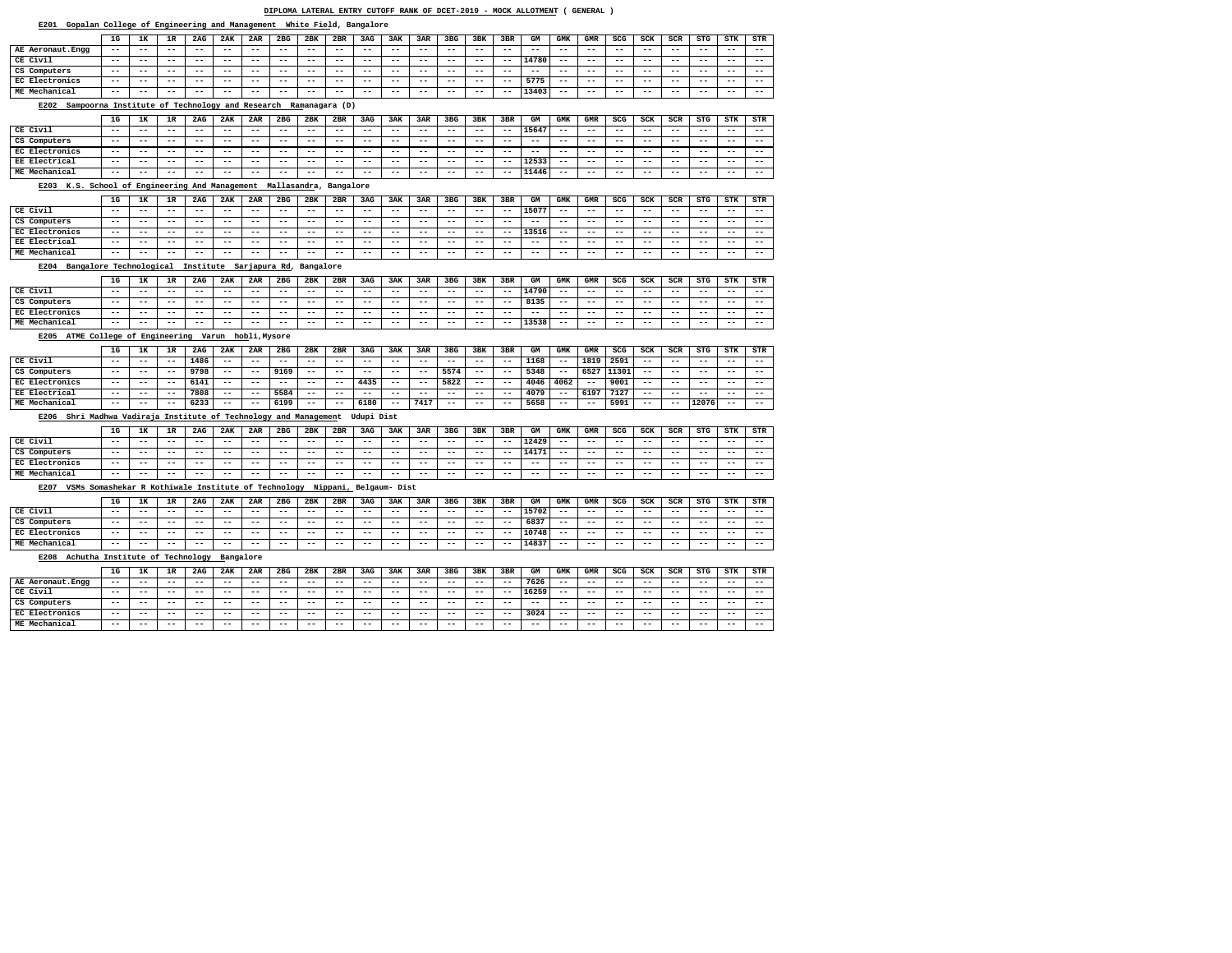## **E201 Gopalan College of Engineering and Management White Field, Bangalore**

#### **E205 ATME College of Engineering Varun hobli,Mysore**

## **E206 Shri Madhwa Vadiraja Institute of Technology and Management Udupi Dist**

#### **E207 VSMs Somashekar R Kothiwale Institute of Technology Nippani, Belgaum- Dist**

#### **E208 Achutha Institute of Technology Bangalore**

|                                           | 1G                | 1K    | 1R    | 2AG                        | 2AK   | 2AR           | 2 <sub>BG</sub> | 2BK       | 2BR            | 3AG   | 3AK   | 3AR   | 3 <sub>BG</sub> | 3BK   | 3BR   | GМ           | GMK        | <b>GMR</b> | <b>SCG</b> | SCK   | SCR   | <b>STG</b> | STK   | STR   |
|-------------------------------------------|-------------------|-------|-------|----------------------------|-------|---------------|-----------------|-----------|----------------|-------|-------|-------|-----------------|-------|-------|--------------|------------|------------|------------|-------|-------|------------|-------|-------|
| AE Aeronaut. Engg                         | $- -$             | $- -$ | $- -$ | $- -$                      | $- -$ | $- -$         | $- -$           | $- -$     | $- -$          | $- -$ | $ -$  | $- -$ | $- -$           | $- -$ | $- -$ | $- -$        | $- -$      | $- -$      | $- -$      | $- -$ | $- -$ | $- -$      | $- -$ | $- -$ |
| CE Civil                                  | $- -$             | $- -$ | $ -$  | $- -$                      | $- -$ | --            | $- -$           | $- -$     | --             | $- -$ | $ -$  | $- -$ | $- -$           | $- -$ | $ -$  | 14780        | $- -$      | $- -$      | $- -$      | $- -$ | --    | $- -$      | $- -$ | $- -$ |
| CS Computers                              | $- -$             | $- -$ | $- -$ | $- -$                      | $- -$ | --            | $- -$           | $- -$     | $- -$          | $- -$ | $- -$ | $- -$ | $- -$           | $- -$ | $- -$ | $- -$        | $- -$      | $- -$      | $- -$      | $- -$ | --    | $- -$      | $- -$ | $- -$ |
| EC Electronics                            | $- -$             | $- -$ | $ -$  | $- -$                      | $- -$ | $- -$         | $- -$           | $- -$     | $- -$          | $- -$ | $ -$  | $- -$ | $- -$           | $- -$ | $ -$  | 5775         | $- -$      | $- -$      | $- -$      | $- -$ | $- -$ | $- -$      | $- -$ | $- -$ |
| ME Mechanical                             | $- -$             | $- -$ | $- -$ | $- -$                      | $- -$ | --            | $- -$           | $- -$     | $- -$          | $- -$ | $- -$ | $- -$ | $- -$           | $- -$ | $- -$ | <b>L3403</b> | $- -$      | $- -$      | $- -$      | $- -$ | --    | $- -$      | $- -$ | $- -$ |
| Sampoorna Institute of Technology<br>E202 |                   |       |       |                            |       | and Research  |                 |           | Ramanagara (D) |       |       |       |                 |       |       |              |            |            |            |       |       |            |       |       |
|                                           | 1G                | 1ĸ    | 1R    | 2AG                        | 2AK   | 2AR           | 2 <sub>BG</sub> | 2BK       | 2BR            | 3AG   | 3AK   | 3AR   | 3 <sub>BG</sub> | 3BK   | 3BR   | GМ           | GMK        | <b>GMR</b> | SCG        | SCK   | SCR   | STG        | STK   | STR   |
| CE Civil                                  | $- -$             | $- -$ | $- -$ | $- -$                      | $- -$ | --            | $- -$           | $- -$     | $- -$          | $- -$ | $- -$ | $- -$ | $- -$           | $- -$ | $- -$ | L5647        | $- -$      | $- -$      | $- -$      | $- -$ | $- -$ | $- -$      | $- -$ | $- -$ |
| CS Computers                              | $- -$             | $- -$ | $- -$ | $- -$                      | $- -$ | --            | $- -$           | $- -$     | --             | $- -$ | $- -$ | $- -$ | $- -$           | $- -$ | $ -$  | $- -$        | $- -$      | $- -$      | $- -$      | $- -$ | --    | $- -$      | $- -$ | $- -$ |
| EC Electronics                            | $- -$             | $- -$ | $- -$ | $- -$                      | $- -$ | $- -$         | $- -$           | $- -$     | $- -$          | $- -$ | $- -$ | $- -$ | $- -$           | $- -$ | $- -$ | $- -$        | $- -$      | $- -$      | $- -$      | $- -$ | --    | $- -$      | $- -$ | $- -$ |
| EE Electrical                             | $- -$             | $- -$ | $ -$  | $- -$                      | $- -$ | $- -$         | $- -$           | $- -$     | --             | $- -$ | $ -$  | $- -$ | $- -$           | $- -$ | $- -$ | 12533        | $- -$      | $- -$      | $- -$      | $- -$ | --    | $- -$      | $- -$ | $- -$ |
| ME Mechanical                             | $\qquad \qquad -$ | $- -$ | $- -$ | $- -$                      | $- -$ | --            | $- -$           | $- -$     | $- -$          | $- -$ | $ -$  | $- -$ | $- -$           | $- -$ | $- -$ | 11446        | $- -$      | $- -$      | $- -$      | $- -$ | $- -$ | $- -$      | $- -$ | $- -$ |
| K.S. School<br>E203                       | of                |       |       | Engineering And Management |       |               | Mallasandra,    |           | Bangalore      |       |       |       |                 |       |       |              |            |            |            |       |       |            |       |       |
|                                           | 1G                | 1ĸ    | 1R    | 2AG                        | 2AK   | 2AR           | 2 <sub>BG</sub> | 2BK       | 2BR            | 3AG   | 3AK   | 3AR   | 3 <sub>BG</sub> | 3BK   | 3BR   | GМ           | <b>GMK</b> | <b>GMR</b> | SCG        | SCK   | SCR   | <b>STG</b> | STK   | STR   |
| $CE$ $Civ1$                               | $- -$             | $- -$ | $- -$ | $- -$                      | $- -$ | $- -$         | $- -$           | $- -$     | --             | $- -$ | $ -$  | $- -$ | $- -$           | $- -$ | $ -$  | 15077        | $- -$      | $- -$      | $- -$      | $- -$ | --    | $- -$      | $- -$ | $- -$ |
| CS Computers                              | $- -$             | $- -$ | $- -$ | $- -$                      | $- -$ | --            | $- -$           | $- -$     | $- -$          | $- -$ | $- -$ | $- -$ | $- -$           | $- -$ | $- -$ | $- -$        | $- -$      | $- -$      | $- -$      | $- -$ | --    | $- -$      | $- -$ | $- -$ |
| EC Electronics                            | $- -$             | $- -$ | $ -$  | $- -$                      | $- -$ | $- -$         | $- -$           | $- -$     | $- -$          | $- -$ | $ -$  | $- -$ | $- -$           | $- -$ | $ -$  | 13516        | $- -$      | $- -$      | $- -$      | $- -$ | $- -$ | $- -$      | $- -$ | $- -$ |
| EE Electrical                             | $- -$             | $- -$ | $- -$ | $- -$                      | $- -$ | --            | $- -$           | $- -$     | $- -$          | $- -$ | $- -$ | $- -$ | $- -$           | $- -$ | $- -$ | $- -$        | $- -$      | $- -$      | $- -$      | $- -$ | --    | $- -$      | $- -$ | $- -$ |
| ME Mechanical                             | $- -$             | $- -$ | $- -$ | $- -$                      | $- -$ | --            | $- -$           | $- -$     | $- -$          | $- -$ | $- -$ | $- -$ | $- -$           | $- -$ | $- -$ | $- -$        | $- -$      | $- -$      | $- -$      | --    | $- -$ | $- -$      | $- -$ | $- -$ |
| Bangalore Technological<br>E204           |                   |       |       | Institute                  |       | Sarjapura Rd, |                 | Bangalore |                |       |       |       |                 |       |       |              |            |            |            |       |       |            |       |       |

|                | 1G    | 1ĸ    | 1R    | 2AG   | 2AK   | 2AR   | 2 <sub>BG</sub> | 2BK   | 2BR   | 3AG   | 3AK   | 3AR   | 3 <sub>BG</sub> | 3BK   | 3BR   | GМ    | GMK   | GMR   | SCG   | SCK   | <b>SCR</b> | STG   | STK   | STR   |
|----------------|-------|-------|-------|-------|-------|-------|-----------------|-------|-------|-------|-------|-------|-----------------|-------|-------|-------|-------|-------|-------|-------|------------|-------|-------|-------|
| CE Civil       | $- -$ | $- -$ | $- -$ | $- -$ | $- -$ | $- -$ | $- -$           | $- -$ | $- -$ | $- -$ | $- -$ | $- -$ | $- -$           | $- -$ | $- -$ | L4790 | $- -$ | $- -$ | $- -$ | $- -$ | $- -$      | $- -$ | $- -$ | $- -$ |
| CS Computers   | $- -$ | $- -$ | $- -$ | $- -$ | $- -$ | $- -$ | $- -$           | $- -$ | $- -$ | $- -$ | $- -$ | $- -$ | $- -$           | $- -$ | $- -$ | 8135  | $- -$ | $- -$ | $- -$ | $- -$ | $- -$      | $- -$ | $- -$ | $- -$ |
| EC Electronics | $- -$ | $- -$ | $- -$ | $- -$ | $- -$ | $- -$ | $- -$           | $- -$ | $- -$ | $- -$ | $- -$ | $- -$ | $- -$           | $- -$ | $- -$ | $- -$ | $- -$ | $- -$ | $- -$ | $- -$ | $- -$      | $- -$ | $- -$ | $- -$ |
| ME Mechanical  | $- -$ | $- -$ | $- -$ | $- -$ | $- -$ | $- -$ | ---             | $- -$ | $- -$ | $- -$ | $- -$ | $- -$ | $- -$           | $- -$ | $- -$ | 13538 | $- -$ | $- -$ | $- -$ | $- -$ | $- -$      | $- -$ | $- -$ | $- -$ |

|                      | 1G    | 1 TZ<br>ᅩ | 1R    | 2AG  | 2AK   | 2AR   | 2 <sub>BG</sub> | 2BK   | 2BR   | 3AG   | 3AK   | 3AR   | 3 <sub>BG</sub> | 3BK   | 3BR   | GМ   | GMK   | GMR  | SCG   | SCK   | SCR   | <b>STG</b> | <b>STK</b> | STR   |
|----------------------|-------|-----------|-------|------|-------|-------|-----------------|-------|-------|-------|-------|-------|-----------------|-------|-------|------|-------|------|-------|-------|-------|------------|------------|-------|
| CE Civil             | $- -$ | $- -$     | $- -$ | 1486 | $- -$ | $- -$ | $- -$           | $- -$ | $- -$ | $- -$ | $- -$ | $- -$ | $- -$           | $- -$ | $ -$  | 1168 | $- -$ | 1819 | 2591  | $- -$ | $- -$ | $- -$      | $- -$      | $- -$ |
| CS Computers         | --    | $- -$     | $- -$ | 9798 | $- -$ | $- -$ | 9169            | $- -$ | $- -$ | $- -$ | $- -$ | $- -$ | 5574            | $- -$ | $- -$ | 5348 | $- -$ | 6527 | 11301 | $- -$ | $- -$ | $- -$      | $- -$      | $- -$ |
| EC Electronics       | $- -$ | $- -$     | $- -$ | 6141 | $- -$ | $- -$ | $- -$           | $- -$ | $- -$ | 4435  | $- -$ | $- -$ | 5822            | $- -$ | $- -$ | 4046 | 4062  | $ -$ | 9001  | $- -$ | $- -$ | $- -$      | $- -$      | $- -$ |
| <b>EE Electrical</b> | --    | $- -$     | $- -$ | 7808 | $- -$ | $- -$ | 5584            | $- -$ | $- -$ | $- -$ | $- -$ | $- -$ | $- -$           | $- -$ | $- -$ | 4079 | $- -$ | 6197 | 7127  | $- -$ | $- -$ | $- -$      | $- -$      | $- -$ |
| ME Mechanical        | --    | $- -$     | $- -$ | 6233 | $- -$ | $- -$ | 6199            | $- -$ | $- -$ | 6180  | $- -$ | 7417  | $- -$           | $- -$ | $- -$ | 5658 | $- -$ | $ -$ | 5991  | $- -$ | $- -$ | 12076      | $- -$      | $- -$ |

|                | 1G    | 1 T.A<br>ᅭ | 1 D<br>-- | 2AG   | 2AK   | 2AR   | 2BG   | 2BK   | 2BR   | 3AG   | 3AK   | 3AR   | 3 <sub>BG</sub> | 3BK   | 3BR   | GM                     | GMK   | GMR   | SCG   | SCK   | SCR   | STG   | STK   | STR   |
|----------------|-------|------------|-----------|-------|-------|-------|-------|-------|-------|-------|-------|-------|-----------------|-------|-------|------------------------|-------|-------|-------|-------|-------|-------|-------|-------|
| CE Civil       | $- -$ | $- -$      | $- -$     | $- -$ | $- -$ | $- -$ | $- -$ | $- -$ | $- -$ | $- -$ | $- -$ | $- -$ | $- -$           | $- -$ | ---   | 12429                  | $- -$ | $- -$ | $- -$ | $- -$ | $- -$ | $- -$ | $- -$ | $- -$ |
| CS Computers   | $- -$ | $- -$      | ---       | $- -$ | $- -$ | $- -$ | $- -$ | $- -$ | $- -$ | $- -$ | $- -$ | $- -$ | $- -$           | $- -$ | ---   | 11171<br><b>T4T \T</b> | $- -$ | $- -$ | $- -$ | $- -$ | $- -$ | $- -$ | $- -$ | $- -$ |
| EC Electronics | $- -$ | $- -$      | $- -$     | $- -$ | $- -$ | $- -$ | $- -$ | $- -$ | $- -$ | $- -$ | $- -$ | $- -$ | $- -$           | $- -$ | $- -$ | $- -$                  | $- -$ | $- -$ | $- -$ | $- -$ | $- -$ | $- -$ | $- -$ | $- -$ |
| ME Mechanical  | $- -$ | $- -$      | $- -$     | $- -$ | $- -$ | $- -$ | $- -$ | $- -$ | $- -$ | $- -$ | $- -$ | $- -$ | $- -$           | $- -$ | $- -$ | $- -$                  | $- -$ | $- -$ | $- -$ | $- -$ | $- -$ | $- -$ | $- -$ | $- -$ |

|                | 1G    | <b>175</b><br>-- | --    | 2AG   | 2AK   | 2AR   | 2 <sub>BG</sub> | 2BK   | 2BR   | 3AG   | 3AK   | 3AR   | 3 <sub>BG</sub> | 3BK   | 3BR   | GМ    | GMK   | GMR   | SCG   | SCK   | SCR   | STG   | STK   | STR   |
|----------------|-------|------------------|-------|-------|-------|-------|-----------------|-------|-------|-------|-------|-------|-----------------|-------|-------|-------|-------|-------|-------|-------|-------|-------|-------|-------|
| CE Civil       | $- -$ | $- -$            | $- -$ | $- -$ | $- -$ | $- -$ | $- -$           | $- -$ | $- -$ | $- -$ | $- -$ | $- -$ | $- -$           | $- -$ | $- -$ | 15702 | $- -$ | $- -$ | $- -$ | $- -$ | $- -$ | $- -$ | $- -$ | $- -$ |
| CS Computers   | $- -$ | $- -$            | $- -$ | $- -$ | $- -$ | $- -$ | $- -$           | $- -$ | $- -$ | $- -$ | $- -$ | $- -$ | $- -$           | $- -$ | $- -$ | 6837  | $- -$ | $- -$ | $- -$ | $- -$ | $- -$ | $- -$ | $- -$ | $- -$ |
| EC Electronics | $- -$ | $- -$            | $- -$ | $- -$ | $- -$ | $- -$ | $- -$           | $- -$ | $- -$ | $- -$ | $- -$ | $- -$ | $- -$           | $- -$ | $- -$ | 10748 | $- -$ | $- -$ | $- -$ | $- -$ | $- -$ | $- -$ | $- -$ | $- -$ |
| ME Mechanical  | $- -$ | $- -$            | $- -$ | $- -$ | $- -$ | $- -$ | $- -$           | $- -$ | $- -$ | $- -$ | $- -$ | $- -$ | $- -$           | $- -$ | $- -$ | L4837 | $- -$ | $- -$ | $- -$ | $- -$ | $- -$ | $- -$ | $- -$ | $- -$ |

|                   | 1G    | 1ĸ    | 1R    | 2AG   | 2AK   | 2AR   | 2 <sub>BG</sub> | 2BK   | 2BR   | 3AG   | 3AK   | 3AR   | 3 <sub>BG</sub> | 3BK   | 3BR   | GМ    | GMK   | <b>GMR</b> | SCG   | SCK   | <b>SCR</b> | <b>STG</b> | STK   | STR   |
|-------------------|-------|-------|-------|-------|-------|-------|-----------------|-------|-------|-------|-------|-------|-----------------|-------|-------|-------|-------|------------|-------|-------|------------|------------|-------|-------|
| AE Aeronaut. Engg | $- -$ | $- -$ | $- -$ | $- -$ | $- -$ | $- -$ | $- -$           | $- -$ | $- -$ | $- -$ | $- -$ | $- -$ | $- -$           | $- -$ | $- -$ | 7626  | $- -$ | $- -$      | $- -$ | $- -$ | $- -$      | $- -$      | $- -$ | $- -$ |
| CE Civil          | $- -$ | $- -$ | $- -$ | $- -$ | $- -$ | $- -$ | $- -$           | $- -$ | $- -$ | $- -$ | $- -$ | $- -$ | $- -$           | $- -$ | $- -$ | 16259 | $- -$ | $- -$      | $- -$ | $- -$ | $- -$      | $- -$      | $- -$ | $- -$ |
| CS Computers      | $- -$ | $- -$ | $- -$ | $- -$ | $- -$ | $- -$ | $- -$           | $- -$ | $- -$ | $- -$ | $- -$ | $- -$ | $- -$           | $- -$ | $- -$ | $- -$ | $- -$ | $- -$      | $- -$ | $- -$ | --         | $- -$      | $- -$ | $- -$ |
| EC Electronics    | $- -$ | $- -$ | $- -$ | $- -$ | $- -$ | $- -$ | $- -$           | $- -$ | $- -$ | $- -$ | $- -$ | $- -$ | $- -$           | $- -$ | $- -$ | 3024  | $- -$ | $- -$      | $- -$ | $- -$ | --         | $- -$      | $- -$ | $- -$ |
| ME Mechanical     | $- -$ | $- -$ | $- -$ | $- -$ | $- -$ | $- -$ | $- -$           | $- -$ | $- -$ | $- -$ | $- -$ | $- -$ | $- -$           | $- -$ | $- -$ | $- -$ | $- -$ | $- -$      | $- -$ | $- -$ | $- -$      | $- -$      | $- -$ | $- -$ |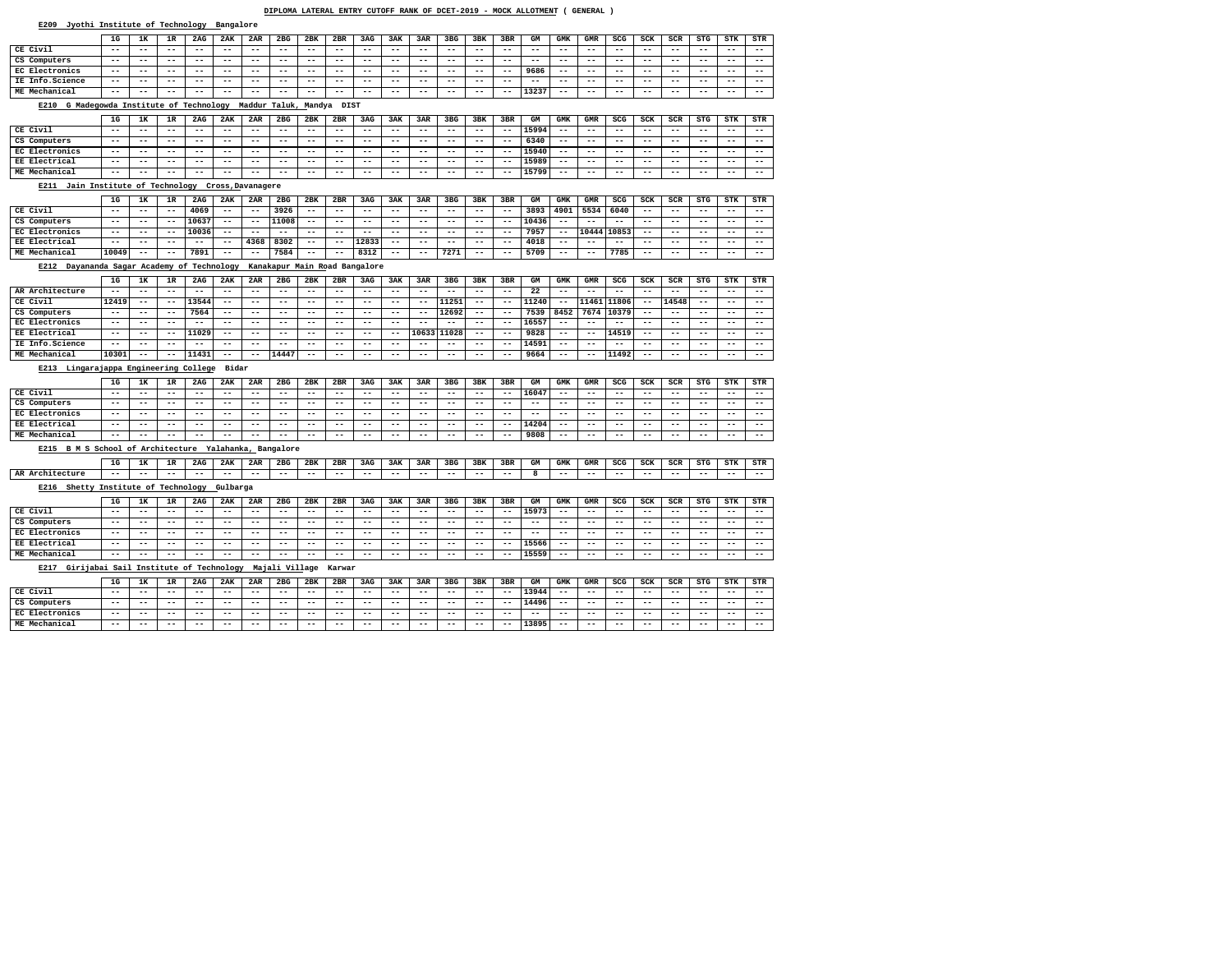#### **E209 Jyothi Institute of Technology Bangalore**

## **E210 G Madegowda Institute of Technology Maddur Taluk, Mandya DIST**

## **E211 Jain Institute of Technology Cross,Davanagere**

#### **E212 Dayananda Sagar Academy of Technology Kanakapur Main Road Bangalore**

#### **E213 Lingarajappa Engineering College Bidar**

#### **E215 B M S School of Architecture Yalahanka, Bangalore**

#### **E216 Shetty Institute of Technology Gulbarga**

## **E217 Girijabai Sail Institute of Technology Majali Village Karwar**

|                       | $1\text{G}$ | 1к    | 1R    | 2AG   | 2AK   | 2AR   | 2 <sub>BG</sub> | 2BK   | 2BR   | 3AG   | <b>3AK</b> | 3AR   | 3 <sub>BG</sub> | 3BK   | 3BR   | GМ    | GMK   | GMR   | SCG   | SCK   | SCR   | STG   | STK   | STR   |
|-----------------------|-------------|-------|-------|-------|-------|-------|-----------------|-------|-------|-------|------------|-------|-----------------|-------|-------|-------|-------|-------|-------|-------|-------|-------|-------|-------|
| CE Civil              | $- -$       | $- -$ | $- -$ | $- -$ | $- -$ | $- -$ | $- -$           | $- -$ | $- -$ | $- -$ | $- -$      | $- -$ | $- -$           | $- -$ | $- -$ | $- -$ | $- -$ | $- -$ | $- -$ | $- -$ | $- -$ | $- -$ | $- -$ | $- -$ |
| CS Computers          | $- -$       | $- -$ | $- -$ | $- -$ | $- -$ | $- -$ | $- -$           | $- -$ | $- -$ | $- -$ | $- -$      | $- -$ | $- -$           | $- -$ | $- -$ | $- -$ | $- -$ | $- -$ | $- -$ | $- -$ | $- -$ | $- -$ | $- -$ | $- -$ |
| <b>EC Electronics</b> | $- -$       | $- -$ | $- -$ | $- -$ | $- -$ | $- -$ | $- -$           | $- -$ | $- -$ | $- -$ | $- -$      | $- -$ | $- -$           | $- -$ | $- -$ | 9686  | $- -$ | $- -$ | $- -$ | $- -$ | $- -$ | $- -$ | $- -$ | $- -$ |
| IE Info.Science       | $- -$       | $- -$ | $- -$ | $- -$ | $- -$ | $- -$ | $- -$           | $- -$ | $- -$ | $- -$ | $- -$      | $- -$ | $- -$           | $- -$ | $- -$ | $- -$ | $- -$ | $- -$ | $- -$ | $- -$ | $- -$ | $- -$ | $- -$ | $- -$ |
| ME Mechanical         | $- -$       | $- -$ | $- -$ | $- -$ | $- -$ | $- -$ | $- -$           | $- -$ | $- -$ | $- -$ | $- -$      | $- -$ | $- -$           | $- -$ | $- -$ | L3237 | $- -$ | $- -$ | $- -$ | $- -$ | $- -$ | $- -$ | $- -$ | $- -$ |

|                | 1G    | 178   | 1R    | 2AG   | 2AK   | 2AR   | 2 <sub>BG</sub> | 2BK   | 2BR   | 3AG   | 3AK   | 3AR   | 3 <sub>BG</sub> | 3BK   | 3BR   | GМ    | GMK   | <b>GMR</b> | SCG   | SCK   | <b>SCR</b> | <b>STG</b> | STK   | STR   |
|----------------|-------|-------|-------|-------|-------|-------|-----------------|-------|-------|-------|-------|-------|-----------------|-------|-------|-------|-------|------------|-------|-------|------------|------------|-------|-------|
| CE Civil       | $- -$ | $- -$ | $- -$ | $- -$ | $- -$ | $- -$ | $- -$           | $- -$ | $- -$ | $- -$ | $- -$ | $- -$ | $- -$           | $- -$ | $- -$ | 15994 | $- -$ | $- -$      | $- -$ | $- -$ | $- -$      | $- -$      | $- -$ | $- -$ |
| CS Computers   | $- -$ | $- -$ | $- -$ | $- -$ | $- -$ | $- -$ | $- -$           | $- -$ | $- -$ | $- -$ | $- -$ | $- -$ | $- -$           | $- -$ | $- -$ | 6340  | $- -$ | $- -$      | $- -$ | $- -$ | $- -$      | $- -$      | $- -$ | $- -$ |
| EC Electronics | $- -$ | $- -$ | $- -$ | $- -$ | $- -$ | $- -$ | $- -$           | $- -$ | $- -$ | $- -$ | $- -$ | $- -$ | $- -$           | $- -$ | $- -$ | 15940 | $- -$ | $- -$      | $- -$ | $- -$ | $- -$      | $- -$      | $- -$ | $- -$ |
| EE Electrical  | $- -$ | $- -$ | $- -$ | $- -$ | $- -$ | $- -$ | $- -$           | $- -$ | $- -$ | $- -$ | $- -$ | $- -$ | $- -$           | $- -$ | $- -$ | 15989 | $- -$ | $- -$      | $- -$ | $- -$ | $- -$      | $- -$      | $- -$ | $- -$ |
| ME Mechanical  | $- -$ | $- -$ | $- -$ | $- -$ | $- -$ | $- -$ | $- -$           | $- -$ | $- -$ | $- -$ | $- -$ | $- -$ | $- -$           | $- -$ | $- -$ | 5799  | $- -$ | $- -$      | $- -$ | $- -$ | $- -$      | $- -$      | $- -$ | $- -$ |

|                      | 1G    | 1 <sub>Y</sub><br>∸ | 1R    | 2AG   | 2AK   | 2AR   | 2 <sub>BG</sub> | 2BK   | 2BR   | 3AG   | <b>3AK</b> | 3AR   | 3 <sub>BG</sub> | 3BK   | 3BR   | GМ    | GMK   | <b>GMR</b> | SCG   | SCK   | SCR   | <b>STG</b> | STK   | STR   |
|----------------------|-------|---------------------|-------|-------|-------|-------|-----------------|-------|-------|-------|------------|-------|-----------------|-------|-------|-------|-------|------------|-------|-------|-------|------------|-------|-------|
| CE Civil             | $- -$ | $- -$               | $ -$  | 4069  | $- -$ | $- -$ | 3926            | $- -$ | $- -$ | $- -$ | $- -$      | $- -$ | $- -$           | $- -$ | $- -$ | 3893  | 4901  | 5534       | 6040  | $- -$ | $- -$ | $- -$      | $- -$ | $- -$ |
| CS Computers         | $- -$ | $- -$               | $- -$ | 10637 | $- -$ | $- -$ | 11008           | $- -$ | $- -$ | $- -$ | $- -$      | $- -$ | $- -$           | $- -$ | $- -$ | 10436 | $- -$ | $- -$      | $- -$ | $- -$ | $- -$ | $- -$      | $- -$ | $- -$ |
| EC Electronics       | $- -$ | $- -$               | $ -$  | 10036 | $- -$ | $- -$ | $- -$           | $- -$ | $- -$ | $- -$ | $- -$      | $- -$ | $- -$           | $- -$ | $- -$ | 7957  | $- -$ | 10444      | 10853 | $- -$ | $- -$ | $- -$      | $- -$ | $- -$ |
| <b>EE Electrical</b> | $- -$ | $- -$               | $- -$ | $- -$ | $- -$ | 4368  | 8302            | $- -$ | $- -$ | 12833 | $ -$       | $- -$ | $- -$           | $- -$ | $- -$ | 4018  | $- -$ | $- -$      | $- -$ | $- -$ | $- -$ | $- -$      | $- -$ | $- -$ |
| ME Mechanical        | 10049 | $- -$               | $ -$  | 7891  | $- -$ | $- -$ | 7584            | $- -$ | $ -$  | 8312  | $- -$      | $- -$ | 7271            | $- -$ | $- -$ | 5709  | $- -$ | $- -$      | 7785  | $- -$ | $- -$ | $- -$      | $- -$ | $- -$ |

|                      | 1G.   | 172   |       | 2AG   | 2AK   | 2AR   | 2BC   | 2BK   | 2BR   | 3AG   | 3AK   | 3AR   | 3 <sub>BG</sub> | 3BK   | 3BR   | GМ    | GMK   | GMR   | SCG   | SCK   | SCR   | STG   | STK   | STR   |
|----------------------|-------|-------|-------|-------|-------|-------|-------|-------|-------|-------|-------|-------|-----------------|-------|-------|-------|-------|-------|-------|-------|-------|-------|-------|-------|
| AR Architecture      | $- -$ | $- -$ | $- -$ | $- -$ | $- -$ | $- -$ | $- -$ | $- -$ | $- -$ | $- -$ | $- -$ | $- -$ | $- -$           | $- -$ | $- -$ | 22    | $- -$ | $- -$ | $- -$ | $- -$ | $- -$ | $- -$ | $- -$ | $- -$ |
| CE Civil             | 12419 | $- -$ | $- -$ | 13544 | $- -$ | $- -$ | $- -$ | $- -$ | $- -$ | $- -$ | $- -$ | $- -$ | 11251           | $- -$ | $- -$ | 11240 | $- -$ | 11461 | 11806 | $- -$ | 14548 | $- -$ | $- -$ | $- -$ |
| CS Computers         | $- -$ | --    | $ -$  | 7564  | $- -$ | $- -$ | $- -$ | $- -$ | $- -$ | $- -$ | $- -$ | $- -$ | 12692           | $- -$ | $- -$ | 7539  | 8452  | 7674  | 10379 | $- -$ | $- -$ | $- -$ | $- -$ | $- -$ |
| EC Electronics       | $- -$ | --    | $- -$ | $- -$ | $- -$ | $- -$ | $ -$  | $ -$  | $- -$ | $- -$ | $ -$  | $ -$  | $- -$           | $- -$ | $- -$ | 16557 | $- -$ | $- -$ | $- -$ | $- -$ | $- -$ | $- -$ | $ -$  | $- -$ |
| <b>EE Electrical</b> | $- -$ | $- -$ | $ -$  | 11029 | $- -$ | $- -$ | $ -$  | $- -$ | $- -$ | $- -$ | $ -$  | 10633 | 11028           | $- -$ | $ -$  | 9828  | $- -$ | $- -$ | 14519 | $ -$  | $- -$ | $- -$ | $- -$ | $- -$ |
| IE Info.Science      | $- -$ | $- -$ | $- -$ | $- -$ | $- -$ | $- -$ | $- -$ | $- -$ | $- -$ | $- -$ | $- -$ | $- -$ | $- -$           | $- -$ | $- -$ | 14591 | $- -$ | $- -$ | $- -$ | $- -$ | $- -$ | $- -$ | $- -$ | $- -$ |
| ME Mechanical        | 10301 | $- -$ | $ -$  | 11431 | $- -$ | $- -$ | 14447 | $- -$ | $- -$ | $- -$ | $- -$ | $- -$ | $- -$           | $- -$ | $ -$  | 9664  | $- -$ | $- -$ | 11492 | $- -$ | $- -$ | $- -$ | $- -$ | $- -$ |

|                | 1G    | 1ĸ    | 1 T.<br>∸ | 2AG   | 2AK   | 2AR   | 2 <sub>BG</sub> | 2BK   | 2BR   | 3AG   | 3AK   | 3AR   | 3 <sub>BG</sub> | 3BK   | 3BR   | GМ    | GMK   | GMR   | SCG   | SCK   | SCR   | <b>STG</b> | STK   | STR   |
|----------------|-------|-------|-----------|-------|-------|-------|-----------------|-------|-------|-------|-------|-------|-----------------|-------|-------|-------|-------|-------|-------|-------|-------|------------|-------|-------|
| CE Civil       | $- -$ | $- -$ | $- -$     | $- -$ | $- -$ | $- -$ | $- -$           | $- -$ | $- -$ | $- -$ | $- -$ | $- -$ | $- -$           | $- -$ | ---   | 16047 | $- -$ | $- -$ | $- -$ | $- -$ | $- -$ | $- -$      | $- -$ | $- -$ |
| CS Computers   | $- -$ | $- -$ | $- -$     | $- -$ | --    | $- -$ | $- -$           | $- -$ | $- -$ | $- -$ | $- -$ | $- -$ | $- -$           | $- -$ | $- -$ | $- -$ | $- -$ | $- -$ | $- -$ | $- -$ | $- -$ | $- -$      | $- -$ | $- -$ |
| EC Electronics | $- -$ | $- -$ | $- -$     | $- -$ | $- -$ | $- -$ | $- -$           | $- -$ | $- -$ | $- -$ | $- -$ | $- -$ | $- -$           | $- -$ | $- -$ | $- -$ | $- -$ | $- -$ | $- -$ | $- -$ | $- -$ | $- -$      | $- -$ | $- -$ |
| EE Electrical  | $- -$ | $- -$ | $- -$     | $- -$ | --    | $- -$ | $- -$           | $- -$ | $- -$ | $- -$ | $- -$ | $- -$ | $- -$           | $- -$ | $- -$ | 14204 | $- -$ | $- -$ | $- -$ | $- -$ | $- -$ | $- -$      | $- -$ | $- -$ |
| ME Mechanical  | $- -$ | $- -$ | $- -$     | $- -$ | --    | $- -$ | $- -$           | $- -$ | $- -$ | $- -$ | $- -$ | $- -$ | $- -$           | $- -$ | $- -$ | 9808  | $- -$ | $- -$ | $- -$ | $- -$ | $- -$ | $- -$      | $- -$ | $- -$ |

|                                     | 1G    |    | 2AG | つユア | 2AR | 2 <sub>BG</sub> | 2BK   | 2BR   | 3AG   | 3AK   | 3AR   | 3 <sub>BG</sub> | 3BK   | 3 <sub>BR</sub> | C11F<br>uи | CIRL<br>GМ | CIME<br>--- | SCG | C(T)<br>יבבי | SCR   | STG | <b>CLIMBER</b><br>- 1 - | STR   |
|-------------------------------------|-------|----|-----|-----|-----|-----------------|-------|-------|-------|-------|-------|-----------------|-------|-----------------|------------|------------|-------------|-----|--------------|-------|-----|-------------------------|-------|
| ם ה<br><b>Arc</b><br>$F \alpha F H$ | $- -$ | -- |     | --  | --- | --              | $- -$ | $- -$ | $- -$ | $- -$ | $- -$ | --              | $- -$ |                 |            | $-$ -      | $- -$       |     | --           | $- -$ | --  | --                      | $- -$ |
|                                     |       |    |     |     |     |                 |       |       |       |       |       |                 |       |                 |            |            |             |     |              |       |     |                         |       |

|                      | 1G    | 1 T.P | 1R    | 2AG   | 2AK   | 2AR   | 2 <sub>BG</sub> | 2BK   | 2BR   | 3AG   | 3AK   | 3AR   | 3 <sub>BG</sub> | 3BK   | 3BR   | GМ    | GMK   | GMR   | SCG   | SCK   | SCR   | STG   | STK   | STR   |
|----------------------|-------|-------|-------|-------|-------|-------|-----------------|-------|-------|-------|-------|-------|-----------------|-------|-------|-------|-------|-------|-------|-------|-------|-------|-------|-------|
| CE Civil             | $- -$ | $- -$ | $- -$ | $- -$ | $- -$ | $- -$ | $- -$           | $- -$ | $- -$ | $- -$ | $- -$ | $- -$ | $- -$           | $- -$ | $- -$ | 15973 | $- -$ | $- -$ | $- -$ | $- -$ | $- -$ | $- -$ | $- -$ | $- -$ |
| CS Computers         | $- -$ | $- -$ | $- -$ | $- -$ | $- -$ | $- -$ | $- -$           | $- -$ | $- -$ | $- -$ | $- -$ | $- -$ | $- -$           | $- -$ | $- -$ | $- -$ | $- -$ | $- -$ | $- -$ | $- -$ | $- -$ | $- -$ | $- -$ | $- -$ |
| EC Electronics       | $- -$ | $- -$ | $- -$ | $- -$ | $- -$ | $- -$ | $- -$           | $- -$ | $- -$ | $- -$ | $- -$ | $- -$ | $- -$           | $- -$ | $- -$ | $- -$ | $- -$ | $- -$ | $- -$ | $- -$ | $- -$ | $- -$ | $- -$ | $- -$ |
| <b>EE Electrical</b> | $- -$ | $- -$ | $- -$ | $- -$ | $- -$ | $- -$ | $- -$           | $- -$ | $- -$ | $- -$ | $- -$ | $- -$ | $- -$           | $- -$ | $- -$ | 15566 | $- -$ | $- -$ | $- -$ | $- -$ | $- -$ | $- -$ | $- -$ | $- -$ |
| ME Mechanical        | $- -$ | $- -$ | $- -$ | $- -$ | $- -$ | $- -$ | $- -$           | $- -$ | $- -$ | $- -$ | $- -$ | $- -$ | $- -$           | $- -$ | $- -$ | 15559 | $- -$ | $- -$ | $- -$ | $- -$ | $- -$ | $- -$ | $- -$ | $- -$ |

|                | 1G    | ᅭ     | 1 D<br><b>IN</b> | 2AG   | 2AK   | 2AR   | 2 <sub>BG</sub> | 2BK   | 2BR   | 3AG   | 3AK   | 3AR   | 3 <sub>BG</sub> | 3BK   | 3BR   | GМ    | GMK   | GMR   | SCG   | SCK   | SCR   | <b>STG</b> | STK   | STR   |
|----------------|-------|-------|------------------|-------|-------|-------|-----------------|-------|-------|-------|-------|-------|-----------------|-------|-------|-------|-------|-------|-------|-------|-------|------------|-------|-------|
| CE Civil       | $- -$ | $- -$ | $- -$            | $- -$ | $- -$ | $- -$ | $- -$           | $- -$ | $- -$ | $- -$ | $- -$ | $- -$ | $- -$           | $- -$ | ---   | 13944 | --    | $- -$ | $- -$ | $- -$ | $- -$ | $- -$      | $- -$ | $- -$ |
| CS Computers   | $- -$ | $- -$ | $- -$            | $- -$ | $- -$ | $- -$ | $- -$           | $- -$ | $- -$ | $- -$ | $- -$ | $- -$ | $- -$           | $- -$ | $- -$ | 14496 | $- -$ | $- -$ | $- -$ | $- -$ | $- -$ | $- -$      | $- -$ | $- -$ |
| EC Electronics | $- -$ | $- -$ | $- -$            | $- -$ | $- -$ | $- -$ | $- -$           | $- -$ | $- -$ | $- -$ | $- -$ | $- -$ | $- -$           | $- -$ | $- -$ | $- -$ | $- -$ | $- -$ | $- -$ | $- -$ | $- -$ | $- -$      | $- -$ | $- -$ |
| ME Mechanical  | $- -$ | $- -$ | $- -$            | $- -$ | $- -$ | $- -$ | $- -$           | $- -$ | $- -$ | $- -$ | $- -$ | $- -$ | $- -$           | $- -$ | $ -$  | 13895 | $- -$ | $- -$ | $- -$ | $- -$ | $- -$ | $- -$      | $- -$ | $- -$ |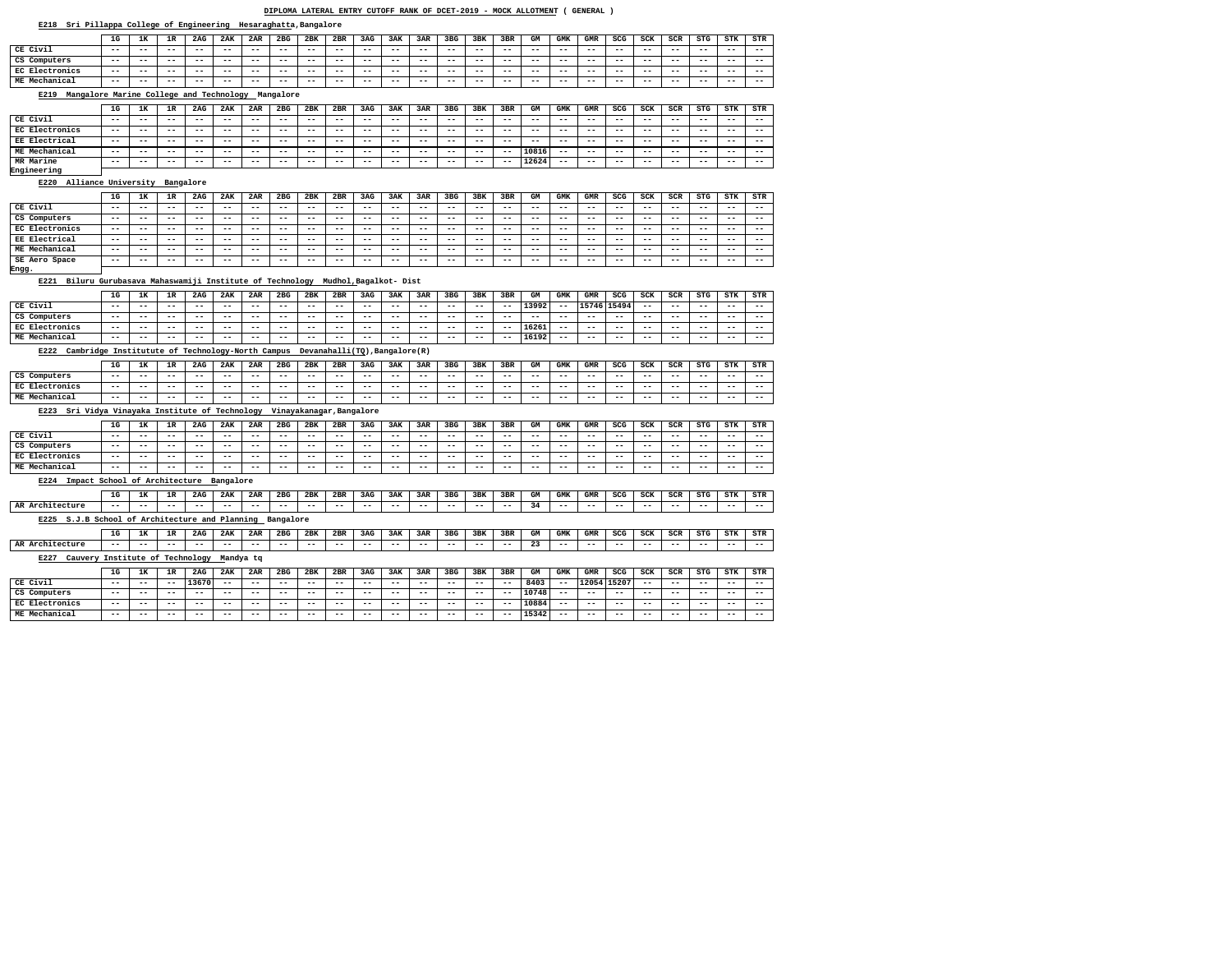## **E218 Sri Pillappa College of Engineering Hesaraghatta,Bangalore**

## **E219 Mangalore Marine College and Technology Mangalore**

#### **E220 Alliance University Bangalore**

#### **E221 Biluru Gurubasava Mahaswamiji Institute of Technology Mudhol,Bagalkot- Dist**

#### **E222 Cambridge Institutute of Technology-North Campus Devanahalli(TQ),Bangalore(R)**

#### **E223 Sri Vidya Vinayaka Institute of Technology Vinayakanagar,Bangalore**

#### **E224 Impact School of Architecture Bangalore**

#### **E227 Cauvery Institute of Technology Mandya tq**

**Engg.**

|                | 1G    | 1ĸ    | 1R    | 2AG   | 2AK   | 2AR   | 2 <sub>BG</sub> | 2BK   | 2BR   | 3AG   | 3AK   | 3AR   | 3 <sub>BG</sub> | 3BK   | 3BR   | GМ    | GMK   | GMR   | SCG   | SCK   | SCR   | STG   | STK   | STR   |
|----------------|-------|-------|-------|-------|-------|-------|-----------------|-------|-------|-------|-------|-------|-----------------|-------|-------|-------|-------|-------|-------|-------|-------|-------|-------|-------|
| CE Civil       | $- -$ | $- -$ | $- -$ | $- -$ | $- -$ | $- -$ | $- -$           | $- -$ | $- -$ | $- -$ | $- -$ | $- -$ | $- -$           | $- -$ | $- -$ | $- -$ | $- -$ | $- -$ | $- -$ | $- -$ | $- -$ | $- -$ | $- -$ | $- -$ |
| CS Computers   | $- -$ | $- -$ | $- -$ | $- -$ | $- -$ | $- -$ | $- -$           | $- -$ | $- -$ | $- -$ | $- -$ | $- -$ | $- -$           | $- -$ | $- -$ | $- -$ | $- -$ | $- -$ | $- -$ | $- -$ | $- -$ | $- -$ | $- -$ | $- -$ |
| EC Electronics | $- -$ | $- -$ | $- -$ | $- -$ | $- -$ | $- -$ | $- -$           | $- -$ | $- -$ | $- -$ | $- -$ | $- -$ | $- -$           | $- -$ | $- -$ | $- -$ | $- -$ | $- -$ | $- -$ | $- -$ | $- -$ | $- -$ | $- -$ | $- -$ |
| ME Mechanical  | $- -$ | $- -$ | $- -$ | $- -$ | $- -$ | $- -$ | $- -$           | $- -$ | $- -$ | $- -$ | $- -$ | $- -$ | $- -$           | $- -$ | $- -$ | $- -$ | $- -$ | $- -$ | $- -$ | $- -$ | $- -$ | $- -$ | $- -$ | $- -$ |

|                      | 1G    | 1ĸ    | 1R    | 2AG   | 2AK   | 2AR   | 2 <sub>BG</sub> | 2BK   | 2BR   | 3AG | 3AK   | 3AR   | 3 <sub>BG</sub> | 3BK   | 3BR   | GМ    | GMK   | GMR   | SCG   | SCK   | <b>SCR</b> | <b>STG</b> | STK   | STR 1 |
|----------------------|-------|-------|-------|-------|-------|-------|-----------------|-------|-------|-----|-------|-------|-----------------|-------|-------|-------|-------|-------|-------|-------|------------|------------|-------|-------|
| CE Civil             | $- -$ | $- -$ | $- -$ | $- -$ | $- -$ | $- -$ | $- -$           | $- -$ | $- -$ | --  | $- -$ | $- -$ | $- -$           | $- -$ | $- -$ | $- -$ | $- -$ | $- -$ | $- -$ | $- -$ | $- -$      | $- -$      | $- -$ | $- -$ |
| EC Electronics       | $- -$ | $- -$ | $- -$ | $- -$ | $ -$  | $- -$ | $- -$           | $- -$ | $- -$ | --  | $- -$ | $- -$ | $- -$           | $- -$ | $- -$ | $- -$ | $- -$ | $- -$ | $- -$ | $- -$ | --         | $- -$      | $- -$ | $- -$ |
| <b>EE Electrical</b> | $- -$ | $- -$ | $- -$ | $- -$ | $- -$ | $- -$ | $- -$           | $- -$ | $- -$ | --  | $- -$ | $- -$ | $- -$           | $- -$ | $- -$ | $- -$ | $- -$ | $- -$ | $- -$ | $- -$ | --         | $- -$      | $- -$ | $- -$ |
| ME Mechanical        | $- -$ | $- -$ | $- -$ | $- -$ | $- -$ | $- -$ | $- -$           | $- -$ | $- -$ | --  | $- -$ | $- -$ | $- -$           | $- -$ | $ -$  | 10816 | $- -$ | $- -$ | $- -$ | $- -$ | $- -$      | $- -$      | $- -$ | $- -$ |
| MR Marine            | $- -$ | $- -$ | $- -$ | $- -$ | $- -$ | $- -$ | $- -$           | $- -$ | $- -$ | --  | $- -$ | $- -$ | $- -$           | $- -$ | $- -$ | 12624 | $- -$ | $- -$ | $- -$ | $- -$ | --         | $- -$      | $- -$ | $- -$ |
| Engineering          |       |       |       |       |       |       |                 |       |       |     |       |       |                 |       |       |       |       |       |       |       |            |            |       |       |

|                | 1G    | 172<br>ᅭ | 1R    | 2AG   | 2AK   | 2AR   | 2 <sub>BG</sub> | 2BK   | 2BR   | 3AG   | 3AK   | 3AR   | 3 <sub>BG</sub> | 3BK   | 3BR   | GМ    | GMK   | <b>GMR</b> | SCG   | SCK   | SCR   | STG   | STK   | STR   |
|----------------|-------|----------|-------|-------|-------|-------|-----------------|-------|-------|-------|-------|-------|-----------------|-------|-------|-------|-------|------------|-------|-------|-------|-------|-------|-------|
| CE Civil       | $- -$ | $- -$    | $- -$ | $- -$ | $- -$ | $- -$ | $- -$           | $- -$ | $- -$ | $- -$ | $- -$ | $- -$ | $- -$           | $- -$ | $- -$ | 13992 | $- -$ | 157461     | 15494 | $- -$ | $- -$ | $- -$ | $- -$ | $- -$ |
| CS Computers   | $- -$ | $- -$    | $- -$ | $- -$ | $- -$ | $- -$ | $- -$           | $- -$ | $- -$ | $- -$ | $- -$ | $- -$ | $- -$           | $- -$ | $- -$ | $- -$ | $- -$ | $- -$      | $- -$ | $- -$ | $- -$ | $- -$ | $- -$ | $- -$ |
| EC Electronics | $- -$ | $- -$    | $- -$ | $- -$ | $- -$ | $- -$ | $- -$           | $- -$ | $- -$ | $- -$ | $- -$ | $- -$ | $- -$           | $- -$ | $- -$ | 16261 | $- -$ | $- -$      | $- -$ | $- -$ | $- -$ | $- -$ | $- -$ | $- -$ |
| ME Mechanical  | $- -$ | $- -$    | $- -$ | $- -$ | $- -$ | $- -$ | $- -$           | $- -$ | $- -$ | $- -$ | $- -$ | $- -$ | $- -$           | $- -$ | $- -$ | 16192 | $- -$ | $- -$      | $- -$ | $- -$ | $- -$ | $- -$ | $- -$ | $- -$ |

|                       | 1G    | 1к    | - דו<br>ᅩᅑ | 2AG   | 2AK   | 2AR   | 2 <sub>BG</sub> | 2BK   | 2BR   | 3AG   | 3AK   | 3AR   | 3 <sub>BG</sub> | 3BK   | 3BR   | GМ    | GMK   | GMR   | SCG   | SCK   | SCR   | <b>STG</b> | <b>STK</b> | STR   |
|-----------------------|-------|-------|------------|-------|-------|-------|-----------------|-------|-------|-------|-------|-------|-----------------|-------|-------|-------|-------|-------|-------|-------|-------|------------|------------|-------|
| CE Civil              | $- -$ | $- -$ | $- -$      | $- -$ | $- -$ | $- -$ | $- -$           | $- -$ | $- -$ | $- -$ | $- -$ | $- -$ | $- -$           | $- -$ | $- -$ | $- -$ | $- -$ | $- -$ | $- -$ | $- -$ | $- -$ | $- -$      | $- -$      | $- -$ |
| CS Computers          | $- -$ | $- -$ | $- -$      | $- -$ | $- -$ | $- -$ | $- -$           | $- -$ | $- -$ | $- -$ | $- -$ | $- -$ | $- -$           | $- -$ | $- -$ | $- -$ | $- -$ | $- -$ | $- -$ | $- -$ | $- -$ | $- -$      | $- -$      | $- -$ |
| <b>EC Electronics</b> | $- -$ | --    | $- -$      | $- -$ | $- -$ | --    | --              | $- -$ | $- -$ | $- -$ | $- -$ | $- -$ | $- -$           | $- -$ | $- -$ | $- -$ | $- -$ | $- -$ | $- -$ | $- -$ | $- -$ | --         | $- -$      | $- -$ |
| <b>EE Electrical</b>  | $- -$ | $- -$ | $- -$      | $- -$ | $- -$ | $- -$ | $- -$           | $- -$ | $- -$ | $- -$ | $- -$ | $- -$ | $- -$           | $- -$ | $- -$ | $- -$ | $- -$ | $- -$ | $- -$ | $- -$ | $- -$ | $- -$      | $- -$      | $- -$ |
| ME Mechanical         | $- -$ | $- -$ | $- -$      | $- -$ | $- -$ | $- -$ | $- -$           | $- -$ | $- -$ | $- -$ | $- -$ | $- -$ | $- -$           | $- -$ | $- -$ | $- -$ | $- -$ | $- -$ | $- -$ | $- -$ | $- -$ | $- -$      | $- -$      | $- -$ |
| SE Aero Space         | $- -$ | $- -$ | $- -$      | $- -$ | $- -$ | $- -$ | $- -$           | $- -$ | $- -$ | $- -$ | $- -$ | $- -$ | $- -$           | $- -$ | $- -$ | $- -$ | $- -$ | $- -$ | $- -$ | $- -$ | $- -$ | $- -$      | $- -$      | $- -$ |
| Engg.                 |       |       |            |       |       |       |                 |       |       |       |       |       |                 |       |       |       |       |       |       |       |       |            |            |       |

|                 | 1G     | --<br>ᅩ | <b>1</b> Th<br>ᅩ | 2AG   | 2AK                            | 2AR   | 2BG       | 2BK   | 2BR   | 3AG   | <b>3AK</b> | 3AR   | 3 <sub>BG</sub> | 3BK | 3BR   | GМ  | GMK   | GMR   | SCG | SCK   | SCR | STG | STK | STR |
|-----------------|--------|---------|------------------|-------|--------------------------------|-------|-----------|-------|-------|-------|------------|-------|-----------------|-----|-------|-----|-------|-------|-----|-------|-----|-----|-----|-----|
| AR Architecture | $- -$  | $- -$   | $- -$            | $- -$ | $- -$                          | $- -$ | $- -$     | $- -$ | $- -$ | $- -$ | ---        | $- -$ | $- -$           | --- | $- -$ | -34 | $- -$ | $- -$ | --  | $- -$ | ___ | --- | --- | --  |
| E225<br>s.j     | School |         |                  |       | 1 of Architecture and Planning |       | Bangalore |       |       |       |            |       |                 |     |       |     |       |       |     |       |     |     |     |     |

|                | 1G    | <b>175</b><br>ᅩ | 1 m<br>∸₽ | 2AG   | 2AK   | 2AR   | 2 <sub>BG</sub> | 2BK   | 2BR   | 3AG   | 3AK   | 3AR   | 3 <sub>BG</sub> | 3BK   | 3BR   | GМ    | GMK   | GMR   | SCG   | SCK   | SCR   | STG   | STK   | STR   |
|----------------|-------|-----------------|-----------|-------|-------|-------|-----------------|-------|-------|-------|-------|-------|-----------------|-------|-------|-------|-------|-------|-------|-------|-------|-------|-------|-------|
| CS Computers   | $- -$ | $- -$           | $- -$     | $- -$ | $- -$ | $- -$ | $- -$           | $- -$ | $- -$ | $- -$ | $- -$ | $- -$ | $- -$           | $- -$ | $- -$ | $- -$ | $- -$ | $- -$ | $- -$ | $- -$ | $- -$ | $- -$ | $- -$ | $- -$ |
| EC Electronics | $- -$ | $- -$           | $- -$     | $- -$ | $- -$ | $- -$ | $- -$           | $- -$ | $- -$ | $- -$ | $- -$ | $- -$ | $- -$           | $- -$ | $- -$ | $- -$ | $- -$ | $- -$ | $- -$ | $- -$ | $- -$ | $- -$ | $- -$ | $- -$ |
| ME Mechanical  | $- -$ | $- -$           | $- -$     | $- -$ | $- -$ | $- -$ | $- -$           | $- -$ | $- -$ | $- -$ | $- -$ | $- -$ | $- -$           | $- -$ | $- -$ | $- -$ | $- -$ | $- -$ | $- -$ | $- -$ | --    | $- -$ | $- -$ | $- -$ |

|                | 1G    | 172<br>ᅭ | ∸     | 2AG   | 2AK   | 2AR   | 2 <sub>BG</sub> | 2BK   | 2BR   | 3AG   | 3AK   | 3AR   | 3 <sub>BG</sub> | 3BK   | 3BR   | GМ    | GMK   | GMR   | SCG   | SCK   | SCR   | STG   | STK   | STR   |
|----------------|-------|----------|-------|-------|-------|-------|-----------------|-------|-------|-------|-------|-------|-----------------|-------|-------|-------|-------|-------|-------|-------|-------|-------|-------|-------|
| CE Civil       | $- -$ | $- -$    | $- -$ | $- -$ | $- -$ | $- -$ | $- -$           | $- -$ | $- -$ | $- -$ | $- -$ | $- -$ | $- -$           | $- -$ | $- -$ | $- -$ | $- -$ | $- -$ | $- -$ | $- -$ | $- -$ | $- -$ | $- -$ | $- -$ |
| CS Computers   | --    | $- -$    | $- -$ | $- -$ | $- -$ | $- -$ | $- -$           | $- -$ | $- -$ | $- -$ | $- -$ | $- -$ | $- -$           | $- -$ | $- -$ | $- -$ | $- -$ | $- -$ | $- -$ | $- -$ | $- -$ | $- -$ | $- -$ | $- -$ |
| EC Electronics | $- -$ | $- -$    | $- -$ | $- -$ | $- -$ | $- -$ | $- -$           | $- -$ | $- -$ | $- -$ | $- -$ | $- -$ | $- -$           | $- -$ | $- -$ | $- -$ | $- -$ | $- -$ | $- -$ | $- -$ | $- -$ | $- -$ | ---   | $- -$ |
| ME Mechanical  | --    | $- -$    | $- -$ | $- -$ | $- -$ | $- -$ | $- -$           | $- -$ | $- -$ | $- -$ | $- -$ | $- -$ | $- -$           | $- -$ | $- -$ | $- -$ | $- -$ | $- -$ | $- -$ | $- -$ | $- -$ | $- -$ | $- -$ | $- -$ |

|             | 1G    | --<br>-- | ່ 1 ກ<br>ᅩ | 2AG   | 2AK   | 2AR   | 2BG | 2BK | 2BR | 3AG | 3AK | 3AF   | 3BG | ЗВК | 3 <sub>BR</sub> | GМ        | GMK   | GMR   | SCG   | SCK   | <b>COP</b> | STG   | STK   | STR   |
|-------------|-------|----------|------------|-------|-------|-------|-----|-----|-----|-----|-----|-------|-----|-----|-----------------|-----------|-------|-------|-------|-------|------------|-------|-------|-------|
| ΔP<br>Arch. | $- -$ | $- -$    | ---        | $- -$ | $- -$ | $- -$ | --  | --  |     |     |     | $- -$ |     | --- | ---             | <u>__</u> | $- -$ | $- -$ | $- -$ | $- -$ |            | $- -$ | $- -$ | $- -$ |
|             |       |          |            |       |       |       |     |     |     |     |     |       |     |     |                 |           |       |       |       |       |            |       |       |       |

|                | 1G    | 1 T<br>ᅩ | 1 D<br>∸ | 2AG   | 2AK   | 2AR   | 2 <sub>BG</sub> | 2BK   | 2BR   | 3AG   | 3AK   | 3AR   | 3 <sub>BG</sub> | 3BK   | 3BR   | GM    | GMK   | GMR   | SCG    | SCK   | <b>SCR</b> | <b>STG</b> | STK   | STR   |
|----------------|-------|----------|----------|-------|-------|-------|-----------------|-------|-------|-------|-------|-------|-----------------|-------|-------|-------|-------|-------|--------|-------|------------|------------|-------|-------|
| CE Civil       | $- -$ | $- -$    | $- -$    | 13670 | $- -$ | $- -$ | $- -$           | $- -$ | $- -$ | $- -$ | $- -$ | $- -$ | $- -$           | $- -$ | $- -$ | 8403  | $- -$ | 12054 | 115207 | $- -$ | $- -$      | $- -$      | $- -$ | $- -$ |
| CS Computers   | $- -$ | $- -$    | $- -$    | $- -$ | $- -$ | $- -$ | $- -$           | $- -$ | $- -$ | $- -$ | $- -$ | $- -$ | $- -$           | $- -$ | $- -$ | 10748 | $- -$ | $- -$ | $- -$  | $- -$ | $- -$      | $- -$      | $- -$ | $- -$ |
| EC Electronics | $- -$ | $- -$    | $- -$    | $- -$ | $- -$ | $- -$ | $- -$           | $- -$ | $- -$ | $- -$ | ---   | $- -$ | $- -$           | $- -$ | ---   | 10884 | $- -$ | $- -$ | $- -$  | $- -$ | $- -$      | $- -$      | $- -$ | $- -$ |
| ME Mechanical  | $- -$ | $- -$    | $- -$    | $- -$ | $- -$ | $- -$ | $- -$           | $- -$ | $- -$ | $- -$ | $- -$ | $- -$ | $- -$           | $- -$ | $- -$ | 15342 | $- -$ | $- -$ | $- -$  | $- -$ | $- -$      | $- -$      | $- -$ | $- -$ |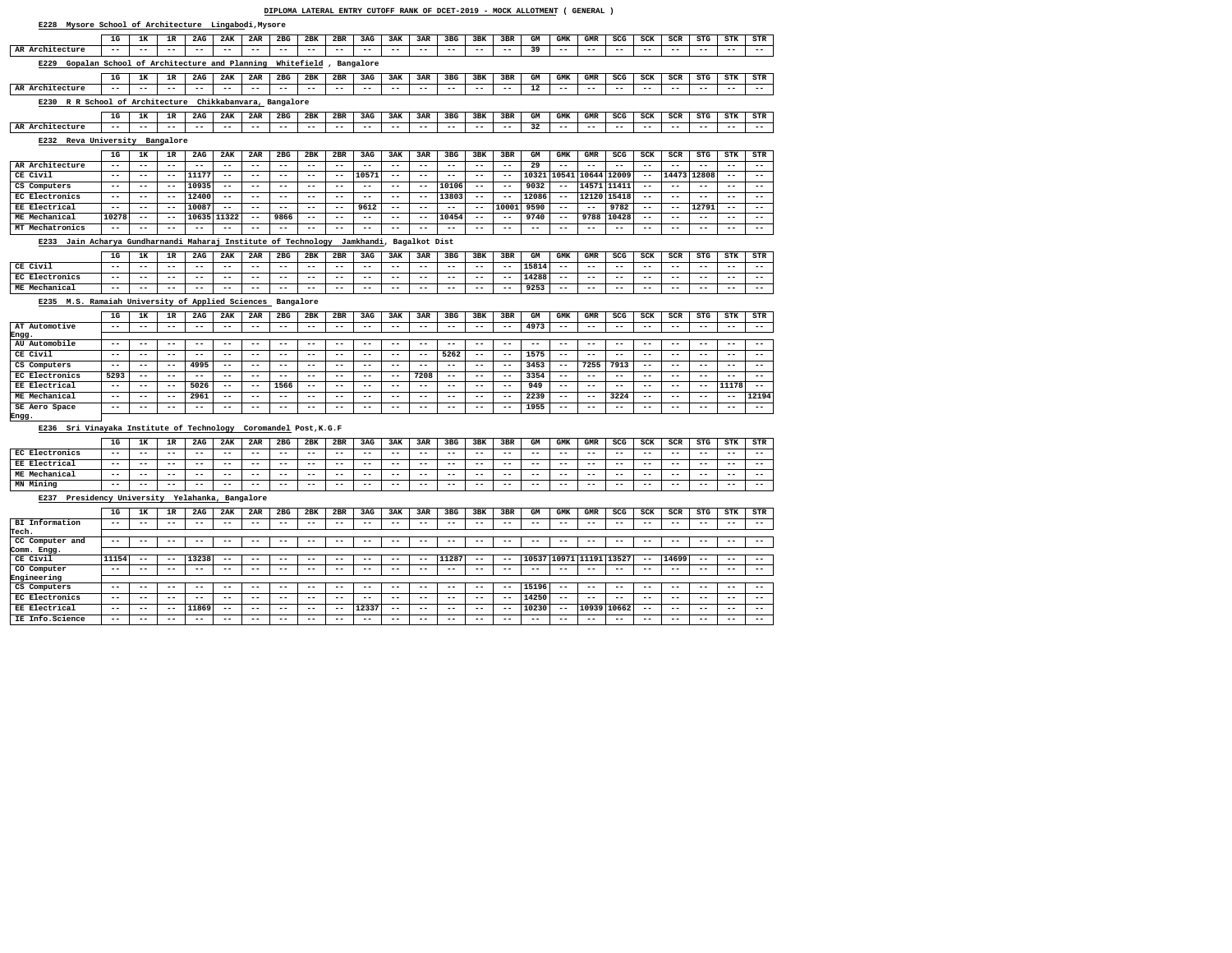| Mysore School of Architecture<br>E228                             |                            |                   |                            |                      | Lingabodi, Mysore        |                        |                 |                   |                            |                   |                            |                   |                          |       |                          |                   |                   |                   |                            |            |                   |                   |                          |                          |
|-------------------------------------------------------------------|----------------------------|-------------------|----------------------------|----------------------|--------------------------|------------------------|-----------------|-------------------|----------------------------|-------------------|----------------------------|-------------------|--------------------------|-------|--------------------------|-------------------|-------------------|-------------------|----------------------------|------------|-------------------|-------------------|--------------------------|--------------------------|
|                                                                   | 1G                         | 1ĸ                | 1R                         | 2AG                  | 2AK                      | 2AR                    | 2 <sub>BG</sub> | 2BK               | 2BR                        | 3AG               | 3AK                        | 3AR               | 3 <sub>BG</sub>          | 3BK   | 3BR                      | GM                | GMK               | GMR               | SCG                        | SCK        | SCR               | <b>STG</b>        | STK                      | STR                      |
| AR Architecture                                                   | $- -$                      | $- -$             | --                         | $- -$                | $\qquad \qquad -$        | $- -$                  | $- -$           | $- -$             | $- -$                      | $- -$             | $- -$                      | $- -$             | $- -$                    | $- -$ | $- -$                    | 39                | $- -$             | $- -$             | $- -$                      | $- -$      | $- -$             | $- -$             | $\qquad \qquad -$        | $- -$                    |
| Gopalan School of Architecture and Planning                       |                            |                   |                            |                      |                          |                        |                 |                   |                            |                   |                            |                   |                          |       |                          |                   |                   |                   |                            |            |                   |                   |                          |                          |
| E229                                                              |                            |                   |                            |                      |                          |                        |                 | Whitefield        |                            | Bangalore         |                            |                   |                          |       |                          |                   |                   |                   |                            |            |                   |                   |                          |                          |
|                                                                   | 1G                         | 1ĸ                | 1R                         | 2AG                  | 2AK                      | 2AR                    | 2 <sub>BG</sub> | 2BK               | 2BR                        | 3AG               | 3AK                        | 3AR               | 3 <sub>BG</sub>          | 3BK   | 3BR                      | GM                | GMK               | GMR               | SCG                        | SCK        | SCR               | <b>STG</b>        | STK                      | STR                      |
| AR Architecture                                                   | $- -$                      | --                | $- -$                      | $- -$                | $\qquad \qquad -$        | $\qquad \qquad -$      | $ -$            | $\qquad \qquad -$ | $\qquad \qquad -$          | $- -$             | $ -$                       | $- -$             | $- -$                    | $- -$ | $- -$                    | 12                | $- -$             | $- -$             | $- -$                      | $- -$      | $- -$             | $- -$             | $ -$                     | $- -$                    |
| E230 R R School of Architecture                                   |                            |                   |                            |                      | Chikkabanvara, Bangalore |                        |                 |                   |                            |                   |                            |                   |                          |       |                          |                   |                   |                   |                            |            |                   |                   |                          |                          |
|                                                                   | 1G                         | 1ĸ                | 1R                         | 2AG                  | 2AK                      | 2AR                    | 2 <sub>BG</sub> | 2BK               | 2BR                        | 3AG               | 3AK                        | 3AR               | 3 <sub>BG</sub>          | 3BK   | 3BR                      | GM                | <b>GMK</b>        | <b>GMR</b>        | SCG                        | SCK        | SCR               | <b>STG</b>        | <b>STK</b>               | STR                      |
| AR Architecture                                                   | $- -$                      | --                | $- -$                      | $- -$                | $- -$                    | $- -$                  | $ -$            | $- -$             | $- -$                      | $- -$             | $- -$                      | $- -$             | $- -$                    | $- -$ | $- -$                    | 32                | $- -$             | $- -$             | $- -$                      | $- -$      | $- -$             | $- -$             | $- -$                    | $- -$                    |
|                                                                   |                            |                   |                            |                      |                          |                        |                 |                   |                            |                   |                            |                   |                          |       |                          |                   |                   |                   |                            |            |                   |                   |                          |                          |
| E232 Reva University Bangalore                                    |                            |                   |                            |                      |                          |                        |                 |                   |                            |                   |                            |                   |                          |       |                          |                   |                   |                   |                            |            |                   |                   |                          |                          |
|                                                                   | 1G                         | 1ĸ                | 1R                         | 2AG                  | 2AK                      | 2AR                    | 2BG             | 2BK               | 2BR                        | 3AG               | 3AK                        | 3AR               | 3 <sub>BG</sub>          | 3BK   | 3BR                      | GM                | <b>GMK</b>        | <b>GMR</b>        | SCG                        | SCK        | SCR               | <b>STG</b>        | <b>STK</b>               | STR                      |
| AR Architecture                                                   | $- -$                      | --                | --                         | $- -$                | $- -$                    | $- -$                  | $- -$           | $- -$             | $- -$                      | $- -$             | $- -$                      | $- -$             | $- -$                    | $- -$ | $- -$                    | 29                | $- -$             |                   | $- -$                      | $- -$      | $- -$             | $- -$             | $- -$                    | $\qquad \qquad -$        |
| CE Civil                                                          | $- -$                      | --                | $\overline{\phantom{m}}$ . | 11177                | $\qquad \qquad -$        | $- -$                  | $- -$           | $- -$             | $- -$                      | 10571             | $- -$                      | $- -$             | $- -$                    | $- -$ | $- -$                    | 10321             | 10541             | 10644             | 12009                      | $- -$      | 14473             | 12808             | $- -$                    | $ -$                     |
| CS Computers                                                      | $\overline{\phantom{m}}$ . | --                | $- -$                      | 10935                | $\qquad \qquad -$        | $- -$                  | $- -$           | $- -$             | $\qquad \qquad -$          | $- -$             | $- -$                      | $- -$             | 10106                    | $- -$ | $- -$                    | 9032              | $- -$             | 14571             | 11411                      | $- -$      | $\qquad \qquad -$ | $\qquad \qquad -$ | $- -$                    | $- -$                    |
| EC Electronics                                                    | $- -$                      | --                | $- -$                      | 12400                | $\qquad \qquad -$        | $- -$                  | $- -$           | $- -$             | $- -$                      | $- -$             | $- -$                      | $- -$             | 13803                    | $- -$ | $- -$                    | 12086             | $- -$             | 12120             | 15418                      | $- -$      | $- -$             | $- -$             | $- -$                    | $- -$                    |
| EE Electrical                                                     | $\qquad \qquad -$          | --                | $- -$                      | 10087                | $- -$                    | $- -$                  | $- -$           | $- -$             | $- -$                      | 9612              | $- -$                      | $- -$             | $- -$                    | $- -$ | 10001                    | 9590              | $- -$             | $- -$             | 9782                       | $- -$      | $- -$             | 12791             | $- -$                    | $\qquad \qquad -$        |
| ME Mechanical                                                     | 10278                      | --                | $- -$                      | 10635                | 11322                    | $- -$                  | 9866            | $- -$             | $- -$                      | $- -$             | $- -$                      | $- -$             | 10454                    | $- -$ | $- -$                    | 9740              | $- -$             | 9788              | 10428                      | $- -$      | $- -$             | $- -$             | $- -$                    | $- -$                    |
| MT Mechatronics                                                   | $\qquad \qquad -$          | --                | --                         | $- -$                | $- -$                    | $- -$                  | $- -$           | --                | $- -$                      | --                | $- -$                      | $- -$             | $- -$                    | $- -$ | $- -$                    | $- -$             | $- -$             | $- -$             | $- -$                      | $- -$      | $- -$             | $- -$             | $- -$                    | $- -$                    |
| Jain Acharya Gundharnandi Maharaj Institute of Technology<br>E233 |                            |                   |                            |                      |                          |                        |                 |                   |                            | Jamkhandi,        |                            | Bagalkot Dist     |                          |       |                          |                   |                   |                   |                            |            |                   |                   |                          |                          |
|                                                                   | 1G                         | 1ĸ                | 1R                         | 2AG                  | 2AK                      | 2AR                    | 2 <sub>BG</sub> | 2BK               | 2BR                        | 3AG               | 3AK                        | 3AR               | 3 <sub>BG</sub>          | 3BK   | 3BR                      | GM                | <b>GMK</b>        | <b>GMR</b>        | <b>SCG</b>                 | SCK        | SCR               | <b>STG</b>        | STK                      | STR                      |
| CE Civil                                                          | $- -$                      | --                | --                         | $- -$                | $- -$                    | $- -$                  | $- -$           | $- -$             | $- -$                      | $- -$             | $- -$                      | $- -$             | $- -$                    | $- -$ | $- -$                    | 15814             | $- -$             | $- -$             | $- -$                      | $- -$      | $- -$             | $- -$             | $- -$                    | $- -$                    |
| EC Electronics                                                    | $- -$                      | --                | --                         | $- -$                | $- -$                    | $- -$                  | $- -$           | $- -$             | $- -$                      |                   | $- -$                      | $- -$             | $- -$                    | $- -$ | $ -$                     | 14288             | $- -$             |                   | $- -$                      | $- -$      | $- -$             | $ -$              | $- -$                    | $- -$                    |
| ME Mechanical                                                     | $- -$                      | --                | --                         | $- -$                | $\qquad \qquad -$        | $- -$                  | $- -$           | $- -$             | $- -$                      | $- -$             | $- -$                      | $- -$             | $- -$                    | $- -$ | $- -$                    | 9253              | $- -$             | $- -$             | $- -$                      | $- -$      | $- -$             | $- -$             | $- -$                    | $- -$                    |
| E235 M.S. Ramaiah University of Applied Sciences                  |                            |                   |                            |                      |                          |                        | Bangalore       |                   |                            |                   |                            |                   |                          |       |                          |                   |                   |                   |                            |            |                   |                   |                          |                          |
|                                                                   |                            |                   |                            |                      |                          |                        |                 |                   |                            |                   |                            |                   |                          |       |                          |                   |                   |                   |                            |            |                   |                   |                          |                          |
|                                                                   | 1G                         | 1K                | 1R                         | 2AG                  | 2AK                      | 2AR                    | 2 <sub>BG</sub> | 2BK               | 2BR                        | 3AG               | 3AK                        | 3AR               | 3 <sub>BG</sub>          | 3BK   | 3BR                      | GМ                | GMK               | GMR               | SCG                        | SCK        | SCR               | <b>STG</b>        | STK                      | STR                      |
| AT Automotive<br>Engg.                                            | $\qquad \qquad -$          | $- -$             | $\overline{\phantom{m}}$ . | $\qquad \qquad -$    | $ -$                     | $- -$                  | $- -$           | $\qquad \qquad -$ | $\qquad \qquad -$          | $\qquad \qquad -$ | $ -$                       | $- -$             | $- -$                    | $- -$ | $- -$                    | 4973              | $- -$             | $- -$             | $- -$                      | $- -$      | $- -$             | $- -$             | $ -$                     | $- -$                    |
| AU Automobile                                                     | $- -$                      | --                | $- -$                      | $- -$                | $- -$                    | $- -$                  | $ -$            | $ -$              | $\qquad \qquad -$          | $- -$             | $- -$                      | $- -$             | $- -$                    | $- -$ | $- -$                    | $ -$              | $\qquad \qquad -$ | $- -$             | $ -$                       | $- -$      | $- -$             | $- -$             | $ -$                     | $ -$                     |
| CE Civil                                                          | $\qquad \qquad -$          | --                | --                         | $- -$                | $\qquad \qquad -$        | $- -$                  | $- -$           | $- -$             | $- -$                      | $- -$             | $- -$                      | $\qquad \qquad -$ | 5262                     | $- -$ | $- -$                    | 1575              | $\qquad \qquad -$ | $- -$             | $- -$                      | $- -$      | $- -$             | $- -$             | $- -$                    | $- -$                    |
| CS Computers                                                      | $- -$                      | --                | --                         | 4995                 | $- -$                    | $- -$                  | $ -$            | $- -$             | $- -$                      | $- -$             | $- -$                      | $- -$             | $- -$                    | $- -$ | $- -$                    | 3453              | $- -$             | 7255              | 7913                       | $- -$      | $ -$              | $ -$              | $ -$                     | $- -$                    |
| EC Electronics                                                    | 5293                       | --                | $- -$                      | $- -$                | $\qquad \qquad -$        | $- -$                  | $- -$           | $- -$             | $\overline{\phantom{m}}$ . | $- -$             | $- -$                      | 7208              | $ -$                     | $- -$ | $\qquad \qquad -$        | 3354              | $\qquad \qquad -$ | $- -$             | $- -$                      | $- -$      | $- -$             | $- -$             | $- -$                    | $- -$                    |
| EE Electrical                                                     | $- -$                      | $- -$             | $\overline{\phantom{m}}$ . | 5026                 | $\qquad \qquad -$        | $\qquad \qquad -$      | 1566            | $\qquad \qquad -$ | $\qquad \qquad -$          | $\qquad \qquad -$ | $\overline{\phantom{m}}$ . | $- -$             | $- -$                    | $- -$ | $- -$                    | 949               | $- -$             | $\qquad \qquad -$ | $- -$                      | $- -$      | $- -$             | $\qquad \qquad -$ | 11178                    | $- -$                    |
| ME Mechanical                                                     | $- -$                      | $- -$             | $ -$                       | 2961                 | $ -$                     | $ -$                   | $ -$            | $\qquad \qquad -$ | $- -$                      | $\qquad \qquad -$ | $ -$                       | $\qquad \qquad -$ | $ -$                     | $- -$ | $\sim$ $-$               | 2239              | $- -$             | $- -$             | 3224                       | $- -$      | $- -$             | $ -$              | $ -$                     | 12194                    |
| SE Aero Space                                                     | $- -$                      | $- -$             | $- -$                      | $\qquad \qquad -$    | $\qquad \qquad -$        | $\qquad \qquad -$      | $ -$            | $\qquad \qquad -$ | $\qquad \qquad -$          | $- -$             | $ -$                       | $- -$             | $ -$                     | $ -$  | $- -$                    | 1955              | $- -$             | $- -$             | $- -$                      | $- -$      | $- -$             | $- -$             | $\qquad \qquad -$        | $- -$                    |
| Engg.                                                             |                            |                   |                            |                      |                          |                        |                 |                   |                            |                   |                            |                   |                          |       |                          |                   |                   |                   |                            |            |                   |                   |                          |                          |
| E236 Sri Vinayaka Institute of Technology                         |                            |                   |                            |                      |                          | Coromandel Post, K.G.F |                 |                   |                            |                   |                            |                   |                          |       |                          |                   |                   |                   |                            |            |                   |                   |                          |                          |
|                                                                   | 1G                         | 1ĸ                | 1R                         | 2AG                  | 2AK                      | 2AR                    | 2BG             | 2BK               | 2BR                        | 3AG               | 3AK                        | 3AR               | 3 <sub>BG</sub>          | 3BK   | 3BR                      | ${\tt GM}$        | GMK               | GMR               | SCG                        | <b>SCK</b> | SCR               | STG               | <b>STK</b>               | <b>STR</b>               |
| EC Electronics                                                    | $\overline{\phantom{m}}$ . | $- -$             | $\overline{\phantom{m}}$ . | $\qquad \qquad -$    | $\overline{\phantom{m}}$ | $ -$                   | $- -$           | $\qquad \qquad -$ | $- -$                      | $- -$             | $ -$                       | $- -$             | $\overline{\phantom{m}}$ | $- -$ | $ -$                     | $- -$             | $\qquad \qquad -$ | $- -$             | $\overline{\phantom{m}}$ . | $- -$      | $\qquad \qquad -$ | $\qquad \qquad -$ | $- -$                    | $ -$                     |
| <b>EE Electrical</b>                                              | $\frac{1}{2}$              | $- -$             | $- -$                      | $- -$                | $ -$                     | $ -$                   | $ -$            | $\qquad \qquad -$ | $ -$                       | $\qquad \qquad -$ | $ -$                       | $ -$              | $- -$                    | $ -$  | $ -$                     | $- -$             | $- -$             | $\qquad \qquad -$ | $- -$                      | $- -$      | $- -$             | $- -$             | $- -$                    | $\overline{\phantom{m}}$ |
| ME Mechanical                                                     | $- -$                      | $\qquad \qquad -$ | $\overline{\phantom{m}}$ . | $\qquad \qquad -$    | $ -$                     | $ -$                   | $- -$           | $- -$             | $\qquad \qquad -$          | $- -$             | $ -$                       | $- -$             | $ -$                     | $- -$ | $- -$                    | $- -$             | $- -$             | $- -$             | $- -$                      | $- -$      | $\qquad \qquad -$ | $\qquad \qquad -$ | $- -$                    | $- -$                    |
| MN Mining                                                         | $- -$                      | $- -$             | $- -$                      | $ -$                 | $\sim$ $\sim$            | $- -$                  | $ -$            | $- -$             | $- -$                      | $- -$             | $ -$                       | $- -$             | $- -$                    | $- -$ | $ -$                     | $- -$             | $- -$             | $- -$             | $- -$                      | $ -$       | $- -$             | $\qquad \qquad -$ | $\qquad \qquad -$        | $- -$                    |
| Presidency University<br>E237                                     |                            |                   |                            | Yelahanka, Bangalore |                          |                        |                 |                   |                            |                   |                            |                   |                          |       |                          |                   |                   |                   |                            |            |                   |                   |                          |                          |
|                                                                   |                            |                   |                            |                      |                          |                        |                 |                   |                            |                   |                            |                   |                          |       |                          |                   |                   |                   |                            |            |                   |                   |                          |                          |
|                                                                   | 1G                         | 1ĸ                | 1R                         | 2AG                  | 2AK                      | 2AR                    | 2BG             | 2BK               | 2BR                        | 3AG               | 3AK                        | 3AR               | 3 <sub>BG</sub>          | 3BK   | 3BR                      | ${\tt GM}$        | GMK               | ${\tt GMR}$       | SCG                        | <b>SCK</b> | SCR               | STG               | STK                      | STR                      |
| <b>BI</b> Information                                             | $- -$                      | $- -$             | $ -$                       | $\qquad \qquad -$    | $ -$                     | $ -$                   | $- -$           | $\qquad \qquad -$ | $\qquad \qquad -$          | $- -$             | $ -$                       | $- -$             | $- -$                    | $- -$ | $ -$                     | $- -$             | $\qquad \qquad -$ | $- -$             | $ -$                       | $- -$      | $\qquad \qquad -$ | $ -$              | $\overline{\phantom{m}}$ | $- -$                    |
| <b>Tech.</b><br>CC Computer and                                   | $\qquad \qquad -$          | $- -$             | $- -$                      | $- -$                | $\qquad \qquad -$        | $\qquad \qquad -$      | $ -$            | $\qquad \qquad -$ | $- -$                      | $\qquad \qquad -$ | $\qquad \qquad -$          | $- -$             | $- -$                    | $- -$ | $ -$                     | $- -$             | $- -$             | $\qquad \qquad -$ | $- -$                      | $- -$      | $- -$             | $ -$              | $ -$                     | $- -$                    |
| Comm. Engg.                                                       |                            |                   |                            |                      |                          |                        |                 |                   |                            |                   |                            |                   |                          |       |                          |                   |                   |                   |                            |            |                   |                   |                          |                          |
| CE Civil                                                          | 11154                      | $- -$             | $- -$                      | 13238                | $\qquad \qquad -$        | $- -$                  | $- -$           | $\qquad \qquad -$ | $\qquad \qquad -$          | $\qquad \qquad -$ | $- -$                      | $- -$             | 11287                    | $- -$ | $- -$                    | 10537 10971 11191 |                   |                   | 13527                      | $- -$      | 14699             | $- -$             | $- -$                    | $ -$                     |
| CO Computer                                                       | $\qquad \qquad -$          | $- -$             | $\overline{\phantom{m}}$ . | $- -$                | $\qquad \qquad -$        | $\qquad \qquad -$      | $ -$            | $- -$             | $\qquad \qquad -$          | $- -$             | $ -$                       | $- -$             | $- -$                    | $- -$ | $\overline{\phantom{m}}$ | $- -$             | $\qquad \qquad -$ | $\qquad \qquad -$ | $\overline{\phantom{m}}$ . | $- -$      | $- -$             | $\qquad \qquad -$ | $\qquad \qquad -$        | $- -$                    |
| Engineering                                                       |                            |                   |                            |                      |                          |                        |                 |                   |                            |                   |                            |                   |                          |       |                          |                   |                   |                   |                            |            |                   |                   |                          |                          |
| CS Computers                                                      | $ -$                       | $- -$             | $- -$                      | $- -$                | $\sim$ $\sim$            | $ -$                   | $ -$            | $- -$             | $ -$                       | $- -$             | $- -$                      | $ -$              | $- -$                    | $- -$ | $ -$                     | 15196             | $  \,$            | $- -$             | $- -$                      | $- -$      | $- -$             | $- -$             | $- -$                    | $ -$                     |
| EC Electronics                                                    | $ -$                       | $\qquad \qquad -$ | $ -$                       | $ -$                 | $ -$                     | $ -$                   | $- -$           | $\qquad \qquad -$ | $\qquad \qquad -$          | $\qquad \qquad -$ | $ -$                       | $- -$             | $- -$                    | $- -$ | $\qquad \qquad -$        | 14250             | $- -$             | $- -$             | $\overline{\phantom{m}}$ . | $- -$      | $- -$             | $\qquad \qquad -$ | $- -$                    | $- -$                    |
| EE Electrical                                                     | $- -$                      | $- -$             | $ -$                       | 11869                | $\sim$ $\sim$            | $ -$                   | $ -$            | $\qquad \qquad -$ | $ -$                       | 12337             | $- -$                      | $ -$              | $ -$                     | $ -$  | $- -$                    | 10230             | $- -$             | 10939             | 10662                      | $ -$       | $\frac{1}{2}$     | $- -$             | $- -$                    | $ -$                     |
| IE Info.Science                                                   | $- -$                      | $- -$             | $\overline{\phantom{m}}$ – | $- -$                | $ -$                     | $ -$                   | $- -$           | $- -$             | $- -$                      | $- -$             | $ -$                       | $- -$             | $- -$                    | $- -$ | $ -$                     | $- -$             | $- -$             | $- -$             | $ -$                       | $- -$      | $- -$             | $- -$             | $ -$                     | $- -$                    |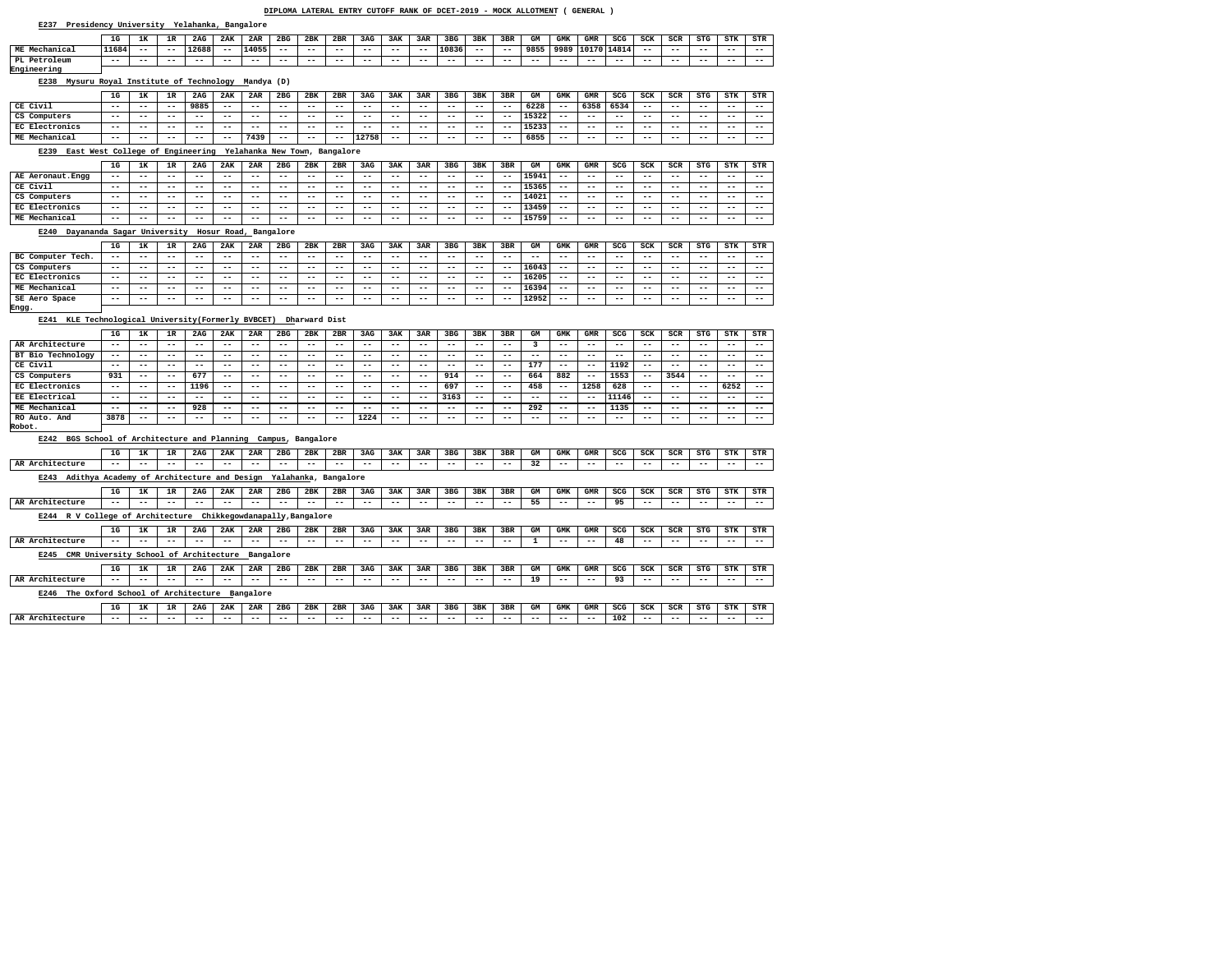## **E237 Presidency University Yelahanka, Bangalore**

#### **E238 Mysuru Royal Institute of Technology Mandya (D)**

#### **E239 East West College of Engineering Yelahanka New Town, Bangalore**

#### **E240 Dayananda Sagar University Hosur Road, Bangalore**

**E241 KLE Technological University(Formerly BVBCET) Dharward Dist**

## **E242 BGS School of Architecture and Planning Campus, Bangalore**

|                   | 1G    | 1ĸ    | 1R    | 2AG   | 2AK   | 2AR   | 2 <sub>BG</sub> | 2BK   | 2BR   | 3AG   | 3AK   | 3AR   | 3 <sub>BG</sub> | 3BK   | 3BR   | GМ    | <b>GMK</b> | <b>GMR</b> | SCG   | SCK   | SCR   | STG   | STK   | STR   |
|-------------------|-------|-------|-------|-------|-------|-------|-----------------|-------|-------|-------|-------|-------|-----------------|-------|-------|-------|------------|------------|-------|-------|-------|-------|-------|-------|
| BC Computer Tech. | $- -$ | $- -$ | $- -$ | $- -$ | $- -$ | $- -$ | $- -$           | $- -$ | $- -$ | $- -$ | $- -$ | $- -$ | $- -$           | $- -$ | $- -$ | $- -$ | $- -$      | $- -$      | $- -$ | $- -$ | $- -$ | $- -$ | $- -$ | $- -$ |
| CS Computers      | $- -$ | $- -$ | $- -$ | $- -$ | $- -$ | $- -$ | $- -$           | $- -$ | $- -$ | $- -$ | $- -$ | $- -$ | $- -$           | $- -$ | $- -$ | 16043 | $- -$      | $- -$      | $- -$ | $- -$ | $- -$ | $- -$ | $- -$ | $- -$ |
| EC Electronics    | $- -$ | $- -$ | $- -$ | $- -$ | $- -$ | $- -$ | $- -$           | $- -$ | $- -$ | $- -$ | $- -$ | $- -$ | $- -$           | $- -$ | $- -$ | 16205 | $- -$      | $- -$      | $- -$ | $- -$ | $- -$ | $- -$ | $- -$ | $- -$ |
| ME Mechanical     | $- -$ | $- -$ | $- -$ | $- -$ | $- -$ | $- -$ | $- -$           | $- -$ | $- -$ | $- -$ | $- -$ | $- -$ | $- -$           | $- -$ | $- -$ | 16394 | $- -$      | $- -$      | $- -$ | $- -$ | $- -$ | $- -$ | $- -$ | $- -$ |
| SE Aero Space     | $- -$ | $- -$ | $- -$ | $- -$ | $- -$ | $- -$ | $- -$           | $- -$ | $- -$ | $- -$ | $- -$ | $- -$ | $- -$           | $- -$ | $- -$ | 12952 | $- -$      | $- -$      | $- -$ | $- -$ | $- -$ | $- -$ | $- -$ | $- -$ |
| Engg.             |       |       |       |       |       |       |                 |       |       |       |       |       |                 |       |       |       |            |            |       |       |       |       |       |       |

|                   | 1G    | 1K    | 1R    | 2AG   | 2AK   | 2AR   | 2 <sub>BG</sub> | 2BK   | 2BR   | 3AG   | 3AK   | 3AR   | 3 <sub>BG</sub> | 3BK   | 3BR   | GМ    | GMK   | GMR   | SCG   | SCK   | SCR   | STG   | STK   | STR   |
|-------------------|-------|-------|-------|-------|-------|-------|-----------------|-------|-------|-------|-------|-------|-----------------|-------|-------|-------|-------|-------|-------|-------|-------|-------|-------|-------|
| AR Architecture   | $- -$ | $- -$ | $- -$ | $- -$ | $- -$ | $- -$ | $- -$           | $- -$ | $- -$ | $- -$ | $- -$ | $- -$ | $- -$           | $- -$ | $- -$ |       | $- -$ | $- -$ | $- -$ | $- -$ | $- -$ | $- -$ | $- -$ | $- -$ |
| BT Bio Technology | $- -$ | $- -$ | $- -$ | $- -$ | $- -$ | $- -$ | $- -$           | $- -$ | $- -$ | $- -$ | $- -$ | $- -$ | $- -$           | $- -$ | $- -$ | $- -$ | $- -$ | $- -$ | $- -$ | $- -$ | $- -$ | $- -$ | $- -$ | --    |
| CE Civil          | $- -$ | $- -$ | $- -$ | $- -$ | $- -$ | $- -$ | $- -$           | $- -$ | $- -$ | $- -$ | $- -$ | $- -$ | $- -$           | $- -$ | $- -$ | 177   | $- -$ | $- -$ | 1192  | $- -$ | $- -$ | $- -$ | $- -$ | $- -$ |
| CS Computers      | 931   | $- -$ | $- -$ | 677   | $- -$ | $- -$ | $- -$           | $- -$ | $- -$ | $- -$ | $- -$ | $- -$ | 914             | $- -$ | $- -$ | 664   | 882   | $- -$ | 1553  | $- -$ | 3544  | $- -$ | $- -$ | $- -$ |
| EC Electronics    | $- -$ | $- -$ | $- -$ | 1196  | $- -$ | $- -$ | $- -$           | $- -$ | $- -$ | $- -$ | $- -$ | $- -$ | 697             | $- -$ | $- -$ | 458   | $- -$ | 1258  | 628   | $- -$ | $- -$ | $- -$ | 6252  | $- -$ |
| EE Electrical     | $- -$ | $- -$ | $- -$ | $- -$ | $- -$ | $- -$ | $- -$           | $- -$ | $- -$ | $- -$ | $- -$ | $- -$ | 3163            | $- -$ | $- -$ | $- -$ | $- -$ | $- -$ | 11146 | $- -$ | $- -$ | $- -$ | $- -$ | $- -$ |
| ME Mechanical     | $- -$ | $- -$ | $- -$ | 928   | $- -$ | $- -$ | $- -$           | $- -$ | $- -$ | $- -$ | $- -$ | $- -$ | $- -$           | $- -$ | $- -$ | 292   | $- -$ | $- -$ | 1135  | $- -$ | $- -$ | $- -$ | $- -$ | $- -$ |
| RO Auto. And      | 3878  | $- -$ | $- -$ | $- -$ | $- -$ | $- -$ | $- -$           | $- -$ | $- -$ | 1224  | $- -$ | $- -$ | $- -$           | $- -$ | $- -$ | $- -$ | $- -$ | $- -$ | $- -$ | $- -$ | $- -$ | $- -$ | $- -$ | $- -$ |
| Robot.            |       |       |       |       |       |       |                 |       |       |       |       |       |                 |       |       |       |       |       |       |       |       |       |       |       |

|               | 1G    | --<br>∸⊷ | ∸    | 2AG   | 2AK   | 2AR   | 2 <sub>BG</sub> | 2BK   | 2BR   | 3AG   | 3AK   | 3AR   | 3 <sub>BG</sub> | 3BK   | 3BR  | GМ    | GMK   | CMC         | SCG   | SCK   | <b>COD</b> | STG   | STK   | STR   |
|---------------|-------|----------|------|-------|-------|-------|-----------------|-------|-------|-------|-------|-------|-----------------|-------|------|-------|-------|-------------|-------|-------|------------|-------|-------|-------|
| ME Mechanical | 11684 | $- -$    | ---  | 12688 | $- -$ | 14055 | $ -$            | $- -$ | $- -$ | $- -$ | $- -$ | $- -$ | 10836           | $- -$ | ---  | 9855  | 9989  | 10170114814 |       | $- -$ | $- -$      | $- -$ | $- -$ | $- -$ |
| PL Petroleum  | $- -$ | $- -$    | $ -$ | $- -$ | $- -$ | $- -$ | $- -$           | $- -$ | $- -$ | $- -$ | $- -$ | $- -$ | $- -$           | $- -$ | $ -$ | $- -$ | $- -$ | ---         | $- -$ | $- -$ | $- -$      | $- -$ | $- -$ | $- -$ |
| Engineering   |       |          |      |       |       |       |                 |       |       |       |       |       |                 |       |      |       |       |             |       |       |            |       |       |       |

|                | 1G    | <b>175</b> | 1R    | 2AG   | 2AK   | 2AR   | 2 <sub>BG</sub> | 2BK   | 2BR   | 3AG   | 3AK   | 3AR   | 3 <sub>BG</sub> | 3BK   | 3BR   | GМ    | GMK   | <b>GMR</b> | SCG   | SCK   | SCR   | <b>STG</b> | STK   | STR   |
|----------------|-------|------------|-------|-------|-------|-------|-----------------|-------|-------|-------|-------|-------|-----------------|-------|-------|-------|-------|------------|-------|-------|-------|------------|-------|-------|
| CE Civil       | $- -$ | $- -$      | $- -$ | 9885  | $- -$ | $- -$ | $- -$           | $- -$ | $- -$ | $- -$ | $- -$ | $- -$ | $- -$           | $- -$ | $- -$ | 6228  | $- -$ | 6358       | 6534  | $- -$ | $- -$ | $- -$      | $- -$ | $- -$ |
| CS Computers   | $- -$ | $- -$      | $- -$ | $- -$ | $- -$ | $- -$ | $- -$           | $- -$ | $- -$ | $- -$ | $- -$ | $- -$ | $- -$           | $- -$ | $- -$ | 15322 | $- -$ | $- -$      | $- -$ | $- -$ | $- -$ | $- -$      | $- -$ | $- -$ |
| EC Electronics | $- -$ | $- -$      | $- -$ | $- -$ | $- -$ | $- -$ | $- -$           | $- -$ | $- -$ | $- -$ | $- -$ | $- -$ | $- -$           | $- -$ | $- -$ | 15233 | $- -$ | $- -$      | $- -$ | $- -$ | $- -$ | $- -$      | $- -$ | $- -$ |
| ME Mechanical  | $- -$ | $- -$      | $- -$ | $- -$ | $- -$ | 7439  | $- -$           | $- -$ | $- -$ | 12758 | $- -$ | $- -$ | $- -$           | $- -$ | $- -$ | 6855  | $- -$ | $- -$      | $- -$ | $- -$ | $- -$ | $- -$      | $- -$ | $- -$ |

|                   | 1G    | 1ĸ    | 1R    | 2AG   | 2AK   | 2AR   | 2 <sub>BG</sub> | 2BK   | 2BR   | 3AG   | 3AK   | 3AR   | 3 <sub>BG</sub> | 3BK   | 3BR   | GМ    | GMK   | GMR   | SCG   | SCK   | SCR   | STG   | STK   | STR   |
|-------------------|-------|-------|-------|-------|-------|-------|-----------------|-------|-------|-------|-------|-------|-----------------|-------|-------|-------|-------|-------|-------|-------|-------|-------|-------|-------|
| AE Aeronaut. Engg | $- -$ | $- -$ | $- -$ | $- -$ | $- -$ | $- -$ | $- -$           | $- -$ | $- -$ | $- -$ | $- -$ | $- -$ | --              | $- -$ | $- -$ | 15941 | $- -$ | $- -$ | $- -$ | $- -$ | $- -$ | $- -$ | $- -$ | $- -$ |
| CE Civil          | $- -$ | $- -$ | $- -$ | $- -$ | $- -$ | $- -$ | $- -$           | $- -$ | $- -$ | $- -$ | $- -$ | $- -$ | $- -$           | $- -$ | $- -$ | 15365 | $- -$ | $- -$ | $- -$ | $- -$ | $- -$ | $- -$ | $- -$ | $- -$ |
| CS Computers      | $- -$ | $- -$ | $- -$ | $- -$ | $- -$ | $- -$ | $- -$           | $- -$ | $- -$ | $- -$ | $- -$ | $- -$ | --              | $- -$ | $- -$ | 14021 | $- -$ | $- -$ | $- -$ | $- -$ | $- -$ | $- -$ | $- -$ | $- -$ |
| EC Electronics    | $- -$ | $- -$ | $- -$ | $- -$ | $- -$ | $- -$ | $- -$           | $- -$ | $- -$ | $- -$ | $- -$ | $- -$ | --              | $- -$ | $- -$ | 13459 | $- -$ | $- -$ | $- -$ | $- -$ | $- -$ | $- -$ | $- -$ | $- -$ |
| ME Mechanical     | $- -$ | $- -$ | $- -$ | $- -$ | $- -$ | $- -$ | $- -$           | $- -$ | $- -$ | $- -$ | $- -$ | $- -$ | $- -$           | $- -$ | $- -$ | 15759 | $- -$ | $- -$ | $- -$ | $- -$ | $- -$ | $- -$ | $- -$ | $- -$ |

|                                                    | 1G    | 1K    | 1R    | 2AG   | 2AK                           | 2AR       | 2 <sub>BG</sub> | 2BK   | 2BR                  | 3AG   | 3AK   | 3AR   | 3 <sub>BG</sub> | 3BK   | 3BR   | GМ    | <b>GMK</b> | GMR        | SCG   | SCK   | SCR   | <b>STG</b> | STK   | STR   |
|----------------------------------------------------|-------|-------|-------|-------|-------------------------------|-----------|-----------------|-------|----------------------|-------|-------|-------|-----------------|-------|-------|-------|------------|------------|-------|-------|-------|------------|-------|-------|
| AR Architecture                                    | $- -$ | $- -$ | $- -$ | $- -$ | $- -$                         | $- -$     | $- -$           | $- -$ | $- -$                | $- -$ | $- -$ | $- -$ | $- -$           | $- -$ | $- -$ | 32    | $- -$      | $- -$      | $- -$ | $- -$ | $- -$ | $- -$      | $- -$ | $- -$ |
| Adithya Academy of Architecture and Design<br>E243 |       |       |       |       |                               |           |                 |       | Yalahanka, Bangalore |       |       |       |                 |       |       |       |            |            |       |       |       |            |       |       |
|                                                    | 1G    | 1ĸ    | 1R    | 2AG   | 2AK                           | 2AR       | 2 <sub>BG</sub> | 2BK   | 2BR                  | 3AG   | 3AK   | 3AR   | 3 <sub>BG</sub> | 3BK   | 3BR   | GМ    | GMK        | GMR        | SCG   | SCK   | SCR   | <b>STG</b> | STK   | STR   |
| AR Architecture                                    | $- -$ | $- -$ | $- -$ | $- -$ | $- -$                         | $- -$     | $- -$           | $- -$ | $- -$                | $- -$ | $- -$ | $- -$ | $- -$           | $- -$ | $- -$ | 55    | $- -$      | $- -$      | 95    | $- -$ | $- -$ | $- -$      | $- -$ | $- -$ |
| E244 R V College of Architecture                   |       |       |       |       | Chikkegowdanapally, Bangalore |           |                 |       |                      |       |       |       |                 |       |       |       |            |            |       |       |       |            |       |       |
|                                                    | 1G    | 1ĸ    | 1R    | 2AG   | 2AK                           | 2AR       | 2 <sub>BG</sub> | 2BK   | 2BR                  | 3AG   | 3AK   | 3AR   | 3 <sub>BG</sub> | 3BK   | 3BR   | GМ    | <b>GMK</b> | <b>GMR</b> | SCG   | SCK   | SCR   | <b>STG</b> | STK   | STR   |
| AR Architecture                                    | $- -$ | $- -$ | $- -$ | $- -$ | $- -$                         | $- -$     | $- -$           | $- -$ | $- -$                | $- -$ | $- -$ | $- -$ | $- -$           | $- -$ | $- -$ |       | $- -$      | $- -$      | 48    | $- -$ | $- -$ | $- -$      | $- -$ | $- -$ |
| CMR University School of Architecture<br>E245      |       |       |       |       |                               | Bangalore |                 |       |                      |       |       |       |                 |       |       |       |            |            |       |       |       |            |       |       |
|                                                    | 1G    | 1ĸ    | 1R    | 2AG   | 2AK                           | 2AR       | 2 <sub>BG</sub> | 2BK   | 2BR                  | 3AG   | 3AK   | 3AR   | 3 <sub>BG</sub> | 3BK   | 3BR   | GМ    | <b>GMK</b> | GMR        | SCG   | SCK   | SCR   | STG        | STK   | STR   |
| AR Architecture                                    | $- -$ | $- -$ | $- -$ | $- -$ | $- -$                         | $- -$     | $- -$           | $- -$ | $- -$                | --    | $- -$ | $- -$ | $- -$           | $- -$ | $- -$ | 19    | $- -$      | $- -$      | 93    | $- -$ | $- -$ | $- -$      | $- -$ | $- -$ |
| The Oxford School of Architecture<br>E246          |       |       |       |       |                               | Bangalore |                 |       |                      |       |       |       |                 |       |       |       |            |            |       |       |       |            |       |       |
|                                                    | 1G    | 1ĸ    | 1R    | 2AG   | 2AK                           | 2AR       | 2 <sub>BG</sub> | 2BK   | 2BR                  | 3AG   | 3AK   | 3AR   | 3 <sub>BG</sub> | 3BK   | 3BR   | GМ    | GMK        | GMR        | SCG   | SCK   | SCR   | STG        | STK   | STR   |
| AR Architecture                                    | $- -$ | $- -$ | $- -$ | $- -$ | $- -$                         | $- -$     | $ -$            | --    | --                   | --    | $- -$ | $- -$ | $- -$           | $- -$ | $- -$ | $- -$ | $- -$      | $- -$      | 102   | $- -$ | --    | $- -$      | $- -$ | $- -$ |
|                                                    |       |       |       |       |                               |           |                 |       |                      |       |       |       |                 |       |       |       |            |            |       |       |       |            |       |       |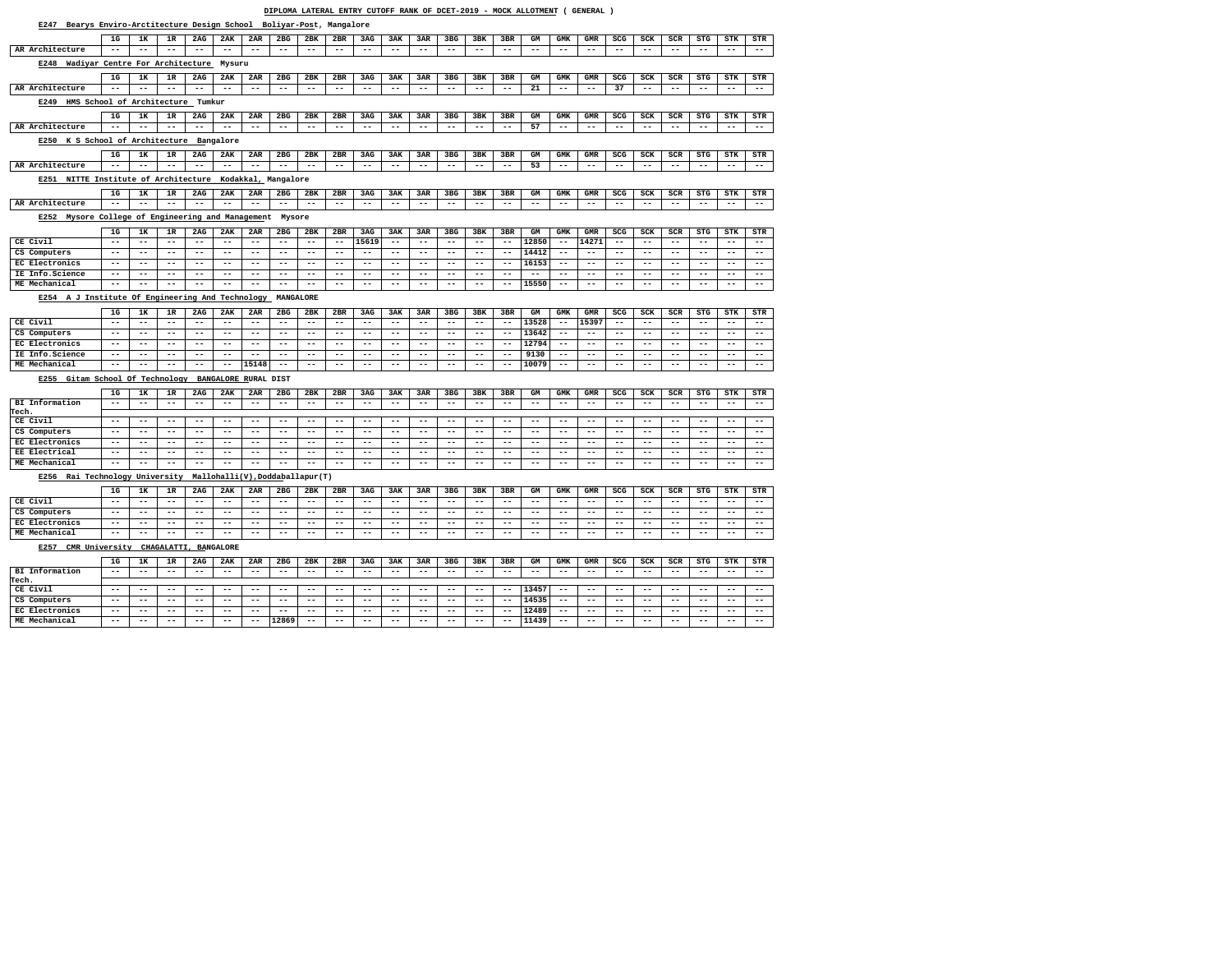#### **E247 Bearys Enviro-Arctitecture Design School Boliyar-Post, Mangalore**

|                                                      | 1G                | 1K             | 1R                | 2AG                   | 2AK                             | 2AR               | 2 <sub>BG</sub>            | 2BK               | 2BR                        | 3AG               | 3AK               | 3AR                      | 3 <sub>BG</sub>   | 3BK                        | 3BR                        | GM    | <b>GMK</b>        | <b>GMR</b>               | SCG               | SCK                      | <b>SCR</b>                 | <b>STG</b>                 | <b>STK</b>        | <b>STR</b>               |
|------------------------------------------------------|-------------------|----------------|-------------------|-----------------------|---------------------------------|-------------------|----------------------------|-------------------|----------------------------|-------------------|-------------------|--------------------------|-------------------|----------------------------|----------------------------|-------|-------------------|--------------------------|-------------------|--------------------------|----------------------------|----------------------------|-------------------|--------------------------|
| AR Architecture                                      | $- -$             | $- -$          | $- -$             | $- -$                 | $- -$                           | $- -$             | $\overline{\phantom{m}}$ . | $\qquad \qquad -$ | $- -$                      | $ -$              | $- -$             | $\qquad \qquad -$        | $- -$             | $ -$                       | $\overline{\phantom{m}}$ . | $ -$  | $\qquad \qquad -$ | $- -$                    | $\qquad \qquad -$ | $- -$                    | $- -$                      | $\overline{\phantom{m}}$ . | $\qquad \qquad -$ | $- -$                    |
| E248<br>Wadiyar Centre For Architecture              |                   |                |                   |                       | Mysuru                          |                   |                            |                   |                            |                   |                   |                          |                   |                            |                            |       |                   |                          |                   |                          |                            |                            |                   |                          |
|                                                      | 1G                | 1ĸ             | 1R                | 2AG                   | 2AK                             | 2AR               | 2BG                        | 2BK               | 2BR                        | 3AG               | 3AK               | 3AR                      | 3 <sub>BG</sub>   | 3BK                        | 3BR                        | GМ    | GMK               | <b>GMR</b>               | SCG               | SCK                      | SCR                        | <b>STG</b>                 | STK               | STR                      |
| AR Architecture                                      | $- -$             | $- -$          | $ -$              | $- -$                 | $\qquad \qquad -$               | $- -$             | $\overline{\phantom{m}}$ . | $- -$             | $- -$                      | $- -$             | $- -$             | $\qquad \qquad -$        | $- -$             | $- -$                      | $\overline{\phantom{m}}$   | 21    | $\qquad \qquad -$ | $\qquad \qquad -$        | 37                | $\overline{\phantom{m}}$ | $- -$                      | $\overline{\phantom{m}}$   | $\qquad \qquad -$ | $- -$                    |
| E249 HMS School of Architecture Tumkur               |                   |                |                   |                       |                                 |                   |                            |                   |                            |                   |                   |                          |                   |                            |                            |       |                   |                          |                   |                          |                            |                            |                   |                          |
|                                                      |                   |                |                   |                       |                                 |                   |                            |                   |                            |                   |                   |                          |                   |                            |                            |       |                   |                          |                   |                          |                            |                            |                   |                          |
|                                                      | 1G                | 1K             | 1R                | 2AG                   | 2AK                             | 2AR               | 2 <sub>BG</sub>            | 2BK               | 2BR                        | 3AG               | 3AK               | 3AR                      | 3 <sub>BG</sub>   | 3BK                        | 3BR                        | GM    | GMK               | <b>GMR</b>               | SCG               | SCK                      | SCR                        | <b>STG</b>                 | STK               | STR                      |
| AR Architecture                                      | $\qquad \qquad -$ | $- -$          | $- -$             | $- -$                 | $ -$                            | $- -$             | $\overline{\phantom{m}}$ . | $- -$             | $- -$                      | $- -$             | $- -$             | $- -$                    | $- -$             | $- -$                      | $ -$                       | 57    | $- -$             | $\qquad \qquad -$        | $\qquad \qquad -$ | $\qquad \qquad -$        | $- -$                      | $\overline{\phantom{m}}$ . | $ -$              | $- -$                    |
| E250 K S School of Architecture                      |                   |                |                   |                       | Bangalore                       |                   |                            |                   |                            |                   |                   |                          |                   |                            |                            |       |                   |                          |                   |                          |                            |                            |                   |                          |
|                                                      | 1G                | 1ĸ             | 1R                | 2AG                   | 2AK                             | 2AR               | 2 <sub>BG</sub>            | 2BK               | 2BR                        | 3AG               | 3AK               | 3AR                      | 3 <sub>BG</sub>   | 3BK                        | 3BR                        | GM    | GMK               | <b>GMR</b>               | SCG               | SCK                      | <b>SCR</b>                 | <b>STG</b>                 | STK               | STR                      |
| AR Architecture                                      | $\qquad \qquad -$ | $- -$          | $- -$             | $- -$                 | $- -$                           | $- -$             | $\overline{\phantom{m}}$ . | $\qquad \qquad -$ | $- -$                      | $- -$             | $- -$             | $- -$                    | $- -$             | $- -$                      | $\overline{\phantom{m}}$ . | 53    | $- -$             | $- -$                    | $- -$             | $- -$                    | $- -$                      | $- -$                      | $\qquad \qquad -$ | $- -$                    |
| E251 NITTE Institute of Architecture                 |                   |                |                   |                       |                                 |                   | Kodakkal, Mangalore        |                   |                            |                   |                   |                          |                   |                            |                            |       |                   |                          |                   |                          |                            |                            |                   |                          |
|                                                      |                   |                |                   |                       |                                 |                   |                            |                   |                            |                   |                   |                          |                   |                            |                            |       |                   |                          |                   |                          |                            |                            |                   |                          |
|                                                      | 1G                | 1K             | 1R                | 2AG                   | 2AK                             | 2AR               | 2 <sub>BG</sub>            | 2BK               | 2BR                        | 3AG               | 3AK               | 3AR                      | 3 <sub>BG</sub>   | 3BK                        | 3BR                        | GМ    | GMK               | GMR                      | SCG               | SCK                      | SCR                        | <b>STG</b>                 | STK               | STR                      |
| AR Architecture                                      | $\qquad \qquad -$ | $- -$          | $- -$             | $- -$                 | $- -$                           | $- -$             | $\qquad \qquad -$          | $\qquad \qquad -$ | $- -$                      | $\qquad \qquad -$ | $- -$             | $ -$                     | $\qquad \qquad -$ | $\overline{\phantom{m}}$   | $\qquad \qquad -$          | $ -$  | $- -$             | $\qquad \qquad -$        | $\qquad \qquad -$ | $\qquad \qquad -$        | $\qquad \qquad -$          | $- -$                      | $ -$              | $- -$                    |
| Mysore College of Engineering and Management<br>E252 |                   |                |                   |                       |                                 |                   | Mysore                     |                   |                            |                   |                   |                          |                   |                            |                            |       |                   |                          |                   |                          |                            |                            |                   |                          |
|                                                      | 1G                | 1ĸ             | 1R                | 2AG                   | 2AK                             | 2AR               | 2BG                        | 2BK               | 2BR                        | 3AG               | 3AK               | 3AR                      | 3 <sub>BG</sub>   | 3BK                        | 3BR                        | GМ    | GMK               | <b>GMR</b>               | SCG               | SCK                      | SCR                        | <b>STG</b>                 | STK               | STR                      |
| CE Civil                                             | $- -$             | $- -$          | $- -$             | $- -$                 | $- -$                           | $- -$             | $- -$                      | $- -$             | $\overline{\phantom{m}}$   | 15619             | $- -$             | $- -$                    | $- -$             | $- -$                      | $ -$                       | 12850 | $\qquad \qquad -$ | 14271                    | $- -$             | $- -$                    | $- -$                      | --                         | $- -$             | $\qquad \qquad -$        |
| CS Computers                                         | $- -$             | $- -$          | $- -$             | $- -$                 | $- -$                           | $- -$             | $- -$                      | $- -$             | $- -$                      | $- -$             | $- -$             | $- -$                    | $- -$             | $- -$                      | $\overline{\phantom{m}}$ . | 14412 | $- -$             | $- -$                    | $- -$             | $- -$                    | $- -$                      | $\qquad \qquad -$          | $- -$             | $\qquad \qquad -$        |
| EC Electronics                                       | $- -$             | $- -$          | $- -$             | $- -$                 | $- -$                           | $- -$             | $- -$                      | $- -$             | $- -$                      | $\qquad \qquad -$ | $- -$             | $- -$                    | $- -$             | $\overline{\phantom{m}}$   | $ -$                       | 16153 | $- -$             | $- -$                    | $- -$             | $\qquad \qquad -$        | $- -$                      | $- -$                      | $- -$             | $\qquad \qquad -$        |
| IE Info.Science                                      | $- -$             | $- -$          | $- -$             | $- -$                 | $- -$                           | $- -$             | $- -$                      | $- -$             | $- -$                      | $- -$             | $- -$             | $- -$                    | $- -$             | $- -$                      | $- -$                      | $- -$ | $- -$             | $- -$                    | $- -$             | $- -$                    | $- -$                      | $- -$                      | $- -$             | $\qquad \qquad -$        |
| ME Mechanical                                        | $\qquad \qquad -$ | $- -$          | $- -$             | $- -$                 | $- -$                           | $- -$             | $- -$                      | $- -$             | $- -$                      | $ -$              | $- -$             | $- -$                    | $- -$             | $- -$                      | $ -$                       | 15550 | $- -$             | $- -$                    | --                | $- -$                    | --                         | $- -$                      | $- -$             | $\qquad \qquad -$        |
| E254 A J Institute Of Engineering And Technology     |                   |                |                   |                       |                                 |                   | <b>MANGALORE</b>           |                   |                            |                   |                   |                          |                   |                            |                            |       |                   |                          |                   |                          |                            |                            |                   |                          |
|                                                      | 1G                | 1ĸ             | 1R                | 2AG                   | 2AK                             | 2AR               | 2 <sub>BG</sub>            | 2BK               | 2BR                        | 3AG               | 3AK               | 3AR                      | 3 <sub>BG</sub>   | 3BK                        | 3BR                        | GМ    | GMK               | <b>GMR</b>               | SCG               | SCK                      | SCR                        | <b>STG</b>                 | <b>STK</b>        | STR                      |
| CE Civil                                             | $- -$             | $- -$          | $- -$             | $- -$                 | $- -$                           | $- -$             | $- -$                      | $- -$             | $- -$                      | $- -$             | $- -$             | $- -$                    | $- -$             | $- -$                      | $- -$                      | 13528 | $- -$             | 15397                    | $- -$             | $- -$                    | $- -$                      | $- -$                      | $\qquad \qquad -$ | $\qquad \qquad -$        |
| CS Computers                                         | $- -$             | $- -$          | $ -$              | $- -$                 | $- -$                           | $- -$             | $- -$                      | $\qquad \qquad -$ | $- -$                      | $- -$             | $- -$             | $- -$                    | $- -$             | $- -$                      | $\overline{\phantom{m}}$ . | 13642 | $- -$             | $- -$                    | $- -$             | $- -$                    | $- -$                      | $- -$                      | $- -$             | $- -$                    |
| EC Electronics                                       | $- -$             | $- -$          | $- -$             | $- -$                 | $- -$                           | $- -$             | $\overline{\phantom{m}}$   | $- -$             | $- -$                      | $\qquad \qquad -$ | $- -$             | $- -$                    | $- -$             | $\overline{\phantom{m}}$   | $- -$                      | 12794 | $- -$             | $- -$                    | $- -$             | $\qquad \qquad -$        | $- -$                      | $- -$                      | --                | $\qquad \qquad -$        |
| IE Info.Science                                      | $- -$             | $- -$          | $- -$             | $- -$                 | $- -$                           | $- -$             | $- -$                      | $- -$             | $- -$                      | $- -$             | $- -$             | $- -$                    | $- -$             | $- -$                      | $- -$                      | 9130  | $- -$             | $- -$                    | --                | $- -$                    | --                         | $- -$                      | $- -$             | $\qquad \qquad -$        |
| ME Mechanical                                        | $- -$             |                | $ -$              | $\qquad \qquad -$     | $- -$                           | 15148             | $- -$                      | $- -$             | $- -$                      | $ -$              | $- -$             | $\qquad \qquad -$        | $- -$             | $- -$                      | $- -$                      | 10079 | $ -$              | $- -$                    | $- -$             | $- -$                    | --                         | $- -$                      | --                | $- -$                    |
| Gitam School Of Technology<br>E255                   |                   |                |                   |                       | <b>BANGALORE RURAL DIST</b>     |                   |                            |                   |                            |                   |                   |                          |                   |                            |                            |       |                   |                          |                   |                          |                            |                            |                   |                          |
|                                                      |                   |                |                   |                       |                                 |                   |                            |                   |                            |                   |                   |                          |                   |                            |                            |       |                   |                          |                   |                          |                            |                            |                   |                          |
|                                                      | 1G                | 1ĸ             | 1R                | 2AG                   | 2AK                             | 2AR               | 2 <sub>BG</sub>            | 2BK               | 2BR                        | 3AG               | 3AK               | 3AR                      | 3 <sub>BG</sub>   | 3BK                        | 3BR                        | GМ    | GMK               | <b>GMR</b>               | SCG               | SCK                      | SCR                        | <b>STG</b>                 | STK               | STR                      |
| BI Information<br>Tech.                              | $\qquad \qquad -$ | $- -$          | $- -$             | $- -$                 | $- -$                           | $- -$             | $\qquad \qquad -$          | $- -$             | $- -$                      | $- -$             | $ -$              | $- -$                    | $- -$             | $\qquad \qquad -$          | $ -$                       | $- -$ | $- -$             | $ -$                     | $ -$              | $- -$                    | $- -$                      | $- -$                      | $\qquad \qquad -$ | $ -$                     |
| CE Civil                                             | $ -$              | $- -$          | $- -$             | $- -$                 | $ -$                            | $- -$             | $\overline{\phantom{m}}$ . | $\qquad \qquad -$ | $- -$                      | $- -$             | $- -$             | $ -$                     | $- -$             | $- -$                      | $ -$                       | $ -$  | $- -$             | $\qquad \qquad -$        | $- -$             | $\qquad \qquad -$        | $- -$                      | $\qquad \qquad -$          | $- -$             | $ -$                     |
| CS Computers                                         | $\qquad \qquad -$ | $- -$          | $\qquad \qquad -$ | $ -$                  | $- -$                           | $- -$             | $\overline{\phantom{m}}$ . | $\qquad \qquad -$ | $- -$                      | $- -$             | $- -$             | $ -$                     | $- -$             | $\overline{\phantom{m}}$ . | $\overline{\phantom{m}}$ . | $ -$  | $- -$             | $- -$                    | $- -$             | $- -$                    | $- -$                      | $- -$                      | $- -$             | $- -$                    |
| EC Electronics                                       | $ -$              | $- -$          | $ -$              | $ -$                  | $ -$                            | $\qquad \qquad -$ | $- -$                      | $- -$             | $\overline{\phantom{m}}$ . | $\qquad \qquad -$ | $- -$             | $\qquad \qquad -$        | $\qquad \qquad -$ | $\overline{\phantom{m}}$   | $\overline{\phantom{m}}$   | $ -$  | $\qquad \qquad -$ | $\qquad \qquad -$        | $- -$             | $\overline{\phantom{m}}$ | $- -$                      | $\qquad \qquad -$          | $- -$             | $ -$                     |
| EE Electrical                                        | $- -$             | $- -$          | $- -$             | $ -$                  | $ -$                            | $- -$             | $\overline{\phantom{m}}$ . | $\qquad \qquad -$ | $- -$                      | $- -$             | $- -$             | $ -$                     | $\qquad \qquad -$ | $- -$                      | $- -$                      | $ -$  | $\qquad \qquad -$ | $- -$                    | $- -$             | $- -$                    | $- -$                      | $\qquad \qquad -$          | $- -$             | $\qquad \qquad -$        |
| ME Mechanical                                        | $- -$             | $- -$          | $- -$             | $- -$                 | $ -$                            | $- -$             | $\overline{\phantom{m}}$ . | $\qquad \qquad -$ | $- -$                      | $- -$             | $- -$             | $- -$                    | $- -$             | $- -$                      | $ -$                       | $ -$  | $\qquad \qquad -$ | $\qquad \qquad -$        | $\qquad \qquad -$ | $\qquad \qquad -$        | $- -$                      | $ -$                       | $\qquad \qquad -$ | $- -$                    |
| E256 Rai Technology University                       |                   |                |                   |                       | Mallohalli(V), Doddaballapur(T) |                   |                            |                   |                            |                   |                   |                          |                   |                            |                            |       |                   |                          |                   |                          |                            |                            |                   |                          |
|                                                      |                   |                |                   |                       |                                 |                   |                            |                   |                            |                   |                   |                          |                   |                            |                            |       |                   |                          |                   |                          |                            |                            |                   |                          |
|                                                      | 1G                | 1ĸ             | 1R                | 2AG                   | 2AK                             | 2AR               | 2 <sub>BG</sub>            | 2BK               | 2BR                        | 3AG               | 3AK               | 3AR                      | 3 <sub>BG</sub>   | 3BK                        | 3BR                        | GМ    | GMK               | ${\tt GMR}$              | SCG               | SCK                      | <b>SCR</b>                 | <b>STG</b>                 | <b>STK</b>        | <b>STR</b>               |
| CE Civil                                             | $- -$             | $- -$          | $- -$             | $ -$                  | $- -$                           | $- -$             | $\qquad \qquad -$          | $\qquad \qquad -$ | $- -$                      | $- -$             | $- -$             | $ -$                     | $- -$             | $ -$                       | $\overline{\phantom{m}}$ . | $ -$  | $\qquad \qquad -$ | $- -$                    | $\qquad \qquad -$ | $\qquad \qquad -$        | $- -$                      | $\overline{\phantom{m}}$ . | $\qquad \qquad -$ | $ -$                     |
| CS Computers<br>EC Electronics                       | $ -$              | $- -$          | $- -$             | $- -$                 | $- -$                           | $- -$             | $\overline{\phantom{m}}$ . | $\qquad \qquad -$ | $- -$                      | $- -$             | $- -$             | $\overline{\phantom{m}}$ | $- -$             | $ -$                       | $\overline{\phantom{m}}$ . | $ -$  | $- -$             | $- -$                    | $- -$             | $- -$                    | $- -$                      | $\qquad \qquad -$          | $- -$             | $\qquad \qquad -$        |
| ME Mechanical                                        | $- -$<br>$- -$    | $- -$<br>$- -$ | $ -$              | $- -$                 | $ -$                            | $- -$<br>$ -$     | $- -$<br>$- -$             | $\qquad \qquad -$ | $- -$                      | $- -$             | $- -$             | $- -$                    | $- -$             | $- -$                      | $- -$                      | $- -$ | $- -$             | $- -$                    | $- -$<br>$- -$    | $- -$                    | $- -$<br>$\qquad \qquad -$ | $\qquad \qquad -$<br>$- -$ | $- -$             | $ -$                     |
|                                                      |                   |                | $- -$             | $- -$                 | $ -$                            |                   |                            | $\qquad \qquad -$ | $- -$                      | $- -$             | $- -$             | $ -$                     | $- -$             | $- -$                      | $\overline{\phantom{m}}$ . | $ -$  | $- -$             | $- -$                    |                   | $\qquad \qquad -$        |                            |                            | $\qquad \qquad -$ | $- -$                    |
| CMR University<br>E257                               |                   |                |                   | CHAGALATTI, BANGALORE |                                 |                   |                            |                   |                            |                   |                   |                          |                   |                            |                            |       |                   |                          |                   |                          |                            |                            |                   |                          |
|                                                      | 1G                | 1K             | 1R                | 2AG                   | 2AK                             | 2AR               | 2 <sub>BG</sub>            | 2BK               | 2BR                        | 3AG               | 3AK               | 3AR                      | 3 <sub>BG</sub>   | 3BK                        | 3BR                        | GМ    | GMK               | GMR                      | SCG               | SCK                      | SCR                        | <b>STG</b>                 | STK               | STR                      |
| BI Information                                       | $- -$             | $- -$          | $- -$             | $- -$                 | $- -$                           | $- -$             | $\qquad \qquad -$          | $\qquad \qquad -$ | $- -$                      | $- -$             | $\qquad \qquad -$ | $- -$                    | $- -$             | $\qquad \qquad -$          | $\overline{\phantom{m}}$ . | $- -$ | $- -$             | $ -$                     | $\qquad \qquad -$ | $\qquad \qquad -$        | $- -$                      | $\overline{\phantom{m}}$ . | $- -$             | $- -$                    |
| <b>Tech.</b>                                         |                   |                |                   |                       |                                 |                   |                            |                   |                            |                   |                   |                          |                   |                            |                            |       |                   |                          |                   |                          |                            |                            |                   |                          |
| CE Civil                                             | $ -$              | $- -$          | $- -$             | $- -$                 | $ -$                            | $ -$              | $- -$                      | $- -$             | $- -$                      | $- -$             | $ -$              | $- -$                    | $- -$             | $- -$                      | $ -$                       | 13457 | $- -$             | $ -$                     | $- -$             | $\frac{1}{2}$            | $- -$                      | $- -$                      | $- -$             | $\overline{\phantom{m}}$ |
| CS Computers                                         | $- -$             | $- -$          | $ -$              | $- -$                 | $- -$                           | $- -$             | $- -$                      | $\qquad \qquad -$ | $- -$                      | $\qquad \qquad -$ | $- -$             | $ -$                     | $\qquad \qquad -$ | $ -$                       | $ -$                       | 14535 | $- -$             | $\qquad \qquad -$        | $\qquad \qquad -$ | $\qquad \qquad -$        | $- -$                      | $\qquad \qquad -$          | $\qquad \qquad -$ | $ -$                     |
| EC Electronics                                       | $ -$              | $- -$          | $- -$             | $- -$                 | $- -$                           | $- -$             | $- -$                      | $- -$             | $- -$                      | $\qquad \qquad -$ | $- -$             | $\overline{\phantom{m}}$ | $- -$             | $\overline{\phantom{m}}$ . | $ -$                       | 12489 | $- -$             | $\overline{\phantom{m}}$ | $\qquad \qquad -$ | $- -$                    | $- -$                      | $\qquad \qquad -$          | $- -$             | $ -$                     |
| ME Mechanical                                        | $\qquad \qquad -$ | $- -$          | $ -$              | $- -$                 | $- -$                           | $- -$             | 12869                      | $\qquad \qquad -$ | $- -$                      | $- -$             | $- -$             | $- -$                    | $- -$             | $\overline{\phantom{m}}$   | $ -$                       | 11439 | $ -$              | $\qquad \qquad -$        | $- -$             | $- -$                    | $- -$                      | $- -$                      | $\qquad \qquad -$ | $- -$                    |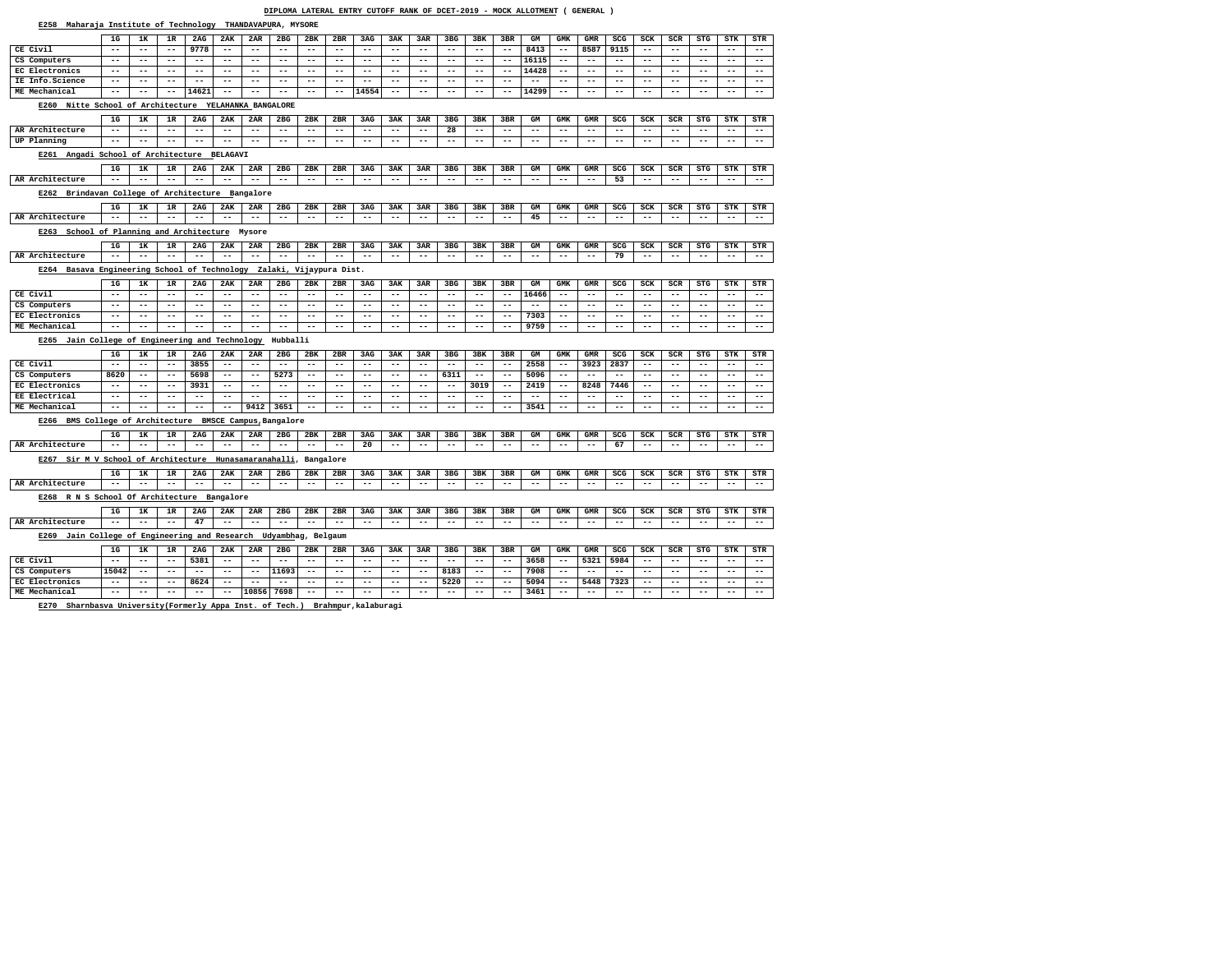**E270 Sharnbasva University(Formerly Appa Inst. of Tech.) Brahmpur,kalaburagi**

| Maharaja Institute of Technology<br>E258                                     |                            |             |                          |             |                            | THANDAVAPURA, MYSORE       |                          |                          |                          |                   |                            |                            |                          |                   |                   |                            |                     |                            |                   |                          |             |                     |                   |                             |
|------------------------------------------------------------------------------|----------------------------|-------------|--------------------------|-------------|----------------------------|----------------------------|--------------------------|--------------------------|--------------------------|-------------------|----------------------------|----------------------------|--------------------------|-------------------|-------------------|----------------------------|---------------------|----------------------------|-------------------|--------------------------|-------------|---------------------|-------------------|-----------------------------|
|                                                                              | 1G                         | 1K          | 1R                       | 2AG         | 2AK                        | 2AR                        | 2 <sub>BG</sub>          | 2BK                      | 2BR                      | 3AG               | 3AK                        | 3AR                        | 3 <sub>BG</sub>          | 3BK               | 3BR               | GM                         | GMK                 | <b>GMR</b>                 | SCG               | <b>SCK</b>               | SCR         | <b>STG</b>          | <b>STK</b>        | STR                         |
| CE Civil                                                                     | $ -$                       | $- -$       | $- -$                    | 9778        | $\overline{\phantom{m}}$ . | $ -$                       | $- -$                    | $- -$                    | $ -$                     | $- -$             | $- -$                      | $- -$                      | $- -$                    | $- -$             | $- -$             | 8413                       | $- -$               | 8587                       | 9115              | $ -$                     | $- -$       | $ -$                | $- -$             | $- -$                       |
| CS Computers                                                                 | $ -$                       | $- -$       | $ -$                     | $ -$        | $- -$                      | $- -$                      | $- -$                    | $- -$                    | $- -$                    | $ -$              | $- -$                      | $- -$                      | $- -$                    | $ -$              | $- -$             | 16115                      | $- -$               | $- -$                      | $- -$             | $ -$                     | $ -$        | $ -$                | $\qquad \qquad -$ | $ -$                        |
| EC Electronics                                                               | $ -$                       | $- -$       | $- -$                    | $- -$       | $- -$                      | $- -$                      | $- -$                    | $- -$                    | $\qquad \qquad -$        | $- -$             | $- -$                      | $- -$                      | $\qquad \qquad -$        | $\qquad \qquad -$ | $\qquad \qquad -$ | 14428                      | $- -$               | $- -$                      | $- -$             | $ -$                     | $ -$        | $- -$               | $- -$             | $- -$                       |
| IE Info.Science                                                              | $ -$                       | $ -$        | $- -$                    | $ -$        | $- -$                      | $- -$                      | $ -$                     | $- -$                    | $\qquad \qquad -$        | $ -$              | $- -$                      | $- -$                      | $\qquad \qquad -$        | $- -$             | $- -$             | $\overline{\phantom{m}}$   | $- -$               | $\overline{\phantom{m}}$ . | $- -$             | $ -$                     | $ -$        | $ -$                | $\qquad \qquad -$ | $- -$                       |
| ME Mechanical                                                                | $- -$                      |             | $-$ -                    | 14621       | $- -$                      |                            | $ -$                     | $- -$                    | $- -$                    | 14554             | $- -$                      | $\overline{\phantom{m}}$ . | $- -$                    | $- -$             | $- -$             | 14299                      | --                  | $- -$                      | $- -$             | $ -$                     | $- -$       | $- -$               | $- -$             | $- -$                       |
| E260 Nitte School of Architecture YELAHANKA BANGALORE                        |                            |             |                          |             |                            |                            |                          |                          |                          |                   |                            |                            |                          |                   |                   |                            |                     |                            |                   |                          |             |                     |                   |                             |
|                                                                              | 1G                         | 1K          | 1R                       | 2AG         | 2AK                        | 2AR                        | 2BG                      | 2BK                      | 2BR                      | 3AG               | 3AK                        | 3AR                        | 3BG                      | 3BK               | 3BR               | GM                         | <b>GMK</b>          | <b>GMR</b>                 | SCG               | <b>SCK</b>               | SCR         | <b>STG</b>          | <b>STK</b>        | STR                         |
| AR Architecture                                                              | $ -$                       | $- -$       | $- -$                    | $- -$       | $- -$                      | $\overline{\phantom{m}}$ . | $- -$                    | $\qquad \qquad -$        | $ -$                     | $ -$              | $\overline{\phantom{m}}$ . | $ -$                       | 28                       | $ -$              | $- -$             | $ -$                       | $\qquad \qquad -$   | $\overline{\phantom{m}}$ . | $\qquad \qquad -$ | $ -$                     | $- -$       | $ -$                | $\qquad \qquad -$ | $- -$                       |
| UP Planning                                                                  | $- -$                      | $- -$       | $- -$                    | $ -$        | $- -$                      | $- -$                      | $- -$                    | $- -$                    | $\qquad \qquad -$        | $ -$              | $- -$                      | $- -$                      | $- -$                    | $- -$             | $- -$             | $- -$                      | $- -$               | $- -$                      | $- -$             | $ -$                     | $ -$        | $ -$                | $ -$              | $- -$                       |
| E261 Angadi School of Architecture                                           |                            |             |                          |             | <b>BELAGAVI</b>            |                            |                          |                          |                          |                   |                            |                            |                          |                   |                   |                            |                     |                            |                   |                          |             |                     |                   |                             |
|                                                                              |                            | 1K          |                          | 2AG         | 2AK                        | 2AR                        | 2BG                      | 2BK                      | 2BR                      | 3AG               | 3AK                        | 3AR                        | 3 <sub>BG</sub>          | 3BK               | 3BR               | GM                         | ${\bf GMK}$         | GMR                        | SCG               | <b>SCK</b>               | SCR         | <b>STG</b>          | <b>STK</b>        | STR                         |
| AR Architecture                                                              | 1G<br>$ -$                 | $- -$       | 1R<br>$- -$              | $- -$       | $ -$                       | $\overline{\phantom{m}}$ . | $ -$                     | $- -$                    | $- -$                    | $ -$              | $\overline{\phantom{m}}$ . | $\overline{\phantom{m}}$ . | $ -$                     | $\sim$ $\sim$     | $ -$              | $- -$                      | $- -$               | $ -$                       | $\overline{53}$   | $ -$                     | $- -$       | $ -$                | $- -$             | $\rightarrow$ $\rightarrow$ |
|                                                                              |                            |             |                          |             |                            |                            |                          |                          |                          |                   |                            |                            |                          |                   |                   |                            |                     |                            |                   |                          |             |                     |                   |                             |
| E262 Brindavan College of Architecture Bangalore                             |                            |             |                          |             |                            |                            |                          |                          |                          |                   |                            |                            |                          |                   |                   |                            |                     |                            |                   |                          |             |                     |                   |                             |
|                                                                              | 1G                         | 1K          | 1R                       | 2AG         | 2AK                        | 2AR                        | 2BG                      | 2BK                      | 2BR                      | 3AG               | 3AK                        | 3AR                        | 3BG                      | 3BK               | 3BR               | GM                         | <b>GMK</b>          | ${\tt GMR}$                | SCG               | SCK                      | SCR         | <b>STG</b>          | <b>STK</b>        | STR                         |
| AR Architecture                                                              | $- -$                      |             | $- -$                    | $ -$        | $- -$                      | $- -$                      | $- -$                    | $\qquad \qquad -$        | $- -$                    | $- -$             | $- -$                      | $- -$                      | $ -$                     | $\qquad \qquad -$ | $- -$             | 45                         | $- -$               | $\overline{\phantom{m}}$ . | $ -$              | $ -$                     | $- -$       | $ -$                | $- -$             | $- -$                       |
| E263 School of Planning and Architecture                                     |                            |             |                          |             |                            | Mysore                     |                          |                          |                          |                   |                            |                            |                          |                   |                   |                            |                     |                            |                   |                          |             |                     |                   |                             |
|                                                                              | $1\text{G}$                | 1ĸ          | 1R                       | 2AG         | 2AK                        | 2AR                        | 2 <sub>BG</sub>          | 2BK                      | 2BR                      | 3AG               | 3AK                        | 3AR                        | 3 <sub>BG</sub>          | 3BK               | 3BR               | GM                         | <b>GMK</b>          | <b>GMR</b>                 | SCG               | SCK                      | SCR         | <b>STG</b>          | STK               | STR                         |
| AR Architecture                                                              | $- -$                      | $- -$       | $ -$                     | $ -$        | $- -$                      | $- -$                      | $- -$                    | $\qquad \qquad -$        | $\qquad \qquad -$        | $ -$              | $\overline{\phantom{m}}$ . | $\overline{\phantom{m}}$ . | $\qquad \qquad -$        | $- -$             | $- -$             | $- -$                      | $- -$               | $ -$                       | 79                | $ -$                     | $- -$       | $ -$                | $\qquad \qquad -$ | $- -$                       |
| E264 Basava Engineering School of Technology                                 |                            |             |                          |             |                            |                            |                          |                          | Zalaki, Vijaypura Dist.  |                   |                            |                            |                          |                   |                   |                            |                     |                            |                   |                          |             |                     |                   |                             |
|                                                                              | 1G                         | 1ĸ          | 1R                       | 2AG         | 2AK                        | 2AR                        | 2 <sub>BG</sub>          | 2BK                      | 2BR                      | 3AG               | 3AK                        | 3AR                        | 3 <sub>BG</sub>          | 3BK               | 3BR               | GM                         | <b>GMK</b>          | GMR                        | SCG               | SCK                      | SCR         | <b>STG</b>          | <b>STK</b>        | STR                         |
| CE Civil                                                                     | $ -$                       | $- -$       | $ -$                     | $ -$        | $- -$                      | $- -$                      | $- -$                    | $- -$                    | $- -$                    | $ -$              | $- -$                      | $- -$                      | $- -$                    | $- -$             | $- -$             | 16466                      | $- -$               | $- -$                      | $- -$             | $ -$                     | $ -$        | $- -$               | $ -$              | $- -$                       |
| CS Computers                                                                 | $ -$                       | $ -$        | $\qquad \qquad -$        | $- -$       | $- -$                      | $\overline{\phantom{m}}$ . | $- -$                    | $- -$                    | $\qquad \qquad -$        | $ -$              | $\overline{\phantom{m}}$ . | $ -$                       | $\qquad \qquad -$        | $\qquad \qquad -$ | $ -$              | $\overline{\phantom{m}}$ . | $- -$               | $ -$                       | $\qquad \qquad -$ | $\overline{\phantom{m}}$ | $- -$       | $ -$                | $\qquad \qquad -$ | $- -$                       |
| EC Electronics                                                               | $- -$                      | $- -$       | $- -$                    | $ -$        | $- -$                      | $ -$                       | $- -$                    | $- -$                    | $- -$                    | $ -$              | $ -$                       | $- -$                      | $- -$                    | $- -$             | $- -$             | 7303                       | $- -$               | $- -$                      | $- -$             | $ -$                     | $- -$       | $- -$               | $- -$             | $ -$                        |
| ME Mechanical                                                                | $- -$                      |             | $- -$                    | $- -$       | $\overline{\phantom{m}}$ . | $- -$                      | $- -$                    | $- -$                    | $ -$                     | $\qquad \qquad -$ | $- -$                      | $ -$                       | $ -$                     | $\qquad \qquad -$ | $\qquad \qquad -$ | 9759                       | $\qquad \qquad -$   | $\overline{\phantom{m}}$ . | $ -$              | $ -$                     | $- -$       | $- -$               | $- -$             | $- -$                       |
| Jain College of Engineering and Technology<br>E265                           |                            |             |                          |             |                            |                            | Hubballi                 |                          |                          |                   |                            |                            |                          |                   |                   |                            |                     |                            |                   |                          |             |                     |                   |                             |
|                                                                              |                            |             |                          |             |                            |                            |                          |                          |                          |                   |                            |                            |                          |                   |                   |                            |                     |                            |                   |                          |             |                     |                   |                             |
| CE Civil                                                                     | 1 <sub>G</sub><br>$- -$    | 1ĸ<br>$- -$ | 1R<br>$- -$              | 2AG<br>3855 | 2AK<br>$- -$               | 2AR<br>$- -$               | 2 <sub>BG</sub><br>$- -$ | 2BK<br>$- -$             | 2BR<br>$- -$             | 3AG<br>$ -$       | 3AK<br>$- -$               | 3AR<br>$- -$               | 3 <sub>BG</sub><br>$- -$ | 3BK<br>$- -$      | 3BR<br>$- -$      | GM<br>2558                 | <b>GMK</b><br>$- -$ | <b>GMR</b><br>3923         | SCG<br>2837       | SCK<br>$ -$              | SCR<br>$ -$ | <b>STG</b><br>$- -$ | STK<br>$- -$      | STR<br>$ -$                 |
| CS Computers                                                                 | 8620                       | $- -$       | $ -$                     | 5698        | $\qquad \qquad -$          | $- -$                      | 5273                     | $- -$                    | $- -$                    | $ -$              | $\overline{\phantom{m}}$ . | $ -$                       | 6311                     | $\sim$ $-$        | $ -$              | 5096                       | $-1$                | $ -$                       | $ -$              | $ -$                     | $ -$        | $ -$                | $\qquad \qquad -$ | $\overline{\phantom{m}}$    |
| <b>EC Electronics</b>                                                        | $\overline{\phantom{m}}$ . | $- -$       | $- -$                    | 3931        | $- -$                      | $- -$                      | $- -$                    | $ -$                     | $- -$                    | $ -$              | $- -$                      | $\overline{\phantom{m}}$ . | $\qquad \qquad -$        | 3019              | $- -$             | 2419                       | $\qquad \qquad -$   | 8248                       | 7446              | $\overline{\phantom{m}}$ | $ -$        | $- -$               | $\qquad \qquad -$ | $\qquad \qquad -$           |
| EE Electrical                                                                | $- -$                      | $ -$        | $ -$                     | $- -$       | $- -$                      | $\qquad \qquad -$          | $ -$                     | $\overline{\phantom{m}}$ | $\qquad \qquad -$        | $ -$              | $\overline{\phantom{m}}$ . | $\overline{\phantom{m}}$ . | $ -$                     | $- -$             | $- -$             | $- -$                      | $- -$               | $\overline{\phantom{m}}$ . | $- -$             | $\overline{\phantom{m}}$ | $- -$       | $ -$                | $\qquad \qquad -$ | $- -$                       |
| ME Mechanical                                                                | $- -$                      | $- -$       | $- -$                    | $- -$       | $- -$                      | 9412                       | 3651                     | $\overline{\phantom{m}}$ | $- -$                    | $\qquad \qquad -$ | $- -$                      | $ -$                       | $ -$                     | $ -$              | $\qquad \qquad -$ | 3541                       | $\qquad \qquad -$   | $ -$                       | $\qquad \qquad -$ | $ -$                     | $- -$       | $- -$               | $\qquad \qquad -$ | $- -$                       |
| E266 BMS College of Architecture BMSCE Campus, Bangalore                     |                            |             |                          |             |                            |                            |                          |                          |                          |                   |                            |                            |                          |                   |                   |                            |                     |                            |                   |                          |             |                     |                   |                             |
|                                                                              |                            |             | 1R                       | 2AG         | 2AK                        | 2AR                        | 2BG                      | 2BK                      | 2BR                      | 3AG               | 3AK                        | 3AR                        | 3 <sub>BG</sub>          | 3BK               | 3BR               | GM                         | <b>GMK</b>          | <b>GMR</b>                 | SCG               | SCK                      | SCR         | <b>STG</b>          | <b>STK</b>        | STR                         |
| AR Architecture                                                              | $1\text{G}$<br>$- -$       | 1K<br>$- -$ | $\overline{\phantom{m}}$ | $- -$       | $- -$                      | $- -$                      | $ -$                     | $- -$                    | $\overline{\phantom{m}}$ | 20                | $- -$                      | $- -$                      | $- -$                    | $ -$              | $\qquad \qquad -$ | $- -$                      | $- -$               | $ -$                       | 67                | $ -$                     | $- -$       | $- -$               | $- -$             | $- -$                       |
|                                                                              |                            |             |                          |             |                            |                            |                          |                          |                          |                   |                            |                            |                          |                   |                   |                            |                     |                            |                   |                          |             |                     |                   |                             |
| E267 Sir M V School of Architecture                                          |                            |             |                          |             | Hunasamaranahalli,         |                            |                          | Bangalore                |                          |                   |                            |                            |                          |                   |                   |                            |                     |                            |                   |                          |             |                     |                   |                             |
|                                                                              | 1G                         | 1K          | 1R                       | 2AG         | 2AK                        | 2AR                        | 2BG                      | 2BK                      | 2BR                      | 3AG               | 3AK                        | 3AR                        | 3 <sub>BG</sub>          | 3BK               | 3BR               | GM                         | <b>GMK</b>          | ${\tt GMR}$                | SCG               | <b>SCK</b>               | SCR         | <b>STG</b>          | <b>STK</b>        | STR                         |
| AR Architecture                                                              | $- -$                      | $- -$       | $ -$                     | $ -$        | $- -$                      | $- -$                      | $ -$                     | $- -$                    | $- -$                    | $ -$              | $\overline{\phantom{m}}$ . | $- -$                      | $\qquad \qquad -$        | $ -$              | $- -$             | $- -$                      | $- -$               | $- -$                      | $ -$              | $ -$                     | $ -$        | $ -$                | $ -$              | $- -$                       |
| E268 R N S School Of Architecture Bangalore                                  |                            |             |                          |             |                            |                            |                          |                          |                          |                   |                            |                            |                          |                   |                   |                            |                     |                            |                   |                          |             |                     |                   |                             |
|                                                                              | 1G                         | 1K          | 1R                       | 2AG         | 2AK                        | 2AR                        | 2BG                      | 2BK                      | 2BR                      | 3AG               | 3AK                        | 3AR                        | 3 <sub>BG</sub>          | 3BK               | 3BR               | GM                         | GMK                 | <b>GMR</b>                 | SCG               | SCK                      | SCR         | <b>STG</b>          | <b>STK</b>        | STR                         |
| AR Architecture                                                              | $- -$                      | $- -$       | $ -$                     | 47          | $- -$                      | $\qquad \qquad -$          | $ -$                     | $- -$                    | $\qquad \qquad -$        | $ -$              | $ -$                       | $ -$                       | $\qquad \qquad -$        | $\qquad \qquad -$ | $\qquad \qquad -$ | $- -$                      | $\qquad \qquad -$   | $ -$                       | $ -$              | $ -$                     | $- -$       | $\qquad \qquad -$   | $ -$              | $- -$                       |
| Jain College of Engineering and Research Udyambhag, Belgaum<br>E269          |                            |             |                          |             |                            |                            |                          |                          |                          |                   |                            |                            |                          |                   |                   |                            |                     |                            |                   |                          |             |                     |                   |                             |
|                                                                              |                            |             |                          | 2AG         | 2AK                        | 2AR                        |                          | 2BK                      |                          | 3AG               | 3AK                        | 3AR                        | 3 <sub>BG</sub>          | 3BK               | 3BR               | GM                         | GMK                 | GMR                        | SCG               | SCK                      | SCR         | STG                 | <b>STK</b>        | STR                         |
| CE Civil                                                                     | $1\text{G}$<br>$- -$       | 1K<br>$ -$  | 1R<br>$- -$              | 5381        | $- -$                      | $- -$                      | 2 <sub>BG</sub><br>$ -$  | $\qquad \qquad -$        | 2BR<br>$- -$             | $- -$             | $\overline{\phantom{m}}$ . | $\overline{\phantom{m}}$ . | $- -$                    | $- -$             | $\qquad \qquad -$ | 3658                       | $- -$               | 5321                       | 5984              | $ -$                     | $- -$       | $- -$               | $ -$              | $- -$                       |
| CS Computers                                                                 | 15042                      | $- -$       | $- -$                    | $- -$       | $  \,$                     | $- -$                      | 11693                    | $\qquad \qquad -$        | $\qquad \qquad -$        | $ -$              | $\overline{\phantom{m}}$ . | $ -$                       | 8183                     | $ -$              | $\sim$ $\sim$     | 7908                       | $\sim$ $\sim$       | $ -$                       | $- -$             | $ -$                     | $- -$       | $ -$                | $- -$             | $- -$                       |
| EC Electronics                                                               | $\overline{\phantom{m}}$   | $- -$       | $- -$                    | 8624        | $- -$                      | $- -$                      | $- -$                    | $ -$                     | $\qquad \qquad -$        | $- -$             | $- -$                      | $ -$                       | 5220                     | $- -$             | $\qquad \qquad -$ | 5094                       | $- -$               | 5448                       | 7323              | $ -$                     | $- -$       | $- -$               | $- -$             | $- -$                       |
| ME Mechanical                                                                | $- -$                      | $- -$       | $ -$                     | $- -$       | $- -$                      | 10856                      | 7698                     | $\qquad \qquad -$        | $\qquad \qquad -$        | $ -$              | $- -$                      | $- -$                      | $- -$                    | $- -$             | $- -$             | 3461                       | $- -$               | $\overline{\phantom{m}}$ . | $ -$              | $ -$                     | $- -$       | $ -$                | $\qquad \qquad -$ | $- -$                       |
| E270 Sharnbasya University(Formerly Appa Inst. of Tech.) Brahmpur.kalaburagi |                            |             |                          |             |                            |                            |                          |                          |                          |                   |                            |                            |                          |                   |                   |                            |                     |                            |                   |                          |             |                     |                   |                             |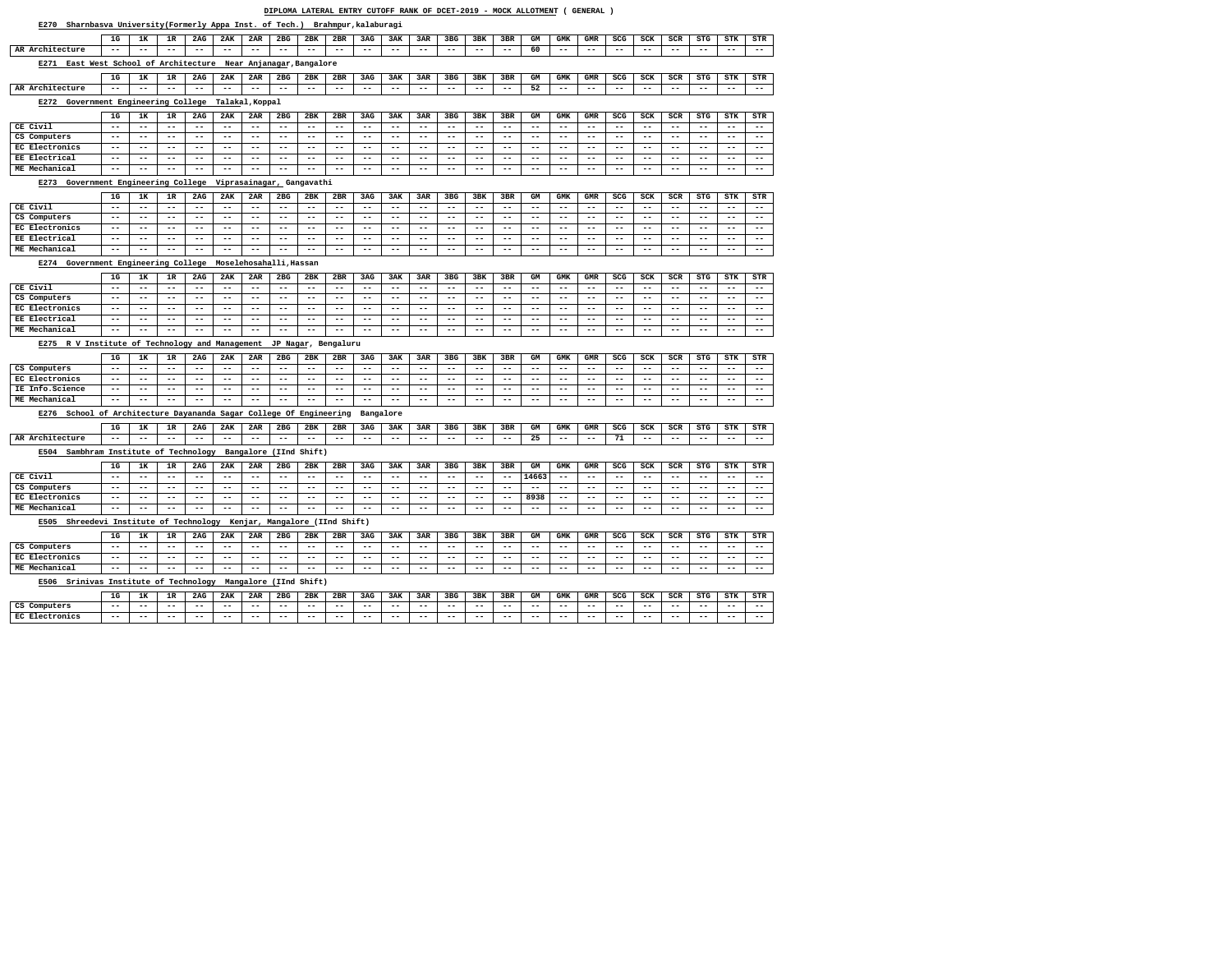## **E270 Sharnbasva University(Formerly Appa Inst. of Tech.) Brahmpur,kalaburagi**

|                                                                              | 1G                         | 1ĸ                | 1R                         | 2AG                        | 2AK                        | 2AR          | 2 <sub>BG</sub>   | 2BK                       | 2BR                      | 3AG          | 3AK                        | 3AR                        | 3 <sub>BG</sub>            | 3BK               | 3BR                        | GM                | <b>GMK</b>        | GMR               | SCG            | SCK               | <b>SCR</b>               | <b>STG</b>                 | STK                        | STR                        |
|------------------------------------------------------------------------------|----------------------------|-------------------|----------------------------|----------------------------|----------------------------|--------------|-------------------|---------------------------|--------------------------|--------------|----------------------------|----------------------------|----------------------------|-------------------|----------------------------|-------------------|-------------------|-------------------|----------------|-------------------|--------------------------|----------------------------|----------------------------|----------------------------|
| AR Architecture                                                              | $\qquad \qquad -$          | $\qquad \qquad -$ | $ -$                       | $- -$                      | $- -$                      |              | $- -$             | $- -$                     | $- -$                    | $- -$        | $- -$                      | $- -$                      | $- -$                      |                   | $- -$                      | 60                | $\qquad \qquad -$ | $- -$             | $- -$          | $- -$             | $- -$                    | $- -$                      | $\qquad \qquad -$          | $--$                       |
| East West School of Architecture<br>E271                                     |                            |                   |                            |                            |                            |              |                   | Near Anjanagar, Bangalore |                          |              |                            |                            |                            |                   |                            |                   |                   |                   |                |                   |                          |                            |                            |                            |
|                                                                              | 1G                         | 1K                | 1R                         | 2AG                        | 2AK                        | 2AR          | 2BG               | 2BK                       | 2BR                      | 3AG          | 3AK                        | 3AR                        | 3 <sub>BG</sub>            | 3BK               | 3BR                        | GM                | <b>GMK</b>        | <b>GMR</b>        | SCG            | SCK               | SCR                      | <b>STG</b>                 | <b>STK</b>                 | STR                        |
| AR Architecture                                                              | $- -$                      |                   | $ -$                       | $- -$                      | $ -$                       |              | $- -$             | $ -$                      | $- -$                    | $ -$         | $- -$                      | $- -$                      | $- -$                      | $ -$              | $- -$                      | 52                | $- -$             | $- -$             | $- -$          | $- -$             | $- -$                    | $- -$                      | $- -$                      | $- -$                      |
| Government Engineering College<br>E272<br>Talakal, Koppal                    |                            |                   |                            |                            |                            |              |                   |                           |                          |              |                            |                            |                            |                   |                            |                   |                   |                   |                |                   |                          |                            |                            |                            |
|                                                                              |                            |                   |                            |                            |                            |              |                   |                           |                          |              |                            |                            |                            |                   |                            |                   |                   |                   |                |                   |                          |                            |                            |                            |
|                                                                              | 1G                         | 1K                | 1R                         | 2AG                        | 2AK                        | 2AR          | 2 <sub>BG</sub>   | 2BK                       | 2BR                      | 3AG          | 3AK                        | 3AR                        | 3 <sub>BG</sub>            | 3BK               | 3BR                        | GM                | <b>GMK</b>        | <b>GMR</b>        | SCG            | <b>SCK</b>        | <b>SCR</b>               | <b>STG</b>                 | <b>STK</b>                 | STR                        |
| CE Civil                                                                     | $- -$                      | $\qquad \qquad -$ | $- -$                      | $- -$                      | $- -$                      | $- -$        | $ -$              | $ -$                      | $ -$                     | $- -$        | $ -$                       | $- -$                      | $- -$                      | $- -$             | $- -$                      | $- -$             | $\qquad \qquad -$ | $- -$             | $- -$          | $- -$             | $\qquad \qquad -$        | $- -$                      | $- -$                      | $- -$                      |
| CS Computers                                                                 | $\qquad \qquad -$          | $- -$             | $- -$                      | $\overline{\phantom{m}}$ . | $\overline{\phantom{m}}$ . | $- -$        | $- -$             | $ -$                      | $\qquad \qquad -$        | $- -$        | $ -$                       | $- -$                      | $- -$                      | $- -$             | $- -$                      | $- -$             | $\qquad \qquad -$ | $- -$             | $- -$          | $- -$             | $\qquad \qquad -$        | $- -$                      | $- -$                      | $\overline{\phantom{m}}$ . |
| EC Electronics                                                               | $ -$                       | $- -$             | $- -$                      | $\overline{\phantom{m}}$ . | $ -$                       | $ -$         | $- -$             | $ -$                      | $\overline{\phantom{m}}$ | $- -$        | $- -$                      | $\qquad \qquad -$          | $- -$                      | $- -$             | $- -$                      | $\qquad \qquad -$ | $\qquad \qquad -$ | $- -$             | $- -$          | $- -$             | $- -$                    | $- -$                      | $- -$                      | $\overline{\phantom{m}}$ . |
| EE Electrical                                                                | $- -$                      | $- -$             | $ -$                       | $- -$                      | $- -$                      | $- -$        | $ -$              | $ -$                      | $- -$                    |              | $ -$                       | $- -$                      | $- -$                      | $ -$              | --                         | $ -$              | $ -$              | $ -$              | $ -$           | $- -$             | $- -$                    | $- -$                      | $ -$                       | $\qquad \qquad -$          |
| ME Mechanical                                                                | $- -$                      |                   | $ -$                       | $\overline{\phantom{m}}$ . | $- -$                      | $- -$        | $- -$             | $ -$                      | $ -$                     |              | $ -$                       | $\overline{\phantom{m}}$ . | $- -$                      | $ -$              | $- -$                      | $- -$             | $\qquad \qquad -$ | $- -$             | $- -$          | $- -$             | $\qquad \qquad -$        | $- -$                      | $- -$                      | $- -$                      |
| Government Engineering College<br>Viprasainagar, Gangavathi<br>E273          |                            |                   |                            |                            |                            |              |                   |                           |                          |              |                            |                            |                            |                   |                            |                   |                   |                   |                |                   |                          |                            |                            |                            |
|                                                                              | 1G                         | 1K                | 1R                         | 2AG                        | 2AK                        | 2AR          | 2 <sub>BG</sub>   | 2BK                       | 2BR                      | 3AG          | 3AK                        | 3AR                        | 3 <sub>BG</sub>            | 3BK               | 3BR                        | GM                | <b>GMK</b>        | GMR               | SCG            | <b>SCK</b>        | <b>SCR</b>               | <b>STG</b>                 | STK                        | STR                        |
| CE Civil                                                                     | $- -$                      | $- -$             | $- -$                      | $- -$                      | $\overline{\phantom{m}}$ . | $- -$        | $- -$             | $ -$                      | $- -$                    | $- -$        | $ -$                       | $- -$                      | $- -$                      | $- -$             | $- -$                      | $\qquad \qquad -$ | $- -$             | $- -$             | $- -$          | $- -$             | $- -$                    | $- -$                      | $- -$                      | $- -$                      |
| CS Computers                                                                 | $- -$                      | $- -$             | $- -$                      | $\overline{\phantom{m}}$ . | $ -$                       | $ -$         | $- -$             | $ -$                      | $ -$                     | $- -$        | $- -$                      | $\overline{\phantom{m}}$ . | $\overline{\phantom{m}}$ . | $- -$             | $- -$                      | $- -$             | $\qquad \qquad -$ | $- -$             | $- -$          | $\qquad \qquad -$ | $- -$                    | $- -$                      | $\overline{\phantom{m}}$   | $ -$                       |
| EC Electronics                                                               | $- -$                      | $- -$             | $ -$                       | $- -$                      | $- -$                      | $- -$        | $- -$             | $- -$                     | $- -$                    |              | $ -$                       | $- -$                      | $- -$                      | $ -$              | $ -$                       | $- -$             | $- -$             | $ -$              | $ -$           | $- -$             | $- -$                    | $ -$                       | $ -$                       | $\qquad \qquad -$          |
| EE Electrical                                                                | $\overline{\phantom{m}}$ . | $- -$             | $- -$                      | $- -$                      | $- -$                      | $- -$        | $- -$             | $- -$                     | $- -$                    |              | $- -$                      | $- -$                      | $- -$                      | $ -$              | $- -$                      | $- -$             | $- -$             | $ -$              | $- -$          | $- -$             | $- -$                    | $- -$                      | $- -$                      | $\overline{\phantom{m}}$ – |
| ME Mechanical                                                                | $- -$                      |                   | $- -$                      | $- -$                      | $- -$                      | $- -$        | $- -$             | $ -$                      | $- -$                    | $- -$        | $ -$                       | $- -$                      | $- -$                      | $- -$             | $- -$                      | $- -$             | $- -$             | $- -$             | $- -$          | $- -$             | $- -$                    | $- -$                      | $\overline{\phantom{m}}$ . | $- -$                      |
|                                                                              |                            |                   |                            |                            |                            |              |                   |                           |                          |              |                            |                            |                            |                   |                            |                   |                   |                   |                |                   |                          |                            |                            |                            |
| Government Engineering College<br>Moselehosahalli, Hassan<br>E274            |                            |                   |                            |                            |                            |              |                   |                           |                          |              |                            |                            |                            |                   |                            |                   |                   |                   |                |                   |                          |                            |                            |                            |
|                                                                              | 1G                         | 1K                | 1R                         | 2AG                        | 2AK                        | 2AR          | 2 <sub>BG</sub>   | 2BK                       | 2BR                      | 3AG          | 3AK                        | 3AR                        | 3 <sub>BG</sub>            | 3BK               | 3BR                        | GM                | ${\tt GMK}$       | GMR               | SCG            | SCK               | <b>SCR</b>               | <b>STG</b>                 | <b>STK</b>                 | STR                        |
| CE Civil                                                                     | $\overline{\phantom{m}}$ . | $- -$             | $- -$                      | $\overline{\phantom{m}}$ . | $\overline{\phantom{m}}$ . | $- -$        | $- -$             | $\overline{\phantom{m}}$  | $\overline{\phantom{m}}$ | $- -$        | $- -$                      | $\qquad \qquad -$          | $\overline{\phantom{m}}$ . | $- -$             | $- -$                      | $- -$             | $- -$             | $\qquad \qquad -$ | $- -$          | $- -$             | $\overline{\phantom{m}}$ | $- -$                      | $ -$                       | $- -$                      |
| CS Computers                                                                 | $\overline{\phantom{m}}$ . | $- -$             | $- -$                      | $- -$                      | $- -$                      | $- -$        | $- -$             | $- -$                     | $- -$                    | $ -$         | $ -$                       | $- -$                      | $- -$                      | $ -$              | $ -$                       | $- -$             | $- -$             | $ -$              | $- -$          | $- -$             | $- -$                    | $- -$                      | $- -$                      | $\overline{\phantom{m}}$ . |
| EC Electronics                                                               | $\overline{\phantom{m}}$ . | $- -$             | $- -$                      | $- -$                      | $ -$                       | $- -$        | $- -$             | $ -$                      | $- -$                    |              | $ -$                       | $- -$                      | $- -$                      | $ -$              | $ -$                       | $- -$             | $- -$             | $- -$             | $- -$          | $- -$             | $\qquad \qquad -$        | $- -$                      | $- -$                      | $\overline{\phantom{m}}$ . |
| EE Electrical                                                                | $\qquad \qquad -$          | $- -$             | $- -$                      | $\overline{\phantom{m}}$ . | $\overline{\phantom{m}}$ . | $- -$        | $- -$             | $- -$                     | $ -$                     | $- -$        | $ -$                       | $- -$                      | $- -$                      | $ -$              | $- -$                      | $- -$             | $\qquad \qquad -$ | $- -$             | $ -$           | $- -$             | $- -$                    | $- -$                      | $- -$                      | $\overline{\phantom{m}}$ . |
| ME Mechanical                                                                | $- -$                      |                   | $- -$                      |                            | $- -$                      | $- -$        | $- -$             | $- -$                     | $- -$                    |              | $ -$                       | $- -$                      | $- -$                      | $- -$             | $ -$                       | $- -$             | $\qquad \qquad -$ | $- -$             | $- -$          | $- -$             | $\qquad \qquad -$        | $- -$                      | $- -$                      | $\qquad \qquad -$          |
| R V Institute of Technology and Management<br>E275<br>JP Nagar,<br>Bengaluru |                            |                   |                            |                            |                            |              |                   |                           |                          |              |                            |                            |                            |                   |                            |                   |                   |                   |                |                   |                          |                            |                            |                            |
|                                                                              |                            |                   |                            |                            |                            |              |                   |                           |                          |              |                            |                            |                            |                   |                            |                   |                   |                   |                |                   |                          |                            |                            |                            |
|                                                                              | 1G                         | 1ĸ<br>$- -$       | 1R<br>$- -$                | 2AG<br>$- -$               | 2AK                        | 2AR<br>$- -$ | 2BG<br>$ -$       | 2BK<br>$- -$              | 2BR<br>$- -$             | 3AG<br>$- -$ | 3AK<br>$ -$                | 3AR<br>$- -$               | 3 <sub>BG</sub><br>$- -$   | 3BK               | 3BR<br>$ -$                | GМ                | <b>GMK</b>        | <b>GMR</b>        | SCG            | SCK               | SCR<br>$ -$              | <b>STG</b>                 | STK                        | STR                        |
| CS Computers<br>EC Electronics                                               | $- -$<br>$- -$             | $- -$             | $- -$                      | $- -$                      | $- -$<br>$- -$             |              | $- -$             |                           | $- -$                    |              | $- -$                      |                            | $- -$                      | $- -$             | $- -$                      | $- -$             | $- -$<br>$- -$    | $- -$             | $- -$<br>$- -$ | $- -$<br>$- -$    | $- -$                    | $ -$<br>$- -$              | $- -$<br>$- -$             | $\qquad \qquad -$<br>$- -$ |
| IE Info.Science                                                              | $\qquad \qquad -$          | $\qquad \qquad -$ | $- -$                      | $\qquad \qquad -$          | $ -$                       | $- -$        | $\qquad \qquad -$ | $ -$                      | $- -$                    | $- -$        | $\qquad \qquad -$          | $- -$                      | $\qquad \qquad -$          | $- -$             | $\overline{\phantom{m}}$ . | $\qquad \qquad -$ | $- -$             | $- -$             | $- -$          | $ -$              | $- -$                    | $- -$                      | $\overline{\phantom{m}}$ . | $- -$                      |
| ME Mechanical                                                                | $- -$                      | $- -$             | $\overline{\phantom{m}}$ . | $- -$                      | $- -$                      | $- -$        | $\qquad \qquad -$ | $\qquad \qquad -$         | $- -$                    | $- -$        | $\overline{\phantom{m}}$ . | $- -$                      | $\qquad \qquad -$          | $\qquad \qquad -$ | $- -$                      | $\qquad \qquad -$ | $- -$             | $\qquad \qquad -$ | $- -$          | $\qquad \qquad -$ | $- -$                    | $- -$                      | $- -$                      | $- -$                      |
|                                                                              |                            |                   |                            |                            |                            |              |                   |                           |                          |              |                            |                            |                            |                   |                            |                   |                   |                   |                |                   |                          |                            |                            |                            |
| School of Architecture Dayananda Sagar College Of Engineering<br>E276        |                            |                   |                            |                            |                            |              |                   |                           |                          | Bangalore    |                            |                            |                            |                   |                            |                   |                   |                   |                |                   |                          |                            |                            |                            |
|                                                                              | 1G                         | 1K                | 1R                         | 2AG                        | 2AK                        | 2AR          | 2 <sub>BG</sub>   | 2BK                       | 2BR                      | 3AG          | 3AK                        | 3AR                        | 3 <sub>BG</sub>            | 3BK               | 3BR                        | GМ                | ${\tt GMK}$       | ${\tt GMR}$       | SCG            | <b>SCK</b>        | <b>SCR</b>               | STG                        | <b>STK</b>                 | STR                        |
| AR Architecture                                                              | $- -$                      |                   | $- -$                      | $- -$                      | $\overline{\phantom{m}}$ . | $- -$        | $- -$             | $- -$                     | $- -$                    | $- -$        | $\overline{\phantom{m}}$ . | $- -$                      | $\qquad \qquad -$          | $- -$             | $\overline{\phantom{m}}$ . | 25                | $- -$             | $- -$             | 71             | $- -$             | $- -$                    | $- -$                      | $ -$                       | $- -$                      |
| E504 Sambhram Institute of Technology                                        |                            |                   |                            |                            |                            |              |                   | Bangalore (IInd Shift)    |                          |              |                            |                            |                            |                   |                            |                   |                   |                   |                |                   |                          |                            |                            |                            |
|                                                                              |                            |                   |                            |                            |                            |              |                   |                           |                          |              |                            |                            |                            |                   |                            |                   |                   |                   |                |                   |                          |                            |                            |                            |
|                                                                              | 1 <sub>G</sub>             | 1K                | 1R                         | 2AG                        | 2AK                        | 2AR          | 2 <sub>BG</sub>   | 2BK                       | 2BR                      | 3AG          | 3AK                        | 3AR                        | 3 <sub>BG</sub>            | 3BK               | 3BR                        | GM                | ${\tt GMK}$       | GMR               | SCG            | SCK               | SCR                      | <b>STG</b>                 | <b>STK</b>                 | STR                        |
| CE Civil                                                                     | $\overline{\phantom{m}}$ . | $- -$             | $\overline{\phantom{m}}$ . | $\qquad \qquad -$          | $- -$                      | $- -$        | $ -$              | $ -$                      | $ -$                     | $ -$         | $- -$                      | $\qquad \qquad -$          | $\qquad \qquad -$          | $\qquad \qquad -$ | $- -$                      | 14663             | $- -$             | $\qquad \qquad -$ | $- -$          | $- -$             | $- -$                    | $\overline{\phantom{m}}$ . | $\overline{\phantom{m}}$ . | $- -$                      |
| CS Computers                                                                 | $\qquad \qquad -$          | $\qquad \qquad -$ | $\overline{\phantom{m}}$ . | $\qquad \qquad -$          | $ -$                       | $- -$        | $ -$              | $ -$                      | $ -$                     | $- -$        | $\overline{\phantom{m}}$ . | $\qquad \qquad -$          | $\qquad \qquad -$          | $- -$             | $- -$                      | $\qquad \qquad -$ | $- -$             | $- -$             | $- -$          | $- -$             | $- -$                    | $- -$                      | $\overline{\phantom{m}}$ . | $\overline{\phantom{m}}$ . |
| EC Electronics                                                               | $\qquad \qquad -$          | $- -$             | $\overline{\phantom{m}}$ . | $\overline{\phantom{m}}$ . | $ -$                       | $- -$        | $- -$             | $ -$                      | $\overline{\phantom{m}}$ | $- -$        | $- -$                      | $\qquad \qquad -$          | $- -$                      | $\qquad \qquad -$ | $- -$                      | 8938              | $\qquad \qquad -$ | $ -$              | $- -$          | $\qquad \qquad -$ | $- -$                    | $\overline{\phantom{m}}$   | $\overline{\phantom{m}}$ . | $ -$                       |
| ME Mechanical                                                                | $- -$                      | $- -$             | $- -$                      | $- -$                      | $- -$                      | $- -$        | $- -$             | $ -$                      | $- -$                    |              | $ -$                       | $- -$                      | $- -$                      | $- -$             | $- -$                      | $- -$             | $\qquad \qquad -$ | $- -$             | $- -$          | $- -$             | $- -$                    | $- -$                      | $\overline{\phantom{m}}$ . | $- -$                      |
| E505 Shreedevi Institute of Technology Kenjar, Mangalore (IInd Shift)        |                            |                   |                            |                            |                            |              |                   |                           |                          |              |                            |                            |                            |                   |                            |                   |                   |                   |                |                   |                          |                            |                            |                            |
|                                                                              | 1G                         | 1K                | 1R                         | 2AG                        | 2AK                        | 2AR          | 2BG               | 2BK                       | 2BR                      | 3AG          | 3AK                        | 3AR                        | 3 <sub>BG</sub>            | 3BK               | 3BR                        | GM                | <b>GMK</b>        | GMR               | SCG            | SCK               | SCR                      | <b>STG</b>                 | <b>STK</b>                 | STR                        |
| CS Computers                                                                 | $\overline{\phantom{m}}$ . | $- -$             | $ -$                       | $\qquad \qquad -$          | $ -$                       | $- -$        | $- -$             | $ -$                      | $ -$                     | $- -$        | $\overline{\phantom{m}}$ . | $\qquad \qquad -$          | $\overline{\phantom{m}}$ . | $- -$             | $- -$                      | $\qquad \qquad -$ | $ -$              | $- -$             | $- -$          | $\qquad \qquad -$ | $- -$                    | $ -$                       | $ -$                       | $- -$                      |
| EC Electronics                                                               | $\qquad \qquad -$          | $\qquad \qquad -$ | $\overline{\phantom{m}}$ . | $\qquad \qquad -$          | $- -$                      | $- -$        | $- -$             | $ -$                      | $ -$                     | $- -$        | $- -$                      | $\qquad \qquad -$          | $\overline{\phantom{m}}$ . | $- -$             | $- -$                      | $\qquad \qquad -$ | $\qquad \qquad -$ | $- -$             | $- -$          | $- -$             | $- -$                    | $- -$                      | $\overline{\phantom{m}}$ . | $\overline{\phantom{m}}$ . |
| ME Mechanical                                                                | $- -$                      | $- -$             | $\overline{\phantom{m}}$ . | $- -$                      | $\overline{\phantom{m}}$ . | $- -$        | $ -$              | $\qquad \qquad -$         | $ -$                     | $- -$        | $- -$                      | $\qquad \qquad -$          | $\qquad \qquad -$          | $\qquad \qquad -$ | $- -$                      | $- -$             | $ -$              | $- -$             | $- -$          | $ -$              | $\qquad \qquad -$        | $\overline{\phantom{m}}$   | $\overline{\phantom{m}}$   | $- -$                      |
|                                                                              |                            |                   |                            |                            |                            |              |                   |                           |                          |              |                            |                            |                            |                   |                            |                   |                   |                   |                |                   |                          |                            |                            |                            |
| E506 Srinivas Institute of Technology                                        |                            |                   |                            |                            |                            |              |                   | Mangalore (IInd Shift)    |                          |              |                            |                            |                            |                   |                            |                   |                   |                   |                |                   |                          |                            |                            |                            |
|                                                                              | 1 <sub>G</sub>             | 1K                | 1R                         | 2AG                        | 2AK                        | 2AR          | 2BG               | 2BK                       | 2BR                      | 3AG          | 3AK                        | 3AR                        | 3 <sub>BG</sub>            | 3BK               | 3BR                        | GM                | <b>GMK</b>        | GMR               | SCG            | <b>SCK</b>        | <b>SCR</b>               | <b>STG</b>                 | <b>STK</b>                 | STR                        |
| CS Computers                                                                 | $\qquad \qquad -$          | $- -$             | $- -$                      | $\qquad \qquad -$          | $\overline{\phantom{m}}$ . | $- -$        | $- -$             | $ -$                      | $- -$                    | $- -$        | $- -$                      | $\qquad \qquad -$          | $- -$                      | $ -$              | $- -$                      | $- -$             | $- -$             | $- -$             | $- -$          | $- -$             | $- -$                    | $- -$                      | $\overline{\phantom{m}}$ . | $- -$                      |
| EC Electronics                                                               | $- -$                      | $- -$             | $ -$                       | $ -$                       | $- -$                      | $- -$        | $ -$              | $- -$                     | $- -$                    | $- -$        | $- -$                      | $- -$                      | $- -$                      | $- -$             | $ -$                       | $- -$             | $- -$             | $ -$              | $- -$          | $ -$              | $ -$                     | $ -$                       | $ -$                       | $--$                       |